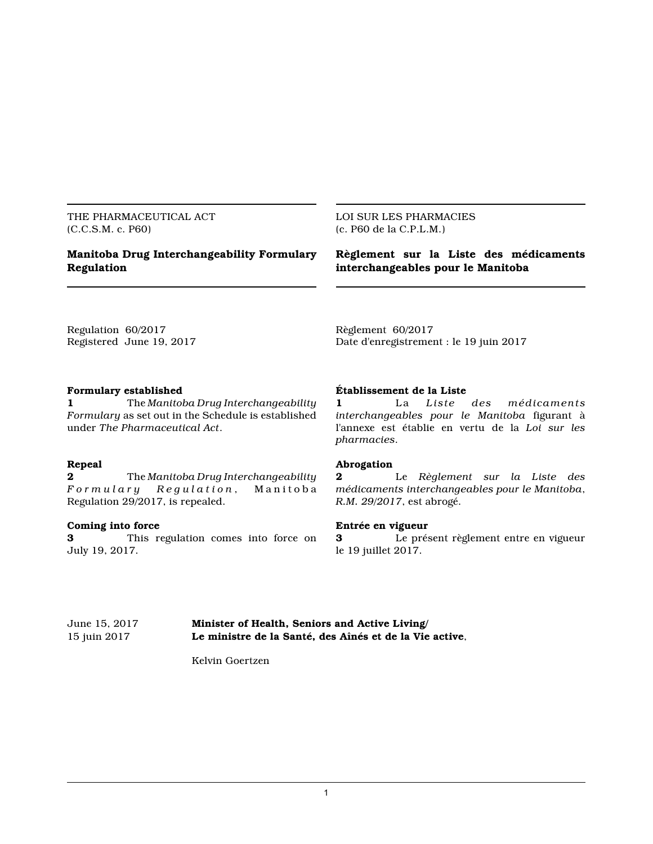THE PHARMACEUTICAL ACT (C.C.S.M. c. P60)

## **Manitoba Drug Interchangeability Formulary Regulation**

#### LOI SUR LES PHARMACIES (c. P60 de la C.P.L.M.)

### **Règlement sur la Liste des médicaments interchangeables pour le Manitoba**

Regulation 60/2017 Registered June 19, 2017 Règlement 60/2017 Date d'enregistrement : le 19 juin 2017

#### **Formulary established**

**1** The *Manitoba Drug Interchangeability Formulary* as set out in the Schedule is established under *The Pharmaceutical Act*.

## **Repeal**

**2** The *Manitoba Drug Interchangeability F o r m u l a r y R e g u l a t i o n* , M a n i t o b a Regulation 29/2017, is repealed.

#### **Coming into force**

**3** This regulation comes into force on July 19, 2017.

### **Établissement de la Liste**

**1** La *Liste des médicaments interchangeables pour le Manitoba* figurant à l'annexe est établie en vertu de la *Loi sur les pharmacies*.

#### **Abrogation**

**2** Le *Règlement sur la Liste des médicaments interchangeables pour le Manitoba*, *R.M. 29/2017*, est abrogé.

#### **Entrée en vigueur**

**3** Le présent règlement entre en vigueur le 19 juillet 2017.

June 15, 2017 **Minister of Health, Seniors and Active Living/** 15 juin 2017 **Le ministre de la Santé, des Aînés et de la Vie active**,

Kelvin Goertzen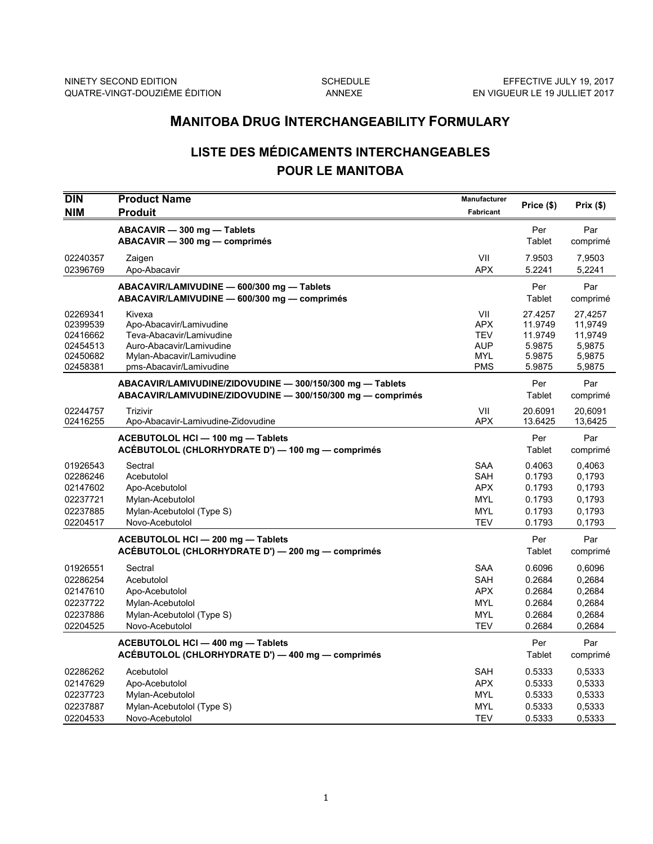## **MANITOBA DRUG INTERCHANGEABILITY FORMULARY**

# **LISTE DES MÉDICAMENTS INTERCHANGEABLES POUR LE MANITOBA**

| <b>DIN</b><br><b>NIM</b>                                             | <b>Product Name</b><br><b>Produit</b>                                                                                                             | <b>Manufacturer</b><br>Fabricant                                                 | Price (\$)                                                  | Prix(\$)                                                    |
|----------------------------------------------------------------------|---------------------------------------------------------------------------------------------------------------------------------------------------|----------------------------------------------------------------------------------|-------------------------------------------------------------|-------------------------------------------------------------|
|                                                                      | ABACAVIR - 300 mg - Tablets<br>ABACAVIR - 300 mg - comprimés                                                                                      |                                                                                  | Per<br>Tablet                                               | Par<br>comprimé                                             |
| 02240357<br>02396769                                                 | Zaigen<br>Apo-Abacavir                                                                                                                            | VII<br><b>APX</b>                                                                | 7.9503<br>5.2241                                            | 7,9503<br>5,2241                                            |
|                                                                      | ABACAVIR/LAMIVUDINE - 600/300 mg - Tablets<br>ABACAVIR/LAMIVUDINE - 600/300 mg - comprimés                                                        |                                                                                  | Per<br>Tablet                                               | Par<br>comprimé                                             |
| 02269341<br>02399539<br>02416662<br>02454513<br>02450682<br>02458381 | Kivexa<br>Apo-Abacavir/Lamivudine<br>Teva-Abacavir/Lamivudine<br>Auro-Abacavir/Lamivudine<br>Mylan-Abacavir/Lamivudine<br>pms-Abacavir/Lamivudine | VII<br><b>APX</b><br><b>TEV</b><br>AUP<br><b>MYL</b><br><b>PMS</b>               | 27.4257<br>11.9749<br>11.9749<br>5.9875<br>5.9875<br>5.9875 | 27,4257<br>11,9749<br>11,9749<br>5,9875<br>5,9875<br>5,9875 |
|                                                                      | ABACAVIR/LAMIVUDINE/ZIDOVUDINE - 300/150/300 mg - Tablets<br>ABACAVIR/LAMIVUDINE/ZIDOVUDINE - 300/150/300 mg - comprimés                          |                                                                                  | Per<br>Tablet                                               | Par<br>comprimé                                             |
| 02244757<br>02416255                                                 | <b>Trizivir</b><br>Apo-Abacavir-Lamivudine-Zidovudine                                                                                             | VII<br><b>APX</b>                                                                | 20.6091<br>13.6425                                          | 20,6091<br>13,6425                                          |
|                                                                      | ACEBUTOLOL HCI - 100 mg - Tablets<br>ACÉBUTOLOL (CHLORHYDRATE D') — 100 mg — comprimés                                                            |                                                                                  | Per<br>Tablet                                               | Par<br>comprimé                                             |
| 01926543<br>02286246<br>02147602<br>02237721<br>02237885<br>02204517 | Sectral<br>Acebutolol<br>Apo-Acebutolol<br>Mylan-Acebutolol<br>Mylan-Acebutolol (Type S)<br>Novo-Acebutolol                                       | <b>SAA</b><br><b>SAH</b><br><b>APX</b><br><b>MYL</b><br><b>MYL</b><br><b>TEV</b> | 0.4063<br>0.1793<br>0.1793<br>0.1793<br>0.1793<br>0.1793    | 0,4063<br>0,1793<br>0.1793<br>0.1793<br>0.1793<br>0,1793    |
|                                                                      | ACEBUTOLOL HCI - 200 mg - Tablets<br>ACÉBUTOLOL (CHLORHYDRATE D') - 200 mg - comprimés                                                            |                                                                                  | Per<br>Tablet                                               | Par<br>comprimé                                             |
| 01926551<br>02286254<br>02147610<br>02237722<br>02237886<br>02204525 | Sectral<br>Acebutolol<br>Apo-Acebutolol<br>Mylan-Acebutolol<br>Mylan-Acebutolol (Type S)<br>Novo-Acebutolol                                       | <b>SAA</b><br><b>SAH</b><br><b>APX</b><br><b>MYL</b><br><b>MYL</b><br><b>TEV</b> | 0.6096<br>0.2684<br>0.2684<br>0.2684<br>0.2684<br>0.2684    | 0,6096<br>0,2684<br>0,2684<br>0,2684<br>0,2684<br>0,2684    |
|                                                                      | ACEBUTOLOL HCI - 400 mg - Tablets<br>ACÉBUTOLOL (CHLORHYDRATE D') — 400 mg — comprimés                                                            |                                                                                  | Per<br>Tablet                                               | Par<br>comprimé                                             |
| 02286262<br>02147629<br>02237723<br>02237887<br>02204533             | Acebutolol<br>Apo-Acebutolol<br>Mylan-Acebutolol<br>Mylan-Acebutolol (Type S)<br>Novo-Acebutolol                                                  | <b>SAH</b><br><b>APX</b><br><b>MYL</b><br><b>MYL</b><br><b>TEV</b>               | 0.5333<br>0.5333<br>0.5333<br>0.5333<br>0.5333              | 0,5333<br>0,5333<br>0,5333<br>0,5333<br>0,5333              |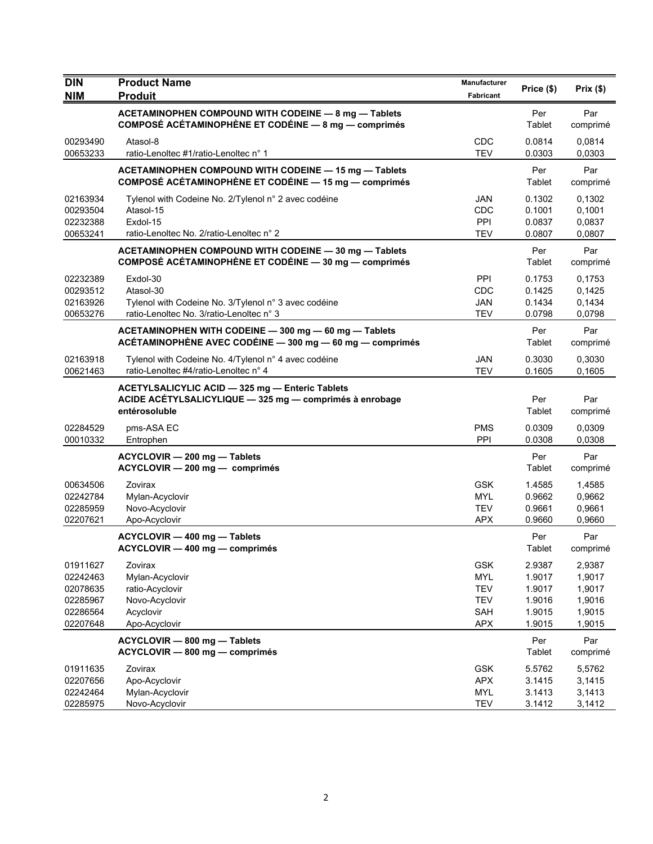| <b>DIN</b>                                                           | <b>Product Name</b>                                                                                                         | Manufacturer                                                              | Price (\$)                                               | Prix(\$)                                                 |
|----------------------------------------------------------------------|-----------------------------------------------------------------------------------------------------------------------------|---------------------------------------------------------------------------|----------------------------------------------------------|----------------------------------------------------------|
| <b>NIM</b>                                                           | <b>Produit</b>                                                                                                              | Fabricant                                                                 |                                                          |                                                          |
|                                                                      | ACETAMINOPHEN COMPOUND WITH CODEINE - 8 mg - Tablets<br>COMPOSÉ ACÉTAMINOPHÈNE ET CODÉINE - 8 mg - comprimés                |                                                                           | Per<br>Tablet                                            | Par<br>comprimé                                          |
| 00293490<br>00653233                                                 | Atasol-8<br>ratio-Lenoltec #1/ratio-Lenoltec n° 1                                                                           | CDC<br><b>TEV</b>                                                         | 0.0814<br>0.0303                                         | 0,0814<br>0,0303                                         |
|                                                                      | ACETAMINOPHEN COMPOUND WITH CODEINE - 15 mg - Tablets<br>COMPOSÉ ACÉTAMINOPHÈNE ET CODÉINE - 15 mg - comprimés              |                                                                           | Per<br>Tablet                                            | Par<br>comprimé                                          |
| 02163934<br>00293504<br>02232388<br>00653241                         | Tylenol with Codeine No. 2/Tylenol n° 2 avec codéine<br>Atasol-15<br>Exdol-15<br>ratio-Lenoltec No. 2/ratio-Lenoltec n° 2   | JAN<br>CDC<br>PPI<br><b>TEV</b>                                           | 0.1302<br>0.1001<br>0.0837<br>0.0807                     | 0,1302<br>0,1001<br>0,0837<br>0,0807                     |
|                                                                      | ACETAMINOPHEN COMPOUND WITH CODEINE - 30 mg - Tablets<br>COMPOSÉ ACÉTAMINOPHÈNE ET CODÉINE - 30 mg - comprimés              |                                                                           | Per<br>Tablet                                            | Par<br>comprimé                                          |
| 02232389<br>00293512<br>02163926<br>00653276                         | Exdol-30<br>Atasol-30<br>Tylenol with Codeine No. 3/Tylenol n° 3 avec codéine<br>ratio-Lenoltec No. 3/ratio-Lenoltec n° 3   | <b>PPI</b><br>CDC<br>JAN<br><b>TEV</b>                                    | 0.1753<br>0.1425<br>0.1434<br>0.0798                     | 0,1753<br>0,1425<br>0,1434<br>0,0798                     |
|                                                                      | ACETAMINOPHEN WITH CODEINE - 300 mg - 60 mg - Tablets<br>ACÉTAMINOPHÈNE AVEC CODÉINE - 300 mg - 60 mg - comprimés           |                                                                           | Per<br>Tablet                                            | Par<br>comprimé                                          |
| 02163918<br>00621463                                                 | Tylenol with Codeine No. 4/Tylenol n° 4 avec codéine<br>ratio-Lenoltec #4/ratio-Lenoltec n° 4                               | <b>JAN</b><br><b>TEV</b>                                                  | 0.3030<br>0.1605                                         | 0,3030<br>0,1605                                         |
|                                                                      | ACETYLSALICYLIC ACID - 325 mg - Enteric Tablets<br>ACIDE ACÉTYLSALICYLIQUE - 325 mg - comprimés à enrobage<br>entérosoluble |                                                                           | Per<br>Tablet                                            | Par<br>comprimé                                          |
| 02284529<br>00010332                                                 | pms-ASA EC<br>Entrophen                                                                                                     | PMS<br>PPI                                                                | 0.0309<br>0.0308                                         | 0,0309<br>0,0308                                         |
|                                                                      | ACYCLOVIR - 200 mg - Tablets<br>ACYCLOVIR - 200 mg - comprimés                                                              |                                                                           | Per<br>Tablet                                            | Par<br>comprimé                                          |
| 00634506<br>02242784<br>02285959<br>02207621                         | Zovirax<br>Mylan-Acyclovir<br>Novo-Acyclovir<br>Apo-Acyclovir                                                               | <b>GSK</b><br><b>MYL</b><br><b>TEV</b><br><b>APX</b>                      | 1.4585<br>0.9662<br>0.9661<br>0.9660                     | 1,4585<br>0,9662<br>0,9661<br>0,9660                     |
|                                                                      | ACYCLOVIR - 400 mg - Tablets<br>ACYCLOVIR - 400 mg - comprimés                                                              |                                                                           | Per<br>Tablet                                            | Par<br>comprimé                                          |
| 01911627<br>02242463<br>02078635<br>02285967<br>02286564<br>02207648 | Zovirax<br>Mylan-Acyclovir<br>ratio-Acyclovir<br>Novo-Acyclovir<br>Acyclovir<br>Apo-Acyclovir                               | <b>GSK</b><br><b>MYL</b><br><b>TEV</b><br><b>TEV</b><br>SAH<br><b>APX</b> | 2.9387<br>1.9017<br>1.9017<br>1.9016<br>1.9015<br>1.9015 | 2,9387<br>1,9017<br>1,9017<br>1,9016<br>1,9015<br>1,9015 |
|                                                                      | ACYCLOVIR - 800 mg - Tablets<br>ACYCLOVIR - 800 mg - comprimés                                                              |                                                                           | Per<br>Tablet                                            | Par<br>comprimé                                          |
| 01911635<br>02207656<br>02242464<br>02285975                         | Zovirax<br>Apo-Acyclovir<br>Mylan-Acyclovir<br>Novo-Acyclovir                                                               | <b>GSK</b><br><b>APX</b><br><b>MYL</b><br><b>TEV</b>                      | 5.5762<br>3.1415<br>3.1413<br>3.1412                     | 5,5762<br>3,1415<br>3,1413<br>3,1412                     |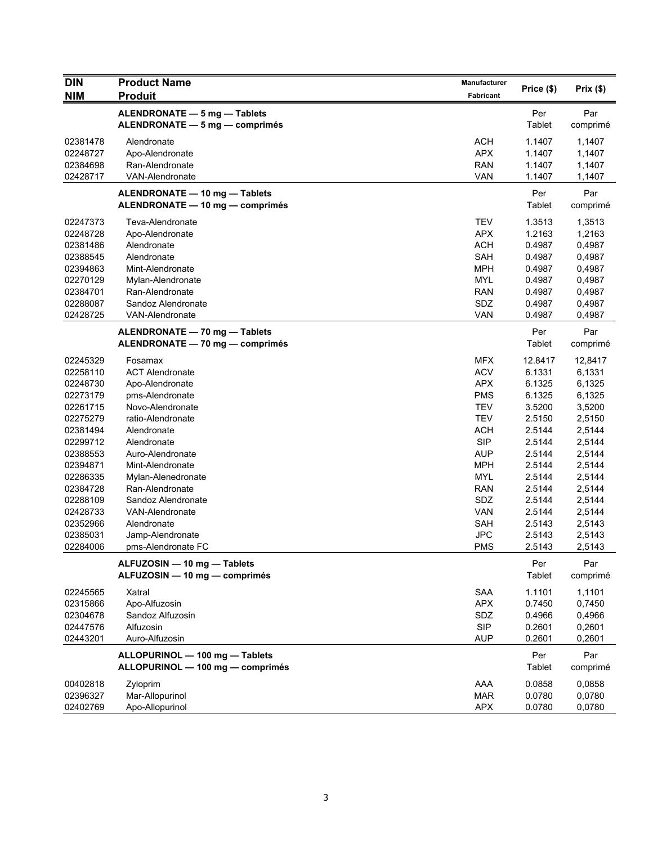| <b>DIN</b><br><b>NIM</b>                                                                                                                                                                                 | <b>Product Name</b><br><b>Produit</b>                                                                                                                                                                                                                                                                                                    | <b>Manufacturer</b><br>Fabricant                                                                                                                                                                                             | Price (\$)                                                                                                                                                              | Prix(\$)                                                                                                                                                                |
|----------------------------------------------------------------------------------------------------------------------------------------------------------------------------------------------------------|------------------------------------------------------------------------------------------------------------------------------------------------------------------------------------------------------------------------------------------------------------------------------------------------------------------------------------------|------------------------------------------------------------------------------------------------------------------------------------------------------------------------------------------------------------------------------|-------------------------------------------------------------------------------------------------------------------------------------------------------------------------|-------------------------------------------------------------------------------------------------------------------------------------------------------------------------|
|                                                                                                                                                                                                          | ALENDRONATE - 5 mg - Tablets<br>ALENDRONATE - 5 mg - comprimés                                                                                                                                                                                                                                                                           |                                                                                                                                                                                                                              | Per<br>Tablet                                                                                                                                                           | Par<br>comprimé                                                                                                                                                         |
| 02381478<br>02248727<br>02384698<br>02428717                                                                                                                                                             | Alendronate<br>Apo-Alendronate<br>Ran-Alendronate<br>VAN-Alendronate                                                                                                                                                                                                                                                                     | <b>ACH</b><br><b>APX</b><br><b>RAN</b><br><b>VAN</b>                                                                                                                                                                         | 1.1407<br>1.1407<br>1.1407<br>1.1407                                                                                                                                    | 1,1407<br>1,1407<br>1,1407<br>1,1407                                                                                                                                    |
|                                                                                                                                                                                                          | ALENDRONATE - 10 mg - Tablets<br>ALENDRONATE - 10 mg - comprimés                                                                                                                                                                                                                                                                         |                                                                                                                                                                                                                              | Per<br>Tablet                                                                                                                                                           | Par<br>comprimé                                                                                                                                                         |
| 02247373<br>02248728<br>02381486<br>02388545<br>02394863<br>02270129<br>02384701<br>02288087<br>02428725                                                                                                 | Teva-Alendronate<br>Apo-Alendronate<br>Alendronate<br>Alendronate<br>Mint-Alendronate<br>Mylan-Alendronate<br>Ran-Alendronate<br>Sandoz Alendronate<br><b>VAN-Alendronate</b>                                                                                                                                                            | <b>TEV</b><br><b>APX</b><br><b>ACH</b><br>SAH<br><b>MPH</b><br><b>MYL</b><br><b>RAN</b><br>SDZ<br><b>VAN</b>                                                                                                                 | 1.3513<br>1.2163<br>0.4987<br>0.4987<br>0.4987<br>0.4987<br>0.4987<br>0.4987<br>0.4987                                                                                  | 1,3513<br>1,2163<br>0,4987<br>0,4987<br>0,4987<br>0,4987<br>0,4987<br>0,4987<br>0,4987                                                                                  |
|                                                                                                                                                                                                          | ALENDRONATE - 70 mg - Tablets<br>ALENDRONATE - 70 mg - comprimés                                                                                                                                                                                                                                                                         |                                                                                                                                                                                                                              | Per<br><b>Tablet</b>                                                                                                                                                    | Par<br>comprimé                                                                                                                                                         |
| 02245329<br>02258110<br>02248730<br>02273179<br>02261715<br>02275279<br>02381494<br>02299712<br>02388553<br>02394871<br>02286335<br>02384728<br>02288109<br>02428733<br>02352966<br>02385031<br>02284006 | Fosamax<br><b>ACT Alendronate</b><br>Apo-Alendronate<br>pms-Alendronate<br>Novo-Alendronate<br>ratio-Alendronate<br>Alendronate<br>Alendronate<br>Auro-Alendronate<br>Mint-Alendronate<br>Mylan-Alenedronate<br>Ran-Alendronate<br>Sandoz Alendronate<br><b>VAN-Alendronate</b><br>Alendronate<br>Jamp-Alendronate<br>pms-Alendronate FC | <b>MFX</b><br><b>ACV</b><br><b>APX</b><br><b>PMS</b><br><b>TEV</b><br><b>TEV</b><br><b>ACH</b><br><b>SIP</b><br><b>AUP</b><br><b>MPH</b><br><b>MYL</b><br><b>RAN</b><br>SDZ<br><b>VAN</b><br>SAH<br><b>JPC</b><br><b>PMS</b> | 12.8417<br>6.1331<br>6.1325<br>6.1325<br>3.5200<br>2.5150<br>2.5144<br>2.5144<br>2.5144<br>2.5144<br>2.5144<br>2.5144<br>2.5144<br>2.5144<br>2.5143<br>2.5143<br>2.5143 | 12,8417<br>6,1331<br>6,1325<br>6,1325<br>3,5200<br>2,5150<br>2,5144<br>2,5144<br>2,5144<br>2,5144<br>2,5144<br>2,5144<br>2,5144<br>2,5144<br>2,5143<br>2,5143<br>2,5143 |
|                                                                                                                                                                                                          | ALFUZOSIN - 10 mg - Tablets<br>ALFUZOSIN - 10 mg - comprimés                                                                                                                                                                                                                                                                             |                                                                                                                                                                                                                              | Per<br>Tablet                                                                                                                                                           | Par<br>comprimé                                                                                                                                                         |
| 02245565<br>02315866<br>02304678<br>02447576<br>02443201                                                                                                                                                 | Xatral<br>Apo-Alfuzosin<br>Sandoz Alfuzosin<br>Alfuzosin<br>Auro-Alfuzosin                                                                                                                                                                                                                                                               | <b>SAA</b><br><b>APX</b><br>SDZ<br><b>SIP</b><br><b>AUP</b>                                                                                                                                                                  | 1.1101<br>0.7450<br>0.4966<br>0.2601<br>0.2601                                                                                                                          | 1,1101<br>0,7450<br>0,4966<br>0,2601<br>0,2601                                                                                                                          |
|                                                                                                                                                                                                          | ALLOPURINOL - 100 mg - Tablets<br>ALLOPURINOL - 100 mg - comprimés                                                                                                                                                                                                                                                                       |                                                                                                                                                                                                                              | Per<br>Tablet                                                                                                                                                           | Par<br>comprimé                                                                                                                                                         |
| 00402818<br>02396327<br>02402769                                                                                                                                                                         | Zyloprim<br>Mar-Allopurinol<br>Apo-Allopurinol                                                                                                                                                                                                                                                                                           | AAA<br><b>MAR</b><br><b>APX</b>                                                                                                                                                                                              | 0.0858<br>0.0780<br>0.0780                                                                                                                                              | 0,0858<br>0,0780<br>0,0780                                                                                                                                              |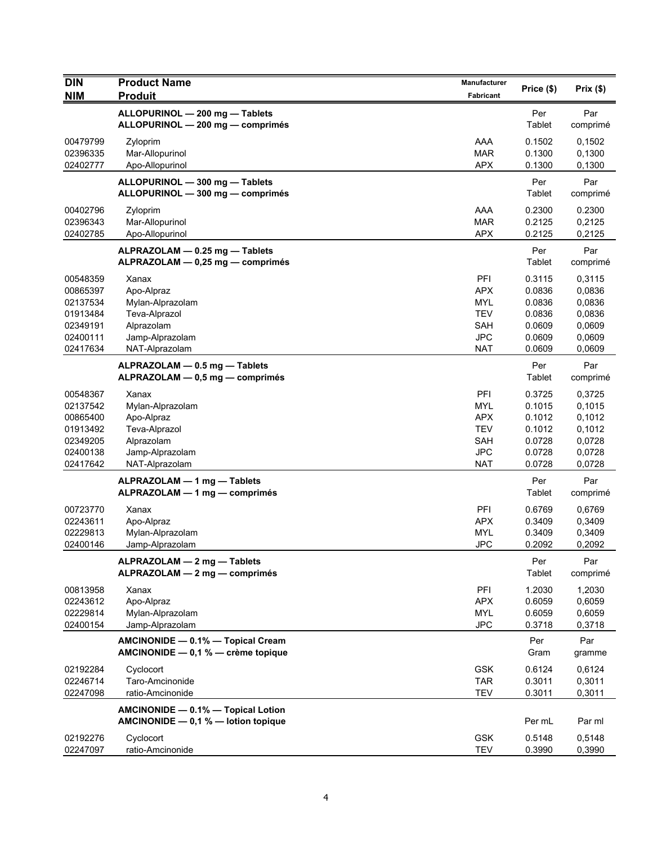| <b>DIN</b>           | <b>Product Name</b>                                                       | Manufacturer             | Price (\$)       | Prix(\$)                |
|----------------------|---------------------------------------------------------------------------|--------------------------|------------------|-------------------------|
| <b>NIM</b>           | <b>Produit</b>                                                            | <b>Fabricant</b>         |                  |                         |
|                      | ALLOPURINOL - 200 mg - Tablets<br>ALLOPURINOL - 200 mg - comprimés        |                          | Per<br>Tablet    | Par<br>comprimé         |
| 00479799<br>02396335 | Zyloprim<br>Mar-Allopurinol                                               | AAA<br><b>MAR</b>        | 0.1502<br>0.1300 | 0,1502<br>0,1300        |
| 02402777             | Apo-Allopurinol                                                           | <b>APX</b>               | 0.1300           | 0,1300                  |
|                      | ALLOPURINOL - 300 mg - Tablets<br>ALLOPURINOL - 300 mg - comprimés        |                          | Per<br>Tablet    | Par<br>comprimé         |
| 00402796             | Zyloprim                                                                  | AAA                      | 0.2300           | 0.2300                  |
| 02396343<br>02402785 | Mar-Allopurinol<br>Apo-Allopurinol                                        | <b>MAR</b><br><b>APX</b> | 0.2125<br>0.2125 | 0,2125<br>0,2125        |
|                      | ALPRAZOLAM - 0.25 mg - Tablets<br>ALPRAZOLAM - 0,25 mg - comprimés        |                          | Per<br>Tablet    | Par<br>comprimé         |
| 00548359             | Xanax                                                                     | PFI                      | 0.3115           | 0,3115                  |
| 00865397             | Apo-Alpraz                                                                | <b>APX</b>               | 0.0836           | 0,0836                  |
| 02137534<br>01913484 | Mylan-Alprazolam<br>Teva-Alprazol                                         | <b>MYL</b><br><b>TEV</b> | 0.0836<br>0.0836 | 0,0836<br>0,0836        |
| 02349191             | Alprazolam                                                                | SAH                      | 0.0609           | 0,0609                  |
| 02400111             | Jamp-Alprazolam                                                           | <b>JPC</b>               | 0.0609           | 0,0609                  |
| 02417634             | NAT-Alprazolam                                                            | <b>NAT</b>               | 0.0609           | 0,0609                  |
|                      | ALPRAZOLAM - 0.5 mg - Tablets<br>ALPRAZOLAM - 0,5 mg - comprimés          |                          | Per<br>Tablet    | Par<br>comprimé         |
| 00548367             | Xanax                                                                     | PFI                      | 0.3725           | 0,3725                  |
| 02137542             | Mylan-Alprazolam                                                          | <b>MYL</b>               | 0.1015           | 0,1015                  |
| 00865400<br>01913492 | Apo-Alpraz<br>Teva-Alprazol                                               | <b>APX</b><br><b>TEV</b> | 0.1012<br>0.1012 | 0,1012<br>0,1012        |
| 02349205             | Alprazolam                                                                | <b>SAH</b>               | 0.0728           | 0,0728                  |
| 02400138             | Jamp-Alprazolam                                                           | <b>JPC</b>               | 0.0728           | 0,0728                  |
| 02417642             | NAT-Alprazolam                                                            | <b>NAT</b>               | 0.0728           | 0,0728                  |
|                      | ALPRAZOLAM - 1 mg - Tablets<br>ALPRAZOLAM - 1 mg - comprimés              |                          | Per<br>Tablet    | Par<br>comprimé         |
| 00723770             | Xanax                                                                     | PFI                      | 0.6769           | 0,6769                  |
| 02243611             | Apo-Alpraz                                                                | <b>APX</b>               | 0.3409           | 0,3409                  |
| 02229813             | Mylan-Alprazolam                                                          | <b>MYL</b>               | 0.3409           | 0,3409                  |
| 02400146             | Jamp-Alprazolam                                                           | <b>JPC</b>               | 0.2092           | 0,2092                  |
|                      | ALPRAZOLAM - 2 mg - Tablets<br>ALPRAZOLAM - 2 mg - comprimés              |                          | Per<br>Tablet    | Par<br>comprimé         |
| 00813958             | Xanax                                                                     | PFI                      | 1.2030           | 1,2030                  |
| 02243612             | Apo-Alpraz                                                                | <b>APX</b>               | 0.6059           | 0,6059                  |
| 02229814<br>02400154 | Mylan-Alprazolam<br>Jamp-Alprazolam                                       | <b>MYL</b><br><b>JPC</b> | 0.6059<br>0.3718 | 0,6059                  |
|                      | AMCINONIDE - 0.1% - Topical Cream<br>AMCINONIDE - 0,1 % - crème topique   |                          | Per<br>Gram      | 0,3718<br>Par<br>gramme |
| 02192284             | Cyclocort                                                                 | <b>GSK</b>               | 0.6124           | 0,6124                  |
| 02246714             | Taro-Amcinonide                                                           | <b>TAR</b>               | 0.3011           | 0,3011                  |
| 02247098             | ratio-Amcinonide                                                          | <b>TEV</b>               | 0.3011           | 0,3011                  |
|                      | AMCINONIDE - 0.1% - Topical Lotion<br>AMCINONIDE - 0,1 % - lotion topique |                          | Per mL           | Par ml                  |
| 02192276             | Cyclocort                                                                 | <b>GSK</b>               | 0.5148           | 0,5148                  |
| 02247097             | ratio-Amcinonide                                                          | <b>TEV</b>               | 0.3990           | 0,3990                  |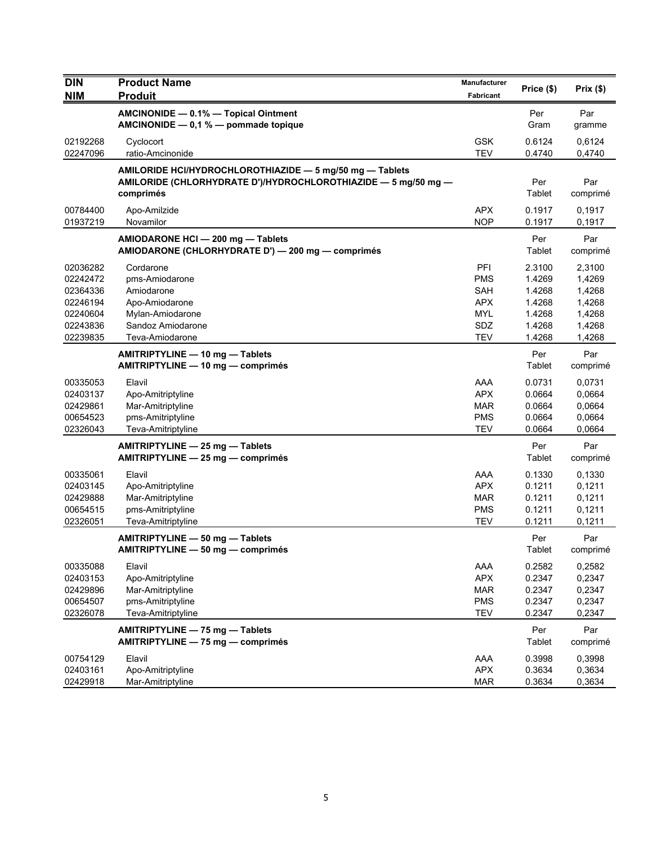| <b>DIN</b>           | <b>Product Name</b>                                                                    | <b>Manufacturer</b>      | Price (\$)           | Prix(\$)         |
|----------------------|----------------------------------------------------------------------------------------|--------------------------|----------------------|------------------|
| <b>NIM</b>           | <b>Produit</b>                                                                         | Fabricant                |                      |                  |
|                      | AMCINONIDE - 0.1% - Topical Ointment                                                   |                          | Per                  | Par              |
|                      | AMCINONIDE - 0,1 % - pommade topique                                                   |                          | Gram                 | gramme           |
| 02192268<br>02247096 | Cyclocort<br>ratio-Amcinonide                                                          | <b>GSK</b><br><b>TEV</b> | 0.6124<br>0.4740     | 0,6124<br>0,4740 |
|                      | AMILORIDE HCI/HYDROCHLOROTHIAZIDE - 5 mg/50 mg - Tablets                               |                          |                      |                  |
|                      | AMILORIDE (CHLORHYDRATE D')/HYDROCHLOROTHIAZIDE - 5 mg/50 mg -<br>comprimés            |                          | Per<br>Tablet        | Par<br>comprimé  |
| 00784400<br>01937219 | Apo-Amilzide<br>Novamilor                                                              | <b>APX</b><br><b>NOP</b> | 0.1917<br>0.1917     | 0,1917<br>0,1917 |
|                      | AMIODARONE HCI - 200 mg - Tablets<br>AMIODARONE (CHLORHYDRATE D') - 200 mg - comprimés |                          | Per<br>Tablet        | Par<br>comprimé  |
| 02036282             | Cordarone                                                                              | PFI                      | 2.3100               | 2,3100           |
| 02242472             | pms-Amiodarone                                                                         | <b>PMS</b>               | 1.4269               | 1,4269           |
| 02364336<br>02246194 | Amiodarone<br>Apo-Amiodarone                                                           | SAH<br><b>APX</b>        | 1.4268<br>1.4268     | 1,4268<br>1,4268 |
| 02240604             | Mylan-Amiodarone                                                                       | <b>MYL</b>               | 1.4268               | 1,4268           |
| 02243836             | Sandoz Amiodarone                                                                      | SDZ                      | 1.4268               | 1,4268           |
| 02239835             | Teva-Amiodarone                                                                        | <b>TEV</b>               | 1.4268               | 1,4268           |
|                      | AMITRIPTYLINE - 10 mg - Tablets<br>AMITRIPTYLINE - 10 mg - comprimés                   |                          | Per<br>Tablet        | Par<br>comprimé  |
| 00335053             | Elavil                                                                                 | AAA                      | 0.0731               | 0,0731           |
| 02403137             | Apo-Amitriptyline                                                                      | <b>APX</b>               | 0.0664               | 0,0664           |
| 02429861             | Mar-Amitriptyline                                                                      | <b>MAR</b>               | 0.0664               | 0,0664           |
| 00654523<br>02326043 | pms-Amitriptyline<br>Teva-Amitriptyline                                                | <b>PMS</b><br><b>TEV</b> | 0.0664<br>0.0664     | 0,0664<br>0,0664 |
|                      | AMITRIPTYLINE - 25 mg - Tablets                                                        |                          | Per                  | Par              |
|                      | AMITRIPTYLINE - 25 mg - comprimés                                                      |                          | Tablet               | comprimé         |
| 00335061             | Elavil                                                                                 | AAA                      | 0.1330               | 0,1330           |
| 02403145             | Apo-Amitriptyline                                                                      | <b>APX</b>               | 0.1211               | 0,1211           |
| 02429888             | Mar-Amitriptyline                                                                      | <b>MAR</b>               | 0.1211               | 0,1211           |
| 00654515<br>02326051 | pms-Amitriptyline<br>Teva-Amitriptyline                                                | <b>PMS</b><br><b>TEV</b> | 0.1211<br>0.1211     | 0,1211<br>0,1211 |
|                      | AMITRIPTYLINE - 50 mg - Tablets                                                        |                          | Per                  | Par              |
|                      | AMITRIPTYLINE - 50 mg - comprimés                                                      |                          | <b>Tablet</b>        | comprimé         |
| 00335088             | Elavil                                                                                 | AAA                      | 0.2582               | 0,2582           |
| 02403153             | Apo-Amitriptyline                                                                      | <b>APX</b>               | 0.2347               | 0,2347           |
| 02429896<br>00654507 | Mar-Amitriptyline<br>pms-Amitriptyline                                                 | <b>MAR</b><br><b>PMS</b> | 0.2347<br>0.2347     | 0,2347<br>0,2347 |
| 02326078             | Teva-Amitriptyline                                                                     | <b>TEV</b>               | 0.2347               | 0,2347           |
|                      | AMITRIPTYLINE - 75 mg - Tablets<br>AMITRIPTYLINE - 75 mg - comprimés                   |                          | Per<br><b>Tablet</b> | Par<br>comprimé  |
|                      |                                                                                        |                          |                      |                  |
| 00754129<br>02403161 | Elavil<br>Apo-Amitriptyline                                                            | AAA<br><b>APX</b>        | 0.3998<br>0.3634     | 0,3998<br>0,3634 |
| 02429918             | Mar-Amitriptyline                                                                      | <b>MAR</b>               | 0.3634               | 0,3634           |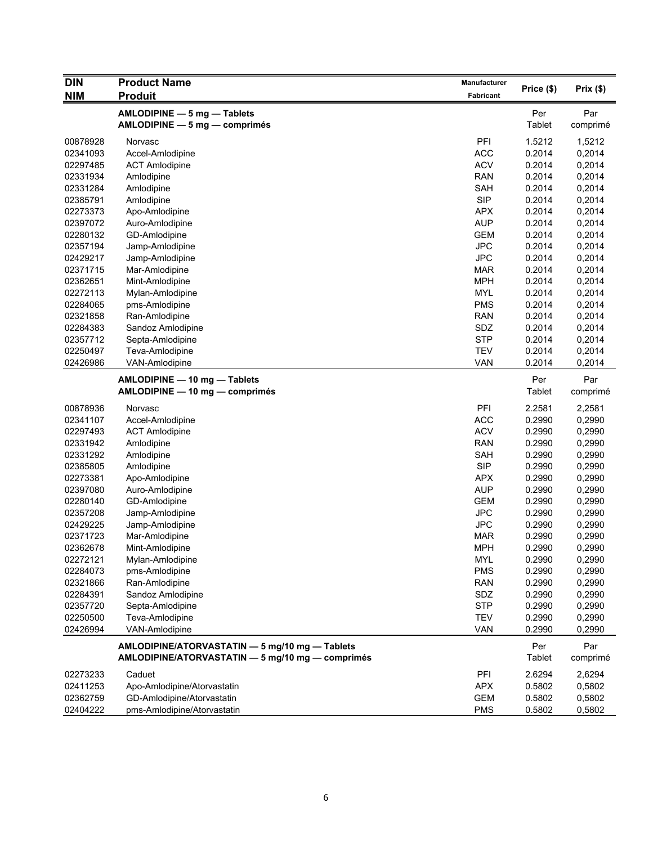| <b>DIN</b> | <b>Product Name</b>                                                                                | Manufacturer     |                      |                 |
|------------|----------------------------------------------------------------------------------------------------|------------------|----------------------|-----------------|
| <b>NIM</b> | <b>Produit</b>                                                                                     | <b>Fabricant</b> | Price (\$)           | Prix(\$)        |
|            | AMLODIPINE - 5 mg - Tablets                                                                        |                  | Per                  | Par             |
|            | AMLODIPINE - 5 mg - comprimés                                                                      |                  | Tablet               | comprimé        |
|            |                                                                                                    |                  |                      |                 |
| 00878928   | Norvasc                                                                                            | PFI              | 1.5212               | 1,5212          |
| 02341093   | Accel-Amlodipine                                                                                   | <b>ACC</b>       | 0.2014               | 0,2014          |
| 02297485   | <b>ACT Amlodipine</b>                                                                              | <b>ACV</b>       | 0.2014               | 0,2014          |
| 02331934   | Amlodipine                                                                                         | <b>RAN</b>       | 0.2014               | 0,2014          |
| 02331284   | Amlodipine                                                                                         | <b>SAH</b>       | 0.2014               | 0,2014          |
| 02385791   | Amlodipine                                                                                         | <b>SIP</b>       | 0.2014               | 0,2014          |
| 02273373   | Apo-Amlodipine                                                                                     | <b>APX</b>       | 0.2014               | 0,2014          |
| 02397072   | Auro-Amlodipine                                                                                    | <b>AUP</b>       | 0.2014               | 0,2014          |
| 02280132   | GD-Amlodipine                                                                                      | <b>GEM</b>       | 0.2014               | 0,2014          |
| 02357194   | Jamp-Amlodipine                                                                                    | <b>JPC</b>       | 0.2014               | 0,2014          |
| 02429217   | Jamp-Amlodipine                                                                                    | <b>JPC</b>       | 0.2014               | 0,2014          |
| 02371715   | Mar-Amlodipine                                                                                     | <b>MAR</b>       | 0.2014               | 0,2014          |
| 02362651   | Mint-Amlodipine                                                                                    | <b>MPH</b>       | 0.2014               | 0,2014          |
| 02272113   | Mylan-Amlodipine                                                                                   | <b>MYL</b>       | 0.2014               | 0,2014          |
| 02284065   | pms-Amlodipine                                                                                     | <b>PMS</b>       | 0.2014               | 0,2014          |
| 02321858   | Ran-Amlodipine                                                                                     | <b>RAN</b>       | 0.2014               | 0,2014          |
| 02284383   | Sandoz Amlodipine                                                                                  | SDZ              | 0.2014               | 0,2014          |
| 02357712   | Septa-Amlodipine                                                                                   | <b>STP</b>       | 0.2014               | 0,2014          |
| 02250497   | Teva-Amlodipine                                                                                    | <b>TEV</b>       | 0.2014               | 0,2014          |
| 02426986   | VAN-Amlodipine                                                                                     | <b>VAN</b>       | 0.2014               | 0,2014          |
|            | AMLODIPINE - 10 mg - Tablets                                                                       |                  | Per                  | Par             |
|            | AMLODIPINE - 10 mg - comprimés                                                                     |                  | Tablet               | comprimé        |
| 00878936   | Norvasc                                                                                            | PFI              | 2.2581               | 2,2581          |
| 02341107   | Accel-Amlodipine                                                                                   | <b>ACC</b>       | 0.2990               | 0,2990          |
| 02297493   | <b>ACT Amlodipine</b>                                                                              | <b>ACV</b>       | 0.2990               | 0,2990          |
| 02331942   | Amlodipine                                                                                         | <b>RAN</b>       | 0.2990               | 0,2990          |
| 02331292   | Amlodipine                                                                                         | SAH              | 0.2990               | 0,2990          |
| 02385805   | Amlodipine                                                                                         | <b>SIP</b>       | 0.2990               | 0,2990          |
| 02273381   | Apo-Amlodipine                                                                                     | <b>APX</b>       | 0.2990               | 0,2990          |
| 02397080   | Auro-Amlodipine                                                                                    | <b>AUP</b>       | 0.2990               | 0,2990          |
| 02280140   | GD-Amlodipine                                                                                      | <b>GEM</b>       | 0.2990               | 0,2990          |
| 02357208   | Jamp-Amlodipine                                                                                    | <b>JPC</b>       | 0.2990               | 0,2990          |
| 02429225   | Jamp-Amlodipine                                                                                    | <b>JPC</b>       | 0.2990               | 0,2990          |
| 02371723   | Mar-Amlodipine                                                                                     | <b>MAR</b>       | 0.2990               | 0,2990          |
| 02362678   | Mint-Amlodipine                                                                                    | <b>MPH</b>       | 0.2990               | 0,2990          |
| 02272121   | Mylan-Amlodipine                                                                                   | <b>MYL</b>       | 0.2990               | 0,2990          |
| 02284073   | pms-Amlodipine                                                                                     | <b>PMS</b>       | 0.2990               | 0,2990          |
| 02321866   | Ran-Amlodipine                                                                                     | <b>RAN</b>       | 0.2990               | 0,2990          |
| 02284391   | Sandoz Amlodipine                                                                                  | SDZ              | 0.2990               | 0,2990          |
| 02357720   | Septa-Amlodipine                                                                                   | <b>STP</b>       | 0.2990               | 0,2990          |
| 02250500   | Teva-Amlodipine                                                                                    | <b>TEV</b>       | 0.2990               | 0,2990          |
| 02426994   | VAN-Amlodipine                                                                                     | <b>VAN</b>       | 0.2990               | 0,2990          |
|            |                                                                                                    |                  |                      |                 |
|            | AMLODIPINE/ATORVASTATIN - 5 mg/10 mg - Tablets<br>AMLODIPINE/ATORVASTATIN - 5 mg/10 mg - comprimés |                  | Per<br><b>Tablet</b> | Par<br>comprimé |
|            |                                                                                                    |                  |                      |                 |
| 02273233   | Caduet                                                                                             | PFI              | 2.6294               | 2,6294          |
| 02411253   | Apo-Amlodipine/Atorvastatin                                                                        | <b>APX</b>       | 0.5802               | 0,5802          |
| 02362759   | GD-Amlodipine/Atorvastatin                                                                         | GEM              | 0.5802               | 0,5802          |
| 02404222   | pms-Amlodipine/Atorvastatin                                                                        | <b>PMS</b>       | 0.5802               | 0,5802          |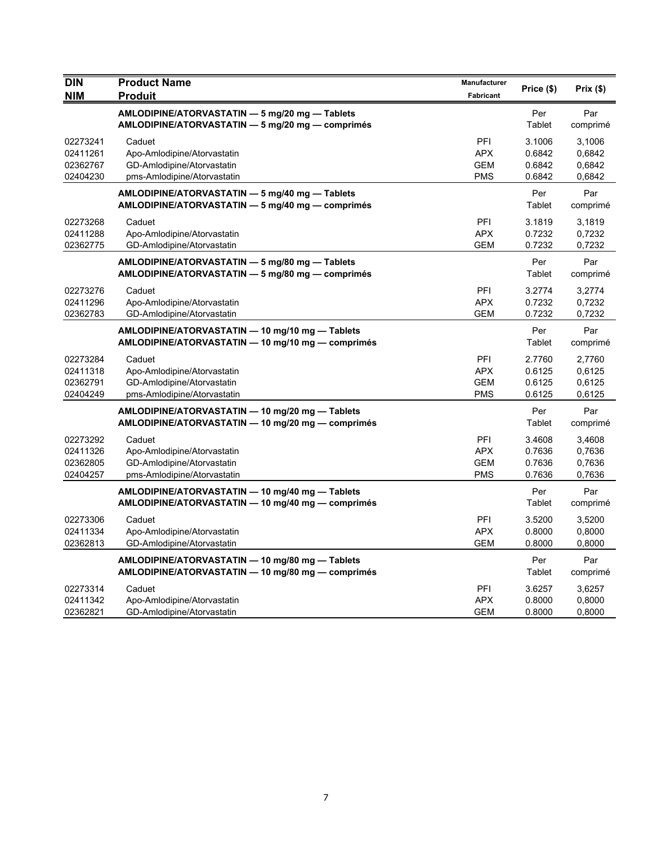| <b>DIN</b><br><b>NIM</b> | <b>Product Name</b><br><b>Produit</b>                                                                | Manufacturer<br>Fabricant | Price (\$)       | Prix(\$)           |
|--------------------------|------------------------------------------------------------------------------------------------------|---------------------------|------------------|--------------------|
|                          | AMLODIPINE/ATORVASTATIN - 5 mg/20 mg - Tablets                                                       |                           | Per              | Par                |
| 02273241                 | AMLODIPINE/ATORVASTATIN - 5 mg/20 mg - comprimés<br>Caduet                                           | PFI                       | Tablet<br>3.1006 | comprimé<br>3,1006 |
| 02411261                 | Apo-Amlodipine/Atorvastatin                                                                          | <b>APX</b>                | 0.6842           | 0,6842             |
| 02362767                 | GD-Amlodipine/Atorvastatin                                                                           | <b>GEM</b>                | 0.6842           | 0,6842             |
| 02404230                 | pms-Amlodipine/Atorvastatin                                                                          | <b>PMS</b>                | 0.6842           | 0,6842             |
|                          | AMLODIPINE/ATORVASTATIN - 5 mg/40 mg - Tablets<br>AMLODIPINE/ATORVASTATIN - 5 mg/40 mg - comprimés   |                           | Per<br>Tablet    | Par<br>comprimé    |
| 02273268                 | Caduet                                                                                               | PFI                       | 3.1819           | 3,1819             |
| 02411288                 | Apo-Amlodipine/Atorvastatin                                                                          | <b>APX</b>                | 0.7232           | 0,7232             |
| 02362775                 | GD-Amlodipine/Atorvastatin                                                                           | <b>GEM</b>                | 0.7232           | 0,7232             |
|                          | AMLODIPINE/ATORVASTATIN - 5 mg/80 mg - Tablets<br>AMLODIPINE/ATORVASTATIN - 5 mg/80 mg - comprimés   |                           | Per<br>Tablet    | Par<br>comprimé    |
| 02273276                 | Caduet                                                                                               | PFI                       | 3.2774           | 3,2774             |
| 02411296                 | Apo-Amlodipine/Atorvastatin                                                                          | <b>APX</b>                | 0.7232           | 0,7232             |
| 02362783                 | GD-Amlodipine/Atorvastatin                                                                           | GEM                       | 0.7232           | 0,7232             |
|                          | AMLODIPINE/ATORVASTATIN - 10 mg/10 mg - Tablets<br>AMLODIPINE/ATORVASTATIN - 10 mg/10 mg - comprimés |                           | Per<br>Tablet    | Par<br>comprimé    |
| 02273284                 | Caduet                                                                                               | PFI                       | 2.7760           | 2,7760             |
| 02411318                 | Apo-Amlodipine/Atorvastatin                                                                          | APX                       | 0.6125           | 0,6125             |
| 02362791                 | GD-Amlodipine/Atorvastatin                                                                           | <b>GEM</b>                | 0.6125           | 0,6125             |
| 02404249                 | pms-Amlodipine/Atorvastatin                                                                          | <b>PMS</b>                | 0.6125           | 0,6125             |
|                          | AMLODIPINE/ATORVASTATIN - 10 mg/20 mg - Tablets<br>AMLODIPINE/ATORVASTATIN - 10 mg/20 mg - comprimés |                           | Per<br>Tablet    | Par<br>comprimé    |
| 02273292                 | Caduet                                                                                               | PFI                       | 3.4608           | 3,4608             |
| 02411326                 | Apo-Amlodipine/Atorvastatin                                                                          | <b>APX</b>                | 0.7636           | 0,7636             |
| 02362805                 | GD-Amlodipine/Atorvastatin                                                                           | <b>GEM</b>                | 0.7636           | 0,7636             |
| 02404257                 | pms-Amlodipine/Atorvastatin                                                                          | <b>PMS</b>                | 0.7636           | 0,7636             |
|                          | AMLODIPINE/ATORVASTATIN - 10 mg/40 mg - Tablets<br>AMLODIPINE/ATORVASTATIN - 10 mg/40 mg - comprimés |                           | Per<br>Tablet    | Par<br>comprimé    |
| 02273306                 | Caduet                                                                                               | PFI                       | 3.5200           | 3,5200             |
| 02411334                 | Apo-Amlodipine/Atorvastatin                                                                          | <b>APX</b>                | 0.8000           | 0,8000             |
| 02362813                 | GD-Amlodipine/Atorvastatin                                                                           | GEM                       | 0.8000           | 0,8000             |
|                          | AMLODIPINE/ATORVASTATIN - 10 mg/80 mg - Tablets<br>AMLODIPINE/ATORVASTATIN - 10 mg/80 mg - comprimés |                           | Per<br>Tablet    | Par<br>comprimé    |
| 02273314                 | Caduet                                                                                               | PFI                       | 3.6257           | 3,6257             |
| 02411342                 | Apo-Amlodipine/Atorvastatin                                                                          | <b>APX</b>                | 0.8000           | 0,8000             |
| 02362821                 | GD-Amlodipine/Atorvastatin                                                                           | <b>GEM</b>                | 0.8000           | 0,8000             |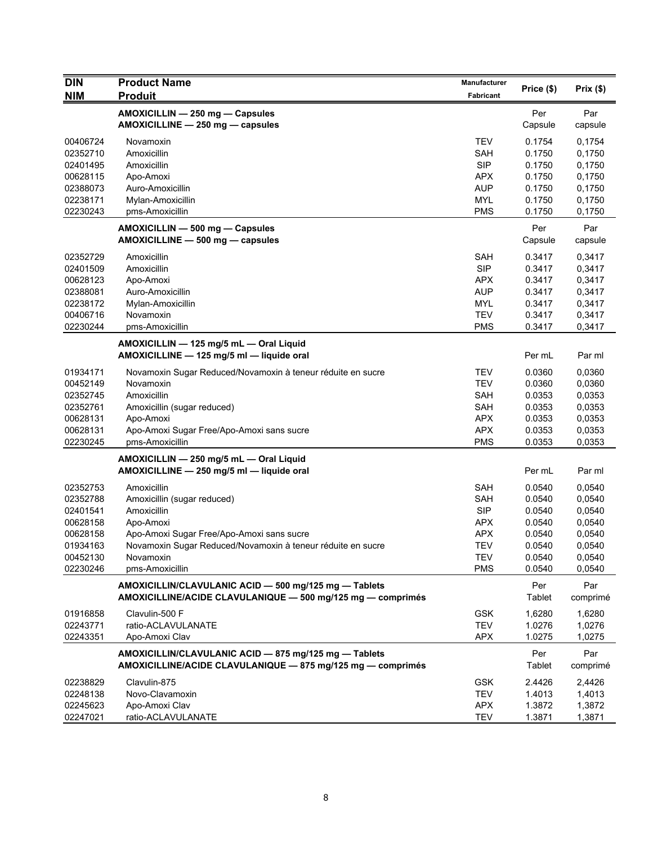| <b>DIN</b>                       | <b>Product Name</b>                                                                                                  | Manufacturer                           | Price (\$)                 | Prix(\$)                   |
|----------------------------------|----------------------------------------------------------------------------------------------------------------------|----------------------------------------|----------------------------|----------------------------|
| <b>NIM</b>                       | <b>Produit</b>                                                                                                       | Fabricant                              |                            |                            |
|                                  | AMOXICILLIN - 250 mg - Capsules<br>AMOXICILLINE - 250 mg - capsules                                                  |                                        | Per<br>Capsule             | Par<br>capsule             |
| 00406724<br>02352710<br>02401495 | Novamoxin<br>Amoxicillin<br>Amoxicillin                                                                              | <b>TEV</b><br><b>SAH</b><br><b>SIP</b> | 0.1754<br>0.1750<br>0.1750 | 0,1754<br>0,1750<br>0,1750 |
| 00628115                         | Apo-Amoxi                                                                                                            | <b>APX</b>                             | 0.1750                     | 0,1750                     |
| 02388073                         | Auro-Amoxicillin                                                                                                     | <b>AUP</b>                             | 0.1750                     | 0,1750                     |
| 02238171                         | Mylan-Amoxicillin                                                                                                    | <b>MYL</b>                             | 0.1750                     | 0,1750                     |
| 02230243                         | pms-Amoxicillin                                                                                                      | <b>PMS</b>                             | 0.1750                     | 0,1750                     |
|                                  | AMOXICILLIN - 500 mg - Capsules<br>AMOXICILLINE - 500 mg - capsules                                                  |                                        | Per<br>Capsule             | Par<br>capsule             |
| 02352729                         | Amoxicillin                                                                                                          | <b>SAH</b>                             | 0.3417                     | 0,3417                     |
| 02401509                         | Amoxicillin                                                                                                          | <b>SIP</b>                             | 0.3417                     | 0,3417                     |
| 00628123                         | Apo-Amoxi                                                                                                            | APX                                    | 0.3417                     | 0,3417                     |
| 02388081                         | Auro-Amoxicillin                                                                                                     | <b>AUP</b>                             | 0.3417                     | 0,3417                     |
| 02238172<br>00406716             | Mylan-Amoxicillin                                                                                                    | <b>MYL</b><br><b>TEV</b>               | 0.3417                     | 0,3417                     |
| 02230244                         | Novamoxin<br>pms-Amoxicillin                                                                                         | <b>PMS</b>                             | 0.3417<br>0.3417           | 0,3417<br>0,3417           |
|                                  | AMOXICILLIN - 125 mg/5 mL - Oral Liquid                                                                              |                                        |                            |                            |
|                                  | AMOXICILLINE - 125 mg/5 ml - liquide oral                                                                            |                                        | Per mL                     | Par ml                     |
| 01934171                         | Novamoxin Sugar Reduced/Novamoxin à teneur réduite en sucre                                                          | <b>TEV</b>                             | 0.0360                     | 0,0360                     |
| 00452149                         | Novamoxin                                                                                                            | <b>TEV</b>                             | 0.0360                     | 0,0360                     |
| 02352745                         | Amoxicillin                                                                                                          | <b>SAH</b>                             | 0.0353                     | 0,0353                     |
| 02352761<br>00628131             | Amoxicillin (sugar reduced)<br>Apo-Amoxi                                                                             | <b>SAH</b><br><b>APX</b>               | 0.0353<br>0.0353           | 0,0353<br>0,0353           |
| 00628131                         | Apo-Amoxi Sugar Free/Apo-Amoxi sans sucre                                                                            | <b>APX</b>                             | 0.0353                     | 0,0353                     |
| 02230245                         | pms-Amoxicillin                                                                                                      | <b>PMS</b>                             | 0.0353                     | 0,0353                     |
|                                  | AMOXICILLIN - 250 mg/5 mL - Oral Liquid<br>AMOXICILLINE - 250 mg/5 ml - liquide oral                                 |                                        | Per mL                     | Par ml                     |
|                                  |                                                                                                                      |                                        |                            |                            |
| 02352753<br>02352788             | Amoxicillin                                                                                                          | <b>SAH</b><br><b>SAH</b>               | 0.0540<br>0.0540           | 0,0540<br>0,0540           |
| 02401541                         | Amoxicillin (sugar reduced)<br>Amoxicillin                                                                           | <b>SIP</b>                             | 0.0540                     | 0,0540                     |
| 00628158                         | Apo-Amoxi                                                                                                            | <b>APX</b>                             | 0.0540                     | 0,0540                     |
| 00628158                         | Apo-Amoxi Sugar Free/Apo-Amoxi sans sucre                                                                            | <b>APX</b>                             | 0.0540                     | 0,0540                     |
| 01934163                         | Novamoxin Sugar Reduced/Novamoxin à teneur réduite en sucre                                                          | <b>TEV</b>                             | 0.0540                     | 0,0540                     |
| 00452130                         | Novamoxin                                                                                                            | <b>TEV</b>                             | 0.0540                     | 0,0540                     |
| 02230246                         | pms-Amoxicillin                                                                                                      | <b>PMS</b>                             | 0.0540                     | 0,0540                     |
|                                  | AMOXICILLIN/CLAVULANIC ACID - 500 mg/125 mg - Tablets<br>AMOXICILLINE/ACIDE CLAVULANIQUE - 500 mg/125 mg - comprimés |                                        | Per<br><b>Tablet</b>       | Par<br>comprimé            |
| 01916858                         | Clavulin-500 F                                                                                                       | <b>GSK</b>                             | 1,6280                     | 1,6280                     |
| 02243771                         | ratio-ACLAVULANATE                                                                                                   | <b>TEV</b>                             | 1.0276                     | 1,0276                     |
| 02243351                         | Apo-Amoxi Clav                                                                                                       | APX                                    | 1.0275                     | 1,0275                     |
|                                  | AMOXICILLIN/CLAVULANIC ACID - 875 mg/125 mg - Tablets<br>AMOXICILLINE/ACIDE CLAVULANIQUE - 875 mg/125 mg - comprimés |                                        | Per<br>Tablet              | Par<br>comprimé            |
| 02238829                         | Clavulin-875                                                                                                         | <b>GSK</b>                             | 2.4426                     | 2,4426                     |
| 02248138                         | Novo-Clavamoxin                                                                                                      | <b>TEV</b>                             | 1.4013                     | 1,4013                     |
| 02245623                         | Apo-Amoxi Clav                                                                                                       | <b>APX</b>                             | 1.3872                     | 1,3872                     |
| 02247021                         | ratio-ACLAVULANATE                                                                                                   | <b>TEV</b>                             | 1.3871                     | 1,3871                     |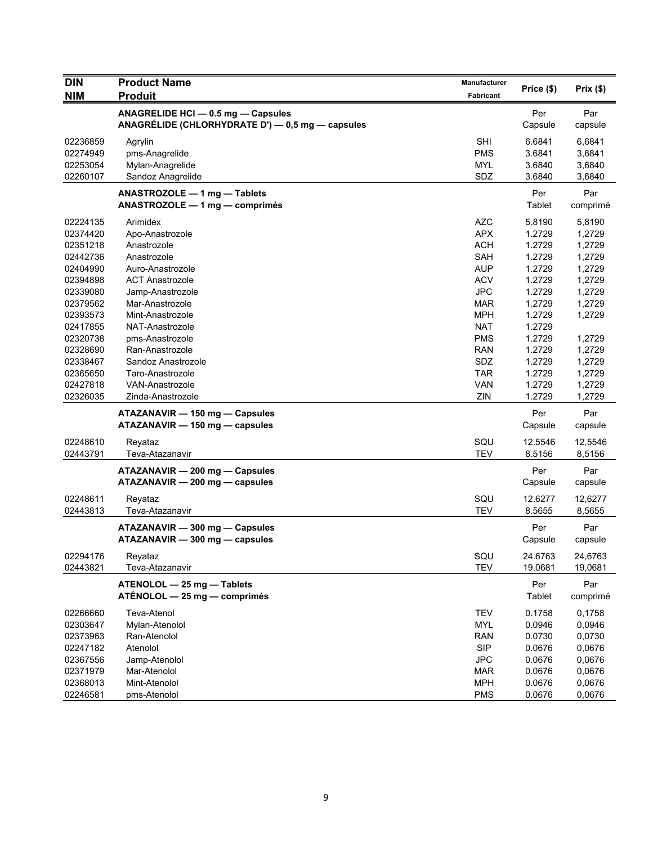| <b>DIN</b>                                                           | <b>Product Name</b>                                                                                   | Manufacturer                                                                     |                                                          |                                                          |
|----------------------------------------------------------------------|-------------------------------------------------------------------------------------------------------|----------------------------------------------------------------------------------|----------------------------------------------------------|----------------------------------------------------------|
| <b>NIM</b>                                                           | <b>Produit</b>                                                                                        | <b>Fabricant</b>                                                                 | Price (\$)                                               | Prix(\$)                                                 |
|                                                                      | ANAGRELIDE HCI - 0.5 mg - Capsules<br>ANAGRÉLIDE (CHLORHYDRATE D') — 0,5 mg — capsules                |                                                                                  | Per<br>Capsule                                           | Par<br>capsule                                           |
| 02236859<br>02274949<br>02253054<br>02260107                         | Agrylin<br>pms-Anagrelide<br>Mylan-Anagrelide<br>Sandoz Anagrelide                                    | <b>SHI</b><br><b>PMS</b><br><b>MYL</b><br>SDZ                                    | 6.6841<br>3.6841<br>3.6840<br>3.6840                     | 6,6841<br>3,6841<br>3,6840<br>3,6840                     |
|                                                                      | ANASTROZOLE - 1 mg - Tablets<br>$ANASTROZOLE - 1 mg - comprimés$                                      |                                                                                  | Per<br>Tablet                                            | Par<br>comprimé                                          |
| 02224135<br>02374420<br>02351218<br>02442736                         | Arimidex<br>Apo-Anastrozole<br>Anastrozole<br>Anastrozole                                             | <b>AZC</b><br><b>APX</b><br><b>ACH</b><br>SAH<br><b>AUP</b>                      | 5.8190<br>1.2729<br>1.2729<br>1.2729                     | 5,8190<br>1,2729<br>1,2729<br>1,2729                     |
| 02404990<br>02394898<br>02339080<br>02379562<br>02393573             | Auro-Anastrozole<br><b>ACT Anastrozole</b><br>Jamp-Anastrozole<br>Mar-Anastrozole<br>Mint-Anastrozole | <b>ACV</b><br><b>JPC</b><br><b>MAR</b><br><b>MPH</b>                             | 1.2729<br>1.2729<br>1.2729<br>1.2729<br>1.2729           | 1,2729<br>1,2729<br>1,2729<br>1,2729<br>1,2729           |
| 02417855<br>02320738<br>02328690<br>02338467<br>02365650             | NAT-Anastrozole<br>pms-Anastrozole<br>Ran-Anastrozole<br>Sandoz Anastrozole<br>Taro-Anastrozole       | <b>NAT</b><br><b>PMS</b><br><b>RAN</b><br>SDZ<br><b>TAR</b>                      | 1.2729<br>1.2729<br>1.2729<br>1.2729<br>1.2729           | 1,2729<br>1,2729<br>1,2729<br>1,2729                     |
| 02427818<br>02326035                                                 | <b>VAN-Anastrozole</b><br>Zinda-Anastrozole                                                           | <b>VAN</b><br>ZIN                                                                | 1.2729<br>1.2729                                         | 1,2729<br>1,2729                                         |
|                                                                      | ATAZANAVIR - 150 mg - Capsules<br>ATAZANAVIR - 150 mg - capsules                                      |                                                                                  | Per<br>Capsule                                           | Par<br>capsule                                           |
| 02248610<br>02443791                                                 | Reyataz<br>Teva-Atazanavir                                                                            | SQU<br><b>TEV</b>                                                                | 12.5546<br>8.5156                                        | 12,5546<br>8,5156                                        |
|                                                                      | ATAZANAVIR - 200 mg - Capsules<br>ATAZANAVIR - 200 mg - capsules                                      |                                                                                  | Per<br>Capsule                                           | Par<br>capsule                                           |
| 02248611<br>02443813                                                 | Reyataz<br>Teva-Atazanavir                                                                            | SQU<br><b>TEV</b>                                                                | 12.6277<br>8.5655                                        | 12,6277<br>8,5655                                        |
|                                                                      | ATAZANAVIR - 300 mg - Capsules<br>ATAZANAVIR - 300 mg - capsules                                      |                                                                                  | Per<br>Capsule                                           | Par<br>capsule                                           |
| 02294176<br>02443821                                                 | Reyataz<br>Teva-Atazanavir                                                                            | SQU<br><b>TEV</b>                                                                | 24.6763<br>19.0681                                       | 24,6763<br>19,0681                                       |
|                                                                      | ATENOLOL - 25 mg - Tablets<br>ATÉNOLOL - 25 mg - comprimés                                            |                                                                                  | Per<br>Tablet                                            | Par<br>comprimé                                          |
| 02266660<br>02303647<br>02373963<br>02247182<br>02367556<br>02371979 | Teva-Atenol<br>Mylan-Atenolol<br>Ran-Atenolol<br>Atenolol<br>Jamp-Atenolol<br>Mar-Atenolol            | <b>TEV</b><br><b>MYL</b><br><b>RAN</b><br><b>SIP</b><br><b>JPC</b><br><b>MAR</b> | 0.1758<br>0.0946<br>0.0730<br>0.0676<br>0.0676<br>0.0676 | 0,1758<br>0,0946<br>0,0730<br>0,0676<br>0,0676<br>0,0676 |
| 02368013<br>02246581                                                 | Mint-Atenolol<br>pms-Atenolol                                                                         | <b>MPH</b><br><b>PMS</b>                                                         | 0.0676<br>0.0676                                         | 0,0676<br>0,0676                                         |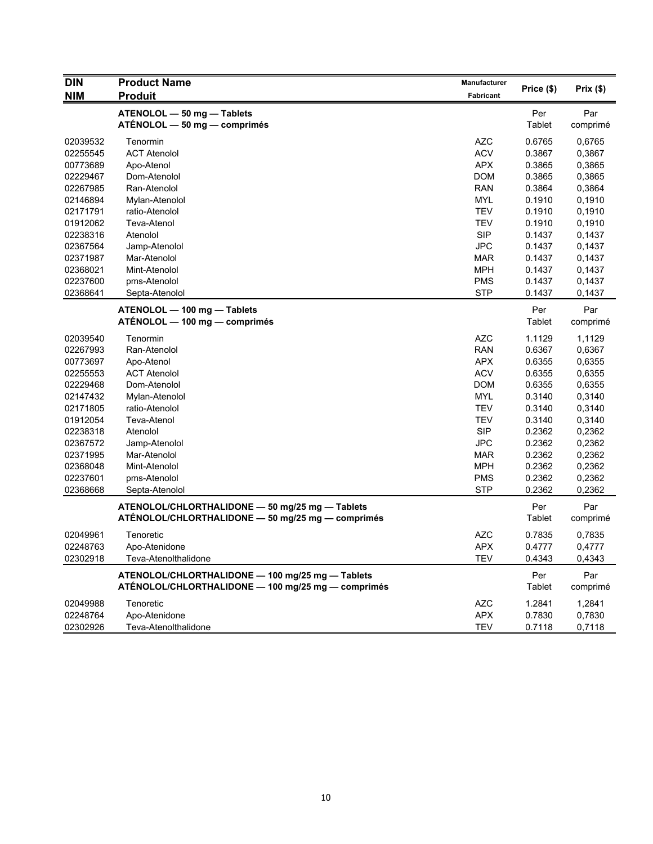| <b>DIN</b> | <b>Product Name</b>                                                                                  | Manufacturer     | Price (\$) | Prix(\$) |
|------------|------------------------------------------------------------------------------------------------------|------------------|------------|----------|
| <b>NIM</b> | Produit                                                                                              | <b>Fabricant</b> |            |          |
|            | ATENOLOL - 50 mg - Tablets                                                                           |                  | Per        | Par      |
|            | ATÉNOLOL — 50 mg — comprimés                                                                         |                  | Tablet     | comprimé |
| 02039532   | Tenormin                                                                                             | AZC              | 0.6765     | 0,6765   |
| 02255545   | <b>ACT Atenolol</b>                                                                                  | <b>ACV</b>       | 0.3867     | 0,3867   |
| 00773689   | Apo-Atenol                                                                                           | <b>APX</b>       | 0.3865     | 0,3865   |
| 02229467   | Dom-Atenolol                                                                                         | <b>DOM</b>       | 0.3865     | 0,3865   |
| 02267985   | Ran-Atenolol                                                                                         | <b>RAN</b>       | 0.3864     | 0,3864   |
| 02146894   | Mylan-Atenolol                                                                                       | <b>MYL</b>       | 0.1910     | 0,1910   |
| 02171791   | ratio-Atenolol                                                                                       | <b>TEV</b>       | 0.1910     | 0,1910   |
| 01912062   | Teva-Atenol                                                                                          | TEV              | 0.1910     | 0.1910   |
| 02238316   | Atenolol                                                                                             | <b>SIP</b>       | 0.1437     | 0,1437   |
| 02367564   | Jamp-Atenolol                                                                                        | <b>JPC</b>       | 0.1437     | 0,1437   |
| 02371987   | Mar-Atenolol                                                                                         | <b>MAR</b>       | 0.1437     | 0,1437   |
| 02368021   | Mint-Atenolol                                                                                        | <b>MPH</b>       | 0.1437     | 0,1437   |
| 02237600   | pms-Atenolol                                                                                         | <b>PMS</b>       | 0.1437     | 0,1437   |
| 02368641   | Septa-Atenolol                                                                                       | <b>STP</b>       | 0.1437     | 0,1437   |
|            |                                                                                                      |                  |            |          |
|            | ATENOLOL - 100 mg - Tablets                                                                          |                  | Per        | Par      |
|            | ATÉNOLOL — 100 mg — comprimés                                                                        |                  | Tablet     | comprimé |
| 02039540   | Tenormin                                                                                             | AZC              | 1.1129     | 1,1129   |
| 02267993   | Ran-Atenolol                                                                                         | <b>RAN</b>       | 0.6367     | 0,6367   |
| 00773697   | Apo-Atenol                                                                                           | <b>APX</b>       | 0.6355     | 0.6355   |
| 02255553   | <b>ACT Atenolol</b>                                                                                  | <b>ACV</b>       | 0.6355     | 0,6355   |
| 02229468   | Dom-Atenolol                                                                                         | <b>DOM</b>       | 0.6355     | 0,6355   |
| 02147432   | Mylan-Atenolol                                                                                       | <b>MYL</b>       | 0.3140     | 0,3140   |
| 02171805   | ratio-Atenolol                                                                                       | <b>TEV</b>       | 0.3140     | 0,3140   |
| 01912054   | Teva-Atenol                                                                                          | TEV              | 0.3140     | 0,3140   |
| 02238318   | Atenolol                                                                                             | <b>SIP</b>       | 0.2362     | 0,2362   |
| 02367572   | Jamp-Atenolol                                                                                        | <b>JPC</b>       | 0.2362     | 0,2362   |
| 02371995   | Mar-Atenolol                                                                                         | <b>MAR</b>       | 0.2362     | 0,2362   |
| 02368048   | Mint-Atenolol                                                                                        | <b>MPH</b>       | 0.2362     | 0,2362   |
| 02237601   | pms-Atenolol                                                                                         | <b>PMS</b>       | 0.2362     | 0,2362   |
| 02368668   | Septa-Atenolol                                                                                       | <b>STP</b>       | 0.2362     | 0,2362   |
|            |                                                                                                      |                  | Per        | Par      |
|            | ATENOLOL/CHLORTHALIDONE - 50 mg/25 mg - Tablets<br>ATÉNOLOL/CHLORTHALIDONE — 50 mg/25 mg — comprimés |                  | Tablet     |          |
|            |                                                                                                      |                  |            | comprimé |
| 02049961   | Tenoretic                                                                                            | AZC              | 0.7835     | 0,7835   |
| 02248763   | Apo-Atenidone                                                                                        | <b>APX</b>       | 0.4777     | 0,4777   |
| 02302918   | Teva-Atenolthalidone                                                                                 | <b>TEV</b>       | 0.4343     | 0,4343   |
|            | ATENOLOL/CHLORTHALIDONE - 100 mg/25 mg - Tablets                                                     |                  | Per        | Par      |
|            | ATÉNOLOL/CHLORTHALIDONE — 100 mg/25 mg — comprimés                                                   |                  | Tablet     | comprimé |
|            |                                                                                                      |                  |            |          |
| 02049988   | Tenoretic                                                                                            | <b>AZC</b>       | 1.2841     | 1,2841   |
| 02248764   | Apo-Atenidone                                                                                        | <b>APX</b>       | 0.7830     | 0,7830   |
| 02302926   | Teva-Atenolthalidone                                                                                 | <b>TEV</b>       | 0.7118     | 0,7118   |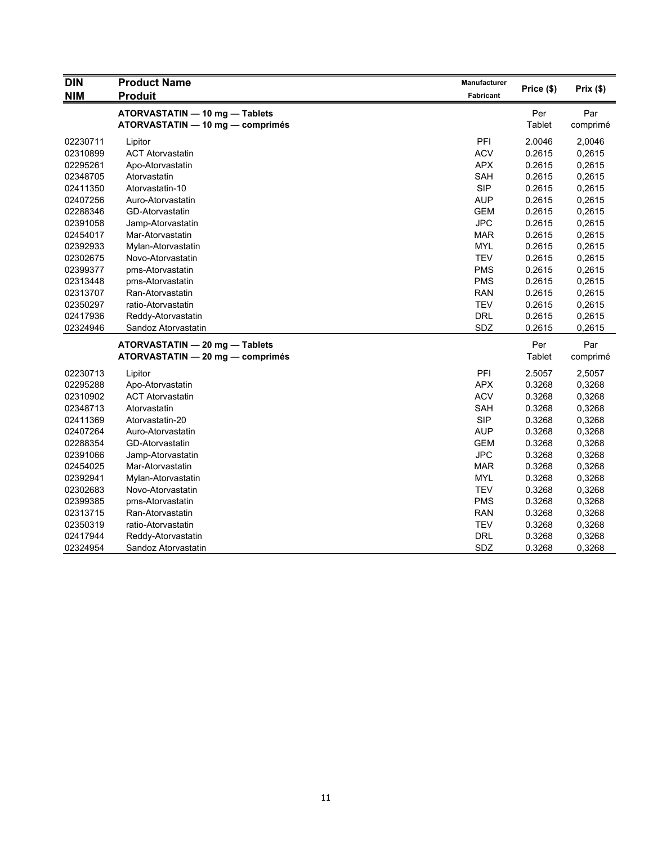| <b>DIN</b> | <b>Product Name</b>              | Manufacturer |            |          |
|------------|----------------------------------|--------------|------------|----------|
| <b>NIM</b> | <b>Produit</b>                   | Fabricant    | Price (\$) | Prix(\$) |
|            | ATORVASTATIN - 10 mg - Tablets   |              | Per        | Par      |
|            | ATORVASTATIN - 10 mg - comprimés |              | Tablet     | comprimé |
| 02230711   | Lipitor                          | PFI          | 2.0046     | 2,0046   |
| 02310899   | <b>ACT Atorvastatin</b>          | <b>ACV</b>   | 0.2615     | 0,2615   |
| 02295261   | Apo-Atorvastatin                 | <b>APX</b>   | 0.2615     | 0,2615   |
| 02348705   | Atorvastatin                     | <b>SAH</b>   | 0.2615     | 0,2615   |
| 02411350   | Atorvastatin-10                  | <b>SIP</b>   | 0.2615     | 0,2615   |
| 02407256   | Auro-Atorvastatin                | <b>AUP</b>   | 0.2615     | 0,2615   |
| 02288346   | GD-Atorvastatin                  | <b>GEM</b>   | 0.2615     | 0,2615   |
| 02391058   | Jamp-Atorvastatin                | <b>JPC</b>   | 0.2615     | 0,2615   |
| 02454017   | Mar-Atorvastatin                 | <b>MAR</b>   | 0.2615     | 0,2615   |
| 02392933   | Mylan-Atorvastatin               | <b>MYL</b>   | 0.2615     | 0,2615   |
| 02302675   | Novo-Atorvastatin                | <b>TEV</b>   | 0.2615     | 0,2615   |
| 02399377   | pms-Atorvastatin                 | <b>PMS</b>   | 0.2615     | 0,2615   |
| 02313448   | pms-Atorvastatin                 | <b>PMS</b>   | 0.2615     | 0,2615   |
| 02313707   | Ran-Atorvastatin                 | <b>RAN</b>   | 0.2615     | 0,2615   |
| 02350297   | ratio-Atorvastatin               | <b>TEV</b>   | 0.2615     | 0,2615   |
| 02417936   | Reddy-Atorvastatin               | <b>DRL</b>   | 0.2615     | 0,2615   |
| 02324946   | Sandoz Atorvastatin              | SDZ          | 0.2615     | 0,2615   |
|            | ATORVASTATIN - 20 mg - Tablets   |              | Per        | Par      |
|            | ATORVASTATIN - 20 mg - comprimés |              | Tablet     | comprimé |
| 02230713   | Lipitor                          | PFI          | 2.5057     | 2,5057   |
| 02295288   | Apo-Atorvastatin                 | <b>APX</b>   | 0.3268     | 0,3268   |
| 02310902   | <b>ACT Atorvastatin</b>          | <b>ACV</b>   | 0.3268     | 0,3268   |
| 02348713   | Atorvastatin                     | SAH          | 0.3268     | 0,3268   |
| 02411369   | Atorvastatin-20                  | <b>SIP</b>   | 0.3268     | 0,3268   |
| 02407264   | Auro-Atorvastatin                | <b>AUP</b>   | 0.3268     | 0,3268   |
| 02288354   | GD-Atorvastatin                  | <b>GEM</b>   | 0.3268     | 0,3268   |
| 02391066   | Jamp-Atorvastatin                | <b>JPC</b>   | 0.3268     | 0,3268   |
| 02454025   | Mar-Atorvastatin                 | <b>MAR</b>   | 0.3268     | 0,3268   |
| 02392941   | Mylan-Atorvastatin               | <b>MYL</b>   | 0.3268     | 0,3268   |
| 02302683   | Novo-Atorvastatin                | <b>TEV</b>   | 0.3268     | 0,3268   |
| 02399385   | pms-Atorvastatin                 | <b>PMS</b>   | 0.3268     | 0,3268   |
| 02313715   | Ran-Atorvastatin                 | <b>RAN</b>   | 0.3268     | 0,3268   |
| 02350319   | ratio-Atorvastatin               | <b>TEV</b>   | 0.3268     | 0,3268   |
| 02417944   | Reddy-Atorvastatin               | DRL          | 0.3268     | 0,3268   |
| 02324954   | Sandoz Atorvastatin              | SDZ          | 0.3268     | 0,3268   |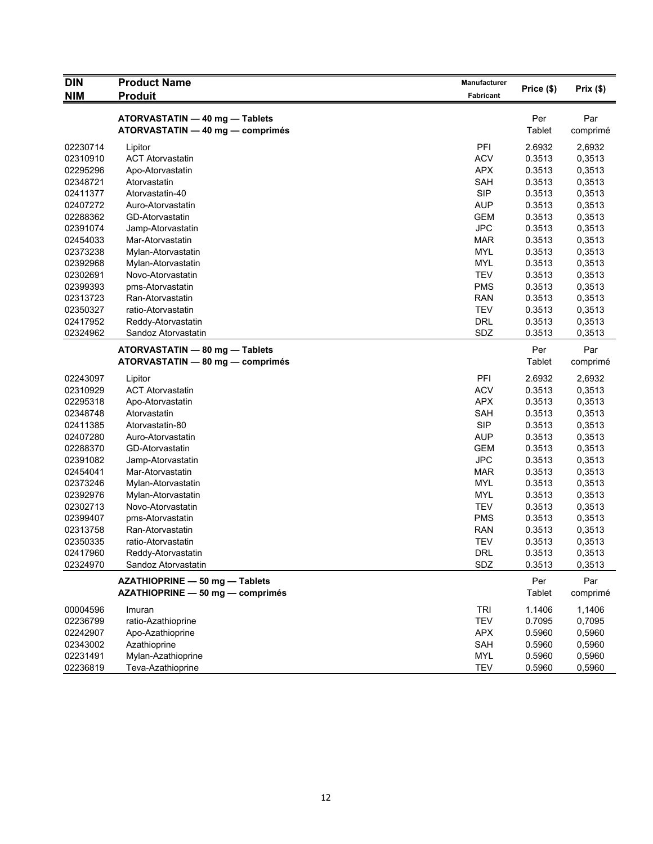| <b>DIN</b> | <b>Product Name</b>              | Manufacturer | Price (\$)    | Prix(\$) |
|------------|----------------------------------|--------------|---------------|----------|
| <b>NIM</b> | <b>Produit</b>                   | Fabricant    |               |          |
|            | ATORVASTATIN - 40 mg - Tablets   |              | Per           | Par      |
|            | ATORVASTATIN - 40 mg - comprimés |              | Tablet        | comprimé |
| 02230714   | Lipitor                          | PFI          | 2.6932        | 2,6932   |
| 02310910   | <b>ACT Atorvastatin</b>          | <b>ACV</b>   | 0.3513        | 0,3513   |
| 02295296   | Apo-Atorvastatin                 | <b>APX</b>   | 0.3513        | 0,3513   |
| 02348721   | Atorvastatin                     | SAH          | 0.3513        | 0,3513   |
| 02411377   | Atorvastatin-40                  | <b>SIP</b>   | 0.3513        | 0,3513   |
| 02407272   | Auro-Atorvastatin                | <b>AUP</b>   | 0.3513        | 0,3513   |
| 02288362   | GD-Atorvastatin                  | <b>GEM</b>   | 0.3513        | 0,3513   |
| 02391074   | Jamp-Atorvastatin                | <b>JPC</b>   | 0.3513        | 0,3513   |
| 02454033   | Mar-Atorvastatin                 | <b>MAR</b>   | 0.3513        | 0,3513   |
| 02373238   | Mylan-Atorvastatin               | <b>MYL</b>   | 0.3513        | 0,3513   |
| 02392968   | Mylan-Atorvastatin               | <b>MYL</b>   | 0.3513        | 0,3513   |
| 02302691   | Novo-Atorvastatin                | <b>TEV</b>   | 0.3513        | 0,3513   |
| 02399393   | pms-Atorvastatin                 | <b>PMS</b>   | 0.3513        | 0,3513   |
| 02313723   | Ran-Atorvastatin                 | <b>RAN</b>   | 0.3513        | 0,3513   |
| 02350327   | ratio-Atorvastatin               | <b>TEV</b>   | 0.3513        | 0,3513   |
| 02417952   | Reddy-Atorvastatin               | <b>DRL</b>   | 0.3513        | 0,3513   |
| 02324962   | Sandoz Atorvastatin              | SDZ          | 0.3513        | 0,3513   |
|            | ATORVASTATIN - 80 mg - Tablets   |              | Per           | Par      |
|            | ATORVASTATIN - 80 mg - comprimés |              | <b>Tablet</b> | comprimé |
| 02243097   | Lipitor                          | PFI          | 2.6932        | 2,6932   |
| 02310929   | <b>ACT Atorvastatin</b>          | <b>ACV</b>   | 0.3513        | 0,3513   |
| 02295318   | Apo-Atorvastatin                 | <b>APX</b>   | 0.3513        | 0,3513   |
| 02348748   | Atorvastatin                     | SAH          | 0.3513        | 0,3513   |
| 02411385   | Atorvastatin-80                  | <b>SIP</b>   | 0.3513        | 0,3513   |
| 02407280   | Auro-Atorvastatin                | <b>AUP</b>   | 0.3513        | 0,3513   |
| 02288370   | GD-Atorvastatin                  | <b>GEM</b>   | 0.3513        | 0,3513   |
| 02391082   | Jamp-Atorvastatin                | <b>JPC</b>   | 0.3513        | 0,3513   |
| 02454041   | Mar-Atorvastatin                 | <b>MAR</b>   | 0.3513        | 0,3513   |
| 02373246   | Mylan-Atorvastatin               | <b>MYL</b>   | 0.3513        | 0,3513   |
| 02392976   | Mylan-Atorvastatin               | <b>MYL</b>   | 0.3513        | 0,3513   |
| 02302713   | Novo-Atorvastatin                | <b>TEV</b>   | 0.3513        | 0,3513   |
| 02399407   | pms-Atorvastatin                 | <b>PMS</b>   | 0.3513        | 0,3513   |
| 02313758   | Ran-Atorvastatin                 | <b>RAN</b>   | 0.3513        | 0,3513   |
| 02350335   | ratio-Atorvastatin               | <b>TEV</b>   | 0.3513        | 0,3513   |
| 02417960   | Reddy-Atorvastatin               | <b>DRL</b>   | 0.3513        | 0,3513   |
| 02324970   | Sandoz Atorvastatin              | SDZ          | 0.3513        | 0,3513   |
|            | AZATHIOPRINE - 50 mg - Tablets   |              | Per           | Par      |
|            | AZATHIOPRINE - 50 mg - comprimés |              | Tablet        | comprimé |
| 00004596   | Imuran                           | <b>TRI</b>   | 1.1406        | 1,1406   |
| 02236799   | ratio-Azathioprine               | <b>TEV</b>   | 0.7095        | 0,7095   |
| 02242907   | Apo-Azathioprine                 | <b>APX</b>   | 0.5960        | 0,5960   |
| 02343002   | Azathioprine                     | SAH          | 0.5960        | 0,5960   |
| 02231491   | Mylan-Azathioprine               | MYL          | 0.5960        | 0,5960   |
| 02236819   | Teva-Azathioprine                | <b>TEV</b>   | 0.5960        | 0,5960   |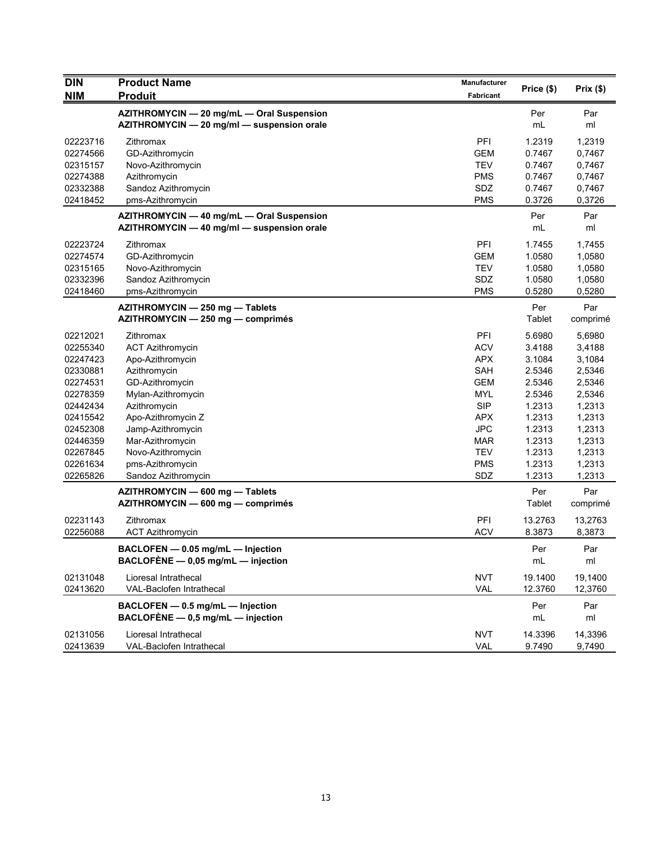| <b>DIN</b><br><b>NIM</b> | <b>Product Name</b><br><b>Produit</b>                                                   | Manufacturer<br><b>Fabricant</b> | Price (\$) | Prix(\$)  |
|--------------------------|-----------------------------------------------------------------------------------------|----------------------------------|------------|-----------|
|                          |                                                                                         |                                  |            |           |
|                          | AZITHROMYCIN - 20 mg/mL - Oral Suspension<br>AZITHROMYCIN - 20 mg/ml - suspension orale |                                  | Per<br>mL  | Par<br>ml |
| 02223716                 | Zithromax                                                                               | PFI                              | 1.2319     | 1,2319    |
| 02274566                 | GD-Azithromycin                                                                         | <b>GEM</b>                       | 0.7467     | 0,7467    |
| 02315157                 | Novo-Azithromycin                                                                       | <b>TEV</b>                       | 0.7467     | 0,7467    |
| 02274388                 | Azithromycin                                                                            | <b>PMS</b>                       | 0.7467     | 0,7467    |
| 02332388                 | Sandoz Azithromycin                                                                     | SDZ                              | 0.7467     | 0,7467    |
| 02418452                 | pms-Azithromycin                                                                        | <b>PMS</b>                       | 0.3726     | 0,3726    |
|                          | AZITHROMYCIN - 40 mg/mL - Oral Suspension                                               |                                  | Per        | Par       |
|                          | AZITHROMYCIN - 40 mg/ml - suspension orale                                              |                                  | mL         | ml        |
| 02223724                 | Zithromax                                                                               | PFI                              | 1.7455     | 1,7455    |
| 02274574                 | GD-Azithromycin                                                                         | <b>GEM</b>                       | 1.0580     | 1,0580    |
| 02315165                 | Novo-Azithromycin                                                                       | <b>TEV</b>                       | 1.0580     | 1,0580    |
| 02332396                 | Sandoz Azithromycin                                                                     | SDZ                              | 1.0580     | 1,0580    |
| 02418460                 | pms-Azithromycin                                                                        | <b>PMS</b>                       | 0.5280     | 0,5280    |
|                          | AZITHROMYCIN - 250 mg - Tablets                                                         |                                  | Per        | Par       |
|                          | AZITHROMYCIN - 250 mg - comprimés                                                       |                                  | Tablet     | comprimé  |
| 02212021                 | Zithromax                                                                               | PFI                              | 5.6980     | 5,6980    |
| 02255340                 | <b>ACT Azithromycin</b>                                                                 | <b>ACV</b>                       | 3.4188     | 3,4188    |
| 02247423                 | Apo-Azithromycin                                                                        | <b>APX</b>                       | 3.1084     | 3,1084    |
| 02330881                 | Azithromycin                                                                            | <b>SAH</b>                       | 2.5346     | 2,5346    |
| 02274531                 | GD-Azithromycin                                                                         | <b>GEM</b>                       | 2.5346     | 2,5346    |
| 02278359                 | Mylan-Azithromycin                                                                      | <b>MYL</b>                       | 2.5346     | 2,5346    |
| 02442434                 | Azithromycin                                                                            | <b>SIP</b>                       | 1.2313     | 1,2313    |
| 02415542                 | Apo-Azithromycin Z                                                                      | <b>APX</b>                       | 1.2313     | 1,2313    |
| 02452308                 | Jamp-Azithromycin                                                                       | JPC                              | 1.2313     | 1,2313    |
| 02446359                 | Mar-Azithromycin                                                                        | <b>MAR</b>                       | 1.2313     | 1,2313    |
| 02267845                 | Novo-Azithromycin                                                                       | <b>TEV</b>                       | 1.2313     | 1,2313    |
| 02261634                 | pms-Azithromycin                                                                        | <b>PMS</b>                       | 1.2313     | 1,2313    |
| 02265826                 | Sandoz Azithromycin                                                                     | SDZ                              | 1.2313     | 1,2313    |
|                          | AZITHROMYCIN - 600 mg - Tablets                                                         |                                  | Per        | Par       |
|                          | AZITHROMYCIN - 600 mg - comprimés                                                       |                                  | Tablet     | comprimé  |
| 02231143                 | Zithromax                                                                               | PFI                              | 13.2763    | 13,2763   |
| 02256088                 | <b>ACT Azithromycin</b>                                                                 | <b>ACV</b>                       | 8.3873     | 8,3873    |
|                          | BACLOFEN - 0.05 mg/mL - Injection                                                       |                                  | Per        | Par       |
|                          | BACLOFÈNE $-$ 0,05 mg/mL $-$ injection                                                  |                                  | mL         | ml        |
| 02131048                 | Lioresal Intrathecal                                                                    | <b>NVT</b>                       | 19.1400    | 19,1400   |
| 02413620                 | VAL-Baclofen Intrathecal                                                                | VAL                              | 12.3760    | 12,3760   |
|                          | BACLOFEN - 0.5 mg/mL - Injection                                                        |                                  | Per        | Par       |
|                          | BACLOFÈNE $-$ 0,5 mg/mL $-$ injection                                                   |                                  | mL         | ml        |
| 02131056                 | Lioresal Intrathecal                                                                    | <b>NVT</b>                       | 14.3396    | 14,3396   |
| 02413639                 | VAL-Baclofen Intrathecal                                                                | VAL                              | 9.7490     | 9,7490    |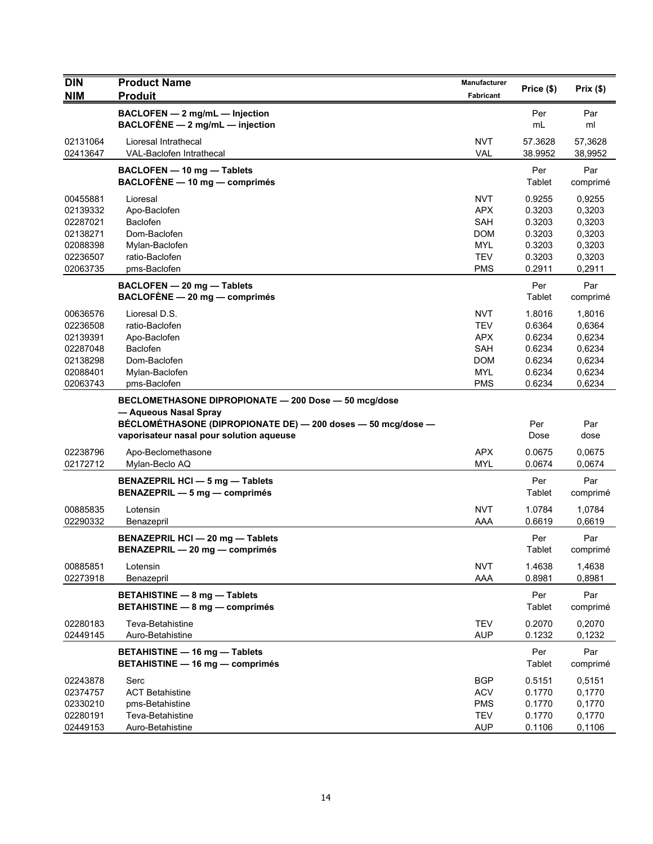| <b>DIN</b><br><b>NIM</b>                                                         | <b>Product Name</b><br><b>Produit</b>                                                                                                                                                     | <b>Manufacturer</b><br>Fabricant                                                        | Price (\$)                                                         | Prix(\$)                                                           |
|----------------------------------------------------------------------------------|-------------------------------------------------------------------------------------------------------------------------------------------------------------------------------------------|-----------------------------------------------------------------------------------------|--------------------------------------------------------------------|--------------------------------------------------------------------|
|                                                                                  | BACLOFEN - 2 mg/mL - Injection<br>BACLOFÈNE $-2$ mg/mL $-$ injection                                                                                                                      |                                                                                         | Per<br>mL                                                          | Par<br>ml                                                          |
| 02131064<br>02413647                                                             | Lioresal Intrathecal<br>VAL-Baclofen Intrathecal                                                                                                                                          | <b>NVT</b><br><b>VAL</b>                                                                | 57.3628<br>38.9952                                                 | 57,3628<br>38,9952                                                 |
|                                                                                  | BACLOFEN - 10 mg - Tablets<br>$BACLOFÈNE - 10 mg - comprimés$                                                                                                                             |                                                                                         | Per<br>Tablet                                                      | Par<br>comprimé                                                    |
| 00455881<br>02139332<br>02287021<br>02138271<br>02088398<br>02236507<br>02063735 | Lioresal<br>Apo-Baclofen<br>Baclofen<br>Dom-Baclofen<br>Mylan-Baclofen<br>ratio-Baclofen<br>pms-Baclofen                                                                                  | <b>NVT</b><br><b>APX</b><br>SAH<br><b>DOM</b><br><b>MYL</b><br><b>TEV</b><br><b>PMS</b> | 0.9255<br>0.3203<br>0.3203<br>0.3203<br>0.3203<br>0.3203<br>0.2911 | 0,9255<br>0,3203<br>0,3203<br>0,3203<br>0,3203<br>0,3203<br>0,2911 |
|                                                                                  | BACLOFEN - 20 mg - Tablets<br>$BACLOFÈNE - 20 mg - comprimés$                                                                                                                             |                                                                                         | Per<br>Tablet                                                      | Par<br>comprimé                                                    |
| 00636576<br>02236508<br>02139391<br>02287048<br>02138298<br>02088401<br>02063743 | Lioresal D.S.<br>ratio-Baclofen<br>Apo-Baclofen<br><b>Baclofen</b><br>Dom-Baclofen<br>Mylan-Baclofen<br>pms-Baclofen                                                                      | <b>NVT</b><br><b>TEV</b><br><b>APX</b><br>SAH<br><b>DOM</b><br><b>MYL</b><br><b>PMS</b> | 1.8016<br>0.6364<br>0.6234<br>0.6234<br>0.6234<br>0.6234<br>0.6234 | 1,8016<br>0,6364<br>0,6234<br>0,6234<br>0,6234<br>0,6234<br>0,6234 |
|                                                                                  | BECLOMETHASONE DIPROPIONATE - 200 Dose - 50 mcg/dose<br>- Aqueous Nasal Spray<br>BÉCLOMÉTHASONE (DIPROPIONATE DE) - 200 doses - 50 mcg/dose -<br>vaporisateur nasal pour solution aqueuse |                                                                                         | Per<br>Dose                                                        | Par<br>dose                                                        |
| 02238796<br>02172712                                                             | Apo-Beclomethasone<br>Mylan-Beclo AQ                                                                                                                                                      | <b>APX</b><br><b>MYL</b>                                                                | 0.0675<br>0.0674                                                   | 0,0675<br>0,0674                                                   |
|                                                                                  | <b>BENAZEPRIL HCI - 5 mg - Tablets</b><br>BENAZEPRIL - 5 mg - comprimés                                                                                                                   |                                                                                         | Per<br>Tablet                                                      | Par<br>comprimé                                                    |
| 00885835<br>02290332                                                             | Lotensin<br>Benazepril                                                                                                                                                                    | <b>NVT</b><br>AAA                                                                       | 1.0784<br>0.6619                                                   | 1,0784<br>0,6619                                                   |
|                                                                                  | BENAZEPRIL HCI - 20 mg - Tablets<br>BENAZEPRIL - 20 mg - comprimés                                                                                                                        |                                                                                         | Per<br>Tablet                                                      | Par<br>comprimé                                                    |
| 00885851<br>02273918                                                             | Lotensin<br>Benazepril                                                                                                                                                                    | <b>NVT</b><br>AAA                                                                       | 1.4638<br>0.8981                                                   | 1,4638<br>0,8981                                                   |
|                                                                                  | <b>BETAHISTINE - 8 mg - Tablets</b><br>BETAHISTINE - 8 mg - comprimés                                                                                                                     |                                                                                         | Per<br>Tablet                                                      | Par<br>comprimé                                                    |
| 02280183<br>02449145                                                             | Teva-Betahistine<br>Auro-Betahistine                                                                                                                                                      | <b>TEV</b><br><b>AUP</b>                                                                | 0.2070<br>0.1232                                                   | 0,2070<br>0,1232                                                   |
|                                                                                  | <b>BETAHISTINE - 16 mg - Tablets</b><br><b>BETAHISTINE - 16 mg - comprimés</b>                                                                                                            |                                                                                         | Per<br>Tablet                                                      | Par<br>comprimé                                                    |
| 02243878<br>02374757<br>02330210<br>02280191<br>02449153                         | Serc<br><b>ACT Betahistine</b><br>pms-Betahistine<br>Teva-Betahistine<br>Auro-Betahistine                                                                                                 | <b>BGP</b><br><b>ACV</b><br><b>PMS</b><br><b>TEV</b><br><b>AUP</b>                      | 0.5151<br>0.1770<br>0.1770<br>0.1770<br>0.1106                     | 0,5151<br>0,1770<br>0,1770<br>0,1770<br>0,1106                     |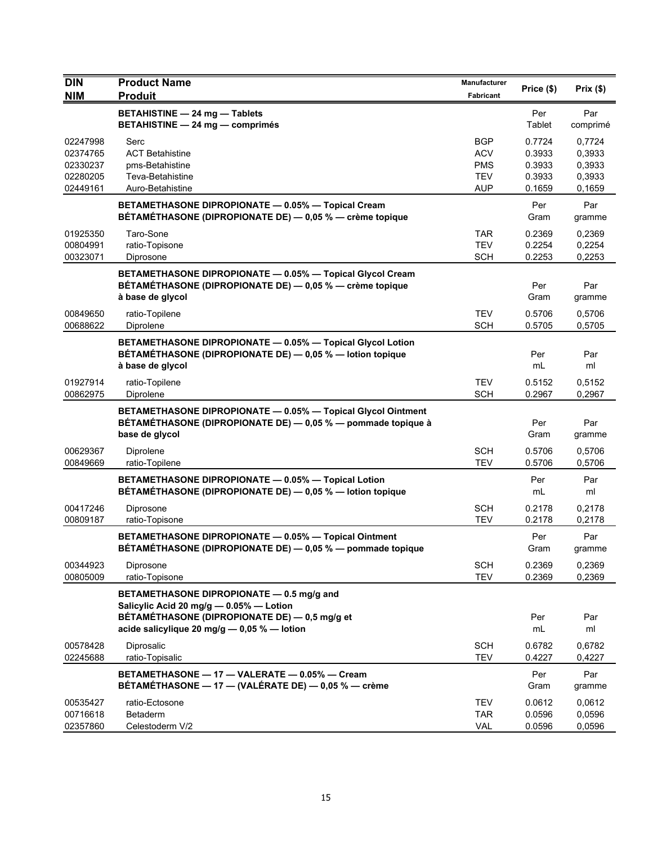| <b>DIN</b>                                               | <b>Product Name</b>                                                                                                                                                                  | <b>Manufacturer</b>                                         | Price (\$)                                     | Prix(\$)                                       |
|----------------------------------------------------------|--------------------------------------------------------------------------------------------------------------------------------------------------------------------------------------|-------------------------------------------------------------|------------------------------------------------|------------------------------------------------|
| <b>NIM</b>                                               | <b>Produit</b>                                                                                                                                                                       | Fabricant                                                   |                                                |                                                |
|                                                          | <b>BETAHISTINE - 24 mg - Tablets</b><br><b>BETAHISTINE - 24 mg - comprimés</b>                                                                                                       |                                                             | Per<br>Tablet                                  | Par<br>comprimé                                |
| 02247998<br>02374765<br>02330237<br>02280205<br>02449161 | Serc<br><b>ACT Betahistine</b><br>pms-Betahistine<br>Teva-Betahistine<br>Auro-Betahistine                                                                                            | <b>BGP</b><br><b>ACV</b><br><b>PMS</b><br><b>TEV</b><br>AUP | 0.7724<br>0.3933<br>0.3933<br>0.3933<br>0.1659 | 0,7724<br>0,3933<br>0,3933<br>0,3933<br>0,1659 |
|                                                          | BETAMETHASONE DIPROPIONATE - 0.05% - Topical Cream<br>BÉTAMÉTHASONE (DIPROPIONATE DE) — 0,05 % — crème topique                                                                       |                                                             | Per<br>Gram                                    | Par<br>gramme                                  |
| 01925350<br>00804991<br>00323071                         | Taro-Sone<br>ratio-Topisone<br>Diprosone                                                                                                                                             | <b>TAR</b><br><b>TEV</b><br><b>SCH</b>                      | 0.2369<br>0.2254<br>0.2253                     | 0,2369<br>0,2254<br>0,2253                     |
|                                                          | BETAMETHASONE DIPROPIONATE - 0.05% - Topical Glycol Cream<br>BÉTAMÉTHASONE (DIPROPIONATE DE) — 0,05 % — crème topique<br>à base de glycol                                            |                                                             | Per<br>Gram                                    | Par<br>gramme                                  |
| 00849650<br>00688622                                     | ratio-Topilene<br>Diprolene                                                                                                                                                          | TEV<br><b>SCH</b>                                           | 0.5706<br>0.5705                               | 0,5706<br>0,5705                               |
|                                                          | BETAMETHASONE DIPROPIONATE - 0.05% - Topical Glycol Lotion<br>BÉTAMÉTHASONE (DIPROPIONATE DE) - 0,05 % - lotion topique<br>à base de glycol                                          |                                                             | Per<br>mL                                      | Par<br>ml                                      |
| 01927914<br>00862975                                     | ratio-Topilene<br>Diprolene                                                                                                                                                          | <b>TEV</b><br><b>SCH</b>                                    | 0.5152<br>0.2967                               | 0,5152<br>0,2967                               |
|                                                          | BETAMETHASONE DIPROPIONATE - 0.05% - Topical Glycol Ointment<br>BÉTAMÉTHASONE (DIPROPIONATE DE) — 0,05 % — pommade topique à<br>base de glycol                                       |                                                             | Per<br>Gram                                    | Par<br>gramme                                  |
| 00629367<br>00849669                                     | Diprolene<br>ratio-Topilene                                                                                                                                                          | <b>SCH</b><br><b>TEV</b>                                    | 0.5706<br>0.5706                               | 0,5706<br>0,5706                               |
|                                                          | BETAMETHASONE DIPROPIONATE - 0.05% - Topical Lotion<br>BÉTAMÉTHASONE (DIPROPIONATE DE) - 0,05 % - lotion topique                                                                     |                                                             | Per<br>mL                                      | Par<br>ml                                      |
| 00417246<br>00809187                                     | Diprosone<br>ratio-Topisone                                                                                                                                                          | <b>SCH</b><br><b>TEV</b>                                    | 0.2178<br>0.2178                               | 0,2178<br>0,2178                               |
|                                                          | BETAMETHASONE DIPROPIONATE - 0.05% - Topical Ointment<br>BÉTAMÉTHASONE (DIPROPIONATE DE) - 0,05 % - pommade topique                                                                  |                                                             | Per<br>Gram                                    | Par<br>gramme                                  |
| 00344923<br>00805009                                     | Diprosone<br>ratio-Topisone                                                                                                                                                          | <b>SCH</b><br><b>TEV</b>                                    | 0.2369<br>0.2369                               | 0,2369<br>0,2369                               |
|                                                          | BETAMETHASONE DIPROPIONATE - 0.5 mg/g and<br>Salicylic Acid 20 mg/g - 0.05% - Lotion<br>BÉTAMÉTHASONE (DIPROPIONATE DE) - 0,5 mg/g et<br>acide salicylique 20 mg/g - 0,05 % - lotion |                                                             | Per                                            | Par                                            |
| 00578428<br>02245688                                     | Diprosalic<br>ratio-Topisalic                                                                                                                                                        | <b>SCH</b><br><b>TEV</b>                                    | mL<br>0.6782<br>0.4227                         | ml<br>0,6782<br>0,4227                         |
|                                                          | BETAMETHASONE - 17 - VALERATE - 0.05% - Cream<br>BÉTAMÉTHASONE - 17 - (VALÉRATE DE) - 0,05 % - crème                                                                                 |                                                             | Per<br>Gram                                    | Par<br>gramme                                  |
| 00535427<br>00716618<br>02357860                         | ratio-Ectosone<br>Betaderm<br>Celestoderm V/2                                                                                                                                        | <b>TEV</b><br><b>TAR</b><br><b>VAL</b>                      | 0.0612<br>0.0596<br>0.0596                     | 0,0612<br>0,0596<br>0,0596                     |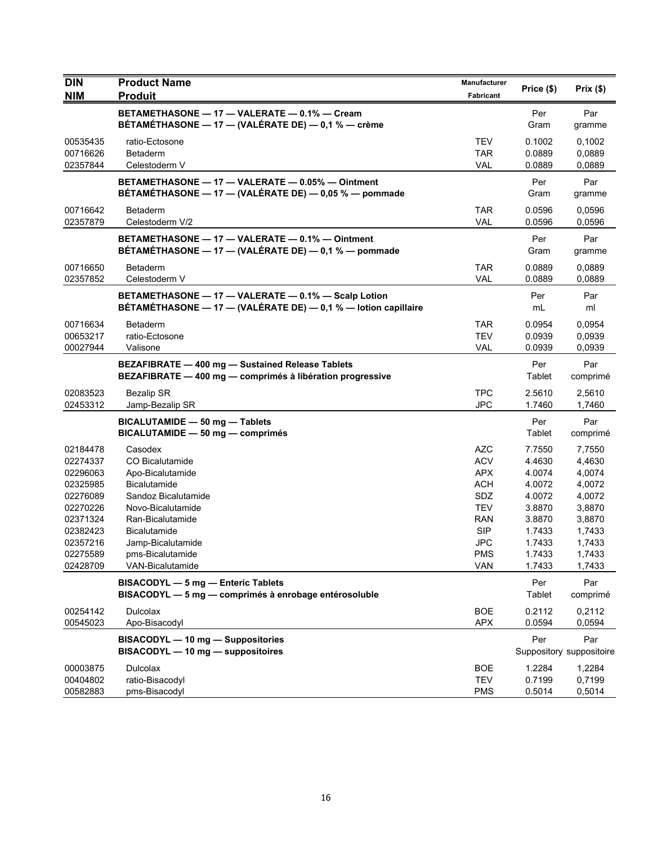| <b>DIN</b>           | <b>Product Name</b>                                                                                     | <b>Manufacturer</b>      | Price (\$)       | Prix $(\$)$              |
|----------------------|---------------------------------------------------------------------------------------------------------|--------------------------|------------------|--------------------------|
| <b>NIM</b>           | <b>Produit</b>                                                                                          | Fabricant                |                  |                          |
|                      | BETAMETHASONE - 17 - VALERATE - 0.1% - Cream                                                            |                          | Per              | Par                      |
|                      | BÉTAMÉTHASONE - 17 - (VALÉRATE DE) - 0,1 % - crème                                                      |                          | Gram             | gramme                   |
| 00535435             | ratio-Ectosone                                                                                          | TEV                      | 0.1002           | 0,1002                   |
| 00716626             | Betaderm                                                                                                | TAR                      | 0.0889           | 0,0889                   |
| 02357844             | Celestoderm V                                                                                           | <b>VAL</b>               | 0.0889           | 0,0889                   |
|                      | BETAMETHASONE - 17 - VALERATE - 0.05% - Ointment                                                        |                          | Per              | Par                      |
|                      | BÉTAMÉTHASONE - 17 - (VALÉRATE DE) - 0,05 % - pommade                                                   |                          | Gram             | gramme                   |
| 00716642             | <b>Betaderm</b>                                                                                         | TAR                      | 0.0596           | 0.0596                   |
| 02357879             | Celestoderm V/2                                                                                         | <b>VAL</b>               | 0.0596           | 0.0596                   |
|                      | BETAMETHASONE - 17 - VALERATE - 0.1% - Ointment<br>BÉTAMÉTHASONE - 17 - (VALÉRATE DE) - 0,1 % - pommade |                          | Per<br>Gram      | Par<br>gramme            |
| 00716650             | <b>Betaderm</b>                                                                                         | <b>TAR</b>               | 0.0889           | 0,0889                   |
| 02357852             | Celestoderm V                                                                                           | <b>VAL</b>               | 0.0889           | 0,0889                   |
|                      | BETAMETHASONE - 17 - VALERATE - 0.1% - Scalp Lotion                                                     |                          | Per              | Par                      |
|                      | BÉTAMÉTHASONE - 17 - (VALÉRATE DE) - 0,1 % - lotion capillaire                                          |                          | mL               | ml                       |
| 00716634             | <b>Betaderm</b>                                                                                         | TAR                      | 0.0954           | 0,0954                   |
| 00653217             | ratio-Ectosone                                                                                          | <b>TEV</b>               | 0.0939           | 0,0939                   |
| 00027944             | Valisone                                                                                                | <b>VAL</b>               | 0.0939           | 0,0939                   |
|                      | BEZAFIBRATE - 400 mg - Sustained Release Tablets                                                        |                          | Per              | Par                      |
|                      | BEZAFIBRATE - 400 mg - comprimés à libération progressive                                               |                          | Tablet           | comprimé                 |
| 02083523             | <b>Bezalip SR</b>                                                                                       | <b>TPC</b>               | 2.5610           | 2,5610                   |
| 02453312             | Jamp-Bezalip SR                                                                                         | <b>JPC</b>               | 1.7460           | 1,7460                   |
|                      | BICALUTAMIDE - 50 mg - Tablets                                                                          |                          | Per              | Par                      |
|                      | BICALUTAMIDE - 50 mg - comprimés                                                                        |                          | Tablet           | comprimé                 |
| 02184478             | Casodex                                                                                                 | <b>AZC</b>               | 7.7550           | 7,7550                   |
| 02274337             | CO Bicalutamide                                                                                         | <b>ACV</b>               | 4.4630           | 4,4630                   |
| 02296063             | Apo-Bicalutamide                                                                                        | <b>APX</b>               | 4.0074           | 4,0074                   |
| 02325985             | <b>Bicalutamide</b>                                                                                     | <b>ACH</b>               | 4.0072           | 4,0072                   |
| 02276089             | Sandoz Bicalutamide                                                                                     | SDZ                      | 4.0072           | 4,0072                   |
| 02270226             | Novo-Bicalutamide                                                                                       | <b>TEV</b>               | 3.8870           | 3,8870                   |
| 02371324             | Ran-Bicalutamide                                                                                        | RAN                      | 3.8870           | 3,8870                   |
| 02382423             | <b>Bicalutamide</b>                                                                                     | <b>SIP</b>               | 1.7433           | 1,7433                   |
| 02357216             | Jamp-Bicalutamide                                                                                       | JPC                      | 1.7433           | 1,7433                   |
| 02275589<br>02428709 | pms-Bicalutamide<br><b>VAN-Bicalutamide</b>                                                             | <b>PMS</b><br>VAN        | 1.7433<br>1.7433 | 1,7433<br>1,7433         |
|                      |                                                                                                         |                          |                  |                          |
|                      | BISACODYL - 5 mg - Enteric Tablets<br>BISACODYL - 5 mg - comprimés à enrobage entérosoluble             |                          | Per<br>Tablet    | Par                      |
|                      |                                                                                                         |                          |                  | comprimé                 |
| 00254142             | <b>Dulcolax</b>                                                                                         | <b>BOE</b>               | 0.2112           | 0,2112                   |
| 00545023             | Apo-Bisacodyl                                                                                           | <b>APX</b>               | 0.0594           | 0,0594                   |
|                      | BISACODYL - 10 mg - Suppositories                                                                       |                          | Per              | Par                      |
|                      | BISACODYL - 10 mg - suppositoires                                                                       |                          |                  | Suppository suppositoire |
| 00003875             | <b>Dulcolax</b>                                                                                         | <b>BOE</b>               | 1.2284           | 1,2284                   |
| 00404802<br>00582883 | ratio-Bisacodyl<br>pms-Bisacodyl                                                                        | <b>TEV</b><br><b>PMS</b> | 0.7199<br>0.5014 | 0,7199<br>0,5014         |
|                      |                                                                                                         |                          |                  |                          |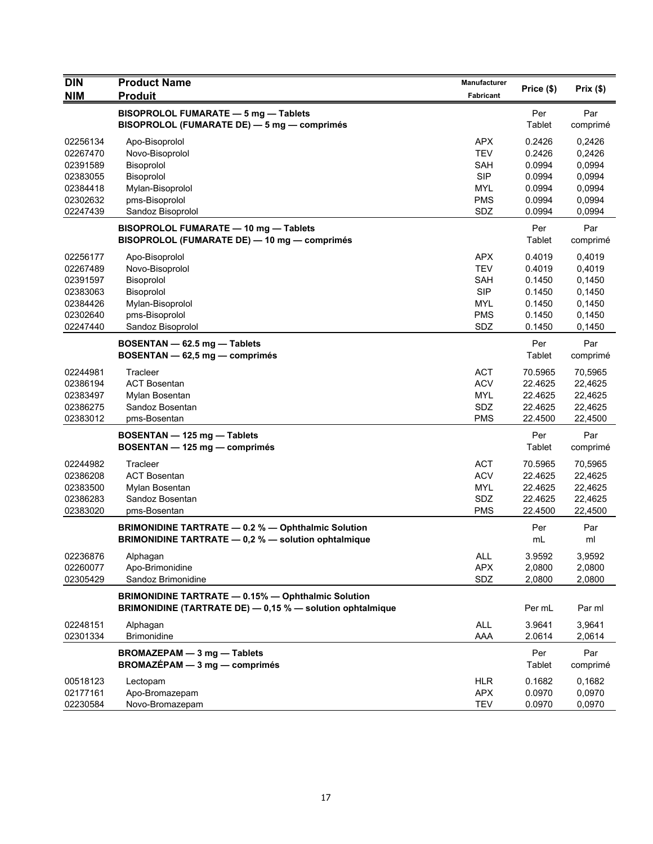| <b>DIN</b> | <b>Product Name</b>                                                                                                    | <b>Manufacturer</b> |                      | Prix(\$)        |
|------------|------------------------------------------------------------------------------------------------------------------------|---------------------|----------------------|-----------------|
| <b>NIM</b> | <b>Produit</b>                                                                                                         | Fabricant           | Price (\$)           |                 |
|            | BISOPROLOL FUMARATE - 5 mg - Tablets<br>BISOPROLOL (FUMARATE DE) - 5 mg - comprimés                                    |                     | Per<br>Tablet        | Par<br>comprimé |
| 02256134   | Apo-Bisoprolol                                                                                                         | <b>APX</b>          | 0.2426               | 0,2426          |
| 02267470   | Novo-Bisoprolol                                                                                                        | <b>TEV</b>          | 0.2426               | 0,2426          |
| 02391589   | Bisoprolol                                                                                                             | <b>SAH</b>          | 0.0994               | 0,0994          |
| 02383055   | Bisoprolol                                                                                                             | <b>SIP</b>          | 0.0994               | 0,0994          |
| 02384418   | Mylan-Bisoprolol                                                                                                       | MYL                 | 0.0994               | 0,0994          |
| 02302632   | pms-Bisoprolol                                                                                                         | <b>PMS</b>          | 0.0994               | 0,0994          |
| 02247439   | Sandoz Bisoprolol                                                                                                      | SDZ                 | 0.0994               | 0,0994          |
|            | BISOPROLOL FUMARATE - 10 mg - Tablets<br>BISOPROLOL (FUMARATE DE) - 10 mg - comprimés                                  |                     | Per<br>Tablet        | Par<br>comprimé |
| 02256177   | Apo-Bisoprolol                                                                                                         | <b>APX</b>          | 0.4019               | 0,4019          |
| 02267489   | Novo-Bisoprolol                                                                                                        | <b>TEV</b>          | 0.4019               | 0,4019          |
| 02391597   | Bisoprolol                                                                                                             | <b>SAH</b>          | 0.1450               | 0,1450          |
| 02383063   | Bisoprolol                                                                                                             | <b>SIP</b>          | 0.1450               | 0,1450          |
| 02384426   | Mylan-Bisoprolol                                                                                                       | <b>MYL</b>          | 0.1450               | 0,1450          |
| 02302640   | pms-Bisoprolol                                                                                                         | <b>PMS</b>          | 0.1450               | 0,1450          |
| 02247440   | Sandoz Bisoprolol                                                                                                      | SDZ                 | 0.1450               | 0,1450          |
|            | BOSENTAN - 62.5 mg - Tablets<br>BOSENTAN - 62,5 mg - comprimés                                                         |                     | Per<br><b>Tablet</b> | Par<br>comprimé |
| 02244981   | Tracleer                                                                                                               | <b>ACT</b>          | 70.5965              | 70,5965         |
| 02386194   | <b>ACT Bosentan</b>                                                                                                    | <b>ACV</b>          | 22.4625              | 22,4625         |
| 02383497   | Mylan Bosentan                                                                                                         | MYL                 | 22.4625              | 22,4625         |
| 02386275   | Sandoz Bosentan                                                                                                        | SDZ                 | 22.4625              | 22,4625         |
| 02383012   | pms-Bosentan                                                                                                           | <b>PMS</b>          | 22.4500              | 22,4500         |
|            | BOSENTAN - 125 mg - Tablets<br>BOSENTAN - 125 mg - comprimés                                                           |                     | Per<br>Tablet        | Par<br>comprimé |
| 02244982   | Tracleer                                                                                                               | <b>ACT</b>          | 70.5965              | 70,5965         |
| 02386208   | <b>ACT Bosentan</b>                                                                                                    | <b>ACV</b>          | 22.4625              | 22,4625         |
| 02383500   | Mylan Bosentan                                                                                                         | <b>MYL</b>          | 22.4625              | 22,4625         |
| 02386283   | Sandoz Bosentan                                                                                                        | SDZ                 | 22.4625              | 22,4625         |
| 02383020   | pms-Bosentan                                                                                                           | <b>PMS</b>          | 22.4500              | 22,4500         |
|            | BRIMONIDINE TARTRATE - 0.2 % - Ophthalmic Solution<br>BRIMONIDINE TARTRATE - 0,2 % - solution ophtalmique              |                     | Per<br>mL            | Par<br>ml       |
| 02236876   | Alphagan                                                                                                               | <b>ALL</b>          | 3.9592               | 3,9592          |
| 02260077   | Apo-Brimonidine                                                                                                        | <b>APX</b>          | 2,0800               | 2,0800          |
| 02305429   | Sandoz Brimonidine                                                                                                     | SDZ                 | 2,0800               | 2,0800          |
|            | <b>BRIMONIDINE TARTRATE - 0.15% - Ophthalmic Solution</b><br>BRIMONIDINE (TARTRATE DE) - 0,15 % - solution ophtalmique |                     | Per mL               | Par ml          |
| 02248151   | Alphagan                                                                                                               | <b>ALL</b>          | 3.9641               | 3,9641          |
| 02301334   | <b>Brimonidine</b>                                                                                                     | AAA                 | 2.0614               | 2,0614          |
|            | BROMAZEPAM - 3 mg - Tablets<br>$BROMAZÉPAM - 3 mg - comprimés$                                                         |                     | Per<br>Tablet        | Par<br>comprimé |
| 00518123   | Lectopam                                                                                                               | <b>HLR</b>          | 0.1682               | 0,1682          |
| 02177161   | Apo-Bromazepam                                                                                                         | <b>APX</b>          | 0.0970               | 0,0970          |
| 02230584   | Novo-Bromazepam                                                                                                        | <b>TEV</b>          | 0.0970               | 0,0970          |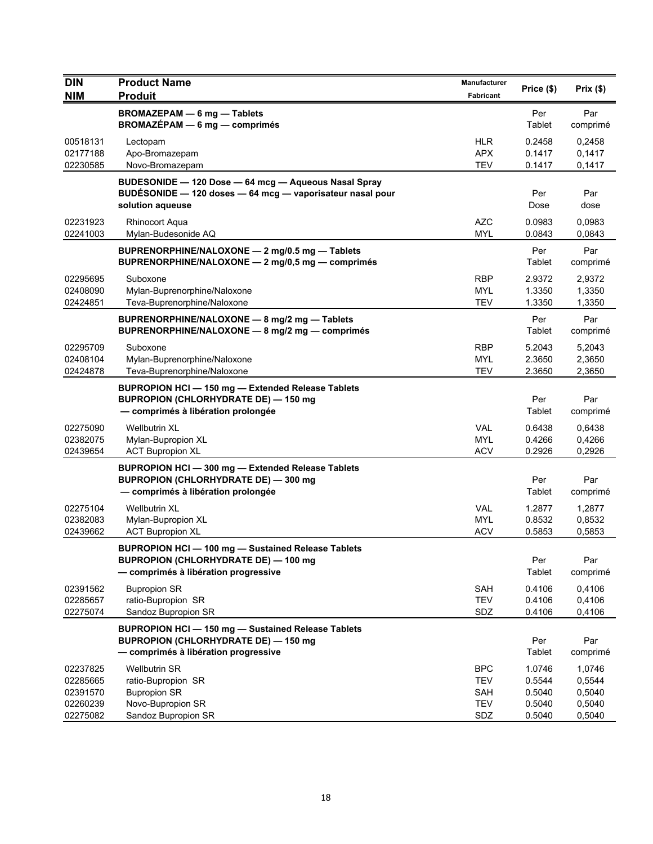| <b>DIN</b><br><b>NIM</b>                     | <b>Product Name</b><br><b>Produit</b>                                                                                                            | <b>Manufacturer</b><br>Fabricant       | Price (\$)                           | Prix(\$)                             |
|----------------------------------------------|--------------------------------------------------------------------------------------------------------------------------------------------------|----------------------------------------|--------------------------------------|--------------------------------------|
|                                              | <b>BROMAZEPAM - 6 mg - Tablets</b><br>BROMAZÉPAM - 6 mg - comprimés                                                                              |                                        | Per<br>Tablet                        | Par<br>comprimé                      |
| 00518131<br>02177188<br>02230585             | Lectopam<br>Apo-Bromazepam<br>Novo-Bromazepam                                                                                                    | <b>HLR</b><br><b>APX</b><br><b>TEV</b> | 0.2458<br>0.1417<br>0.1417           | 0,2458<br>0,1417<br>0,1417           |
|                                              | BUDESONIDE - 120 Dose - 64 mcg - Aqueous Nasal Spray<br>BUDÉSONIDE - 120 doses - 64 mcg - vaporisateur nasal pour<br>solution aqueuse            |                                        | Per<br>Dose                          | Par<br>dose                          |
| 02231923<br>02241003                         | <b>Rhinocort Aqua</b><br>Mylan-Budesonide AQ                                                                                                     | <b>AZC</b><br><b>MYL</b>               | 0.0983<br>0.0843                     | 0,0983<br>0,0843                     |
|                                              | BUPRENORPHINE/NALOXONE - 2 mg/0.5 mg - Tablets<br>BUPRENORPHINE/NALOXONE - 2 mg/0,5 mg - comprimés                                               |                                        | Per<br>Tablet                        | Par<br>comprimé                      |
| 02295695<br>02408090<br>02424851             | Suboxone<br>Mylan-Buprenorphine/Naloxone<br>Teva-Buprenorphine/Naloxone                                                                          | <b>RBP</b><br>MYL<br><b>TEV</b>        | 2.9372<br>1.3350<br>1.3350           | 2,9372<br>1,3350<br>1,3350           |
|                                              | BUPRENORPHINE/NALOXONE - 8 mg/2 mg - Tablets<br>BUPRENORPHINE/NALOXONE - 8 mg/2 mg - comprimés                                                   |                                        | Per<br>Tablet                        | Par<br>comprimé                      |
| 02295709<br>02408104<br>02424878             | Suboxone<br>Mylan-Buprenorphine/Naloxone<br>Teva-Buprenorphine/Naloxone                                                                          | <b>RBP</b><br><b>MYL</b><br><b>TEV</b> | 5.2043<br>2.3650<br>2.3650           | 5,2043<br>2,3650<br>2,3650           |
|                                              | BUPROPION HCI-150 mg-Extended Release Tablets<br><b>BUPROPION (CHLORHYDRATE DE) - 150 mg</b><br>- comprimés à libération prolongée               |                                        | Per<br>Tablet                        | Par<br>comprimé                      |
| 02275090<br>02382075<br>02439654             | <b>Wellbutrin XL</b><br>Mylan-Bupropion XL<br><b>ACT Bupropion XL</b>                                                                            | <b>VAL</b><br><b>MYL</b><br><b>ACV</b> | 0.6438<br>0.4266<br>0.2926           | 0,6438<br>0,4266<br>0,2926           |
|                                              | BUPROPION HCI-300 mg-Extended Release Tablets<br><b>BUPROPION (CHLORHYDRATE DE) - 300 mg</b><br>- comprimés à libération prolongée               |                                        | Per<br>Tablet                        | Par<br>comprimé                      |
| 02275104<br>02382083<br>02439662             | Wellbutrin XL<br>Mylan-Bupropion XL<br><b>ACT Bupropion XL</b>                                                                                   | <b>VAL</b><br><b>MYL</b><br><b>ACV</b> | 1.2877<br>0.8532<br>0.5853           | 1,2877<br>0,8532<br>0,5853           |
|                                              | <b>BUPROPION HCI-100 mg-Sustained Release Tablets</b><br><b>BUPROPION (CHLORHYDRATE DE) - 100 mg</b><br>- comprimés à libération progressive     |                                        | Per<br>Tablet                        | Par<br>comprimé                      |
| 02391562<br>02285657<br>02275074             | <b>Bupropion SR</b><br>ratio-Bupropion SR<br>Sandoz Bupropion SR                                                                                 | SAH<br><b>TEV</b><br>SDZ               | 0.4106<br>0.4106<br>0.4106           | 0,4106<br>0,4106<br>0,4106           |
|                                              | <b>BUPROPION HCI - 150 mg - Sustained Release Tablets</b><br><b>BUPROPION (CHLORHYDRATE DE) - 150 mg</b><br>- comprimés à libération progressive |                                        | Per<br>Tablet                        | Par<br>comprimé                      |
| 02237825<br>02285665<br>02391570<br>02260239 | <b>Wellbutrin SR</b><br>ratio-Bupropion SR<br><b>Bupropion SR</b><br>Novo-Bupropion SR                                                           | BPC<br><b>TEV</b><br>SAH<br><b>TEV</b> | 1.0746<br>0.5544<br>0.5040<br>0.5040 | 1,0746<br>0,5544<br>0,5040<br>0,5040 |
| 02275082                                     | Sandoz Bupropion SR                                                                                                                              | SDZ                                    | 0.5040                               | 0,5040                               |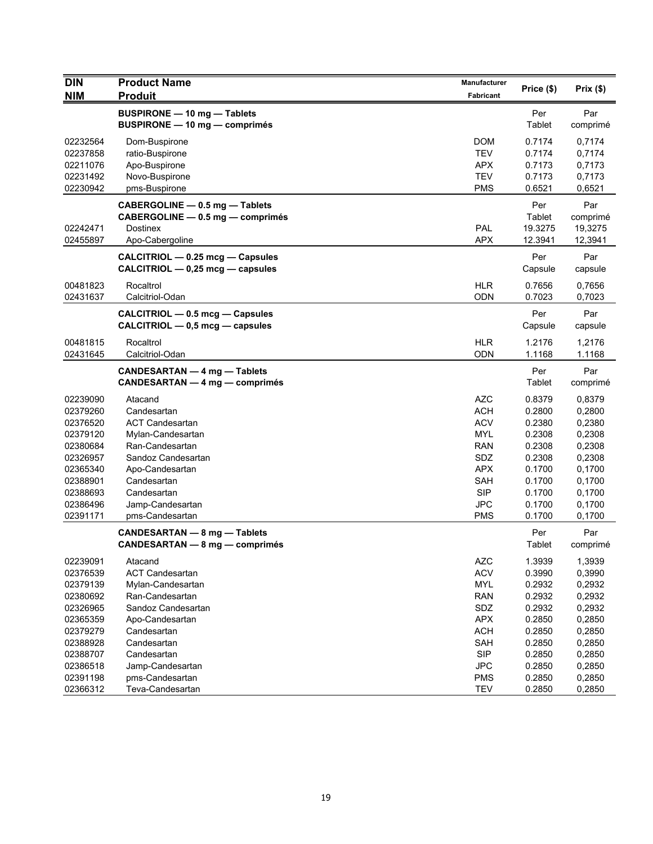| <b>DIN</b>           | <b>Product Name</b>                  | <b>Manufacturer</b>      | Price (\$)       | Prix(\$)         |
|----------------------|--------------------------------------|--------------------------|------------------|------------------|
| <b>NIM</b>           | <b>Produit</b>                       | Fabricant                |                  |                  |
|                      | <b>BUSPIRONE - 10 mg - Tablets</b>   |                          | Per              | Par              |
|                      | <b>BUSPIRONE - 10 mg - comprimés</b> |                          | Tablet           | comprimé         |
| 02232564             | Dom-Buspirone                        | <b>DOM</b>               | 0.7174           | 0,7174           |
| 02237858             | ratio-Buspirone                      | <b>TEV</b>               | 0.7174           | 0,7174           |
| 02211076             | Apo-Buspirone                        | <b>APX</b>               | 0.7173           | 0,7173           |
| 02231492             | Novo-Buspirone                       | <b>TEV</b>               | 0.7173           | 0,7173           |
| 02230942             | pms-Buspirone                        | <b>PMS</b>               | 0.6521           | 0,6521           |
|                      | CABERGOLINE - 0.5 mg - Tablets       |                          | Per              | Par              |
|                      | CABERGOLINE - 0.5 mg - comprimés     |                          | Tablet           | comprimé         |
| 02242471             | <b>Dostinex</b>                      | PAL                      | 19.3275          | 19,3275          |
| 02455897             | Apo-Cabergoline                      | <b>APX</b>               | 12.3941          | 12,3941          |
|                      | CALCITRIOL - 0.25 mcg - Capsules     |                          | Per              | Par              |
|                      | CALCITRIOL - 0,25 mcg - capsules     |                          | Capsule          | capsule          |
| 00481823             | Rocaltrol                            | <b>HLR</b>               | 0.7656           | 0,7656           |
| 02431637             | Calcitriol-Odan                      | <b>ODN</b>               | 0.7023           | 0,7023           |
|                      | CALCITRIOL - 0.5 mcg - Capsules      |                          | Per              | Par              |
|                      | $CALCITRIOL - 0.5 mcg - capsules$    |                          | Capsule          | capsule          |
| 00481815             | Rocaltrol                            | <b>HLR</b>               | 1.2176           | 1,2176           |
| 02431645             | Calcitriol-Odan                      | <b>ODN</b>               | 1.1168           | 1.1168           |
|                      | CANDESARTAN - 4 mg - Tablets         |                          | Per              | Par              |
|                      | CANDESARTAN — 4 mg — comprimés       |                          | Tablet           | comprimé         |
| 02239090             | Atacand                              | <b>AZC</b>               | 0.8379           | 0,8379           |
| 02379260             | Candesartan                          | <b>ACH</b>               | 0.2800           | 0,2800           |
| 02376520             | <b>ACT Candesartan</b>               | <b>ACV</b>               | 0.2380           | 0,2380           |
| 02379120             | Mylan-Candesartan                    | <b>MYL</b>               | 0.2308           | 0,2308           |
| 02380684             | Ran-Candesartan                      | <b>RAN</b>               | 0.2308           | 0,2308           |
| 02326957             | Sandoz Candesartan                   | SDZ                      | 0.2308           | 0,2308           |
| 02365340             | Apo-Candesartan                      | <b>APX</b>               | 0.1700           | 0,1700           |
| 02388901             | Candesartan                          | <b>SAH</b>               | 0.1700           | 0,1700           |
| 02388693             | Candesartan                          | <b>SIP</b>               | 0.1700           | 0,1700           |
| 02386496             | Jamp-Candesartan                     | <b>JPC</b>               | 0.1700           | 0,1700           |
| 02391171             | pms-Candesartan                      | <b>PMS</b>               | 0.1700           | 0,1700           |
|                      | CANDESARTAN - 8 mg - Tablets         |                          | Per              | Par              |
|                      | CANDESARTAN - 8 mg - comprimés       |                          | Tablet           | comprimé         |
| 02239091             | Atacand                              | <b>AZC</b>               | 1.3939           | 1,3939           |
| 02376539             | <b>ACT Candesartan</b>               | <b>ACV</b>               | 0.3990           | 0,3990           |
| 02379139             | Mylan-Candesartan                    | MYL                      | 0.2932           | 0,2932           |
| 02380692             | Ran-Candesartan                      | <b>RAN</b>               | 0.2932           | 0,2932           |
| 02326965             | Sandoz Candesartan                   | SDZ                      | 0.2932           | 0,2932           |
| 02365359             | Apo-Candesartan                      | <b>APX</b>               | 0.2850           | 0,2850           |
| 02379279             | Candesartan                          | <b>ACH</b>               | 0.2850           | 0,2850           |
| 02388928             | Candesartan                          | SAH                      | 0.2850           | 0,2850           |
| 02388707             | Candesartan                          | <b>SIP</b>               | 0.2850           | 0,2850           |
| 02386518             | Jamp-Candesartan                     | <b>JPC</b>               | 0.2850           | 0,2850           |
| 02391198<br>02366312 | pms-Candesartan<br>Teva-Candesartan  | <b>PMS</b><br><b>TEV</b> | 0.2850<br>0.2850 | 0,2850<br>0,2850 |
|                      |                                      |                          |                  |                  |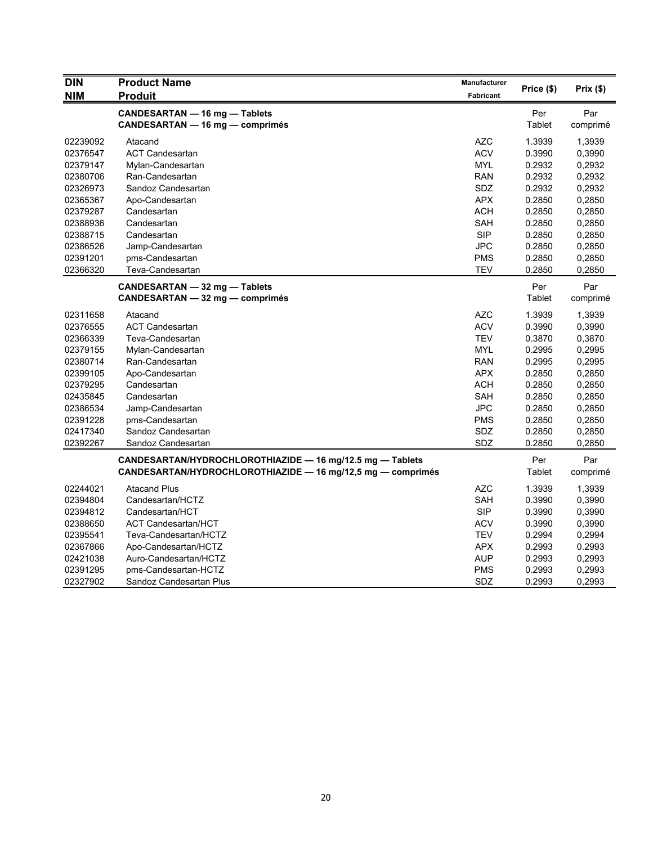| <b>DIN</b> | <b>Product Name</b>                                         | Manufacturer     |            |          |
|------------|-------------------------------------------------------------|------------------|------------|----------|
| <b>NIM</b> | <b>Produit</b>                                              | <b>Fabricant</b> | Price (\$) | Prix(\$) |
|            | CANDESARTAN - 16 mg - Tablets                               |                  | Per        | Par      |
|            | <b>CANDESARTAN - 16 mg - comprimés</b>                      |                  | Tablet     | comprimé |
| 02239092   | Atacand                                                     | <b>AZC</b>       | 1.3939     | 1,3939   |
| 02376547   | <b>ACT Candesartan</b>                                      | <b>ACV</b>       | 0.3990     | 0,3990   |
| 02379147   | Mylan-Candesartan                                           | <b>MYL</b>       | 0.2932     | 0,2932   |
| 02380706   | Ran-Candesartan                                             | <b>RAN</b>       | 0.2932     | 0,2932   |
| 02326973   | Sandoz Candesartan                                          | <b>SDZ</b>       | 0.2932     | 0,2932   |
| 02365367   | Apo-Candesartan                                             | <b>APX</b>       | 0.2850     | 0,2850   |
| 02379287   | Candesartan                                                 | <b>ACH</b>       | 0.2850     | 0,2850   |
| 02388936   | Candesartan                                                 | <b>SAH</b>       | 0.2850     | 0,2850   |
| 02388715   | Candesartan                                                 | <b>SIP</b>       | 0.2850     | 0,2850   |
| 02386526   | Jamp-Candesartan                                            | <b>JPC</b>       | 0.2850     | 0,2850   |
| 02391201   | pms-Candesartan                                             | <b>PMS</b>       | 0.2850     | 0,2850   |
| 02366320   | Teva-Candesartan                                            | <b>TEV</b>       | 0.2850     | 0,2850   |
|            | CANDESARTAN - 32 mg - Tablets                               |                  | Per        | Par      |
|            | <b>CANDESARTAN - 32 mg - comprimés</b>                      |                  | Tablet     | comprimé |
| 02311658   | Atacand                                                     | <b>AZC</b>       | 1.3939     | 1,3939   |
| 02376555   | <b>ACT Candesartan</b>                                      | <b>ACV</b>       | 0.3990     | 0,3990   |
| 02366339   | Teva-Candesartan                                            | <b>TEV</b>       | 0.3870     | 0,3870   |
| 02379155   | Mylan-Candesartan                                           | <b>MYL</b>       | 0.2995     | 0,2995   |
| 02380714   | Ran-Candesartan                                             | <b>RAN</b>       | 0.2995     | 0,2995   |
| 02399105   | Apo-Candesartan                                             | <b>APX</b>       | 0.2850     | 0,2850   |
| 02379295   | Candesartan                                                 | <b>ACH</b>       | 0.2850     | 0,2850   |
| 02435845   | Candesartan                                                 | SAH              | 0.2850     | 0,2850   |
| 02386534   | Jamp-Candesartan                                            | JPC              | 0.2850     | 0,2850   |
| 02391228   | pms-Candesartan                                             | <b>PMS</b>       | 0.2850     | 0,2850   |
| 02417340   | Sandoz Candesartan                                          | SDZ              | 0.2850     | 0,2850   |
| 02392267   | Sandoz Candesartan                                          | SDZ              | 0.2850     | 0,2850   |
|            | CANDESARTAN/HYDROCHLOROTHIAZIDE - 16 mg/12.5 mg - Tablets   |                  | Per        | Par      |
|            | CANDESARTAN/HYDROCHLOROTHIAZIDE - 16 mg/12,5 mg - comprimés |                  | Tablet     | comprimé |
| 02244021   | <b>Atacand Plus</b>                                         | <b>AZC</b>       | 1.3939     | 1,3939   |
| 02394804   | Candesartan/HCTZ                                            | <b>SAH</b>       | 0.3990     | 0,3990   |
| 02394812   | Candesartan/HCT                                             | <b>SIP</b>       | 0.3990     | 0,3990   |
| 02388650   | <b>ACT Candesartan/HCT</b>                                  | <b>ACV</b>       | 0.3990     | 0,3990   |
| 02395541   | Teva-Candesartan/HCTZ                                       | TEV              | 0.2994     | 0,2994   |
| 02367866   | Apo-Candesartan/HCTZ                                        | <b>APX</b>       | 0.2993     | 0.2993   |
| 02421038   | Auro-Candesartan/HCTZ                                       | <b>AUP</b>       | 0.2993     | 0,2993   |
| 02391295   | pms-Candesartan-HCTZ                                        | <b>PMS</b>       | 0.2993     | 0,2993   |
| 02327902   | Sandoz Candesartan Plus                                     | <b>SDZ</b>       | 0.2993     | 0,2993   |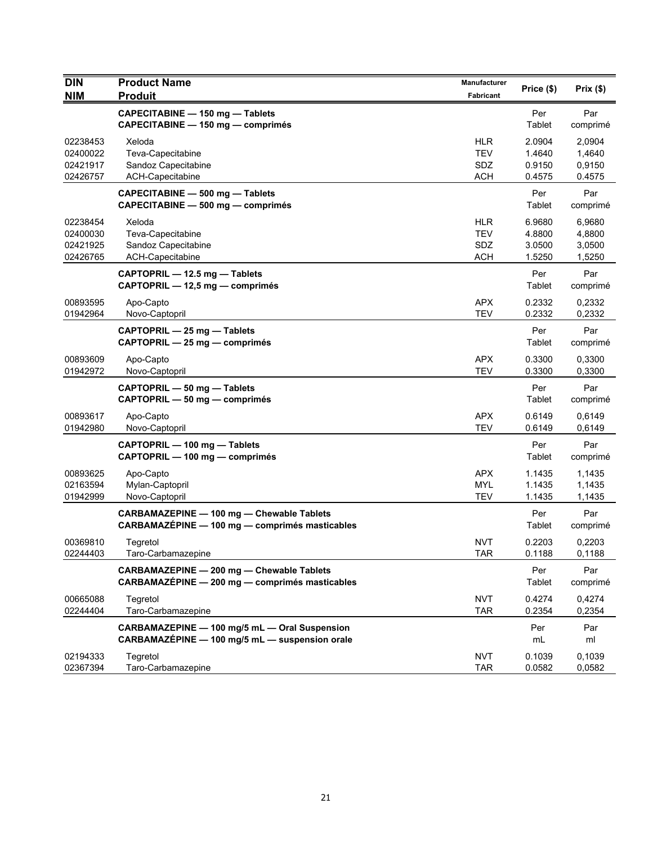| <b>DIN</b><br><b>NIM</b>                     | <b>Product Name</b><br><b>Produit</b>                                                           | Manufacturer<br>Fabricant                     | Price (\$)                           | Prix(\$)                             |
|----------------------------------------------|-------------------------------------------------------------------------------------------------|-----------------------------------------------|--------------------------------------|--------------------------------------|
|                                              | CAPECITABINE - 150 mg - Tablets<br>CAPECITABINE - 150 mg - comprimés                            |                                               | Per<br>Tablet                        | Par<br>comprimé                      |
| 02238453<br>02400022<br>02421917<br>02426757 | Xeloda<br>Teva-Capecitabine<br>Sandoz Capecitabine<br>ACH-Capecitabine                          | <b>HLR</b><br><b>TEV</b><br>SDZ<br><b>ACH</b> | 2.0904<br>1.4640<br>0.9150<br>0.4575 | 2,0904<br>1,4640<br>0,9150<br>0.4575 |
|                                              | CAPECITABINE - 500 mg - Tablets<br>CAPECITABINE - 500 mg - comprimés                            |                                               | Per<br>Tablet                        | Par<br>comprimé                      |
| 02238454<br>02400030<br>02421925<br>02426765 | Xeloda<br>Teva-Capecitabine<br>Sandoz Capecitabine<br>ACH-Capecitabine                          | <b>HLR</b><br><b>TEV</b><br>SDZ<br><b>ACH</b> | 6.9680<br>4.8800<br>3.0500<br>1.5250 | 6,9680<br>4,8800<br>3,0500<br>1,5250 |
|                                              | CAPTOPRIL - 12.5 mg - Tablets<br>CAPTOPRIL - 12,5 mg - comprimés                                |                                               | Per<br>Tablet                        | Par<br>comprimé                      |
| 00893595<br>01942964                         | Apo-Capto<br>Novo-Captopril                                                                     | <b>APX</b><br><b>TEV</b>                      | 0.2332<br>0.2332                     | 0,2332<br>0,2332                     |
|                                              | CAPTOPRIL - 25 mg - Tablets<br>CAPTOPRIL - 25 mg - comprimés                                    |                                               | Per<br>Tablet                        | Par<br>comprimé                      |
| 00893609<br>01942972                         | Apo-Capto<br>Novo-Captopril                                                                     | <b>APX</b><br><b>TEV</b>                      | 0.3300<br>0.3300                     | 0.3300<br>0,3300                     |
|                                              | CAPTOPRIL - 50 mg - Tablets<br>CAPTOPRIL - 50 mg - comprimés                                    |                                               | Per<br>Tablet                        | Par<br>comprimé                      |
| 00893617<br>01942980                         | Apo-Capto<br>Novo-Captopril                                                                     | <b>APX</b><br><b>TEV</b>                      | 0.6149<br>0.6149                     | 0,6149<br>0,6149                     |
|                                              | CAPTOPRIL - 100 mg - Tablets<br>CAPTOPRIL - 100 mg - comprimés                                  |                                               | Per<br>Tablet                        | Par<br>comprimé                      |
| 00893625<br>02163594<br>01942999             | Apo-Capto<br>Mylan-Captopril<br>Novo-Captopril                                                  | <b>APX</b><br><b>MYL</b><br><b>TEV</b>        | 1.1435<br>1.1435<br>1.1435           | 1,1435<br>1,1435<br>1,1435           |
|                                              | CARBAMAZEPINE - 100 mg - Chewable Tablets<br>CARBAMAZÉPINE - 100 mg - comprimés masticables     |                                               | Per<br>Tablet                        | Par<br>comprimé                      |
| 00369810<br>02244403                         | Tegretol<br>Taro-Carbamazepine                                                                  | NVT<br>TAR                                    | 0.2203<br>0.1188                     | 0,2203<br>0,1188                     |
|                                              | CARBAMAZEPINE - 200 mg - Chewable Tablets<br>CARBAMAZÉPINE - 200 mg - comprimés masticables     |                                               | Per<br>Tablet                        | Par<br>comprimé                      |
| 00665088<br>02244404                         | Tegretol<br>Taro-Carbamazepine                                                                  | <b>NVT</b><br><b>TAR</b>                      | 0.4274<br>0.2354                     | 0,4274<br>0,2354                     |
|                                              | CARBAMAZEPINE - 100 mg/5 mL - Oral Suspension<br>CARBAMAZÉPINE - 100 mg/5 mL - suspension orale |                                               | Per<br>mL                            | Par<br>ml                            |
| 02194333<br>02367394                         | Tegretol<br>Taro-Carbamazepine                                                                  | <b>NVT</b><br><b>TAR</b>                      | 0.1039<br>0.0582                     | 0,1039<br>0,0582                     |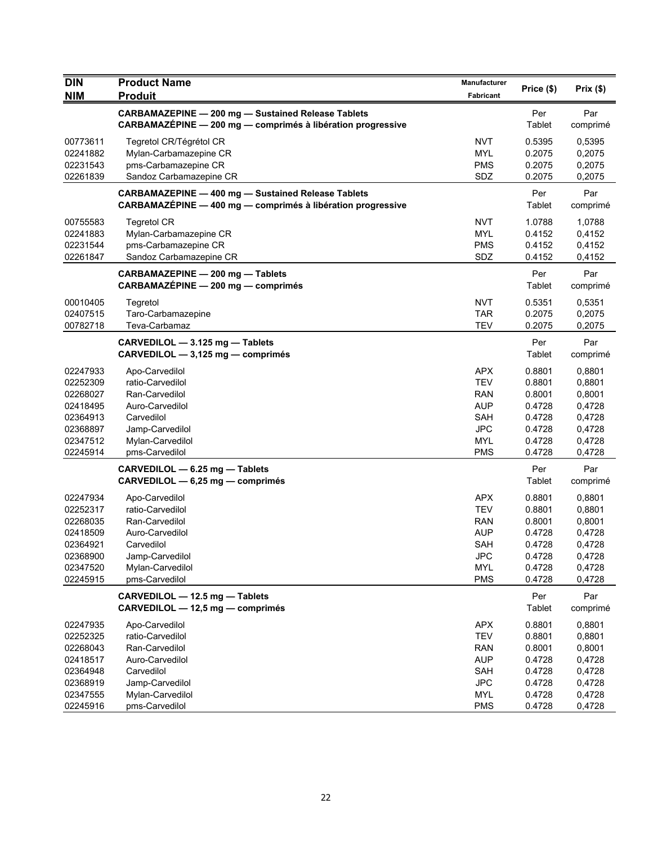| <b>DIN</b>                                                                                   | <b>Product Name</b>                                                                                                                            | <b>Manufacturer</b>                                                                                   |                                                                              | Prix(\$)                                                                     |
|----------------------------------------------------------------------------------------------|------------------------------------------------------------------------------------------------------------------------------------------------|-------------------------------------------------------------------------------------------------------|------------------------------------------------------------------------------|------------------------------------------------------------------------------|
| <b>NIM</b>                                                                                   | <b>Produit</b>                                                                                                                                 | <b>Fabricant</b>                                                                                      | Price (\$)                                                                   |                                                                              |
|                                                                                              | <b>CARBAMAZEPINE - 200 mg - Sustained Release Tablets</b><br>CARBAMAZÉPINE - 200 mg - comprimés à libération progressive                       |                                                                                                       | Per<br>Tablet                                                                | Par<br>comprimé                                                              |
| 00773611<br>02241882<br>02231543<br>02261839                                                 | Tegretol CR/Tégrétol CR<br>Mylan-Carbamazepine CR<br>pms-Carbamazepine CR<br>Sandoz Carbamazepine CR                                           | <b>NVT</b><br><b>MYL</b><br><b>PMS</b><br>SDZ                                                         | 0.5395<br>0.2075<br>0.2075<br>0.2075                                         | 0,5395<br>0,2075<br>0,2075<br>0,2075                                         |
|                                                                                              | <b>CARBAMAZEPINE - 400 mg - Sustained Release Tablets</b><br>CARBAMAZÉPINE - 400 mg - comprimés à libération progressive                       |                                                                                                       | Per<br>Tablet                                                                | Par<br>comprimé                                                              |
| 00755583<br>02241883<br>02231544<br>02261847                                                 | <b>Tegretol CR</b><br>Mylan-Carbamazepine CR<br>pms-Carbamazepine CR<br>Sandoz Carbamazepine CR                                                | <b>NVT</b><br><b>MYL</b><br><b>PMS</b><br>SDZ                                                         | 1.0788<br>0.4152<br>0.4152<br>0.4152                                         | 1,0788<br>0,4152<br>0,4152<br>0,4152                                         |
|                                                                                              | CARBAMAZEPINE - 200 mg - Tablets<br>CARBAMAZÉPINE - 200 mg - comprimés                                                                         |                                                                                                       | Per<br>Tablet                                                                | Par<br>comprimé                                                              |
| 00010405<br>02407515<br>00782718                                                             | Tegretol<br>Taro-Carbamazepine<br>Teva-Carbamaz                                                                                                | <b>NVT</b><br><b>TAR</b><br><b>TEV</b>                                                                | 0.5351<br>0.2075<br>0.2075                                                   | 0,5351<br>0,2075<br>0,2075                                                   |
|                                                                                              | CARVEDILOL - 3.125 mg - Tablets<br>CARVEDILOL - 3,125 mg - comprimés                                                                           |                                                                                                       | Per<br>Tablet                                                                | Par<br>comprimé                                                              |
| 02247933<br>02252309<br>02268027<br>02418495<br>02364913<br>02368897<br>02347512<br>02245914 | Apo-Carvedilol<br>ratio-Carvedilol<br>Ran-Carvedilol<br>Auro-Carvedilol<br>Carvedilol<br>Jamp-Carvedilol<br>Mylan-Carvedilol<br>pms-Carvedilol | <b>APX</b><br><b>TEV</b><br><b>RAN</b><br><b>AUP</b><br><b>SAH</b><br><b>JPC</b><br>MYL<br><b>PMS</b> | 0.8801<br>0.8801<br>0.8001<br>0.4728<br>0.4728<br>0.4728<br>0.4728<br>0.4728 | 0,8801<br>0,8801<br>0,8001<br>0,4728<br>0,4728<br>0,4728<br>0,4728<br>0,4728 |
|                                                                                              | CARVEDILOL - 6.25 mg - Tablets<br>CARVEDILOL - 6,25 mg - comprimés                                                                             |                                                                                                       | Per<br>Tablet                                                                | Par<br>comprimé                                                              |
| 02247934<br>02252317<br>02268035<br>02418509<br>02364921<br>02368900<br>02347520<br>02245915 | Apo-Carvedilol<br>ratio-Carvedilol<br>Ran-Carvedilol<br>Auro-Carvedilol<br>Carvedilol<br>Jamp-Carvedilol<br>Mylan-Carvedilol<br>pms-Carvedilol | <b>APX</b><br><b>TEV</b><br><b>RAN</b><br><b>AUP</b><br>SAH<br><b>JPC</b><br><b>MYL</b><br><b>PMS</b> | 0.8801<br>0.8801<br>0.8001<br>0.4728<br>0.4728<br>0.4728<br>0.4728<br>0.4728 | 0,8801<br>0,8801<br>0,8001<br>0,4728<br>0,4728<br>0,4728<br>0,4728<br>0,4728 |
|                                                                                              | CARVEDILOL - 12.5 mg - Tablets<br>CARVEDILOL - 12,5 mg - comprimés                                                                             |                                                                                                       | Per<br>Tablet                                                                | Par<br>comprimé                                                              |
| 02247935<br>02252325<br>02268043<br>02418517<br>02364948<br>02368919                         | Apo-Carvedilol<br>ratio-Carvedilol<br>Ran-Carvedilol<br>Auro-Carvedilol<br>Carvedilol<br>Jamp-Carvedilol                                       | <b>APX</b><br>TEV<br><b>RAN</b><br><b>AUP</b><br>SAH<br><b>JPC</b>                                    | 0.8801<br>0.8801<br>0.8001<br>0.4728<br>0.4728<br>0.4728                     | 0,8801<br>0,8801<br>0,8001<br>0,4728<br>0,4728<br>0,4728                     |
| 02347555<br>02245916                                                                         | Mylan-Carvedilol<br>pms-Carvedilol                                                                                                             | MYL<br><b>PMS</b>                                                                                     | 0.4728<br>0.4728                                                             | 0,4728<br>0,4728                                                             |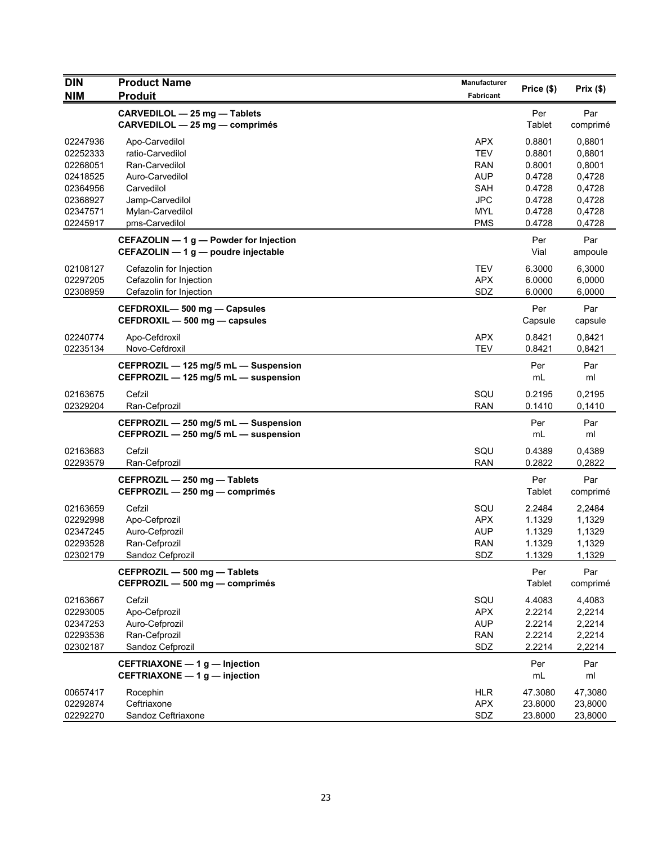| <b>DIN</b>                                               | <b>Product Name</b>                                                                             | <b>Manufacturer</b>                                  |                                                |                                                |
|----------------------------------------------------------|-------------------------------------------------------------------------------------------------|------------------------------------------------------|------------------------------------------------|------------------------------------------------|
| <b>NIM</b>                                               | <b>Produit</b>                                                                                  | Fabricant                                            | Price (\$)                                     | Prix(\$)                                       |
|                                                          | CARVEDILOL - 25 mg - Tablets<br>CARVEDILOL - 25 mg - comprimés                                  |                                                      | Per<br>Tablet                                  | Par<br>comprimé                                |
| 02247936<br>02252333<br>02268051                         | Apo-Carvedilol<br>ratio-Carvedilol<br>Ran-Carvedilol                                            | APX<br><b>TEV</b><br>RAN                             | 0.8801<br>0.8801<br>0.8001                     | 0,8801<br>0,8801<br>0,8001                     |
| 02418525<br>02364956<br>02368927<br>02347571             | Auro-Carvedilol<br>Carvedilol<br>Jamp-Carvedilol<br>Mylan-Carvedilol                            | <b>AUP</b><br><b>SAH</b><br><b>JPC</b><br><b>MYL</b> | 0.4728<br>0.4728<br>0.4728<br>0.4728           | 0,4728<br>0,4728<br>0,4728<br>0,4728           |
| 02245917                                                 | pms-Carvedilol<br>CEFAZOLIN - 1 g - Powder for Injection<br>CEFAZOLIN - 1 g - poudre injectable | <b>PMS</b>                                           | 0.4728<br>Per<br>Vial                          | 0,4728<br>Par<br>ampoule                       |
| 02108127<br>02297205<br>02308959                         | Cefazolin for Injection<br>Cefazolin for Injection<br>Cefazolin for Injection                   | <b>TEV</b><br><b>APX</b><br>SDZ                      | 6.3000<br>6.0000<br>6.0000                     | 6,3000<br>6,0000<br>6,0000                     |
|                                                          | CEFDROXIL-500 mg - Capsules<br>CEFDROXIL - 500 mg - capsules                                    |                                                      | Per<br>Capsule                                 | Par<br>capsule                                 |
| 02240774<br>02235134                                     | Apo-Cefdroxil<br>Novo-Cefdroxil                                                                 | <b>APX</b><br><b>TEV</b>                             | 0.8421<br>0.8421                               | 0,8421<br>0,8421                               |
|                                                          | CEFPROZIL - 125 mg/5 mL - Suspension<br>CEFPROZIL - 125 mg/5 mL - suspension                    |                                                      | Per<br>mL                                      | Par<br>ml                                      |
| 02163675<br>02329204                                     | Cefzil<br>Ran-Cefprozil                                                                         | SQU<br><b>RAN</b>                                    | 0.2195<br>0.1410                               | 0,2195<br>0,1410                               |
|                                                          | CEFPROZIL - 250 mg/5 mL - Suspension<br>CEFPROZIL - 250 mg/5 mL - suspension                    |                                                      | Per<br>mL                                      | Par<br>ml                                      |
| 02163683<br>02293579                                     | Cefzil<br>Ran-Cefprozil                                                                         | SQU<br><b>RAN</b>                                    | 0.4389<br>0.2822                               | 0,4389<br>0,2822                               |
|                                                          | CEFPROZIL - 250 mg - Tablets<br>CEFPROZIL - 250 mg - comprimés                                  |                                                      | Per<br>Tablet                                  | Par<br>comprimé                                |
| 02163659<br>02292998<br>02347245<br>02293528<br>02302179 | Cefzil<br>Apo-Cefprozil<br>Auro-Cefprozil<br>Ran-Cefprozil<br>Sandoz Cefprozil                  | SQU<br><b>APX</b><br><b>AUP</b><br>RAN<br>SDZ        | 2.2484<br>1.1329<br>1.1329<br>1.1329<br>1.1329 | 2,2484<br>1,1329<br>1,1329<br>1,1329<br>1,1329 |
|                                                          | CEFPROZIL - 500 mg - Tablets<br>CEFPROZIL - 500 mg - comprimés                                  |                                                      | Per<br>Tablet                                  | Par<br>comprimé                                |
| 02163667<br>02293005<br>02347253<br>02293536<br>02302187 | Cefzil<br>Apo-Cefprozil<br>Auro-Cefprozil<br>Ran-Cefprozil<br>Sandoz Cefprozil                  | SQU<br><b>APX</b><br><b>AUP</b><br><b>RAN</b><br>SDZ | 4.4083<br>2.2214<br>2.2214<br>2.2214<br>2.2214 | 4,4083<br>2,2214<br>2,2214<br>2,2214<br>2,2214 |
|                                                          | CEFTRIAXONE - 1 g - Injection<br>CEFTRIAXONE - 1 g - injection                                  |                                                      | Per<br>$mL$                                    | Par<br>ml                                      |
| 00657417<br>02292874<br>02292270                         | Rocephin<br>Ceftriaxone<br>Sandoz Ceftriaxone                                                   | <b>HLR</b><br><b>APX</b><br>SDZ                      | 47.3080<br>23.8000<br>23.8000                  | 47,3080<br>23,8000<br>23,8000                  |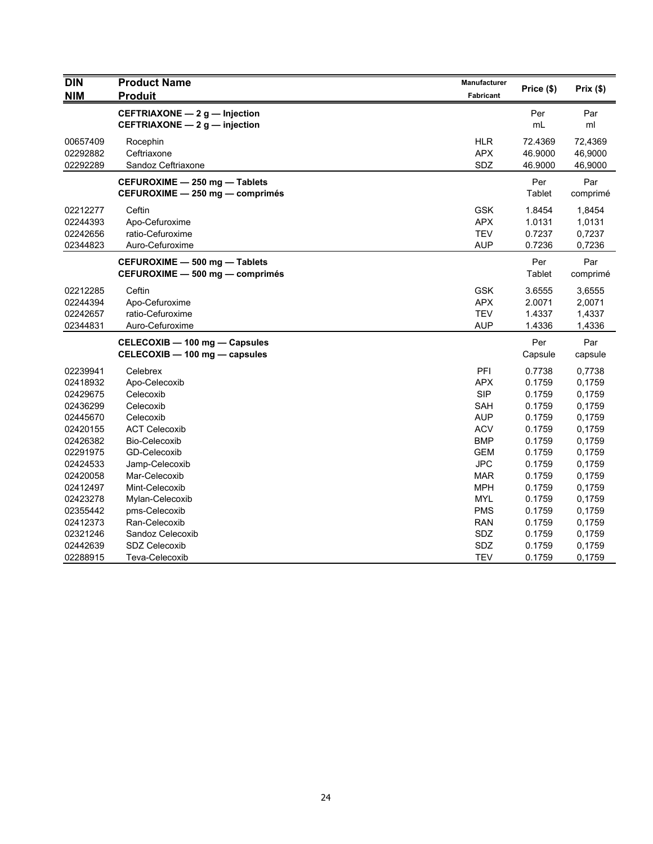| <b>DIN</b> | <b>Product Name</b>             | Manufacturer | Price (\$) | Prix (\$) |
|------------|---------------------------------|--------------|------------|-----------|
| <b>NIM</b> | <b>Produit</b>                  | Fabricant    |            |           |
|            | CEFTRIAXONE - 2 g - Injection   |              | Per        | Par       |
|            | CEFTRIAXONE - 2 g - injection   |              | mL         | ml        |
| 00657409   | Rocephin                        | <b>HLR</b>   | 72.4369    | 72,4369   |
| 02292882   | Ceftriaxone                     | <b>APX</b>   | 46.9000    | 46,9000   |
| 02292289   | Sandoz Ceftriaxone              | SDZ          | 46.9000    | 46,9000   |
|            | CEFUROXIME - 250 mg - Tablets   |              | Per        | Par       |
|            | CEFUROXIME - 250 mg - comprimés |              | Tablet     | comprimé  |
| 02212277   | Ceftin                          | <b>GSK</b>   | 1.8454     | 1,8454    |
| 02244393   | Apo-Cefuroxime                  | <b>APX</b>   | 1.0131     | 1,0131    |
| 02242656   | ratio-Cefuroxime                | <b>TEV</b>   | 0.7237     | 0,7237    |
| 02344823   | Auro-Cefuroxime                 | <b>AUP</b>   | 0.7236     | 0,7236    |
|            | CEFUROXIME - 500 mg - Tablets   |              | Per        | Par       |
|            | CEFUROXIME - 500 mg - comprimés |              | Tablet     | comprimé  |
| 02212285   | Ceftin                          | <b>GSK</b>   | 3.6555     | 3,6555    |
| 02244394   | Apo-Cefuroxime                  | <b>APX</b>   | 2.0071     | 2,0071    |
| 02242657   | ratio-Cefuroxime                | <b>TEV</b>   | 1.4337     | 1,4337    |
| 02344831   | Auro-Cefuroxime                 | <b>AUP</b>   | 1.4336     | 1,4336    |
|            | CELECOXIB - 100 mg - Capsules   |              | Per        | Par       |
|            | CELECOXIB - 100 mg - capsules   |              | Capsule    | capsule   |
| 02239941   | Celebrex                        | <b>PFI</b>   | 0.7738     | 0,7738    |
| 02418932   | Apo-Celecoxib                   | <b>APX</b>   | 0.1759     | 0,1759    |
| 02429675   | Celecoxib                       | <b>SIP</b>   | 0.1759     | 0,1759    |
| 02436299   | Celecoxib                       | <b>SAH</b>   | 0.1759     | 0,1759    |
| 02445670   | Celecoxib                       | <b>AUP</b>   | 0.1759     | 0,1759    |
| 02420155   | <b>ACT Celecoxib</b>            | <b>ACV</b>   | 0.1759     | 0,1759    |
| 02426382   | Bio-Celecoxib                   | <b>BMP</b>   | 0.1759     | 0,1759    |
| 02291975   | GD-Celecoxib                    | <b>GEM</b>   | 0.1759     | 0,1759    |
| 02424533   | Jamp-Celecoxib                  | <b>JPC</b>   | 0.1759     | 0,1759    |
| 02420058   | Mar-Celecoxib                   | <b>MAR</b>   | 0.1759     | 0,1759    |
| 02412497   | Mint-Celecoxib                  | <b>MPH</b>   | 0.1759     | 0,1759    |
| 02423278   | Mylan-Celecoxib                 | <b>MYL</b>   | 0.1759     | 0,1759    |
| 02355442   | pms-Celecoxib                   | <b>PMS</b>   | 0.1759     | 0,1759    |
| 02412373   | Ran-Celecoxib                   | <b>RAN</b>   | 0.1759     | 0,1759    |
| 02321246   | Sandoz Celecoxib                | SDZ          | 0.1759     | 0,1759    |
| 02442639   | <b>SDZ Celecoxib</b>            | SDZ          | 0.1759     | 0,1759    |
| 02288915   | Teva-Celecoxib                  | <b>TEV</b>   | 0.1759     | 0,1759    |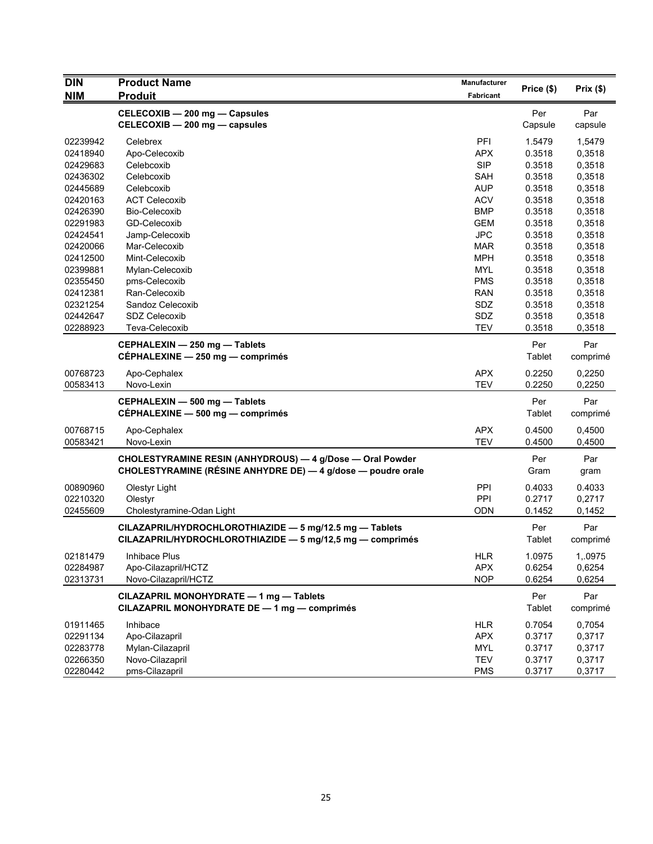| <b>DIN</b> | <b>Product Name</b>                                                                     | Manufacturer |               | Prix(\$)        |
|------------|-----------------------------------------------------------------------------------------|--------------|---------------|-----------------|
| <b>NIM</b> | <b>Produit</b>                                                                          | Fabricant    | Price (\$)    |                 |
|            | CELECOXIB - 200 mg - Capsules                                                           |              | Per           | Par             |
|            | CELECOXIB - 200 mg - capsules                                                           |              | Capsule       | capsule         |
| 02239942   | Celebrex                                                                                | PFI          | 1.5479        | 1,5479          |
| 02418940   | Apo-Celecoxib                                                                           | <b>APX</b>   | 0.3518        | 0,3518          |
| 02429683   | Celebcoxib                                                                              | <b>SIP</b>   | 0.3518        | 0,3518          |
| 02436302   | Celebcoxib                                                                              | <b>SAH</b>   | 0.3518        | 0,3518          |
| 02445689   | Celebcoxib                                                                              | <b>AUP</b>   | 0.3518        | 0,3518          |
| 02420163   | <b>ACT Celecoxib</b>                                                                    | <b>ACV</b>   | 0.3518        | 0,3518          |
| 02426390   | Bio-Celecoxib                                                                           | <b>BMP</b>   | 0.3518        | 0,3518          |
| 02291983   | GD-Celecoxib                                                                            | <b>GEM</b>   | 0.3518        | 0,3518          |
| 02424541   | Jamp-Celecoxib                                                                          | <b>JPC</b>   | 0.3518        | 0,3518          |
| 02420066   | Mar-Celecoxib                                                                           | <b>MAR</b>   | 0.3518        | 0,3518          |
| 02412500   | Mint-Celecoxib                                                                          | <b>MPH</b>   | 0.3518        | 0,3518          |
| 02399881   | Mylan-Celecoxib                                                                         | <b>MYL</b>   | 0.3518        | 0,3518          |
| 02355450   | pms-Celecoxib                                                                           | PMS          | 0.3518        | 0,3518          |
| 02412381   | Ran-Celecoxib                                                                           | <b>RAN</b>   | 0.3518        | 0,3518          |
| 02321254   | Sandoz Celecoxib                                                                        | SDZ          | 0.3518        | 0,3518          |
| 02442647   | <b>SDZ Celecoxib</b>                                                                    | SDZ          | 0.3518        | 0,3518          |
| 02288923   | Teva-Celecoxib                                                                          | <b>TEV</b>   | 0.3518        | 0,3518          |
|            | CEPHALEXIN - 250 mg - Tablets                                                           |              | Per           | Par             |
|            | CÉPHALEXINE - 250 mg - comprimés                                                        |              | Tablet        | comprimé        |
| 00768723   | Apo-Cephalex                                                                            | <b>APX</b>   | 0.2250        | 0,2250          |
| 00583413   | Novo-Lexin                                                                              | <b>TEV</b>   | 0.2250        | 0,2250          |
|            | CEPHALEXIN - 500 mg - Tablets                                                           |              | Per           | Par             |
|            | CÉPHALEXINE - 500 mg - comprimés                                                        |              | Tablet        | comprimé        |
|            |                                                                                         |              |               |                 |
| 00768715   | Apo-Cephalex                                                                            | <b>APX</b>   | 0.4500        | 0,4500          |
| 00583421   | Novo-Lexin                                                                              | <b>TEV</b>   | 0.4500        | 0,4500          |
|            | CHOLESTYRAMINE RESIN (ANHYDROUS) - 4 g/Dose - Oral Powder                               |              | Per           | Par             |
|            | CHOLESTYRAMINE (RÉSINE ANHYDRE DE) - 4 g/dose - poudre orale                            |              | Gram          | gram            |
| 00890960   | <b>Olestyr Light</b>                                                                    | <b>PPI</b>   | 0.4033        | 0.4033          |
| 02210320   | Olestyr                                                                                 | PPI          | 0.2717        | 0,2717          |
| 02455609   | Cholestyramine-Odan Light                                                               | <b>ODN</b>   | 0.1452        | 0,1452          |
|            | CILAZAPRIL/HYDROCHLOROTHIAZIDE - 5 mg/12.5 mg - Tablets                                 |              | Per           | Par             |
|            | CILAZAPRIL/HYDROCHLOROTHIAZIDE - 5 mg/12,5 mg - comprimés                               |              | Tablet        | comprimé        |
| 02181479   | Inhibace Plus                                                                           | HLR          | 1.0975        | 1,.0975         |
| 02284987   | Apo-Cilazapril/HCTZ                                                                     | <b>APX</b>   | 0.6254        | 0,6254          |
| 02313731   | Novo-Cilazapril/HCTZ                                                                    | <b>NOP</b>   | 0.6254        | 0,6254          |
|            |                                                                                         |              |               |                 |
|            | CILAZAPRIL MONOHYDRATE - 1 mg - Tablets<br>CILAZAPRIL MONOHYDRATE DE - 1 mg - comprimés |              | Per<br>Tablet | Par<br>comprimé |
| 01911465   | Inhibace                                                                                | <b>HLR</b>   | 0.7054        | 0,7054          |
| 02291134   | Apo-Cilazapril                                                                          | <b>APX</b>   | 0.3717        | 0,3717          |
| 02283778   | Mylan-Cilazapril                                                                        | MYL          | 0.3717        | 0,3717          |
| 02266350   | Novo-Cilazapril                                                                         | <b>TEV</b>   | 0.3717        | 0,3717          |
| 02280442   | pms-Cilazapril                                                                          | <b>PMS</b>   | 0.3717        | 0,3717          |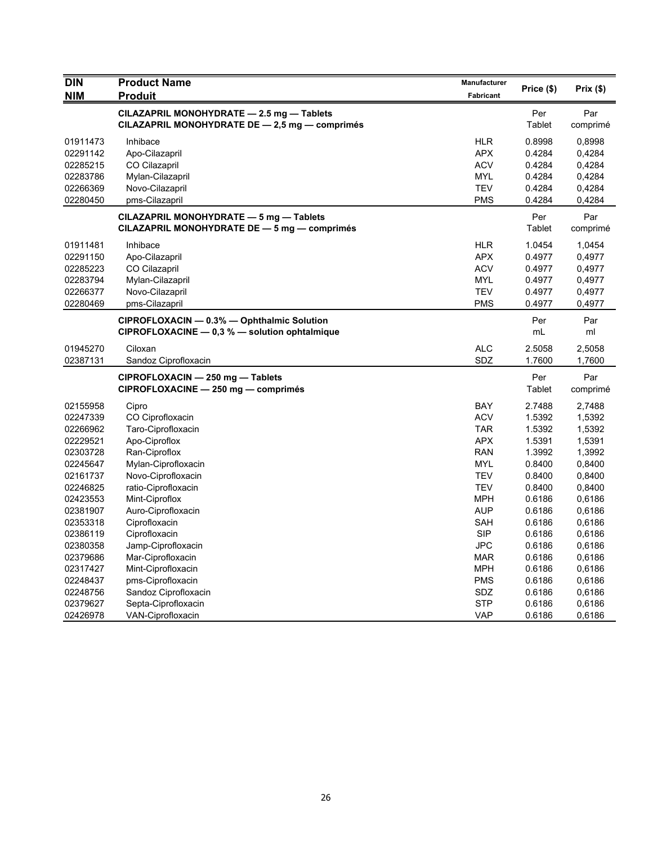| <b>DIN</b> | <b>Product Name</b>                            | Manufacturer     | Price (\$)    | Prix(\$) |
|------------|------------------------------------------------|------------------|---------------|----------|
| <b>NIM</b> | <b>Produit</b>                                 | <b>Fabricant</b> |               |          |
|            | CILAZAPRIL MONOHYDRATE - 2.5 mg - Tablets      |                  | Per           | Par      |
|            | CILAZAPRIL MONOHYDRATE DE - 2,5 mg - comprimés |                  | Tablet        | comprimé |
| 01911473   | Inhibace                                       | <b>HLR</b>       | 0.8998        | 0,8998   |
| 02291142   | Apo-Cilazapril                                 | <b>APX</b>       | 0.4284        | 0,4284   |
| 02285215   | CO Cilazapril                                  | <b>ACV</b>       | 0.4284        | 0,4284   |
| 02283786   | Mylan-Cilazapril                               | MYL              | 0.4284        | 0,4284   |
| 02266369   | Novo-Cilazapril                                | <b>TEV</b>       | 0.4284        | 0,4284   |
| 02280450   | pms-Cilazapril                                 | <b>PMS</b>       | 0.4284        | 0,4284   |
|            | CILAZAPRIL MONOHYDRATE - 5 mg - Tablets        |                  | Per           | Par      |
|            | CILAZAPRIL MONOHYDRATE DE - 5 mg - comprimés   |                  | <b>Tablet</b> | comprimé |
| 01911481   | Inhibace                                       | <b>HLR</b>       | 1.0454        | 1,0454   |
| 02291150   | Apo-Cilazapril                                 | <b>APX</b>       | 0.4977        | 0,4977   |
| 02285223   | CO Cilazapril                                  | <b>ACV</b>       | 0.4977        | 0,4977   |
| 02283794   | Mylan-Cilazapril                               | <b>MYL</b>       | 0.4977        | 0,4977   |
| 02266377   | Novo-Cilazapril                                | <b>TEV</b>       | 0.4977        | 0,4977   |
| 02280469   | pms-Cilazapril                                 | <b>PMS</b>       | 0.4977        | 0,4977   |
|            | CIPROFLOXACIN - 0.3% - Ophthalmic Solution     |                  | Per           | Par      |
|            | CIPROFLOXACINE - 0,3 % - solution ophtalmique  |                  | mL            | ml       |
| 01945270   | Ciloxan                                        | <b>ALC</b>       | 2.5058        | 2,5058   |
| 02387131   | Sandoz Ciprofloxacin                           | SDZ              | 1.7600        | 1,7600   |
|            | CIPROFLOXACIN - 250 mg - Tablets               |                  | Per           | Par      |
|            | CIPROFLOXACINE - 250 mg - comprimés            |                  | Tablet        | comprimé |
| 02155958   | Cipro                                          | BAY              | 2.7488        | 2,7488   |
| 02247339   | CO Ciprofloxacin                               | <b>ACV</b>       | 1.5392        | 1,5392   |
| 02266962   | Taro-Ciprofloxacin                             | <b>TAR</b>       | 1.5392        | 1,5392   |
| 02229521   | Apo-Ciproflox                                  | <b>APX</b>       | 1.5391        | 1,5391   |
| 02303728   | Ran-Ciproflox                                  | <b>RAN</b>       | 1.3992        | 1,3992   |
| 02245647   | Mylan-Ciprofloxacin                            | <b>MYL</b>       | 0.8400        | 0,8400   |
| 02161737   | Novo-Ciprofloxacin                             | <b>TEV</b>       | 0.8400        | 0,8400   |
| 02246825   | ratio-Ciprofloxacin                            | <b>TEV</b>       | 0.8400        | 0,8400   |
| 02423553   | Mint-Ciproflox                                 | <b>MPH</b>       | 0.6186        | 0,6186   |
| 02381907   | Auro-Ciprofloxacin                             | <b>AUP</b>       | 0.6186        | 0,6186   |
| 02353318   | Ciprofloxacin                                  | SAH              | 0.6186        | 0,6186   |
| 02386119   | Ciprofloxacin                                  | <b>SIP</b>       | 0.6186        | 0,6186   |
| 02380358   | Jamp-Ciprofloxacin                             | <b>JPC</b>       | 0.6186        | 0,6186   |
| 02379686   | Mar-Ciprofloxacin                              | <b>MAR</b>       | 0.6186        | 0,6186   |
| 02317427   | Mint-Ciprofloxacin                             | <b>MPH</b>       | 0.6186        | 0,6186   |
| 02248437   | pms-Ciprofloxacin                              | <b>PMS</b>       | 0.6186        | 0,6186   |
| 02248756   | Sandoz Ciprofloxacin                           | SDZ              | 0.6186        | 0,6186   |
| 02379627   | Septa-Ciprofloxacin                            | <b>STP</b>       | 0.6186        | 0,6186   |
| 02426978   | VAN-Ciprofloxacin                              | VAP              | 0.6186        | 0,6186   |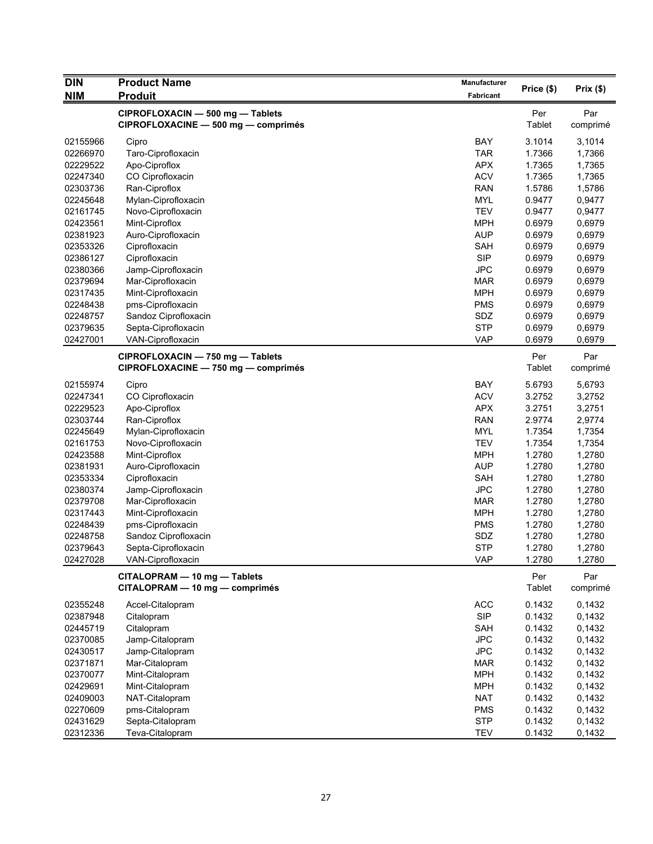| <b>DIN</b> | <b>Product Name</b>                 | Manufacturer |            |          |
|------------|-------------------------------------|--------------|------------|----------|
| <b>NIM</b> | <b>Produit</b>                      | Fabricant    | Price (\$) | Prix(\$) |
|            | CIPROFLOXACIN - 500 mg - Tablets    |              | Per        | Par      |
|            | CIPROFLOXACINE - 500 mg - comprimés |              | Tablet     | comprimé |
|            |                                     |              |            |          |
| 02155966   | Cipro                               | BAY          | 3.1014     | 3,1014   |
| 02266970   | Taro-Ciprofloxacin                  | <b>TAR</b>   | 1.7366     | 1,7366   |
| 02229522   | Apo-Ciproflox                       | <b>APX</b>   | 1.7365     | 1,7365   |
| 02247340   | CO Ciprofloxacin                    | <b>ACV</b>   | 1.7365     | 1,7365   |
| 02303736   | Ran-Ciproflox                       | <b>RAN</b>   | 1.5786     | 1,5786   |
| 02245648   | Mylan-Ciprofloxacin                 | <b>MYL</b>   | 0.9477     | 0,9477   |
| 02161745   | Novo-Ciprofloxacin                  | <b>TEV</b>   | 0.9477     | 0,9477   |
| 02423561   | Mint-Ciproflox                      | <b>MPH</b>   | 0.6979     | 0,6979   |
| 02381923   | Auro-Ciprofloxacin                  | <b>AUP</b>   | 0.6979     | 0,6979   |
| 02353326   | Ciprofloxacin                       | SAH          | 0.6979     | 0,6979   |
| 02386127   | Ciprofloxacin                       | <b>SIP</b>   | 0.6979     | 0,6979   |
| 02380366   | Jamp-Ciprofloxacin                  | <b>JPC</b>   | 0.6979     | 0,6979   |
| 02379694   | Mar-Ciprofloxacin                   | <b>MAR</b>   | 0.6979     | 0,6979   |
| 02317435   | Mint-Ciprofloxacin                  | <b>MPH</b>   | 0.6979     | 0,6979   |
| 02248438   | pms-Ciprofloxacin                   | <b>PMS</b>   | 0.6979     | 0,6979   |
| 02248757   | Sandoz Ciprofloxacin                | SDZ          | 0.6979     | 0,6979   |
| 02379635   | Septa-Ciprofloxacin                 | <b>STP</b>   | 0.6979     | 0,6979   |
| 02427001   | VAN-Ciprofloxacin                   | <b>VAP</b>   | 0.6979     | 0,6979   |
|            | CIPROFLOXACIN - 750 mg - Tablets    |              | Per        | Par      |
|            | CIPROFLOXACINE - 750 mg - comprimés |              | Tablet     | comprimé |
| 02155974   | Cipro                               | <b>BAY</b>   | 5.6793     | 5,6793   |
| 02247341   | CO Ciprofloxacin                    | <b>ACV</b>   | 3.2752     | 3,2752   |
| 02229523   | Apo-Ciproflox                       | <b>APX</b>   | 3.2751     | 3,2751   |
| 02303744   | Ran-Ciproflox                       | <b>RAN</b>   | 2.9774     | 2,9774   |
| 02245649   | Mylan-Ciprofloxacin                 | <b>MYL</b>   | 1.7354     | 1,7354   |
| 02161753   | Novo-Ciprofloxacin                  | <b>TEV</b>   | 1.7354     | 1,7354   |
| 02423588   | Mint-Ciproflox                      | <b>MPH</b>   | 1.2780     | 1,2780   |
| 02381931   | Auro-Ciprofloxacin                  | <b>AUP</b>   | 1.2780     | 1,2780   |
| 02353334   | Ciprofloxacin                       | <b>SAH</b>   | 1.2780     | 1,2780   |
| 02380374   | Jamp-Ciprofloxacin                  | <b>JPC</b>   | 1.2780     | 1,2780   |
| 02379708   | Mar-Ciprofloxacin                   | <b>MAR</b>   | 1.2780     | 1,2780   |
| 02317443   | Mint-Ciprofloxacin                  | <b>MPH</b>   | 1.2780     | 1,2780   |
| 02248439   | pms-Ciprofloxacin                   | <b>PMS</b>   | 1.2780     | 1,2780   |
| 02248758   | Sandoz Ciprofloxacin                | SDZ          | 1.2780     | 1,2780   |
| 02379643   | Septa-Ciprofloxacin                 | <b>STP</b>   | 1.2780     | 1,2780   |
| 02427028   | VAN-Ciprofloxacin                   | <b>VAP</b>   | 1.2780     | 1,2780   |
|            |                                     |              |            |          |
|            | CITALOPRAM - 10 mg - Tablets        |              | Per        | Par      |
|            | CITALOPRAM - 10 mg - comprimés      |              | Tablet     | comprimé |
| 02355248   | Accel-Citalopram                    | <b>ACC</b>   | 0.1432     | 0,1432   |
| 02387948   | Citalopram                          | <b>SIP</b>   | 0.1432     | 0,1432   |
| 02445719   | Citalopram                          | SAH          | 0.1432     | 0,1432   |
| 02370085   | Jamp-Citalopram                     | <b>JPC</b>   | 0.1432     | 0,1432   |
| 02430517   | Jamp-Citalopram                     | JPC          | 0.1432     | 0,1432   |
| 02371871   | Mar-Citalopram                      | <b>MAR</b>   | 0.1432     | 0,1432   |
| 02370077   | Mint-Citalopram                     | <b>MPH</b>   | 0.1432     | 0,1432   |
| 02429691   | Mint-Citalopram                     | <b>MPH</b>   | 0.1432     | 0,1432   |
| 02409003   | NAT-Citalopram                      | <b>NAT</b>   | 0.1432     | 0,1432   |
| 02270609   | pms-Citalopram                      | <b>PMS</b>   | 0.1432     | 0,1432   |
| 02431629   | Septa-Citalopram                    | <b>STP</b>   | 0.1432     | 0,1432   |
| 02312336   | Teva-Citalopram                     | <b>TEV</b>   | 0.1432     | 0,1432   |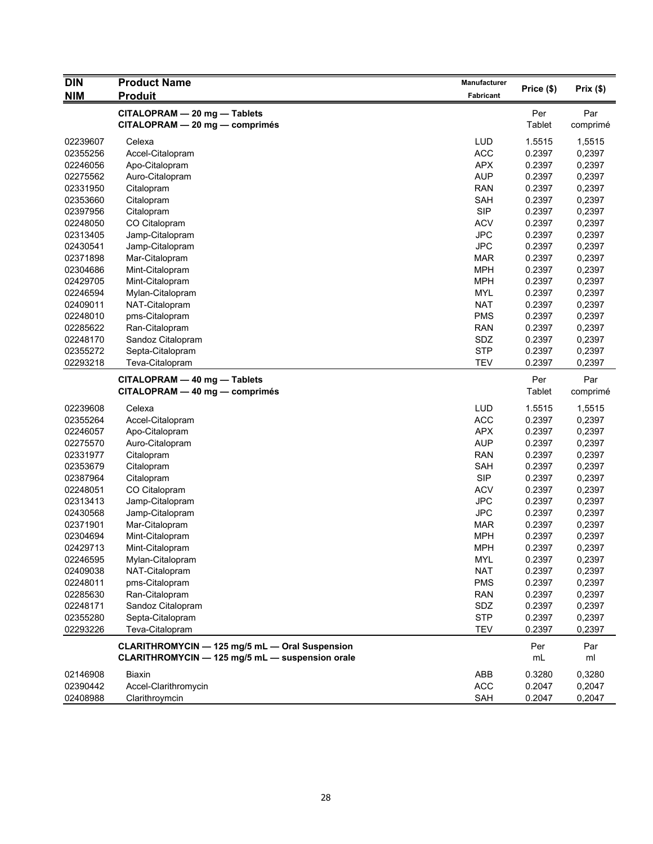| <b>DIN</b> | <b>Product Name</b>                             | <b>Manufacturer</b> |            | Prix(\$) |
|------------|-------------------------------------------------|---------------------|------------|----------|
| <b>NIM</b> | <b>Produit</b>                                  | Fabricant           | Price (\$) |          |
|            | CITALOPRAM - 20 mg - Tablets                    |                     | Per        | Par      |
|            | CITALOPRAM - 20 mg - comprimés                  |                     | Tablet     | comprimé |
| 02239607   | Celexa                                          | <b>LUD</b>          | 1.5515     | 1,5515   |
| 02355256   | Accel-Citalopram                                | <b>ACC</b>          | 0.2397     | 0,2397   |
| 02246056   | Apo-Citalopram                                  | <b>APX</b>          | 0.2397     | 0,2397   |
| 02275562   | Auro-Citalopram                                 | <b>AUP</b>          | 0.2397     | 0,2397   |
| 02331950   | Citalopram                                      | <b>RAN</b>          | 0.2397     | 0,2397   |
| 02353660   | Citalopram                                      | SAH                 | 0.2397     | 0,2397   |
| 02397956   | Citalopram                                      | <b>SIP</b>          | 0.2397     | 0,2397   |
| 02248050   | CO Citalopram                                   | <b>ACV</b>          | 0.2397     | 0,2397   |
| 02313405   | Jamp-Citalopram                                 | <b>JPC</b>          | 0.2397     | 0,2397   |
| 02430541   | Jamp-Citalopram                                 | <b>JPC</b>          | 0.2397     | 0,2397   |
| 02371898   | Mar-Citalopram                                  | <b>MAR</b>          | 0.2397     | 0,2397   |
| 02304686   | Mint-Citalopram                                 | <b>MPH</b>          | 0.2397     | 0,2397   |
| 02429705   | Mint-Citalopram                                 | <b>MPH</b>          | 0.2397     | 0,2397   |
| 02246594   | Mylan-Citalopram                                | <b>MYL</b>          | 0.2397     | 0,2397   |
| 02409011   | NAT-Citalopram                                  | <b>NAT</b>          | 0.2397     | 0,2397   |
| 02248010   | pms-Citalopram                                  | <b>PMS</b>          | 0.2397     | 0,2397   |
| 02285622   | Ran-Citalopram                                  | <b>RAN</b>          | 0.2397     | 0,2397   |
| 02248170   | Sandoz Citalopram                               | SDZ                 | 0.2397     | 0,2397   |
| 02355272   | Septa-Citalopram                                | <b>STP</b>          | 0.2397     | 0,2397   |
| 02293218   | Teva-Citalopram                                 | <b>TEV</b>          | 0.2397     | 0,2397   |
|            | CITALOPRAM - 40 mg - Tablets                    |                     | Per        | Par      |
|            | CITALOPRAM - 40 mg - comprimés                  |                     | Tablet     | comprimé |
| 02239608   | Celexa                                          | <b>LUD</b>          | 1.5515     | 1,5515   |
| 02355264   | Accel-Citalopram                                | <b>ACC</b>          | 0.2397     | 0,2397   |
| 02246057   | Apo-Citalopram                                  | <b>APX</b>          | 0.2397     | 0,2397   |
| 02275570   | Auro-Citalopram                                 | <b>AUP</b>          | 0.2397     | 0,2397   |
| 02331977   | Citalopram                                      | <b>RAN</b>          | 0.2397     | 0,2397   |
| 02353679   | Citalopram                                      | SAH                 | 0.2397     | 0,2397   |
| 02387964   | Citalopram                                      | <b>SIP</b>          | 0.2397     | 0,2397   |
| 02248051   | CO Citalopram                                   | <b>ACV</b>          | 0.2397     | 0,2397   |
| 02313413   | Jamp-Citalopram                                 | <b>JPC</b>          | 0.2397     | 0,2397   |
| 02430568   | Jamp-Citalopram                                 | <b>JPC</b>          | 0.2397     | 0,2397   |
| 02371901   | Mar-Citalopram                                  | <b>MAR</b>          | 0.2397     | 0,2397   |
| 02304694   | Mint-Citalopram                                 | <b>MPH</b>          | 0.2397     | 0,2397   |
| 02429713   | Mint-Citalopram                                 | <b>MPH</b>          | 0.2397     | 0,2397   |
| 02246595   | Mylan-Citalopram                                | <b>MYL</b>          | 0.2397     | 0,2397   |
| 02409038   | NAT-Citalopram                                  | <b>NAT</b>          | 0.2397     | 0,2397   |
| 02248011   | pms-Citalopram                                  | <b>PMS</b>          | 0.2397     | 0,2397   |
| 02285630   | Ran-Citalopram                                  | <b>RAN</b>          | 0.2397     | 0,2397   |
| 02248171   | Sandoz Citalopram                               | SDZ                 | 0.2397     | 0,2397   |
| 02355280   | Septa-Citalopram                                | <b>STP</b>          | 0.2397     | 0,2397   |
| 02293226   | Teva-Citalopram                                 | <b>TEV</b>          | 0.2397     | 0,2397   |
|            | CLARITHROMYCIN - 125 mg/5 mL - Oral Suspension  |                     | Per        | Par      |
|            | CLARITHROMYCIN - 125 mg/5 mL - suspension orale |                     | mL         | ml       |
| 02146908   | Biaxin                                          | ABB                 | 0.3280     | 0,3280   |
| 02390442   | Accel-Clarithromycin                            | <b>ACC</b>          | 0.2047     | 0,2047   |
| 02408988   | Clarithroymcin                                  | SAH                 | 0.2047     | 0,2047   |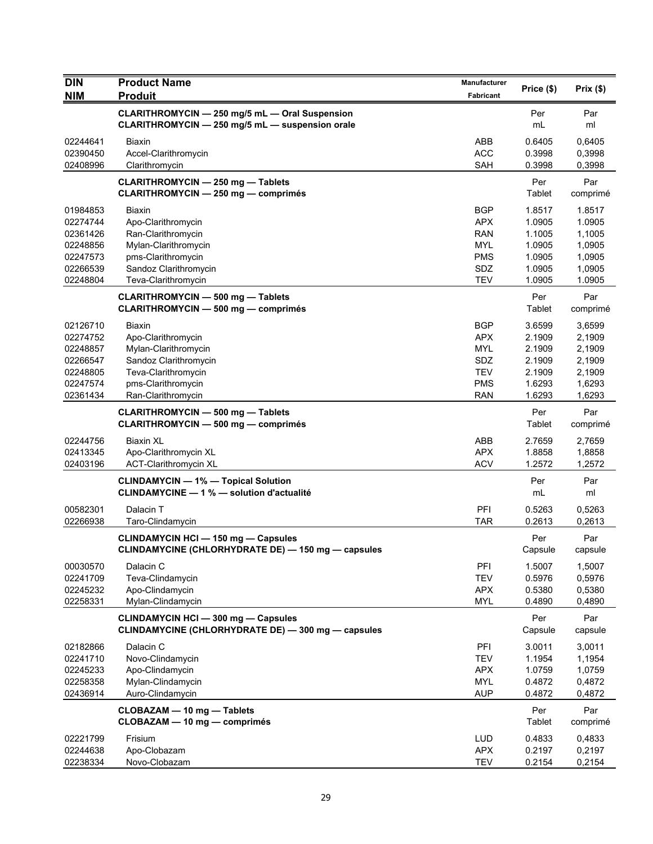| <b>DIN</b>           | <b>Product Name</b>                                                                    | Manufacturer             | Price (\$)       | Prix(\$)         |
|----------------------|----------------------------------------------------------------------------------------|--------------------------|------------------|------------------|
| <b>NIM</b>           | <b>Produit</b>                                                                         | Fabricant                |                  |                  |
|                      | CLARITHROMYCIN - 250 mg/5 mL - Oral Suspension                                         |                          | Per              | Par              |
|                      | CLARITHROMYCIN - 250 mg/5 mL - suspension orale                                        |                          | mL               | ml               |
| 02244641             | <b>Biaxin</b>                                                                          | ABB                      | 0.6405           | 0,6405           |
| 02390450             | Accel-Clarithromycin                                                                   | <b>ACC</b>               | 0.3998           | 0,3998           |
| 02408996             | Clarithromycin                                                                         | <b>SAH</b>               | 0.3998           | 0,3998           |
|                      | <b>CLARITHROMYCIN - 250 mg - Tablets</b>                                               |                          | Per              | Par              |
|                      | <b>CLARITHROMYCIN - 250 mg - comprimés</b>                                             |                          | Tablet           | comprimé         |
| 01984853             | <b>Biaxin</b>                                                                          | <b>BGP</b>               | 1.8517           | 1.8517           |
| 02274744             | Apo-Clarithromycin                                                                     | <b>APX</b>               | 1.0905           | 1.0905           |
| 02361426             | Ran-Clarithromycin                                                                     | <b>RAN</b>               | 1.1005           | 1,1005           |
| 02248856             | Mylan-Clarithromycin                                                                   | MYL                      | 1.0905           | 1,0905           |
| 02247573             | pms-Clarithromycin                                                                     | <b>PMS</b>               | 1.0905           | 1,0905           |
| 02266539             | Sandoz Clarithromycin                                                                  | SDZ                      | 1.0905           | 1,0905           |
| 02248804             | Teva-Clarithromycin                                                                    | <b>TEV</b>               | 1.0905           | 1.0905           |
|                      | <b>CLARITHROMYCIN - 500 mg - Tablets</b>                                               |                          | Per              | Par              |
|                      | <b>CLARITHROMYCIN - 500 mg - comprimés</b>                                             |                          | Tablet           | comprimé         |
| 02126710             | <b>Biaxin</b>                                                                          | <b>BGP</b>               | 3.6599           | 3,6599           |
| 02274752             | Apo-Clarithromycin                                                                     | <b>APX</b>               | 2.1909           | 2,1909           |
| 02248857             | Mylan-Clarithromycin                                                                   | <b>MYL</b>               | 2.1909           | 2,1909           |
| 02266547             | Sandoz Clarithromycin                                                                  | SDZ<br><b>TEV</b>        | 2.1909<br>2.1909 | 2,1909           |
| 02248805<br>02247574 | Teva-Clarithromycin<br>pms-Clarithromycin                                              | <b>PMS</b>               | 1.6293           | 2,1909<br>1,6293 |
| 02361434             | Ran-Clarithromycin                                                                     | <b>RAN</b>               | 1.6293           | 1,6293           |
|                      |                                                                                        |                          | Per              | Par              |
|                      | <b>CLARITHROMYCIN - 500 mg - Tablets</b><br><b>CLARITHROMYCIN - 500 mg - comprimés</b> |                          | Tablet           | comprimé         |
| 02244756             | <b>Biaxin XL</b>                                                                       | ABB                      | 2.7659           | 2,7659           |
| 02413345             | Apo-Clarithromycin XL                                                                  | <b>APX</b>               | 1.8858           | 1,8858           |
| 02403196             | ACT-Clarithromycin XL                                                                  | <b>ACV</b>               | 1.2572           | 1,2572           |
|                      | <b>CLINDAMYCIN - 1% - Topical Solution</b>                                             |                          | Per              | Par              |
|                      | CLINDAMYCINE - 1 % - solution d'actualité                                              |                          | mL               | ml               |
| 00582301             | Dalacin T                                                                              | PFI                      | 0.5263           | 0,5263           |
| 02266938             | Taro-Clindamycin                                                                       | <b>TAR</b>               | 0.2613           | 0,2613           |
|                      | <b>CLINDAMYCIN HCI - 150 mg - Capsules</b>                                             |                          | Per              | Par              |
|                      | CLINDAMYCINE (CHLORHYDRATE DE) - 150 mg - capsules                                     |                          | Capsule          | capsule          |
| 00030570             | Dalacin C                                                                              | PFI                      | 1.5007           | 1,5007           |
| 02241709             | Teva-Clindamycin                                                                       | <b>TEV</b>               | 0.5976           | 0,5976           |
| 02245232             | Apo-Clindamycin                                                                        | <b>APX</b>               | 0.5380           | 0,5380           |
| 02258331             | Mylan-Clindamycin                                                                      | <b>MYL</b>               | 0.4890           | 0,4890           |
|                      | <b>CLINDAMYCIN HCI - 300 mg - Capsules</b>                                             |                          | Per              | Par              |
|                      | CLINDAMYCINE (CHLORHYDRATE DE) - 300 mg - capsules                                     |                          | Capsule          | capsule          |
| 02182866             | Dalacin C                                                                              | PFI                      | 3.0011           | 3,0011           |
| 02241710             | Novo-Clindamycin                                                                       | <b>TEV</b>               | 1.1954           | 1,1954           |
| 02245233             | Apo-Clindamycin                                                                        | <b>APX</b>               | 1.0759           | 1,0759           |
| 02258358             | Mylan-Clindamycin                                                                      | <b>MYL</b>               | 0.4872           | 0,4872           |
| 02436914             | Auro-Clindamycin                                                                       | <b>AUP</b>               | 0.4872           | 0,4872           |
|                      | CLOBAZAM - 10 mg - Tablets                                                             |                          | Per              | Par              |
|                      | CLOBAZAM - 10 mg - comprimés                                                           |                          | Tablet           | comprimé         |
| 02221799             | Frisium                                                                                | <b>LUD</b>               | 0.4833           | 0,4833           |
| 02244638<br>02238334 | Apo-Clobazam<br>Novo-Clobazam                                                          | <b>APX</b><br><b>TEV</b> | 0.2197<br>0.2154 | 0,2197<br>0,2154 |
|                      |                                                                                        |                          |                  |                  |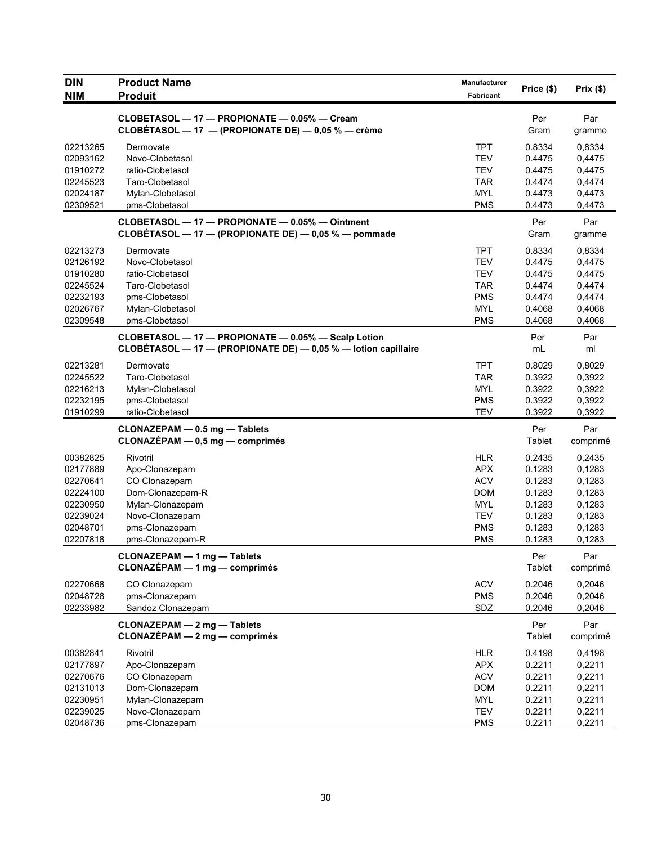| <b>DIN</b>           | <b>Product Name</b>                                                                                                   | Manufacturer             | Price (\$)       | Prix(\$)         |
|----------------------|-----------------------------------------------------------------------------------------------------------------------|--------------------------|------------------|------------------|
| <b>NIM</b>           | <b>Produit</b>                                                                                                        | Fabricant                |                  |                  |
|                      | CLOBETASOL - 17 - PROPIONATE - 0.05% - Cream                                                                          |                          | Per              | Par              |
|                      | CLOBÉTASOL - 17 - (PROPIONATE DE) - 0,05 % - crème                                                                    |                          | Gram             | gramme           |
| 02213265             | Dermovate                                                                                                             | <b>TPT</b>               | 0.8334           | 0,8334           |
| 02093162             | Novo-Clobetasol                                                                                                       | <b>TEV</b>               | 0.4475           | 0,4475           |
| 01910272             | ratio-Clobetasol                                                                                                      | <b>TEV</b>               | 0.4475           | 0,4475           |
| 02245523             | Taro-Clobetasol                                                                                                       | <b>TAR</b>               | 0.4474           | 0,4474           |
| 02024187             | Mylan-Clobetasol                                                                                                      | <b>MYL</b>               | 0.4473           | 0,4473           |
| 02309521             | pms-Clobetasol                                                                                                        | <b>PMS</b>               | 0.4473           | 0,4473           |
|                      | CLOBETASOL - 17 - PROPIONATE - 0.05% - Ointment<br>CLOBÉTASOL - 17 - (PROPIONATE DE) - 0,05 % - pommade               |                          | Per<br>Gram      | Par<br>gramme    |
| 02213273             | Dermovate                                                                                                             | <b>TPT</b>               | 0.8334           | 0,8334           |
| 02126192             | Novo-Clobetasol                                                                                                       | <b>TEV</b>               | 0.4475           | 0,4475           |
| 01910280             | ratio-Clobetasol                                                                                                      | <b>TEV</b>               | 0.4475           | 0,4475           |
| 02245524             | Taro-Clobetasol                                                                                                       | <b>TAR</b>               | 0.4474           | 0,4474           |
| 02232193             | pms-Clobetasol                                                                                                        | <b>PMS</b>               | 0.4474           | 0,4474           |
| 02026767             | Mylan-Clobetasol                                                                                                      | <b>MYL</b>               | 0.4068           | 0,4068           |
| 02309548             | pms-Clobetasol                                                                                                        | <b>PMS</b>               | 0.4068           | 0,4068           |
|                      | CLOBETASOL - 17 - PROPIONATE - 0.05% - Scalp Lotion<br>CLOBÉTASOL - 17 - (PROPIONATE DE) - 0,05 % - lotion capillaire |                          | Per<br>mL        | Par<br>ml        |
| 02213281             | Dermovate                                                                                                             | <b>TPT</b>               | 0.8029           | 0,8029           |
| 02245522             | Taro-Clobetasol                                                                                                       | <b>TAR</b>               | 0.3922           | 0,3922           |
| 02216213             | Mylan-Clobetasol                                                                                                      | <b>MYL</b>               | 0.3922           | 0,3922           |
| 02232195             | pms-Clobetasol                                                                                                        | <b>PMS</b>               | 0.3922           | 0,3922           |
| 01910299             | ratio-Clobetasol                                                                                                      | <b>TEV</b>               | 0.3922           | 0,3922           |
|                      | CLONAZEPAM - 0.5 mg - Tablets                                                                                         |                          | Per              | Par              |
|                      | $CLONAZÉPAM - 0,5 mg - comprimés$                                                                                     |                          | Tablet           | comprimé         |
| 00382825             | Rivotril                                                                                                              | <b>HLR</b>               | 0.2435           | 0,2435           |
| 02177889             | Apo-Clonazepam                                                                                                        | <b>APX</b>               | 0.1283           | 0,1283           |
| 02270641             | CO Clonazepam                                                                                                         | <b>ACV</b>               | 0.1283           | 0,1283           |
| 02224100             | Dom-Clonazepam-R                                                                                                      | <b>DOM</b>               | 0.1283           | 0,1283           |
| 02230950             | Mylan-Clonazepam                                                                                                      | MYL                      | 0.1283           | 0,1283           |
| 02239024<br>02048701 | Novo-Clonazepam<br>pms-Clonazepam                                                                                     | <b>TEV</b><br><b>PMS</b> | 0.1283<br>0.1283 | 0,1283<br>0,1283 |
| 02207818             | pms-Clonazepam-R                                                                                                      | <b>PMS</b>               | 0.1283           | 0,1283           |
|                      |                                                                                                                       |                          |                  |                  |
|                      | <b>CLONAZEPAM - 1 mg - Tablets</b><br>$CLONAZÉPAM - 1 mg - comprimés$                                                 |                          | Per<br>Tablet    | Par<br>comprimé  |
| 02270668             | CO Clonazepam                                                                                                         | <b>ACV</b>               | 0.2046           | 0,2046           |
| 02048728             | pms-Clonazepam                                                                                                        | <b>PMS</b>               | 0.2046           | 0,2046           |
| 02233982             | Sandoz Clonazepam                                                                                                     | SDZ                      | 0.2046           | 0,2046           |
|                      | <b>CLONAZEPAM - 2 mg - Tablets</b><br>$CLONAZÉPAM - 2 mg - comprimés$                                                 |                          | Per<br>Tablet    | Par<br>comprimé  |
| 00382841             | Rivotril                                                                                                              |                          |                  | 0,4198           |
| 02177897             |                                                                                                                       | <b>HLR</b><br><b>APX</b> | 0.4198<br>0.2211 | 0,2211           |
| 02270676             | Apo-Clonazepam<br>CO Clonazepam                                                                                       | <b>ACV</b>               | 0.2211           | 0,2211           |
| 02131013             | Dom-Clonazepam                                                                                                        | <b>DOM</b>               | 0.2211           | 0,2211           |
| 02230951             | Mylan-Clonazepam                                                                                                      | <b>MYL</b>               | 0.2211           | 0,2211           |
| 02239025             | Novo-Clonazepam                                                                                                       | TEV                      | 0.2211           | 0,2211           |
| 02048736             | pms-Clonazepam                                                                                                        | <b>PMS</b>               | 0.2211           | 0,2211           |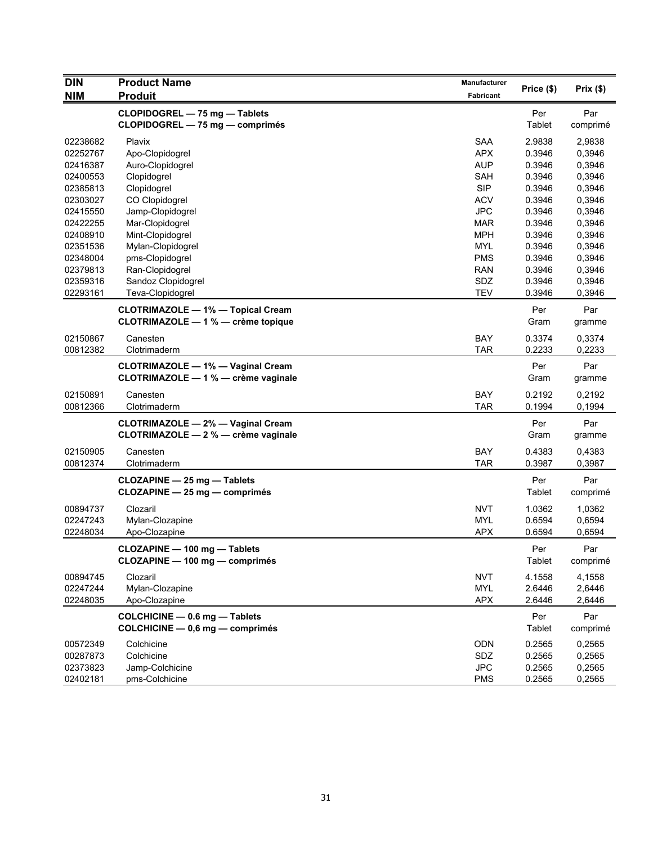| <b>DIN</b> | <b>Product Name</b>                                          | <b>Manufacturer</b> |            | Prix(\$) |
|------------|--------------------------------------------------------------|---------------------|------------|----------|
| <b>NIM</b> | <b>Produit</b>                                               | <b>Fabricant</b>    | Price (\$) |          |
|            | CLOPIDOGREL - 75 mg - Tablets                                |                     | Per        | Par      |
|            | CLOPIDOGREL - 75 mg - comprimés                              |                     | Tablet     | comprimé |
| 02238682   | Plavix                                                       | <b>SAA</b>          | 2.9838     | 2,9838   |
| 02252767   | Apo-Clopidogrel                                              | APX                 | 0.3946     | 0,3946   |
| 02416387   | Auro-Clopidogrel                                             | <b>AUP</b>          | 0.3946     | 0,3946   |
| 02400553   | Clopidogrel                                                  | <b>SAH</b>          | 0.3946     | 0,3946   |
| 02385813   | Clopidogrel                                                  | <b>SIP</b>          | 0.3946     | 0,3946   |
| 02303027   | CO Clopidogrel                                               | <b>ACV</b>          | 0.3946     | 0,3946   |
| 02415550   | Jamp-Clopidogrel                                             | <b>JPC</b>          | 0.3946     | 0,3946   |
| 02422255   | Mar-Clopidogrel                                              | MAR                 | 0.3946     | 0,3946   |
| 02408910   | Mint-Clopidogrel                                             | <b>MPH</b>          | 0.3946     | 0,3946   |
| 02351536   | Mylan-Clopidogrel                                            | <b>MYL</b>          | 0.3946     | 0,3946   |
| 02348004   | pms-Clopidogrel                                              | <b>PMS</b>          | 0.3946     | 0,3946   |
| 02379813   | Ran-Clopidogrel                                              | <b>RAN</b>          | 0.3946     | 0,3946   |
| 02359316   | Sandoz Clopidogrel                                           | SDZ                 | 0.3946     | 0,3946   |
| 02293161   | Teva-Clopidogrel                                             | <b>TEV</b>          | 0.3946     | 0,3946   |
|            |                                                              |                     |            |          |
|            | <b>CLOTRIMAZOLE - 1% - Topical Cream</b>                     |                     | Per        | Par      |
|            | CLOTRIMAZOLE - 1 % - crème topique                           |                     | Gram       | gramme   |
| 02150867   | Canesten                                                     | <b>BAY</b>          | 0.3374     | 0,3374   |
| 00812382   | Clotrimaderm                                                 | <b>TAR</b>          | 0.2233     | 0,2233   |
|            | <b>CLOTRIMAZOLE - 1% - Vaginal Cream</b>                     |                     | Per        | Par      |
|            | CLOTRIMAZOLE - 1 % - crème vaginale                          |                     | Gram       | gramme   |
|            |                                                              |                     |            |          |
| 02150891   | Canesten                                                     | <b>BAY</b>          | 0.2192     | 0,2192   |
| 00812366   | Clotrimaderm                                                 | <b>TAR</b>          | 0.1994     | 0,1994   |
|            | <b>CLOTRIMAZOLE - 2% - Vaginal Cream</b>                     |                     | Per        | Par      |
|            | CLOTRIMAZOLE - 2 % - crème vaginale                          |                     | Gram       | gramme   |
| 02150905   | Canesten                                                     | <b>BAY</b>          | 0.4383     | 0,4383   |
| 00812374   | Clotrimaderm                                                 | <b>TAR</b>          | 0.3987     | 0,3987   |
|            |                                                              |                     | Per        | Par      |
|            | CLOZAPINE - 25 mg - Tablets<br>CLOZAPINE - 25 mg - comprimés |                     | Tablet     | comprimé |
|            |                                                              |                     |            |          |
| 00894737   | Clozaril                                                     | <b>NVT</b>          | 1.0362     | 1,0362   |
| 02247243   | Mylan-Clozapine                                              | <b>MYL</b>          | 0.6594     | 0,6594   |
| 02248034   | Apo-Clozapine                                                | <b>APX</b>          | 0.6594     | 0,6594   |
|            | CLOZAPINE - 100 mg - Tablets                                 |                     | Per        | Par      |
|            | CLOZAPINE - 100 mg - comprimés                               |                     | Tablet     | comprimé |
|            |                                                              |                     |            |          |
| 00894745   | Clozaril                                                     | <b>NVT</b>          | 4.1558     | 4,1558   |
| 02247244   | Mylan-Clozapine                                              | <b>MYL</b>          | 2.6446     | 2,6446   |
| 02248035   | Apo-Clozapine                                                | <b>APX</b>          | 2.6446     | 2,6446   |
|            | COLCHICINE - 0.6 mg - Tablets                                |                     | Per        | Par      |
|            | COLCHICINE - 0,6 mg - comprimés                              |                     | Tablet     | comprimé |
| 00572349   | Colchicine                                                   | ODN                 | 0.2565     | 0,2565   |
| 00287873   | Colchicine                                                   | SDZ                 | 0.2565     | 0,2565   |
| 02373823   | Jamp-Colchicine                                              | <b>JPC</b>          | 0.2565     | 0,2565   |
| 02402181   | pms-Colchicine                                               | <b>PMS</b>          | 0.2565     | 0,2565   |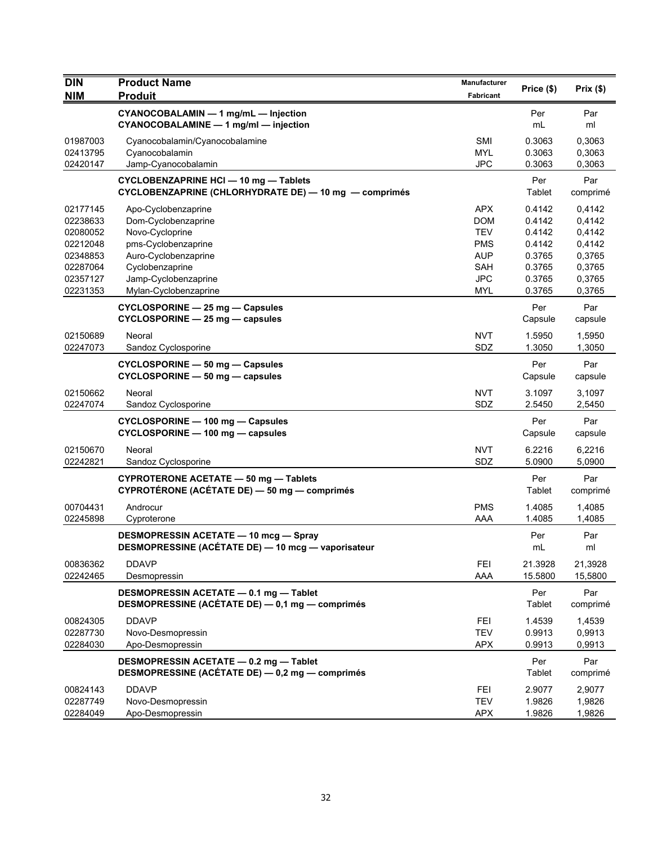| <b>DIN</b>           | <b>Product Name</b>                                                                                | <b>Manufacturer</b>      | Price (\$)         | Prix(\$)           |
|----------------------|----------------------------------------------------------------------------------------------------|--------------------------|--------------------|--------------------|
| <b>NIM</b>           | <b>Produit</b>                                                                                     | <b>Fabricant</b>         |                    |                    |
|                      | CYANOCOBALAMIN - 1 mg/mL - Injection<br>CYANOCOBALAMINE - 1 mg/ml - injection                      |                          | Per<br>mL          | Par<br>ml          |
| 01987003             | Cyanocobalamin/Cyanocobalamine                                                                     | <b>SMI</b>               | 0.3063             | 0,3063             |
| 02413795<br>02420147 | Cyanocobalamin<br>Jamp-Cyanocobalamin                                                              | <b>MYL</b><br><b>JPC</b> | 0.3063<br>0.3063   | 0,3063<br>0,3063   |
|                      | <b>CYCLOBENZAPRINE HCI - 10 mg - Tablets</b>                                                       |                          | Per                | Par                |
|                      | CYCLOBENZAPRINE (CHLORHYDRATE DE) - 10 mg - comprimés                                              |                          | Tablet             | comprimé           |
| 02177145             | Apo-Cyclobenzaprine                                                                                | <b>APX</b>               | 0.4142             | 0,4142             |
| 02238633             | Dom-Cyclobenzaprine                                                                                | <b>DOM</b><br><b>TEV</b> | 0.4142<br>0.4142   | 0,4142             |
| 02080052<br>02212048 | Novo-Cycloprine<br>pms-Cyclobenzaprine                                                             | <b>PMS</b>               | 0.4142             | 0,4142<br>0,4142   |
| 02348853             | Auro-Cyclobenzaprine                                                                               | <b>AUP</b>               | 0.3765             | 0,3765             |
| 02287064             | Cyclobenzaprine                                                                                    | <b>SAH</b>               | 0.3765             | 0,3765             |
| 02357127             | Jamp-Cyclobenzaprine                                                                               | <b>JPC</b>               | 0.3765             | 0,3765             |
| 02231353             | Mylan-Cyclobenzaprine                                                                              | <b>MYL</b>               | 0.3765             | 0,3765             |
|                      | CYCLOSPORINE - 25 mg - Capsules<br>$CYCLOSPORINE - 25 mg - capsules$                               |                          | Per<br>Capsule     | Par<br>capsule     |
| 02150689             |                                                                                                    | <b>NVT</b>               | 1.5950             |                    |
| 02247073             | Neoral<br>Sandoz Cyclosporine                                                                      | SDZ                      | 1.3050             | 1,5950<br>1,3050   |
|                      | <b>CYCLOSPORINE - 50 mg - Capsules</b>                                                             |                          | Per                | Par                |
|                      | CYCLOSPORINE - 50 mg - capsules                                                                    |                          | Capsule            | capsule            |
| 02150662             | Neoral                                                                                             | <b>NVT</b>               | 3.1097             | 3,1097             |
| 02247074             | Sandoz Cyclosporine                                                                                | SDZ                      | 2.5450             | 2,5450             |
|                      | CYCLOSPORINE - 100 mg - Capsules<br>CYCLOSPORINE - 100 mg - capsules                               |                          | Per<br>Capsule     | Par<br>capsule     |
| 02150670             | Neoral                                                                                             | <b>NVT</b>               | 6.2216             | 6,2216             |
| 02242821             | Sandoz Cyclosporine                                                                                | SDZ                      | 5.0900             | 5,0900             |
|                      | CYPROTERONE ACETATE - 50 mg - Tablets                                                              |                          | Per                | Par                |
|                      | CYPROTÉRONE (ACÉTATE DE) — 50 mg — comprimés                                                       |                          | Tablet             | comprimé           |
| 00704431             | Androcur                                                                                           | <b>PMS</b>               | 1.4085             | 1,4085             |
| 02245898             | Cyproterone                                                                                        | AAA                      | 1.4085             | 1,4085             |
|                      | <b>DESMOPRESSIN ACETATE - 10 mcg - Spray</b><br>DESMOPRESSINE (ACÉTATE DE) - 10 mcg - vaporisateur |                          | Per<br>mL          | Par<br>ml          |
|                      |                                                                                                    |                          |                    |                    |
| 00836362<br>02242465 | <b>DDAVP</b><br>Desmopressin                                                                       | <b>FEI</b><br>AAA        | 21.3928<br>15.5800 | 21,3928<br>15,5800 |
|                      |                                                                                                    |                          | Per                | Par                |
|                      | DESMOPRESSIN ACETATE - 0.1 mg - Tablet<br>DESMOPRESSINE (ACÉTATE DE) - 0,1 mg - comprimés          |                          | Tablet             | comprimé           |
| 00824305             | <b>DDAVP</b>                                                                                       | <b>FEI</b>               | 1.4539             | 1,4539             |
| 02287730             | Novo-Desmopressin                                                                                  | <b>TEV</b>               | 0.9913             | 0,9913             |
| 02284030             | Apo-Desmopressin                                                                                   | <b>APX</b>               | 0.9913             | 0,9913             |
|                      | DESMOPRESSIN ACETATE - 0.2 mg - Tablet<br>DESMOPRESSINE (ACÉTATE DE) - 0,2 mg - comprimés          |                          | Per<br>Tablet      | Par<br>comprimé    |
| 00824143             | <b>DDAVP</b>                                                                                       | <b>FEI</b>               | 2.9077             | 2,9077             |
| 02287749             | Novo-Desmopressin                                                                                  | <b>TEV</b>               | 1.9826             | 1,9826             |
| 02284049             | Apo-Desmopressin                                                                                   | <b>APX</b>               | 1.9826             | 1,9826             |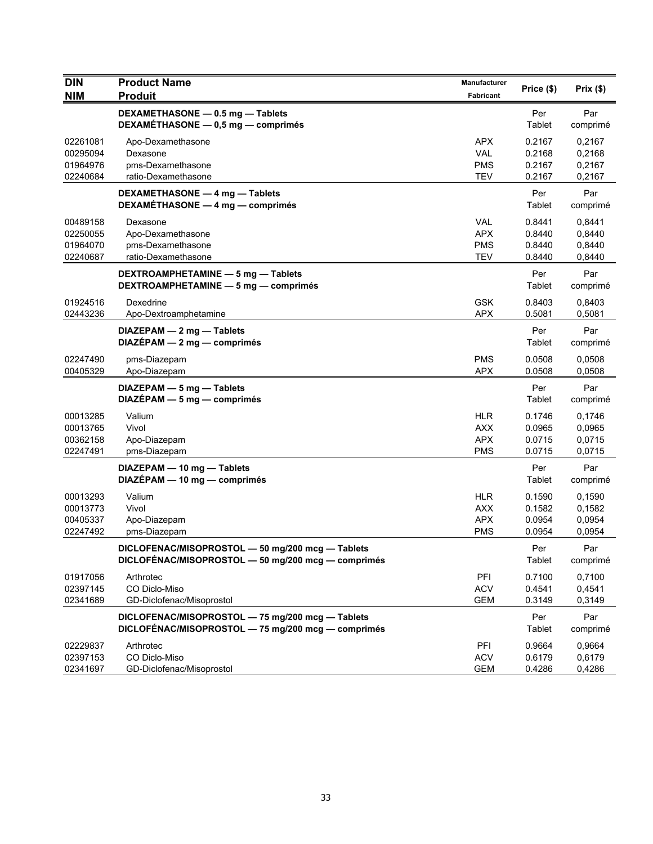| <b>DIN</b><br><b>NIM</b>                     | <b>Product Name</b><br><b>Produit</b>                                                                  | Manufacturer<br>Fabricant                            | Price (\$)                           | Prix(\$)                             |
|----------------------------------------------|--------------------------------------------------------------------------------------------------------|------------------------------------------------------|--------------------------------------|--------------------------------------|
|                                              | DEXAMETHASONE - 0.5 mg - Tablets<br>DEXAMÉTHASONE - 0,5 mg - comprimés                                 |                                                      | Per<br>Tablet                        | Par<br>comprimé                      |
| 02261081<br>00295094<br>01964976<br>02240684 | Apo-Dexamethasone<br>Dexasone<br>pms-Dexamethasone<br>ratio-Dexamethasone                              | <b>APX</b><br><b>VAL</b><br>PMS<br><b>TEV</b>        | 0.2167<br>0.2168<br>0.2167<br>0.2167 | 0,2167<br>0,2168<br>0,2167<br>0,2167 |
|                                              | DEXAMETHASONE - 4 mg - Tablets<br>DEXAMÉTHASONE - 4 mg - comprimés                                     |                                                      | Per<br>Tablet                        | Par<br>comprimé                      |
| 00489158<br>02250055<br>01964070<br>02240687 | Dexasone<br>Apo-Dexamethasone<br>pms-Dexamethasone<br>ratio-Dexamethasone                              | <b>VAL</b><br><b>APX</b><br><b>PMS</b><br><b>TEV</b> | 0.8441<br>0.8440<br>0.8440<br>0.8440 | 0,8441<br>0,8440<br>0,8440<br>0,8440 |
|                                              | DEXTROAMPHETAMINE - 5 mg - Tablets<br>DEXTROAMPHETAMINE - 5 mg - comprimés                             |                                                      | Per<br>Tablet                        | Par<br>comprimé                      |
| 01924516<br>02443236                         | Dexedrine<br>Apo-Dextroamphetamine                                                                     | <b>GSK</b><br><b>APX</b>                             | 0.8403<br>0.5081                     | 0,8403<br>0,5081                     |
|                                              | DIAZEPAM - 2 mg - Tablets<br>$DIAZÉPAM - 2 mg - comprimés$                                             |                                                      | Per<br>Tablet                        | Par<br>comprimé                      |
| 02247490<br>00405329                         | pms-Diazepam<br>Apo-Diazepam                                                                           | <b>PMS</b><br><b>APX</b>                             | 0.0508<br>0.0508                     | 0,0508<br>0.0508                     |
|                                              | DIAZEPAM - 5 mg - Tablets<br>$DIAZÉPAM - 5 mg - comprimés$                                             |                                                      | Per<br>Tablet                        | Par<br>comprimé                      |
| 00013285<br>00013765<br>00362158<br>02247491 | Valium<br>Vivol<br>Apo-Diazepam<br>pms-Diazepam                                                        | <b>HLR</b><br><b>AXX</b><br><b>APX</b><br><b>PMS</b> | 0.1746<br>0.0965<br>0.0715<br>0.0715 | 0,1746<br>0,0965<br>0,0715<br>0,0715 |
|                                              | DIAZEPAM - 10 mg - Tablets<br>DIAZÉPAM - 10 mg - comprimés                                             |                                                      | Per<br>Tablet                        | Par<br>comprimé                      |
| 00013293<br>00013773<br>00405337<br>02247492 | Valium<br>Vivol<br>Apo-Diazepam<br>pms-Diazepam                                                        | <b>HLR</b><br><b>AXX</b><br><b>APX</b><br><b>PMS</b> | 0.1590<br>0.1582<br>0.0954<br>0.0954 | 0,1590<br>0,1582<br>0,0954<br>0,0954 |
|                                              | DICLOFENAC/MISOPROSTOL - 50 mg/200 mcg - Tablets<br>DICLOFÉNAC/MISOPROSTOL - 50 mg/200 mcg - comprimés |                                                      | Per<br>Tablet                        | Par<br>comprimé                      |
| 01917056<br>02397145<br>02341689             | Arthrotec<br>CO Diclo-Miso<br>GD-Diclofenac/Misoprostol                                                | PFI<br><b>ACV</b><br>GEM                             | 0.7100<br>0.4541<br>0.3149           | 0,7100<br>0,4541<br>0,3149           |
|                                              | DICLOFENAC/MISOPROSTOL - 75 mg/200 mcg - Tablets<br>DICLOFÉNAC/MISOPROSTOL - 75 mg/200 mcg - comprimés |                                                      | Per<br>Tablet                        | Par<br>comprimé                      |
| 02229837<br>02397153<br>02341697             | Arthrotec<br>CO Diclo-Miso<br>GD-Diclofenac/Misoprostol                                                | PFI<br><b>ACV</b><br><b>GEM</b>                      | 0.9664<br>0.6179<br>0.4286           | 0,9664<br>0,6179<br>0,4286           |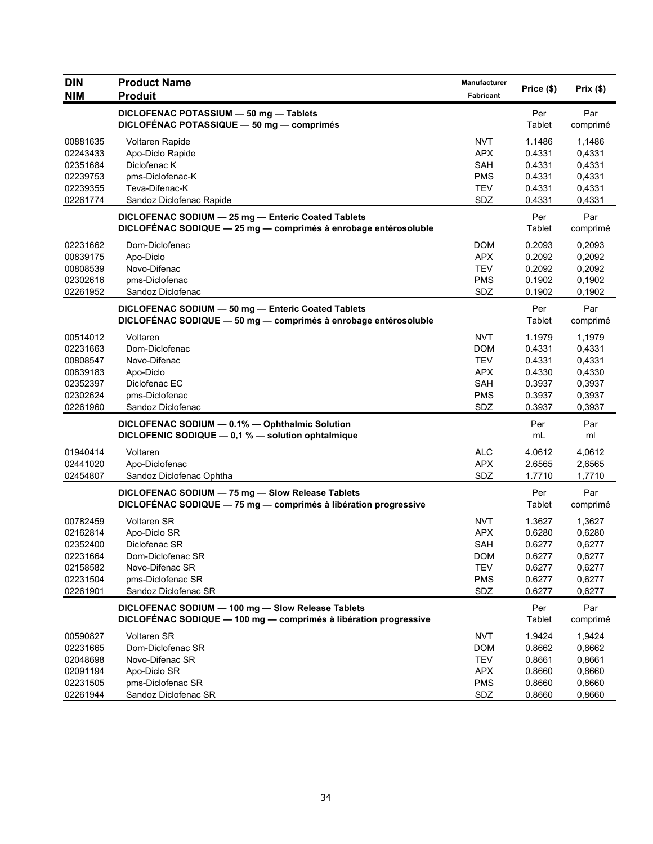| <b>DIN</b> | <b>Product Name</b>                                                                                                   | Manufacturer | Price (\$)    | Prix $(\$)$     |
|------------|-----------------------------------------------------------------------------------------------------------------------|--------------|---------------|-----------------|
| <b>NIM</b> | <b>Produit</b>                                                                                                        | Fabricant    |               |                 |
|            | DICLOFENAC POTASSIUM - 50 mg - Tablets                                                                                |              | Per           | Par             |
|            | DICLOFÉNAC POTASSIQUE - 50 mg - comprimés                                                                             |              | Tablet        | comprimé        |
| 00881635   | Voltaren Rapide                                                                                                       | <b>NVT</b>   | 1.1486        | 1.1486          |
| 02243433   | Apo-Diclo Rapide                                                                                                      | <b>APX</b>   | 0.4331        | 0,4331          |
| 02351684   | Diclofenac K                                                                                                          | SAH          | 0.4331        | 0,4331          |
| 02239753   | pms-Diclofenac-K                                                                                                      | <b>PMS</b>   | 0.4331        | 0,4331          |
| 02239355   | Teva-Difenac-K                                                                                                        | <b>TEV</b>   | 0.4331        | 0,4331          |
| 02261774   | Sandoz Diclofenac Rapide                                                                                              | SDZ          | 0.4331        | 0,4331          |
|            | DICLOFENAC SODIUM - 25 mg - Enteric Coated Tablets<br>DICLOFÉNAC SODIQUE - 25 mg - comprimés à enrobage entérosoluble |              | Per<br>Tablet | Par<br>comprimé |
| 02231662   | Dom-Diclofenac                                                                                                        | <b>DOM</b>   | 0.2093        | 0,2093          |
| 00839175   | Apo-Diclo                                                                                                             | <b>APX</b>   | 0.2092        | 0,2092          |
| 00808539   | Novo-Difenac                                                                                                          | <b>TEV</b>   | 0.2092        | 0,2092          |
| 02302616   | pms-Diclofenac                                                                                                        | <b>PMS</b>   | 0.1902        | 0,1902          |
| 02261952   | Sandoz Diclofenac                                                                                                     | SDZ          | 0.1902        | 0,1902          |
|            | DICLOFENAC SODIUM - 50 mg - Enteric Coated Tablets                                                                    |              | Per           | Par             |
|            | DICLOFÉNAC SODIQUE - 50 mg - comprimés à enrobage entérosoluble                                                       |              | Tablet        | comprimé        |
| 00514012   | Voltaren                                                                                                              | <b>NVT</b>   | 1.1979        | 1,1979          |
| 02231663   | Dom-Diclofenac                                                                                                        | <b>DOM</b>   | 0.4331        | 0,4331          |
| 00808547   | Novo-Difenac                                                                                                          | <b>TEV</b>   | 0.4331        | 0,4331          |
| 00839183   | Apo-Diclo                                                                                                             | <b>APX</b>   | 0.4330        | 0,4330          |
| 02352397   | Diclofenac EC                                                                                                         | SAH          | 0.3937        | 0,3937          |
| 02302624   | pms-Diclofenac                                                                                                        | <b>PMS</b>   | 0.3937        | 0,3937          |
| 02261960   | Sandoz Diclofenac                                                                                                     | SDZ          | 0.3937        | 0,3937          |
|            | DICLOFENAC SODIUM - 0.1% - Ophthalmic Solution                                                                        |              | Per           | Par             |
|            | DICLOFENIC SODIQUE - 0,1 % - solution ophtalmique                                                                     |              | mL            | ml              |
| 01940414   | Voltaren                                                                                                              | <b>ALC</b>   | 4.0612        | 4,0612          |
| 02441020   | Apo-Diclofenac                                                                                                        | <b>APX</b>   | 2.6565        | 2,6565          |
| 02454807   | Sandoz Diclofenac Ophtha                                                                                              | SDZ          | 1.7710        | 1,7710          |
|            | DICLOFENAC SODIUM - 75 mg - Slow Release Tablets                                                                      |              | Per           | Par             |
|            | DICLOFÉNAC SODIQUE - 75 mg - comprimés à libération progressive                                                       |              | Tablet        | comprimé        |
| 00782459   | <b>Voltaren SR</b>                                                                                                    | <b>NVT</b>   | 1.3627        | 1,3627          |
| 02162814   | Apo-Diclo SR                                                                                                          | <b>APX</b>   | 0.6280        | 0,6280          |
| 02352400   | Diclofenac SR                                                                                                         | SAH          | 0.6277        | 0,6277          |
| 02231664   | Dom-Diclofenac SR                                                                                                     | <b>DOM</b>   | 0.6277        | 0,6277          |
| 02158582   | Novo-Difenac SR                                                                                                       | <b>TEV</b>   | 0.6277        | 0,6277          |
| 02231504   | pms-Diclofenac SR                                                                                                     | <b>PMS</b>   | 0.6277        | 0,6277          |
| 02261901   | Sandoz Diclofenac SR                                                                                                  | SDZ          | 0.6277        | 0,6277          |
|            | DICLOFENAC SODIUM - 100 mg - Slow Release Tablets<br>DICLOFÉNAC SODIQUE - 100 mg - comprimés à libération progressive |              | Per<br>Tablet | Par<br>comprimé |
| 00590827   | Voltaren SR                                                                                                           | <b>NVT</b>   | 1.9424        | 1,9424          |
| 02231665   | Dom-Diclofenac SR                                                                                                     | <b>DOM</b>   | 0.8662        | 0,8662          |
| 02048698   | Novo-Difenac SR                                                                                                       | <b>TEV</b>   | 0.8661        | 0,8661          |
| 02091194   | Apo-Diclo SR                                                                                                          | <b>APX</b>   | 0.8660        | 0,8660          |
| 02231505   | pms-Diclofenac SR                                                                                                     | <b>PMS</b>   | 0.8660        | 0,8660          |
| 02261944   | Sandoz Diclofenac SR                                                                                                  | SDZ          | 0.8660        | 0,8660          |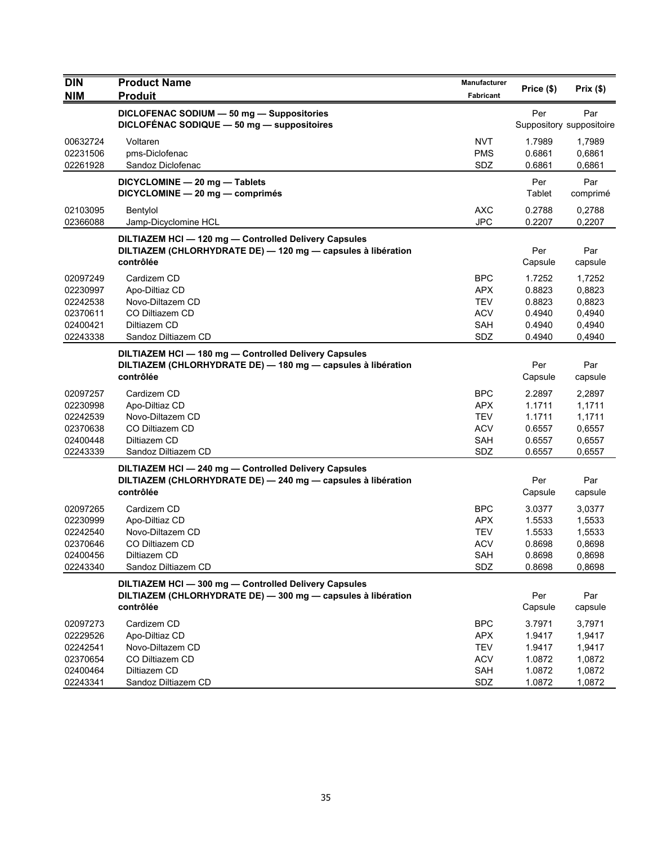| <b>DIN</b>                                                           | <b>Product Name</b>                                                                                                            | Manufacturer                                                | Price (\$)                                               | Prix(\$)                                                 |
|----------------------------------------------------------------------|--------------------------------------------------------------------------------------------------------------------------------|-------------------------------------------------------------|----------------------------------------------------------|----------------------------------------------------------|
| <b>NIM</b>                                                           | <b>Produit</b>                                                                                                                 | <b>Fabricant</b>                                            |                                                          |                                                          |
|                                                                      | DICLOFENAC SODIUM - 50 mg - Suppositories<br>DICLOFÉNAC SODIQUE - 50 mg - suppositoires                                        |                                                             | Per                                                      | Par<br>Suppository suppositoire                          |
| 00632724<br>02231506<br>02261928                                     | Voltaren<br>pms-Diclofenac<br>Sandoz Diclofenac                                                                                | <b>NVT</b><br><b>PMS</b><br>SDZ                             | 1.7989<br>0.6861<br>0.6861                               | 1,7989<br>0,6861<br>0,6861                               |
|                                                                      | DICYCLOMINE - 20 mg - Tablets<br>DICYCLOMINE - 20 mg - comprimés                                                               |                                                             | Per<br>Tablet                                            | Par<br>comprimé                                          |
| 02103095<br>02366088                                                 | Bentylol<br>Jamp-Dicyclomine HCL                                                                                               | <b>AXC</b><br><b>JPC</b>                                    | 0.2788<br>0.2207                                         | 0,2788<br>0,2207                                         |
|                                                                      | DILTIAZEM HCI-120 mg-Controlled Delivery Capsules<br>DILTIAZEM (CHLORHYDRATE DE) - 120 mg - capsules à libération<br>contrôlée |                                                             | Per<br>Capsule                                           | Par<br>capsule                                           |
| 02097249<br>02230997<br>02242538<br>02370611<br>02400421<br>02243338 | Cardizem CD<br>Apo-Diltiaz CD<br>Novo-Diltazem CD<br>CO Diltiazem CD<br>Diltiazem CD<br>Sandoz Diltiazem CD                    | <b>BPC</b><br><b>APX</b><br>TEV<br><b>ACV</b><br>SAH<br>SDZ | 1.7252<br>0.8823<br>0.8823<br>0.4940<br>0.4940<br>0.4940 | 1,7252<br>0,8823<br>0,8823<br>0,4940<br>0,4940<br>0,4940 |
|                                                                      | DILTIAZEM HCI-180 mg-Controlled Delivery Capsules<br>DILTIAZEM (CHLORHYDRATE DE) - 180 mg - capsules à libération<br>contrôlée |                                                             | Per<br>Capsule                                           | Par<br>capsule                                           |
| 02097257<br>02230998<br>02242539<br>02370638<br>02400448<br>02243339 | Cardizem CD<br>Apo-Diltiaz CD<br>Novo-Diltazem CD<br>CO Diltiazem CD<br>Diltiazem CD<br>Sandoz Diltiazem CD                    | <b>BPC</b><br><b>APX</b><br>TEV<br><b>ACV</b><br>SAH<br>SDZ | 2.2897<br>1.1711<br>1.1711<br>0.6557<br>0.6557<br>0.6557 | 2,2897<br>1,1711<br>1,1711<br>0,6557<br>0,6557<br>0,6557 |
|                                                                      | DILTIAZEM HCI-240 mg-Controlled Delivery Capsules<br>DILTIAZEM (CHLORHYDRATE DE) - 240 mg - capsules à libération<br>contrôlée |                                                             | Per<br>Capsule                                           | Par<br>capsule                                           |
| 02097265<br>02230999<br>02242540<br>02370646<br>02400456<br>02243340 | Cardizem CD<br>Apo-Diltiaz CD<br>Novo-Diltazem CD<br>CO Diltiazem CD<br>Diltiazem CD<br>Sandoz Diltiazem CD                    | <b>BPC</b><br><b>APX</b><br>TEV<br><b>ACV</b><br>SAH<br>SDZ | 3.0377<br>1.5533<br>1.5533<br>0.8698<br>0.8698<br>0.8698 | 3,0377<br>1,5533<br>1,5533<br>0,8698<br>0,8698<br>0,8698 |
|                                                                      | DILTIAZEM HCI-300 mg-Controlled Delivery Capsules<br>DILTIAZEM (CHLORHYDRATE DE) - 300 mg - capsules à libération<br>contrôlée |                                                             | Per<br>Capsule                                           | Par<br>capsule                                           |
| 02097273<br>02229526<br>02242541<br>02370654<br>02400464<br>02243341 | Cardizem CD<br>Apo-Diltiaz CD<br>Novo-Diltazem CD<br>CO Diltiazem CD<br>Diltiazem CD<br>Sandoz Diltiazem CD                    | <b>BPC</b><br><b>APX</b><br>TEV<br><b>ACV</b><br>SAH<br>SDZ | 3.7971<br>1.9417<br>1.9417<br>1.0872<br>1.0872<br>1.0872 | 3.7971<br>1,9417<br>1,9417<br>1,0872<br>1,0872<br>1,0872 |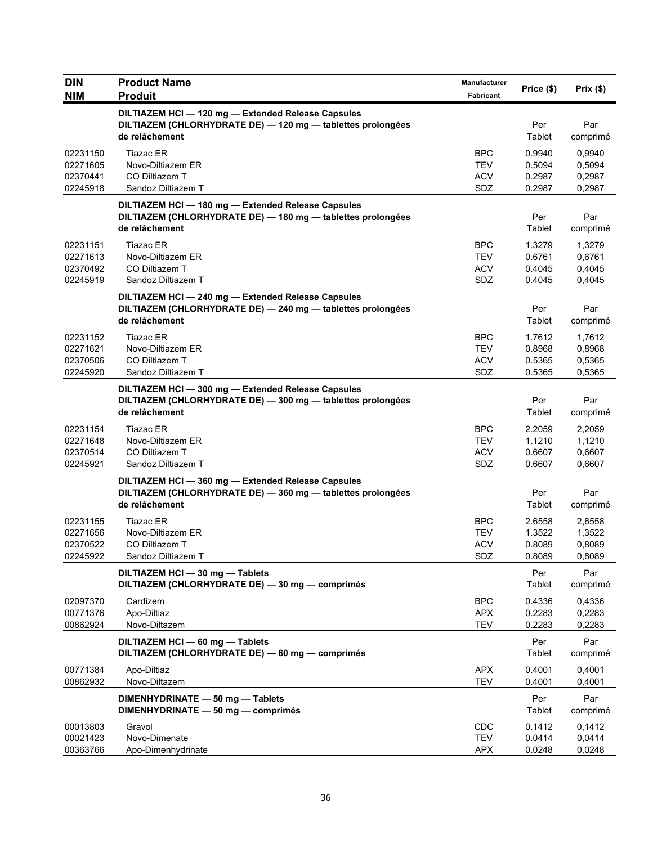| <b>DIN</b><br><b>NIM</b>                     | <b>Product Name</b><br><b>Produit</b>                                                                                               | <b>Manufacturer</b><br>Fabricant              | Price (\$)                           | Prix(\$)                             |
|----------------------------------------------|-------------------------------------------------------------------------------------------------------------------------------------|-----------------------------------------------|--------------------------------------|--------------------------------------|
|                                              | DILTIAZEM HCI - 120 mg - Extended Release Capsules<br>DILTIAZEM (CHLORHYDRATE DE) - 120 mg - tablettes prolongées<br>de relâchement |                                               | Per<br>Tablet                        | Par<br>comprimé                      |
| 02231150<br>02271605<br>02370441<br>02245918 | <b>Tiazac ER</b><br>Novo-Diltiazem ER<br>CO Diltiazem T<br>Sandoz Diltiazem T                                                       | <b>BPC</b><br>TEV<br><b>ACV</b><br>SDZ        | 0.9940<br>0.5094<br>0.2987<br>0.2987 | 0.9940<br>0,5094<br>0,2987<br>0,2987 |
|                                              | DILTIAZEM HCI - 180 mg - Extended Release Capsules<br>DILTIAZEM (CHLORHYDRATE DE) - 180 mg - tablettes prolongées<br>de relâchement |                                               | Per<br>Tablet                        | Par<br>comprimé                      |
| 02231151<br>02271613<br>02370492<br>02245919 | <b>Tiazac ER</b><br>Novo-Diltiazem ER<br>CO Diltiazem T<br>Sandoz Diltiazem T                                                       | <b>BPC</b><br><b>TEV</b><br><b>ACV</b><br>SDZ | 1.3279<br>0.6761<br>0.4045<br>0.4045 | 1,3279<br>0,6761<br>0,4045<br>0,4045 |
|                                              | DILTIAZEM HCI-240 mg-Extended Release Capsules<br>DILTIAZEM (CHLORHYDRATE DE) - 240 mg - tablettes prolongées<br>de relâchement     |                                               | Per<br>Tablet                        | Par<br>comprimé                      |
| 02231152<br>02271621<br>02370506<br>02245920 | <b>Tiazac ER</b><br>Novo-Diltiazem ER<br>CO Diltiazem T<br>Sandoz Diltiazem T                                                       | <b>BPC</b><br><b>TEV</b><br><b>ACV</b><br>SDZ | 1.7612<br>0.8968<br>0.5365<br>0.5365 | 1,7612<br>0,8968<br>0,5365<br>0,5365 |
|                                              | DILTIAZEM HCI-300 mg-Extended Release Capsules<br>DILTIAZEM (CHLORHYDRATE DE) - 300 mg - tablettes prolongées<br>de relâchement     |                                               | Per<br>Tablet                        | Par<br>comprimé                      |
| 02231154<br>02271648<br>02370514<br>02245921 | <b>Tiazac ER</b><br>Novo-Diltiazem ER<br>CO Diltiazem T<br>Sandoz Diltiazem T                                                       | <b>BPC</b><br><b>TEV</b><br><b>ACV</b><br>SDZ | 2.2059<br>1.1210<br>0.6607<br>0.6607 | 2,2059<br>1,1210<br>0,6607<br>0,6607 |
|                                              | DILTIAZEM HCI-360 mg-Extended Release Capsules<br>DILTIAZEM (CHLORHYDRATE DE) - 360 mg - tablettes prolongées<br>de relâchement     |                                               | Per<br>Tablet                        | Par<br>comprimé                      |
| 02231155<br>02271656<br>02370522<br>02245922 | <b>Tiazac ER</b><br>Novo-Diltiazem ER<br>CO Diltiazem T<br>Sandoz Diltiazem T                                                       | <b>BPC</b><br>TEV<br><b>ACV</b><br>SDZ        | 2.6558<br>1.3522<br>0.8089<br>0.8089 | 2,6558<br>1,3522<br>0,8089<br>0,8089 |
|                                              | DILTIAZEM HCI - 30 mg - Tablets<br>DILTIAZEM (CHLORHYDRATE DE) - 30 mg - comprimés                                                  |                                               | Per<br>Tablet                        | Par<br>comprimé                      |
| 02097370<br>00771376<br>00862924             | Cardizem<br>Apo-Diltiaz<br>Novo-Diltazem                                                                                            | <b>BPC</b><br>APX<br><b>TEV</b>               | 0.4336<br>0.2283<br>0.2283           | 0,4336<br>0,2283<br>0,2283           |
|                                              | DILTIAZEM HCI - 60 mg - Tablets<br>DILTIAZEM (CHLORHYDRATE DE) - 60 mg - comprimés                                                  |                                               | Per<br>Tablet                        | Par<br>comprimé                      |
| 00771384<br>00862932                         | Apo-Diltiaz<br>Novo-Diltazem                                                                                                        | <b>APX</b><br><b>TEV</b>                      | 0.4001<br>0.4001                     | 0,4001<br>0,4001                     |
|                                              | DIMENHYDRINATE - 50 mg - Tablets<br>DIMENHYDRINATE - 50 mg - comprimés                                                              |                                               | Per<br>Tablet                        | Par<br>comprimé                      |
| 00013803<br>00021423<br>00363766             | Gravol<br>Novo-Dimenate<br>Apo-Dimenhydrinate                                                                                       | CDC<br><b>TEV</b><br><b>APX</b>               | 0.1412<br>0.0414<br>0.0248           | 0,1412<br>0,0414<br>0,0248           |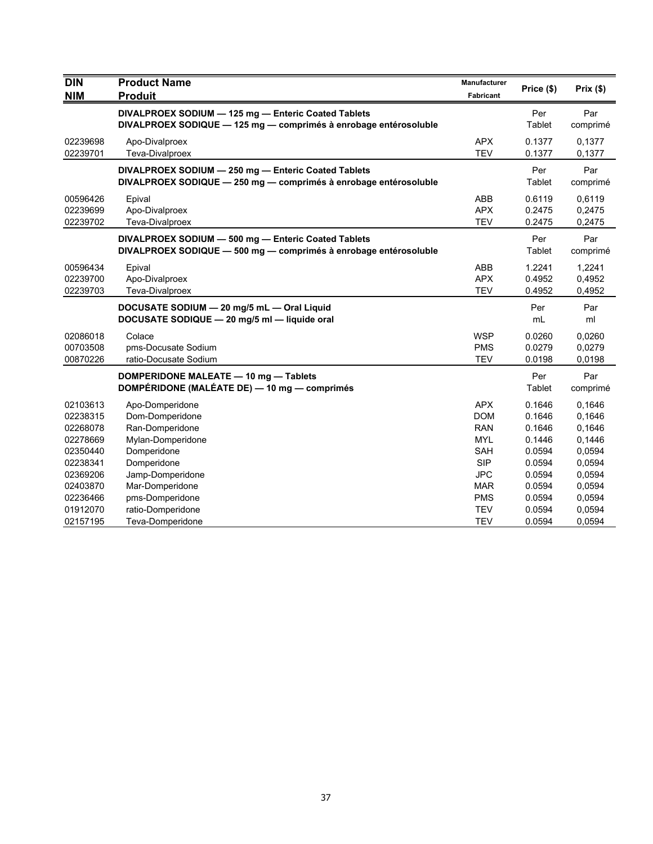| <b>DIN</b><br><b>NIM</b> | <b>Product Name</b><br><b>Produit</b>                                                                                   | Manufacturer<br>Fabricant | Price (\$)    | Prix(\$)        |
|--------------------------|-------------------------------------------------------------------------------------------------------------------------|---------------------------|---------------|-----------------|
|                          | DIVALPROEX SODIUM - 125 mg - Enteric Coated Tablets<br>DIVALPROEX SODIQUE - 125 mg - comprimés à enrobage entérosoluble |                           | Per<br>Tablet | Par<br>comprimé |
| 02239698                 | Apo-Divalproex                                                                                                          | <b>APX</b>                | 0.1377        | 0,1377          |
| 02239701                 | Teva-Divalproex                                                                                                         | <b>TEV</b>                | 0.1377        | 0,1377          |
|                          | DIVALPROEX SODIUM - 250 mg - Enteric Coated Tablets<br>DIVALPROEX SODIQUE - 250 mg - comprimés à enrobage entérosoluble |                           | Per<br>Tablet | Par<br>comprimé |
| 00596426                 | Epival                                                                                                                  | ABB                       | 0.6119        | 0,6119          |
| 02239699                 | Apo-Divalproex                                                                                                          | <b>APX</b>                | 0.2475        | 0,2475          |
| 02239702                 | Teva-Divalproex                                                                                                         | <b>TEV</b>                | 0.2475        | 0,2475          |
|                          | DIVALPROEX SODIUM - 500 mg - Enteric Coated Tablets<br>DIVALPROEX SODIQUE - 500 mg - comprimés à enrobage entérosoluble |                           | Per<br>Tablet | Par<br>comprimé |
| 00596434                 | Epival                                                                                                                  | ABB                       | 1.2241        | 1,2241          |
| 02239700                 | Apo-Divalproex                                                                                                          | <b>APX</b>                | 0.4952        | 0,4952          |
| 02239703                 | Teva-Divalproex                                                                                                         | <b>TEV</b>                | 0.4952        | 0,4952          |
|                          | DOCUSATE SODIUM - 20 mg/5 mL - Oral Liquid<br>DOCUSATE SODIQUE - 20 mg/5 ml - liquide oral                              |                           | Per<br>mL     | Par<br>ml       |
| 02086018                 | Colace                                                                                                                  | <b>WSP</b>                | 0.0260        | 0,0260          |
| 00703508                 | pms-Docusate Sodium                                                                                                     | <b>PMS</b>                | 0.0279        | 0,0279          |
| 00870226                 | ratio-Docusate Sodium                                                                                                   | <b>TEV</b>                | 0.0198        | 0,0198          |
|                          | DOMPERIDONE MALEATE - 10 mg - Tablets<br>DOMPÉRIDONE (MALÉATE DE) — 10 mg — comprimés                                   |                           | Per<br>Tablet | Par<br>comprimé |
| 02103613                 | Apo-Domperidone                                                                                                         | <b>APX</b>                | 0.1646        | 0,1646          |
| 02238315                 | Dom-Domperidone                                                                                                         | <b>DOM</b>                | 0.1646        | 0,1646          |
| 02268078                 | Ran-Domperidone                                                                                                         | <b>RAN</b>                | 0.1646        | 0,1646          |
| 02278669                 | Mylan-Domperidone                                                                                                       | <b>MYL</b>                | 0.1446        | 0,1446          |
| 02350440                 | Domperidone                                                                                                             | <b>SAH</b>                | 0.0594        | 0,0594          |
| 02238341                 | Domperidone                                                                                                             | <b>SIP</b>                | 0.0594        | 0,0594          |
| 02369206                 | Jamp-Domperidone                                                                                                        | <b>JPC</b>                | 0.0594        | 0,0594          |
| 02403870                 | Mar-Domperidone                                                                                                         | <b>MAR</b>                | 0.0594        | 0,0594          |
| 02236466                 | pms-Domperidone                                                                                                         | <b>PMS</b>                | 0.0594        | 0,0594          |
| 01912070                 | ratio-Domperidone                                                                                                       | <b>TEV</b>                | 0.0594        | 0,0594          |
| 02157195                 | Teva-Domperidone                                                                                                        | <b>TEV</b>                | 0.0594        | 0,0594          |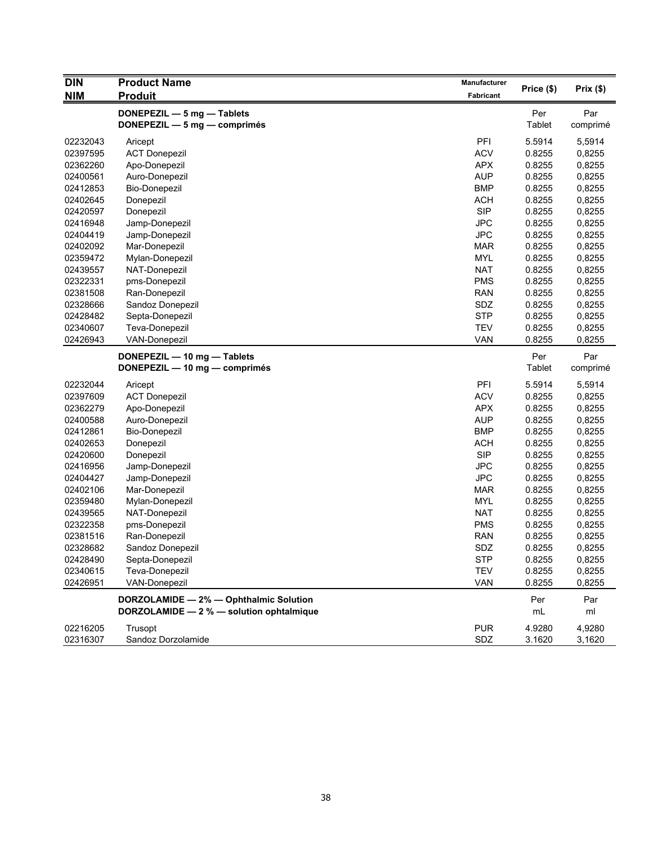| <b>DIN</b> | <b>Product Name</b>                      | Manufacturer |               | Prix(\$) |
|------------|------------------------------------------|--------------|---------------|----------|
| <b>NIM</b> | <b>Produit</b>                           | Fabricant    | Price (\$)    |          |
|            | DONEPEZIL - 5 mg - Tablets               |              | Per           | Par      |
|            | DONEPEZIL - 5 mg - comprimés             |              | Tablet        | comprimé |
| 02232043   | Aricept                                  | PFI          | 5.5914        | 5,5914   |
| 02397595   | <b>ACT Donepezil</b>                     | <b>ACV</b>   | 0.8255        | 0,8255   |
| 02362260   | Apo-Donepezil                            | <b>APX</b>   | 0.8255        | 0,8255   |
| 02400561   | Auro-Donepezil                           | <b>AUP</b>   | 0.8255        | 0,8255   |
| 02412853   | <b>Bio-Donepezil</b>                     | <b>BMP</b>   | 0.8255        | 0,8255   |
| 02402645   | Donepezil                                | <b>ACH</b>   | 0.8255        | 0,8255   |
| 02420597   | Donepezil                                | <b>SIP</b>   | 0.8255        | 0,8255   |
| 02416948   | Jamp-Donepezil                           | <b>JPC</b>   | 0.8255        | 0,8255   |
| 02404419   | Jamp-Donepezil                           | <b>JPC</b>   | 0.8255        | 0,8255   |
| 02402092   | Mar-Donepezil                            | <b>MAR</b>   | 0.8255        | 0,8255   |
| 02359472   | Mylan-Donepezil                          | <b>MYL</b>   | 0.8255        | 0,8255   |
| 02439557   | NAT-Donepezil                            | <b>NAT</b>   | 0.8255        | 0,8255   |
| 02322331   | pms-Donepezil                            | <b>PMS</b>   | 0.8255        | 0,8255   |
| 02381508   | Ran-Donepezil                            | <b>RAN</b>   | 0.8255        | 0,8255   |
| 02328666   | Sandoz Donepezil                         | SDZ          | 0.8255        | 0,8255   |
| 02428482   | Septa-Donepezil                          | <b>STP</b>   | 0.8255        | 0,8255   |
| 02340607   | Teva-Donepezil                           | <b>TEV</b>   | 0.8255        | 0,8255   |
| 02426943   | <b>VAN-Donepezil</b>                     | <b>VAN</b>   | 0.8255        | 0,8255   |
|            | DONEPEZIL - 10 mg - Tablets              |              | Per           | Par      |
|            | DONEPEZIL - 10 mg - comprimés            |              | <b>Tablet</b> | comprimé |
| 02232044   | Aricept                                  | PFI          | 5.5914        | 5,5914   |
| 02397609   | <b>ACT Donepezil</b>                     | <b>ACV</b>   | 0.8255        | 0,8255   |
| 02362279   | Apo-Donepezil                            | <b>APX</b>   | 0.8255        | 0,8255   |
| 02400588   | Auro-Donepezil                           | <b>AUP</b>   | 0.8255        | 0,8255   |
| 02412861   | <b>Bio-Donepezil</b>                     | <b>BMP</b>   | 0.8255        | 0,8255   |
| 02402653   | Donepezil                                | <b>ACH</b>   | 0.8255        | 0,8255   |
| 02420600   | Donepezil                                | <b>SIP</b>   | 0.8255        | 0,8255   |
| 02416956   | Jamp-Donepezil                           | <b>JPC</b>   | 0.8255        | 0,8255   |
| 02404427   | Jamp-Donepezil                           | <b>JPC</b>   | 0.8255        | 0,8255   |
| 02402106   | Mar-Donepezil                            | <b>MAR</b>   | 0.8255        | 0,8255   |
| 02359480   | Mylan-Donepezil                          | <b>MYL</b>   | 0.8255        | 0,8255   |
| 02439565   | NAT-Donepezil                            | <b>NAT</b>   | 0.8255        | 0,8255   |
| 02322358   | pms-Donepezil                            | <b>PMS</b>   | 0.8255        | 0,8255   |
| 02381516   | Ran-Donepezil                            | <b>RAN</b>   | 0.8255        | 0,8255   |
| 02328682   | Sandoz Donepezil                         | SDZ          | 0.8255        | 0,8255   |
| 02428490   | Septa-Donepezil                          | <b>STP</b>   | 0.8255        | 0,8255   |
| 02340615   | Teva-Donepezil                           | <b>TEV</b>   | 0.8255        | 0,8255   |
| 02426951   | VAN-Donepezil                            | <b>VAN</b>   | 0.8255        | 0,8255   |
|            | DORZOLAMIDE - 2% - Ophthalmic Solution   |              | Per           | Par      |
|            | DORZOLAMIDE - 2 % - solution ophtalmique |              | mL            | ml       |
| 02216205   | Trusopt                                  | <b>PUR</b>   | 4.9280        | 4,9280   |
| 02316307   | Sandoz Dorzolamide                       | SDZ          | 3.1620        | 3,1620   |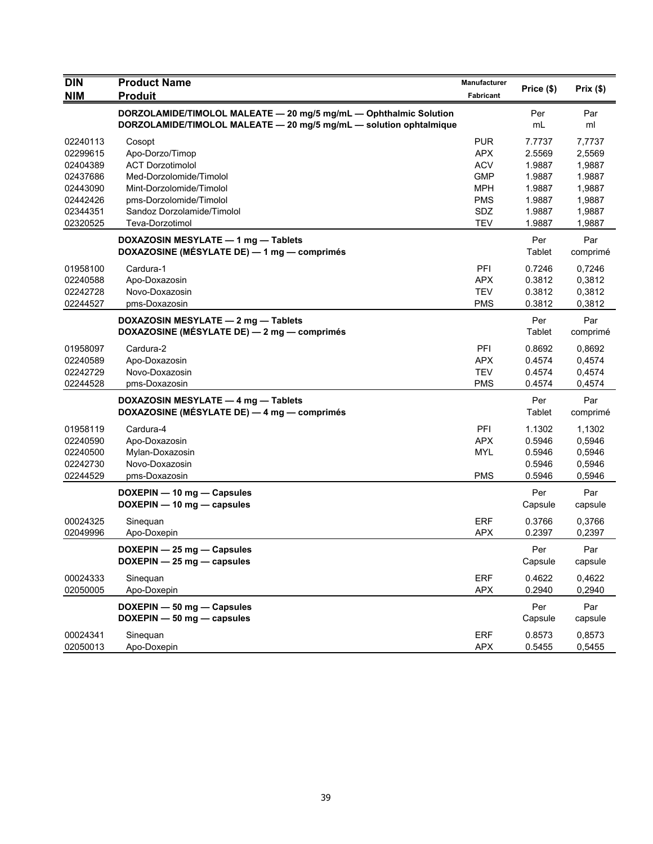| <b>DIN</b> | <b>Product Name</b>                                                | <b>Manufacturer</b> | Price (\$) | Prix(\$) |
|------------|--------------------------------------------------------------------|---------------------|------------|----------|
| <b>NIM</b> | <b>Produit</b>                                                     | <b>Fabricant</b>    |            |          |
|            | DORZOLAMIDE/TIMOLOL MALEATE - 20 mg/5 mg/mL - Ophthalmic Solution  |                     | Per        | Par      |
|            | DORZOLAMIDE/TIMOLOL MALEATE - 20 mg/5 mg/mL - solution ophtalmique |                     | mL         | ml       |
| 02240113   | Cosopt                                                             | <b>PUR</b>          | 7.7737     | 7,7737   |
| 02299615   | Apo-Dorzo/Timop                                                    | <b>APX</b>          | 2.5569     | 2,5569   |
| 02404389   | <b>ACT Dorzotimolol</b>                                            | <b>ACV</b>          | 1.9887     | 1,9887   |
| 02437686   | Med-Dorzolomide/Timolol                                            | <b>GMP</b>          | 1.9887     | 1.9887   |
| 02443090   | Mint-Dorzolomide/Timolol                                           | MPH                 | 1.9887     | 1,9887   |
| 02442426   | pms-Dorzolomide/Timolol                                            | <b>PMS</b>          | 1.9887     | 1,9887   |
| 02344351   | Sandoz Dorzolamide/Timolol                                         | SDZ                 | 1.9887     | 1,9887   |
| 02320525   | Teva-Dorzotimol                                                    | <b>TEV</b>          | 1.9887     | 1,9887   |
|            | DOXAZOSIN MESYLATE - 1 mg - Tablets                                |                     | Per        | Par      |
|            | DOXAZOSINE (MÉSYLATE DE) - 1 mg - comprimés                        |                     | Tablet     | comprimé |
| 01958100   | Cardura-1                                                          | PFI                 | 0.7246     | 0,7246   |
| 02240588   | Apo-Doxazosin                                                      | <b>APX</b>          | 0.3812     | 0,3812   |
| 02242728   | Novo-Doxazosin                                                     | <b>TEV</b>          | 0.3812     | 0,3812   |
| 02244527   | pms-Doxazosin                                                      | <b>PMS</b>          | 0.3812     | 0,3812   |
|            | DOXAZOSIN MESYLATE - 2 mg - Tablets                                |                     | Per        | Par      |
|            | DOXAZOSINE (MÉSYLATE DE) — 2 mg — comprimés                        |                     | Tablet     | comprimé |
| 01958097   | Cardura-2                                                          | PFI                 | 0.8692     | 0,8692   |
| 02240589   | Apo-Doxazosin                                                      | <b>APX</b>          | 0.4574     | 0,4574   |
| 02242729   | Novo-Doxazosin                                                     | <b>TEV</b>          | 0.4574     | 0,4574   |
| 02244528   | pms-Doxazosin                                                      | <b>PMS</b>          | 0.4574     | 0,4574   |
|            | DOXAZOSIN MESYLATE - 4 mg - Tablets                                |                     | Per        | Par      |
|            | DOXAZOSINE (MÉSYLATE DE) - 4 mg - comprimés                        |                     | Tablet     | comprimé |
| 01958119   | Cardura-4                                                          | PFI                 | 1.1302     | 1,1302   |
| 02240590   | Apo-Doxazosin                                                      | <b>APX</b>          | 0.5946     | 0,5946   |
| 02240500   | Mylan-Doxazosin                                                    | <b>MYL</b>          | 0.5946     | 0,5946   |
| 02242730   | Novo-Doxazosin                                                     |                     | 0.5946     | 0,5946   |
| 02244529   | pms-Doxazosin                                                      | <b>PMS</b>          | 0.5946     | 0,5946   |
|            | DOXEPIN - 10 mg - Capsules                                         |                     | Per        | Par      |
|            | $DOXEPIN - 10$ mg - capsules                                       |                     | Capsule    | capsule  |
| 00024325   | Sinequan                                                           | <b>ERF</b>          | 0.3766     | 0,3766   |
| 02049996   | Apo-Doxepin                                                        | <b>APX</b>          | 0.2397     | 0,2397   |
|            | DOXEPIN - 25 mg - Capsules                                         |                     | Per        | Par      |
|            | DOXEPIN - 25 mg - capsules                                         |                     | Capsule    | capsule  |
| 00024333   | Sinequan                                                           | <b>ERF</b>          | 0.4622     | 0.4622   |
| 02050005   | Apo-Doxepin                                                        | <b>APX</b>          | 0.2940     | 0,2940   |
|            | DOXEPIN - 50 mg - Capsules                                         |                     | Per        | Par      |
|            | DOXEPIN - 50 mg - capsules                                         |                     | Capsule    | capsule  |
| 00024341   | Sinequan                                                           | <b>ERF</b>          | 0.8573     | 0,8573   |
| 02050013   | Apo-Doxepin                                                        | <b>APX</b>          | 0.5455     | 0,5455   |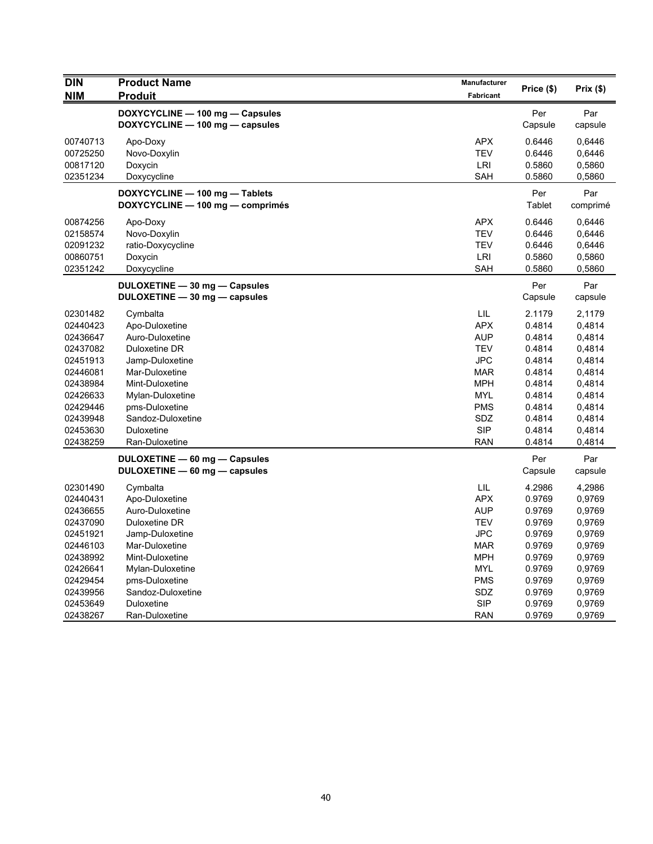| <b>DIN</b><br><b>NIM</b> | <b>Product Name</b><br><b>Produit</b> | <b>Manufacturer</b><br><b>Fabricant</b> | Price (\$) | Prix(\$) |
|--------------------------|---------------------------------------|-----------------------------------------|------------|----------|
|                          | DOXYCYCLINE - 100 mg - Capsules       |                                         | Per        | Par      |
|                          | DOXYCYCLINE - 100 mg - capsules       |                                         | Capsule    | capsule  |
| 00740713                 | Apo-Doxy                              | APX                                     | 0.6446     | 0,6446   |
| 00725250                 | Novo-Doxylin                          | <b>TEV</b>                              | 0.6446     | 0,6446   |
| 00817120                 | Doxycin                               | LRI                                     | 0.5860     | 0,5860   |
| 02351234                 | Doxycycline                           | SAH                                     | 0.5860     | 0,5860   |
|                          | DOXYCYCLINE - 100 mg - Tablets        |                                         | Per        | Par      |
|                          | DOXYCYCLINE - 100 mg - comprimés      |                                         | Tablet     | comprimé |
| 00874256                 | Apo-Doxy                              | APX                                     | 0.6446     | 0,6446   |
| 02158574                 | Novo-Doxylin                          | <b>TEV</b>                              | 0.6446     | 0,6446   |
| 02091232                 | ratio-Doxycycline                     | <b>TEV</b>                              | 0.6446     | 0,6446   |
| 00860751                 | Doxycin                               | LRI                                     | 0.5860     | 0,5860   |
| 02351242                 | Doxycycline                           | SAH                                     | 0.5860     | 0,5860   |
|                          | DULOXETINE - 30 mg - Capsules         |                                         | Per        | Par      |
|                          | DULOXETINE - 30 mg - capsules         |                                         | Capsule    | capsule  |
| 02301482                 | Cymbalta                              | LIL                                     | 2.1179     | 2,1179   |
| 02440423                 | Apo-Duloxetine                        | <b>APX</b>                              | 0.4814     | 0,4814   |
| 02436647                 | Auro-Duloxetine                       | <b>AUP</b>                              | 0.4814     | 0,4814   |
| 02437082                 | Duloxetine DR                         | <b>TEV</b>                              | 0.4814     | 0,4814   |
| 02451913                 | Jamp-Duloxetine                       | <b>JPC</b>                              | 0.4814     | 0,4814   |
| 02446081                 | Mar-Duloxetine                        | MAR                                     | 0.4814     | 0,4814   |
| 02438984                 | Mint-Duloxetine                       | <b>MPH</b>                              | 0.4814     | 0,4814   |
| 02426633                 | Mylan-Duloxetine                      | <b>MYL</b>                              | 0.4814     | 0,4814   |
| 02429446                 | pms-Duloxetine                        | <b>PMS</b>                              | 0.4814     | 0,4814   |
| 02439948                 | Sandoz-Duloxetine                     | SDZ                                     | 0.4814     | 0,4814   |
| 02453630                 | Duloxetine                            | <b>SIP</b>                              | 0.4814     | 0,4814   |
| 02438259                 | Ran-Duloxetine                        | <b>RAN</b>                              | 0.4814     | 0,4814   |
|                          | DULOXETINE - 60 mg - Capsules         |                                         | Per        | Par      |
|                          | DULOXETINE - 60 mg - capsules         |                                         | Capsule    | capsule  |
| 02301490                 | Cymbalta                              | LIL                                     | 4.2986     | 4,2986   |
| 02440431                 | Apo-Duloxetine                        | <b>APX</b>                              | 0.9769     | 0,9769   |
| 02436655                 | Auro-Duloxetine                       | <b>AUP</b>                              | 0.9769     | 0,9769   |
| 02437090                 | Duloxetine DR                         | <b>TEV</b>                              | 0.9769     | 0,9769   |
| 02451921                 | Jamp-Duloxetine                       | <b>JPC</b>                              | 0.9769     | 0,9769   |
| 02446103                 | Mar-Duloxetine                        | <b>MAR</b>                              | 0.9769     | 0,9769   |
| 02438992                 | Mint-Duloxetine                       | <b>MPH</b>                              | 0.9769     | 0,9769   |
| 02426641                 | Mylan-Duloxetine                      | <b>MYL</b>                              | 0.9769     | 0,9769   |
| 02429454                 | pms-Duloxetine                        | <b>PMS</b>                              | 0.9769     | 0,9769   |
| 02439956                 | Sandoz-Duloxetine                     | SDZ                                     | 0.9769     | 0,9769   |
| 02453649                 | Duloxetine                            | <b>SIP</b>                              | 0.9769     | 0,9769   |
| 02438267                 | Ran-Duloxetine                        | <b>RAN</b>                              | 0.9769     | 0,9769   |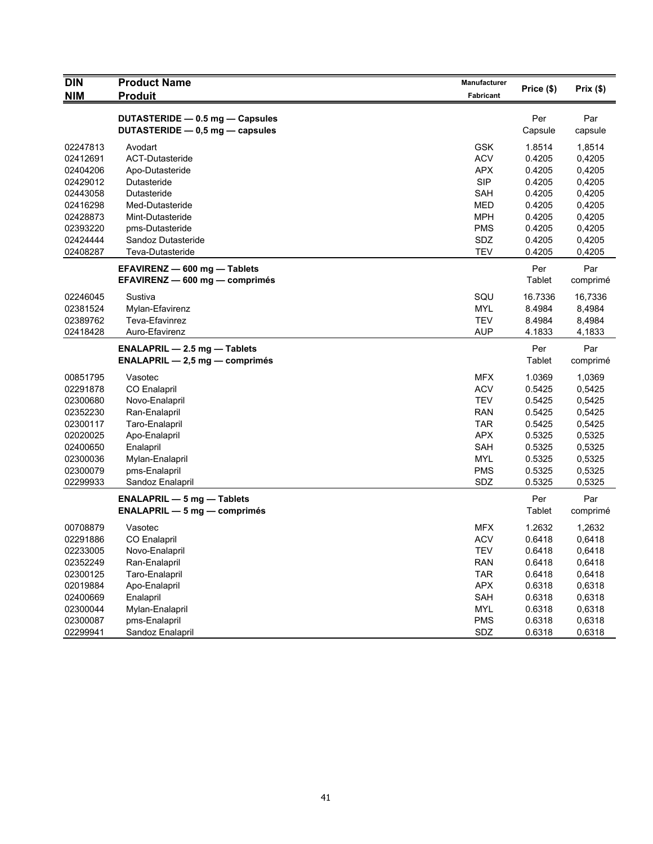| <b>DIN</b> | <b>Product Name</b>                                                 | <b>Manufacturer</b>      | Price (\$)       | Prix(\$) |
|------------|---------------------------------------------------------------------|--------------------------|------------------|----------|
| <b>NIM</b> | <b>Produit</b>                                                      | <b>Fabricant</b>         |                  |          |
|            | DUTASTERIDE - 0.5 mg - Capsules                                     |                          | Per              | Par      |
|            | DUTASTERIDE - 0,5 mg - capsules                                     |                          | Capsule          | capsule  |
|            |                                                                     |                          |                  |          |
| 02247813   | Avodart<br>ACT-Dutasteride                                          | <b>GSK</b><br><b>ACV</b> | 1.8514           | 1,8514   |
| 02412691   |                                                                     | <b>APX</b>               | 0.4205<br>0.4205 | 0,4205   |
| 02404206   | Apo-Dutasteride                                                     |                          |                  | 0,4205   |
| 02429012   | Dutasteride                                                         | <b>SIP</b>               | 0.4205           | 0,4205   |
| 02443058   | Dutasteride                                                         | SAH                      | 0.4205           | 0,4205   |
| 02416298   | Med-Dutasteride                                                     | <b>MED</b>               | 0.4205           | 0,4205   |
| 02428873   | Mint-Dutasteride                                                    | <b>MPH</b>               | 0.4205           | 0,4205   |
| 02393220   | pms-Dutasteride                                                     | <b>PMS</b>               | 0.4205           | 0,4205   |
| 02424444   | Sandoz Dutasteride                                                  | SDZ                      | 0.4205           | 0,4205   |
| 02408287   | Teva-Dutasteride                                                    | <b>TEV</b>               | 0.4205           | 0,4205   |
|            | EFAVIRENZ - 600 mg - Tablets                                        |                          | Per              | Par      |
|            | EFAVIRENZ - 600 mg - comprimés                                      |                          | <b>Tablet</b>    | comprimé |
| 02246045   | Sustiva                                                             | SQU                      | 16.7336          | 16,7336  |
| 02381524   | Mylan-Efavirenz                                                     | <b>MYL</b>               | 8.4984           | 8,4984   |
| 02389762   | Teva-Efavinrez                                                      | <b>TEV</b>               | 8.4984           | 8,4984   |
| 02418428   | Auro-Efavirenz                                                      | <b>AUP</b>               | 4.1833           | 4,1833   |
|            | <b>ENALAPRIL <math>-</math> 2.5 mg <math>-</math> Tablets</b>       |                          | Per              | Par      |
|            | $ENALAPRIL - 2,5 mg - comprimés$                                    |                          | Tablet           | comprimé |
| 00851795   | Vasotec                                                             | <b>MFX</b>               | 1.0369           | 1,0369   |
| 02291878   | CO Enalapril                                                        | <b>ACV</b>               | 0.5425           | 0,5425   |
| 02300680   | Novo-Enalapril                                                      | <b>TEV</b>               | 0.5425           | 0,5425   |
| 02352230   | Ran-Enalapril                                                       | <b>RAN</b>               | 0.5425           | 0,5425   |
| 02300117   | Taro-Enalapril                                                      | <b>TAR</b>               | 0.5425           | 0,5425   |
| 02020025   | Apo-Enalapril                                                       | <b>APX</b>               | 0.5325           | 0,5325   |
| 02400650   | Enalapril                                                           | SAH                      | 0.5325           | 0,5325   |
| 02300036   | Mylan-Enalapril                                                     | <b>MYL</b>               | 0.5325           | 0,5325   |
| 02300079   | pms-Enalapril                                                       | <b>PMS</b>               | 0.5325           | 0,5325   |
| 02299933   | Sandoz Enalapril                                                    | SDZ                      | 0.5325           | 0,5325   |
|            |                                                                     |                          | Per              | Par      |
|            | <b>ENALAPRIL - 5 mg - Tablets</b><br>$ENALAPRIL - 5 mg - comprimés$ |                          | <b>Tablet</b>    | comprimé |
|            |                                                                     |                          |                  |          |
| 00708879   | Vasotec                                                             | <b>MFX</b>               | 1.2632           | 1,2632   |
| 02291886   | <b>CO Enalapril</b>                                                 | <b>ACV</b>               | 0.6418           | 0,6418   |
| 02233005   | Novo-Enalapril                                                      | <b>TEV</b>               | 0.6418           | 0.6418   |
| 02352249   | Ran-Enalapril                                                       | <b>RAN</b>               | 0.6418           | 0,6418   |
| 02300125   | Taro-Enalapril                                                      | <b>TAR</b>               | 0.6418           | 0,6418   |
| 02019884   | Apo-Enalapril                                                       | APX                      | 0.6318           | 0,6318   |
| 02400669   | Enalapril                                                           | SAH                      | 0.6318           | 0,6318   |
| 02300044   | Mylan-Enalapril                                                     | <b>MYL</b>               | 0.6318           | 0,6318   |
| 02300087   | pms-Enalapril                                                       | <b>PMS</b>               | 0.6318           | 0,6318   |
| 02299941   | Sandoz Enalapril                                                    | SDZ                      | 0.6318           | 0,6318   |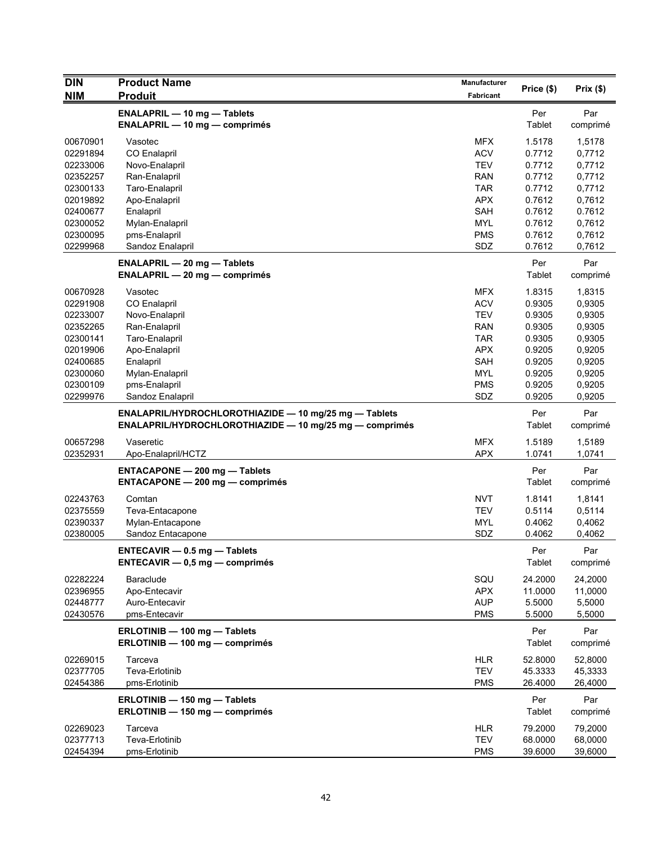| <b>DIN</b> | <b>Product Name</b>                                                                                                     | <b>Manufacturer</b> | Price (\$)    | Prix(\$)        |
|------------|-------------------------------------------------------------------------------------------------------------------------|---------------------|---------------|-----------------|
| <b>NIM</b> | <b>Produit</b>                                                                                                          | Fabricant           |               |                 |
|            | <b>ENALAPRIL - 10 mg - Tablets</b><br><b>ENALAPRIL - 10 mg - comprimés</b>                                              |                     | Per<br>Tablet | Par<br>comprimé |
| 00670901   | Vasotec                                                                                                                 | <b>MFX</b>          | 1.5178        | 1,5178          |
| 02291894   | CO Enalapril                                                                                                            | <b>ACV</b>          | 0.7712        | 0,7712          |
| 02233006   | Novo-Enalapril                                                                                                          | <b>TEV</b>          | 0.7712        | 0,7712          |
| 02352257   | Ran-Enalapril                                                                                                           | <b>RAN</b>          | 0.7712        | 0,7712          |
| 02300133   | Taro-Enalapril                                                                                                          | <b>TAR</b>          | 0.7712        | 0,7712          |
| 02019892   | Apo-Enalapril                                                                                                           | <b>APX</b>          | 0.7612        | 0,7612          |
| 02400677   | Enalapril                                                                                                               | <b>SAH</b>          | 0.7612        | 0.7612          |
| 02300052   | Mylan-Enalapril                                                                                                         | <b>MYL</b>          | 0.7612        | 0,7612          |
| 02300095   | pms-Enalapril                                                                                                           | <b>PMS</b>          | 0.7612        | 0,7612          |
| 02299968   | Sandoz Enalapril<br><b>ENALAPRIL - 20 mg - Tablets</b>                                                                  | SDZ                 | 0.7612<br>Per | 0,7612<br>Par   |
|            | $ENALAPRIL - 20 mg - comprimés$                                                                                         |                     | Tablet        | comprimé        |
| 00670928   | Vasotec                                                                                                                 | <b>MFX</b>          | 1.8315        | 1,8315          |
| 02291908   | <b>CO Enalapril</b>                                                                                                     | <b>ACV</b>          | 0.9305        | 0,9305          |
| 02233007   | Novo-Enalapril                                                                                                          | <b>TEV</b>          | 0.9305        | 0,9305          |
| 02352265   | Ran-Enalapril                                                                                                           | <b>RAN</b>          | 0.9305        | 0,9305          |
| 02300141   | Taro-Enalapril                                                                                                          | <b>TAR</b>          | 0.9305        | 0,9305          |
| 02019906   | Apo-Enalapril                                                                                                           | <b>APX</b>          | 0.9205        | 0,9205          |
| 02400685   | Enalapril                                                                                                               | SAH                 | 0.9205        | 0,9205          |
| 02300060   | Mylan-Enalapril                                                                                                         | <b>MYL</b>          | 0.9205        | 0,9205          |
| 02300109   | pms-Enalapril                                                                                                           | <b>PMS</b><br>SDZ   | 0.9205        | 0,9205          |
| 02299976   | Sandoz Enalapril                                                                                                        |                     | 0.9205        | 0,9205          |
|            | ENALAPRIL/HYDROCHLOROTHIAZIDE - 10 mg/25 mg - Tablets<br><b>ENALAPRIL/HYDROCHLOROTHIAZIDE - 10 mg/25 mg - comprimés</b> |                     | Per<br>Tablet | Par<br>comprimé |
| 00657298   | Vaseretic                                                                                                               | <b>MFX</b>          | 1.5189        | 1,5189          |
| 02352931   | Apo-Enalapril/HCTZ                                                                                                      | <b>APX</b>          | 1.0741        | 1,0741          |
|            | <b>ENTACAPONE - 200 mg - Tablets</b><br><b>ENTACAPONE - 200 mg - comprimés</b>                                          |                     | Per<br>Tablet | Par<br>comprimé |
| 02243763   | Comtan                                                                                                                  | <b>NVT</b>          | 1.8141        | 1,8141          |
| 02375559   | Teva-Entacapone                                                                                                         | <b>TEV</b>          | 0.5114        | 0,5114          |
| 02390337   | Mylan-Entacapone                                                                                                        | <b>MYL</b>          | 0.4062        | 0,4062          |
| 02380005   | Sandoz Entacapone                                                                                                       | SDZ                 | 0.4062        | 0,4062          |
|            | $ENTER - 0.5$ mg $-$ Tablets<br>$ENTER-MR - 0.5 mg - comprimés$                                                         |                     | Per<br>Tablet | Par<br>comprimé |
| 02282224   | <b>Baraclude</b>                                                                                                        | SQU                 | 24.2000       | 24,2000         |
| 02396955   | Apo-Entecavir                                                                                                           | <b>APX</b>          | 11.0000       | 11,0000         |
| 02448777   | Auro-Entecavir                                                                                                          | <b>AUP</b>          | 5.5000        | 5,5000          |
| 02430576   | pms-Entecavir                                                                                                           | <b>PMS</b>          | 5.5000        | 5,5000          |
|            | ERLOTINIB - 100 mg - Tablets                                                                                            |                     | Per           | Par             |
|            | ERLOTINIB - 100 mg - comprimés                                                                                          |                     | Tablet        | comprimé        |
| 02269015   | Tarceva                                                                                                                 | <b>HLR</b>          | 52.8000       | 52,8000         |
| 02377705   | Teva-Erlotinib                                                                                                          | <b>TEV</b>          | 45.3333       | 45,3333         |
| 02454386   | pms-Erlotinib                                                                                                           | <b>PMS</b>          | 26.4000       | 26,4000         |
|            | ERLOTINIB - 150 mg - Tablets<br>ERLOTINIB - 150 mg - comprimés                                                          |                     | Per<br>Tablet | Par<br>comprimé |
| 02269023   | Tarceva                                                                                                                 | <b>HLR</b>          | 79.2000       | 79,2000         |
| 02377713   | Teva-Erlotinib                                                                                                          | <b>TEV</b>          | 68.0000       | 68,0000         |
| 02454394   | pms-Erlotinib                                                                                                           | <b>PMS</b>          | 39.6000       | 39,6000         |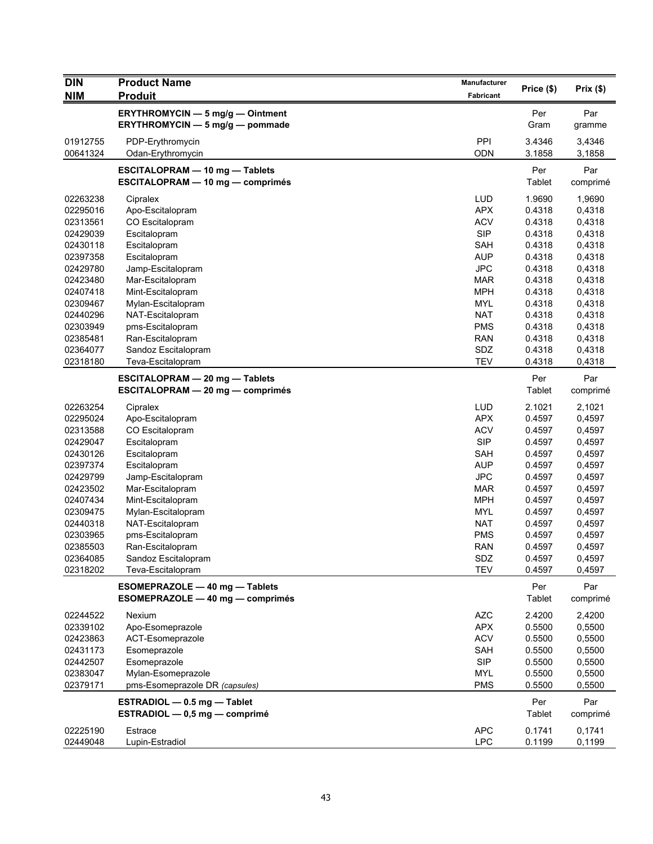| <b>DIN</b> | <b>Product Name</b>                     | <b>Manufacturer</b> | Price (\$) | Prix(\$) |
|------------|-----------------------------------------|---------------------|------------|----------|
| <b>NIM</b> | <b>Produit</b>                          | Fabricant           |            |          |
|            | ERYTHROMYCIN - 5 mg/g - Ointment        |                     | Per        | Par      |
|            | ERYTHROMYCIN - 5 mg/g - pommade         |                     | Gram       | gramme   |
| 01912755   | PDP-Erythromycin                        | PPI                 | 3.4346     | 3,4346   |
| 00641324   | Odan-Erythromycin                       | <b>ODN</b>          | 3.1858     | 3,1858   |
|            | <b>ESCITALOPRAM - 10 mg - Tablets</b>   |                     | Per        | Par      |
|            | <b>ESCITALOPRAM - 10 mg - comprimés</b> |                     | Tablet     | comprimé |
| 02263238   | Cipralex                                | <b>LUD</b>          | 1.9690     | 1,9690   |
| 02295016   | Apo-Escitalopram                        | <b>APX</b>          | 0.4318     | 0,4318   |
| 02313561   | CO Escitalopram                         | <b>ACV</b>          | 0.4318     | 0,4318   |
| 02429039   | Escitalopram                            | <b>SIP</b>          | 0.4318     | 0,4318   |
| 02430118   | Escitalopram                            | <b>SAH</b>          | 0.4318     | 0,4318   |
| 02397358   | Escitalopram                            | <b>AUP</b>          | 0.4318     | 0,4318   |
| 02429780   | Jamp-Escitalopram                       | <b>JPC</b>          | 0.4318     | 0,4318   |
| 02423480   | Mar-Escitalopram                        | MAR                 | 0.4318     | 0,4318   |
| 02407418   | Mint-Escitalopram                       | <b>MPH</b>          | 0.4318     | 0,4318   |
| 02309467   | Mylan-Escitalopram                      | <b>MYL</b>          | 0.4318     | 0,4318   |
| 02440296   | NAT-Escitalopram                        | <b>NAT</b>          | 0.4318     | 0,4318   |
| 02303949   | pms-Escitalopram                        | <b>PMS</b>          | 0.4318     | 0,4318   |
| 02385481   | Ran-Escitalopram                        | <b>RAN</b>          | 0.4318     | 0,4318   |
| 02364077   | Sandoz Escitalopram                     | SDZ                 | 0.4318     | 0,4318   |
| 02318180   | Teva-Escitalopram                       | <b>TEV</b>          | 0.4318     | 0,4318   |
|            | <b>ESCITALOPRAM - 20 mg - Tablets</b>   |                     | Per        | Par      |
|            | ESCITALOPRAM - 20 mg - comprimés        |                     | Tablet     | comprimé |
| 02263254   | Cipralex                                | <b>LUD</b>          | 2.1021     | 2,1021   |
| 02295024   | Apo-Escitalopram                        | <b>APX</b>          | 0.4597     | 0,4597   |
| 02313588   | CO Escitalopram                         | <b>ACV</b>          | 0.4597     | 0,4597   |
| 02429047   | Escitalopram                            | <b>SIP</b>          | 0.4597     | 0,4597   |
| 02430126   | Escitalopram                            | <b>SAH</b>          | 0.4597     | 0,4597   |
| 02397374   | Escitalopram                            | <b>AUP</b>          | 0.4597     | 0,4597   |
| 02429799   | Jamp-Escitalopram                       | <b>JPC</b>          | 0.4597     | 0,4597   |
| 02423502   | Mar-Escitalopram                        | <b>MAR</b>          | 0.4597     | 0,4597   |
| 02407434   | Mint-Escitalopram                       | <b>MPH</b>          | 0.4597     | 0,4597   |
| 02309475   | Mylan-Escitalopram                      | MYL                 | 0.4597     | 0,4597   |
| 02440318   | NAT-Escitalopram                        | <b>NAT</b>          | 0.4597     | 0,4597   |
| 02303965   | pms-Escitalopram                        | <b>PMS</b>          | 0.4597     | 0,4597   |
| 02385503   | Ran-Escitalopram                        | <b>RAN</b>          | 0.4597     | 0,4597   |
| 02364085   | Sandoz Escitalopram                     | SDZ                 | 0.4597     | 0,4597   |
| 02318202   | Teva-Escitalopram                       | <b>TEV</b>          | 0.4597     | 0,4597   |
|            | ESOMEPRAZOLE - 40 mg - Tablets          |                     | Per        | Par      |
|            | ESOMEPRAZOLE - 40 mg - comprimés        |                     | Tablet     | comprimé |
| 02244522   | Nexium                                  | <b>AZC</b>          | 2.4200     | 2,4200   |
| 02339102   | Apo-Esomeprazole                        | <b>APX</b>          | 0.5500     | 0,5500   |
| 02423863   | ACT-Esomeprazole                        | <b>ACV</b>          | 0.5500     | 0,5500   |
| 02431173   | Esomeprazole                            | <b>SAH</b>          | 0.5500     | 0,5500   |
| 02442507   | Esomeprazole                            | <b>SIP</b>          | 0.5500     | 0,5500   |
| 02383047   | Mylan-Esomeprazole                      | <b>MYL</b>          | 0.5500     | 0,5500   |
| 02379171   | pms-Esomeprazole DR (capsules)          | <b>PMS</b>          | 0.5500     | 0,5500   |
|            | ESTRADIOL $-$ 0.5 mg $-$ Tablet         |                     | Per        | Par      |
|            | ESTRADIOL - 0,5 mg - comprimé           |                     | Tablet     | comprimé |
| 02225190   | Estrace                                 | <b>APC</b>          | 0.1741     | 0,1741   |
| 02449048   | Lupin-Estradiol                         | <b>LPC</b>          | 0.1199     | 0,1199   |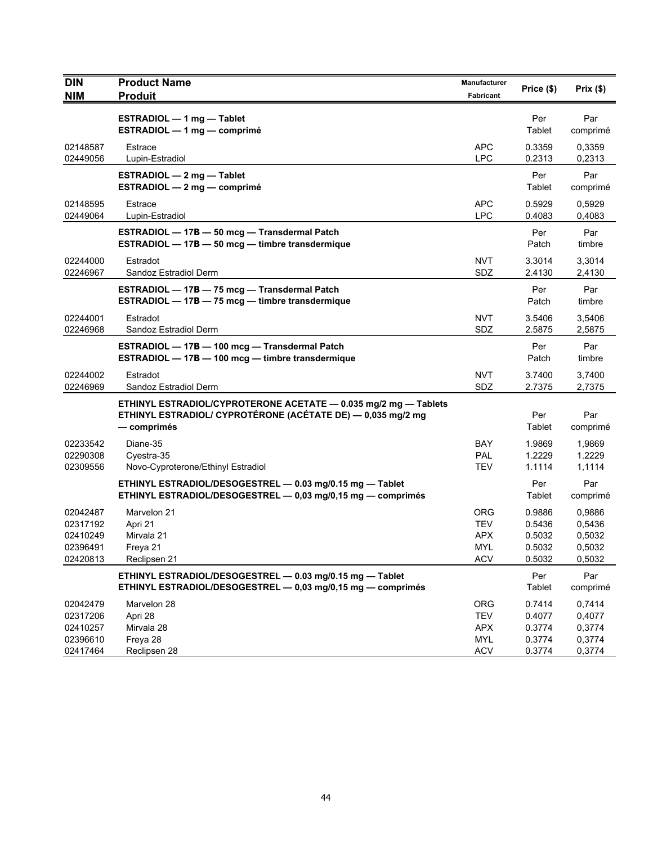| <b>DIN</b>           | <b>Product Name</b>                                             | Manufacturer      | Price (\$)       | Prix $(\$)$      |
|----------------------|-----------------------------------------------------------------|-------------------|------------------|------------------|
| <b>NIM</b>           | <b>Produit</b>                                                  | Fabricant         |                  |                  |
|                      | ESTRADIOL - 1 mg - Tablet                                       |                   | Per              | Par              |
|                      | ESTRADIOL - 1 mg - comprimé                                     |                   | Tablet           | comprimé         |
| 02148587             | Estrace                                                         | <b>APC</b>        | 0.3359           | 0,3359           |
| 02449056             | Lupin-Estradiol                                                 | <b>LPC</b>        | 0.2313           | 0,2313           |
|                      | ESTRADIOL $-2$ mg $-$ Tablet                                    |                   | Per              | Par              |
|                      | ESTRADIOL $-2$ mg $-$ comprimé                                  |                   | Tablet           | comprimé         |
| 02148595             | Estrace                                                         | <b>APC</b>        | 0.5929           | 0,5929           |
| 02449064             | Lupin-Estradiol                                                 | <b>LPC</b>        | 0.4083           | 0,4083           |
|                      | ESTRADIOL - 17B - 50 mcg - Transdermal Patch                    |                   | Per              | Par              |
|                      | ESTRADIOL - 17B - 50 mcg - timbre transdermique                 |                   | Patch            | timbre           |
| 02244000             | Estradot                                                        | <b>NVT</b>        | 3.3014           | 3,3014           |
| 02246967             | Sandoz Estradiol Derm                                           | SDZ               | 2.4130           | 2,4130           |
|                      | ESTRADIOL - 17B - 75 mcg - Transdermal Patch                    |                   | Per              | Par              |
|                      | ESTRADIOL - 17B - 75 mcg - timbre transdermique                 |                   | Patch            | timbre           |
| 02244001             | Estradot                                                        | <b>NVT</b>        | 3.5406           | 3,5406           |
| 02246968             | Sandoz Estradiol Derm                                           | SDZ               | 2.5875           | 2,5875           |
|                      | ESTRADIOL - 17B - 100 mcg - Transdermal Patch                   |                   | Per              | Par              |
|                      | ESTRADIOL - 17B - 100 mcg - timbre transdermique                |                   | Patch            | timbre           |
| 02244002             | Estradot                                                        | <b>NVT</b>        | 3.7400           | 3,7400           |
| 02246969             | Sandoz Estradiol Derm                                           | SDZ               | 2.7375           | 2,7375           |
|                      | ETHINYL ESTRADIOL/CYPROTERONE ACETATE - 0.035 mg/2 mg - Tablets |                   |                  |                  |
|                      | ETHINYL ESTRADIOL/ CYPROTÉRONE (ACÉTATE DE) - 0,035 mg/2 mg     |                   | Per              | Par              |
|                      | — comprimés                                                     |                   | Tablet           | comprimé         |
| 02233542             | Diane-35                                                        | BAY               | 1.9869           | 1,9869           |
| 02290308             | Cyestra-35                                                      | <b>PAL</b>        | 1.2229           | 1.2229           |
| 02309556             | Novo-Cyproterone/Ethinyl Estradiol                              | TEV               | 1.1114           | 1,1114           |
|                      | ETHINYL ESTRADIOL/DESOGESTREL - 0.03 mg/0.15 mg - Tablet        |                   | Per              | Par              |
|                      | ETHINYL ESTRADIOL/DESOGESTREL - 0,03 mg/0,15 mg - comprimés     |                   | Tablet           | comprimé         |
| 02042487             | Marvelon 21                                                     | <b>ORG</b>        | 0.9886           | 0,9886           |
| 02317192             | Apri 21                                                         | TEV               | 0.5436           | 0,5436           |
| 02410249             | Mirvala 21                                                      | <b>APX</b>        | 0.5032           | 0,5032           |
| 02396491             | Freya 21                                                        | <b>MYL</b>        | 0.5032           | 0,5032           |
| 02420813             | Reclipsen 21                                                    | <b>ACV</b>        | 0.5032           | 0,5032           |
|                      | ETHINYL ESTRADIOL/DESOGESTREL - 0.03 mg/0.15 mg - Tablet        |                   | Per              | Par              |
|                      | ETHINYL ESTRADIOL/DESOGESTREL - 0,03 mg/0,15 mg - comprimés     |                   | Tablet           | comprimé         |
| 02042479             | Marvelon 28                                                     | <b>ORG</b>        | 0.7414           | 0,7414           |
| 02317206             | Apri 28                                                         | <b>TEV</b>        | 0.4077           | 0,4077           |
| 02410257<br>02396610 | Mirvala 28<br>Freya 28                                          | <b>APX</b><br>MYL | 0.3774<br>0.3774 | 0,3774<br>0,3774 |
| 02417464             | Reclipsen 28                                                    | <b>ACV</b>        | 0.3774           | 0,3774           |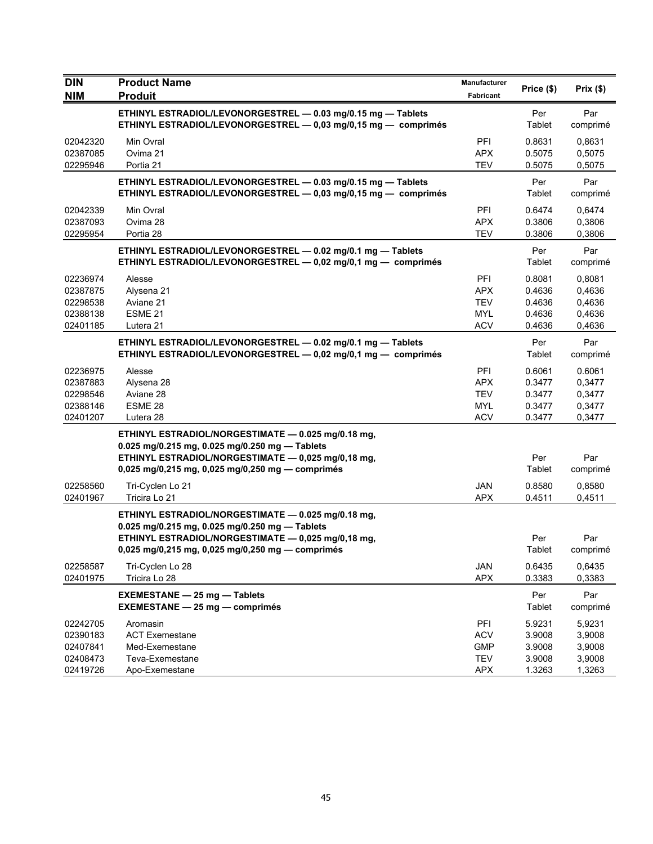| <b>DIN</b>           | <b>Product Name</b>                                                                                  | Manufacturer             | Price (\$)       | Prix(\$)         |
|----------------------|------------------------------------------------------------------------------------------------------|--------------------------|------------------|------------------|
| <b>NIM</b>           | <b>Produit</b>                                                                                       | Fabricant                |                  |                  |
|                      | ETHINYL ESTRADIOL/LEVONORGESTREL - 0.03 mg/0.15 mg - Tablets                                         |                          | Per              | Par              |
|                      | ETHINYL ESTRADIOL/LEVONORGESTREL - 0,03 mg/0,15 mg - comprimés                                       |                          | Tablet           | comprimé         |
| 02042320             | Min Ovral                                                                                            | PFI                      | 0.8631           | 0.8631           |
| 02387085             | Ovima 21                                                                                             | <b>APX</b>               | 0.5075           | 0,5075           |
| 02295946             | Portia 21                                                                                            | <b>TEV</b>               | 0.5075           | 0,5075           |
|                      | ETHINYL ESTRADIOL/LEVONORGESTREL - 0.03 mg/0.15 mg - Tablets                                         |                          | Per              | Par              |
|                      | ETHINYL ESTRADIOL/LEVONORGESTREL - 0,03 mg/0,15 mg - comprimés                                       |                          | Tablet           | comprimé         |
| 02042339             | Min Ovral                                                                                            | <b>PFI</b>               | 0.6474           | 0.6474           |
| 02387093             | Ovima 28                                                                                             | <b>APX</b>               | 0.3806           | 0,3806           |
| 02295954             | Portia 28                                                                                            | <b>TEV</b>               | 0.3806           | 0,3806           |
|                      | ETHINYL ESTRADIOL/LEVONORGESTREL - 0.02 mg/0.1 mg - Tablets                                          |                          | Per              | Par              |
|                      | ETHINYL ESTRADIOL/LEVONORGESTREL - 0,02 mg/0,1 mg - comprimés                                        |                          | Tablet           | comprimé         |
| 02236974             | Alesse                                                                                               | PFI                      | 0.8081           | 0,8081           |
| 02387875             | Alysena 21                                                                                           | <b>APX</b>               | 0.4636           | 0,4636           |
| 02298538             | Aviane 21                                                                                            | <b>TEV</b>               | 0.4636           | 0,4636           |
| 02388138             | ESME <sub>21</sub>                                                                                   | MYL                      | 0.4636           | 0,4636           |
| 02401185             | Lutera 21                                                                                            | <b>ACV</b>               | 0.4636           | 0,4636           |
|                      | ETHINYL ESTRADIOL/LEVONORGESTREL - 0.02 mg/0.1 mg - Tablets                                          |                          | Per              | Par              |
|                      | ETHINYL ESTRADIOL/LEVONORGESTREL - 0,02 mg/0,1 mg - comprimés                                        |                          | Tablet           | comprimé         |
| 02236975             | Alesse                                                                                               | <b>PFI</b>               | 0.6061           | 0.6061           |
| 02387883             | Alysena 28                                                                                           | <b>APX</b>               | 0.3477           | 0,3477           |
| 02298546             | Aviane 28                                                                                            | <b>TEV</b>               | 0.3477           | 0,3477           |
| 02388146<br>02401207 | ESME 28<br>Lutera 28                                                                                 | <b>MYL</b><br><b>ACV</b> | 0.3477<br>0.3477 | 0,3477<br>0,3477 |
|                      |                                                                                                      |                          |                  |                  |
|                      | ETHINYL ESTRADIOL/NORGESTIMATE - 0.025 mg/0.18 mg,<br>0.025 mg/0.215 mg, 0.025 mg/0.250 mg - Tablets |                          |                  |                  |
|                      | ETHINYL ESTRADIOL/NORGESTIMATE - 0,025 mg/0,18 mg,                                                   |                          | Per              | Par              |
|                      | 0,025 mg/0,215 mg, 0,025 mg/0,250 mg - comprimés                                                     |                          | Tablet           | comprimé         |
| 02258560             | Tri-Cyclen Lo 21                                                                                     | <b>JAN</b>               | 0.8580           | 0,8580           |
| 02401967             | Tricira Lo 21                                                                                        | <b>APX</b>               | 0.4511           | 0,4511           |
|                      | ETHINYL ESTRADIOL/NORGESTIMATE - 0.025 mg/0.18 mg,                                                   |                          |                  |                  |
|                      | 0.025 mg/0.215 mg, 0.025 mg/0.250 mg - Tablets                                                       |                          |                  |                  |
|                      | ETHINYL ESTRADIOL/NORGESTIMATE - 0,025 mg/0,18 mg,                                                   |                          | Per              | Par              |
|                      | 0,025 mg/0,215 mg, 0,025 mg/0,250 mg - comprimés                                                     |                          | Tablet           | comprimé         |
| 02258587             | Tri-Cyclen Lo 28                                                                                     | JAN                      | 0.6435           | 0,6435           |
| 02401975             | Tricira Lo 28                                                                                        | <b>APX</b>               | 0.3383           | 0,3383           |
|                      | <b>EXEMESTANE - 25 mg - Tablets</b>                                                                  |                          | Per              | Par              |
|                      | <b>EXEMESTANE - 25 mg - comprimés</b>                                                                |                          | Tablet           | comprimé         |
| 02242705             | Aromasin                                                                                             | PFI                      | 5.9231           | 5,9231           |
| 02390183             | <b>ACT Exemestane</b>                                                                                | <b>ACV</b>               | 3.9008           | 3,9008           |
| 02407841             | Med-Exemestane                                                                                       | <b>GMP</b>               | 3.9008           | 3,9008           |
| 02408473             | Teva-Exemestane                                                                                      | <b>TEV</b>               | 3.9008           | 3,9008           |
| 02419726             | Apo-Exemestane                                                                                       | <b>APX</b>               | 1.3263           | 1,3263           |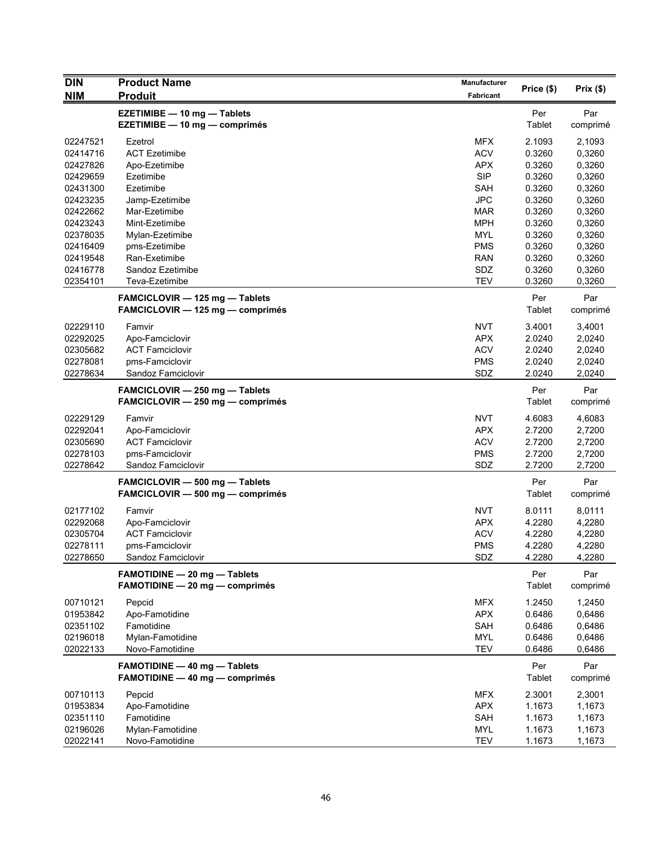| <b>DIN</b> | <b>Product Name</b>                                                | <b>Manufacturer</b> | Price (\$) | Prix(\$) |
|------------|--------------------------------------------------------------------|---------------------|------------|----------|
| <b>NIM</b> | <b>Produit</b>                                                     | <b>Fabricant</b>    |            |          |
|            | <b>EZETIMIBE - 10 mg - Tablets</b>                                 |                     | Per        | Par      |
|            | EZETIMIBE - 10 mg - comprimés                                      |                     | Tablet     | comprimé |
| 02247521   | Ezetrol                                                            | <b>MFX</b>          | 2.1093     | 2,1093   |
| 02414716   | <b>ACT Ezetimibe</b>                                               | <b>ACV</b>          | 0.3260     | 0,3260   |
| 02427826   | Apo-Ezetimibe                                                      | <b>APX</b>          | 0.3260     | 0,3260   |
| 02429659   | Ezetimibe                                                          | <b>SIP</b>          | 0.3260     | 0,3260   |
| 02431300   | Ezetimibe                                                          | <b>SAH</b>          | 0.3260     | 0,3260   |
| 02423235   | Jamp-Ezetimibe                                                     | <b>JPC</b>          | 0.3260     | 0,3260   |
| 02422662   | Mar-Ezetimibe                                                      | <b>MAR</b>          | 0.3260     | 0,3260   |
| 02423243   | Mint-Ezetimibe                                                     | <b>MPH</b>          | 0.3260     | 0,3260   |
| 02378035   | Mylan-Ezetimibe                                                    | MYL                 | 0.3260     | 0,3260   |
| 02416409   | pms-Ezetimibe                                                      | <b>PMS</b>          | 0.3260     | 0,3260   |
| 02419548   | Ran-Exetimibe                                                      | <b>RAN</b>          | 0.3260     | 0,3260   |
| 02416778   | Sandoz Ezetimibe                                                   | SDZ                 | 0.3260     | 0,3260   |
| 02354101   | Teva-Ezetimibe                                                     | <b>TEV</b>          | 0.3260     | 0,3260   |
|            | FAMCICLOVIR - 125 mg - Tablets                                     |                     | Per        | Par      |
|            | FAMCICLOVIR - 125 mg - comprimés                                   |                     | Tablet     | comprimé |
| 02229110   | Famvir                                                             | <b>NVT</b>          | 3.4001     | 3,4001   |
| 02292025   | Apo-Famciclovir                                                    | <b>APX</b>          | 2.0240     | 2,0240   |
| 02305682   | <b>ACT Famciclovir</b>                                             | <b>ACV</b>          | 2.0240     | 2,0240   |
| 02278081   | pms-Famciclovir                                                    | <b>PMS</b>          | 2.0240     | 2,0240   |
| 02278634   | Sandoz Famciclovir                                                 | SDZ                 | 2.0240     | 2,0240   |
|            | FAMCICLOVIR - 250 mg - Tablets                                     |                     | Per        | Par      |
|            | FAMCICLOVIR - 250 mg - comprimés                                   |                     | Tablet     | comprimé |
| 02229129   | Famvir                                                             | <b>NVT</b>          | 4.6083     | 4,6083   |
| 02292041   | Apo-Famciclovir                                                    | <b>APX</b>          | 2.7200     | 2,7200   |
| 02305690   | <b>ACT Famciclovir</b>                                             | <b>ACV</b>          | 2.7200     | 2,7200   |
| 02278103   | pms-Famciclovir                                                    | <b>PMS</b>          | 2.7200     | 2,7200   |
| 02278642   | Sandoz Famciclovir                                                 | SDZ                 | 2.7200     | 2,7200   |
|            |                                                                    |                     | Per        | Par      |
|            | FAMCICLOVIR - 500 mg - Tablets<br>FAMCICLOVIR - 500 mg - comprimés |                     | Tablet     | comprimé |
|            |                                                                    |                     |            |          |
| 02177102   | Famvir                                                             | <b>NVT</b>          | 8.0111     | 8,0111   |
| 02292068   | Apo-Famciclovir                                                    | <b>APX</b>          | 4.2280     | 4,2280   |
| 02305704   | <b>ACT Famciclovir</b>                                             | <b>ACV</b>          | 4.2280     | 4,2280   |
| 02278111   | pms-Famciclovir                                                    | <b>PMS</b>          | 4.2280     | 4,2280   |
| 02278650   | Sandoz Famciclovir                                                 | SDZ                 | 4.2280     | 4,2280   |
|            | <b>FAMOTIDINE - 20 mg - Tablets</b>                                |                     | Per        | Par      |
|            | <b>FAMOTIDINE - 20 mg - comprimés</b>                              |                     | Tablet     | comprimé |
| 00710121   | Pepcid                                                             | <b>MFX</b>          | 1.2450     | 1,2450   |
| 01953842   | Apo-Famotidine                                                     | <b>APX</b>          | 0.6486     | 0,6486   |
| 02351102   | Famotidine                                                         | SAH                 | 0.6486     | 0,6486   |
| 02196018   | Mylan-Famotidine                                                   | <b>MYL</b>          | 0.6486     | 0,6486   |
| 02022133   | Novo-Famotidine                                                    | <b>TEV</b>          | 0.6486     | 0,6486   |
|            | <b>FAMOTIDINE - 40 mg - Tablets</b>                                |                     | Per        | Par      |
|            | <b>FAMOTIDINE - 40 mg - comprimés</b>                              |                     | Tablet     | comprimé |
| 00710113   | Pepcid                                                             | <b>MFX</b>          | 2.3001     | 2,3001   |
| 01953834   | Apo-Famotidine                                                     | <b>APX</b>          | 1.1673     | 1,1673   |
| 02351110   | Famotidine                                                         | SAH                 | 1.1673     | 1,1673   |
| 02196026   | Mylan-Famotidine                                                   | <b>MYL</b>          | 1.1673     | 1,1673   |
| 02022141   | Novo-Famotidine                                                    | <b>TEV</b>          | 1.1673     | 1,1673   |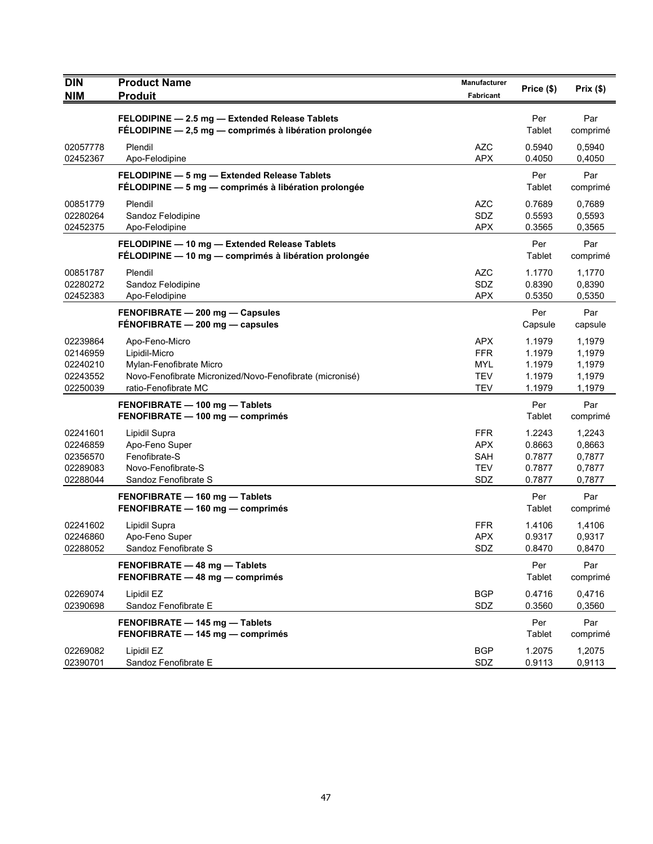| <b>DIN</b><br><b>NIM</b>                                 | <b>Product Name</b><br><b>Produit</b>                                                                                                          | Manufacturer<br>Fabricant                                          | Price (\$)                                     | Prix(\$)                                       |
|----------------------------------------------------------|------------------------------------------------------------------------------------------------------------------------------------------------|--------------------------------------------------------------------|------------------------------------------------|------------------------------------------------|
|                                                          | FELODIPINE - 2.5 mg - Extended Release Tablets<br>FÉLODIPINE - 2,5 mg - comprimés à libération prolongée                                       |                                                                    | Per<br>Tablet                                  | Par<br>comprimé                                |
| 02057778<br>02452367                                     | Plendil<br>Apo-Felodipine                                                                                                                      | <b>AZC</b><br><b>APX</b>                                           | 0.5940<br>0.4050                               | 0,5940<br>0,4050                               |
|                                                          | FELODIPINE - 5 mg - Extended Release Tablets<br>FÉLODIPINE - 5 mg - comprimés à libération prolongée                                           |                                                                    | Per<br>Tablet                                  | Par<br>comprimé                                |
| 00851779<br>02280264<br>02452375                         | Plendil<br>Sandoz Felodipine<br>Apo-Felodipine                                                                                                 | <b>AZC</b><br>SDZ<br><b>APX</b>                                    | 0.7689<br>0.5593<br>0.3565                     | 0,7689<br>0,5593<br>0,3565                     |
|                                                          | FELODIPINE - 10 mg - Extended Release Tablets<br>FÉLODIPINE - 10 mg - comprimés à libération prolongée                                         |                                                                    | Per<br>Tablet                                  | Par<br>comprimé                                |
| 00851787<br>02280272<br>02452383                         | Plendil<br>Sandoz Felodipine<br>Apo-Felodipine                                                                                                 | AZC<br>SDZ<br><b>APX</b>                                           | 1.1770<br>0.8390<br>0.5350                     | 1,1770<br>0,8390<br>0,5350                     |
|                                                          | FENOFIBRATE - 200 mg - Capsules<br>FENOFIBRATE - 200 mg - capsules                                                                             |                                                                    | Per<br>Capsule                                 | Par<br>capsule                                 |
| 02239864<br>02146959<br>02240210<br>02243552<br>02250039 | Apo-Feno-Micro<br>Lipidil-Micro<br>Mylan-Fenofibrate Micro<br>Novo-Fenofibrate Micronized/Novo-Fenofibrate (micronisé)<br>ratio-Fenofibrate MC | <b>APX</b><br><b>FFR</b><br><b>MYL</b><br><b>TEV</b><br><b>TEV</b> | 1.1979<br>1.1979<br>1.1979<br>1.1979<br>1.1979 | 1,1979<br>1,1979<br>1,1979<br>1,1979<br>1,1979 |
|                                                          | FENOFIBRATE - 100 mg - Tablets<br>FENOFIBRATE - 100 mg - comprimés                                                                             |                                                                    | Per<br>Tablet                                  | Par<br>comprimé                                |
| 02241601<br>02246859<br>02356570<br>02289083<br>02288044 | Lipidil Supra<br>Apo-Feno Super<br>Fenofibrate-S<br>Novo-Fenofibrate-S<br>Sandoz Fenofibrate S                                                 | <b>FFR</b><br><b>APX</b><br><b>SAH</b><br><b>TEV</b><br>SDZ        | 1.2243<br>0.8663<br>0.7877<br>0.7877<br>0.7877 | 1,2243<br>0,8663<br>0,7877<br>0,7877<br>0,7877 |
|                                                          | FENOFIBRATE - 160 mg - Tablets<br>FENOFIBRATE - 160 mg - comprimés                                                                             |                                                                    | Per<br>Tablet                                  | Par<br>comprimé                                |
| 02241602<br>02246860<br>02288052                         | Lipidil Supra<br>Apo-Feno Super<br>Sandoz Fenofibrate S                                                                                        | <b>FFR</b><br><b>APX</b><br>SDZ                                    | 1.4106<br>0.9317<br>0.8470                     | 1,4106<br>0,9317<br>0,8470                     |
|                                                          | FENOFIBRATE - 48 mg - Tablets<br>FENOFIBRATE - 48 mg - comprimés                                                                               |                                                                    | Per<br>Tablet                                  | Par<br>comprimé                                |
| 02269074<br>02390698                                     | Lipidil EZ<br>Sandoz Fenofibrate E                                                                                                             | <b>BGP</b><br>SDZ                                                  | 0.4716<br>0.3560                               | 0,4716<br>0,3560                               |
|                                                          | FENOFIBRATE - 145 mg - Tablets<br>FENOFIBRATE - 145 mg - comprimés                                                                             |                                                                    | Per<br>Tablet                                  | Par<br>comprimé                                |
| 02269082<br>02390701                                     | Lipidil EZ<br>Sandoz Fenofibrate E                                                                                                             | <b>BGP</b><br>SDZ                                                  | 1.2075<br>0.9113                               | 1,2075<br>0,9113                               |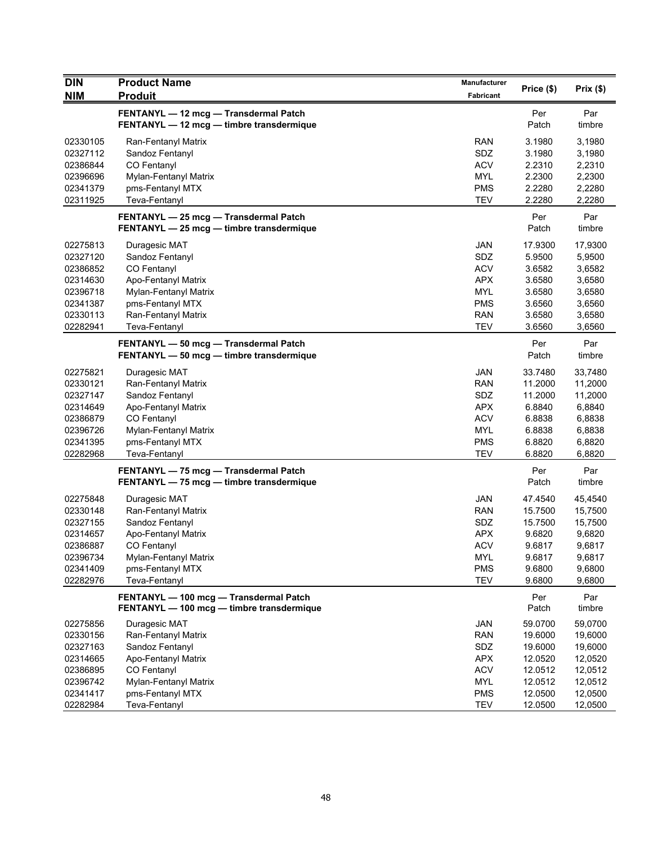| <b>DIN</b> | <b>Product Name</b>                                                                 | <b>Manufacturer</b> |              |               |
|------------|-------------------------------------------------------------------------------------|---------------------|--------------|---------------|
| <b>NIM</b> | <b>Produit</b>                                                                      | <b>Fabricant</b>    | Price (\$)   | Prix (\$)     |
|            | FENTANYL - 12 mcg - Transdermal Patch<br>FENTANYL - 12 mcg - timbre transdermique   |                     | Per<br>Patch | Par<br>timbre |
| 02330105   | Ran-Fentanyl Matrix                                                                 | <b>RAN</b>          | 3.1980       | 3,1980        |
| 02327112   | Sandoz Fentanyl                                                                     | SDZ                 | 3.1980       | 3,1980        |
| 02386844   | CO Fentanyl                                                                         | <b>ACV</b>          | 2.2310       | 2,2310        |
| 02396696   | Mylan-Fentanyl Matrix                                                               | <b>MYL</b>          | 2.2300       | 2,2300        |
| 02341379   | pms-Fentanyl MTX                                                                    | <b>PMS</b>          | 2.2280       | 2,2280        |
| 02311925   | Teva-Fentanyl                                                                       | <b>TEV</b>          | 2.2280       | 2,2280        |
|            | FENTANYL - 25 mcg - Transdermal Patch<br>FENTANYL - 25 mcg - timbre transdermique   |                     | Per<br>Patch | Par<br>timbre |
| 02275813   | Duragesic MAT                                                                       | JAN                 | 17.9300      | 17,9300       |
| 02327120   | Sandoz Fentanyl                                                                     | SDZ                 | 5.9500       | 5,9500        |
| 02386852   | CO Fentanyl                                                                         | <b>ACV</b>          | 3.6582       | 3,6582        |
| 02314630   | Apo-Fentanyl Matrix                                                                 | <b>APX</b>          | 3.6580       | 3,6580        |
| 02396718   | Mylan-Fentanyl Matrix                                                               | <b>MYL</b>          | 3.6580       | 3,6580        |
| 02341387   | pms-Fentanyl MTX                                                                    | <b>PMS</b>          | 3.6560       | 3,6560        |
| 02330113   | Ran-Fentanyl Matrix                                                                 | <b>RAN</b>          | 3.6580       | 3,6580        |
| 02282941   | Teva-Fentanyl                                                                       | <b>TEV</b>          | 3.6560       | 3,6560        |
|            | FENTANYL - 50 mcg - Transdermal Patch<br>FENTANYL - 50 mcg - timbre transdermique   |                     | Per<br>Patch | Par<br>timbre |
| 02275821   | Duragesic MAT                                                                       | <b>JAN</b>          | 33.7480      | 33,7480       |
| 02330121   | Ran-Fentanyl Matrix                                                                 | <b>RAN</b>          | 11.2000      | 11,2000       |
| 02327147   | Sandoz Fentanyl                                                                     | SDZ                 | 11.2000      | 11,2000       |
| 02314649   | Apo-Fentanyl Matrix                                                                 | <b>APX</b>          | 6.8840       | 6,8840        |
| 02386879   | CO Fentanyl                                                                         | <b>ACV</b>          | 6.8838       | 6,8838        |
| 02396726   | Mylan-Fentanyl Matrix                                                               | <b>MYL</b>          | 6.8838       | 6,8838        |
| 02341395   | pms-Fentanyl MTX                                                                    | <b>PMS</b>          | 6.8820       | 6,8820        |
| 02282968   | Teva-Fentanyl                                                                       | <b>TEV</b>          | 6.8820       | 6,8820        |
|            | FENTANYL - 75 mcg - Transdermal Patch<br>FENTANYL - 75 mcg - timbre transdermique   |                     | Per<br>Patch | Par<br>timbre |
| 02275848   | Duragesic MAT                                                                       | JAN                 | 47.4540      | 45,4540       |
| 02330148   | Ran-Fentanyl Matrix                                                                 | <b>RAN</b>          | 15.7500      | 15,7500       |
| 02327155   | Sandoz Fentanyl                                                                     | SDZ                 | 15.7500      | 15,7500       |
| 02314657   | Apo-Fentanyl Matrix                                                                 | <b>APX</b>          | 9.6820       | 9,6820        |
| 02386887   | CO Fentanyl                                                                         | <b>ACV</b>          | 9.6817       | 9,6817        |
| 02396734   | Mylan-Fentanyl Matrix                                                               | <b>MYL</b>          | 9.6817       | 9,6817        |
| 02341409   | pms-Fentanyl MTX                                                                    | <b>PMS</b>          | 9.6800       | 9,6800        |
| 02282976   | Teva-Fentanyl                                                                       | <b>TEV</b>          | 9.6800       | 9,6800        |
|            | FENTANYL - 100 mcg - Transdermal Patch<br>FENTANYL - 100 mcg - timbre transdermique |                     | Per<br>Patch | Par<br>timbre |
| 02275856   | Duragesic MAT                                                                       | JAN                 | 59.0700      | 59,0700       |
| 02330156   | Ran-Fentanyl Matrix                                                                 | <b>RAN</b>          | 19.6000      | 19,6000       |
| 02327163   | Sandoz Fentanyl                                                                     | <b>SDZ</b>          | 19.6000      | 19,6000       |
| 02314665   | Apo-Fentanyl Matrix                                                                 | <b>APX</b>          | 12.0520      | 12,0520       |
| 02386895   | CO Fentanyl                                                                         | <b>ACV</b>          | 12.0512      | 12,0512       |
| 02396742   | Mylan-Fentanyl Matrix                                                               | <b>MYL</b>          | 12.0512      | 12,0512       |
| 02341417   | pms-Fentanyl MTX                                                                    | <b>PMS</b>          | 12.0500      | 12,0500       |
| 02282984   | Teva-Fentanyl                                                                       | <b>TEV</b>          | 12.0500      | 12,0500       |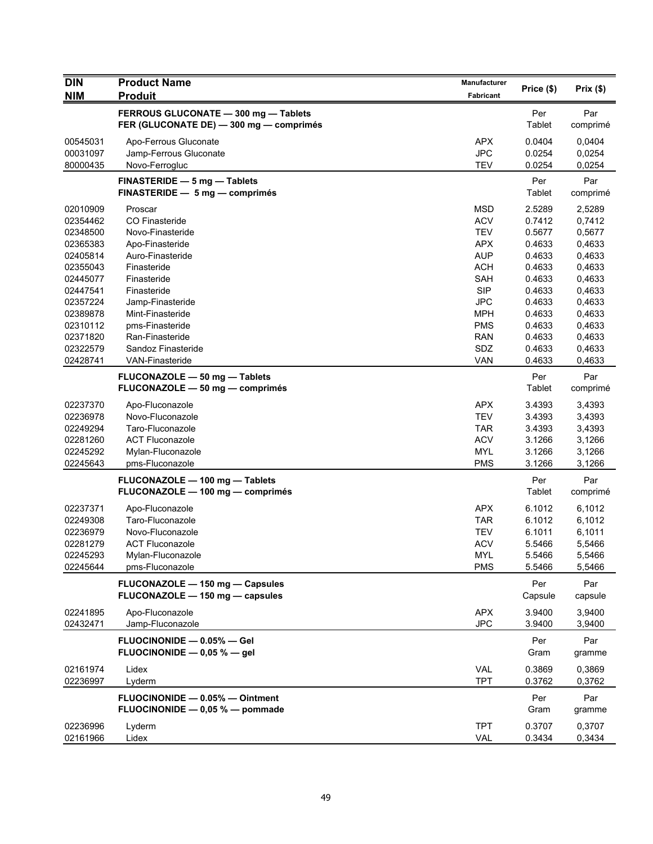| <b>DIN</b> | <b>Product Name</b>                                                             | <b>Manufacturer</b> | Price (\$)     | Prix(\$)        |
|------------|---------------------------------------------------------------------------------|---------------------|----------------|-----------------|
| <b>NIM</b> | <b>Produit</b>                                                                  | Fabricant           |                |                 |
|            | FERROUS GLUCONATE - 300 mg - Tablets<br>FER (GLUCONATE DE) - 300 mg - comprimés |                     | Per<br>Tablet  | Par<br>comprimé |
| 00545031   | Apo-Ferrous Gluconate                                                           | <b>APX</b>          | 0.0404         | 0,0404          |
| 00031097   | Jamp-Ferrous Gluconate                                                          | <b>JPC</b>          | 0.0254         | 0,0254          |
| 80000435   | Novo-Ferrogluc                                                                  | <b>TEV</b>          | 0.0254         | 0,0254          |
|            | FINASTERIDE - 5 mg - Tablets<br>FINASTERIDE - 5 mg - comprimés                  |                     | Per<br>Tablet  | Par<br>comprimé |
| 02010909   | Proscar                                                                         | <b>MSD</b>          | 2.5289         | 2,5289          |
| 02354462   | CO Finasteride                                                                  | <b>ACV</b>          | 0.7412         | 0,7412          |
| 02348500   | Novo-Finasteride                                                                | <b>TEV</b>          | 0.5677         | 0,5677          |
| 02365383   | Apo-Finasteride                                                                 | <b>APX</b>          | 0.4633         | 0,4633          |
| 02405814   | Auro-Finasteride                                                                | <b>AUP</b>          | 0.4633         | 0,4633          |
| 02355043   | Finasteride                                                                     | <b>ACH</b>          | 0.4633         | 0,4633          |
| 02445077   | Finasteride                                                                     | SAH                 | 0.4633         | 0,4633          |
| 02447541   | Finasteride                                                                     | <b>SIP</b>          | 0.4633         | 0,4633          |
| 02357224   | Jamp-Finasteride                                                                | <b>JPC</b>          | 0.4633         | 0,4633          |
| 02389878   | Mint-Finasteride                                                                | <b>MPH</b>          | 0.4633         | 0,4633          |
| 02310112   | pms-Finasteride                                                                 | <b>PMS</b>          | 0.4633         | 0,4633          |
| 02371820   | Ran-Finasteride                                                                 | <b>RAN</b>          | 0.4633         | 0,4633          |
| 02322579   | Sandoz Finasteride                                                              | SDZ                 | 0.4633         | 0,4633          |
| 02428741   | <b>VAN-Finasteride</b>                                                          | <b>VAN</b>          | 0.4633         | 0,4633          |
|            | FLUCONAZOLE - 50 mg - Tablets                                                   |                     | Per            | Par             |
|            | FLUCONAZOLE - 50 mg - comprimés                                                 |                     | Tablet         | comprimé        |
| 02237370   | Apo-Fluconazole                                                                 | <b>APX</b>          | 3.4393         | 3,4393          |
| 02236978   | Novo-Fluconazole                                                                | <b>TEV</b>          | 3.4393         | 3,4393          |
| 02249294   | Taro-Fluconazole                                                                | <b>TAR</b>          | 3.4393         | 3,4393          |
| 02281260   | <b>ACT Fluconazole</b>                                                          | <b>ACV</b>          | 3.1266         | 3,1266          |
| 02245292   | Mylan-Fluconazole                                                               | <b>MYL</b>          | 3.1266         | 3,1266          |
| 02245643   | pms-Fluconazole                                                                 | <b>PMS</b>          | 3.1266         | 3,1266          |
|            | FLUCONAZOLE - 100 mg - Tablets<br>FLUCONAZOLE - 100 mg - comprimés              |                     | Per<br>Tablet  | Par<br>comprimé |
| 02237371   | Apo-Fluconazole                                                                 | <b>APX</b>          | 6.1012         | 6,1012          |
| 02249308   | Taro-Fluconazole                                                                | <b>TAR</b>          | 6.1012         | 6,1012          |
| 02236979   | Novo-Fluconazole                                                                | <b>TEV</b>          | 6.1011         | 6,1011          |
| 02281279   | <b>ACT Fluconazole</b>                                                          | <b>ACV</b>          | 5.5466         | 5,5466          |
| 02245293   | Mylan-Fluconazole                                                               | <b>MYL</b>          | 5.5466         | 5,5466          |
| 02245644   | pms-Fluconazole                                                                 | <b>PMS</b>          | 5.5466         | 5,5466          |
|            | FLUCONAZOLE - 150 mg - Capsules<br>FLUCONAZOLE - 150 mg - capsules              |                     | Per<br>Capsule | Par<br>capsule  |
| 02241895   | Apo-Fluconazole                                                                 | <b>APX</b>          | 3.9400         | 3,9400          |
| 02432471   | Jamp-Fluconazole                                                                | <b>JPC</b>          | 3.9400         | 3,9400          |
|            | FLUOCINONIDE - 0.05% - Gel<br>FLUOCINONIDE - 0,05 % - gel                       |                     | Per<br>Gram    | Par<br>gramme   |
| 02161974   | Lidex                                                                           | VAL                 | 0.3869         | 0,3869          |
| 02236997   | Lyderm                                                                          | <b>TPT</b>          | 0.3762         | 0,3762          |
|            | FLUOCINONIDE - 0.05% - Ointment                                                 |                     | Per            | Par             |
|            | FLUOCINONIDE - 0,05 % - pommade                                                 |                     | Gram           | gramme          |
| 02236996   | Lyderm                                                                          | <b>TPT</b>          | 0.3707         | 0,3707          |
| 02161966   | Lidex                                                                           | VAL                 | 0.3434         | 0,3434          |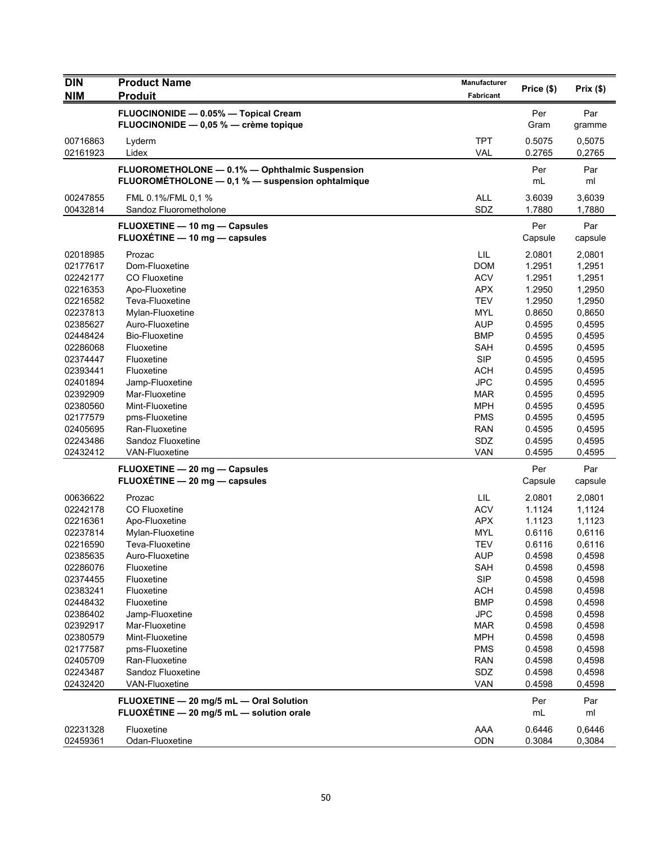| <b>DIN</b> | <b>Product Name</b>                              | <b>Manufacturer</b> | Price (\$) | Prix $(\$)$ |
|------------|--------------------------------------------------|---------------------|------------|-------------|
| <b>NIM</b> | <b>Produit</b>                                   | Fabricant           |            |             |
|            | FLUOCINONIDE - 0.05% - Topical Cream             |                     | Per        | Par         |
|            | FLUOCINONIDE - 0,05 % - crème topique            |                     | Gram       | gramme      |
| 00716863   | Lyderm                                           | <b>TPT</b>          | 0.5075     | 0,5075      |
| 02161923   | Lidex                                            | <b>VAL</b>          | 0.2765     | 0,2765      |
|            | FLUOROMETHOLONE - 0.1% - Ophthalmic Suspension   |                     | Per        | Par         |
|            | FLUOROMÉTHOLONE - 0,1 % - suspension ophtalmique |                     | mL         | ml          |
| 00247855   | FML 0.1%/FML 0.1 %                               | <b>ALL</b>          | 3.6039     | 3,6039      |
| 00432814   | Sandoz Fluorometholone                           | SDZ                 | 1.7880     | 1,7880      |
|            | FLUOXETINE - 10 mg - Capsules                    |                     | Per        | Par         |
|            | FLUOXÉTINE - 10 mg - capsules                    |                     | Capsule    | capsule     |
| 02018985   | Prozac                                           | LIL                 | 2.0801     | 2,0801      |
| 02177617   | Dom-Fluoxetine                                   | <b>DOM</b>          | 1.2951     | 1,2951      |
| 02242177   | CO Fluoxetine                                    | <b>ACV</b>          | 1.2951     | 1,2951      |
| 02216353   | Apo-Fluoxetine                                   | <b>APX</b>          | 1.2950     | 1,2950      |
| 02216582   | Teva-Fluoxetine                                  | <b>TEV</b>          | 1.2950     | 1,2950      |
| 02237813   | Mylan-Fluoxetine                                 | <b>MYL</b>          | 0.8650     | 0,8650      |
| 02385627   | Auro-Fluoxetine                                  | <b>AUP</b>          | 0.4595     | 0,4595      |
| 02448424   | <b>Bio-Fluoxetine</b>                            | <b>BMP</b>          | 0.4595     | 0,4595      |
| 02286068   | Fluoxetine                                       | <b>SAH</b>          | 0.4595     | 0,4595      |
| 02374447   | Fluoxetine                                       | <b>SIP</b>          | 0.4595     | 0,4595      |
| 02393441   | Fluoxetine                                       | <b>ACH</b>          | 0.4595     | 0,4595      |
| 02401894   | Jamp-Fluoxetine                                  | <b>JPC</b>          | 0.4595     | 0,4595      |
| 02392909   | Mar-Fluoxetine                                   | <b>MAR</b>          | 0.4595     | 0,4595      |
| 02380560   | Mint-Fluoxetine                                  | <b>MPH</b>          | 0.4595     | 0,4595      |
| 02177579   | pms-Fluoxetine                                   | <b>PMS</b>          | 0.4595     | 0,4595      |
| 02405695   | Ran-Fluoxetine                                   | <b>RAN</b>          | 0.4595     | 0,4595      |
| 02243486   | Sandoz Fluoxetine                                | SDZ                 | 0.4595     | 0,4595      |
| 02432412   | <b>VAN-Fluoxetine</b>                            | <b>VAN</b>          | 0.4595     | 0,4595      |
|            | FLUOXETINE - 20 mg - Capsules                    |                     | Per        | Par         |
|            | FLUOXÉTINE - 20 mg - capsules                    |                     | Capsule    | capsule     |
| 00636622   | Prozac                                           | LIL                 | 2.0801     | 2,0801      |
| 02242178   | CO Fluoxetine                                    | <b>ACV</b>          | 1.1124     | 1,1124      |
| 02216361   | Apo-Fluoxetine                                   | <b>APX</b>          | 1.1123     | 1,1123      |
| 02237814   | Mylan-Fluoxetine                                 | <b>MYL</b>          | 0.6116     | 0,6116      |
| 02216590   | Teva-Fluoxetine                                  | <b>TEV</b>          | 0.6116     | 0,6116      |
| 02385635   | Auro-Fluoxetine                                  | AUP                 | 0.4598     | 0,4598      |
| 02286076   | Fluoxetine                                       | SAH                 | 0.4598     | 0,4598      |
| 02374455   | Fluoxetine                                       | <b>SIP</b>          | 0.4598     | 0,4598      |
| 02383241   | Fluoxetine                                       | <b>ACH</b>          | 0.4598     | 0,4598      |
| 02448432   | Fluoxetine                                       | <b>BMP</b>          | 0.4598     | 0,4598      |
| 02386402   | Jamp-Fluoxetine                                  | <b>JPC</b>          | 0.4598     | 0,4598      |
| 02392917   | Mar-Fluoxetine                                   | <b>MAR</b>          | 0.4598     | 0,4598      |
| 02380579   | Mint-Fluoxetine                                  | <b>MPH</b>          | 0.4598     | 0,4598      |
| 02177587   | pms-Fluoxetine                                   | <b>PMS</b>          | 0.4598     | 0,4598      |
| 02405709   | Ran-Fluoxetine                                   | <b>RAN</b>          | 0.4598     | 0,4598      |
| 02243487   | Sandoz Fluoxetine                                | <b>SDZ</b>          | 0.4598     | 0,4598      |
| 02432420   | <b>VAN-Fluoxetine</b>                            | <b>VAN</b>          | 0.4598     | 0,4598      |
|            |                                                  |                     |            |             |
|            | FLUOXETINE - 20 mg/5 mL - Oral Solution          |                     | Per        | Par         |
|            | FLUOXÉTINE - 20 mg/5 mL - solution orale         |                     | mL         | ml          |
| 02231328   | Fluoxetine                                       | AAA                 | 0.6446     | 0,6446      |
| 02459361   | Odan-Fluoxetine                                  | ODN                 | 0.3084     | 0,3084      |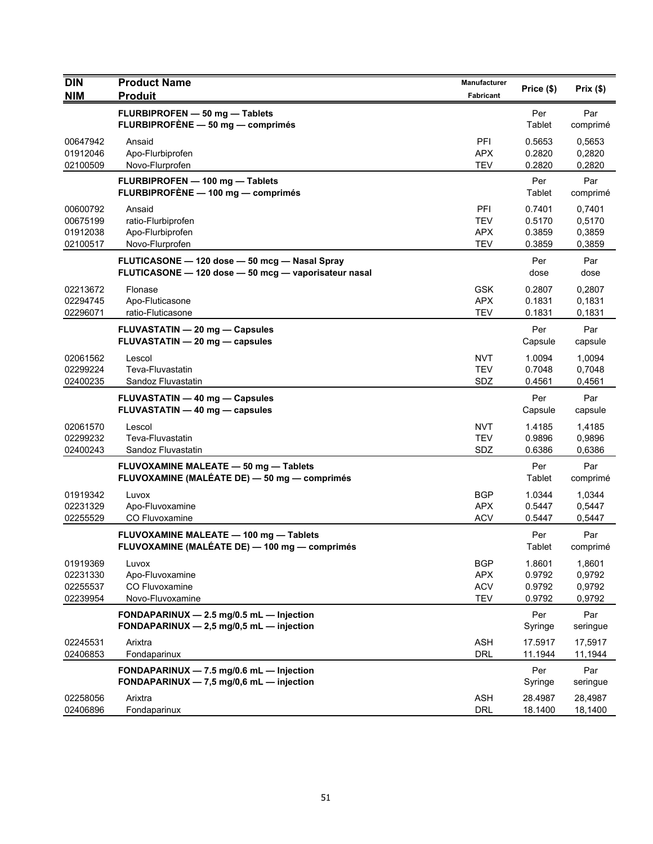| <b>DIN</b>           | <b>Product Name</b>                                                                     | Manufacturer             | Price (\$)       | Prix(\$)         |
|----------------------|-----------------------------------------------------------------------------------------|--------------------------|------------------|------------------|
| <b>NIM</b>           | <b>Produit</b>                                                                          | Fabricant                |                  |                  |
|                      | FLURBIPROFEN - 50 mg - Tablets<br>FLURBIPROFÈNE - 50 mg - comprimés                     |                          | Per<br>Tablet    | Par<br>comprimé  |
| 00647942             | Ansaid                                                                                  | PFI                      | 0.5653           | 0,5653           |
| 01912046             | Apo-Flurbiprofen                                                                        | <b>APX</b>               | 0.2820           | 0,2820           |
| 02100509             | Novo-Flurprofen                                                                         | <b>TEV</b>               | 0.2820           | 0,2820           |
|                      | FLURBIPROFEN - 100 mg - Tablets<br>FLURBIPROFÈNE - 100 mg - comprimés                   |                          | Per<br>Tablet    | Par<br>comprimé  |
| 00600792             | Ansaid                                                                                  | PFI                      | 0.7401           | 0,7401           |
| 00675199<br>01912038 | ratio-Flurbiprofen<br>Apo-Flurbiprofen                                                  | <b>TEV</b><br><b>APX</b> | 0.5170<br>0.3859 | 0,5170<br>0,3859 |
| 02100517             | Novo-Flurprofen                                                                         | <b>TEV</b>               | 0.3859           | 0,3859           |
|                      | FLUTICASONE - 120 dose - 50 mcg - Nasal Spray                                           |                          | Per              | Par              |
|                      | FLUTICASONE - 120 dose - 50 mcg - vaporisateur nasal                                    |                          | dose             | dose             |
| 02213672             | Flonase                                                                                 | <b>GSK</b>               | 0.2807           | 0,2807           |
| 02294745             | Apo-Fluticasone                                                                         | <b>APX</b>               | 0.1831           | 0,1831           |
| 02296071             | ratio-Fluticasone                                                                       | <b>TEV</b>               | 0.1831           | 0,1831           |
|                      | <b>FLUVASTATIN - 20 mg - Capsules</b><br>FLUVASTATIN - 20 mg - capsules                 |                          | Per<br>Capsule   | Par<br>capsule   |
| 02061562             | Lescol                                                                                  | <b>NVT</b>               | 1.0094           | 1,0094           |
| 02299224             | Teva-Fluvastatin                                                                        | <b>TEV</b>               | 0.7048           | 0,7048           |
| 02400235             | Sandoz Fluvastatin                                                                      | SDZ                      | 0.4561           | 0,4561           |
|                      | FLUVASTATIN - 40 mg - Capsules                                                          |                          | Per              | Par              |
|                      | FLUVASTATIN - 40 mg - capsules                                                          |                          | Capsule          | capsule          |
| 02061570             | Lescol                                                                                  | <b>NVT</b>               | 1.4185           | 1,4185           |
| 02299232             | Teva-Fluvastatin                                                                        | <b>TEV</b><br>SDZ        | 0.9896<br>0.6386 | 0,9896           |
| 02400243             | Sandoz Fluvastatin                                                                      |                          |                  | 0,6386           |
|                      | FLUVOXAMINE MALEATE - 50 mg - Tablets<br>FLUVOXAMINE (MALÉATE DE) - 50 mg - comprimés   |                          | Per<br>Tablet    | Par<br>comprimé  |
| 01919342             | Luvox                                                                                   | <b>BGP</b>               | 1.0344           | 1,0344           |
| 02231329             | Apo-Fluvoxamine                                                                         | <b>APX</b>               | 0.5447           | 0,5447           |
| 02255529             | CO Fluvoxamine                                                                          | <b>ACV</b>               | 0.5447           | 0,5447           |
|                      | FLUVOXAMINE MALEATE - 100 mg - Tablets<br>FLUVOXAMINE (MALÉATE DE) — 100 mg — comprimés |                          | Per<br>Tablet    | Par<br>comprimé  |
| 01919369             | Luvox                                                                                   | <b>BGP</b>               | 1.8601           | 1,8601           |
| 02231330             | Apo-Fluvoxamine                                                                         | <b>APX</b>               | 0.9792           | 0,9792           |
| 02255537<br>02239954 | CO Fluvoxamine<br>Novo-Fluvoxamine                                                      | <b>ACV</b><br><b>TEV</b> | 0.9792<br>0.9792 | 0,9792<br>0,9792 |
|                      | FONDAPARINUX - 2.5 mg/0.5 mL - Injection                                                |                          | Per              | Par              |
|                      | FONDAPARINUX $-2,5$ mg/0,5 mL $-$ injection                                             |                          | Syringe          | seringue         |
| 02245531             | Arixtra                                                                                 | <b>ASH</b>               | 17.5917          | 17,5917          |
| 02406853             | Fondaparinux                                                                            | <b>DRL</b>               | 11.1944          | 11,1944          |
|                      | FONDAPARINUX - 7.5 mg/0.6 mL - Injection                                                |                          | Per              | Par              |
|                      | FONDAPARINUX - 7,5 mg/0,6 mL - injection                                                |                          | Syringe          | seringue         |
| 02258056             | Arixtra                                                                                 | <b>ASH</b>               | 28.4987          | 28,4987          |
| 02406896             | Fondaparinux                                                                            | DRL                      | 18.1400          | 18,1400          |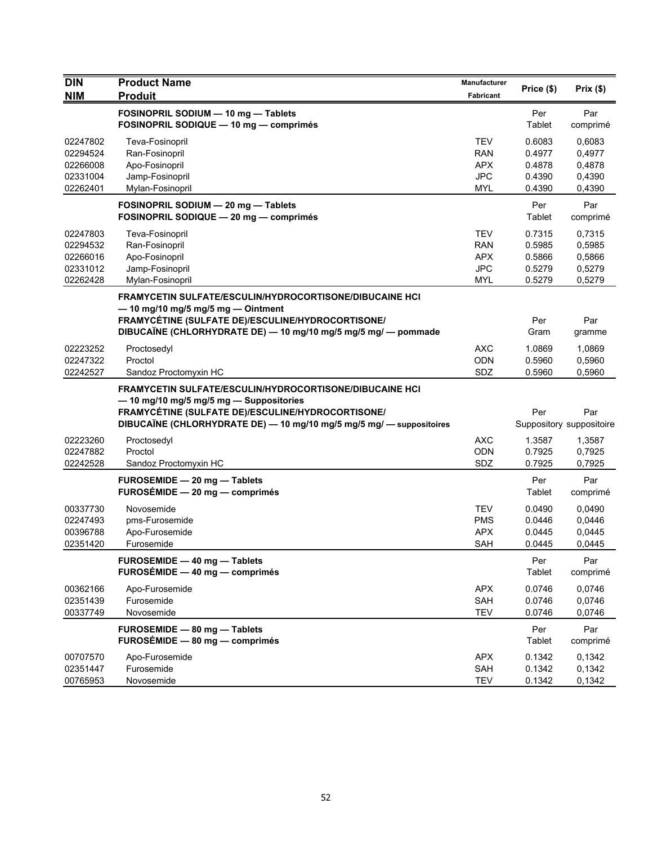| <b>DIN</b>           | <b>Product Name</b>                                                                                                                                                                                                                    | <b>Manufacturer</b>      | Price (\$)       | Prix(\$)                        |
|----------------------|----------------------------------------------------------------------------------------------------------------------------------------------------------------------------------------------------------------------------------------|--------------------------|------------------|---------------------------------|
| <b>NIM</b>           | <b>Produit</b>                                                                                                                                                                                                                         | Fabricant                |                  |                                 |
|                      | FOSINOPRIL SODIUM - 10 mg - Tablets                                                                                                                                                                                                    |                          | Per              | Par                             |
|                      | FOSINOPRIL SODIQUE - 10 mg - comprimés                                                                                                                                                                                                 |                          | Tablet           | comprimé                        |
| 02247802             | Teva-Fosinopril                                                                                                                                                                                                                        | TEV                      | 0.6083           | 0.6083                          |
| 02294524             | Ran-Fosinopril                                                                                                                                                                                                                         | <b>RAN</b>               | 0.4977           | 0,4977                          |
| 02266008             | Apo-Fosinopril                                                                                                                                                                                                                         | <b>APX</b>               | 0.4878           | 0,4878                          |
| 02331004             | Jamp-Fosinopril                                                                                                                                                                                                                        | <b>JPC</b>               | 0.4390           | 0,4390                          |
| 02262401             | Mylan-Fosinopril                                                                                                                                                                                                                       | <b>MYL</b>               | 0.4390           | 0,4390                          |
|                      | FOSINOPRIL SODIUM - 20 mg - Tablets                                                                                                                                                                                                    |                          | Per              | Par                             |
|                      | FOSINOPRIL SODIQUE - 20 mg - comprimés                                                                                                                                                                                                 |                          | Tablet           | comprimé                        |
| 02247803             | Teva-Fosinopril                                                                                                                                                                                                                        | <b>TEV</b>               | 0.7315           | 0,7315                          |
| 02294532             | Ran-Fosinopril                                                                                                                                                                                                                         | <b>RAN</b>               | 0.5985           | 0,5985                          |
| 02266016             | Apo-Fosinopril                                                                                                                                                                                                                         | <b>APX</b>               | 0.5866           | 0,5866                          |
| 02331012             | Jamp-Fosinopril                                                                                                                                                                                                                        | <b>JPC</b>               | 0.5279           | 0,5279                          |
| 02262428             | Mylan-Fosinopril                                                                                                                                                                                                                       | <b>MYL</b>               | 0.5279           | 0,5279                          |
|                      | FRAMYCETIN SULFATE/ESCULIN/HYDROCORTISONE/DIBUCAINE HCI                                                                                                                                                                                |                          |                  |                                 |
|                      | $-$ 10 mg/10 mg/5 mg/5 mg $-$ Ointment<br>FRAMYCÉTINE (SULFATE DE)/ESCULINE/HYDROCORTISONE/                                                                                                                                            |                          | Per              | Par                             |
|                      | DIBUCAÏNE (CHLORHYDRATE DE) — 10 mg/10 mg/5 mg/5 mg/ — pommade                                                                                                                                                                         |                          | Gram             | gramme                          |
|                      |                                                                                                                                                                                                                                        |                          |                  |                                 |
| 02223252<br>02247322 | Proctosedyl<br>Proctol                                                                                                                                                                                                                 | <b>AXC</b><br><b>ODN</b> | 1.0869<br>0.5960 | 1,0869<br>0,5960                |
| 02242527             | Sandoz Proctomyxin HC                                                                                                                                                                                                                  | SDZ                      | 0.5960           | 0,5960                          |
|                      | <b>FRAMYCETIN SULFATE/ESCULIN/HYDROCORTISONE/DIBUCAINE HCI</b><br>- 10 mg/10 mg/5 mg/5 mg - Suppositories<br>FRAMYCÉTINE (SULFATE DE)/ESCULINE/HYDROCORTISONE/<br>DIBUCAÏNE (CHLORHYDRATE DE) - 10 mg/10 mg/5 mg/5 mg/ - suppositoires |                          | Per              | Par<br>Suppository suppositoire |
| 02223260             | Proctosedyl                                                                                                                                                                                                                            | <b>AXC</b>               | 1.3587           | 1,3587                          |
| 02247882             | Proctol                                                                                                                                                                                                                                | ODN                      | 0.7925           | 0,7925                          |
| 02242528             | Sandoz Proctomyxin HC                                                                                                                                                                                                                  | SDZ                      | 0.7925           | 0,7925                          |
|                      | FUROSEMIDE - 20 mg - Tablets                                                                                                                                                                                                           |                          | Per              | Par                             |
|                      | $FUROSÉMIDE - 20 mg - comprimés$                                                                                                                                                                                                       |                          | Tablet           | comprimé                        |
| 00337730             | Novosemide                                                                                                                                                                                                                             | <b>TEV</b>               | 0.0490           | 0,0490                          |
| 02247493             | pms-Furosemide                                                                                                                                                                                                                         | <b>PMS</b>               | 0.0446           | 0,0446                          |
| 00396788             | Apo-Furosemide                                                                                                                                                                                                                         | <b>APX</b>               | 0.0445           | 0,0445                          |
| 02351420             | Furosemide                                                                                                                                                                                                                             | <b>SAH</b>               | 0.0445           | 0,0445                          |
|                      | FUROSEMIDE - 40 mg - Tablets<br>FUROSÉMIDE - 40 mg - comprimés                                                                                                                                                                         |                          | Per<br>Tablet    | Par<br>comprimé                 |
| 00362166             | Apo-Furosemide                                                                                                                                                                                                                         | <b>APX</b>               | 0.0746           | 0,0746                          |
| 02351439             | Furosemide                                                                                                                                                                                                                             | SAH                      | 0.0746           | 0,0746                          |
| 00337749             | Novosemide                                                                                                                                                                                                                             | <b>TEV</b>               | 0.0746           | 0,0746                          |
|                      | FUROSEMIDE - 80 mg - Tablets<br>FUROSÉMIDE - 80 mg - comprimés                                                                                                                                                                         |                          | Per<br>Tablet    | Par<br>comprimé                 |
| 00707570             | Apo-Furosemide                                                                                                                                                                                                                         | <b>APX</b>               | 0.1342           | 0,1342                          |
| 02351447             | Furosemide                                                                                                                                                                                                                             | SAH                      | 0.1342           | 0,1342                          |
| 00765953             | Novosemide                                                                                                                                                                                                                             | <b>TEV</b>               | 0.1342           | 0,1342                          |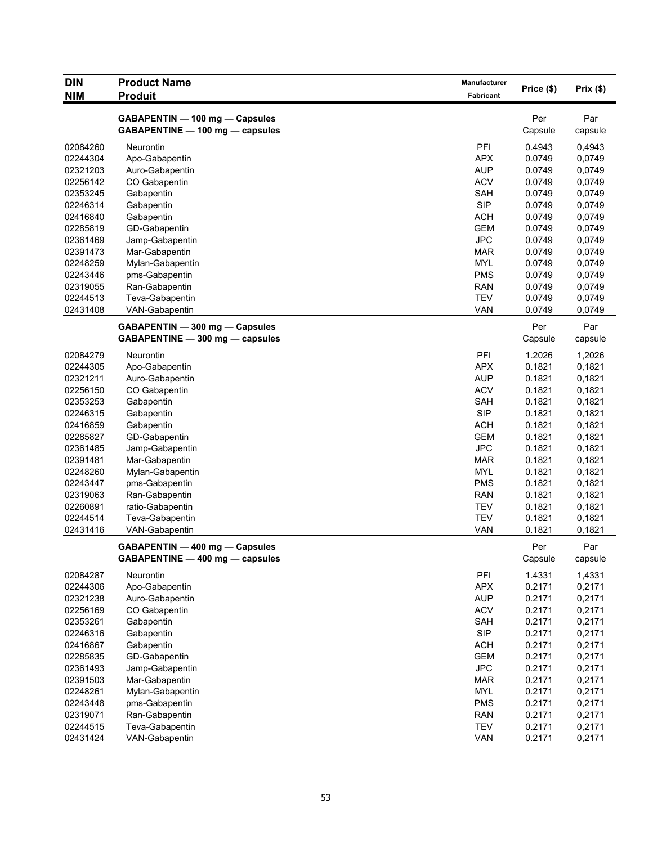| <b>DIN</b> | <b>Product Name</b>             | Manufacturer |            |             |
|------------|---------------------------------|--------------|------------|-------------|
| <b>NIM</b> | <b>Produit</b>                  | Fabricant    | Price (\$) | Prix $(\$)$ |
|            |                                 |              |            |             |
|            | GABAPENTIN - 100 mg - Capsules  |              | Per        | Par         |
|            | GABAPENTINE - 100 mg - capsules |              | Capsule    | capsule     |
| 02084260   | <b>Neurontin</b>                | PFI          | 0.4943     | 0,4943      |
| 02244304   | Apo-Gabapentin                  | <b>APX</b>   | 0.0749     | 0,0749      |
| 02321203   | Auro-Gabapentin                 | <b>AUP</b>   | 0.0749     | 0,0749      |
| 02256142   | CO Gabapentin                   | <b>ACV</b>   | 0.0749     | 0,0749      |
| 02353245   | Gabapentin                      | SAH          | 0.0749     | 0,0749      |
| 02246314   | Gabapentin                      | <b>SIP</b>   | 0.0749     | 0,0749      |
| 02416840   | Gabapentin                      | <b>ACH</b>   | 0.0749     | 0,0749      |
| 02285819   | GD-Gabapentin                   | <b>GEM</b>   | 0.0749     | 0,0749      |
| 02361469   | Jamp-Gabapentin                 | <b>JPC</b>   | 0.0749     | 0,0749      |
| 02391473   | Mar-Gabapentin                  | <b>MAR</b>   | 0.0749     | 0,0749      |
| 02248259   | Mylan-Gabapentin                | <b>MYL</b>   | 0.0749     | 0,0749      |
| 02243446   | pms-Gabapentin                  | <b>PMS</b>   | 0.0749     | 0,0749      |
| 02319055   | Ran-Gabapentin                  | <b>RAN</b>   | 0.0749     | 0,0749      |
| 02244513   | Teva-Gabapentin                 | <b>TEV</b>   | 0.0749     | 0,0749      |
| 02431408   | VAN-Gabapentin                  | <b>VAN</b>   | 0.0749     | 0,0749      |
|            | GABAPENTIN - 300 mg - Capsules  |              | Per        | Par         |
|            | GABAPENTINE - 300 mg - capsules |              | Capsule    | capsule     |
| 02084279   | Neurontin                       | PFI          | 1.2026     | 1,2026      |
| 02244305   | Apo-Gabapentin                  | <b>APX</b>   | 0.1821     | 0,1821      |
| 02321211   | Auro-Gabapentin                 | <b>AUP</b>   | 0.1821     | 0,1821      |
| 02256150   | CO Gabapentin                   | <b>ACV</b>   | 0.1821     | 0,1821      |
| 02353253   | Gabapentin                      | SAH          | 0.1821     | 0,1821      |
| 02246315   | Gabapentin                      | <b>SIP</b>   | 0.1821     | 0,1821      |
| 02416859   | Gabapentin                      | <b>ACH</b>   | 0.1821     | 0,1821      |
| 02285827   | GD-Gabapentin                   | <b>GEM</b>   | 0.1821     | 0,1821      |
| 02361485   | Jamp-Gabapentin                 | <b>JPC</b>   | 0.1821     | 0,1821      |
| 02391481   | Mar-Gabapentin                  | <b>MAR</b>   | 0.1821     | 0,1821      |
| 02248260   | Mylan-Gabapentin                | <b>MYL</b>   | 0.1821     | 0,1821      |
| 02243447   | pms-Gabapentin                  | <b>PMS</b>   | 0.1821     | 0,1821      |
| 02319063   | Ran-Gabapentin                  | <b>RAN</b>   | 0.1821     | 0,1821      |
| 02260891   | ratio-Gabapentin                | <b>TEV</b>   | 0.1821     | 0,1821      |
| 02244514   | Teva-Gabapentin                 | <b>TEV</b>   | 0.1821     | 0,1821      |
| 02431416   | VAN-Gabapentin                  | <b>VAN</b>   | 0.1821     | 0,1821      |
|            | GABAPENTIN - 400 mg - Capsules  |              | Per        | Par         |
|            | GABAPENTINE - 400 mg - capsules |              | Capsule    | capsule     |
| 02084287   | Neurontin                       | PFI          | 1.4331     | 1,4331      |
| 02244306   | Apo-Gabapentin                  | <b>APX</b>   | 0.2171     | 0,2171      |
| 02321238   | Auro-Gabapentin                 | <b>AUP</b>   | 0.2171     | 0,2171      |
| 02256169   | CO Gabapentin                   | <b>ACV</b>   | 0.2171     | 0,2171      |
| 02353261   | Gabapentin                      | SAH          | 0.2171     | 0,2171      |
| 02246316   | Gabapentin                      | <b>SIP</b>   | 0.2171     | 0,2171      |
| 02416867   | Gabapentin                      | <b>ACH</b>   | 0.2171     | 0,2171      |
| 02285835   | GD-Gabapentin                   | <b>GEM</b>   | 0.2171     | 0,2171      |
| 02361493   | Jamp-Gabapentin                 | <b>JPC</b>   | 0.2171     | 0,2171      |
| 02391503   | Mar-Gabapentin                  | <b>MAR</b>   | 0.2171     | 0,2171      |
| 02248261   | Mylan-Gabapentin                | <b>MYL</b>   | 0.2171     | 0,2171      |
| 02243448   | pms-Gabapentin                  | <b>PMS</b>   | 0.2171     | 0,2171      |
| 02319071   | Ran-Gabapentin                  | <b>RAN</b>   | 0.2171     | 0,2171      |
| 02244515   | Teva-Gabapentin                 | <b>TEV</b>   | 0.2171     | 0,2171      |
| 02431424   | VAN-Gabapentin                  | VAN          | 0.2171     | 0,2171      |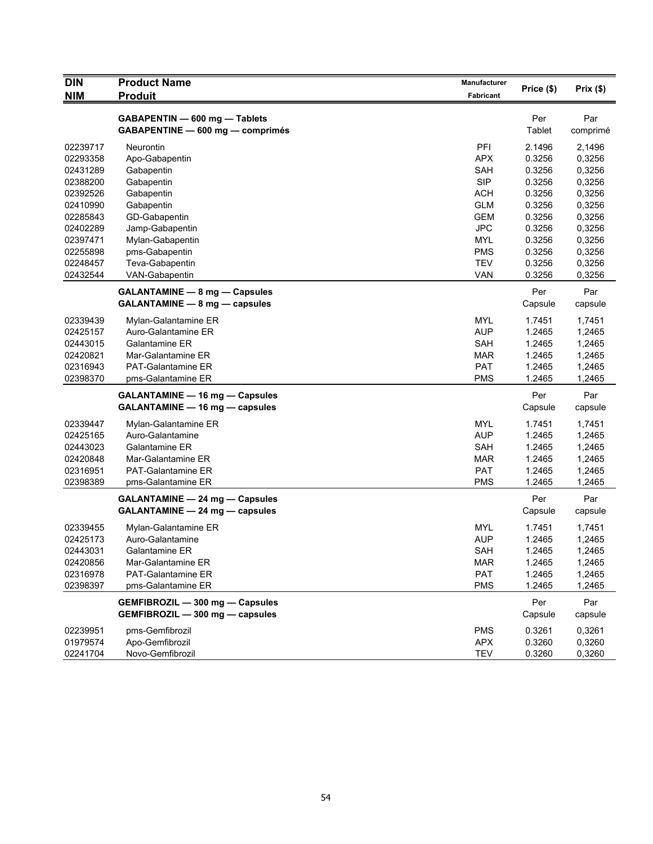| <b>DIN</b> | <b>Product Name</b>                                                     | <b>Manufacturer</b> | Price (\$)     | Prix(\$)        |
|------------|-------------------------------------------------------------------------|---------------------|----------------|-----------------|
| <b>NIM</b> | <b>Produit</b>                                                          | Fabricant           |                |                 |
|            | GABAPENTIN - 600 mg - Tablets<br>GABAPENTINE - 600 mg - comprimés       |                     | Per<br>Tablet  | Par<br>comprimé |
| 02239717   | <b>Neurontin</b>                                                        | PFI                 | 2.1496         | 2,1496          |
| 02293358   | Apo-Gabapentin                                                          | <b>APX</b>          | 0.3256         | 0,3256          |
| 02431289   | Gabapentin                                                              | SAH                 | 0.3256         | 0,3256          |
| 02388200   | Gabapentin                                                              | <b>SIP</b>          | 0.3256         | 0,3256          |
| 02392526   | Gabapentin                                                              | <b>ACH</b>          | 0.3256         | 0,3256          |
| 02410990   | Gabapentin                                                              | <b>GLM</b>          | 0.3256         | 0,3256          |
| 02285843   | GD-Gabapentin                                                           | <b>GEM</b>          | 0.3256         | 0,3256          |
| 02402289   | Jamp-Gabapentin                                                         | <b>JPC</b>          | 0.3256         | 0,3256          |
| 02397471   | Mylan-Gabapentin                                                        | <b>MYL</b>          | 0.3256         | 0,3256          |
| 02255898   | pms-Gabapentin                                                          | <b>PMS</b>          | 0.3256         | 0,3256          |
| 02248457   | Teva-Gabapentin                                                         | TEV                 | 0.3256         | 0,3256          |
| 02432544   | VAN-Gabapentin                                                          | VAN                 | 0.3256         | 0,3256          |
|            | <b>GALANTAMINE - 8 mg - Capsules</b>                                    |                     | Per            | Par             |
|            | GALANTAMINE - 8 mg - capsules                                           |                     | Capsule        | capsule         |
|            |                                                                         |                     |                |                 |
| 02339439   | Mylan-Galantamine ER                                                    | MYL                 | 1.7451         | 1,7451          |
| 02425157   | Auro-Galantamine ER                                                     | <b>AUP</b>          | 1.2465         | 1,2465          |
| 02443015   | Galantamine ER                                                          | SAH                 | 1.2465         | 1,2465          |
| 02420821   | Mar-Galantamine ER                                                      | <b>MAR</b>          | 1.2465         | 1,2465          |
| 02316943   | <b>PAT-Galantamine ER</b>                                               | <b>PAT</b>          | 1.2465         | 1,2465          |
| 02398370   | pms-Galantamine ER                                                      | PMS                 | 1.2465         | 1,2465          |
|            | <b>GALANTAMINE - 16 mg - Capsules</b>                                   |                     | Per            | Par             |
|            | GALANTAMINE - 16 mg - capsules                                          |                     | Capsule        | capsule         |
| 02339447   | Mylan-Galantamine ER                                                    | <b>MYL</b>          | 1.7451         | 1,7451          |
| 02425165   | Auro-Galantamine                                                        | <b>AUP</b>          | 1.2465         | 1,2465          |
| 02443023   | Galantamine ER                                                          | SAH                 | 1.2465         | 1,2465          |
| 02420848   | Mar-Galantamine ER                                                      | <b>MAR</b>          | 1.2465         | 1,2465          |
| 02316951   | <b>PAT-Galantamine ER</b>                                               | <b>PAT</b>          | 1.2465         | 1,2465          |
| 02398389   | pms-Galantamine ER                                                      | <b>PMS</b>          | 1.2465         | 1,2465          |
|            | <b>GALANTAMINE - 24 mg - Capsules</b><br>GALANTAMINE - 24 mg - capsules |                     | Per<br>Capsule | Par<br>capsule  |
|            |                                                                         |                     |                |                 |
| 02339455   | Mylan-Galantamine ER                                                    | <b>MYL</b>          | 1.7451         | 1,7451          |
| 02425173   | Auro-Galantamine                                                        | <b>AUP</b>          | 1.2465         | 1,2465          |
| 02443031   | Galantamine ER                                                          | SAH                 | 1.2465         | 1,2465          |
| 02420856   | Mar-Galantamine ER                                                      | <b>MAR</b>          | 1.2465         | 1,2465          |
| 02316978   | PAT-Galantamine ER                                                      | <b>PAT</b>          | 1.2465         | 1,2465          |
| 02398397   | pms-Galantamine ER                                                      | <b>PMS</b>          | 1.2465         | 1,2465          |
|            | GEMFIBROZIL - 300 mg - Capsules<br>GEMFIBROZIL - 300 mg - capsules      |                     | Per<br>Capsule | Par<br>capsule  |
| 02239951   | pms-Gemfibrozil                                                         | <b>PMS</b>          | 0.3261         | 0,3261          |
| 01979574   | Apo-Gemfibrozil                                                         | <b>APX</b>          | 0.3260         | 0,3260          |
| 02241704   | Novo-Gemfibrozil                                                        | <b>TEV</b>          | 0.3260         | 0,3260          |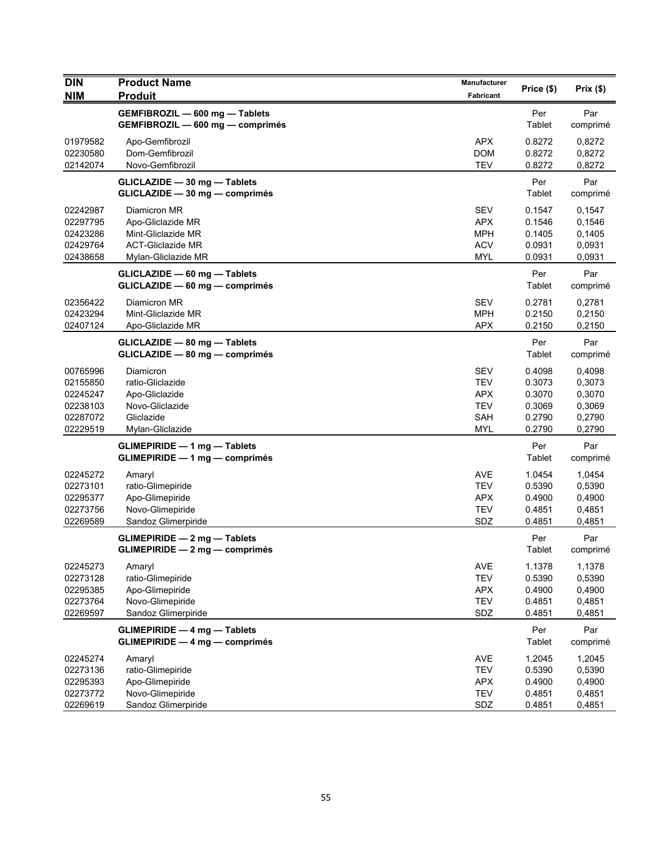| <b>DIN</b><br><b>NIM</b>                                             | <b>Product Name</b><br><b>Produit</b>                                                                      | <b>Manufacturer</b><br><b>Fabricant</b>                                          | Price (\$)                                               | Prix(\$)                                                 |
|----------------------------------------------------------------------|------------------------------------------------------------------------------------------------------------|----------------------------------------------------------------------------------|----------------------------------------------------------|----------------------------------------------------------|
|                                                                      | GEMFIBROZIL - 600 mg - Tablets<br>GEMFIBROZIL - 600 mg - comprimés                                         |                                                                                  | Per<br>Tablet                                            | Par<br>comprimé                                          |
| 01979582<br>02230580<br>02142074                                     | Apo-Gemfibrozil<br>Dom-Gemfibrozil<br>Novo-Gemfibrozil                                                     | <b>APX</b><br><b>DOM</b><br><b>TEV</b>                                           | 0.8272<br>0.8272<br>0.8272                               | 0,8272<br>0,8272<br>0,8272                               |
|                                                                      | GLICLAZIDE - 30 mg - Tablets<br>GLICLAZIDE - 30 mg - comprimés                                             |                                                                                  | Per<br>Tablet                                            | Par<br>comprimé                                          |
| 02242987<br>02297795<br>02423286<br>02429764<br>02438658             | Diamicron MR<br>Apo-Gliclazide MR<br>Mint-Gliclazide MR<br><b>ACT-Gliclazide MR</b><br>Mylan-Gliclazide MR | <b>SEV</b><br><b>APX</b><br><b>MPH</b><br><b>ACV</b><br><b>MYL</b>               | 0.1547<br>0.1546<br>0.1405<br>0.0931<br>0.0931           | 0,1547<br>0,1546<br>0,1405<br>0,0931<br>0,0931           |
|                                                                      | GLICLAZIDE - 60 mg - Tablets<br>GLICLAZIDE - 60 mg - comprimés                                             |                                                                                  | Per<br>Tablet                                            | Par<br>comprimé                                          |
| 02356422<br>02423294<br>02407124                                     | Diamicron MR<br>Mint-Gliclazide MR<br>Apo-Gliclazide MR                                                    | <b>SEV</b><br><b>MPH</b><br>APX                                                  | 0.2781<br>0.2150<br>0.2150                               | 0,2781<br>0,2150<br>0,2150                               |
|                                                                      | GLICLAZIDE - 80 mg - Tablets<br>GLICLAZIDE - 80 mg - comprimés                                             |                                                                                  | Per<br>Tablet                                            | Par<br>comprimé                                          |
| 00765996<br>02155850<br>02245247<br>02238103<br>02287072<br>02229519 | Diamicron<br>ratio-Gliclazide<br>Apo-Gliclazide<br>Novo-Gliclazide<br>Gliclazide<br>Mylan-Gliclazide       | <b>SEV</b><br><b>TEV</b><br><b>APX</b><br><b>TEV</b><br><b>SAH</b><br><b>MYL</b> | 0.4098<br>0.3073<br>0.3070<br>0.3069<br>0.2790<br>0.2790 | 0,4098<br>0,3073<br>0,3070<br>0,3069<br>0,2790<br>0,2790 |
|                                                                      | <b>GLIMEPIRIDE - 1 mg - Tablets</b><br><b>GLIMEPIRIDE - 1 mg - comprimés</b>                               |                                                                                  | Per<br>Tablet                                            | Par<br>comprimé                                          |
| 02245272<br>02273101<br>02295377<br>02273756<br>02269589             | Amaryl<br>ratio-Glimepiride<br>Apo-Glimepiride<br>Novo-Glimepiride<br>Sandoz Glimerpiride                  | <b>AVE</b><br><b>TEV</b><br><b>APX</b><br><b>TEV</b><br>SDZ                      | 1.0454<br>0.5390<br>0.4900<br>0.4851<br>0.4851           | 1,0454<br>0,5390<br>0,4900<br>0,4851<br>0,4851           |
|                                                                      | <b>GLIMEPIRIDE - 2 mg - Tablets</b><br>$GLIMEPIRIDE - 2 mg - comprimés$                                    |                                                                                  | Per<br>Tablet                                            | Par<br>comprimé                                          |
| 02245273<br>02273128<br>02295385<br>02273764<br>02269597             | Amaryl<br>ratio-Glimepiride<br>Apo-Glimepiride<br>Novo-Glimepiride<br>Sandoz Glimerpiride                  | <b>AVE</b><br><b>TEV</b><br><b>APX</b><br><b>TEV</b><br>SDZ                      | 1.1378<br>0.5390<br>0.4900<br>0.4851<br>0.4851           | 1,1378<br>0,5390<br>0,4900<br>0,4851<br>0,4851           |
|                                                                      | <b>GLIMEPIRIDE - 4 mg - Tablets</b><br><b>GLIMEPIRIDE - 4 mg - comprimés</b>                               |                                                                                  | Per<br>Tablet                                            | Par<br>comprimé                                          |
| 02245274<br>02273136<br>02295393<br>02273772<br>02269619             | Amaryl<br>ratio-Glimepiride<br>Apo-Glimepiride<br>Novo-Glimepiride<br>Sandoz Glimerpiride                  | <b>AVE</b><br><b>TEV</b><br>APX<br><b>TEV</b><br>SDZ                             | 1.2045<br>0.5390<br>0.4900<br>0.4851<br>0.4851           | 1,2045<br>0,5390<br>0,4900<br>0,4851<br>0,4851           |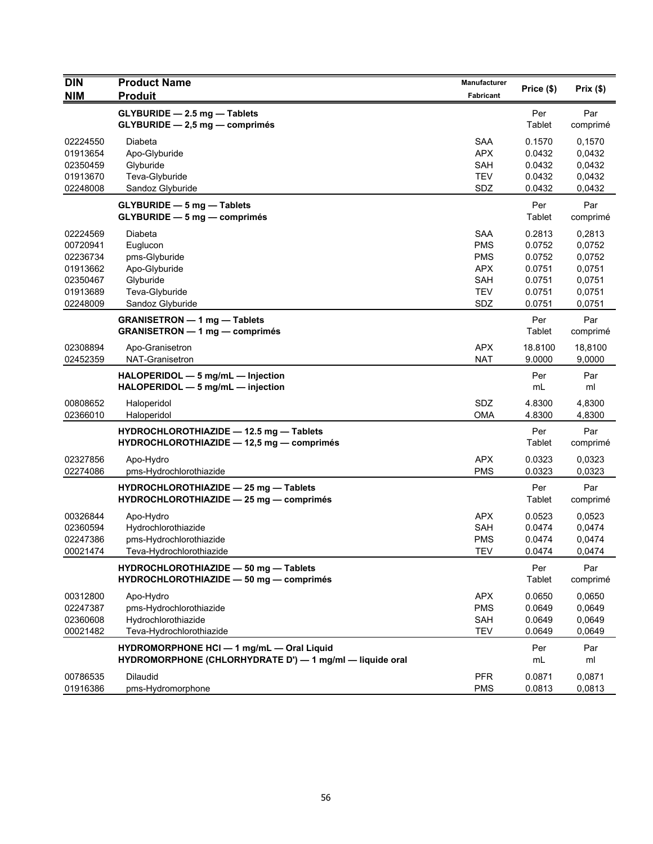| <b>DIN</b><br><b>NIM</b>                                                         | <b>Product Name</b><br><b>Produit</b>                                                                    | <b>Manufacturer</b><br>Fabricant                                                        | Price (\$)                                                         | Prix(\$)                                                           |
|----------------------------------------------------------------------------------|----------------------------------------------------------------------------------------------------------|-----------------------------------------------------------------------------------------|--------------------------------------------------------------------|--------------------------------------------------------------------|
|                                                                                  | GLYBURIDE - 2.5 mg - Tablets<br>$GLYBURIDE - 2,5 mg - comprimés$                                         |                                                                                         | Per<br>Tablet                                                      | Par<br>comprimé                                                    |
| 02224550<br>01913654<br>02350459<br>01913670<br>02248008                         | Diabeta<br>Apo-Glyburide<br>Glyburide<br>Teva-Glyburide<br>Sandoz Glyburide                              | <b>SAA</b><br><b>APX</b><br><b>SAH</b><br><b>TEV</b><br>SDZ                             | 0.1570<br>0.0432<br>0.0432<br>0.0432<br>0.0432                     | 0,1570<br>0,0432<br>0,0432<br>0,0432<br>0,0432                     |
|                                                                                  | <b>GLYBURIDE - 5 mg - Tablets</b><br>$GLYBURIDE - 5 mg - comprimés$                                      |                                                                                         | Per<br>Tablet                                                      | Par<br>comprimé                                                    |
| 02224569<br>00720941<br>02236734<br>01913662<br>02350467<br>01913689<br>02248009 | Diabeta<br>Euglucon<br>pms-Glyburide<br>Apo-Glyburide<br>Glyburide<br>Teva-Glyburide<br>Sandoz Glyburide | <b>SAA</b><br><b>PMS</b><br><b>PMS</b><br><b>APX</b><br><b>SAH</b><br><b>TEV</b><br>SDZ | 0.2813<br>0.0752<br>0.0752<br>0.0751<br>0.0751<br>0.0751<br>0.0751 | 0,2813<br>0,0752<br>0,0752<br>0,0751<br>0,0751<br>0,0751<br>0,0751 |
|                                                                                  | <b>GRANISETRON - 1 mg - Tablets</b><br><b>GRANISETRON - 1 mg - comprimés</b>                             |                                                                                         | Per<br>Tablet                                                      | Par<br>comprimé                                                    |
| 02308894<br>02452359                                                             | Apo-Granisetron<br>NAT-Granisetron                                                                       | <b>APX</b><br><b>NAT</b>                                                                | 18.8100<br>9.0000                                                  | 18,8100<br>9,0000                                                  |
|                                                                                  | HALOPERIDOL - 5 mg/mL - Injection<br>HALOPERIDOL - 5 mg/mL - injection                                   |                                                                                         | Per<br>mL                                                          | Par<br>ml                                                          |
| 00808652<br>02366010                                                             | Haloperidol<br>Haloperidol                                                                               | SDZ<br><b>OMA</b>                                                                       | 4.8300<br>4.8300                                                   | 4,8300<br>4,8300                                                   |
|                                                                                  | HYDROCHLOROTHIAZIDE - 12.5 mg - Tablets<br>HYDROCHLOROTHIAZIDE - 12,5 mg - comprimés                     |                                                                                         | Per<br>Tablet                                                      | Par<br>comprimé                                                    |
| 02327856<br>02274086                                                             | Apo-Hydro<br>pms-Hydrochlorothiazide                                                                     | <b>APX</b><br><b>PMS</b>                                                                | 0.0323<br>0.0323                                                   | 0,0323<br>0,0323                                                   |
|                                                                                  | HYDROCHLOROTHIAZIDE - 25 mg - Tablets<br>HYDROCHLOROTHIAZIDE - 25 mg - comprimés                         |                                                                                         | Per<br>Tablet                                                      | Par<br>comprimé                                                    |
| 00326844<br>02360594<br>02247386<br>00021474                                     | Apo-Hydro<br>Hydrochlorothiazide<br>pms-Hydrochlorothiazide<br>Teva-Hydrochlorothiazide                  | <b>APX</b><br><b>SAH</b><br><b>PMS</b><br><b>TEV</b>                                    | 0.0523<br>0.0474<br>0.0474<br>0.0474                               | 0,0523<br>0,0474<br>0,0474<br>0,0474                               |
|                                                                                  | HYDROCHLOROTHIAZIDE - 50 mg - Tablets<br>HYDROCHLOROTHIAZIDE - 50 mg - comprimés                         |                                                                                         | Per<br><b>Tablet</b>                                               | Par<br>comprimé                                                    |
| 00312800<br>02247387<br>02360608<br>00021482                                     | Apo-Hydro<br>pms-Hydrochlorothiazide<br>Hydrochlorothiazide<br>Teva-Hydrochlorothiazide                  | <b>APX</b><br><b>PMS</b><br>SAH<br>TEV                                                  | 0.0650<br>0.0649<br>0.0649<br>0.0649                               | 0,0650<br>0,0649<br>0,0649<br>0,0649                               |
|                                                                                  | HYDROMORPHONE HCI - 1 mg/mL - Oral Liquid<br>HYDROMORPHONE (CHLORHYDRATE D') - 1 mg/ml - liquide oral    |                                                                                         | Per<br>mL                                                          | Par<br>ml                                                          |
| 00786535<br>01916386                                                             | <b>Dilaudid</b><br>pms-Hydromorphone                                                                     | <b>PFR</b><br><b>PMS</b>                                                                | 0.0871<br>0.0813                                                   | 0,0871<br>0,0813                                                   |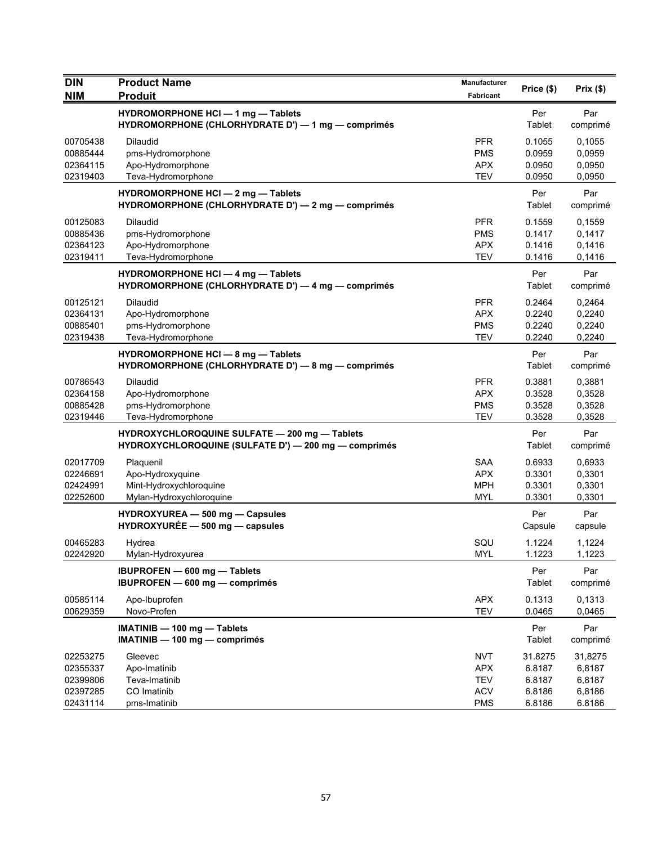| <b>DIN</b>                                               | <b>Product Name</b>                                                                                   | <b>Manufacturer</b>                                                | Price (\$)                                      | Prix $(\$)$                                     |
|----------------------------------------------------------|-------------------------------------------------------------------------------------------------------|--------------------------------------------------------------------|-------------------------------------------------|-------------------------------------------------|
| <b>NIM</b>                                               | <b>Produit</b>                                                                                        | <b>Fabricant</b>                                                   |                                                 |                                                 |
|                                                          | HYDROMORPHONE HCI - 1 mg - Tablets<br>HYDROMORPHONE (CHLORHYDRATE D') - 1 mg - comprimés              |                                                                    | Per<br>Tablet                                   | Par<br>comprimé                                 |
| 00705438<br>00885444<br>02364115<br>02319403             | <b>Dilaudid</b><br>pms-Hydromorphone<br>Apo-Hydromorphone<br>Teva-Hydromorphone                       | <b>PFR</b><br><b>PMS</b><br><b>APX</b><br><b>TEV</b>               | 0.1055<br>0.0959<br>0.0950<br>0.0950            | 0,1055<br>0,0959<br>0,0950<br>0,0950            |
|                                                          | <b>HYDROMORPHONE HCI - 2 mg - Tablets</b><br>HYDROMORPHONE (CHLORHYDRATE D') - 2 mg - comprimés       |                                                                    | Per<br>Tablet                                   | Par<br>comprimé                                 |
| 00125083<br>00885436<br>02364123<br>02319411             | Dilaudid<br>pms-Hydromorphone<br>Apo-Hydromorphone<br>Teva-Hydromorphone                              | <b>PFR</b><br><b>PMS</b><br><b>APX</b><br><b>TEV</b>               | 0.1559<br>0.1417<br>0.1416<br>0.1416            | 0,1559<br>0,1417<br>0,1416<br>0,1416            |
|                                                          | <b>HYDROMORPHONE HCI - 4 mg - Tablets</b><br>HYDROMORPHONE (CHLORHYDRATE D') - 4 mg - comprimés       |                                                                    | Per<br>Tablet                                   | Par<br>comprimé                                 |
| 00125121<br>02364131<br>00885401<br>02319438             | <b>Dilaudid</b><br>Apo-Hydromorphone<br>pms-Hydromorphone<br>Teva-Hydromorphone                       | <b>PFR</b><br><b>APX</b><br><b>PMS</b><br><b>TEV</b>               | 0.2464<br>0.2240<br>0.2240<br>0.2240            | 0,2464<br>0,2240<br>0,2240<br>0,2240            |
|                                                          | HYDROMORPHONE HCI - 8 mg - Tablets<br>HYDROMORPHONE (CHLORHYDRATE D') - 8 mg - comprimés              |                                                                    | Per<br>Tablet                                   | Par<br>comprimé                                 |
| 00786543<br>02364158<br>00885428<br>02319446             | Dilaudid<br>Apo-Hydromorphone<br>pms-Hydromorphone<br>Teva-Hydromorphone                              | <b>PFR</b><br><b>APX</b><br><b>PMS</b><br><b>TEV</b>               | 0.3881<br>0.3528<br>0.3528<br>0.3528            | 0,3881<br>0,3528<br>0,3528<br>0,3528            |
|                                                          | HYDROXYCHLOROQUINE SULFATE - 200 mg - Tablets<br>HYDROXYCHLOROQUINE (SULFATE D') - 200 mg - comprimés |                                                                    | Per<br>Tablet                                   | Par<br>comprimé                                 |
| 02017709<br>02246691<br>02424991<br>02252600             | Plaquenil<br>Apo-Hydroxyquine<br>Mint-Hydroxychloroquine<br>Mylan-Hydroxychloroquine                  | <b>SAA</b><br><b>APX</b><br>MPH<br>MYL                             | 0.6933<br>0.3301<br>0.3301<br>0.3301            | 0,6933<br>0,3301<br>0,3301<br>0,3301            |
|                                                          | HYDROXYUREA - 500 mg - Capsules<br>$HYDROXYURÉE - 500 mg - capsules$                                  |                                                                    | Per<br>Capsule                                  | Par<br>capsule                                  |
| 00465283<br>02242920                                     | Hydrea<br>Mylan-Hydroxyurea                                                                           | SQU<br><b>MYL</b>                                                  | 1.1224<br>1.1223                                | 1,1224<br>1,1223                                |
|                                                          | <b>IBUPROFEN</b> - 600 mg - Tablets<br>IBUPROFEN - 600 mg - comprimés                                 |                                                                    | Per<br>Tablet                                   | Par<br>comprimé                                 |
| 00585114<br>00629359                                     | Apo-Ibuprofen<br>Novo-Profen                                                                          | <b>APX</b><br><b>TEV</b>                                           | 0.1313<br>0.0465                                | 0,1313<br>0,0465                                |
|                                                          | IMATINIB - 100 mg - Tablets<br>$IMATINIB - 100 mg - comprimés$                                        |                                                                    | Per<br>Tablet                                   | Par<br>comprimé                                 |
| 02253275<br>02355337<br>02399806<br>02397285<br>02431114 | Gleevec<br>Apo-Imatinib<br>Teva-Imatinib<br>CO Imatinib<br>pms-Imatinib                               | <b>NVT</b><br><b>APX</b><br><b>TEV</b><br><b>ACV</b><br><b>PMS</b> | 31.8275<br>6.8187<br>6.8187<br>6.8186<br>6.8186 | 31,8275<br>6,8187<br>6,8187<br>6,8186<br>6.8186 |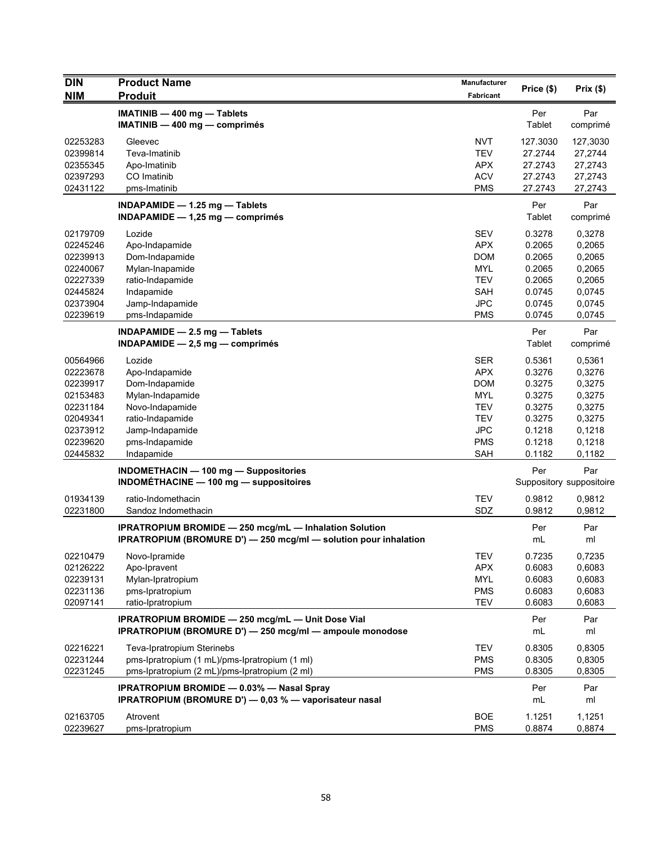| <b>DIN</b>           | <b>Product Name</b>                                                                                                               | Manufacturer             |                    |                                 |
|----------------------|-----------------------------------------------------------------------------------------------------------------------------------|--------------------------|--------------------|---------------------------------|
| <b>NIM</b>           | <b>Produit</b>                                                                                                                    | Fabricant                | Price (\$)         | Prix(\$)                        |
|                      | IMATINIB - 400 mg - Tablets                                                                                                       |                          | Per<br>Tablet      | Par                             |
|                      | $IMATINIB - 400 mg - comprimés$                                                                                                   |                          |                    | comprimé                        |
| 02253283             | Gleevec                                                                                                                           | <b>NVT</b>               | 127.3030           | 127,3030                        |
| 02399814             | Teva-Imatinib                                                                                                                     | <b>TEV</b>               | 27.2744            | 27,2744                         |
| 02355345<br>02397293 | Apo-Imatinib<br>CO Imatinib                                                                                                       | APX<br><b>ACV</b>        | 27.2743<br>27.2743 | 27,2743                         |
| 02431122             | pms-Imatinib                                                                                                                      | <b>PMS</b>               | 27.2743            | 27,2743<br>27,2743              |
|                      |                                                                                                                                   |                          |                    |                                 |
|                      | INDAPAMIDE $-$ 1.25 mg $-$ Tablets<br>INDAPAMIDE $-$ 1,25 mg $-$ comprimes                                                        |                          | Per<br>Tablet      | Par<br>comprimé                 |
| 02179709             | Lozide                                                                                                                            | <b>SEV</b>               | 0.3278             | 0,3278                          |
| 02245246             | Apo-Indapamide                                                                                                                    | <b>APX</b>               | 0.2065             | 0,2065                          |
| 02239913             | Dom-Indapamide                                                                                                                    | <b>DOM</b>               | 0.2065             | 0,2065                          |
| 02240067             | Mylan-Inapamide                                                                                                                   | <b>MYL</b>               | 0.2065             | 0,2065                          |
| 02227339             | ratio-Indapamide                                                                                                                  | <b>TEV</b>               | 0.2065             | 0,2065                          |
| 02445824             | Indapamide                                                                                                                        | <b>SAH</b>               | 0.0745             | 0,0745                          |
| 02373904<br>02239619 | Jamp-Indapamide<br>pms-Indapamide                                                                                                 | <b>JPC</b><br><b>PMS</b> | 0.0745<br>0.0745   | 0,0745<br>0,0745                |
|                      |                                                                                                                                   |                          |                    |                                 |
|                      | INDAPAMIDE $-2.5$ mg $-$ Tablets                                                                                                  |                          | Per                | Par                             |
|                      | INDAPAMIDE $-2.5$ mg $-$ comprimés                                                                                                |                          | Tablet             | comprimé                        |
| 00564966             | Lozide                                                                                                                            | <b>SER</b>               | 0.5361             | 0,5361                          |
| 02223678             | Apo-Indapamide                                                                                                                    | <b>APX</b>               | 0.3276             | 0,3276                          |
| 02239917             | Dom-Indapamide                                                                                                                    | <b>DOM</b>               | 0.3275             | 0,3275                          |
| 02153483             | Mylan-Indapamide                                                                                                                  | <b>MYL</b>               | 0.3275             | 0,3275                          |
| 02231184             | Novo-Indapamide                                                                                                                   | <b>TEV</b>               | 0.3275             | 0,3275                          |
| 02049341<br>02373912 | ratio-Indapamide                                                                                                                  | <b>TEV</b><br><b>JPC</b> | 0.3275<br>0.1218   | 0,3275<br>0,1218                |
| 02239620             | Jamp-Indapamide<br>pms-Indapamide                                                                                                 | <b>PMS</b>               | 0.1218             | 0,1218                          |
| 02445832             | Indapamide                                                                                                                        | <b>SAH</b>               | 0.1182             | 0,1182                          |
|                      | INDOMETHACIN - 100 mg - Suppositories<br><b>INDOMÉTHACINE - 100 mg - suppositoires</b>                                            |                          | Per                | Par<br>Suppository suppositoire |
|                      |                                                                                                                                   |                          |                    |                                 |
| 01934139             | ratio-Indomethacin                                                                                                                | <b>TEV</b>               | 0.9812             | 0,9812                          |
| 02231800             | Sandoz Indomethacin                                                                                                               | SDZ                      | 0.9812             | 0,9812                          |
|                      | <b>IPRATROPIUM BROMIDE - 250 mcg/mL - Inhalation Solution</b><br>IPRATROPIUM (BROMURE D') - 250 mcg/ml - solution pour inhalation |                          | Per<br>mL          | Par<br>ml                       |
| 02210479             | Novo-Ipramide                                                                                                                     | <b>TEV</b>               | 0.7235             | 0,7235                          |
| 02126222             | Apo-Ipravent                                                                                                                      | <b>APX</b>               | 0.6083             | 0,6083                          |
| 02239131             | Mylan-Ipratropium                                                                                                                 | <b>MYL</b>               | 0.6083             | 0,6083                          |
| 02231136             | pms-Ipratropium                                                                                                                   | <b>PMS</b>               | 0.6083             | 0,6083                          |
| 02097141             | ratio-Ipratropium                                                                                                                 | <b>TEV</b>               | 0.6083             | 0,6083                          |
|                      | IPRATROPIUM BROMIDE - 250 mcg/mL - Unit Dose Vial                                                                                 |                          | Per                | Par                             |
|                      | IPRATROPIUM (BROMURE D') - 250 mcg/ml - ampoule monodose                                                                          |                          | mL                 | ml                              |
| 02216221             | Teva-Ipratropium Sterinebs                                                                                                        | <b>TEV</b>               | 0.8305             | 0,8305                          |
| 02231244             | pms-Ipratropium (1 mL)/pms-Ipratropium (1 ml)                                                                                     | <b>PMS</b>               | 0.8305             | 0,8305                          |
| 02231245             | pms-Ipratropium (2 mL)/pms-Ipratropium (2 ml)                                                                                     | <b>PMS</b>               | 0.8305             | 0,8305                          |
|                      | <b>IPRATROPIUM BROMIDE - 0.03% - Nasal Spray</b>                                                                                  |                          | Per                | Par                             |
|                      | IPRATROPIUM (BROMURE D') - 0,03 % - vaporisateur nasal                                                                            |                          | mL                 | ml                              |
| 02163705             | Atrovent                                                                                                                          | <b>BOE</b>               | 1.1251             | 1,1251                          |
| 02239627             | pms-Ipratropium                                                                                                                   | <b>PMS</b>               | 0.8874             | 0,8874                          |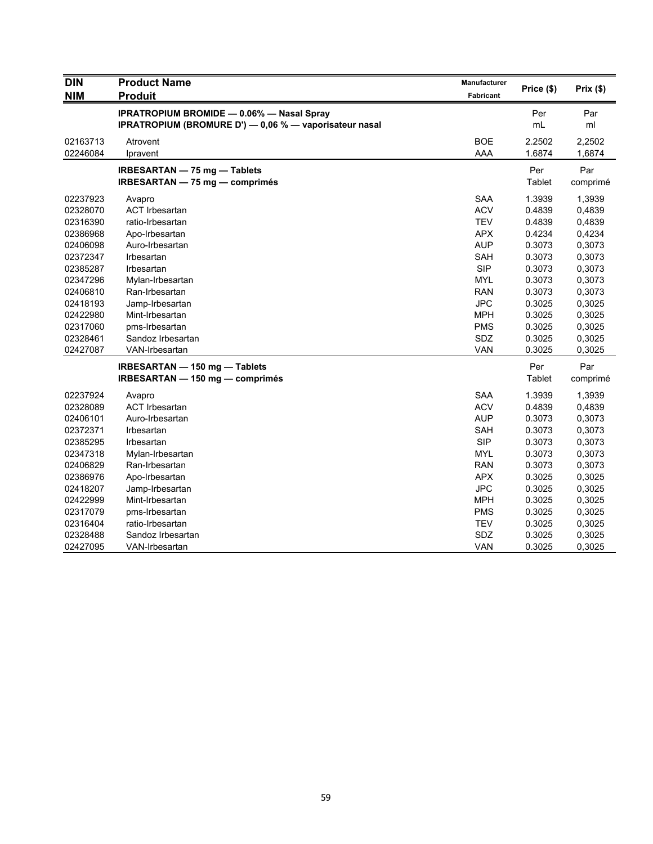| <b>DIN</b> | <b>Product Name</b>                                    | Manufacturer |            |          |
|------------|--------------------------------------------------------|--------------|------------|----------|
| <b>NIM</b> | <b>Produit</b>                                         | Fabricant    | Price (\$) | Prix(\$) |
|            | <b>IPRATROPIUM BROMIDE - 0.06% - Nasal Spray</b>       |              | Per        | Par      |
|            | IPRATROPIUM (BROMURE D') - 0,06 % - vaporisateur nasal |              | mL         | ml       |
| 02163713   | Atrovent                                               | <b>BOE</b>   | 2.2502     | 2,2502   |
| 02246084   | Ipravent                                               | AAA          | 1.6874     | 1,6874   |
|            | <b>IRBESARTAN - 75 mg - Tablets</b>                    |              | Per        | Par      |
|            | IRBESARTAN - 75 mg - comprimés                         |              | Tablet     | comprimé |
| 02237923   | Avapro                                                 | <b>SAA</b>   | 1.3939     | 1,3939   |
| 02328070   | <b>ACT Irbesartan</b>                                  | <b>ACV</b>   | 0.4839     | 0,4839   |
| 02316390   | ratio-Irbesartan                                       | <b>TEV</b>   | 0.4839     | 0,4839   |
| 02386968   | Apo-Irbesartan                                         | <b>APX</b>   | 0.4234     | 0,4234   |
| 02406098   | Auro-Irbesartan                                        | <b>AUP</b>   | 0.3073     | 0,3073   |
| 02372347   | Irbesartan                                             | SAH          | 0.3073     | 0,3073   |
| 02385287   | Irbesartan                                             | <b>SIP</b>   | 0.3073     | 0,3073   |
| 02347296   | Mylan-Irbesartan                                       | <b>MYL</b>   | 0.3073     | 0,3073   |
| 02406810   | Ran-Irbesartan                                         | <b>RAN</b>   | 0.3073     | 0,3073   |
| 02418193   | Jamp-Irbesartan                                        | <b>JPC</b>   | 0.3025     | 0,3025   |
| 02422980   | Mint-Irbesartan                                        | <b>MPH</b>   | 0.3025     | 0,3025   |
| 02317060   | pms-Irbesartan                                         | <b>PMS</b>   | 0.3025     | 0,3025   |
| 02328461   | Sandoz Irbesartan                                      | SDZ          | 0.3025     | 0,3025   |
| 02427087   | VAN-Irbesartan                                         | VAN          | 0.3025     | 0,3025   |
|            | IRBESARTAN - 150 mg - Tablets                          |              | Per        | Par      |
|            | IRBESARTAN - 150 mg - comprimés                        |              | Tablet     | comprimé |
| 02237924   | Avapro                                                 | <b>SAA</b>   | 1.3939     | 1,3939   |
| 02328089   | <b>ACT Irbesartan</b>                                  | <b>ACV</b>   | 0.4839     | 0,4839   |
| 02406101   | Auro-Irbesartan                                        | <b>AUP</b>   | 0.3073     | 0,3073   |
| 02372371   | Irbesartan                                             | SAH          | 0.3073     | 0,3073   |
| 02385295   | Irbesartan                                             | <b>SIP</b>   | 0.3073     | 0,3073   |
| 02347318   | Mylan-Irbesartan                                       | <b>MYL</b>   | 0.3073     | 0,3073   |
| 02406829   | Ran-Irbesartan                                         | <b>RAN</b>   | 0.3073     | 0,3073   |
| 02386976   | Apo-Irbesartan                                         | <b>APX</b>   | 0.3025     | 0,3025   |
| 02418207   | Jamp-Irbesartan                                        | <b>JPC</b>   | 0.3025     | 0,3025   |
| 02422999   | Mint-Irbesartan                                        | <b>MPH</b>   | 0.3025     | 0,3025   |
| 02317079   | pms-Irbesartan                                         | <b>PMS</b>   | 0.3025     | 0,3025   |
| 02316404   | ratio-Irbesartan                                       | <b>TEV</b>   | 0.3025     | 0,3025   |
| 02328488   | Sandoz Irbesartan                                      | SDZ          | 0.3025     | 0,3025   |
| 02427095   | VAN-Irbesartan                                         | <b>VAN</b>   | 0.3025     | 0,3025   |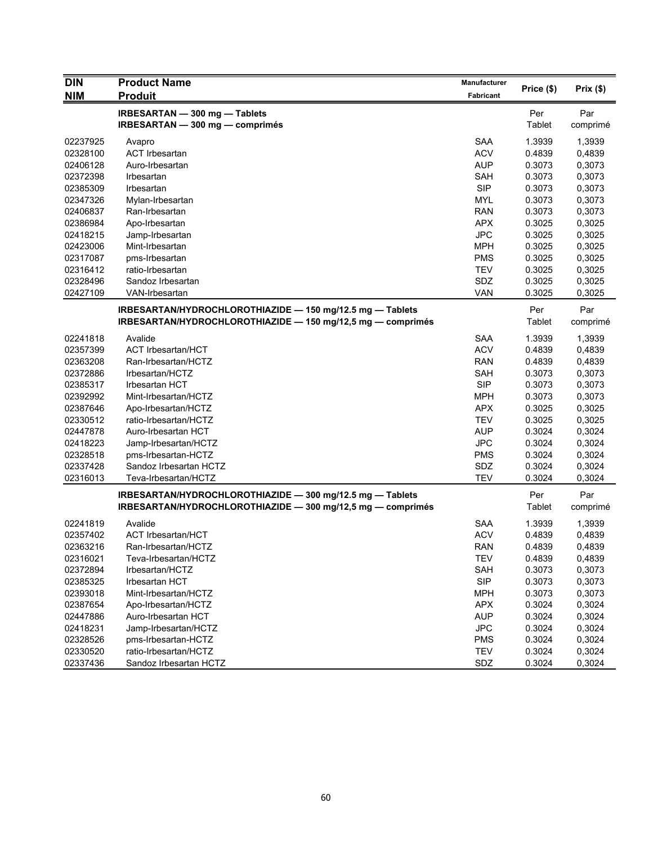| <b>DIN</b> | <b>Product Name</b>                                         | <b>Manufacturer</b> |            | Prix(\$) |
|------------|-------------------------------------------------------------|---------------------|------------|----------|
| <b>NIM</b> | <b>Produit</b>                                              | Fabricant           | Price (\$) |          |
|            | IRBESARTAN - 300 mg - Tablets                               |                     | Per        | Par      |
|            | IRBESARTAN - 300 mg - comprimés                             |                     | Tablet     | comprimé |
| 02237925   | Avapro                                                      | <b>SAA</b>          | 1.3939     | 1,3939   |
| 02328100   | <b>ACT Irbesartan</b>                                       | <b>ACV</b>          | 0.4839     | 0,4839   |
| 02406128   | Auro-Irbesartan                                             | <b>AUP</b>          | 0.3073     | 0,3073   |
| 02372398   | Irbesartan                                                  | <b>SAH</b>          | 0.3073     | 0,3073   |
| 02385309   | Irbesartan                                                  | <b>SIP</b>          | 0.3073     | 0,3073   |
| 02347326   | Mylan-Irbesartan                                            | MYL                 | 0.3073     | 0,3073   |
| 02406837   | Ran-Irbesartan                                              | <b>RAN</b>          | 0.3073     | 0,3073   |
| 02386984   | Apo-Irbesartan                                              | <b>APX</b>          | 0.3025     | 0,3025   |
| 02418215   | Jamp-Irbesartan                                             | <b>JPC</b>          | 0.3025     | 0,3025   |
| 02423006   | Mint-Irbesartan                                             | <b>MPH</b>          | 0.3025     | 0,3025   |
| 02317087   | pms-Irbesartan                                              | <b>PMS</b>          | 0.3025     | 0,3025   |
| 02316412   | ratio-Irbesartan                                            | <b>TEV</b>          | 0.3025     | 0,3025   |
| 02328496   | Sandoz Irbesartan                                           | SDZ                 | 0.3025     | 0,3025   |
| 02427109   | VAN-Irbesartan                                              | <b>VAN</b>          | 0.3025     | 0,3025   |
|            | IRBESARTAN/HYDROCHLOROTHIAZIDE - 150 mg/12.5 mg - Tablets   |                     | Per        | Par      |
|            | IRBESARTAN/HYDROCHLOROTHIAZIDE - 150 mg/12,5 mg - comprimés |                     | Tablet     | comprimé |
|            |                                                             |                     |            |          |
| 02241818   | Avalide                                                     | <b>SAA</b>          | 1.3939     | 1,3939   |
| 02357399   | <b>ACT Irbesartan/HCT</b>                                   | <b>ACV</b>          | 0.4839     | 0,4839   |
| 02363208   | Ran-Irbesartan/HCTZ                                         | <b>RAN</b>          | 0.4839     | 0,4839   |
| 02372886   | Irbesartan/HCTZ                                             | <b>SAH</b>          | 0.3073     | 0,3073   |
| 02385317   | <b>Irbesartan HCT</b>                                       | <b>SIP</b>          | 0.3073     | 0,3073   |
| 02392992   | Mint-Irbesartan/HCTZ                                        | <b>MPH</b>          | 0.3073     | 0,3073   |
| 02387646   | Apo-Irbesartan/HCTZ                                         | <b>APX</b>          | 0.3025     | 0,3025   |
| 02330512   | ratio-Irbesartan/HCTZ                                       | <b>TEV</b>          | 0.3025     | 0,3025   |
| 02447878   | Auro-Irbesartan HCT                                         | <b>AUP</b>          | 0.3024     | 0,3024   |
| 02418223   | Jamp-Irbesartan/HCTZ                                        | <b>JPC</b>          | 0.3024     | 0,3024   |
| 02328518   | pms-Irbesartan-HCTZ                                         | <b>PMS</b>          | 0.3024     | 0,3024   |
| 02337428   | Sandoz Irbesartan HCTZ                                      | SDZ                 | 0.3024     | 0,3024   |
| 02316013   | Teva-Irbesartan/HCTZ                                        | <b>TEV</b>          | 0.3024     | 0,3024   |
|            | IRBESARTAN/HYDROCHLOROTHIAZIDE - 300 mg/12.5 mg - Tablets   |                     | Per        | Par      |
|            | IRBESARTAN/HYDROCHLOROTHIAZIDE - 300 mg/12,5 mg - comprimés |                     | Tablet     | comprimé |
| 02241819   | Avalide                                                     | <b>SAA</b>          | 1.3939     | 1,3939   |
| 02357402   | <b>ACT Irbesartan/HCT</b>                                   | <b>ACV</b>          | 0.4839     | 0,4839   |
| 02363216   | Ran-Irbesartan/HCTZ                                         | <b>RAN</b>          | 0.4839     | 0,4839   |
| 02316021   | Teva-Irbesartan/HCTZ                                        | <b>TEV</b>          | 0.4839     | 0,4839   |
| 02372894   | Irbesartan/HCTZ                                             | <b>SAH</b>          | 0.3073     | 0,3073   |
| 02385325   | Irbesartan HCT                                              | <b>SIP</b>          | 0.3073     | 0,3073   |
| 02393018   | Mint-Irbesartan/HCTZ                                        | <b>MPH</b>          | 0.3073     | 0,3073   |
| 02387654   | Apo-Irbesartan/HCTZ                                         | APX                 | 0.3024     | 0,3024   |
| 02447886   | Auro-Irbesartan HCT                                         | <b>AUP</b>          | 0.3024     | 0,3024   |
| 02418231   | Jamp-Irbesartan/HCTZ                                        | <b>JPC</b>          | 0.3024     | 0,3024   |
| 02328526   | pms-Irbesartan-HCTZ                                         | <b>PMS</b>          | 0.3024     | 0,3024   |
| 02330520   | ratio-Irbesartan/HCTZ                                       | <b>TEV</b>          | 0.3024     | 0,3024   |
| 02337436   | Sandoz Irbesartan HCTZ                                      | SDZ                 | 0.3024     | 0,3024   |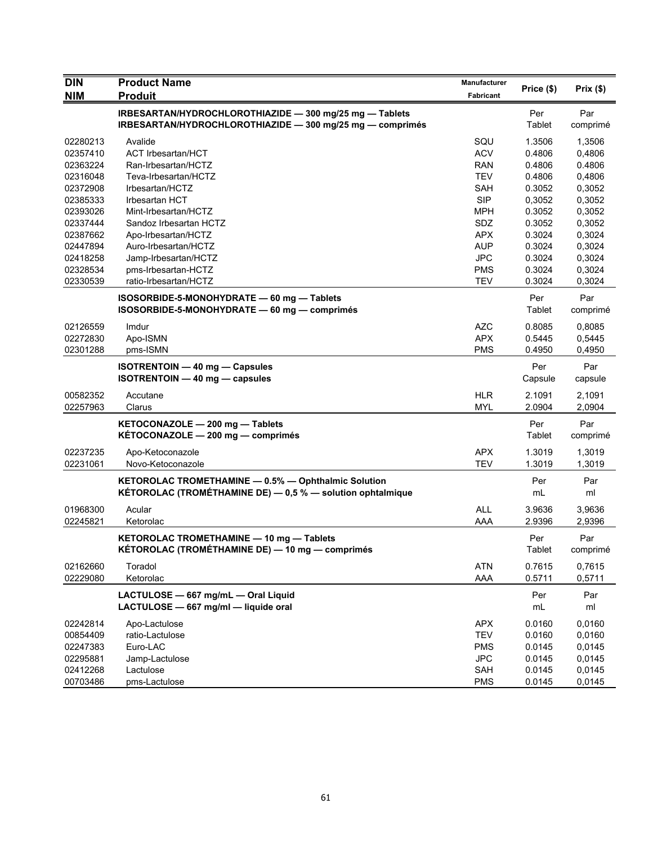| <b>DIN</b>           | <b>Product Name</b>                                                                                                  | Manufacturer      | Price (\$)       | Prix(\$)         |
|----------------------|----------------------------------------------------------------------------------------------------------------------|-------------------|------------------|------------------|
| <b>NIM</b>           | <b>Produit</b>                                                                                                       | Fabricant         |                  |                  |
|                      | IRBESARTAN/HYDROCHLOROTHIAZIDE - 300 mg/25 mg - Tablets<br>IRBESARTAN/HYDROCHLOROTHIAZIDE - 300 mg/25 mg - comprimés |                   | Per<br>Tablet    | Par<br>comprimé  |
| 02280213             | Avalide                                                                                                              | SQU               | 1.3506           | 1,3506           |
| 02357410             | <b>ACT Irbesartan/HCT</b>                                                                                            | <b>ACV</b>        | 0.4806           | 0,4806           |
| 02363224             | Ran-Irbesartan/HCTZ                                                                                                  | <b>RAN</b>        | 0.4806           | 0.4806           |
| 02316048             | Teva-Irbesartan/HCTZ                                                                                                 | <b>TEV</b>        | 0.4806           | 0,4806           |
| 02372908             | Irbesartan/HCTZ                                                                                                      | <b>SAH</b>        | 0.3052           | 0,3052           |
| 02385333             | <b>Irbesartan HCT</b>                                                                                                | <b>SIP</b>        | 0,3052           | 0,3052           |
| 02393026             | Mint-Irbesartan/HCTZ                                                                                                 | MPH               | 0.3052           | 0,3052           |
| 02337444             | Sandoz Irbesartan HCTZ                                                                                               | <b>SDZ</b>        | 0.3052           | 0,3052           |
| 02387662             | Apo-Irbesartan/HCTZ                                                                                                  | <b>APX</b>        | 0.3024           | 0,3024           |
| 02447894             | Auro-Irbesartan/HCTZ                                                                                                 | <b>AUP</b>        | 0.3024           | 0,3024           |
| 02418258             | Jamp-Irbesartan/HCTZ                                                                                                 | <b>JPC</b>        | 0.3024           | 0,3024           |
| 02328534             | pms-Irbesartan-HCTZ                                                                                                  | <b>PMS</b>        | 0.3024           | 0,3024           |
| 02330539             | ratio-Irbesartan/HCTZ                                                                                                | <b>TEV</b>        | 0.3024           | 0,3024           |
|                      | ISOSORBIDE-5-MONOHYDRATE - 60 mg - Tablets                                                                           |                   | Per              | Par              |
|                      | ISOSORBIDE-5-MONOHYDRATE - 60 mg - comprimés                                                                         |                   | Tablet           | comprimé         |
| 02126559             | Imdur                                                                                                                | <b>AZC</b>        | 0.8085           | 0,8085           |
| 02272830             | Apo-ISMN                                                                                                             | <b>APX</b>        | 0.5445           | 0,5445           |
| 02301288             | pms-ISMN                                                                                                             | <b>PMS</b>        | 0.4950           | 0,4950           |
|                      | <b>ISOTRENTOIN - 40 mg - Capsules</b><br><b>ISOTRENTOIN - 40 mg - capsules</b>                                       |                   | Per<br>Capsule   | Par<br>capsule   |
| 00582352             | Accutane                                                                                                             | <b>HLR</b>        | 2.1091           | 2,1091           |
| 02257963             | Clarus                                                                                                               | MYL               | 2.0904           | 2,0904           |
|                      | KETOCONAZOLE - 200 mg - Tablets                                                                                      |                   | Per              | Par              |
|                      | KÉTOCONAZOLE - 200 mg - comprimés                                                                                    |                   | Tablet           | comprimé         |
| 02237235             | Apo-Ketoconazole                                                                                                     | <b>APX</b>        | 1.3019           | 1,3019           |
| 02231061             | Novo-Ketoconazole                                                                                                    | <b>TEV</b>        | 1.3019           | 1,3019           |
|                      | KETOROLAC TROMETHAMINE - 0.5% - Ophthalmic Solution<br>KÉTOROLAC (TROMÉTHAMINE DE) - 0,5 % - solution ophtalmique    |                   | Per<br>mL        | Par<br>ml        |
| 01968300             | Acular                                                                                                               | <b>ALL</b>        | 3.9636           | 3,9636           |
| 02245821             | Ketorolac                                                                                                            | AAA               | 2.9396           | 2,9396           |
|                      | KETOROLAC TROMETHAMINE - 10 mg - Tablets<br>KÉTOROLAC (TROMÉTHAMINE DE) — 10 mg — comprimés                          |                   | Per<br>Tablet    | Par<br>comprimé  |
| 02162660<br>02229080 | Toradol<br>Ketorolac                                                                                                 | <b>ATN</b><br>AAA | 0.7615<br>0.5711 | 0,7615<br>0,5711 |
|                      | LACTULOSE - 667 mg/mL - Oral Liquid<br>LACTULOSE - 667 mg/ml - liquide oral                                          |                   | Per<br>mL        | Par<br>ml        |
| 02242814             | Apo-Lactulose                                                                                                        | <b>APX</b>        | 0.0160           | 0,0160           |
| 00854409             | ratio-Lactulose                                                                                                      | <b>TEV</b>        | 0.0160           | 0,0160           |
| 02247383             | Euro-LAC                                                                                                             | <b>PMS</b>        | 0.0145           | 0,0145           |
| 02295881             | Jamp-Lactulose                                                                                                       | <b>JPC</b>        | 0.0145           | 0,0145           |
| 02412268             | Lactulose                                                                                                            | SAH               | 0.0145           | 0,0145           |
| 00703486             | pms-Lactulose                                                                                                        | <b>PMS</b>        | 0.0145           | 0,0145           |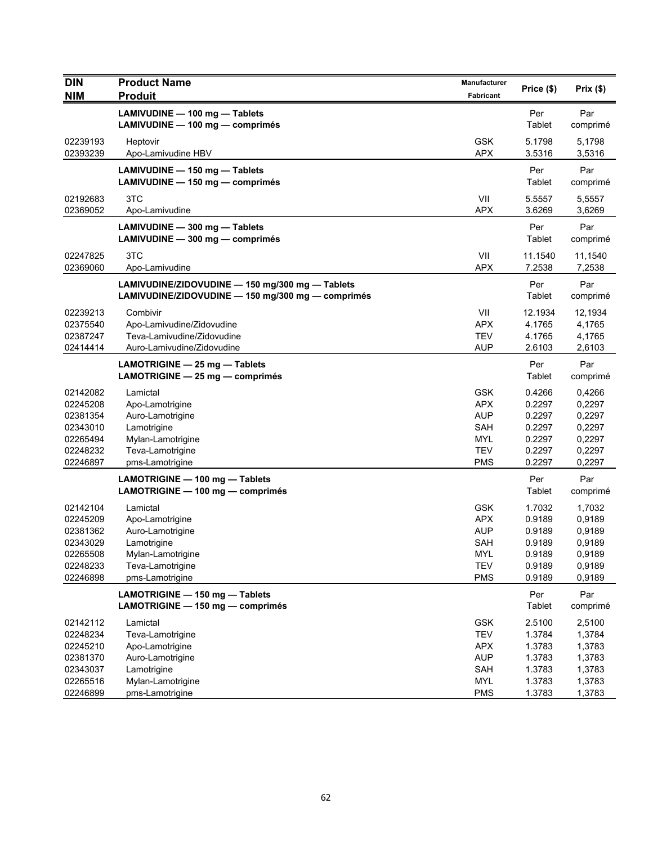| <b>DIN</b> | <b>Product Name</b>                               | Manufacturer | Price (\$) | Prix $($ \$) |
|------------|---------------------------------------------------|--------------|------------|--------------|
| <b>NIM</b> | <b>Produit</b>                                    | Fabricant    |            |              |
|            | LAMIVUDINE - 100 mg - Tablets                     |              | Per        | Par          |
|            | LAMIVUDINE - 100 mg - comprimés                   |              | Tablet     | comprimé     |
| 02239193   | Heptovir                                          | <b>GSK</b>   | 5.1798     | 5,1798       |
| 02393239   | Apo-Lamivudine HBV                                | <b>APX</b>   | 3.5316     | 3,5316       |
|            | LAMIVUDINE - 150 mg - Tablets                     |              | Per        | Par          |
|            | LAMIVUDINE - 150 mg - comprimés                   |              | Tablet     | comprimé     |
| 02192683   | 3TC                                               | VII          | 5.5557     | 5,5557       |
| 02369052   | Apo-Lamivudine                                    | <b>APX</b>   | 3.6269     | 3,6269       |
|            | LAMIVUDINE - 300 mg - Tablets                     |              | Per        | Par          |
|            | LAMIVUDINE - 300 mg - comprimés                   |              | Tablet     | comprimé     |
| 02247825   | 3TC                                               | VII          | 11.1540    | 11,1540      |
| 02369060   | Apo-Lamivudine                                    | <b>APX</b>   | 7.2538     | 7,2538       |
|            | LAMIVUDINE/ZIDOVUDINE - 150 mg/300 mg - Tablets   |              | Per        | Par          |
|            | LAMIVUDINE/ZIDOVUDINE - 150 mg/300 mg - comprimés |              | Tablet     | comprimé     |
| 02239213   | Combivir                                          | VII          | 12.1934    | 12,1934      |
| 02375540   | Apo-Lamivudine/Zidovudine                         | <b>APX</b>   | 4.1765     | 4,1765       |
| 02387247   | Teva-Lamivudine/Zidovudine                        | <b>TEV</b>   | 4.1765     | 4,1765       |
| 02414414   | Auro-Lamivudine/Zidovudine                        | <b>AUP</b>   | 2.6103     | 2,6103       |
|            | LAMOTRIGINE - 25 mg - Tablets                     |              | Per        | Par          |
|            | LAMOTRIGINE - 25 mg - comprimés                   |              | Tablet     | comprimé     |
| 02142082   | Lamictal                                          | <b>GSK</b>   | 0.4266     | 0,4266       |
| 02245208   | Apo-Lamotrigine                                   | <b>APX</b>   | 0.2297     | 0,2297       |
| 02381354   | Auro-Lamotrigine                                  | <b>AUP</b>   | 0.2297     | 0,2297       |
| 02343010   | Lamotrigine                                       | SAH          | 0.2297     | 0,2297       |
| 02265494   | Mylan-Lamotrigine                                 | <b>MYL</b>   | 0.2297     | 0,2297       |
| 02248232   | Teva-Lamotrigine                                  | <b>TEV</b>   | 0.2297     | 0,2297       |
| 02246897   | pms-Lamotrigine                                   | <b>PMS</b>   | 0.2297     | 0,2297       |
|            | LAMOTRIGINE - 100 mg - Tablets                    |              | Per        | Par          |
|            | LAMOTRIGINE - 100 mg - comprimés                  |              | Tablet     | comprimé     |
| 02142104   | Lamictal                                          | <b>GSK</b>   | 1.7032     | 1,7032       |
| 02245209   | Apo-Lamotrigine                                   | <b>APX</b>   | 0.9189     | 0,9189       |
| 02381362   | Auro-Lamotrigine                                  | <b>AUP</b>   | 0.9189     | 0,9189       |
| 02343029   | Lamotrigine                                       | SAH          | 0.9189     | 0,9189       |
| 02265508   | Mylan-Lamotrigine                                 | MYL.         | 0.9189     | 0,9189       |
| 02248233   | Teva-Lamotrigine                                  | <b>TEV</b>   | 0.9189     | 0,9189       |
| 02246898   | pms-Lamotrigine                                   | <b>PMS</b>   | 0.9189     | 0,9189       |
|            | LAMOTRIGINE - 150 mg - Tablets                    |              | Per        | Par          |
|            | LAMOTRIGINE - 150 mg - comprimés                  |              | Tablet     | comprimé     |
| 02142112   | Lamictal                                          | <b>GSK</b>   | 2.5100     | 2,5100       |
| 02248234   | Teva-Lamotrigine                                  | <b>TEV</b>   | 1.3784     | 1,3784       |
| 02245210   | Apo-Lamotrigine                                   | <b>APX</b>   | 1.3783     | 1,3783       |
| 02381370   | Auro-Lamotrigine                                  | <b>AUP</b>   | 1.3783     | 1,3783       |
| 02343037   | Lamotrigine                                       | SAH          | 1.3783     | 1,3783       |
| 02265516   | Mylan-Lamotrigine                                 | MYL          | 1.3783     | 1,3783       |
| 02246899   | pms-Lamotrigine                                   | <b>PMS</b>   | 1.3783     | 1,3783       |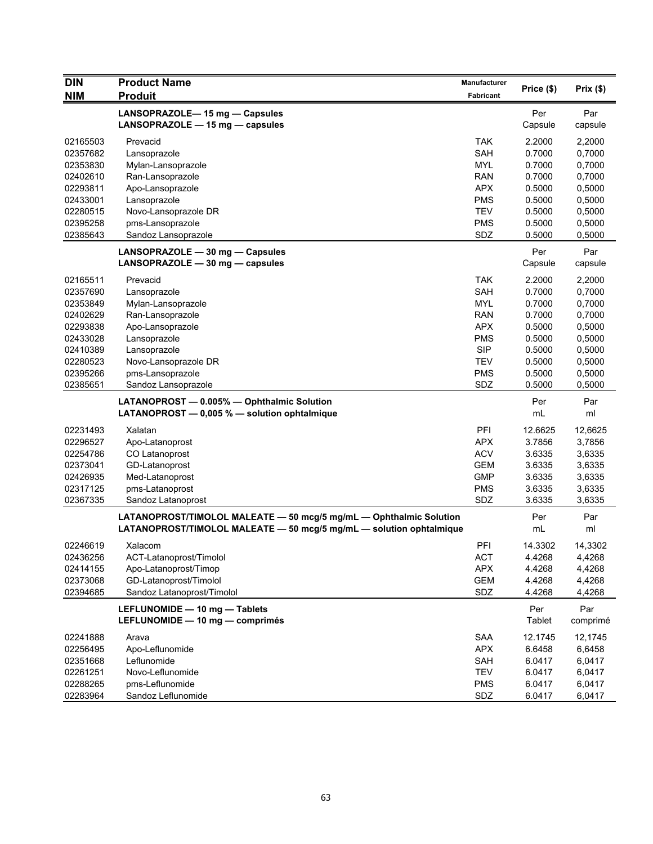| <b>DIN</b>           | <b>Product Name</b>                                                 | Manufacturer      |                  |                  |
|----------------------|---------------------------------------------------------------------|-------------------|------------------|------------------|
| <b>NIM</b>           | <b>Produit</b>                                                      | <b>Fabricant</b>  | Price (\$)       | Prix(\$)         |
|                      | LANSOPRAZOLE-15 mg - Capsules                                       |                   | Per              | Par              |
|                      | LANSOPRAZOLE - 15 mg - capsules                                     |                   | Capsule          | capsule          |
|                      |                                                                     |                   |                  |                  |
| 02165503<br>02357682 | Prevacid                                                            | <b>TAK</b><br>SAH | 2.2000<br>0.7000 | 2,2000           |
|                      | Lansoprazole                                                        | <b>MYL</b>        |                  | 0,7000           |
| 02353830<br>02402610 | Mylan-Lansoprazole<br>Ran-Lansoprazole                              | <b>RAN</b>        | 0.7000<br>0.7000 | 0,7000<br>0,7000 |
| 02293811             |                                                                     | <b>APX</b>        | 0.5000           | 0,5000           |
| 02433001             | Apo-Lansoprazole<br>Lansoprazole                                    | <b>PMS</b>        | 0.5000           | 0,5000           |
| 02280515             | Novo-Lansoprazole DR                                                | <b>TEV</b>        | 0.5000           | 0,5000           |
| 02395258             | pms-Lansoprazole                                                    | <b>PMS</b>        | 0.5000           | 0,5000           |
| 02385643             | Sandoz Lansoprazole                                                 | SDZ               | 0.5000           | 0,5000           |
|                      |                                                                     |                   |                  |                  |
|                      | LANSOPRAZOLE - 30 mg - Capsules                                     |                   | Per              | Par              |
|                      | LANSOPRAZOLE $-$ 30 mg $-$ capsules                                 |                   | Capsule          | capsule          |
| 02165511             | Prevacid                                                            | <b>TAK</b>        | 2.2000           | 2,2000           |
| 02357690             | Lansoprazole                                                        | SAH               | 0.7000           | 0,7000           |
| 02353849             | Mylan-Lansoprazole                                                  | <b>MYL</b>        | 0.7000           | 0,7000           |
| 02402629             | Ran-Lansoprazole                                                    | <b>RAN</b>        | 0.7000           | 0,7000           |
| 02293838             | Apo-Lansoprazole                                                    | <b>APX</b>        | 0.5000           | 0,5000           |
| 02433028             | Lansoprazole                                                        | <b>PMS</b>        | 0.5000           | 0,5000           |
| 02410389             | Lansoprazole                                                        | <b>SIP</b>        | 0.5000           | 0,5000           |
| 02280523             | Novo-Lansoprazole DR                                                | <b>TEV</b>        | 0.5000           | 0,5000           |
| 02395266             | pms-Lansoprazole                                                    | <b>PMS</b>        | 0.5000           | 0,5000           |
| 02385651             | Sandoz Lansoprazole                                                 | SDZ               | 0.5000           | 0,5000           |
|                      | LATANOPROST - 0.005% - Ophthalmic Solution                          |                   | Per              | Par              |
|                      | LATANOPROST $-$ 0,005 % $-$ solution ophtalmique                    |                   | mL               | ml               |
| 02231493             | Xalatan                                                             | PFI               | 12.6625          | 12,6625          |
| 02296527             | Apo-Latanoprost                                                     | <b>APX</b>        | 3.7856           | 3,7856           |
| 02254786             | CO Latanoprost                                                      | <b>ACV</b>        | 3.6335           | 3,6335           |
| 02373041             | GD-Latanoprost                                                      | <b>GEM</b>        | 3.6335           | 3,6335           |
| 02426935             | Med-Latanoprost                                                     | <b>GMP</b>        | 3.6335           | 3,6335           |
| 02317125             | pms-Latanoprost                                                     | <b>PMS</b>        | 3.6335           | 3,6335           |
| 02367335             | Sandoz Latanoprost                                                  | SDZ               | 3.6335           | 3,6335           |
|                      | LATANOPROST/TIMOLOL MALEATE - 50 mcg/5 mg/mL - Ophthalmic Solution  |                   | Per              | Par              |
|                      | LATANOPROST/TIMOLOL MALEATE - 50 mcg/5 mg/mL - solution ophtalmique |                   | mL               | ml               |
| 02246619             | Xalacom                                                             | PFI               | 14.3302          | 14,3302          |
| 02436256             | ACT-Latanoprost/Timolol                                             | <b>ACT</b>        | 4.4268           | 4,4268           |
| 02414155             | Apo-Latanoprost/Timop                                               | <b>APX</b>        | 4.4268           | 4,4268           |
| 02373068             | GD-Latanoprost/Timolol                                              | <b>GEM</b>        | 4.4268           | 4,4268           |
| 02394685             | Sandoz Latanoprost/Timolol                                          | SDZ               | 4.4268           | 4,4268           |
|                      | LEFLUNOMIDE - 10 mg - Tablets                                       |                   | Per              | Par              |
|                      | LEFLUNOMIDE - 10 mg - comprimés                                     |                   | Tablet           | comprimé         |
| 02241888             | Arava                                                               | SAA               | 12.1745          | 12,1745          |
| 02256495             | Apo-Leflunomide                                                     | <b>APX</b>        | 6.6458           | 6,6458           |
| 02351668             | Leflunomide                                                         | SAH               | 6.0417           | 6,0417           |
| 02261251             | Novo-Leflunomide                                                    | <b>TEV</b>        | 6.0417           | 6,0417           |
| 02288265             | pms-Leflunomide                                                     | <b>PMS</b>        | 6.0417           | 6,0417           |
| 02283964             | Sandoz Leflunomide                                                  | SDZ               | 6.0417           | 6,0417           |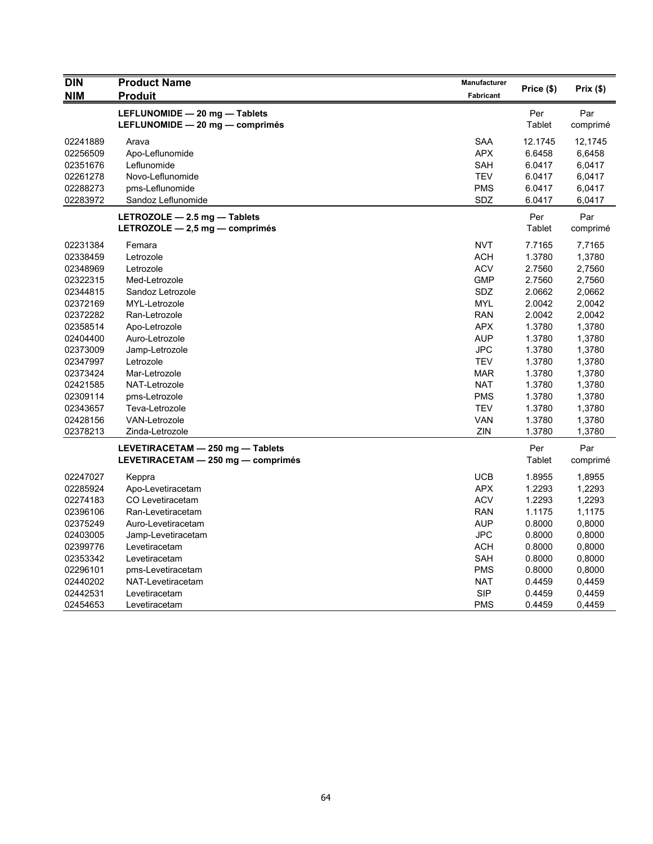| <b>DIN</b> | <b>Product Name</b>                | Manufacturer |            |          |
|------------|------------------------------------|--------------|------------|----------|
| <b>NIM</b> | <b>Produit</b>                     | Fabricant    | Price (\$) | Prix(\$) |
|            | LEFLUNOMIDE - 20 mg - Tablets      |              | Per        | Par      |
|            | LEFLUNOMIDE - 20 mg - comprimés    |              | Tablet     | comprimé |
| 02241889   | Arava                              | SAA          | 12.1745    | 12,1745  |
| 02256509   | Apo-Leflunomide                    | <b>APX</b>   | 6.6458     | 6,6458   |
| 02351676   | Leflunomide                        | SAH          | 6.0417     | 6,0417   |
| 02261278   | Novo-Leflunomide                   | <b>TEV</b>   | 6.0417     | 6,0417   |
| 02288273   | pms-Leflunomide                    | <b>PMS</b>   | 6.0417     | 6,0417   |
| 02283972   | Sandoz Leflunomide                 | SDZ          | 6.0417     | 6,0417   |
|            | LETROZOLE $-$ 2.5 mg $-$ Tablets   |              | Per        | Par      |
|            | LETROZOLE - 2,5 mg - comprimés     |              | Tablet     | comprimé |
| 02231384   | Femara                             | <b>NVT</b>   | 7.7165     | 7,7165   |
| 02338459   | Letrozole                          | <b>ACH</b>   | 1.3780     | 1,3780   |
| 02348969   | Letrozole                          | <b>ACV</b>   | 2.7560     | 2,7560   |
| 02322315   | Med-Letrozole                      | <b>GMP</b>   | 2.7560     | 2,7560   |
| 02344815   | Sandoz Letrozole                   | <b>SDZ</b>   | 2.0662     | 2,0662   |
| 02372169   | MYL-Letrozole                      | MYL          | 2.0042     | 2,0042   |
| 02372282   | Ran-Letrozole                      | <b>RAN</b>   | 2.0042     | 2,0042   |
| 02358514   | Apo-Letrozole                      | <b>APX</b>   | 1.3780     | 1,3780   |
| 02404400   | Auro-Letrozole                     | <b>AUP</b>   | 1.3780     | 1,3780   |
| 02373009   | Jamp-Letrozole                     | <b>JPC</b>   | 1.3780     | 1,3780   |
| 02347997   | Letrozole                          | <b>TEV</b>   | 1.3780     | 1,3780   |
| 02373424   | Mar-Letrozole                      | <b>MAR</b>   | 1.3780     | 1,3780   |
| 02421585   | NAT-Letrozole                      | <b>NAT</b>   | 1.3780     | 1,3780   |
| 02309114   | pms-Letrozole                      | <b>PMS</b>   | 1.3780     | 1,3780   |
| 02343657   | Teva-Letrozole                     | <b>TEV</b>   | 1.3780     | 1,3780   |
| 02428156   | VAN-Letrozole                      | <b>VAN</b>   | 1.3780     | 1,3780   |
| 02378213   | Zinda-Letrozole                    | ZIN          | 1.3780     | 1,3780   |
|            | LEVETIRACETAM - 250 mg - Tablets   |              | Per        | Par      |
|            | LEVETIRACETAM - 250 mg - comprimés |              | Tablet     | comprimé |
| 02247027   | Keppra                             | <b>UCB</b>   | 1.8955     | 1,8955   |
| 02285924   | Apo-Levetiracetam                  | <b>APX</b>   | 1.2293     | 1,2293   |
| 02274183   | CO Levetiracetam                   | <b>ACV</b>   | 1.2293     | 1,2293   |
| 02396106   | Ran-Levetiracetam                  | <b>RAN</b>   | 1.1175     | 1,1175   |
| 02375249   | Auro-Levetiracetam                 | <b>AUP</b>   | 0.8000     | 0,8000   |
| 02403005   | Jamp-Levetiracetam                 | <b>JPC</b>   | 0.8000     | 0,8000   |
| 02399776   | Levetiracetam                      | <b>ACH</b>   | 0.8000     | 0,8000   |
| 02353342   | Levetiracetam                      | SAH          | 0.8000     | 0,8000   |
| 02296101   | pms-Levetiracetam                  | <b>PMS</b>   | 0.8000     | 0,8000   |
| 02440202   | NAT-Levetiracetam                  | <b>NAT</b>   | 0.4459     | 0,4459   |
| 02442531   | Levetiracetam                      | <b>SIP</b>   | 0.4459     | 0,4459   |
| 02454653   | Levetiracetam                      | <b>PMS</b>   | 0.4459     | 0,4459   |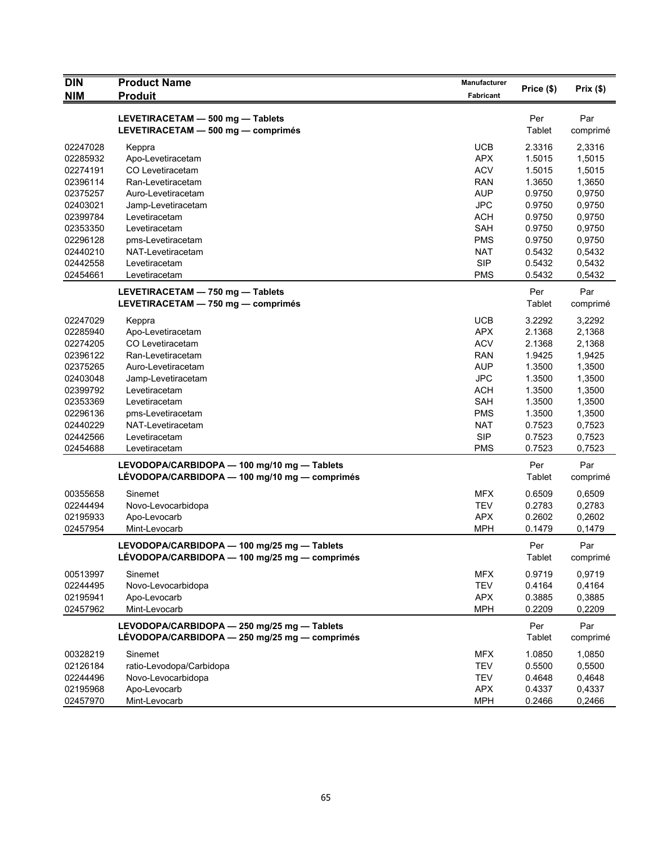| <b>DIN</b> | <b>Product Name</b>                           | Manufacturer     | Price (\$) | Prix (\$) |
|------------|-----------------------------------------------|------------------|------------|-----------|
| <b>NIM</b> | <b>Produit</b>                                | <b>Fabricant</b> |            |           |
|            | LEVETIRACETAM - 500 mg - Tablets              |                  | Per        | Par       |
|            | LEVETIRACETAM - 500 mg - comprimés            |                  | Tablet     | comprimé  |
| 02247028   | Keppra                                        | <b>UCB</b>       | 2.3316     | 2,3316    |
| 02285932   | Apo-Levetiracetam                             | <b>APX</b>       | 1.5015     | 1,5015    |
| 02274191   | CO Levetiracetam                              | <b>ACV</b>       | 1.5015     | 1,5015    |
| 02396114   | Ran-Levetiracetam                             | <b>RAN</b>       | 1.3650     | 1,3650    |
| 02375257   | Auro-Levetiracetam                            | <b>AUP</b>       | 0.9750     | 0,9750    |
| 02403021   | Jamp-Levetiracetam                            | <b>JPC</b>       | 0.9750     | 0,9750    |
| 02399784   | Levetiracetam                                 | <b>ACH</b>       | 0.9750     | 0,9750    |
| 02353350   | Levetiracetam                                 | SAH              | 0.9750     | 0,9750    |
| 02296128   | pms-Levetiracetam                             | <b>PMS</b>       | 0.9750     | 0,9750    |
| 02440210   | NAT-Levetiracetam                             | <b>NAT</b>       | 0.5432     | 0,5432    |
| 02442558   | Levetiracetam                                 | <b>SIP</b>       | 0.5432     | 0,5432    |
| 02454661   | Levetiracetam                                 | <b>PMS</b>       | 0.5432     | 0,5432    |
|            | LEVETIRACETAM - 750 mg - Tablets              |                  | Per        | Par       |
|            | LEVETIRACETAM - 750 mg - comprimés            |                  | Tablet     | comprimé  |
| 02247029   | Keppra                                        | <b>UCB</b>       | 3.2292     | 3,2292    |
| 02285940   | Apo-Levetiracetam                             | <b>APX</b>       | 2.1368     | 2,1368    |
| 02274205   | CO Levetiracetam                              | <b>ACV</b>       | 2.1368     | 2,1368    |
| 02396122   | Ran-Levetiracetam                             | <b>RAN</b>       | 1.9425     | 1,9425    |
| 02375265   | Auro-Levetiracetam                            | <b>AUP</b>       | 1.3500     | 1,3500    |
| 02403048   | Jamp-Levetiracetam                            | <b>JPC</b>       | 1.3500     | 1,3500    |
| 02399792   | Levetiracetam                                 | <b>ACH</b>       | 1.3500     | 1,3500    |
| 02353369   | Levetiracetam                                 | <b>SAH</b>       | 1.3500     | 1,3500    |
| 02296136   | pms-Levetiracetam                             | <b>PMS</b>       | 1.3500     | 1,3500    |
| 02440229   | NAT-Levetiracetam                             | <b>NAT</b>       | 0.7523     | 0,7523    |
| 02442566   | Levetiracetam                                 | <b>SIP</b>       | 0.7523     | 0,7523    |
| 02454688   | Levetiracetam                                 | <b>PMS</b>       | 0.7523     | 0,7523    |
|            | LEVODOPA/CARBIDOPA - 100 mg/10 mg - Tablets   |                  | Per        | Par       |
|            | LÉVODOPA/CARBIDOPA — 100 mg/10 mg — comprimés |                  | Tablet     | comprimé  |
| 00355658   | Sinemet                                       | <b>MFX</b>       | 0.6509     | 0,6509    |
| 02244494   | Novo-Levocarbidopa                            | <b>TEV</b>       | 0.2783     | 0,2783    |
| 02195933   | Apo-Levocarb                                  | <b>APX</b>       | 0.2602     | 0,2602    |
| 02457954   | Mint-Levocarb                                 | <b>MPH</b>       | 0.1479     | 0,1479    |
|            | LEVODOPA/CARBIDOPA - 100 mg/25 mg - Tablets   |                  | Per        | Par       |
|            | LÉVODOPA/CARBIDOPA — 100 mg/25 mg — comprimés |                  | Tablet     | comprimé  |
| 00513997   | Sinemet                                       | <b>MFX</b>       | 0.9719     | 0,9719    |
| 02244495   | Novo-Levocarbidopa                            | <b>TEV</b>       | 0.4164     | 0,4164    |
| 02195941   | Apo-Levocarb                                  | <b>APX</b>       | 0.3885     | 0,3885    |
| 02457962   | Mint-Levocarb                                 | <b>MPH</b>       | 0.2209     | 0,2209    |
|            | LEVODOPA/CARBIDOPA - 250 mg/25 mg - Tablets   |                  | Per        | Par       |
|            | LÉVODOPA/CARBIDOPA - 250 mg/25 mg - comprimés |                  | Tablet     | comprimé  |
| 00328219   | Sinemet                                       | <b>MFX</b>       | 1.0850     | 1,0850    |
| 02126184   | ratio-Levodopa/Carbidopa                      | <b>TEV</b>       | 0.5500     | 0,5500    |
| 02244496   | Novo-Levocarbidopa                            | <b>TEV</b>       | 0.4648     | 0,4648    |
| 02195968   | Apo-Levocarb                                  | <b>APX</b>       | 0.4337     | 0,4337    |
| 02457970   | Mint-Levocarb                                 | <b>MPH</b>       | 0.2466     | 0,2466    |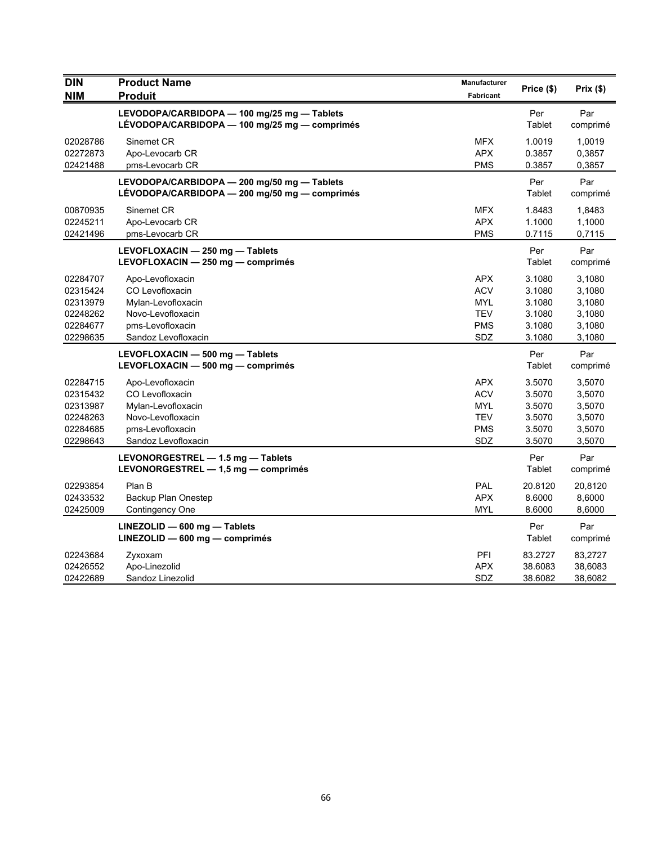| <b>DIN</b><br><b>NIM</b>                                             | <b>Product Name</b><br><b>Produit</b>                                                                                     | <b>Manufacturer</b><br><b>Fabricant</b>                                   | Price (\$)                                               | Prix(\$)                                                 |
|----------------------------------------------------------------------|---------------------------------------------------------------------------------------------------------------------------|---------------------------------------------------------------------------|----------------------------------------------------------|----------------------------------------------------------|
|                                                                      | LEVODOPA/CARBIDOPA - 100 mg/25 mg - Tablets<br>LÉVODOPA/CARBIDOPA - 100 mg/25 mg - comprimés                              |                                                                           | Per<br>Tablet                                            | Par<br>comprimé                                          |
| 02028786<br>02272873<br>02421488                                     | Sinemet CR<br>Apo-Levocarb CR<br>pms-Levocarb CR                                                                          | <b>MFX</b><br><b>APX</b><br><b>PMS</b>                                    | 1.0019<br>0.3857<br>0.3857                               | 1,0019<br>0,3857<br>0,3857                               |
|                                                                      | LEVODOPA/CARBIDOPA - 200 mg/50 mg - Tablets<br>LÉVODOPA/CARBIDOPA - 200 mg/50 mg - comprimés                              |                                                                           | Per<br>Tablet                                            | Par<br>comprimé                                          |
| 00870935<br>02245211<br>02421496                                     | Sinemet CR<br>Apo-Levocarb CR<br>pms-Levocarb CR                                                                          | <b>MFX</b><br><b>APX</b><br><b>PMS</b>                                    | 1.8483<br>1.1000<br>0.7115                               | 1,8483<br>1,1000<br>0,7115                               |
|                                                                      | LEVOFLOXACIN - 250 mg - Tablets<br>LEVOFLOXACIN - 250 mg - comprimés                                                      |                                                                           | Per<br>Tablet                                            | Par<br>comprimé                                          |
| 02284707<br>02315424<br>02313979<br>02248262<br>02284677<br>02298635 | Apo-Levofloxacin<br>CO Levofloxacin<br>Mylan-Levofloxacin<br>Novo-Levofloxacin<br>pms-Levofloxacin<br>Sandoz Levofloxacin | <b>APX</b><br><b>ACV</b><br><b>MYL</b><br><b>TEV</b><br><b>PMS</b><br>SDZ | 3.1080<br>3.1080<br>3.1080<br>3.1080<br>3.1080<br>3.1080 | 3,1080<br>3,1080<br>3,1080<br>3,1080<br>3,1080<br>3,1080 |
|                                                                      | LEVOFLOXACIN - 500 mg - Tablets<br>LEVOFLOXACIN - 500 mg - comprimés                                                      |                                                                           | Per<br>Tablet                                            | Par<br>comprimé                                          |
| 02284715<br>02315432<br>02313987<br>02248263<br>02284685<br>02298643 | Apo-Levofloxacin<br>CO Levofloxacin<br>Mylan-Levofloxacin<br>Novo-Levofloxacin<br>pms-Levofloxacin<br>Sandoz Levofloxacin | <b>APX</b><br><b>ACV</b><br><b>MYL</b><br><b>TEV</b><br><b>PMS</b><br>SDZ | 3.5070<br>3.5070<br>3.5070<br>3.5070<br>3.5070<br>3.5070 | 3,5070<br>3,5070<br>3,5070<br>3,5070<br>3,5070<br>3,5070 |
|                                                                      | LEVONORGESTREL - 1.5 mg - Tablets<br>LEVONORGESTREL - 1,5 mg - comprimés                                                  |                                                                           | Per<br>Tablet                                            | Par<br>comprimé                                          |
| 02293854<br>02433532<br>02425009                                     | Plan B<br>Backup Plan Onestep<br>Contingency One                                                                          | PAL<br><b>APX</b><br><b>MYL</b>                                           | 20.8120<br>8.6000<br>8.6000                              | 20,8120<br>8,6000<br>8,6000                              |
|                                                                      | $LINEZOLID - 600 mg - Tables$<br>LINEZOLID - 600 mg - comprimés                                                           |                                                                           | Per<br>Tablet                                            | Par<br>comprimé                                          |
| 02243684<br>02426552<br>02422689                                     | Zyxoxam<br>Apo-Linezolid<br>Sandoz Linezolid                                                                              | PFI<br>APX<br>SDZ                                                         | 83.2727<br>38.6083<br>38.6082                            | 83,2727<br>38,6083<br>38,6082                            |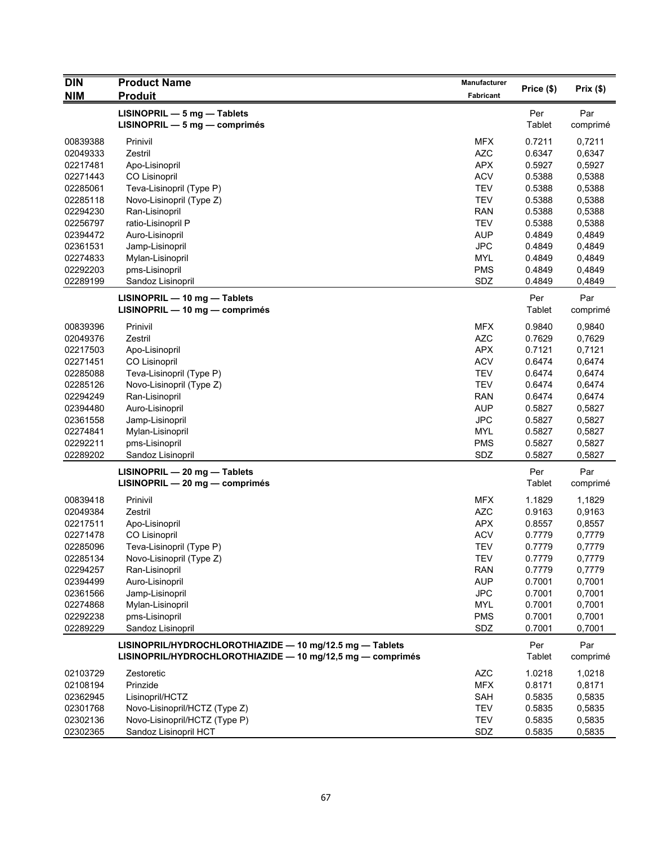| Prix(\$)<br><b>NIM</b><br><b>Produit</b><br>Fabricant<br>LISINOPRIL - 5 mg - Tablets<br>Per<br>Par<br><b>Tablet</b><br>$LISINOPRIL - 5 mg - comprimés$<br>comprimé<br><b>MFX</b><br>0.7211<br>00839388<br>Prinivil<br>0,7211<br>Zestril<br><b>AZC</b><br>0.6347<br>02049333<br>0,6347<br><b>APX</b><br>0.5927<br>02217481<br>Apo-Lisinopril<br>0,5927<br><b>ACV</b><br>0,5388<br>02271443<br><b>CO Lisinopril</b><br>0.5388<br><b>TEV</b><br>0.5388<br>0,5388<br>02285061<br>Teva-Lisinopril (Type P)<br><b>TEV</b><br>0.5388<br>0,5388<br>02285118<br>Novo-Lisinopril (Type Z)<br><b>RAN</b><br>0,5388<br>02294230<br>Ran-Lisinopril<br>0.5388<br><b>TEV</b><br>02256797<br>ratio-Lisinopril P<br>0.5388<br>0,5388<br>02394472<br><b>AUP</b><br>Auro-Lisinopril<br>0.4849<br>0,4849<br><b>JPC</b><br>02361531<br>0.4849<br>Jamp-Lisinopril<br>0,4849<br><b>MYL</b><br>0.4849<br>0,4849<br>02274833<br>Mylan-Lisinopril<br>pms-Lisinopril<br><b>PMS</b><br>0,4849<br>02292203<br>0.4849<br>02289199<br>SDZ<br>Sandoz Lisinopril<br>0.4849<br>0,4849<br>Per<br>Par<br>LISINOPRIL - 10 mg - Tablets<br><b>Tablet</b><br>LISINOPRIL - 10 mg - comprimés<br>comprimé<br><b>MFX</b><br>0.9840<br>00839396<br>Prinivil<br>0,9840<br><b>AZC</b><br>Zestril<br>02049376<br>0.7629<br>0,7629<br>APX<br>02217503<br>0.7121<br>0,7121<br>Apo-Lisinopril<br><b>ACV</b><br>02271451<br><b>CO Lisinopril</b><br>0.6474<br>0,6474<br><b>TEV</b><br>0,6474<br>02285088<br>Teva-Lisinopril (Type P)<br>0.6474<br>02285126<br><b>TEV</b><br>0.6474<br>0,6474<br>Novo-Lisinopril (Type Z)<br>02294249<br><b>RAN</b><br>0,6474<br>Ran-Lisinopril<br>0.6474<br><b>AUP</b><br>0.5827<br>02394480<br>Auro-Lisinopril<br>0,5827<br><b>JPC</b><br>02361558<br>Jamp-Lisinopril<br>0.5827<br>0,5827<br><b>MYL</b><br>02274841<br>Mylan-Lisinopril<br>0.5827<br>0,5827<br>02292211<br><b>PMS</b><br>0.5827<br>0,5827<br>pms-Lisinopril<br>02289202<br>SDZ<br>0.5827<br>0,5827<br>Sandoz Lisinopril<br>Per<br>LISINOPRIL - 20 mg - Tablets<br>Par<br>$LISINOPRIL - 20 mg - comprimés$<br>Tablet<br>comprimé<br>00839418<br>Prinivil<br><b>MFX</b><br>1.1829<br>1,1829<br><b>AZC</b><br>02049384<br>Zestril<br>0.9163<br>0,9163<br><b>APX</b><br>02217511<br>Apo-Lisinopril<br>0.8557<br>0,8557<br><b>ACV</b><br>02271478<br>0.7779<br><b>CO Lisinopril</b><br>0,7779<br><b>TEV</b><br>02285096<br>Teva-Lisinopril (Type P)<br>0.7779<br>0,7779<br><b>TEV</b><br>02285134<br>Novo-Lisinopril (Type Z)<br>0.7779<br>0,7779<br>02294257<br><b>RAN</b><br>0.7779<br>0,7779<br>Ran-Lisinopril<br>02394499<br>Auro-Lisinopril<br><b>AUP</b><br>0.7001<br>0,7001<br>JPC<br>02361566<br>Jamp-Lisinopril<br>0.7001<br>0,7001<br>02274868<br>Mylan-Lisinopril<br><b>MYL</b><br>0.7001<br>0,7001<br>02292238<br>pms-Lisinopril<br><b>PMS</b><br>0.7001<br>0,7001<br>02289229<br>Sandoz Lisinopril<br>SDZ<br>0.7001<br>0,7001<br>LISINOPRIL/HYDROCHLOROTHIAZIDE - 10 mg/12.5 mg - Tablets<br>Par<br>Per<br>LISINOPRIL/HYDROCHLOROTHIAZIDE - 10 mg/12,5 mg - comprimés<br><b>Tablet</b><br>comprimé<br><b>AZC</b><br>1.0218<br>1,0218<br>02103729<br>Zestoretic<br>02108194<br>Prinzide<br><b>MFX</b><br>0.8171<br>0,8171<br>02362945<br>SAH<br>0,5835<br>Lisinopril/HCTZ<br>0.5835<br><b>TEV</b><br>02301768<br>Novo-Lisinopril/HCTZ (Type Z)<br>0.5835<br>0,5835<br>02302136<br>Novo-Lisinopril/HCTZ (Type P)<br><b>TEV</b><br>0.5835<br>0,5835 | <b>DIN</b> | <b>Product Name</b> | Manufacturer |            |  |
|---------------------------------------------------------------------------------------------------------------------------------------------------------------------------------------------------------------------------------------------------------------------------------------------------------------------------------------------------------------------------------------------------------------------------------------------------------------------------------------------------------------------------------------------------------------------------------------------------------------------------------------------------------------------------------------------------------------------------------------------------------------------------------------------------------------------------------------------------------------------------------------------------------------------------------------------------------------------------------------------------------------------------------------------------------------------------------------------------------------------------------------------------------------------------------------------------------------------------------------------------------------------------------------------------------------------------------------------------------------------------------------------------------------------------------------------------------------------------------------------------------------------------------------------------------------------------------------------------------------------------------------------------------------------------------------------------------------------------------------------------------------------------------------------------------------------------------------------------------------------------------------------------------------------------------------------------------------------------------------------------------------------------------------------------------------------------------------------------------------------------------------------------------------------------------------------------------------------------------------------------------------------------------------------------------------------------------------------------------------------------------------------------------------------------------------------------------------------------------------------------------------------------------------------------------------------------------------------------------------------------------------------------------------------------------------------------------------------------------------------------------------------------------------------------------------------------------------------------------------------------------------------------------------------------------------------------------------------------------------------------------------------------------------------------------------------------------------------------------------------------------------------------------------------------------------------------------------------------------------------------------------------------------------------------------------------------------------------------------------------------------------------------------|------------|---------------------|--------------|------------|--|
|                                                                                                                                                                                                                                                                                                                                                                                                                                                                                                                                                                                                                                                                                                                                                                                                                                                                                                                                                                                                                                                                                                                                                                                                                                                                                                                                                                                                                                                                                                                                                                                                                                                                                                                                                                                                                                                                                                                                                                                                                                                                                                                                                                                                                                                                                                                                                                                                                                                                                                                                                                                                                                                                                                                                                                                                                                                                                                                                                                                                                                                                                                                                                                                                                                                                                                                                                                                                         |            |                     |              | Price (\$) |  |
|                                                                                                                                                                                                                                                                                                                                                                                                                                                                                                                                                                                                                                                                                                                                                                                                                                                                                                                                                                                                                                                                                                                                                                                                                                                                                                                                                                                                                                                                                                                                                                                                                                                                                                                                                                                                                                                                                                                                                                                                                                                                                                                                                                                                                                                                                                                                                                                                                                                                                                                                                                                                                                                                                                                                                                                                                                                                                                                                                                                                                                                                                                                                                                                                                                                                                                                                                                                                         |            |                     |              |            |  |
|                                                                                                                                                                                                                                                                                                                                                                                                                                                                                                                                                                                                                                                                                                                                                                                                                                                                                                                                                                                                                                                                                                                                                                                                                                                                                                                                                                                                                                                                                                                                                                                                                                                                                                                                                                                                                                                                                                                                                                                                                                                                                                                                                                                                                                                                                                                                                                                                                                                                                                                                                                                                                                                                                                                                                                                                                                                                                                                                                                                                                                                                                                                                                                                                                                                                                                                                                                                                         |            |                     |              |            |  |
|                                                                                                                                                                                                                                                                                                                                                                                                                                                                                                                                                                                                                                                                                                                                                                                                                                                                                                                                                                                                                                                                                                                                                                                                                                                                                                                                                                                                                                                                                                                                                                                                                                                                                                                                                                                                                                                                                                                                                                                                                                                                                                                                                                                                                                                                                                                                                                                                                                                                                                                                                                                                                                                                                                                                                                                                                                                                                                                                                                                                                                                                                                                                                                                                                                                                                                                                                                                                         |            |                     |              |            |  |
|                                                                                                                                                                                                                                                                                                                                                                                                                                                                                                                                                                                                                                                                                                                                                                                                                                                                                                                                                                                                                                                                                                                                                                                                                                                                                                                                                                                                                                                                                                                                                                                                                                                                                                                                                                                                                                                                                                                                                                                                                                                                                                                                                                                                                                                                                                                                                                                                                                                                                                                                                                                                                                                                                                                                                                                                                                                                                                                                                                                                                                                                                                                                                                                                                                                                                                                                                                                                         |            |                     |              |            |  |
|                                                                                                                                                                                                                                                                                                                                                                                                                                                                                                                                                                                                                                                                                                                                                                                                                                                                                                                                                                                                                                                                                                                                                                                                                                                                                                                                                                                                                                                                                                                                                                                                                                                                                                                                                                                                                                                                                                                                                                                                                                                                                                                                                                                                                                                                                                                                                                                                                                                                                                                                                                                                                                                                                                                                                                                                                                                                                                                                                                                                                                                                                                                                                                                                                                                                                                                                                                                                         |            |                     |              |            |  |
|                                                                                                                                                                                                                                                                                                                                                                                                                                                                                                                                                                                                                                                                                                                                                                                                                                                                                                                                                                                                                                                                                                                                                                                                                                                                                                                                                                                                                                                                                                                                                                                                                                                                                                                                                                                                                                                                                                                                                                                                                                                                                                                                                                                                                                                                                                                                                                                                                                                                                                                                                                                                                                                                                                                                                                                                                                                                                                                                                                                                                                                                                                                                                                                                                                                                                                                                                                                                         |            |                     |              |            |  |
|                                                                                                                                                                                                                                                                                                                                                                                                                                                                                                                                                                                                                                                                                                                                                                                                                                                                                                                                                                                                                                                                                                                                                                                                                                                                                                                                                                                                                                                                                                                                                                                                                                                                                                                                                                                                                                                                                                                                                                                                                                                                                                                                                                                                                                                                                                                                                                                                                                                                                                                                                                                                                                                                                                                                                                                                                                                                                                                                                                                                                                                                                                                                                                                                                                                                                                                                                                                                         |            |                     |              |            |  |
|                                                                                                                                                                                                                                                                                                                                                                                                                                                                                                                                                                                                                                                                                                                                                                                                                                                                                                                                                                                                                                                                                                                                                                                                                                                                                                                                                                                                                                                                                                                                                                                                                                                                                                                                                                                                                                                                                                                                                                                                                                                                                                                                                                                                                                                                                                                                                                                                                                                                                                                                                                                                                                                                                                                                                                                                                                                                                                                                                                                                                                                                                                                                                                                                                                                                                                                                                                                                         |            |                     |              |            |  |
|                                                                                                                                                                                                                                                                                                                                                                                                                                                                                                                                                                                                                                                                                                                                                                                                                                                                                                                                                                                                                                                                                                                                                                                                                                                                                                                                                                                                                                                                                                                                                                                                                                                                                                                                                                                                                                                                                                                                                                                                                                                                                                                                                                                                                                                                                                                                                                                                                                                                                                                                                                                                                                                                                                                                                                                                                                                                                                                                                                                                                                                                                                                                                                                                                                                                                                                                                                                                         |            |                     |              |            |  |
|                                                                                                                                                                                                                                                                                                                                                                                                                                                                                                                                                                                                                                                                                                                                                                                                                                                                                                                                                                                                                                                                                                                                                                                                                                                                                                                                                                                                                                                                                                                                                                                                                                                                                                                                                                                                                                                                                                                                                                                                                                                                                                                                                                                                                                                                                                                                                                                                                                                                                                                                                                                                                                                                                                                                                                                                                                                                                                                                                                                                                                                                                                                                                                                                                                                                                                                                                                                                         |            |                     |              |            |  |
|                                                                                                                                                                                                                                                                                                                                                                                                                                                                                                                                                                                                                                                                                                                                                                                                                                                                                                                                                                                                                                                                                                                                                                                                                                                                                                                                                                                                                                                                                                                                                                                                                                                                                                                                                                                                                                                                                                                                                                                                                                                                                                                                                                                                                                                                                                                                                                                                                                                                                                                                                                                                                                                                                                                                                                                                                                                                                                                                                                                                                                                                                                                                                                                                                                                                                                                                                                                                         |            |                     |              |            |  |
|                                                                                                                                                                                                                                                                                                                                                                                                                                                                                                                                                                                                                                                                                                                                                                                                                                                                                                                                                                                                                                                                                                                                                                                                                                                                                                                                                                                                                                                                                                                                                                                                                                                                                                                                                                                                                                                                                                                                                                                                                                                                                                                                                                                                                                                                                                                                                                                                                                                                                                                                                                                                                                                                                                                                                                                                                                                                                                                                                                                                                                                                                                                                                                                                                                                                                                                                                                                                         |            |                     |              |            |  |
|                                                                                                                                                                                                                                                                                                                                                                                                                                                                                                                                                                                                                                                                                                                                                                                                                                                                                                                                                                                                                                                                                                                                                                                                                                                                                                                                                                                                                                                                                                                                                                                                                                                                                                                                                                                                                                                                                                                                                                                                                                                                                                                                                                                                                                                                                                                                                                                                                                                                                                                                                                                                                                                                                                                                                                                                                                                                                                                                                                                                                                                                                                                                                                                                                                                                                                                                                                                                         |            |                     |              |            |  |
|                                                                                                                                                                                                                                                                                                                                                                                                                                                                                                                                                                                                                                                                                                                                                                                                                                                                                                                                                                                                                                                                                                                                                                                                                                                                                                                                                                                                                                                                                                                                                                                                                                                                                                                                                                                                                                                                                                                                                                                                                                                                                                                                                                                                                                                                                                                                                                                                                                                                                                                                                                                                                                                                                                                                                                                                                                                                                                                                                                                                                                                                                                                                                                                                                                                                                                                                                                                                         |            |                     |              |            |  |
|                                                                                                                                                                                                                                                                                                                                                                                                                                                                                                                                                                                                                                                                                                                                                                                                                                                                                                                                                                                                                                                                                                                                                                                                                                                                                                                                                                                                                                                                                                                                                                                                                                                                                                                                                                                                                                                                                                                                                                                                                                                                                                                                                                                                                                                                                                                                                                                                                                                                                                                                                                                                                                                                                                                                                                                                                                                                                                                                                                                                                                                                                                                                                                                                                                                                                                                                                                                                         |            |                     |              |            |  |
|                                                                                                                                                                                                                                                                                                                                                                                                                                                                                                                                                                                                                                                                                                                                                                                                                                                                                                                                                                                                                                                                                                                                                                                                                                                                                                                                                                                                                                                                                                                                                                                                                                                                                                                                                                                                                                                                                                                                                                                                                                                                                                                                                                                                                                                                                                                                                                                                                                                                                                                                                                                                                                                                                                                                                                                                                                                                                                                                                                                                                                                                                                                                                                                                                                                                                                                                                                                                         |            |                     |              |            |  |
|                                                                                                                                                                                                                                                                                                                                                                                                                                                                                                                                                                                                                                                                                                                                                                                                                                                                                                                                                                                                                                                                                                                                                                                                                                                                                                                                                                                                                                                                                                                                                                                                                                                                                                                                                                                                                                                                                                                                                                                                                                                                                                                                                                                                                                                                                                                                                                                                                                                                                                                                                                                                                                                                                                                                                                                                                                                                                                                                                                                                                                                                                                                                                                                                                                                                                                                                                                                                         |            |                     |              |            |  |
|                                                                                                                                                                                                                                                                                                                                                                                                                                                                                                                                                                                                                                                                                                                                                                                                                                                                                                                                                                                                                                                                                                                                                                                                                                                                                                                                                                                                                                                                                                                                                                                                                                                                                                                                                                                                                                                                                                                                                                                                                                                                                                                                                                                                                                                                                                                                                                                                                                                                                                                                                                                                                                                                                                                                                                                                                                                                                                                                                                                                                                                                                                                                                                                                                                                                                                                                                                                                         |            |                     |              |            |  |
|                                                                                                                                                                                                                                                                                                                                                                                                                                                                                                                                                                                                                                                                                                                                                                                                                                                                                                                                                                                                                                                                                                                                                                                                                                                                                                                                                                                                                                                                                                                                                                                                                                                                                                                                                                                                                                                                                                                                                                                                                                                                                                                                                                                                                                                                                                                                                                                                                                                                                                                                                                                                                                                                                                                                                                                                                                                                                                                                                                                                                                                                                                                                                                                                                                                                                                                                                                                                         |            |                     |              |            |  |
|                                                                                                                                                                                                                                                                                                                                                                                                                                                                                                                                                                                                                                                                                                                                                                                                                                                                                                                                                                                                                                                                                                                                                                                                                                                                                                                                                                                                                                                                                                                                                                                                                                                                                                                                                                                                                                                                                                                                                                                                                                                                                                                                                                                                                                                                                                                                                                                                                                                                                                                                                                                                                                                                                                                                                                                                                                                                                                                                                                                                                                                                                                                                                                                                                                                                                                                                                                                                         |            |                     |              |            |  |
|                                                                                                                                                                                                                                                                                                                                                                                                                                                                                                                                                                                                                                                                                                                                                                                                                                                                                                                                                                                                                                                                                                                                                                                                                                                                                                                                                                                                                                                                                                                                                                                                                                                                                                                                                                                                                                                                                                                                                                                                                                                                                                                                                                                                                                                                                                                                                                                                                                                                                                                                                                                                                                                                                                                                                                                                                                                                                                                                                                                                                                                                                                                                                                                                                                                                                                                                                                                                         |            |                     |              |            |  |
|                                                                                                                                                                                                                                                                                                                                                                                                                                                                                                                                                                                                                                                                                                                                                                                                                                                                                                                                                                                                                                                                                                                                                                                                                                                                                                                                                                                                                                                                                                                                                                                                                                                                                                                                                                                                                                                                                                                                                                                                                                                                                                                                                                                                                                                                                                                                                                                                                                                                                                                                                                                                                                                                                                                                                                                                                                                                                                                                                                                                                                                                                                                                                                                                                                                                                                                                                                                                         |            |                     |              |            |  |
|                                                                                                                                                                                                                                                                                                                                                                                                                                                                                                                                                                                                                                                                                                                                                                                                                                                                                                                                                                                                                                                                                                                                                                                                                                                                                                                                                                                                                                                                                                                                                                                                                                                                                                                                                                                                                                                                                                                                                                                                                                                                                                                                                                                                                                                                                                                                                                                                                                                                                                                                                                                                                                                                                                                                                                                                                                                                                                                                                                                                                                                                                                                                                                                                                                                                                                                                                                                                         |            |                     |              |            |  |
|                                                                                                                                                                                                                                                                                                                                                                                                                                                                                                                                                                                                                                                                                                                                                                                                                                                                                                                                                                                                                                                                                                                                                                                                                                                                                                                                                                                                                                                                                                                                                                                                                                                                                                                                                                                                                                                                                                                                                                                                                                                                                                                                                                                                                                                                                                                                                                                                                                                                                                                                                                                                                                                                                                                                                                                                                                                                                                                                                                                                                                                                                                                                                                                                                                                                                                                                                                                                         |            |                     |              |            |  |
|                                                                                                                                                                                                                                                                                                                                                                                                                                                                                                                                                                                                                                                                                                                                                                                                                                                                                                                                                                                                                                                                                                                                                                                                                                                                                                                                                                                                                                                                                                                                                                                                                                                                                                                                                                                                                                                                                                                                                                                                                                                                                                                                                                                                                                                                                                                                                                                                                                                                                                                                                                                                                                                                                                                                                                                                                                                                                                                                                                                                                                                                                                                                                                                                                                                                                                                                                                                                         |            |                     |              |            |  |
|                                                                                                                                                                                                                                                                                                                                                                                                                                                                                                                                                                                                                                                                                                                                                                                                                                                                                                                                                                                                                                                                                                                                                                                                                                                                                                                                                                                                                                                                                                                                                                                                                                                                                                                                                                                                                                                                                                                                                                                                                                                                                                                                                                                                                                                                                                                                                                                                                                                                                                                                                                                                                                                                                                                                                                                                                                                                                                                                                                                                                                                                                                                                                                                                                                                                                                                                                                                                         |            |                     |              |            |  |
|                                                                                                                                                                                                                                                                                                                                                                                                                                                                                                                                                                                                                                                                                                                                                                                                                                                                                                                                                                                                                                                                                                                                                                                                                                                                                                                                                                                                                                                                                                                                                                                                                                                                                                                                                                                                                                                                                                                                                                                                                                                                                                                                                                                                                                                                                                                                                                                                                                                                                                                                                                                                                                                                                                                                                                                                                                                                                                                                                                                                                                                                                                                                                                                                                                                                                                                                                                                                         |            |                     |              |            |  |
|                                                                                                                                                                                                                                                                                                                                                                                                                                                                                                                                                                                                                                                                                                                                                                                                                                                                                                                                                                                                                                                                                                                                                                                                                                                                                                                                                                                                                                                                                                                                                                                                                                                                                                                                                                                                                                                                                                                                                                                                                                                                                                                                                                                                                                                                                                                                                                                                                                                                                                                                                                                                                                                                                                                                                                                                                                                                                                                                                                                                                                                                                                                                                                                                                                                                                                                                                                                                         |            |                     |              |            |  |
|                                                                                                                                                                                                                                                                                                                                                                                                                                                                                                                                                                                                                                                                                                                                                                                                                                                                                                                                                                                                                                                                                                                                                                                                                                                                                                                                                                                                                                                                                                                                                                                                                                                                                                                                                                                                                                                                                                                                                                                                                                                                                                                                                                                                                                                                                                                                                                                                                                                                                                                                                                                                                                                                                                                                                                                                                                                                                                                                                                                                                                                                                                                                                                                                                                                                                                                                                                                                         |            |                     |              |            |  |
|                                                                                                                                                                                                                                                                                                                                                                                                                                                                                                                                                                                                                                                                                                                                                                                                                                                                                                                                                                                                                                                                                                                                                                                                                                                                                                                                                                                                                                                                                                                                                                                                                                                                                                                                                                                                                                                                                                                                                                                                                                                                                                                                                                                                                                                                                                                                                                                                                                                                                                                                                                                                                                                                                                                                                                                                                                                                                                                                                                                                                                                                                                                                                                                                                                                                                                                                                                                                         |            |                     |              |            |  |
|                                                                                                                                                                                                                                                                                                                                                                                                                                                                                                                                                                                                                                                                                                                                                                                                                                                                                                                                                                                                                                                                                                                                                                                                                                                                                                                                                                                                                                                                                                                                                                                                                                                                                                                                                                                                                                                                                                                                                                                                                                                                                                                                                                                                                                                                                                                                                                                                                                                                                                                                                                                                                                                                                                                                                                                                                                                                                                                                                                                                                                                                                                                                                                                                                                                                                                                                                                                                         |            |                     |              |            |  |
|                                                                                                                                                                                                                                                                                                                                                                                                                                                                                                                                                                                                                                                                                                                                                                                                                                                                                                                                                                                                                                                                                                                                                                                                                                                                                                                                                                                                                                                                                                                                                                                                                                                                                                                                                                                                                                                                                                                                                                                                                                                                                                                                                                                                                                                                                                                                                                                                                                                                                                                                                                                                                                                                                                                                                                                                                                                                                                                                                                                                                                                                                                                                                                                                                                                                                                                                                                                                         |            |                     |              |            |  |
|                                                                                                                                                                                                                                                                                                                                                                                                                                                                                                                                                                                                                                                                                                                                                                                                                                                                                                                                                                                                                                                                                                                                                                                                                                                                                                                                                                                                                                                                                                                                                                                                                                                                                                                                                                                                                                                                                                                                                                                                                                                                                                                                                                                                                                                                                                                                                                                                                                                                                                                                                                                                                                                                                                                                                                                                                                                                                                                                                                                                                                                                                                                                                                                                                                                                                                                                                                                                         |            |                     |              |            |  |
|                                                                                                                                                                                                                                                                                                                                                                                                                                                                                                                                                                                                                                                                                                                                                                                                                                                                                                                                                                                                                                                                                                                                                                                                                                                                                                                                                                                                                                                                                                                                                                                                                                                                                                                                                                                                                                                                                                                                                                                                                                                                                                                                                                                                                                                                                                                                                                                                                                                                                                                                                                                                                                                                                                                                                                                                                                                                                                                                                                                                                                                                                                                                                                                                                                                                                                                                                                                                         |            |                     |              |            |  |
|                                                                                                                                                                                                                                                                                                                                                                                                                                                                                                                                                                                                                                                                                                                                                                                                                                                                                                                                                                                                                                                                                                                                                                                                                                                                                                                                                                                                                                                                                                                                                                                                                                                                                                                                                                                                                                                                                                                                                                                                                                                                                                                                                                                                                                                                                                                                                                                                                                                                                                                                                                                                                                                                                                                                                                                                                                                                                                                                                                                                                                                                                                                                                                                                                                                                                                                                                                                                         |            |                     |              |            |  |
|                                                                                                                                                                                                                                                                                                                                                                                                                                                                                                                                                                                                                                                                                                                                                                                                                                                                                                                                                                                                                                                                                                                                                                                                                                                                                                                                                                                                                                                                                                                                                                                                                                                                                                                                                                                                                                                                                                                                                                                                                                                                                                                                                                                                                                                                                                                                                                                                                                                                                                                                                                                                                                                                                                                                                                                                                                                                                                                                                                                                                                                                                                                                                                                                                                                                                                                                                                                                         |            |                     |              |            |  |
|                                                                                                                                                                                                                                                                                                                                                                                                                                                                                                                                                                                                                                                                                                                                                                                                                                                                                                                                                                                                                                                                                                                                                                                                                                                                                                                                                                                                                                                                                                                                                                                                                                                                                                                                                                                                                                                                                                                                                                                                                                                                                                                                                                                                                                                                                                                                                                                                                                                                                                                                                                                                                                                                                                                                                                                                                                                                                                                                                                                                                                                                                                                                                                                                                                                                                                                                                                                                         |            |                     |              |            |  |
|                                                                                                                                                                                                                                                                                                                                                                                                                                                                                                                                                                                                                                                                                                                                                                                                                                                                                                                                                                                                                                                                                                                                                                                                                                                                                                                                                                                                                                                                                                                                                                                                                                                                                                                                                                                                                                                                                                                                                                                                                                                                                                                                                                                                                                                                                                                                                                                                                                                                                                                                                                                                                                                                                                                                                                                                                                                                                                                                                                                                                                                                                                                                                                                                                                                                                                                                                                                                         |            |                     |              |            |  |
|                                                                                                                                                                                                                                                                                                                                                                                                                                                                                                                                                                                                                                                                                                                                                                                                                                                                                                                                                                                                                                                                                                                                                                                                                                                                                                                                                                                                                                                                                                                                                                                                                                                                                                                                                                                                                                                                                                                                                                                                                                                                                                                                                                                                                                                                                                                                                                                                                                                                                                                                                                                                                                                                                                                                                                                                                                                                                                                                                                                                                                                                                                                                                                                                                                                                                                                                                                                                         |            |                     |              |            |  |
|                                                                                                                                                                                                                                                                                                                                                                                                                                                                                                                                                                                                                                                                                                                                                                                                                                                                                                                                                                                                                                                                                                                                                                                                                                                                                                                                                                                                                                                                                                                                                                                                                                                                                                                                                                                                                                                                                                                                                                                                                                                                                                                                                                                                                                                                                                                                                                                                                                                                                                                                                                                                                                                                                                                                                                                                                                                                                                                                                                                                                                                                                                                                                                                                                                                                                                                                                                                                         |            |                     |              |            |  |
|                                                                                                                                                                                                                                                                                                                                                                                                                                                                                                                                                                                                                                                                                                                                                                                                                                                                                                                                                                                                                                                                                                                                                                                                                                                                                                                                                                                                                                                                                                                                                                                                                                                                                                                                                                                                                                                                                                                                                                                                                                                                                                                                                                                                                                                                                                                                                                                                                                                                                                                                                                                                                                                                                                                                                                                                                                                                                                                                                                                                                                                                                                                                                                                                                                                                                                                                                                                                         |            |                     |              |            |  |
|                                                                                                                                                                                                                                                                                                                                                                                                                                                                                                                                                                                                                                                                                                                                                                                                                                                                                                                                                                                                                                                                                                                                                                                                                                                                                                                                                                                                                                                                                                                                                                                                                                                                                                                                                                                                                                                                                                                                                                                                                                                                                                                                                                                                                                                                                                                                                                                                                                                                                                                                                                                                                                                                                                                                                                                                                                                                                                                                                                                                                                                                                                                                                                                                                                                                                                                                                                                                         |            |                     |              |            |  |
|                                                                                                                                                                                                                                                                                                                                                                                                                                                                                                                                                                                                                                                                                                                                                                                                                                                                                                                                                                                                                                                                                                                                                                                                                                                                                                                                                                                                                                                                                                                                                                                                                                                                                                                                                                                                                                                                                                                                                                                                                                                                                                                                                                                                                                                                                                                                                                                                                                                                                                                                                                                                                                                                                                                                                                                                                                                                                                                                                                                                                                                                                                                                                                                                                                                                                                                                                                                                         |            |                     |              |            |  |
|                                                                                                                                                                                                                                                                                                                                                                                                                                                                                                                                                                                                                                                                                                                                                                                                                                                                                                                                                                                                                                                                                                                                                                                                                                                                                                                                                                                                                                                                                                                                                                                                                                                                                                                                                                                                                                                                                                                                                                                                                                                                                                                                                                                                                                                                                                                                                                                                                                                                                                                                                                                                                                                                                                                                                                                                                                                                                                                                                                                                                                                                                                                                                                                                                                                                                                                                                                                                         |            |                     |              |            |  |
|                                                                                                                                                                                                                                                                                                                                                                                                                                                                                                                                                                                                                                                                                                                                                                                                                                                                                                                                                                                                                                                                                                                                                                                                                                                                                                                                                                                                                                                                                                                                                                                                                                                                                                                                                                                                                                                                                                                                                                                                                                                                                                                                                                                                                                                                                                                                                                                                                                                                                                                                                                                                                                                                                                                                                                                                                                                                                                                                                                                                                                                                                                                                                                                                                                                                                                                                                                                                         |            |                     |              |            |  |
|                                                                                                                                                                                                                                                                                                                                                                                                                                                                                                                                                                                                                                                                                                                                                                                                                                                                                                                                                                                                                                                                                                                                                                                                                                                                                                                                                                                                                                                                                                                                                                                                                                                                                                                                                                                                                                                                                                                                                                                                                                                                                                                                                                                                                                                                                                                                                                                                                                                                                                                                                                                                                                                                                                                                                                                                                                                                                                                                                                                                                                                                                                                                                                                                                                                                                                                                                                                                         |            |                     |              |            |  |
|                                                                                                                                                                                                                                                                                                                                                                                                                                                                                                                                                                                                                                                                                                                                                                                                                                                                                                                                                                                                                                                                                                                                                                                                                                                                                                                                                                                                                                                                                                                                                                                                                                                                                                                                                                                                                                                                                                                                                                                                                                                                                                                                                                                                                                                                                                                                                                                                                                                                                                                                                                                                                                                                                                                                                                                                                                                                                                                                                                                                                                                                                                                                                                                                                                                                                                                                                                                                         |            |                     |              |            |  |
|                                                                                                                                                                                                                                                                                                                                                                                                                                                                                                                                                                                                                                                                                                                                                                                                                                                                                                                                                                                                                                                                                                                                                                                                                                                                                                                                                                                                                                                                                                                                                                                                                                                                                                                                                                                                                                                                                                                                                                                                                                                                                                                                                                                                                                                                                                                                                                                                                                                                                                                                                                                                                                                                                                                                                                                                                                                                                                                                                                                                                                                                                                                                                                                                                                                                                                                                                                                                         |            |                     |              |            |  |
|                                                                                                                                                                                                                                                                                                                                                                                                                                                                                                                                                                                                                                                                                                                                                                                                                                                                                                                                                                                                                                                                                                                                                                                                                                                                                                                                                                                                                                                                                                                                                                                                                                                                                                                                                                                                                                                                                                                                                                                                                                                                                                                                                                                                                                                                                                                                                                                                                                                                                                                                                                                                                                                                                                                                                                                                                                                                                                                                                                                                                                                                                                                                                                                                                                                                                                                                                                                                         |            |                     |              |            |  |
|                                                                                                                                                                                                                                                                                                                                                                                                                                                                                                                                                                                                                                                                                                                                                                                                                                                                                                                                                                                                                                                                                                                                                                                                                                                                                                                                                                                                                                                                                                                                                                                                                                                                                                                                                                                                                                                                                                                                                                                                                                                                                                                                                                                                                                                                                                                                                                                                                                                                                                                                                                                                                                                                                                                                                                                                                                                                                                                                                                                                                                                                                                                                                                                                                                                                                                                                                                                                         |            |                     |              |            |  |
|                                                                                                                                                                                                                                                                                                                                                                                                                                                                                                                                                                                                                                                                                                                                                                                                                                                                                                                                                                                                                                                                                                                                                                                                                                                                                                                                                                                                                                                                                                                                                                                                                                                                                                                                                                                                                                                                                                                                                                                                                                                                                                                                                                                                                                                                                                                                                                                                                                                                                                                                                                                                                                                                                                                                                                                                                                                                                                                                                                                                                                                                                                                                                                                                                                                                                                                                                                                                         |            |                     |              |            |  |
| 02302365<br>Sandoz Lisinopril HCT<br>SDZ<br>0.5835<br>0,5835                                                                                                                                                                                                                                                                                                                                                                                                                                                                                                                                                                                                                                                                                                                                                                                                                                                                                                                                                                                                                                                                                                                                                                                                                                                                                                                                                                                                                                                                                                                                                                                                                                                                                                                                                                                                                                                                                                                                                                                                                                                                                                                                                                                                                                                                                                                                                                                                                                                                                                                                                                                                                                                                                                                                                                                                                                                                                                                                                                                                                                                                                                                                                                                                                                                                                                                                            |            |                     |              |            |  |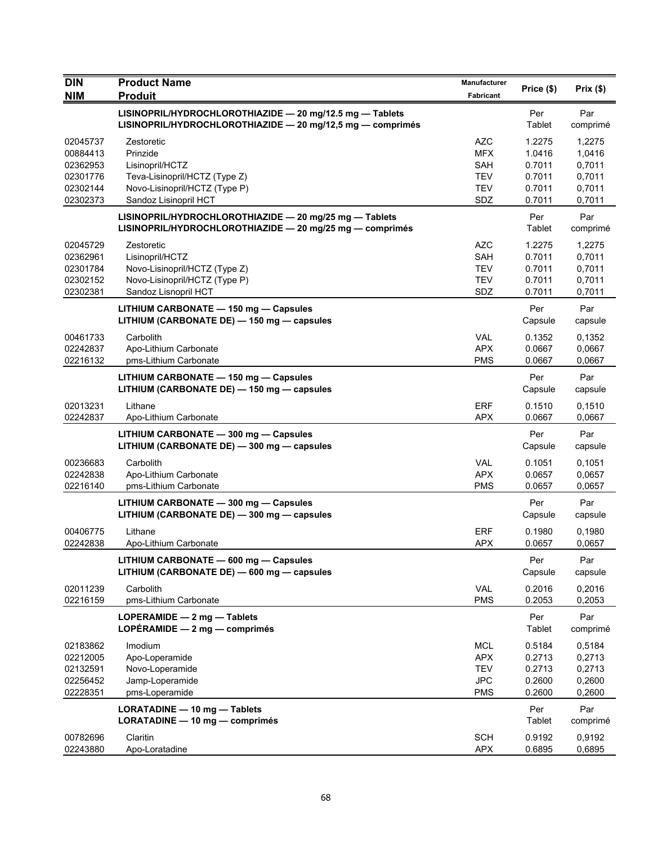| <b>DIN</b><br><b>NIM</b>                                             | <b>Product Name</b><br><b>Produit</b>                                                                                                | <b>Manufacturer</b><br><b>Fabricant</b>                            | Price (\$)                                               | Prix $(\$)$                                              |
|----------------------------------------------------------------------|--------------------------------------------------------------------------------------------------------------------------------------|--------------------------------------------------------------------|----------------------------------------------------------|----------------------------------------------------------|
|                                                                      | LISINOPRIL/HYDROCHLOROTHIAZIDE - 20 mg/12.5 mg - Tablets<br>LISINOPRIL/HYDROCHLOROTHIAZIDE - 20 mg/12,5 mg - comprimés               |                                                                    | Per<br>Tablet                                            | Par<br>comprimé                                          |
| 02045737<br>00884413<br>02362953<br>02301776<br>02302144<br>02302373 | Zestoretic<br>Prinzide<br>Lisinopril/HCTZ<br>Teva-Lisinopril/HCTZ (Type Z)<br>Novo-Lisinopril/HCTZ (Type P)<br>Sandoz Lisinopril HCT | <b>AZC</b><br><b>MFX</b><br>SAH<br><b>TEV</b><br><b>TEV</b><br>SDZ | 1.2275<br>1.0416<br>0.7011<br>0.7011<br>0.7011<br>0.7011 | 1,2275<br>1,0416<br>0,7011<br>0,7011<br>0,7011<br>0,7011 |
|                                                                      | LISINOPRIL/HYDROCHLOROTHIAZIDE - 20 mg/25 mg - Tablets<br>LISINOPRIL/HYDROCHLOROTHIAZIDE - 20 mg/25 mg - comprimés                   |                                                                    | Per<br>Tablet                                            | Par<br>comprimé                                          |
| 02045729<br>02362961<br>02301784<br>02302152<br>02302381             | Zestoretic<br>Lisinopril/HCTZ<br>Novo-Lisinopril/HCTZ (Type Z)<br>Novo-Lisinopril/HCTZ (Type P)<br>Sandoz Lisnopril HCT              | <b>AZC</b><br>SAH<br><b>TEV</b><br><b>TEV</b><br>SDZ               | 1.2275<br>0.7011<br>0.7011<br>0.7011<br>0.7011           | 1,2275<br>0,7011<br>0,7011<br>0,7011<br>0,7011           |
|                                                                      | LITHIUM CARBONATE - 150 mg - Capsules<br>LITHIUM (CARBONATE DE) - 150 mg - capsules                                                  |                                                                    | Per<br>Capsule                                           | Par<br>capsule                                           |
| 00461733<br>02242837<br>02216132                                     | Carbolith<br>Apo-Lithium Carbonate<br>pms-Lithium Carbonate                                                                          | <b>VAL</b><br><b>APX</b><br><b>PMS</b>                             | 0.1352<br>0.0667<br>0.0667                               | 0,1352<br>0,0667<br>0,0667                               |
|                                                                      | LITHIUM CARBONATE - 150 mg - Capsules<br>LITHIUM (CARBONATE DE) - 150 mg - capsules                                                  |                                                                    | Per<br>Capsule                                           | Par<br>capsule                                           |
| 02013231<br>02242837                                                 | Lithane<br>Apo-Lithium Carbonate                                                                                                     | <b>ERF</b><br><b>APX</b>                                           | 0.1510<br>0.0667                                         | 0,1510<br>0,0667                                         |
|                                                                      | LITHIUM CARBONATE - 300 mg - Capsules<br>LITHIUM (CARBONATE DE) - 300 mg - capsules                                                  |                                                                    | Per<br>Capsule                                           | Par<br>capsule                                           |
| 00236683<br>02242838<br>02216140                                     | Carbolith<br>Apo-Lithium Carbonate<br>pms-Lithium Carbonate                                                                          | <b>VAL</b><br><b>APX</b><br><b>PMS</b>                             | 0.1051<br>0.0657<br>0.0657                               | 0,1051<br>0,0657<br>0,0657                               |
|                                                                      | LITHIUM CARBONATE - 300 mg - Capsules<br>LITHIUM (CARBONATE DE) - 300 mg - capsules                                                  |                                                                    | Per<br>Capsule                                           | Par<br>capsule                                           |
| 00406775<br>02242838                                                 | Lithane<br>Apo-Lithium Carbonate                                                                                                     | <b>ERF</b><br><b>APX</b>                                           | 0.1980<br>0.0657                                         | 0,1980<br>0.0657                                         |
|                                                                      | LITHIUM CARBONATE - 600 mg - Capsules<br>LITHIUM (CARBONATE DE) - 600 mg - capsules                                                  |                                                                    | Per<br>Capsule                                           | Par<br>capsule                                           |
| 02011239<br>02216159                                                 | Carbolith<br>pms-Lithium Carbonate                                                                                                   | <b>VAL</b><br><b>PMS</b>                                           | 0.2016<br>0.2053                                         | 0,2016<br>0,2053                                         |
|                                                                      | LOPERAMIDE - 2 mg - Tablets<br>LOPÉRAMIDE $-2$ mg $-$ comprimés                                                                      |                                                                    | Per<br>Tablet                                            | Par<br>comprimé                                          |
| 02183862<br>02212005<br>02132591<br>02256452<br>02228351             | Imodium<br>Apo-Loperamide<br>Novo-Loperamide<br>Jamp-Loperamide<br>pms-Loperamide                                                    | <b>MCL</b><br><b>APX</b><br><b>TEV</b><br><b>JPC</b><br><b>PMS</b> | 0.5184<br>0.2713<br>0.2713<br>0.2600<br>0.2600           | 0,5184<br>0,2713<br>0,2713<br>0,2600<br>0,2600           |
|                                                                      | LORATADINE - 10 mg - Tablets<br>LORATADINE - 10 mg - comprimés                                                                       |                                                                    | Per<br>Tablet                                            | Par<br>comprimé                                          |
| 00782696<br>02243880                                                 | Claritin<br>Apo-Loratadine                                                                                                           | <b>SCH</b><br><b>APX</b>                                           | 0.9192<br>0.6895                                         | 0,9192<br>0,6895                                         |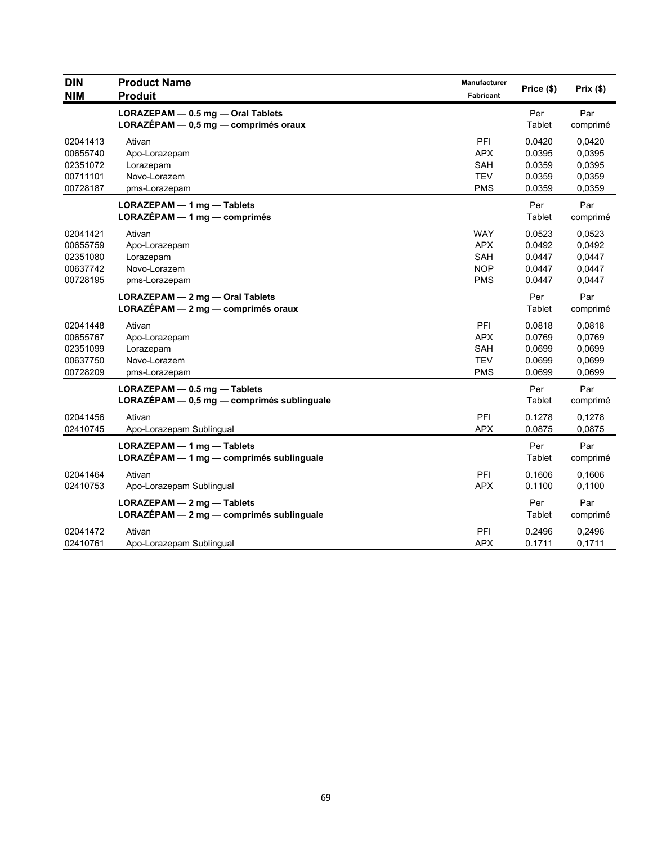| <b>DIN</b><br><b>NIM</b>                                 | <b>Product Name</b><br><b>Produit</b>                                       | Manufacturer<br>Fabricant                                   | Price (\$)                                     | Prix (\$)                                      |
|----------------------------------------------------------|-----------------------------------------------------------------------------|-------------------------------------------------------------|------------------------------------------------|------------------------------------------------|
|                                                          | LORAZEPAM - 0.5 mg - Oral Tablets<br>$LORAZÉPAM - 0.5 mg - comprimés oraux$ |                                                             | Per<br>Tablet                                  | Par<br>comprimé                                |
| 02041413<br>00655740<br>02351072<br>00711101<br>00728187 | Ativan<br>Apo-Lorazepam<br>Lorazepam<br>Novo-Lorazem<br>pms-Lorazepam       | PFI<br><b>APX</b><br>SAH<br><b>TEV</b><br><b>PMS</b>        | 0.0420<br>0.0395<br>0.0359<br>0.0359<br>0.0359 | 0,0420<br>0,0395<br>0,0395<br>0,0359<br>0,0359 |
|                                                          | LORAZEPAM - 1 mg - Tablets<br>$LORAZÉPAM - 1 mg - comprimés$                |                                                             | Per<br>Tablet                                  | Par<br>comprimé                                |
| 02041421<br>00655759<br>02351080<br>00637742<br>00728195 | Ativan<br>Apo-Lorazepam<br>Lorazepam<br>Novo-Lorazem<br>pms-Lorazepam       | <b>WAY</b><br><b>APX</b><br>SAH<br><b>NOP</b><br><b>PMS</b> | 0.0523<br>0.0492<br>0.0447<br>0.0447<br>0.0447 | 0,0523<br>0,0492<br>0,0447<br>0,0447<br>0,0447 |
|                                                          | LORAZEPAM - 2 mg - Oral Tablets<br>LORAZÉPAM - 2 mg - comprimés oraux       |                                                             | Per<br>Tablet                                  | Par<br>comprimé                                |
| 02041448<br>00655767<br>02351099<br>00637750<br>00728209 | Ativan<br>Apo-Lorazepam<br>Lorazepam<br>Novo-Lorazem<br>pms-Lorazepam       | PFI<br><b>APX</b><br><b>SAH</b><br><b>TEV</b><br><b>PMS</b> | 0.0818<br>0.0769<br>0.0699<br>0.0699<br>0.0699 | 0,0818<br>0,0769<br>0,0699<br>0,0699<br>0,0699 |
|                                                          | $LORAZEPAM - 0.5 mg - Tables$<br>LORAZÉPAM - 0,5 mg - comprimés sublinguale |                                                             | Per<br>Tablet                                  | Par<br>comprimé                                |
| 02041456<br>02410745                                     | Ativan<br>Apo-Lorazepam Sublingual                                          | PFI<br><b>APX</b>                                           | 0.1278<br>0.0875                               | 0,1278<br>0,0875                               |
|                                                          | LORAZEPAM - 1 mg - Tablets<br>LORAZÉPAM - 1 mg - comprimés sublinguale      |                                                             | Per<br>Tablet                                  | Par<br>comprimé                                |
| 02041464<br>02410753                                     | Ativan<br>Apo-Lorazepam Sublingual                                          | PFI<br><b>APX</b>                                           | 0.1606<br>0.1100                               | 0,1606<br>0,1100                               |
|                                                          | LORAZEPAM - 2 mg - Tablets<br>LORAZÉPAM - 2 mg - comprimés sublinguale      |                                                             | Per<br>Tablet                                  | Par<br>comprimé                                |
| 02041472<br>02410761                                     | Ativan<br>Apo-Lorazepam Sublingual                                          | <b>PFI</b><br><b>APX</b>                                    | 0.2496<br>0.1711                               | 0,2496<br>0,1711                               |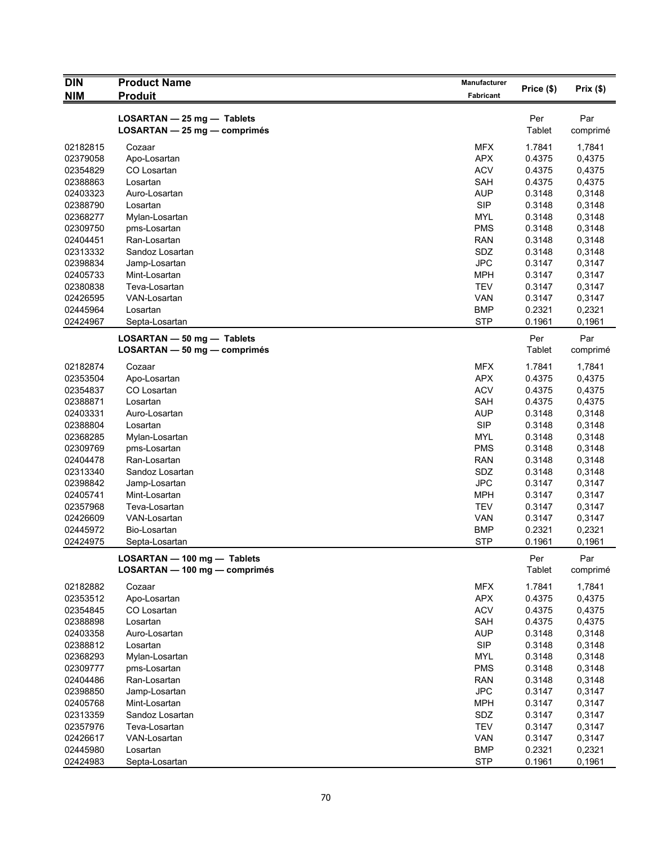| $\overline{D}$ IN    | <b>Product Name</b>           | Manufacturer             |                  |                  |
|----------------------|-------------------------------|--------------------------|------------------|------------------|
| <b>NIM</b>           | <b>Produit</b>                | Fabricant                | Price (\$)       | Prix $(\$)$      |
|                      | LOSARTAN - 25 mg - Tablets    |                          | Per              | Par              |
|                      | LOSARTAN - 25 mg - comprimés  |                          | <b>Tablet</b>    | comprimé         |
| 02182815             | Cozaar                        | <b>MFX</b>               | 1.7841           | 1,7841           |
| 02379058             | Apo-Losartan                  | <b>APX</b>               | 0.4375           | 0,4375           |
| 02354829             | CO Losartan                   | <b>ACV</b>               | 0.4375           | 0,4375           |
| 02388863             | Losartan                      | SAH                      | 0.4375           | 0,4375           |
| 02403323             | Auro-Losartan                 | <b>AUP</b>               | 0.3148           | 0,3148           |
| 02388790             | Losartan                      | <b>SIP</b>               | 0.3148           | 0,3148           |
| 02368277             | Mylan-Losartan                | <b>MYL</b>               | 0.3148           | 0,3148           |
| 02309750             | pms-Losartan                  | <b>PMS</b>               | 0.3148           | 0,3148           |
| 02404451             | Ran-Losartan                  | <b>RAN</b>               | 0.3148           | 0,3148           |
| 02313332             | Sandoz Losartan               | SDZ                      | 0.3148           | 0,3148           |
| 02398834             | Jamp-Losartan                 | <b>JPC</b>               | 0.3147           | 0,3147           |
| 02405733             | Mint-Losartan                 | <b>MPH</b>               | 0.3147           | 0,3147           |
| 02380838             | Teva-Losartan                 | <b>TEV</b>               | 0.3147           | 0,3147           |
| 02426595             | VAN-Losartan                  | VAN                      | 0.3147           | 0,3147           |
| 02445964             | Losartan                      | <b>BMP</b>               | 0.2321           | 0,2321           |
| 02424967             | Septa-Losartan                | <b>STP</b>               | 0.1961           | 0,1961           |
|                      | LOSARTAN - 50 mg - Tablets    |                          | Per              | Par              |
|                      | LOSARTAN - 50 mg - comprimés  |                          | Tablet           | comprimé         |
| 02182874             | Cozaar                        | <b>MFX</b>               | 1.7841           | 1,7841           |
| 02353504             | Apo-Losartan                  | <b>APX</b>               | 0.4375           | 0,4375           |
| 02354837             | CO Losartan                   | <b>ACV</b>               | 0.4375           | 0,4375           |
| 02388871             | Losartan                      | SAH                      | 0.4375           | 0,4375           |
| 02403331             | Auro-Losartan                 | <b>AUP</b>               | 0.3148           | 0,3148           |
| 02388804             | Losartan                      | <b>SIP</b>               | 0.3148           | 0,3148           |
| 02368285             | Mylan-Losartan                | <b>MYL</b>               | 0.3148           | 0,3148           |
| 02309769             | pms-Losartan                  | <b>PMS</b>               | 0.3148           | 0,3148           |
| 02404478             | Ran-Losartan                  | <b>RAN</b>               | 0.3148           | 0,3148           |
| 02313340             | Sandoz Losartan               | SDZ                      | 0.3148           | 0,3148           |
| 02398842             | Jamp-Losartan                 | <b>JPC</b>               | 0.3147           | 0,3147           |
| 02405741             | Mint-Losartan                 | <b>MPH</b>               | 0.3147           | 0,3147           |
| 02357968             | Teva-Losartan                 | <b>TEV</b>               | 0.3147           | 0,3147           |
| 02426609             | VAN-Losartan                  | <b>VAN</b>               | 0.3147           | 0,3147           |
| 02445972             | Bio-Losartan                  | <b>BMP</b>               | 0.2321           | 0,2321           |
| 02424975             | Septa-Losartan                | <b>STP</b>               | 0.1961           | 0,1961           |
|                      | LOSARTAN - 100 mg - Tablets   |                          | Per              | Par              |
|                      | LOSARTAN - 100 mg - comprimés |                          | <b>Tablet</b>    | comprimé         |
| 02182882             | Cozaar                        | <b>MFX</b>               | 1.7841           | 1,7841           |
| 02353512             | Apo-Losartan                  | <b>APX</b>               | 0.4375           | 0,4375           |
| 02354845             | CO Losartan                   | <b>ACV</b>               | 0.4375           | 0,4375           |
| 02388898             | Losartan                      | SAH                      | 0.4375           | 0,4375           |
| 02403358             | Auro-Losartan                 | <b>AUP</b>               | 0.3148           | 0,3148           |
| 02388812             | Losartan                      | <b>SIP</b>               | 0.3148           | 0,3148           |
| 02368293             |                               | MYL                      | 0.3148           | 0,3148           |
|                      | Mylan-Losartan                |                          |                  |                  |
| 02309777<br>02404486 | pms-Losartan<br>Ran-Losartan  | <b>PMS</b><br><b>RAN</b> | 0.3148<br>0.3148 | 0,3148<br>0,3148 |
|                      |                               |                          |                  |                  |
| 02398850             | Jamp-Losartan                 | <b>JPC</b>               | 0.3147           | 0,3147           |
| 02405768             | Mint-Losartan                 | <b>MPH</b>               | 0.3147           | 0,3147           |
| 02313359             | Sandoz Losartan               | SDZ                      | 0.3147           | 0,3147           |
| 02357976             | Teva-Losartan                 | <b>TEV</b>               | 0.3147           | 0,3147           |
| 02426617             | VAN-Losartan                  | <b>VAN</b>               | 0.3147           | 0,3147           |
| 02445980             | Losartan                      | <b>BMP</b>               | 0.2321           | 0,2321           |
| 02424983             | Septa-Losartan                | <b>STP</b>               | 0.1961           | 0,1961           |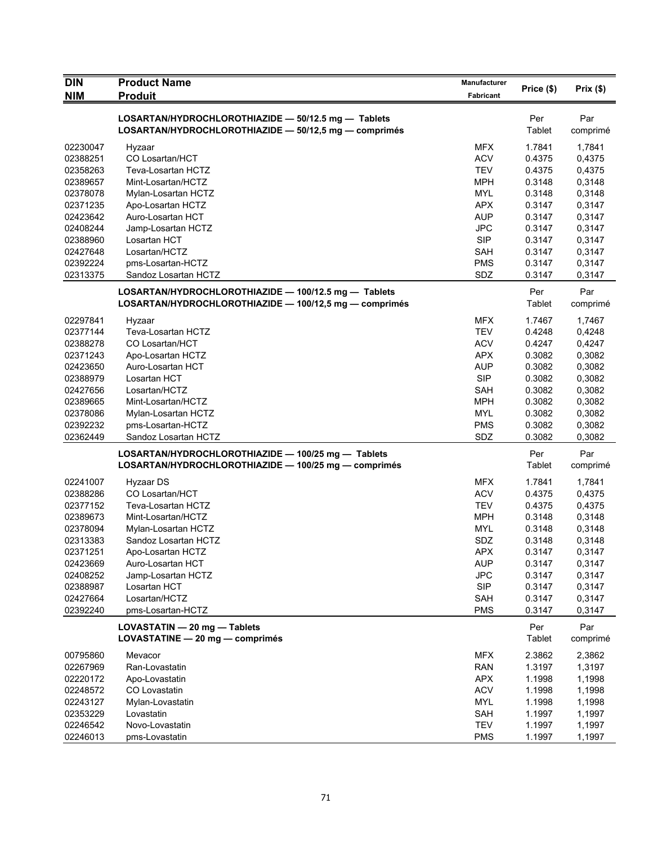| <b>DIN</b> | <b>Product Name</b>                                    | <b>Manufacturer</b> |               |          |
|------------|--------------------------------------------------------|---------------------|---------------|----------|
| <b>NIM</b> | <b>Produit</b>                                         | Fabricant           | Price (\$)    | Prix(\$) |
|            |                                                        |                     |               |          |
|            | LOSARTAN/HYDROCHLOROTHIAZIDE - 50/12.5 mg - Tablets    |                     | Per           | Par      |
|            | LOSARTAN/HYDROCHLOROTHIAZIDE - 50/12,5 mg - comprimés  |                     | Tablet        | comprimé |
| 02230047   | Hyzaar                                                 | <b>MFX</b>          | 1.7841        | 1,7841   |
| 02388251   | CO Losartan/HCT                                        | <b>ACV</b>          | 0.4375        | 0,4375   |
| 02358263   | Teva-Losartan HCTZ                                     | <b>TEV</b>          | 0.4375        | 0,4375   |
| 02389657   | Mint-Losartan/HCTZ                                     | <b>MPH</b>          | 0.3148        | 0,3148   |
| 02378078   | Mylan-Losartan HCTZ                                    | <b>MYL</b>          | 0.3148        | 0,3148   |
| 02371235   | Apo-Losartan HCTZ                                      | <b>APX</b>          | 0.3147        | 0,3147   |
| 02423642   | Auro-Losartan HCT                                      | <b>AUP</b>          | 0.3147        | 0,3147   |
| 02408244   | Jamp-Losartan HCTZ                                     | <b>JPC</b>          | 0.3147        | 0,3147   |
| 02388960   | Losartan HCT                                           | <b>SIP</b>          | 0.3147        | 0,3147   |
| 02427648   | Losartan/HCTZ                                          | <b>SAH</b>          | 0.3147        | 0,3147   |
| 02392224   | pms-Losartan-HCTZ                                      | <b>PMS</b>          | 0.3147        | 0,3147   |
| 02313375   | Sandoz Losartan HCTZ                                   | SDZ                 | 0.3147        | 0,3147   |
|            | LOSARTAN/HYDROCHLOROTHIAZIDE - 100/12.5 mg - Tablets   |                     | Per           | Par      |
|            | LOSARTAN/HYDROCHLOROTHIAZIDE - 100/12.5 mg - comprimés |                     | Tablet        | comprimé |
| 02297841   | Hyzaar                                                 | <b>MFX</b>          | 1.7467        | 1,7467   |
| 02377144   | Teva-Losartan HCTZ                                     | <b>TEV</b>          | 0.4248        | 0,4248   |
| 02388278   | <b>CO Losartan/HCT</b>                                 | <b>ACV</b>          | 0.4247        | 0,4247   |
| 02371243   | Apo-Losartan HCTZ                                      | <b>APX</b>          | 0.3082        | 0,3082   |
| 02423650   | Auro-Losartan HCT                                      | <b>AUP</b>          | 0.3082        | 0,3082   |
| 02388979   | Losartan HCT                                           | <b>SIP</b>          | 0.3082        | 0,3082   |
| 02427656   | Losartan/HCTZ                                          | <b>SAH</b>          | 0.3082        | 0,3082   |
| 02389665   | Mint-Losartan/HCTZ                                     | <b>MPH</b>          | 0.3082        | 0,3082   |
| 02378086   | Mylan-Losartan HCTZ                                    | <b>MYL</b>          | 0.3082        | 0,3082   |
| 02392232   | pms-Losartan-HCTZ                                      | <b>PMS</b>          | 0.3082        | 0,3082   |
| 02362449   | Sandoz Losartan HCTZ                                   | SDZ                 | 0.3082        | 0,3082   |
|            | LOSARTAN/HYDROCHLOROTHIAZIDE - 100/25 mg - Tablets     |                     | Per           | Par      |
|            | LOSARTAN/HYDROCHLOROTHIAZIDE - 100/25 mg - comprimés   |                     | Tablet        | comprimé |
| 02241007   | Hyzaar DS                                              | <b>MFX</b>          | 1.7841        | 1,7841   |
| 02388286   | CO Losartan/HCT                                        | <b>ACV</b>          | 0.4375        | 0,4375   |
| 02377152   | Teva-Losartan HCTZ                                     | <b>TEV</b>          | 0.4375        | 0,4375   |
| 02389673   | Mint-Losartan/HCTZ                                     | <b>MPH</b>          | 0.3148        | 0,3148   |
| 02378094   | Mylan-Losartan HCTZ                                    | <b>MYL</b>          | 0.3148        | 0,3148   |
| 02313383   | Sandoz Losartan HCTZ                                   | SDZ                 | 0.3148        | 0,3148   |
| 02371251   | Apo-Losartan HCTZ                                      | APX                 | 0.3147        | 0,3147   |
| 02423669   | Auro-Losartan HCT                                      | AUP                 | 0.3147        | 0,3147   |
| 02408252   | Jamp-Losartan HCTZ                                     | <b>JPC</b>          | 0.3147        | 0,3147   |
| 02388987   | Losartan HCT                                           | <b>SIP</b>          | 0.3147        | 0,3147   |
| 02427664   | Losartan/HCTZ                                          | <b>SAH</b>          | 0.3147        | 0,3147   |
| 02392240   | pms-Losartan-HCTZ                                      | <b>PMS</b>          | 0.3147        | 0,3147   |
|            |                                                        |                     |               |          |
|            | LOVASTATIN - 20 mg - Tablets                           |                     | Per           | Par      |
|            | LOVASTATINE - 20 mg - comprimés                        |                     | <b>Tablet</b> | comprimé |
| 00795860   | Mevacor                                                | <b>MFX</b>          | 2.3862        | 2,3862   |
| 02267969   | Ran-Lovastatin                                         | <b>RAN</b>          | 1.3197        | 1,3197   |
| 02220172   | Apo-Lovastatin                                         | <b>APX</b>          | 1.1998        | 1,1998   |
| 02248572   | CO Lovastatin                                          | <b>ACV</b>          | 1.1998        | 1,1998   |
| 02243127   | Mylan-Lovastatin                                       | <b>MYL</b>          | 1.1998        | 1,1998   |
| 02353229   | Lovastatin                                             | <b>SAH</b>          | 1.1997        | 1,1997   |
| 02246542   | Novo-Lovastatin                                        | <b>TEV</b>          | 1.1997        | 1,1997   |
| 02246013   | pms-Lovastatin                                         | <b>PMS</b>          | 1.1997        | 1,1997   |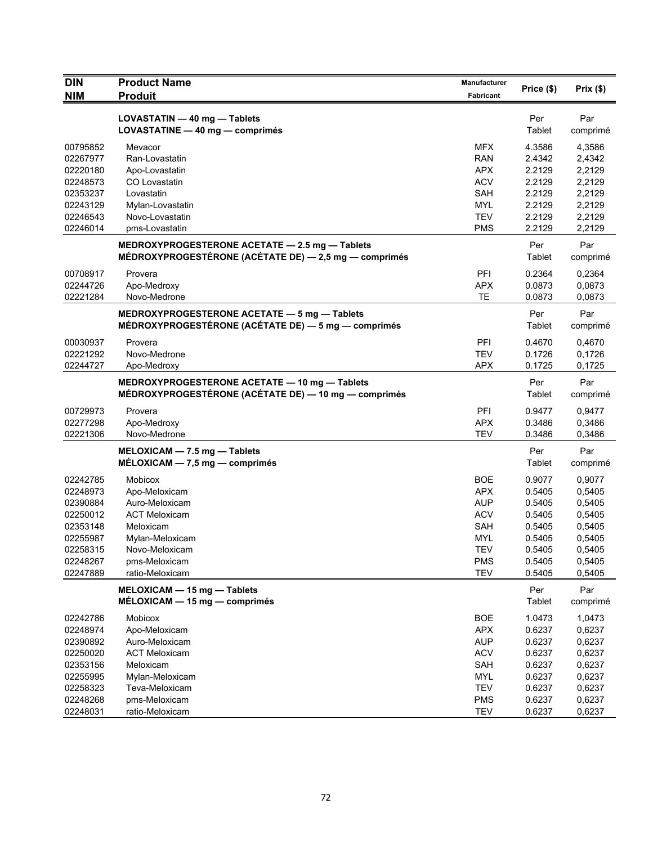| <b>DIN</b>           | <b>Product Name</b>                                                                                   | Manufacturer             | Price (\$)       | Prix(\$)         |
|----------------------|-------------------------------------------------------------------------------------------------------|--------------------------|------------------|------------------|
| <b>NIM</b>           | <b>Produit</b>                                                                                        | Fabricant                |                  |                  |
|                      | LOVASTATIN - 40 mg - Tablets                                                                          |                          | Per              | Par              |
|                      | LOVASTATINE - 40 mg - comprimés                                                                       |                          | Tablet           | comprimé         |
| 00795852             | Mevacor                                                                                               | <b>MFX</b>               | 4.3586           | 4,3586           |
| 02267977             | Ran-Lovastatin                                                                                        | <b>RAN</b>               | 2.4342           | 2,4342           |
| 02220180             | Apo-Lovastatin                                                                                        | <b>APX</b>               | 2.2129           | 2,2129           |
| 02248573             | CO Lovastatin                                                                                         | <b>ACV</b>               | 2.2129           | 2,2129           |
| 02353237             | Lovastatin                                                                                            | SAH                      | 2.2129           | 2,2129           |
| 02243129             | Mylan-Lovastatin                                                                                      | <b>MYL</b>               | 2.2129           | 2,2129           |
| 02246543             | Novo-Lovastatin                                                                                       | <b>TEV</b>               | 2.2129           | 2,2129           |
| 02246014             | pms-Lovastatin                                                                                        | <b>PMS</b>               | 2.2129           | 2,2129           |
|                      | MEDROXYPROGESTERONE ACETATE - 2.5 mg - Tablets                                                        |                          | Per              | Par              |
|                      | MÉDROXYPROGESTÉRONE (ACÉTATE DE) - 2,5 mg - comprimés                                                 |                          | Tablet           | comprimé         |
| 00708917             | Provera                                                                                               | PFI                      | 0.2364           | 0,2364           |
| 02244726             | Apo-Medroxy                                                                                           | <b>APX</b>               | 0.0873           | 0,0873           |
| 02221284             | Novo-Medrone                                                                                          | TE                       | 0.0873           | 0,0873           |
|                      | MEDROXYPROGESTERONE ACETATE - 5 mg - Tablets                                                          |                          | Per              | Par              |
|                      | MÉDROXYPROGESTÉRONE (ACÉTATE DE) - 5 mg - comprimés                                                   |                          | Tablet           | comprimé         |
| 00030937             | Provera                                                                                               | <b>PFI</b>               | 0.4670           | 0,4670           |
| 02221292             | Novo-Medrone                                                                                          | TEV                      | 0.1726           | 0,1726           |
| 02244727             | Apo-Medroxy                                                                                           | <b>APX</b>               | 0.1725           | 0,1725           |
|                      |                                                                                                       |                          |                  |                  |
|                      | MEDROXYPROGESTERONE ACETATE - 10 mg - Tablets<br>MÉDROXYPROGESTÉRONE (ACÉTATE DE) — 10 mg — comprimés |                          | Per<br>Tablet    | Par<br>comprimé  |
| 00729973             | Provera                                                                                               | <b>PFI</b>               | 0.9477           | 0,9477           |
| 02277298             | Apo-Medroxy                                                                                           | <b>APX</b>               | 0.3486           | 0,3486           |
| 02221306             | Novo-Medrone                                                                                          | <b>TEV</b>               | 0.3486           | 0,3486           |
|                      | MELOXICAM - 7.5 mg - Tablets                                                                          |                          | Per              | Par              |
|                      | $MÉLOXICAM - 7,5 mg - comprimés$                                                                      |                          | Tablet           | comprimé         |
| 02242785             | <b>Mobicox</b>                                                                                        | <b>BOE</b>               | 0.9077           | 0,9077           |
| 02248973             | Apo-Meloxicam                                                                                         | <b>APX</b>               | 0.5405           | 0,5405           |
| 02390884             | Auro-Meloxicam                                                                                        | <b>AUP</b>               | 0.5405           | 0,5405           |
| 02250012             | <b>ACT Meloxicam</b>                                                                                  | <b>ACV</b>               | 0.5405           | 0,5405           |
| 02353148             | Meloxicam                                                                                             | SAH                      | 0.5405           | 0,5405           |
| 02255987             | Mylan-Meloxicam                                                                                       | <b>MYL</b>               | 0.5405           | 0,5405           |
| 02258315             | Novo-Meloxicam                                                                                        | <b>TEV</b>               | 0.5405           | 0,5405           |
| 02248267             | pms-Meloxicam                                                                                         | <b>PMS</b>               | 0.5405           | 0,5405           |
| 02247889             | ratio-Meloxicam                                                                                       | <b>TEV</b>               | 0.5405           | 0,5405           |
|                      | MELOXICAM - 15 mg - Tablets                                                                           |                          | Per              | Par              |
|                      | $MÉLOXICAM - 15 mg - comprimés$                                                                       |                          | Tablet           | comprimé         |
| 02242786             | Mobicox                                                                                               | <b>BOE</b>               | 1.0473           | 1,0473           |
| 02248974             | Apo-Meloxicam                                                                                         | <b>APX</b>               | 0.6237           | 0,6237           |
| 02390892             | Auro-Meloxicam                                                                                        | <b>AUP</b>               | 0.6237           | 0,6237           |
| 02250020             | <b>ACT Meloxicam</b>                                                                                  | <b>ACV</b>               | 0.6237           | 0,6237           |
| 02353156             | Meloxicam                                                                                             | SAH                      | 0.6237           | 0,6237           |
| 02255995             | Mylan-Meloxicam                                                                                       | <b>MYL</b>               | 0.6237           | 0,6237           |
| 02258323             | Teva-Meloxicam                                                                                        | <b>TEV</b>               | 0.6237           | 0,6237           |
| 02248268<br>02248031 | pms-Meloxicam<br>ratio-Meloxicam                                                                      | <b>PMS</b><br><b>TEV</b> | 0.6237<br>0.6237 | 0,6237<br>0,6237 |
|                      |                                                                                                       |                          |                  |                  |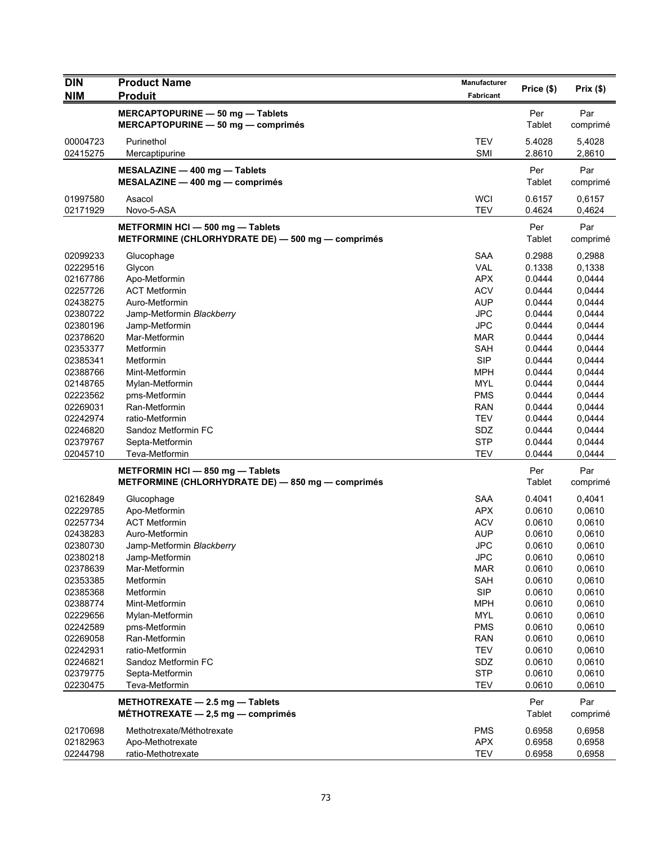| <b>DIN</b> | <b>Product Name</b>                               | <b>Manufacturer</b> | Price (\$) | Prix(\$) |
|------------|---------------------------------------------------|---------------------|------------|----------|
| <b>NIM</b> | <b>Produit</b>                                    | Fabricant           |            |          |
|            | MERCAPTOPURINE - 50 mg - Tablets                  |                     | Per        | Par      |
|            | MERCAPTOPURINE - 50 mg - comprimés                |                     | Tablet     | comprimé |
| 00004723   | Purinethol                                        | <b>TEV</b>          | 5.4028     | 5,4028   |
| 02415275   | Mercaptipurine                                    | <b>SMI</b>          | 2.8610     | 2,8610   |
|            | MESALAZINE - 400 mg - Tablets                     |                     | Per        | Par      |
|            | $MESALAZINE - 400 mg - comprimés$                 |                     | Tablet     | comprimé |
| 01997580   | Asacol                                            | <b>WCI</b>          | 0.6157     | 0,6157   |
| 02171929   | Novo-5-ASA                                        | <b>TEV</b>          | 0.4624     | 0,4624   |
|            | METFORMIN HCI - 500 mg - Tablets                  |                     | Per        | Par      |
|            | METFORMINE (CHLORHYDRATE DE) - 500 mg - comprimés |                     | Tablet     | comprimé |
| 02099233   | Glucophage                                        | <b>SAA</b>          | 0.2988     | 0,2988   |
| 02229516   | Glycon                                            | <b>VAL</b>          | 0.1338     | 0,1338   |
| 02167786   | Apo-Metformin                                     | <b>APX</b>          | 0.0444     | 0,0444   |
| 02257726   | <b>ACT Metformin</b>                              | <b>ACV</b>          | 0.0444     | 0,0444   |
| 02438275   | Auro-Metformin                                    | <b>AUP</b>          | 0.0444     | 0,0444   |
| 02380722   | Jamp-Metformin Blackberry                         | <b>JPC</b>          | 0.0444     | 0,0444   |
| 02380196   | Jamp-Metformin                                    | <b>JPC</b>          | 0.0444     | 0,0444   |
| 02378620   | Mar-Metformin                                     | <b>MAR</b>          | 0.0444     | 0,0444   |
| 02353377   | Metformin                                         | <b>SAH</b>          | 0.0444     | 0,0444   |
| 02385341   | Metformin                                         | <b>SIP</b>          | 0.0444     | 0,0444   |
| 02388766   | Mint-Metformin                                    | <b>MPH</b>          | 0.0444     | 0,0444   |
| 02148765   | Mylan-Metformin                                   | MYL                 | 0.0444     | 0,0444   |
| 02223562   | pms-Metformin                                     | <b>PMS</b>          | 0.0444     | 0,0444   |
| 02269031   | Ran-Metformin                                     | <b>RAN</b>          | 0.0444     | 0,0444   |
| 02242974   | ratio-Metformin                                   | <b>TEV</b>          | 0.0444     | 0,0444   |
| 02246820   | Sandoz Metformin FC                               | SDZ                 | 0.0444     | 0,0444   |
| 02379767   | Septa-Metformin                                   | <b>STP</b>          | 0.0444     | 0,0444   |
| 02045710   | Teva-Metformin                                    | <b>TEV</b>          | 0.0444     | 0,0444   |
|            | METFORMIN HCI - 850 mg - Tablets                  |                     | Per        | Par      |
|            | METFORMINE (CHLORHYDRATE DE) - 850 mg - comprimés |                     | Tablet     | comprimé |
| 02162849   | Glucophage                                        | <b>SAA</b>          | 0.4041     | 0,4041   |
| 02229785   | Apo-Metformin                                     | <b>APX</b>          | 0.0610     | 0,0610   |
| 02257734   | <b>ACT Metformin</b>                              | <b>ACV</b>          | 0.0610     | 0,0610   |
| 02438283   | Auro-Metformin                                    | <b>AUP</b>          | 0.0610     | 0,0610   |
| 02380730   | Jamp-Metformin Blackberry                         | <b>JPC</b>          | 0.0610     | 0,0610   |
| 02380218   | Jamp-Metformin                                    | <b>JPC</b>          | 0.0610     | 0,0610   |
| 02378639   | Mar-Metformin                                     | <b>MAR</b>          | 0.0610     | 0,0610   |
| 02353385   | Metformin                                         | <b>SAH</b>          | 0.0610     | 0,0610   |
| 02385368   | Metformin                                         | <b>SIP</b>          | 0.0610     | 0,0610   |
|            |                                                   |                     |            |          |
| 02388774   | Mint-Metformin                                    | <b>MPH</b>          | 0.0610     | 0,0610   |
| 02229656   | Mylan-Metformin                                   | <b>MYL</b>          | 0.0610     | 0,0610   |
| 02242589   | pms-Metformin                                     | <b>PMS</b>          | 0.0610     | 0,0610   |
| 02269058   | Ran-Metformin                                     | <b>RAN</b>          | 0.0610     | 0,0610   |
| 02242931   | ratio-Metformin                                   | <b>TEV</b>          | 0.0610     | 0,0610   |
| 02246821   | Sandoz Metformin FC                               | SDZ                 | 0.0610     | 0,0610   |
| 02379775   | Septa-Metformin                                   | <b>STP</b>          | 0.0610     | 0,0610   |
| 02230475   | Teva-Metformin                                    | <b>TEV</b>          | 0.0610     | 0,0610   |
|            | METHOTREXATE $-2.5$ mg $-$ Tablets                |                     | Per        | Par      |
|            | MÉTHOTREXATE $-2,5$ mg $-$ comprimés              |                     | Tablet     | comprimé |
| 02170698   | Methotrexate/Méthotrexate                         | <b>PMS</b>          | 0.6958     | 0,6958   |
| 02182963   | Apo-Methotrexate                                  | <b>APX</b>          | 0.6958     | 0,6958   |
| 02244798   | ratio-Methotrexate                                | <b>TEV</b>          | 0.6958     | 0,6958   |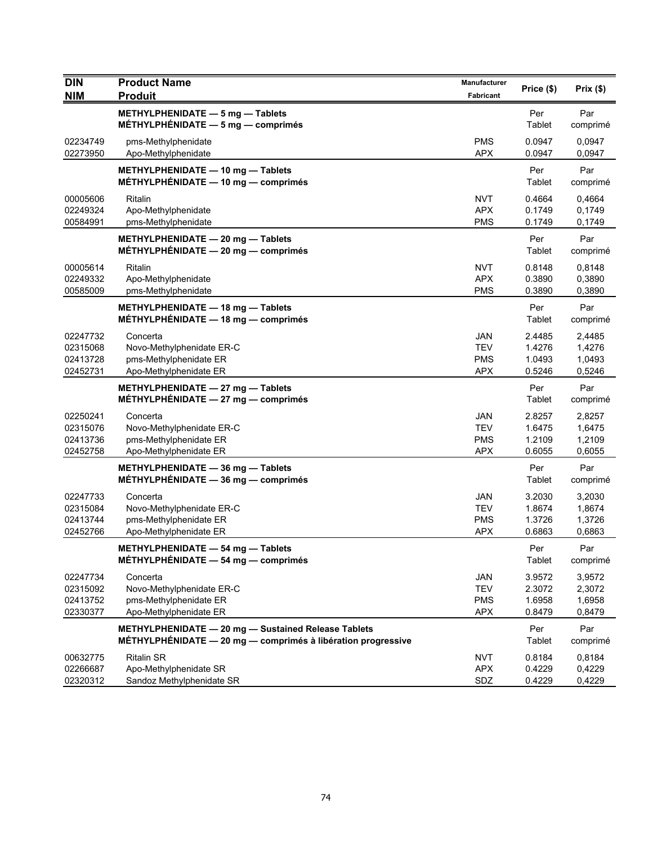| <b>DIN</b><br><b>NIM</b>                     | <b>Product Name</b><br><b>Produit</b>                                                                               | Manufacturer<br>Fabricant                     | Price (\$)                           | Prix (\$)                            |
|----------------------------------------------|---------------------------------------------------------------------------------------------------------------------|-----------------------------------------------|--------------------------------------|--------------------------------------|
|                                              | METHYLPHENIDATE - 5 mg - Tablets<br>MÉTHYLPHÉNIDATE $-5$ mg $-$ comprimés                                           |                                               | Per<br>Tablet                        | Par<br>comprimé                      |
| 02234749<br>02273950                         | pms-Methylphenidate<br>Apo-Methylphenidate                                                                          | <b>PMS</b><br><b>APX</b>                      | 0.0947<br>0.0947                     | 0,0947<br>0,0947                     |
|                                              | METHYLPHENIDATE - 10 mg - Tablets<br>MÉTHYLPHÉNIDATE - 10 mg - comprimés                                            |                                               | Per<br>Tablet                        | Par<br>comprimé                      |
| 00005606<br>02249324<br>00584991             | Ritalin<br>Apo-Methylphenidate<br>pms-Methylphenidate                                                               | <b>NVT</b><br><b>APX</b><br><b>PMS</b>        | 0.4664<br>0.1749<br>0.1749           | 0,4664<br>0,1749<br>0,1749           |
|                                              | METHYLPHENIDATE - 20 mg - Tablets<br>MÉTHYLPHÉNIDATE $-20$ mg $-$ comprimés                                         |                                               | Per<br>Tablet                        | Par<br>comprimé                      |
| 00005614<br>02249332<br>00585009             | Ritalin<br>Apo-Methylphenidate<br>pms-Methylphenidate                                                               | <b>NVT</b><br><b>APX</b><br><b>PMS</b>        | 0.8148<br>0.3890<br>0.3890           | 0,8148<br>0,3890<br>0,3890           |
|                                              | METHYLPHENIDATE - 18 mg - Tablets<br>MÉTHYLPHÉNIDATE - 18 mg - comprimés                                            |                                               | Per<br>Tablet                        | Par<br>comprimé                      |
| 02247732<br>02315068<br>02413728<br>02452731 | Concerta<br>Novo-Methylphenidate ER-C<br>pms-Methylphenidate ER<br>Apo-Methylphenidate ER                           | JAN<br><b>TEV</b><br><b>PMS</b><br><b>APX</b> | 2.4485<br>1.4276<br>1.0493<br>0.5246 | 2,4485<br>1,4276<br>1,0493<br>0,5246 |
|                                              | METHYLPHENIDATE - 27 mg - Tablets<br>MÉTHYLPHÉNIDATE $-27$ mg $-$ comprimés                                         |                                               | Per<br>Tablet                        | Par<br>comprimé                      |
| 02250241<br>02315076<br>02413736<br>02452758 | Concerta<br>Novo-Methylphenidate ER-C<br>pms-Methylphenidate ER<br>Apo-Methylphenidate ER                           | JAN<br><b>TEV</b><br><b>PMS</b><br><b>APX</b> | 2.8257<br>1.6475<br>1.2109<br>0.6055 | 2,8257<br>1,6475<br>1,2109<br>0,6055 |
|                                              | METHYLPHENIDATE - 36 mg - Tablets<br>MÉTHYLPHÉNIDATE - 36 mg - comprimés                                            |                                               | Per<br>Tablet                        | Par<br>comprimé                      |
| 02247733<br>02315084<br>02413744<br>02452766 | Concerta<br>Novo-Methylphenidate ER-C<br>pms-Methylphenidate ER<br>Apo-Methylphenidate ER                           | JAN<br><b>TEV</b><br>PMS<br><b>APX</b>        | 3.2030<br>1.8674<br>1.3726<br>0.6863 | 3,2030<br>1,8674<br>1,3726<br>0,6863 |
|                                              | METHYLPHENIDATE - 54 mg - Tablets<br>MÉTHYLPHÉNIDATE $-$ 54 mg $-$ comprimés                                        |                                               | Per<br>Tablet                        | Par<br>comprimé                      |
| 02247734<br>02315092<br>02413752<br>02330377 | Concerta<br>Novo-Methylphenidate ER-C<br>pms-Methylphenidate ER<br>Apo-Methylphenidate ER                           | JAN<br><b>TEV</b><br><b>PMS</b><br><b>APX</b> | 3.9572<br>2.3072<br>1.6958<br>0.8479 | 3,9572<br>2,3072<br>1,6958<br>0,8479 |
|                                              | METHYLPHENIDATE - 20 mg - Sustained Release Tablets<br>MÉTHYLPHÉNIDATE - 20 mg - comprimés à libération progressive |                                               | Per<br>Tablet                        | Par<br>comprimé                      |
| 00632775<br>02266687<br>02320312             | <b>Ritalin SR</b><br>Apo-Methylphenidate SR<br>Sandoz Methylphenidate SR                                            | NVT<br><b>APX</b><br>SDZ                      | 0.8184<br>0.4229<br>0.4229           | 0,8184<br>0,4229<br>0,4229           |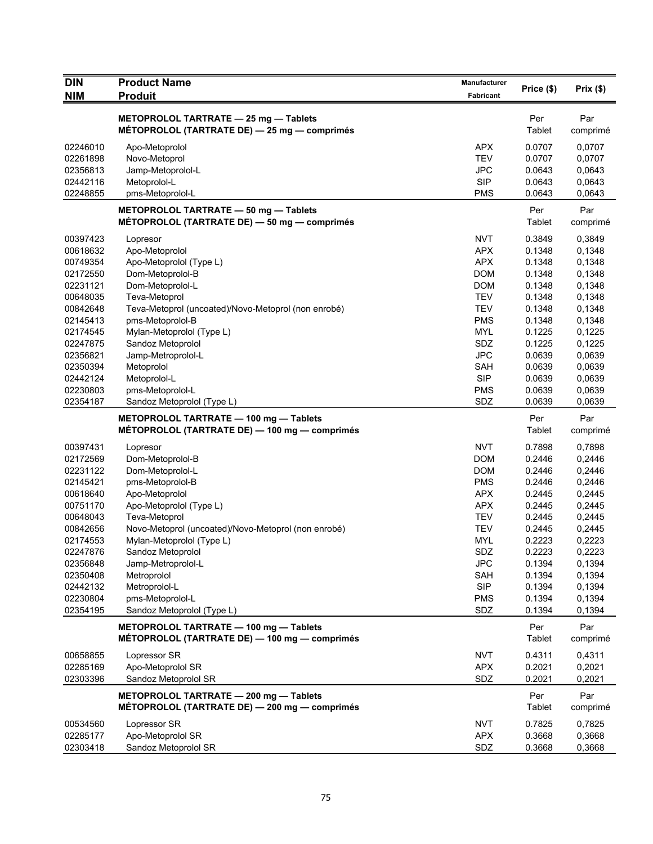| <b>NIM</b><br><b>Produit</b><br>Fabricant<br>METOPROLOL TARTRATE - 25 mg - Tablets<br>Per<br>Par<br>MÉTOPROLOL (TARTRATE DE) - 25 mg - comprimés<br>Tablet<br>comprimé<br>0.0707<br>02246010<br>Apo-Metoprolol<br><b>APX</b><br>0,0707<br>Novo-Metoprol<br><b>TEV</b><br>0.0707<br>0,0707<br>02261898<br>02356813<br><b>JPC</b><br>0.0643<br>0,0643<br>Jamp-Metoprolol-L<br><b>SIP</b><br>02442116<br>Metoprolol-L<br>0.0643<br>0,0643<br>02248855<br>pms-Metoprolol-L<br><b>PMS</b><br>0.0643<br>0,0643<br>Per<br>Par<br>METOPROLOL TARTRATE - 50 mg - Tablets<br>Tablet<br>MÉTOPROLOL (TARTRATE DE) - 50 mg - comprimés<br>comprimé<br>00397423<br><b>NVT</b><br>0.3849<br>0,3849<br>Lopresor<br>00618632<br><b>APX</b><br>0.1348<br>0,1348<br>Apo-Metoprolol<br><b>APX</b><br>00749354<br>Apo-Metoprolol (Type L)<br>0.1348<br>0,1348<br><b>DOM</b><br>0.1348<br>0,1348<br>02172550<br>Dom-Metoprolol-B<br>02231121<br>Dom-Metoprolol-L<br><b>DOM</b><br>0.1348<br>0,1348<br><b>TEV</b><br>0.1348<br>0,1348<br>00648035<br>Teva-Metoprol<br>Teva-Metoprol (uncoated)/Novo-Metoprol (non enrobé)<br><b>TEV</b><br>0.1348<br>0,1348<br>00842648<br>pms-Metoprolol-B<br><b>PMS</b><br>0.1348<br>0,1348<br>02145413<br>Mylan-Metoprolol (Type L)<br><b>MYL</b><br>02174545<br>0.1225<br>0,1225<br>SDZ<br>02247875<br>Sandoz Metoprolol<br>0.1225<br>0,1225<br><b>JPC</b><br>0.0639<br>0,0639<br>02356821<br>Jamp-Metroprolol-L<br><b>SAH</b><br>0.0639<br>0,0639<br>02350394<br>Metoprolol<br><b>SIP</b><br>02442124<br>Metoprolol-L<br>0.0639<br>0,0639<br>02230803<br>pms-Metoprolol-L<br><b>PMS</b><br>0.0639<br>0,0639<br>02354187<br>SDZ<br>0.0639<br>0,0639<br>Sandoz Metoprolol (Type L)<br>METOPROLOL TARTRATE - 100 mg - Tablets<br>Per<br>Par<br>MÉTOPROLOL (TARTRATE DE) — 100 mg — comprimés<br>Tablet<br>comprimé<br><b>NVT</b><br>0.7898<br>00397431<br>0,7898<br>Lopresor<br><b>DOM</b><br>02172569<br>Dom-Metoprolol-B<br>0.2446<br>0,2446<br>02231122<br><b>DOM</b><br>0.2446<br>0,2446<br>Dom-Metoprolol-L<br><b>PMS</b><br>0,2446<br>02145421<br>pms-Metoprolol-B<br>0.2446<br><b>APX</b><br>00618640<br>Apo-Metoprolol<br>0.2445<br>0,2445<br>00751170<br>Apo-Metoprolol (Type L)<br>APX<br>0.2445<br>0,2445<br><b>TEV</b><br>00648043<br>Teva-Metoprol<br>0.2445<br>0,2445<br><b>TEV</b><br>00842656<br>Novo-Metoprol (uncoated)/Novo-Metoprol (non enrobé)<br>0.2445<br>0,2445<br><b>MYL</b><br>0.2223<br>02174553<br>Mylan-Metoprolol (Type L)<br>0,2223<br>Sandoz Metoprolol<br>SDZ<br>0.2223<br>0,2223<br>02247876<br><b>JPC</b><br>0,1394<br>02356848<br>Jamp-Metroprolol-L<br>0.1394<br>Metroprolol<br>0.1394<br>0,1394<br>02350408<br><b>SAH</b><br>02442132<br>Metroprolol-L<br><b>SIP</b><br>0.1394<br>0,1394<br>02230804<br>pms-Metoprolol-L<br><b>PMS</b><br>0.1394<br>0,1394<br>02354195<br>SDZ<br>Sandoz Metoprolol (Type L)<br>0.1394<br>0,1394<br>METOPROLOL TARTRATE - 100 mg - Tablets<br>Per<br>Par<br>MÉTOPROLOL (TARTRATE DE) — 100 mg — comprimés<br><b>Tablet</b><br>comprimé<br>0.4311<br>00658855<br>Lopressor SR<br><b>NVT</b><br>0,4311<br>02285169<br>Apo-Metoprolol SR<br><b>APX</b><br>0.2021<br>0,2021<br>02303396<br>SDZ<br>0.2021<br>0,2021<br>Sandoz Metoprolol SR<br>METOPROLOL TARTRATE - 200 mg - Tablets<br>Per<br>Par<br>MÉTOPROLOL (TARTRATE DE) — 200 mg — comprimés<br>Tablet<br>comprimé<br><b>NVT</b><br>00534560<br>Lopressor SR<br>0.7825<br>0,7825<br>02285177<br>Apo-Metoprolol SR<br><b>APX</b><br>0.3668<br>0,3668 | <b>DIN</b> | <b>Product Name</b>  | Manufacturer | Price (\$) | Prix(\$) |
|-----------------------------------------------------------------------------------------------------------------------------------------------------------------------------------------------------------------------------------------------------------------------------------------------------------------------------------------------------------------------------------------------------------------------------------------------------------------------------------------------------------------------------------------------------------------------------------------------------------------------------------------------------------------------------------------------------------------------------------------------------------------------------------------------------------------------------------------------------------------------------------------------------------------------------------------------------------------------------------------------------------------------------------------------------------------------------------------------------------------------------------------------------------------------------------------------------------------------------------------------------------------------------------------------------------------------------------------------------------------------------------------------------------------------------------------------------------------------------------------------------------------------------------------------------------------------------------------------------------------------------------------------------------------------------------------------------------------------------------------------------------------------------------------------------------------------------------------------------------------------------------------------------------------------------------------------------------------------------------------------------------------------------------------------------------------------------------------------------------------------------------------------------------------------------------------------------------------------------------------------------------------------------------------------------------------------------------------------------------------------------------------------------------------------------------------------------------------------------------------------------------------------------------------------------------------------------------------------------------------------------------------------------------------------------------------------------------------------------------------------------------------------------------------------------------------------------------------------------------------------------------------------------------------------------------------------------------------------------------------------------------------------------------------------------------------------------------------------------------------------------------------------------------------------------------------------------------------------------------------------------------------------------------------------------------------------------------------------------------------------------------------------------------------------------------------------------------------------------------------|------------|----------------------|--------------|------------|----------|
|                                                                                                                                                                                                                                                                                                                                                                                                                                                                                                                                                                                                                                                                                                                                                                                                                                                                                                                                                                                                                                                                                                                                                                                                                                                                                                                                                                                                                                                                                                                                                                                                                                                                                                                                                                                                                                                                                                                                                                                                                                                                                                                                                                                                                                                                                                                                                                                                                                                                                                                                                                                                                                                                                                                                                                                                                                                                                                                                                                                                                                                                                                                                                                                                                                                                                                                                                                                                                                                                                         |            |                      |              |            |          |
|                                                                                                                                                                                                                                                                                                                                                                                                                                                                                                                                                                                                                                                                                                                                                                                                                                                                                                                                                                                                                                                                                                                                                                                                                                                                                                                                                                                                                                                                                                                                                                                                                                                                                                                                                                                                                                                                                                                                                                                                                                                                                                                                                                                                                                                                                                                                                                                                                                                                                                                                                                                                                                                                                                                                                                                                                                                                                                                                                                                                                                                                                                                                                                                                                                                                                                                                                                                                                                                                                         |            |                      |              |            |          |
|                                                                                                                                                                                                                                                                                                                                                                                                                                                                                                                                                                                                                                                                                                                                                                                                                                                                                                                                                                                                                                                                                                                                                                                                                                                                                                                                                                                                                                                                                                                                                                                                                                                                                                                                                                                                                                                                                                                                                                                                                                                                                                                                                                                                                                                                                                                                                                                                                                                                                                                                                                                                                                                                                                                                                                                                                                                                                                                                                                                                                                                                                                                                                                                                                                                                                                                                                                                                                                                                                         |            |                      |              |            |          |
|                                                                                                                                                                                                                                                                                                                                                                                                                                                                                                                                                                                                                                                                                                                                                                                                                                                                                                                                                                                                                                                                                                                                                                                                                                                                                                                                                                                                                                                                                                                                                                                                                                                                                                                                                                                                                                                                                                                                                                                                                                                                                                                                                                                                                                                                                                                                                                                                                                                                                                                                                                                                                                                                                                                                                                                                                                                                                                                                                                                                                                                                                                                                                                                                                                                                                                                                                                                                                                                                                         |            |                      |              |            |          |
|                                                                                                                                                                                                                                                                                                                                                                                                                                                                                                                                                                                                                                                                                                                                                                                                                                                                                                                                                                                                                                                                                                                                                                                                                                                                                                                                                                                                                                                                                                                                                                                                                                                                                                                                                                                                                                                                                                                                                                                                                                                                                                                                                                                                                                                                                                                                                                                                                                                                                                                                                                                                                                                                                                                                                                                                                                                                                                                                                                                                                                                                                                                                                                                                                                                                                                                                                                                                                                                                                         |            |                      |              |            |          |
|                                                                                                                                                                                                                                                                                                                                                                                                                                                                                                                                                                                                                                                                                                                                                                                                                                                                                                                                                                                                                                                                                                                                                                                                                                                                                                                                                                                                                                                                                                                                                                                                                                                                                                                                                                                                                                                                                                                                                                                                                                                                                                                                                                                                                                                                                                                                                                                                                                                                                                                                                                                                                                                                                                                                                                                                                                                                                                                                                                                                                                                                                                                                                                                                                                                                                                                                                                                                                                                                                         |            |                      |              |            |          |
|                                                                                                                                                                                                                                                                                                                                                                                                                                                                                                                                                                                                                                                                                                                                                                                                                                                                                                                                                                                                                                                                                                                                                                                                                                                                                                                                                                                                                                                                                                                                                                                                                                                                                                                                                                                                                                                                                                                                                                                                                                                                                                                                                                                                                                                                                                                                                                                                                                                                                                                                                                                                                                                                                                                                                                                                                                                                                                                                                                                                                                                                                                                                                                                                                                                                                                                                                                                                                                                                                         |            |                      |              |            |          |
|                                                                                                                                                                                                                                                                                                                                                                                                                                                                                                                                                                                                                                                                                                                                                                                                                                                                                                                                                                                                                                                                                                                                                                                                                                                                                                                                                                                                                                                                                                                                                                                                                                                                                                                                                                                                                                                                                                                                                                                                                                                                                                                                                                                                                                                                                                                                                                                                                                                                                                                                                                                                                                                                                                                                                                                                                                                                                                                                                                                                                                                                                                                                                                                                                                                                                                                                                                                                                                                                                         |            |                      |              |            |          |
|                                                                                                                                                                                                                                                                                                                                                                                                                                                                                                                                                                                                                                                                                                                                                                                                                                                                                                                                                                                                                                                                                                                                                                                                                                                                                                                                                                                                                                                                                                                                                                                                                                                                                                                                                                                                                                                                                                                                                                                                                                                                                                                                                                                                                                                                                                                                                                                                                                                                                                                                                                                                                                                                                                                                                                                                                                                                                                                                                                                                                                                                                                                                                                                                                                                                                                                                                                                                                                                                                         |            |                      |              |            |          |
|                                                                                                                                                                                                                                                                                                                                                                                                                                                                                                                                                                                                                                                                                                                                                                                                                                                                                                                                                                                                                                                                                                                                                                                                                                                                                                                                                                                                                                                                                                                                                                                                                                                                                                                                                                                                                                                                                                                                                                                                                                                                                                                                                                                                                                                                                                                                                                                                                                                                                                                                                                                                                                                                                                                                                                                                                                                                                                                                                                                                                                                                                                                                                                                                                                                                                                                                                                                                                                                                                         |            |                      |              |            |          |
|                                                                                                                                                                                                                                                                                                                                                                                                                                                                                                                                                                                                                                                                                                                                                                                                                                                                                                                                                                                                                                                                                                                                                                                                                                                                                                                                                                                                                                                                                                                                                                                                                                                                                                                                                                                                                                                                                                                                                                                                                                                                                                                                                                                                                                                                                                                                                                                                                                                                                                                                                                                                                                                                                                                                                                                                                                                                                                                                                                                                                                                                                                                                                                                                                                                                                                                                                                                                                                                                                         |            |                      |              |            |          |
|                                                                                                                                                                                                                                                                                                                                                                                                                                                                                                                                                                                                                                                                                                                                                                                                                                                                                                                                                                                                                                                                                                                                                                                                                                                                                                                                                                                                                                                                                                                                                                                                                                                                                                                                                                                                                                                                                                                                                                                                                                                                                                                                                                                                                                                                                                                                                                                                                                                                                                                                                                                                                                                                                                                                                                                                                                                                                                                                                                                                                                                                                                                                                                                                                                                                                                                                                                                                                                                                                         |            |                      |              |            |          |
|                                                                                                                                                                                                                                                                                                                                                                                                                                                                                                                                                                                                                                                                                                                                                                                                                                                                                                                                                                                                                                                                                                                                                                                                                                                                                                                                                                                                                                                                                                                                                                                                                                                                                                                                                                                                                                                                                                                                                                                                                                                                                                                                                                                                                                                                                                                                                                                                                                                                                                                                                                                                                                                                                                                                                                                                                                                                                                                                                                                                                                                                                                                                                                                                                                                                                                                                                                                                                                                                                         |            |                      |              |            |          |
|                                                                                                                                                                                                                                                                                                                                                                                                                                                                                                                                                                                                                                                                                                                                                                                                                                                                                                                                                                                                                                                                                                                                                                                                                                                                                                                                                                                                                                                                                                                                                                                                                                                                                                                                                                                                                                                                                                                                                                                                                                                                                                                                                                                                                                                                                                                                                                                                                                                                                                                                                                                                                                                                                                                                                                                                                                                                                                                                                                                                                                                                                                                                                                                                                                                                                                                                                                                                                                                                                         |            |                      |              |            |          |
|                                                                                                                                                                                                                                                                                                                                                                                                                                                                                                                                                                                                                                                                                                                                                                                                                                                                                                                                                                                                                                                                                                                                                                                                                                                                                                                                                                                                                                                                                                                                                                                                                                                                                                                                                                                                                                                                                                                                                                                                                                                                                                                                                                                                                                                                                                                                                                                                                                                                                                                                                                                                                                                                                                                                                                                                                                                                                                                                                                                                                                                                                                                                                                                                                                                                                                                                                                                                                                                                                         |            |                      |              |            |          |
|                                                                                                                                                                                                                                                                                                                                                                                                                                                                                                                                                                                                                                                                                                                                                                                                                                                                                                                                                                                                                                                                                                                                                                                                                                                                                                                                                                                                                                                                                                                                                                                                                                                                                                                                                                                                                                                                                                                                                                                                                                                                                                                                                                                                                                                                                                                                                                                                                                                                                                                                                                                                                                                                                                                                                                                                                                                                                                                                                                                                                                                                                                                                                                                                                                                                                                                                                                                                                                                                                         |            |                      |              |            |          |
|                                                                                                                                                                                                                                                                                                                                                                                                                                                                                                                                                                                                                                                                                                                                                                                                                                                                                                                                                                                                                                                                                                                                                                                                                                                                                                                                                                                                                                                                                                                                                                                                                                                                                                                                                                                                                                                                                                                                                                                                                                                                                                                                                                                                                                                                                                                                                                                                                                                                                                                                                                                                                                                                                                                                                                                                                                                                                                                                                                                                                                                                                                                                                                                                                                                                                                                                                                                                                                                                                         |            |                      |              |            |          |
|                                                                                                                                                                                                                                                                                                                                                                                                                                                                                                                                                                                                                                                                                                                                                                                                                                                                                                                                                                                                                                                                                                                                                                                                                                                                                                                                                                                                                                                                                                                                                                                                                                                                                                                                                                                                                                                                                                                                                                                                                                                                                                                                                                                                                                                                                                                                                                                                                                                                                                                                                                                                                                                                                                                                                                                                                                                                                                                                                                                                                                                                                                                                                                                                                                                                                                                                                                                                                                                                                         |            |                      |              |            |          |
|                                                                                                                                                                                                                                                                                                                                                                                                                                                                                                                                                                                                                                                                                                                                                                                                                                                                                                                                                                                                                                                                                                                                                                                                                                                                                                                                                                                                                                                                                                                                                                                                                                                                                                                                                                                                                                                                                                                                                                                                                                                                                                                                                                                                                                                                                                                                                                                                                                                                                                                                                                                                                                                                                                                                                                                                                                                                                                                                                                                                                                                                                                                                                                                                                                                                                                                                                                                                                                                                                         |            |                      |              |            |          |
|                                                                                                                                                                                                                                                                                                                                                                                                                                                                                                                                                                                                                                                                                                                                                                                                                                                                                                                                                                                                                                                                                                                                                                                                                                                                                                                                                                                                                                                                                                                                                                                                                                                                                                                                                                                                                                                                                                                                                                                                                                                                                                                                                                                                                                                                                                                                                                                                                                                                                                                                                                                                                                                                                                                                                                                                                                                                                                                                                                                                                                                                                                                                                                                                                                                                                                                                                                                                                                                                                         |            |                      |              |            |          |
|                                                                                                                                                                                                                                                                                                                                                                                                                                                                                                                                                                                                                                                                                                                                                                                                                                                                                                                                                                                                                                                                                                                                                                                                                                                                                                                                                                                                                                                                                                                                                                                                                                                                                                                                                                                                                                                                                                                                                                                                                                                                                                                                                                                                                                                                                                                                                                                                                                                                                                                                                                                                                                                                                                                                                                                                                                                                                                                                                                                                                                                                                                                                                                                                                                                                                                                                                                                                                                                                                         |            |                      |              |            |          |
|                                                                                                                                                                                                                                                                                                                                                                                                                                                                                                                                                                                                                                                                                                                                                                                                                                                                                                                                                                                                                                                                                                                                                                                                                                                                                                                                                                                                                                                                                                                                                                                                                                                                                                                                                                                                                                                                                                                                                                                                                                                                                                                                                                                                                                                                                                                                                                                                                                                                                                                                                                                                                                                                                                                                                                                                                                                                                                                                                                                                                                                                                                                                                                                                                                                                                                                                                                                                                                                                                         |            |                      |              |            |          |
|                                                                                                                                                                                                                                                                                                                                                                                                                                                                                                                                                                                                                                                                                                                                                                                                                                                                                                                                                                                                                                                                                                                                                                                                                                                                                                                                                                                                                                                                                                                                                                                                                                                                                                                                                                                                                                                                                                                                                                                                                                                                                                                                                                                                                                                                                                                                                                                                                                                                                                                                                                                                                                                                                                                                                                                                                                                                                                                                                                                                                                                                                                                                                                                                                                                                                                                                                                                                                                                                                         |            |                      |              |            |          |
|                                                                                                                                                                                                                                                                                                                                                                                                                                                                                                                                                                                                                                                                                                                                                                                                                                                                                                                                                                                                                                                                                                                                                                                                                                                                                                                                                                                                                                                                                                                                                                                                                                                                                                                                                                                                                                                                                                                                                                                                                                                                                                                                                                                                                                                                                                                                                                                                                                                                                                                                                                                                                                                                                                                                                                                                                                                                                                                                                                                                                                                                                                                                                                                                                                                                                                                                                                                                                                                                                         |            |                      |              |            |          |
|                                                                                                                                                                                                                                                                                                                                                                                                                                                                                                                                                                                                                                                                                                                                                                                                                                                                                                                                                                                                                                                                                                                                                                                                                                                                                                                                                                                                                                                                                                                                                                                                                                                                                                                                                                                                                                                                                                                                                                                                                                                                                                                                                                                                                                                                                                                                                                                                                                                                                                                                                                                                                                                                                                                                                                                                                                                                                                                                                                                                                                                                                                                                                                                                                                                                                                                                                                                                                                                                                         |            |                      |              |            |          |
|                                                                                                                                                                                                                                                                                                                                                                                                                                                                                                                                                                                                                                                                                                                                                                                                                                                                                                                                                                                                                                                                                                                                                                                                                                                                                                                                                                                                                                                                                                                                                                                                                                                                                                                                                                                                                                                                                                                                                                                                                                                                                                                                                                                                                                                                                                                                                                                                                                                                                                                                                                                                                                                                                                                                                                                                                                                                                                                                                                                                                                                                                                                                                                                                                                                                                                                                                                                                                                                                                         |            |                      |              |            |          |
|                                                                                                                                                                                                                                                                                                                                                                                                                                                                                                                                                                                                                                                                                                                                                                                                                                                                                                                                                                                                                                                                                                                                                                                                                                                                                                                                                                                                                                                                                                                                                                                                                                                                                                                                                                                                                                                                                                                                                                                                                                                                                                                                                                                                                                                                                                                                                                                                                                                                                                                                                                                                                                                                                                                                                                                                                                                                                                                                                                                                                                                                                                                                                                                                                                                                                                                                                                                                                                                                                         |            |                      |              |            |          |
|                                                                                                                                                                                                                                                                                                                                                                                                                                                                                                                                                                                                                                                                                                                                                                                                                                                                                                                                                                                                                                                                                                                                                                                                                                                                                                                                                                                                                                                                                                                                                                                                                                                                                                                                                                                                                                                                                                                                                                                                                                                                                                                                                                                                                                                                                                                                                                                                                                                                                                                                                                                                                                                                                                                                                                                                                                                                                                                                                                                                                                                                                                                                                                                                                                                                                                                                                                                                                                                                                         |            |                      |              |            |          |
|                                                                                                                                                                                                                                                                                                                                                                                                                                                                                                                                                                                                                                                                                                                                                                                                                                                                                                                                                                                                                                                                                                                                                                                                                                                                                                                                                                                                                                                                                                                                                                                                                                                                                                                                                                                                                                                                                                                                                                                                                                                                                                                                                                                                                                                                                                                                                                                                                                                                                                                                                                                                                                                                                                                                                                                                                                                                                                                                                                                                                                                                                                                                                                                                                                                                                                                                                                                                                                                                                         |            |                      |              |            |          |
|                                                                                                                                                                                                                                                                                                                                                                                                                                                                                                                                                                                                                                                                                                                                                                                                                                                                                                                                                                                                                                                                                                                                                                                                                                                                                                                                                                                                                                                                                                                                                                                                                                                                                                                                                                                                                                                                                                                                                                                                                                                                                                                                                                                                                                                                                                                                                                                                                                                                                                                                                                                                                                                                                                                                                                                                                                                                                                                                                                                                                                                                                                                                                                                                                                                                                                                                                                                                                                                                                         |            |                      |              |            |          |
|                                                                                                                                                                                                                                                                                                                                                                                                                                                                                                                                                                                                                                                                                                                                                                                                                                                                                                                                                                                                                                                                                                                                                                                                                                                                                                                                                                                                                                                                                                                                                                                                                                                                                                                                                                                                                                                                                                                                                                                                                                                                                                                                                                                                                                                                                                                                                                                                                                                                                                                                                                                                                                                                                                                                                                                                                                                                                                                                                                                                                                                                                                                                                                                                                                                                                                                                                                                                                                                                                         |            |                      |              |            |          |
|                                                                                                                                                                                                                                                                                                                                                                                                                                                                                                                                                                                                                                                                                                                                                                                                                                                                                                                                                                                                                                                                                                                                                                                                                                                                                                                                                                                                                                                                                                                                                                                                                                                                                                                                                                                                                                                                                                                                                                                                                                                                                                                                                                                                                                                                                                                                                                                                                                                                                                                                                                                                                                                                                                                                                                                                                                                                                                                                                                                                                                                                                                                                                                                                                                                                                                                                                                                                                                                                                         |            |                      |              |            |          |
|                                                                                                                                                                                                                                                                                                                                                                                                                                                                                                                                                                                                                                                                                                                                                                                                                                                                                                                                                                                                                                                                                                                                                                                                                                                                                                                                                                                                                                                                                                                                                                                                                                                                                                                                                                                                                                                                                                                                                                                                                                                                                                                                                                                                                                                                                                                                                                                                                                                                                                                                                                                                                                                                                                                                                                                                                                                                                                                                                                                                                                                                                                                                                                                                                                                                                                                                                                                                                                                                                         |            |                      |              |            |          |
|                                                                                                                                                                                                                                                                                                                                                                                                                                                                                                                                                                                                                                                                                                                                                                                                                                                                                                                                                                                                                                                                                                                                                                                                                                                                                                                                                                                                                                                                                                                                                                                                                                                                                                                                                                                                                                                                                                                                                                                                                                                                                                                                                                                                                                                                                                                                                                                                                                                                                                                                                                                                                                                                                                                                                                                                                                                                                                                                                                                                                                                                                                                                                                                                                                                                                                                                                                                                                                                                                         |            |                      |              |            |          |
|                                                                                                                                                                                                                                                                                                                                                                                                                                                                                                                                                                                                                                                                                                                                                                                                                                                                                                                                                                                                                                                                                                                                                                                                                                                                                                                                                                                                                                                                                                                                                                                                                                                                                                                                                                                                                                                                                                                                                                                                                                                                                                                                                                                                                                                                                                                                                                                                                                                                                                                                                                                                                                                                                                                                                                                                                                                                                                                                                                                                                                                                                                                                                                                                                                                                                                                                                                                                                                                                                         |            |                      |              |            |          |
|                                                                                                                                                                                                                                                                                                                                                                                                                                                                                                                                                                                                                                                                                                                                                                                                                                                                                                                                                                                                                                                                                                                                                                                                                                                                                                                                                                                                                                                                                                                                                                                                                                                                                                                                                                                                                                                                                                                                                                                                                                                                                                                                                                                                                                                                                                                                                                                                                                                                                                                                                                                                                                                                                                                                                                                                                                                                                                                                                                                                                                                                                                                                                                                                                                                                                                                                                                                                                                                                                         |            |                      |              |            |          |
|                                                                                                                                                                                                                                                                                                                                                                                                                                                                                                                                                                                                                                                                                                                                                                                                                                                                                                                                                                                                                                                                                                                                                                                                                                                                                                                                                                                                                                                                                                                                                                                                                                                                                                                                                                                                                                                                                                                                                                                                                                                                                                                                                                                                                                                                                                                                                                                                                                                                                                                                                                                                                                                                                                                                                                                                                                                                                                                                                                                                                                                                                                                                                                                                                                                                                                                                                                                                                                                                                         |            |                      |              |            |          |
|                                                                                                                                                                                                                                                                                                                                                                                                                                                                                                                                                                                                                                                                                                                                                                                                                                                                                                                                                                                                                                                                                                                                                                                                                                                                                                                                                                                                                                                                                                                                                                                                                                                                                                                                                                                                                                                                                                                                                                                                                                                                                                                                                                                                                                                                                                                                                                                                                                                                                                                                                                                                                                                                                                                                                                                                                                                                                                                                                                                                                                                                                                                                                                                                                                                                                                                                                                                                                                                                                         |            |                      |              |            |          |
|                                                                                                                                                                                                                                                                                                                                                                                                                                                                                                                                                                                                                                                                                                                                                                                                                                                                                                                                                                                                                                                                                                                                                                                                                                                                                                                                                                                                                                                                                                                                                                                                                                                                                                                                                                                                                                                                                                                                                                                                                                                                                                                                                                                                                                                                                                                                                                                                                                                                                                                                                                                                                                                                                                                                                                                                                                                                                                                                                                                                                                                                                                                                                                                                                                                                                                                                                                                                                                                                                         |            |                      |              |            |          |
|                                                                                                                                                                                                                                                                                                                                                                                                                                                                                                                                                                                                                                                                                                                                                                                                                                                                                                                                                                                                                                                                                                                                                                                                                                                                                                                                                                                                                                                                                                                                                                                                                                                                                                                                                                                                                                                                                                                                                                                                                                                                                                                                                                                                                                                                                                                                                                                                                                                                                                                                                                                                                                                                                                                                                                                                                                                                                                                                                                                                                                                                                                                                                                                                                                                                                                                                                                                                                                                                                         |            |                      |              |            |          |
|                                                                                                                                                                                                                                                                                                                                                                                                                                                                                                                                                                                                                                                                                                                                                                                                                                                                                                                                                                                                                                                                                                                                                                                                                                                                                                                                                                                                                                                                                                                                                                                                                                                                                                                                                                                                                                                                                                                                                                                                                                                                                                                                                                                                                                                                                                                                                                                                                                                                                                                                                                                                                                                                                                                                                                                                                                                                                                                                                                                                                                                                                                                                                                                                                                                                                                                                                                                                                                                                                         |            |                      |              |            |          |
|                                                                                                                                                                                                                                                                                                                                                                                                                                                                                                                                                                                                                                                                                                                                                                                                                                                                                                                                                                                                                                                                                                                                                                                                                                                                                                                                                                                                                                                                                                                                                                                                                                                                                                                                                                                                                                                                                                                                                                                                                                                                                                                                                                                                                                                                                                                                                                                                                                                                                                                                                                                                                                                                                                                                                                                                                                                                                                                                                                                                                                                                                                                                                                                                                                                                                                                                                                                                                                                                                         |            |                      |              |            |          |
|                                                                                                                                                                                                                                                                                                                                                                                                                                                                                                                                                                                                                                                                                                                                                                                                                                                                                                                                                                                                                                                                                                                                                                                                                                                                                                                                                                                                                                                                                                                                                                                                                                                                                                                                                                                                                                                                                                                                                                                                                                                                                                                                                                                                                                                                                                                                                                                                                                                                                                                                                                                                                                                                                                                                                                                                                                                                                                                                                                                                                                                                                                                                                                                                                                                                                                                                                                                                                                                                                         |            |                      |              |            |          |
|                                                                                                                                                                                                                                                                                                                                                                                                                                                                                                                                                                                                                                                                                                                                                                                                                                                                                                                                                                                                                                                                                                                                                                                                                                                                                                                                                                                                                                                                                                                                                                                                                                                                                                                                                                                                                                                                                                                                                                                                                                                                                                                                                                                                                                                                                                                                                                                                                                                                                                                                                                                                                                                                                                                                                                                                                                                                                                                                                                                                                                                                                                                                                                                                                                                                                                                                                                                                                                                                                         |            |                      |              |            |          |
|                                                                                                                                                                                                                                                                                                                                                                                                                                                                                                                                                                                                                                                                                                                                                                                                                                                                                                                                                                                                                                                                                                                                                                                                                                                                                                                                                                                                                                                                                                                                                                                                                                                                                                                                                                                                                                                                                                                                                                                                                                                                                                                                                                                                                                                                                                                                                                                                                                                                                                                                                                                                                                                                                                                                                                                                                                                                                                                                                                                                                                                                                                                                                                                                                                                                                                                                                                                                                                                                                         |            |                      |              |            |          |
|                                                                                                                                                                                                                                                                                                                                                                                                                                                                                                                                                                                                                                                                                                                                                                                                                                                                                                                                                                                                                                                                                                                                                                                                                                                                                                                                                                                                                                                                                                                                                                                                                                                                                                                                                                                                                                                                                                                                                                                                                                                                                                                                                                                                                                                                                                                                                                                                                                                                                                                                                                                                                                                                                                                                                                                                                                                                                                                                                                                                                                                                                                                                                                                                                                                                                                                                                                                                                                                                                         |            |                      |              |            |          |
|                                                                                                                                                                                                                                                                                                                                                                                                                                                                                                                                                                                                                                                                                                                                                                                                                                                                                                                                                                                                                                                                                                                                                                                                                                                                                                                                                                                                                                                                                                                                                                                                                                                                                                                                                                                                                                                                                                                                                                                                                                                                                                                                                                                                                                                                                                                                                                                                                                                                                                                                                                                                                                                                                                                                                                                                                                                                                                                                                                                                                                                                                                                                                                                                                                                                                                                                                                                                                                                                                         |            |                      |              |            |          |
|                                                                                                                                                                                                                                                                                                                                                                                                                                                                                                                                                                                                                                                                                                                                                                                                                                                                                                                                                                                                                                                                                                                                                                                                                                                                                                                                                                                                                                                                                                                                                                                                                                                                                                                                                                                                                                                                                                                                                                                                                                                                                                                                                                                                                                                                                                                                                                                                                                                                                                                                                                                                                                                                                                                                                                                                                                                                                                                                                                                                                                                                                                                                                                                                                                                                                                                                                                                                                                                                                         |            |                      |              |            |          |
|                                                                                                                                                                                                                                                                                                                                                                                                                                                                                                                                                                                                                                                                                                                                                                                                                                                                                                                                                                                                                                                                                                                                                                                                                                                                                                                                                                                                                                                                                                                                                                                                                                                                                                                                                                                                                                                                                                                                                                                                                                                                                                                                                                                                                                                                                                                                                                                                                                                                                                                                                                                                                                                                                                                                                                                                                                                                                                                                                                                                                                                                                                                                                                                                                                                                                                                                                                                                                                                                                         |            |                      |              |            |          |
|                                                                                                                                                                                                                                                                                                                                                                                                                                                                                                                                                                                                                                                                                                                                                                                                                                                                                                                                                                                                                                                                                                                                                                                                                                                                                                                                                                                                                                                                                                                                                                                                                                                                                                                                                                                                                                                                                                                                                                                                                                                                                                                                                                                                                                                                                                                                                                                                                                                                                                                                                                                                                                                                                                                                                                                                                                                                                                                                                                                                                                                                                                                                                                                                                                                                                                                                                                                                                                                                                         |            |                      |              |            |          |
|                                                                                                                                                                                                                                                                                                                                                                                                                                                                                                                                                                                                                                                                                                                                                                                                                                                                                                                                                                                                                                                                                                                                                                                                                                                                                                                                                                                                                                                                                                                                                                                                                                                                                                                                                                                                                                                                                                                                                                                                                                                                                                                                                                                                                                                                                                                                                                                                                                                                                                                                                                                                                                                                                                                                                                                                                                                                                                                                                                                                                                                                                                                                                                                                                                                                                                                                                                                                                                                                                         |            |                      |              |            |          |
|                                                                                                                                                                                                                                                                                                                                                                                                                                                                                                                                                                                                                                                                                                                                                                                                                                                                                                                                                                                                                                                                                                                                                                                                                                                                                                                                                                                                                                                                                                                                                                                                                                                                                                                                                                                                                                                                                                                                                                                                                                                                                                                                                                                                                                                                                                                                                                                                                                                                                                                                                                                                                                                                                                                                                                                                                                                                                                                                                                                                                                                                                                                                                                                                                                                                                                                                                                                                                                                                                         |            |                      |              |            |          |
| SDZ<br>0.3668<br>0,3668                                                                                                                                                                                                                                                                                                                                                                                                                                                                                                                                                                                                                                                                                                                                                                                                                                                                                                                                                                                                                                                                                                                                                                                                                                                                                                                                                                                                                                                                                                                                                                                                                                                                                                                                                                                                                                                                                                                                                                                                                                                                                                                                                                                                                                                                                                                                                                                                                                                                                                                                                                                                                                                                                                                                                                                                                                                                                                                                                                                                                                                                                                                                                                                                                                                                                                                                                                                                                                                                 | 02303418   | Sandoz Metoprolol SR |              |            |          |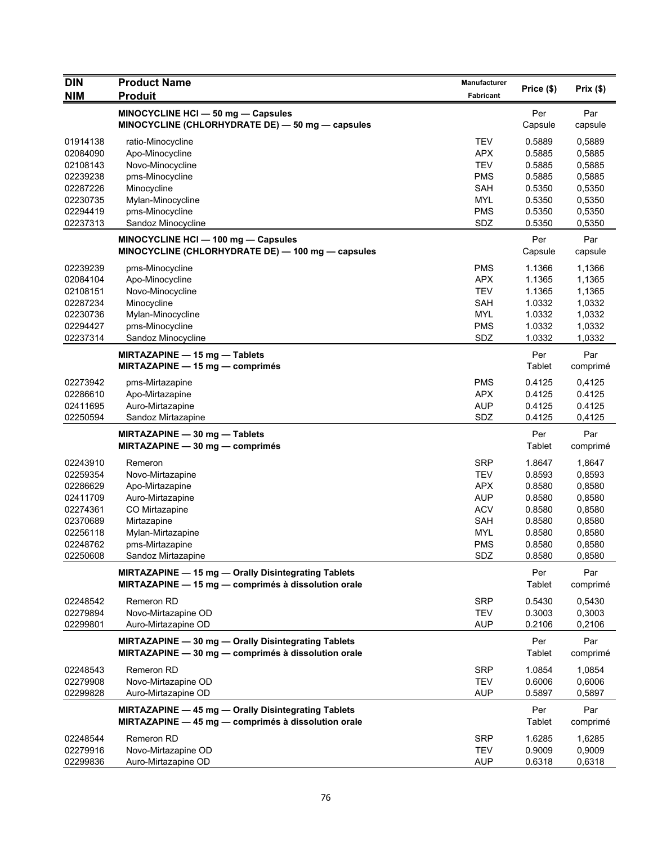| <b>DIN</b>           | <b>Product Name</b>                                                  | <b>Manufacturer</b> | Price (\$)       | Prix $(\$)$      |
|----------------------|----------------------------------------------------------------------|---------------------|------------------|------------------|
| <b>NIM</b>           | <b>Produit</b>                                                       | Fabricant           |                  |                  |
|                      | MINOCYCLINE HCI - 50 mg - Capsules                                   |                     | Per              | Par              |
|                      | MINOCYCLINE (CHLORHYDRATE DE) - 50 mg - capsules                     |                     | Capsule          | capsule          |
| 01914138             | ratio-Minocycline                                                    | <b>TEV</b>          | 0.5889           | 0,5889           |
| 02084090             | Apo-Minocycline                                                      | <b>APX</b>          | 0.5885           | 0,5885           |
| 02108143             | Novo-Minocycline                                                     | <b>TEV</b>          | 0.5885           | 0,5885           |
| 02239238             | pms-Minocycline                                                      | <b>PMS</b>          | 0.5885           | 0,5885           |
| 02287226             | Minocycline                                                          | SAH                 | 0.5350           | 0,5350           |
| 02230735             | Mylan-Minocycline                                                    | <b>MYL</b>          | 0.5350           | 0,5350           |
| 02294419             | pms-Minocycline                                                      | <b>PMS</b>          | 0.5350           | 0,5350           |
| 02237313             | Sandoz Minocycline                                                   | SDZ                 | 0.5350           | 0,5350           |
|                      | MINOCYCLINE HCI - 100 mg - Capsules                                  |                     | Per              | Par              |
|                      | MINOCYCLINE (CHLORHYDRATE DE) - 100 mg - capsules                    |                     | Capsule          | capsule          |
| 02239239             | pms-Minocycline                                                      | <b>PMS</b>          | 1.1366           | 1,1366           |
| 02084104             | Apo-Minocycline                                                      | <b>APX</b>          | 1.1365           | 1,1365           |
| 02108151             | Novo-Minocycline                                                     | <b>TEV</b>          | 1.1365           | 1,1365           |
| 02287234             | Minocycline                                                          | SAH                 | 1.0332           | 1,0332           |
| 02230736             | Mylan-Minocycline                                                    | <b>MYL</b>          | 1.0332           | 1,0332           |
| 02294427             | pms-Minocycline                                                      | <b>PMS</b>          | 1.0332           | 1,0332           |
| 02237314             | Sandoz Minocycline                                                   | SDZ                 | 1.0332           | 1,0332           |
|                      |                                                                      |                     | Per              | Par              |
|                      | MIRTAZAPINE - 15 mg - Tablets<br>MIRTAZAPINE $-$ 15 mg $-$ comprimés |                     | Tablet           | comprimé         |
|                      |                                                                      |                     |                  |                  |
| 02273942             | pms-Mirtazapine                                                      | <b>PMS</b>          | 0.4125           | 0,4125           |
| 02286610             | Apo-Mirtazapine                                                      | <b>APX</b>          | 0.4125           | 0.4125           |
| 02411695<br>02250594 | Auro-Mirtazapine<br>Sandoz Mirtazapine                               | <b>AUP</b><br>SDZ   | 0.4125<br>0.4125 | 0.4125<br>0,4125 |
|                      |                                                                      |                     |                  |                  |
|                      | $MIRTAZAPINE - 30 mg - Tables$                                       |                     | Per              | Par              |
|                      | MIRTAZAPINE $-30$ mg $-$ comprimés                                   |                     | <b>Tablet</b>    | comprimé         |
| 02243910             | Remeron                                                              | <b>SRP</b>          | 1.8647           | 1,8647           |
| 02259354             | Novo-Mirtazapine                                                     | <b>TEV</b>          | 0.8593           | 0,8593           |
| 02286629             | Apo-Mirtazapine                                                      | <b>APX</b>          | 0.8580           | 0,8580           |
| 02411709             | Auro-Mirtazapine                                                     | <b>AUP</b>          | 0.8580           | 0,8580           |
| 02274361             | CO Mirtazapine                                                       | <b>ACV</b>          | 0.8580           | 0,8580           |
| 02370689             | Mirtazapine                                                          | SAH                 | 0.8580           | 0,8580           |
| 02256118             | Mylan-Mirtazapine                                                    | <b>MYL</b>          | 0.8580           | 0,8580           |
| 02248762             | pms-Mirtazapine                                                      | PMS                 | 0.8580           | 0,8580           |
| 02250608             | Sandoz Mırtazapıne                                                   | SDZ                 | 0.8580           | 0,8580           |
|                      | MIRTAZAPINE - 15 mg - Orally Disintegrating Tablets                  |                     | Per              | Par              |
|                      | MIRTAZAPINE - 15 mg - comprimés à dissolution orale                  |                     | Tablet           | comprimé         |
| 02248542             | Remeron RD                                                           | <b>SRP</b>          | 0.5430           | 0,5430           |
| 02279894             | Novo-Mirtazapine OD                                                  | <b>TEV</b>          | 0.3003           | 0,3003           |
| 02299801             | Auro-Mirtazapine OD                                                  | <b>AUP</b>          | 0.2106           | 0,2106           |
|                      | MIRTAZAPINE - 30 mg - Orally Disintegrating Tablets                  |                     | Per              | Par              |
|                      | MIRTAZAPINE - 30 mg - comprimés à dissolution orale                  |                     | Tablet           | comprimé         |
|                      |                                                                      |                     |                  |                  |
| 02248543<br>02279908 | Remeron RD<br>Novo-Mirtazapine OD                                    | SRP<br>TEV          | 1.0854<br>0.6006 | 1,0854<br>0,6006 |
| 02299828             | Auro-Mirtazapine OD                                                  | <b>AUP</b>          | 0.5897           | 0,5897           |
|                      |                                                                      |                     |                  |                  |
|                      | MIRTAZAPINE - 45 mg - Orally Disintegrating Tablets                  |                     | Per              | Par              |
|                      | MIRTAZAPINE - 45 mg - comprimés à dissolution orale                  |                     | <b>Tablet</b>    | comprimé         |
| 02248544             | Remeron RD                                                           | <b>SRP</b>          | 1.6285           | 1,6285           |
| 02279916             | Novo-Mirtazapine OD                                                  | <b>TEV</b>          | 0.9009           | 0,9009           |
| 02299836             | Auro-Mirtazapine OD                                                  | <b>AUP</b>          | 0.6318           | 0,6318           |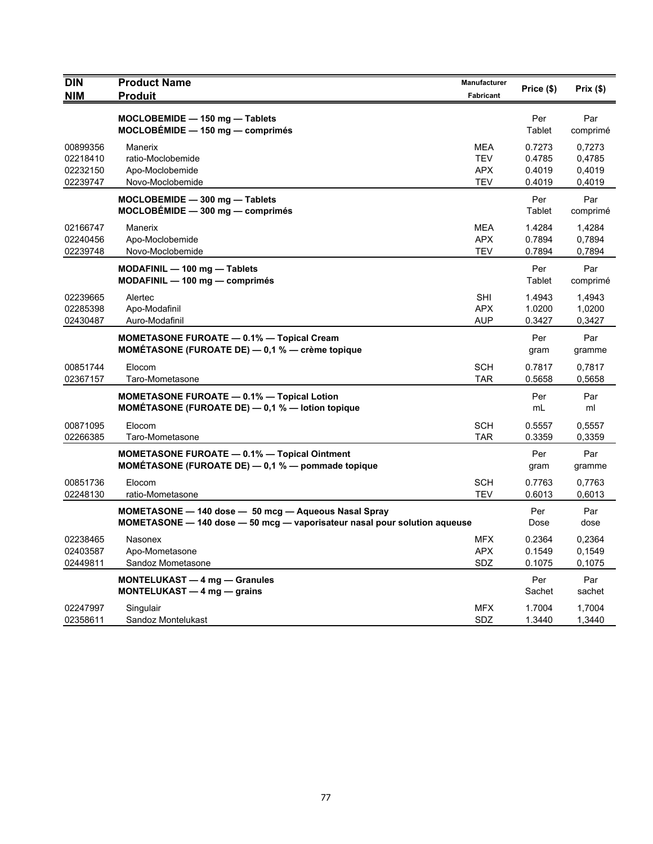| <b>DIN</b><br><b>NIM</b>                     | <b>Product Name</b><br><b>Produit</b>                                                                                             | <b>Manufacturer</b><br>Fabricant              | Price (\$)                           | Prix(\$)                             |
|----------------------------------------------|-----------------------------------------------------------------------------------------------------------------------------------|-----------------------------------------------|--------------------------------------|--------------------------------------|
|                                              | MOCLOBEMIDE - 150 mg - Tablets<br>$MOCLOBEMIDE - 150 mg - comprimés$                                                              |                                               | Per<br>Tablet                        | Par<br>comprimé                      |
| 00899356<br>02218410<br>02232150<br>02239747 | Manerix<br>ratio-Moclobemide<br>Apo-Moclobemide<br>Novo-Moclobemide                                                               | <b>MEA</b><br><b>TEV</b><br><b>APX</b><br>TEV | 0.7273<br>0.4785<br>0.4019<br>0.4019 | 0,7273<br>0,4785<br>0,4019<br>0,4019 |
|                                              | MOCLOBEMIDE - 300 mg - Tablets<br>$MOCLOBÉMIDE - 300 mg - comprimés$                                                              |                                               | Per<br>Tablet                        | Par<br>comprimé                      |
| 02166747<br>02240456<br>02239748             | Manerix<br>Apo-Moclobemide<br>Novo-Moclobemide                                                                                    | <b>MEA</b><br><b>APX</b><br>TEV               | 1.4284<br>0.7894<br>0.7894           | 1,4284<br>0,7894<br>0,7894           |
|                                              | $MODAFINIL - 100 mg - Tables$<br>$MODAFINIL - 100 mg - comprimés$                                                                 |                                               | Per<br>Tablet                        | Par<br>comprimé                      |
| 02239665<br>02285398<br>02430487             | Alertec<br>Apo-Modafinil<br>Auro-Modafinil                                                                                        | <b>SHI</b><br><b>APX</b><br><b>AUP</b>        | 1.4943<br>1.0200<br>0.3427           | 1,4943<br>1,0200<br>0,3427           |
|                                              | <b>MOMETASONE FUROATE - 0.1% - Topical Cream</b><br>MOMÉTASONE (FUROATE DE) $-$ 0,1 % $-$ crème topique                           |                                               | Per<br>gram                          | Par<br>gramme                        |
| 00851744<br>02367157                         | Elocom<br>Taro-Mometasone                                                                                                         | <b>SCH</b><br><b>TAR</b>                      | 0.7817<br>0.5658                     | 0,7817<br>0,5658                     |
|                                              | <b>MOMETASONE FUROATE - 0.1% - Topical Lotion</b><br>MOMÉTASONE (FUROATE DE) - 0,1 % - lotion topique                             |                                               | Per<br>mL                            | Par<br>ml                            |
| 00871095<br>02266385                         | Elocom<br>Taro-Mometasone                                                                                                         | <b>SCH</b><br>TAR                             | 0.5557<br>0.3359                     | 0,5557<br>0,3359                     |
|                                              | MOMETASONE FUROATE - 0.1% - Topical Ointment<br>MOMÉTASONE (FUROATE DE) $-$ 0,1 % $-$ pommade topique                             |                                               | Per<br>gram                          | Par<br>gramme                        |
| 00851736<br>02248130                         | Elocom<br>ratio-Mometasone                                                                                                        | <b>SCH</b><br><b>TEV</b>                      | 0.7763<br>0.6013                     | 0,7763<br>0,6013                     |
|                                              | MOMETASONE - 140 dose - 50 mcg - Aqueous Nasal Spray<br>MOMETASONE - 140 dose - 50 mcg - vaporisateur nasal pour solution aqueuse |                                               | Per<br>Dose                          | Par<br>dose                          |
| 02238465<br>02403587<br>02449811             | Nasonex<br>Apo-Mometasone<br>Sandoz Mometasone                                                                                    | <b>MFX</b><br><b>APX</b><br>SDZ               | 0.2364<br>0.1549<br>0.1075           | 0,2364<br>0,1549<br>0.1075           |
|                                              | <b>MONTELUKAST - 4 mg - Granules</b><br>MONTELUKAST - 4 mg - grains                                                               |                                               | Per<br>Sachet                        | Par<br>sachet                        |
| 02247997<br>02358611                         | Singulair<br>Sandoz Montelukast                                                                                                   | <b>MFX</b><br>SDZ                             | 1.7004<br>1.3440                     | 1,7004<br>1,3440                     |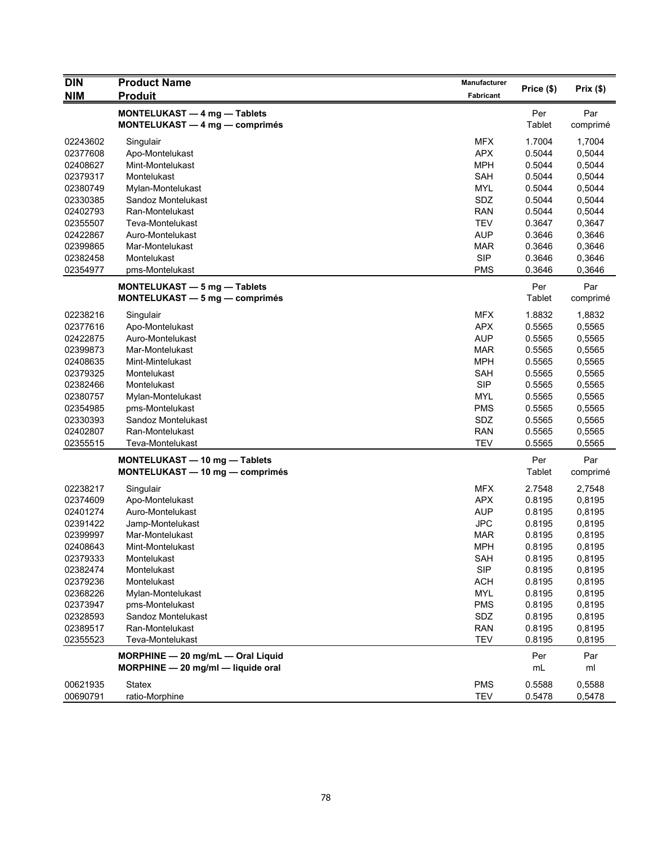| <b>DIN</b> | <b>Product Name</b>                | <b>Manufacturer</b> | Price (\$)    | Prix(\$) |
|------------|------------------------------------|---------------------|---------------|----------|
| <b>NIM</b> | <b>Produit</b>                     | Fabricant           |               |          |
|            | MONTELUKAST - 4 mg - Tablets       |                     | Per           | Par      |
|            | MONTELUKAST - 4 mg - comprimés     |                     | Tablet        | comprimé |
| 02243602   | Singulair                          | <b>MFX</b>          | 1.7004        | 1,7004   |
| 02377608   | Apo-Montelukast                    | <b>APX</b>          | 0.5044        | 0,5044   |
| 02408627   | Mint-Montelukast                   | <b>MPH</b>          | 0.5044        | 0,5044   |
| 02379317   | Montelukast                        | <b>SAH</b>          | 0.5044        | 0,5044   |
| 02380749   | Mylan-Montelukast                  | <b>MYL</b>          | 0.5044        | 0,5044   |
| 02330385   | Sandoz Montelukast                 | SDZ                 | 0.5044        | 0,5044   |
| 02402793   | Ran-Montelukast                    | <b>RAN</b>          | 0.5044        | 0,5044   |
| 02355507   | Teva-Montelukast                   | <b>TEV</b>          | 0.3647        | 0,3647   |
| 02422867   | Auro-Montelukast                   | <b>AUP</b>          | 0.3646        | 0,3646   |
| 02399865   | Mar-Montelukast                    | <b>MAR</b>          | 0.3646        | 0,3646   |
| 02382458   | Montelukast                        | <b>SIP</b>          | 0.3646        | 0,3646   |
| 02354977   | pms-Montelukast                    | <b>PMS</b>          | 0.3646        | 0,3646   |
|            | MONTELUKAST - 5 mg - Tablets       |                     | Per           | Par      |
|            | MONTELUKAST - 5 mg - comprimés     |                     | <b>Tablet</b> | comprimé |
| 02238216   | Singulair                          | <b>MFX</b>          | 1.8832        | 1,8832   |
| 02377616   | Apo-Montelukast                    | <b>APX</b>          | 0.5565        | 0,5565   |
| 02422875   | Auro-Montelukast                   | <b>AUP</b>          | 0.5565        | 0,5565   |
| 02399873   | Mar-Montelukast                    | <b>MAR</b>          | 0.5565        | 0,5565   |
| 02408635   | Mint-Mintelukast                   | <b>MPH</b>          | 0.5565        | 0,5565   |
| 02379325   | Montelukast                        | <b>SAH</b>          | 0.5565        | 0,5565   |
| 02382466   |                                    |                     |               |          |
|            | Montelukast                        | <b>SIP</b>          | 0.5565        | 0,5565   |
| 02380757   | Mylan-Montelukast                  | <b>MYL</b>          | 0.5565        | 0,5565   |
| 02354985   | pms-Montelukast                    | <b>PMS</b>          | 0.5565        | 0,5565   |
| 02330393   | Sandoz Montelukast                 | SDZ                 | 0.5565        | 0,5565   |
| 02402807   | Ran-Montelukast                    | <b>RAN</b>          | 0.5565        | 0,5565   |
| 02355515   | Teva-Montelukast                   | <b>TEV</b>          | 0.5565        | 0,5565   |
|            | MONTELUKAST - 10 mg - Tablets      |                     | Per           | Par      |
|            | MONTELUKAST - 10 mg - comprimés    |                     | <b>Tablet</b> | comprimé |
| 02238217   | Singulair                          | <b>MFX</b>          | 2.7548        | 2,7548   |
| 02374609   | Apo-Montelukast                    | <b>APX</b>          | 0.8195        | 0,8195   |
| 02401274   | Auro-Montelukast                   | <b>AUP</b>          | 0.8195        | 0,8195   |
| 02391422   | Jamp-Montelukast                   | <b>JPC</b>          | 0.8195        | 0,8195   |
| 02399997   | Mar-Montelukast                    | <b>MAR</b>          | 0.8195        | 0,8195   |
| 02408643   | Mint-Montelukast                   | <b>MPH</b>          | 0.8195        | 0,8195   |
| 02379333   | Montelukast                        | SAH                 | 0.8195        | 0,8195   |
| 02382474   | Montelukast                        | <b>SIP</b>          | 0.8195        | 0,8195   |
| 02379236   | Montelukast                        | <b>ACH</b>          | 0.8195        | 0,8195   |
| 02368226   | Mylan-Montelukast                  | <b>MYL</b>          | 0.8195        | 0,8195   |
| 02373947   | pms-Montelukast                    | <b>PMS</b>          | 0.8195        | 0,8195   |
| 02328593   | Sandoz Montelukast                 | SDZ                 | 0.8195        | 0,8195   |
| 02389517   | Ran-Montelukast                    | <b>RAN</b>          | 0.8195        | 0,8195   |
| 02355523   | Teva-Montelukast                   | <b>TEV</b>          | 0.8195        | 0,8195   |
|            | MORPHINE - 20 mg/mL - Oral Liquid  |                     | Per           | Par      |
|            | MORPHINE - 20 mg/ml - liquide oral |                     | mL            | ml       |
| 00621935   | Statex                             | <b>PMS</b>          | 0.5588        | 0,5588   |
| 00690791   | ratio-Morphine                     | <b>TEV</b>          | 0.5478        | 0,5478   |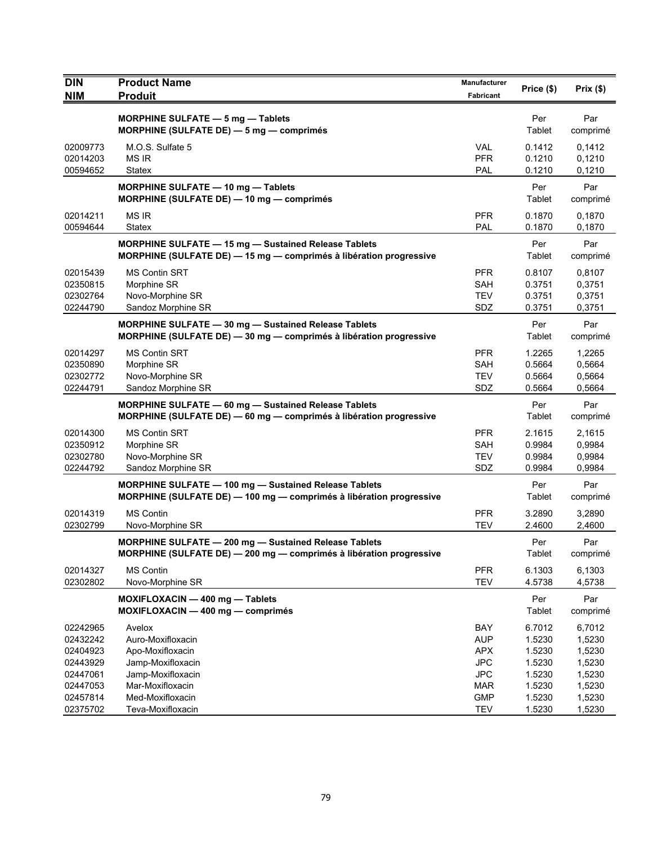| <b>DIN</b>           | <b>Product Name</b>                                                                                                                 | Manufacturer      | Price (\$)       | Prix(\$)         |
|----------------------|-------------------------------------------------------------------------------------------------------------------------------------|-------------------|------------------|------------------|
| <b>NIM</b>           | <b>Produit</b>                                                                                                                      | Fabricant         |                  |                  |
|                      | <b>MORPHINE SULFATE - 5 mg - Tablets</b>                                                                                            |                   | Per              | Par              |
|                      | MORPHINE (SULFATE DE) $-$ 5 mg $-$ comprimes                                                                                        |                   | Tablet           | comprimé         |
| 02009773             | M.O.S. Sulfate 5                                                                                                                    | <b>VAL</b>        | 0.1412           | 0,1412           |
| 02014203             | <b>MS IR</b>                                                                                                                        | <b>PFR</b>        | 0.1210           | 0,1210           |
| 00594652             | Statex                                                                                                                              | PAL               | 0.1210           | 0,1210           |
|                      | MORPHINE SULFATE - 10 mg - Tablets<br>MORPHINE (SULFATE DE) - 10 mg - comprimés                                                     |                   | Per<br>Tablet    | Par<br>comprimé  |
| 02014211<br>00594644 | <b>MS IR</b><br><b>Statex</b>                                                                                                       | <b>PFR</b><br>PAL | 0.1870<br>0.1870 | 0,1870<br>0,1870 |
|                      | <b>MORPHINE SULFATE - 15 mg - Sustained Release Tablets</b>                                                                         |                   | Per              | Par              |
|                      | MORPHINE (SULFATE DE) - 15 mg - comprimés à libération progressive                                                                  |                   | Tablet           | comprimé         |
| 02015439             | <b>MS Contin SRT</b>                                                                                                                | <b>PFR</b>        | 0.8107           | 0,8107           |
| 02350815             | Morphine SR                                                                                                                         | <b>SAH</b>        | 0.3751           | 0,3751           |
| 02302764             | Novo-Morphine SR                                                                                                                    | <b>TEV</b>        | 0.3751           | 0,3751           |
| 02244790             | Sandoz Morphine SR                                                                                                                  | SDZ               | 0.3751           | 0,3751           |
|                      | MORPHINE SULFATE - 30 mg - Sustained Release Tablets<br>MORPHINE (SULFATE DE) - 30 mg - comprimés à libération progressive          |                   | Per<br>Tablet    | Par<br>comprimé  |
| 02014297             | <b>MS Contin SRT</b>                                                                                                                | <b>PFR</b>        | 1.2265           | 1,2265           |
| 02350890             | Morphine SR                                                                                                                         | SAH               | 0.5664           | 0,5664           |
| 02302772             | Novo-Morphine SR                                                                                                                    | <b>TEV</b>        | 0.5664           | 0,5664           |
| 02244791             | Sandoz Morphine SR                                                                                                                  | SDZ               | 0.5664           | 0,5664           |
|                      | MORPHINE SULFATE - 60 mg - Sustained Release Tablets<br>MORPHINE (SULFATE DE) - 60 mg - comprimés à libération progressive          |                   | Per<br>Tablet    | Par<br>comprimé  |
| 02014300             | <b>MS Contin SRT</b>                                                                                                                | <b>PFR</b>        | 2.1615           | 2,1615           |
| 02350912             | Morphine SR                                                                                                                         | <b>SAH</b>        | 0.9984           | 0,9984           |
| 02302780             | Novo-Morphine SR                                                                                                                    | <b>TEV</b>        | 0.9984           | 0,9984           |
| 02244792             | Sandoz Morphine SR                                                                                                                  | SDZ               | 0.9984           | 0,9984           |
|                      | <b>MORPHINE SULFATE - 100 mg - Sustained Release Tablets</b><br>MORPHINE (SULFATE DE) - 100 mg - comprimés à libération progressive |                   | Per<br>Tablet    | Par<br>comprimé  |
| 02014319             | <b>MS Contin</b>                                                                                                                    | <b>PFR</b>        | 3.2890           | 3,2890           |
| 02302799             | Novo-Morphine SR                                                                                                                    | <b>TEV</b>        | 2.4600           | 2,4600           |
|                      | MORPHINE SULFATE - 200 mg - Sustained Release Tablets<br>MORPHINE (SULFATE DE) — 200 mg — comprimés à libération progressive        |                   | Per<br>Tablet    | Par<br>comprimé  |
| 02014327             | <b>MS Contin</b>                                                                                                                    | <b>PFR</b>        | 6.1303           | 6,1303           |
| 02302802             | Novo-Morphine SR                                                                                                                    | <b>TEV</b>        | 4.5738           | 4,5738           |
|                      | MOXIFLOXACIN - 400 mg - Tablets<br>MOXIFLOXACIN - 400 mg - comprimés                                                                |                   | Per<br>Tablet    | Par<br>comprimé  |
| 02242965             | Avelox                                                                                                                              | BAY               | 6.7012           | 6,7012           |
| 02432242             | Auro-Moxifloxacin                                                                                                                   | <b>AUP</b>        | 1.5230           | 1,5230           |
| 02404923             | Apo-Moxifloxacin                                                                                                                    | <b>APX</b>        | 1.5230           | 1,5230           |
| 02443929             | Jamp-Moxifloxacin                                                                                                                   | <b>JPC</b>        | 1.5230           | 1,5230           |
| 02447061             | Jamp-Moxifloxacin                                                                                                                   | <b>JPC</b>        | 1.5230           | 1,5230           |
| 02447053             | Mar-Moxifloxacin                                                                                                                    | <b>MAR</b>        | 1.5230           | 1,5230           |
| 02457814             | Med-Moxifloxacin                                                                                                                    | <b>GMP</b>        | 1.5230<br>1.5230 | 1,5230           |
| 02375702             | Teva-Moxifloxacin                                                                                                                   | <b>TEV</b>        |                  | 1,5230           |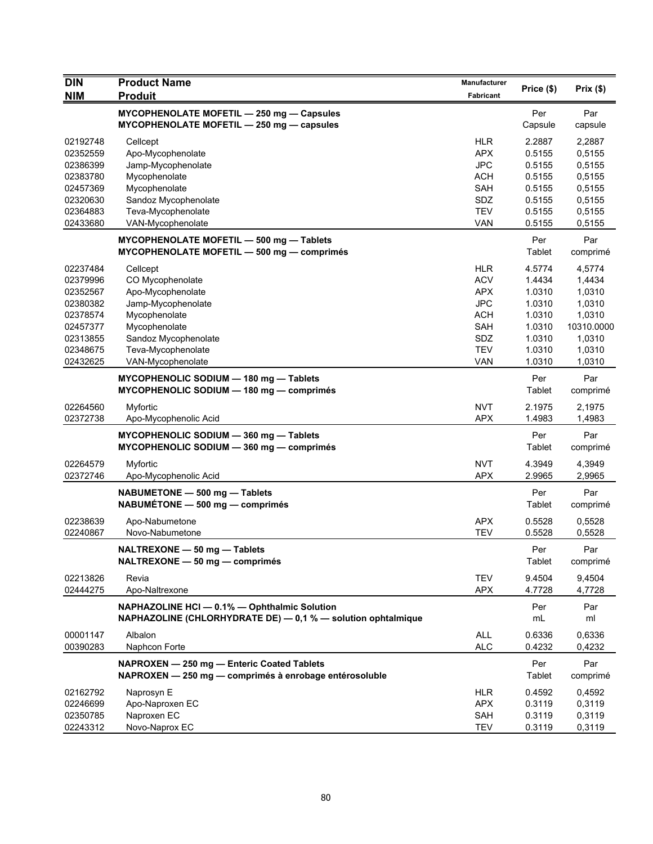| <b>DIN</b> | <b>Product Name</b>                                          | Manufacturer | Price (\$) | Prix $(\$)$ |
|------------|--------------------------------------------------------------|--------------|------------|-------------|
| <b>NIM</b> | <b>Produit</b>                                               | Fabricant    |            |             |
|            | MYCOPHENOLATE MOFETIL - 250 mg - Capsules                    |              | Per        | Par         |
|            | MYCOPHENOLATE MOFETIL - 250 mg - capsules                    |              | Capsule    | capsule     |
| 02192748   | Cellcept                                                     | <b>HLR</b>   | 2.2887     | 2,2887      |
| 02352559   | Apo-Mycophenolate                                            | <b>APX</b>   | 0.5155     | 0,5155      |
| 02386399   | Jamp-Mycophenolate                                           | <b>JPC</b>   | 0.5155     | 0,5155      |
| 02383780   | Mycophenolate                                                | <b>ACH</b>   | 0.5155     | 0,5155      |
| 02457369   | Mycophenolate                                                | <b>SAH</b>   | 0.5155     | 0,5155      |
| 02320630   | Sandoz Mycophenolate                                         | SDZ          | 0.5155     | 0,5155      |
| 02364883   | Teva-Mycophenolate                                           | <b>TEV</b>   | 0.5155     | 0,5155      |
| 02433680   | VAN-Mycophenolate                                            | <b>VAN</b>   | 0.5155     | 0,5155      |
|            | MYCOPHENOLATE MOFETIL - 500 mg - Tablets                     |              | Per        | Par         |
|            | MYCOPHENOLATE MOFETIL - 500 mg - comprimés                   |              | Tablet     | comprimé    |
| 02237484   | Cellcept                                                     | <b>HLR</b>   | 4.5774     | 4,5774      |
| 02379996   | CO Mycophenolate                                             | <b>ACV</b>   | 1.4434     | 1,4434      |
| 02352567   | Apo-Mycophenolate                                            | <b>APX</b>   | 1.0310     | 1,0310      |
| 02380382   | Jamp-Mycophenolate                                           | <b>JPC</b>   | 1.0310     | 1,0310      |
| 02378574   | Mycophenolate                                                | <b>ACH</b>   | 1.0310     | 1,0310      |
| 02457377   | Mycophenolate                                                | <b>SAH</b>   | 1.0310     | 10310.0000  |
| 02313855   | Sandoz Mycophenolate                                         | SDZ          | 1.0310     | 1,0310      |
| 02348675   | Teva-Mycophenolate                                           | <b>TEV</b>   | 1.0310     | 1,0310      |
| 02432625   | VAN-Mycophenolate                                            | <b>VAN</b>   | 1.0310     | 1,0310      |
|            | MYCOPHENOLIC SODIUM - 180 mg - Tablets                       |              | Per        | Par         |
|            | MYCOPHENOLIC SODIUM - 180 mg - comprimés                     |              | Tablet     | comprimé    |
| 02264560   | Myfortic                                                     | <b>NVT</b>   | 2.1975     | 2,1975      |
| 02372738   | Apo-Mycophenolic Acid                                        | <b>APX</b>   | 1.4983     | 1,4983      |
|            | MYCOPHENOLIC SODIUM - 360 mg - Tablets                       |              | Per        | Par         |
|            | MYCOPHENOLIC SODIUM - 360 mg - comprimés                     |              | Tablet     | comprimé    |
|            |                                                              |              |            |             |
| 02264579   | Myfortic                                                     | <b>NVT</b>   | 4.3949     | 4,3949      |
| 02372746   | Apo-Mycophenolic Acid                                        | <b>APX</b>   | 2.9965     | 2,9965      |
|            | NABUMETONE - 500 mg - Tablets                                |              | Per        | Par         |
|            | NABUMÉTONE - 500 mg - comprimés                              |              | Tablet     | comprimé    |
| 02238639   | Apo-Nabumetone                                               | <b>APX</b>   | 0.5528     | 0,5528      |
| 02240867   | Novo-Nabumetone                                              | <b>TEV</b>   | 0.5528     | 0,5528      |
|            | NALTREXONE - 50 mg - Tablets                                 |              | Per        | Par         |
|            | NALTREXONE - 50 mg - comprimés                               |              | Tablet     | comprimé    |
| 02213826   | Revia                                                        | <b>TEV</b>   | 9.4504     | 9,4504      |
| 02444275   | Apo-Naltrexone                                               | <b>APX</b>   | 4.7728     | 4,7728      |
|            | NAPHAZOLINE HCI - 0.1% - Ophthalmic Solution                 |              | Per        | Par         |
|            | NAPHAZOLINE (CHLORHYDRATE DE) - 0,1 % - solution ophtalmique |              | mL         | ml          |
|            |                                                              |              |            |             |
| 00001147   | Albalon                                                      | ALL          | 0.6336     | 0,6336      |
| 00390283   | Naphcon Forte                                                | <b>ALC</b>   | 0.4232     | 0,4232      |
|            | NAPROXEN - 250 mg - Enteric Coated Tablets                   |              | Per        | Par         |
|            | NAPROXEN - 250 mg - comprimés à enrobage entérosoluble       |              | Tablet     | comprimé    |
| 02162792   | Naprosyn E                                                   | HLR.         | 0.4592     | 0,4592      |
| 02246699   | Apo-Naproxen EC                                              | <b>APX</b>   | 0.3119     | 0,3119      |
| 02350785   | Naproxen EC                                                  | SAH          | 0.3119     | 0,3119      |
| 02243312   | Novo-Naprox EC                                               | <b>TEV</b>   | 0.3119     | 0,3119      |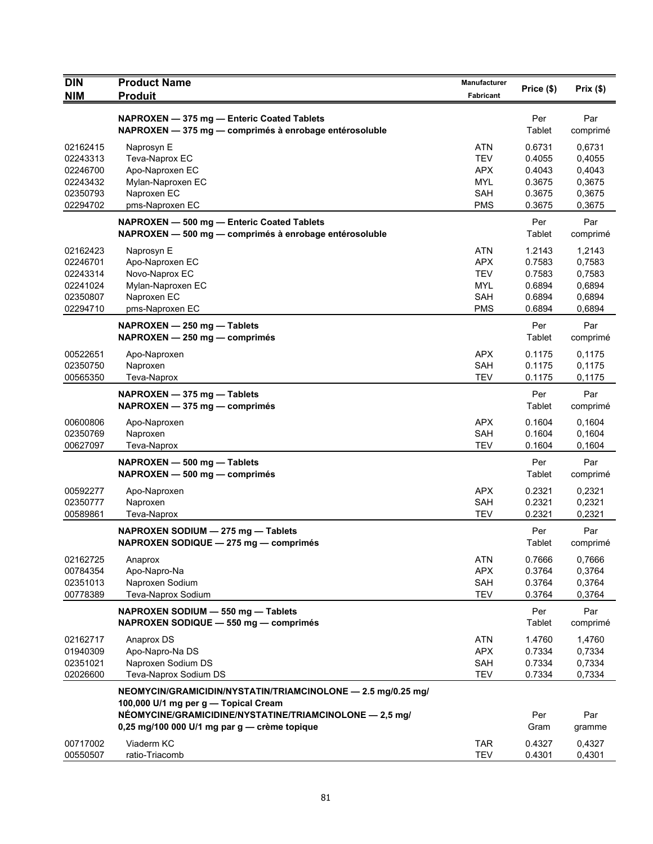| <b>DIN</b><br><b>Product Name</b>                                                                    | Manufacturer             | Price (\$)       | Prix(\$)         |
|------------------------------------------------------------------------------------------------------|--------------------------|------------------|------------------|
| <b>NIM</b><br><b>Produit</b>                                                                         | Fabricant                |                  |                  |
| NAPROXEN - 375 mg - Enteric Coated Tablets                                                           |                          | Per              | Par              |
| NAPROXEN - 375 mg - comprimés à enrobage entérosoluble                                               |                          | Tablet           | comprimé         |
| 02162415<br>Naprosyn E                                                                               | ATN                      | 0.6731           | 0,6731           |
| 02243313<br>Teva-Naprox EC                                                                           | <b>TEV</b>               | 0.4055           | 0,4055           |
| 02246700<br>Apo-Naproxen EC                                                                          | <b>APX</b>               | 0.4043           | 0,4043           |
| Mylan-Naproxen EC<br>02243432                                                                        | <b>MYL</b>               | 0.3675           | 0,3675           |
| 02350793<br>Naproxen EC                                                                              | <b>SAH</b>               | 0.3675           | 0,3675           |
| 02294702<br>pms-Naproxen EC                                                                          | <b>PMS</b>               | 0.3675           | 0,3675           |
| NAPROXEN - 500 mg - Enteric Coated Tablets                                                           |                          | Per              | Par              |
| NAPROXEN - 500 mg - comprimés à enrobage entérosoluble                                               |                          | Tablet           | comprimé         |
| 02162423<br>Naprosyn E                                                                               | <b>ATN</b>               | 1.2143           | 1,2143           |
| 02246701<br>Apo-Naproxen EC                                                                          | <b>APX</b>               | 0.7583           | 0,7583           |
| Novo-Naprox EC<br>02243314                                                                           | <b>TEV</b>               | 0.7583           | 0,7583           |
| Mylan-Naproxen EC<br>02241024                                                                        | <b>MYL</b>               | 0.6894           | 0,6894           |
| 02350807<br>Naproxen EC                                                                              | <b>SAH</b><br><b>PMS</b> | 0.6894<br>0.6894 | 0,6894           |
| 02294710<br>pms-Naproxen EC                                                                          |                          |                  | 0,6894           |
| NAPROXEN - 250 mg - Tablets                                                                          |                          | Per              | Par              |
| NAPROXEN - 250 mg - comprimés                                                                        |                          | Tablet           | comprimé         |
| 00522651<br>Apo-Naproxen                                                                             | <b>APX</b>               | 0.1175           | 0,1175           |
| 02350750<br>Naproxen                                                                                 | <b>SAH</b>               | 0.1175           | 0,1175           |
| 00565350<br>Teva-Naprox                                                                              | <b>TEV</b>               | 0.1175           | 0,1175           |
| NAPROXEN - 375 mg - Tablets                                                                          |                          | Per              | Par              |
| $NAPROXEN - 375 mg - comprimés$                                                                      |                          | <b>Tablet</b>    | comprimé         |
| 00600806<br>Apo-Naproxen                                                                             | <b>APX</b>               | 0.1604           | 0,1604           |
| Naproxen<br>02350769                                                                                 | <b>SAH</b>               | 0.1604           | 0,1604           |
| 00627097<br>Teva-Naprox                                                                              | <b>TEV</b>               | 0.1604           | 0,1604           |
| NAPROXEN - 500 mg - Tablets                                                                          |                          | Per              | Par              |
| NAPROXEN - 500 mg - comprimés                                                                        |                          | Tablet           | comprimé         |
| 00592277<br>Apo-Naproxen                                                                             | <b>APX</b>               | 0.2321           | 0,2321           |
| 02350777<br>Naproxen                                                                                 | <b>SAH</b>               | 0.2321           | 0,2321           |
| 00589861<br>Teva-Naprox                                                                              | <b>TEV</b>               | 0.2321           | 0,2321           |
| NAPROXEN SODIUM - 275 mg - Tablets                                                                   |                          | Per              | Par              |
| NAPROXEN SODIQUE - 275 mg - comprimés                                                                |                          | Tablet           | comprimé         |
| 02162725<br>Anaprox                                                                                  | <b>ATN</b>               | 0.7666           | 0,7666           |
| 00784354<br>Apo-Napro-Na                                                                             | <b>APX</b>               | 0.3764           | 0,3764           |
| 02351013<br>Naproxen Sodium                                                                          | SAH                      | 0.3764           | 0,3764           |
| 00778389<br>Teva-Naprox Sodium                                                                       | <b>TEV</b>               | 0.3764           | 0,3764           |
|                                                                                                      |                          | Per              | Par              |
| NAPROXEN SODIUM - 550 mg - Tablets<br>NAPROXEN SODIQUE - 550 mg - comprimés                          |                          | Tablet           | comprimé         |
|                                                                                                      |                          |                  |                  |
| 02162717<br>Anaprox DS<br>01940309                                                                   | <b>ATN</b><br><b>APX</b> | 1.4760<br>0.7334 | 1,4760<br>0,7334 |
| Apo-Napro-Na DS<br>02351021<br>Naproxen Sodium DS                                                    | SAH                      | 0.7334           | 0,7334           |
| 02026600<br>Teva-Naprox Sodium DS                                                                    | <b>TEV</b>               | 0.7334           | 0,7334           |
|                                                                                                      |                          |                  |                  |
| NEOMYCIN/GRAMICIDIN/NYSTATIN/TRIAMCINOLONE - 2.5 mg/0.25 mg/<br>100,000 U/1 mg per g — Topical Cream |                          |                  |                  |
| NÉOMYCINE/GRAMICIDINE/NYSTATINE/TRIAMCINOLONE - 2,5 mg/                                              |                          | Per              | Par              |
| 0,25 mg/100 000 U/1 mg par g - crème topique                                                         |                          | Gram             | gramme           |
| 00717002<br>Viaderm KC                                                                               | <b>TAR</b>               | 0.4327           | 0,4327           |
| 00550507<br>ratio-Triacomb                                                                           | <b>TEV</b>               | 0.4301           | 0,4301           |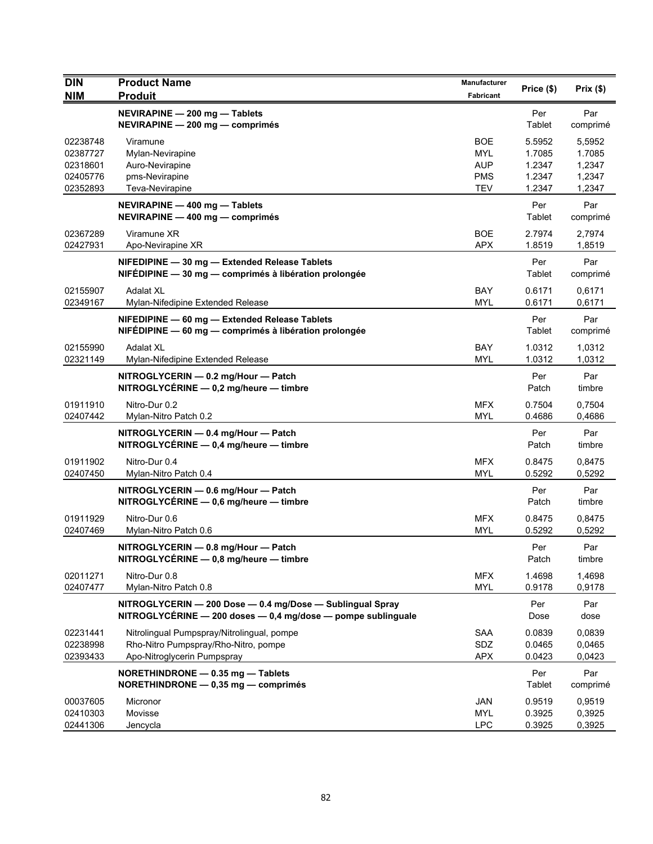| <b>DIN</b>                       | <b>Product Name</b>                                                                                                       | Manufacturer             | Price (\$)                 | Prix(\$)                   |
|----------------------------------|---------------------------------------------------------------------------------------------------------------------------|--------------------------|----------------------------|----------------------------|
| <b>NIM</b>                       | <b>Produit</b>                                                                                                            | Fabricant                |                            |                            |
|                                  | NEVIRAPINE - 200 mg - Tablets<br>NEVIRAPINE - 200 mg - comprimés                                                          |                          | Per<br>Tablet              | Par<br>comprimé            |
| 02238748<br>02387727<br>02318601 | Viramune<br>Mylan-Nevirapine<br>Auro-Nevirapine                                                                           | <b>BOE</b><br>MYL<br>AUP | 5.5952<br>1.7085<br>1.2347 | 5,5952<br>1.7085<br>1,2347 |
| 02405776                         | pms-Nevirapine                                                                                                            | <b>PMS</b>               | 1.2347                     | 1,2347                     |
| 02352893                         | Teva-Nevirapine                                                                                                           | <b>TEV</b>               | 1.2347                     | 1,2347                     |
|                                  | NEVIRAPINE - 400 mg - Tablets<br>NEVIRAPINE - 400 mg - comprimés                                                          |                          | Per<br>Tablet              | Par<br>comprimé            |
| 02367289<br>02427931             | Viramune XR<br>Apo-Nevirapine XR                                                                                          | <b>BOE</b><br><b>APX</b> | 2.7974<br>1.8519           | 2,7974<br>1,8519           |
|                                  | NIFEDIPINE - 30 mg - Extended Release Tablets<br>NIFEDIPINE - 30 mg - comprimés à libération prolongée                    |                          | Per<br>Tablet              | Par<br>comprimé            |
| 02155907<br>02349167             | <b>Adalat XL</b><br>Mylan-Nifedipine Extended Release                                                                     | BAY<br><b>MYL</b>        | 0.6171<br>0.6171           | 0,6171<br>0,6171           |
|                                  | NIFEDIPINE - 60 mg - Extended Release Tablets<br>NIFEDIPINE - 60 mg - comprimés à libération prolongée                    |                          | Per<br>Tablet              | Par<br>comprimé            |
| 02155990<br>02321149             | <b>Adalat XL</b><br>Mylan-Nifedipine Extended Release                                                                     | <b>BAY</b><br><b>MYL</b> | 1.0312<br>1.0312           | 1,0312<br>1,0312           |
|                                  | NITROGLYCERIN - 0.2 mg/Hour - Patch<br>NITROGLYCÉRINE $-$ 0,2 mg/heure $-$ timbre                                         |                          | Per<br>Patch               | Par<br>timbre              |
| 01911910<br>02407442             | Nitro-Dur 0.2<br>Mylan-Nitro Patch 0.2                                                                                    | <b>MFX</b><br><b>MYL</b> | 0.7504<br>0.4686           | 0,7504<br>0,4686           |
|                                  | NITROGLYCERIN - 0.4 mg/Hour - Patch<br>NITROGLYCÉRINE - 0,4 mg/heure - timbre                                             |                          | Per<br>Patch               | Par<br>timbre              |
| 01911902<br>02407450             | Nitro-Dur 0.4<br>Mylan-Nitro Patch 0.4                                                                                    | <b>MFX</b><br><b>MYL</b> | 0.8475<br>0.5292           | 0,8475<br>0,5292           |
|                                  | NITROGLYCERIN - 0.6 mg/Hour - Patch<br>NITROGLYCÉRINE - 0,6 mg/heure - timbre                                             |                          | Per<br>Patch               | Par<br>timbre              |
| 01911929<br>02407469             | Nitro-Dur 0.6<br>Mylan-Nitro Patch 0.6                                                                                    | <b>MFX</b><br><b>MYL</b> | 0.8475<br>0.5292           | 0,8475<br>0,5292           |
|                                  | NITROGLYCERIN - 0.8 mg/Hour - Patch<br>NITROGLYCÉRINE - 0,8 mg/heure - timbre                                             |                          | Per<br>Patch               | Par<br>timbre              |
| 02011271<br>02407477             | Nitro-Dur 0.8<br>Mylan-Nitro Patch 0.8                                                                                    | <b>MFX</b><br><b>MYL</b> | 1.4698<br>0.9178           | 1,4698<br>0,9178           |
|                                  | NITROGLYCERIN - 200 Dose - 0.4 mg/Dose - Sublingual Spray<br>NITROGLYCÉRINE - 200 doses - 0,4 mg/dose - pompe sublinguale |                          | Per<br>Dose                | Par<br>dose                |
| 02231441                         | Nitrolingual Pumpspray/Nitrolingual, pompe                                                                                | <b>SAA</b>               | 0.0839                     | 0,0839                     |
| 02238998<br>02393433             | Rho-Nitro Pumpspray/Rho-Nitro, pompe<br>Apo-Nitroglycerin Pumpspray                                                       | SDZ<br><b>APX</b>        | 0.0465<br>0.0423           | 0,0465<br>0,0423           |
|                                  |                                                                                                                           |                          |                            |                            |
|                                  | NORETHINDRONE - 0.35 mg - Tablets<br>NORETHINDRONE - 0,35 mg - comprimés                                                  |                          | Per<br>Tablet              | Par<br>comprimé            |
| 00037605                         | Micronor                                                                                                                  | JAN                      | 0.9519                     | 0,9519                     |
| 02410303<br>02441306             | Movisse<br>Jencycla                                                                                                       | <b>MYL</b><br><b>LPC</b> | 0.3925<br>0.3925           | 0,3925<br>0,3925           |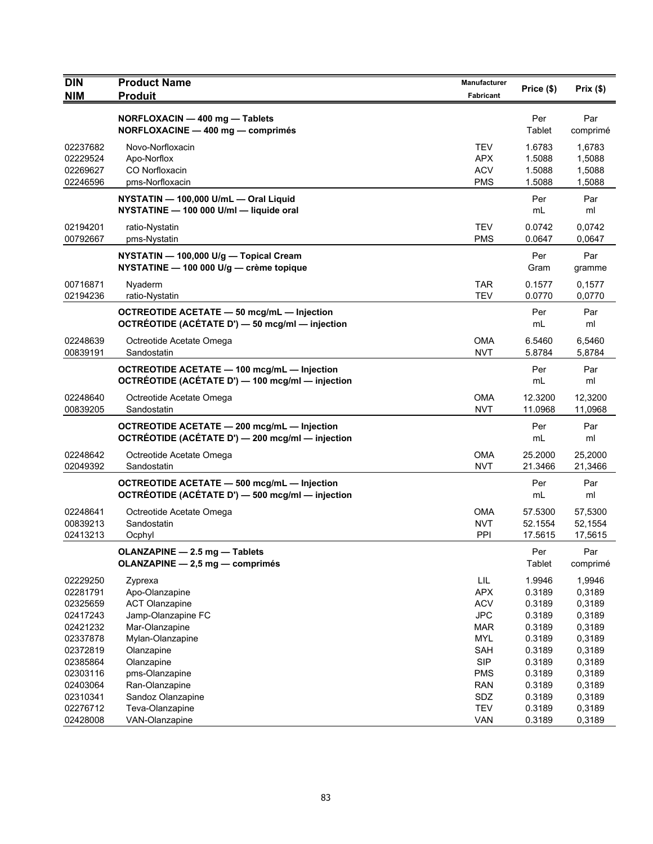| <b>DIN</b><br><b>NIM</b> | <b>Product Name</b><br><b>Produit</b>                                                                  | Manufacturer<br>Fabricant | Price (\$)    | Prix(\$)        |
|--------------------------|--------------------------------------------------------------------------------------------------------|---------------------------|---------------|-----------------|
|                          |                                                                                                        |                           |               |                 |
|                          | NORFLOXACIN - 400 mg - Tablets<br>NORFLOXACINE - 400 mg - comprimés                                    |                           | Per<br>Tablet | Par<br>comprimé |
| 02237682                 | Novo-Norfloxacin                                                                                       | <b>TEV</b>                | 1.6783        | 1.6783          |
| 02229524                 | Apo-Norflox                                                                                            | <b>APX</b>                | 1.5088        | 1,5088          |
| 02269627                 | CO Norfloxacin                                                                                         | <b>ACV</b>                | 1.5088        | 1,5088          |
| 02246596                 | pms-Norfloxacin                                                                                        | <b>PMS</b>                | 1.5088        | 1,5088          |
|                          | NYSTATIN - 100,000 U/mL - Oral Liquid<br>NYSTATINE - 100 000 U/ml - liquide oral                       |                           | Per<br>mL     | Par<br>ml       |
| 02194201                 | ratio-Nystatin                                                                                         | <b>TEV</b>                | 0.0742        | 0,0742          |
| 00792667                 | pms-Nystatin                                                                                           | <b>PMS</b>                | 0.0647        | 0,0647          |
|                          | NYSTATIN - 100,000 U/g - Topical Cream<br>NYSTATINE - 100 000 U/g - crème topique                      |                           | Per<br>Gram   | Par<br>gramme   |
| 00716871                 | Nyaderm                                                                                                | <b>TAR</b>                | 0.1577        | 0,1577          |
| 02194236                 | ratio-Nystatin                                                                                         | <b>TEV</b>                | 0.0770        | 0,0770          |
|                          | OCTREOTIDE ACETATE - 50 mcg/mL - Injection<br>OCTRÉOTIDE (ACÉTATE D') - 50 mcg/ml - injection          |                           | Per<br>mL     | Par<br>ml       |
| 02248639                 | Octreotide Acetate Omega                                                                               | <b>OMA</b>                | 6.5460        | 6,5460          |
| 00839191                 | Sandostatin                                                                                            | <b>NVT</b>                | 5.8784        | 5,8784          |
|                          | <b>OCTREOTIDE ACETATE - 100 mcg/mL - Injection</b><br>OCTRÉOTIDE (ACÉTATE D') — 100 mcg/ml — injection |                           | Per<br>mL     | Par<br>ml       |
| 02248640                 | Octreotide Acetate Omega                                                                               | <b>OMA</b>                | 12.3200       | 12,3200         |
| 00839205                 | Sandostatin                                                                                            | <b>NVT</b>                | 11.0968       | 11,0968         |
|                          | OCTREOTIDE ACETATE - 200 mcg/mL - Injection<br>OCTRÉOTIDE (ACÉTATE D') - 200 mcg/ml - injection        |                           | Per<br>mL     | Par<br>ml       |
| 02248642                 | Octreotide Acetate Omega                                                                               | <b>OMA</b>                | 25.2000       | 25,2000         |
| 02049392                 | Sandostatin                                                                                            | <b>NVT</b>                | 21.3466       | 21,3466         |
|                          | OCTREOTIDE ACETATE - 500 mcg/mL - Injection<br>OCTRÉOTIDE (ACÉTATE D') - 500 mcg/ml - injection        |                           | Per<br>mL     | Par<br>ml       |
| 02248641                 | Octreotide Acetate Omega                                                                               | <b>OMA</b>                | 57.5300       | 57,5300         |
| 00839213                 | Sandostatin                                                                                            | <b>NVT</b>                | 52.1554       | 52,1554         |
| 02413213                 | Ocphyl                                                                                                 | PPI                       | 17.5615       | 17,5615         |
|                          | OLANZAPINE - 2.5 mg - Tablets<br>OLANZAPINE - 2,5 mg - comprimés                                       |                           | Per<br>Tablet | Par<br>comprimé |
| 02229250                 | Zyprexa                                                                                                | LIL                       | 1.9946        | 1,9946          |
| 02281791                 | Apo-Olanzapine                                                                                         | <b>APX</b>                | 0.3189        | 0,3189          |
| 02325659                 | <b>ACT Olanzapine</b>                                                                                  | <b>ACV</b>                | 0.3189        | 0,3189          |
| 02417243                 | Jamp-Olanzapine FC                                                                                     | <b>JPC</b>                | 0.3189        | 0,3189          |
| 02421232                 | Mar-Olanzapine                                                                                         | <b>MAR</b>                | 0.3189        | 0,3189          |
| 02337878                 | Mylan-Olanzapine                                                                                       | <b>MYL</b>                | 0.3189        | 0,3189          |
| 02372819                 | Olanzapine                                                                                             | <b>SAH</b>                | 0.3189        | 0,3189          |
| 02385864                 | Olanzapine                                                                                             | <b>SIP</b>                | 0.3189        | 0,3189          |
| 02303116                 | pms-Olanzapine                                                                                         | <b>PMS</b>                | 0.3189        | 0,3189          |
| 02403064                 | Ran-Olanzapine                                                                                         | <b>RAN</b>                | 0.3189        | 0,3189          |
| 02310341                 | Sandoz Olanzapine                                                                                      | SDZ                       | 0.3189        | 0,3189          |
| 02276712                 | Teva-Olanzapine                                                                                        | <b>TEV</b>                | 0.3189        | 0,3189          |
| 02428008                 | VAN-Olanzapine                                                                                         | VAN                       | 0.3189        | 0,3189          |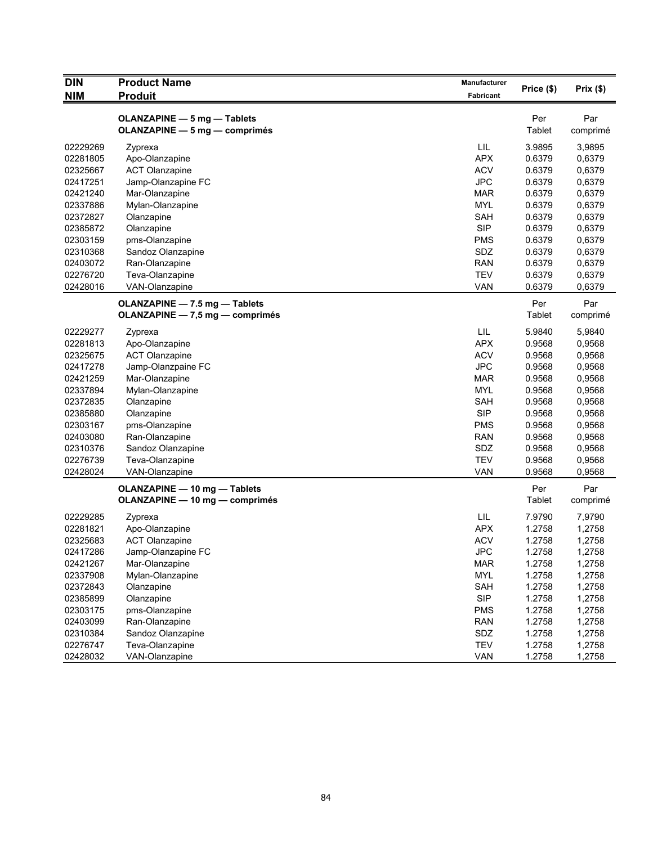| <b>DIN</b> | <b>Product Name</b>                                          | Manufacturer | Price (\$)    | Prix(\$)        |
|------------|--------------------------------------------------------------|--------------|---------------|-----------------|
| <b>NIM</b> | <b>Produit</b>                                               | Fabricant    |               |                 |
|            | OLANZAPINE - 5 mg - Tablets<br>OLANZAPINE - 5 mg - comprimés |              | Per<br>Tablet | Par<br>comprimé |
| 02229269   | Zyprexa                                                      | LIL          | 3.9895        | 3,9895          |
| 02281805   | Apo-Olanzapine                                               | <b>APX</b>   | 0.6379        | 0,6379          |
| 02325667   | <b>ACT Olanzapine</b>                                        | <b>ACV</b>   | 0.6379        | 0,6379          |
| 02417251   | Jamp-Olanzapine FC                                           | <b>JPC</b>   | 0.6379        | 0,6379          |
| 02421240   | Mar-Olanzapine                                               | <b>MAR</b>   | 0.6379        | 0,6379          |
| 02337886   | Mylan-Olanzapine                                             | <b>MYL</b>   | 0.6379        | 0,6379          |
| 02372827   | Olanzapine                                                   | <b>SAH</b>   | 0.6379        | 0,6379          |
| 02385872   | Olanzapine                                                   | <b>SIP</b>   | 0.6379        | 0,6379          |
| 02303159   | pms-Olanzapine                                               | <b>PMS</b>   | 0.6379        | 0,6379          |
| 02310368   | Sandoz Olanzapine                                            | SDZ          | 0.6379        | 0,6379          |
| 02403072   | Ran-Olanzapine                                               | <b>RAN</b>   | 0.6379        | 0,6379          |
| 02276720   | Teva-Olanzapine                                              | <b>TEV</b>   | 0.6379        | 0,6379          |
| 02428016   | VAN-Olanzapine                                               | <b>VAN</b>   | 0.6379        | 0,6379          |
|            | OLANZAPINE - 7.5 mg - Tablets                                |              | Per           | Par             |
|            | OLANZAPINE — 7,5 mg — comprimés                              |              | Tablet        | comprimé        |
|            |                                                              |              |               |                 |
| 02229277   | Zyprexa                                                      | LIL          | 5.9840        | 5,9840          |
| 02281813   | Apo-Olanzapine                                               | <b>APX</b>   | 0.9568        | 0,9568          |
| 02325675   | <b>ACT Olanzapine</b>                                        | <b>ACV</b>   | 0.9568        | 0,9568          |
| 02417278   | Jamp-Olanzpaine FC                                           | <b>JPC</b>   | 0.9568        | 0,9568          |
| 02421259   | Mar-Olanzapine                                               | <b>MAR</b>   | 0.9568        | 0,9568          |
| 02337894   | Mylan-Olanzapine                                             | <b>MYL</b>   | 0.9568        | 0,9568          |
| 02372835   | Olanzapine                                                   | SAH          | 0.9568        | 0,9568          |
| 02385880   | Olanzapine                                                   | <b>SIP</b>   | 0.9568        | 0,9568          |
| 02303167   | pms-Olanzapine                                               | <b>PMS</b>   | 0.9568        | 0,9568          |
| 02403080   | Ran-Olanzapine                                               | <b>RAN</b>   | 0.9568        | 0,9568          |
| 02310376   | Sandoz Olanzapine                                            | <b>SDZ</b>   | 0.9568        | 0,9568          |
| 02276739   | Teva-Olanzapine                                              | <b>TEV</b>   | 0.9568        | 0,9568          |
| 02428024   | VAN-Olanzapine                                               | <b>VAN</b>   | 0.9568        | 0,9568          |
|            | OLANZAPINE - 10 mg - Tablets                                 |              | Per           | Par             |
|            | OLANZAPINE - 10 mg - comprimés                               |              | Tablet        | comprimé        |
| 02229285   | Zyprexa                                                      | LIL          | 7.9790        | 7,9790          |
| 02281821   | Apo-Olanzapine                                               | <b>APX</b>   | 1.2758        | 1,2758          |
| 02325683   | <b>ACT Olanzapine</b>                                        | <b>ACV</b>   | 1.2758        | 1,2758          |
| 02417286   | Jamp-Olanzapine FC                                           | <b>JPC</b>   | 1.2758        | 1,2758          |
| 02421267   | Mar-Olanzapine                                               | <b>MAR</b>   | 1.2758        | 1,2758          |
| 02337908   | Mylan-Olanzapine                                             | MYL          | 1.2758        | 1,2758          |
| 02372843   | Olanzapine                                                   | <b>SAH</b>   | 1.2758        | 1,2758          |
| 02385899   | Olanzapine                                                   | <b>SIP</b>   | 1.2758        | 1,2758          |
| 02303175   | pms-Olanzapine                                               | <b>PMS</b>   | 1.2758        | 1,2758          |
| 02403099   | Ran-Olanzapine                                               | <b>RAN</b>   | 1.2758        | 1,2758          |
| 02310384   | Sandoz Olanzapine                                            | SDZ          | 1.2758        | 1,2758          |
| 02276747   | Teva-Olanzapine                                              | TEV          | 1.2758        | 1,2758          |
| 02428032   | VAN-Olanzapine                                               | <b>VAN</b>   | 1.2758        | 1,2758          |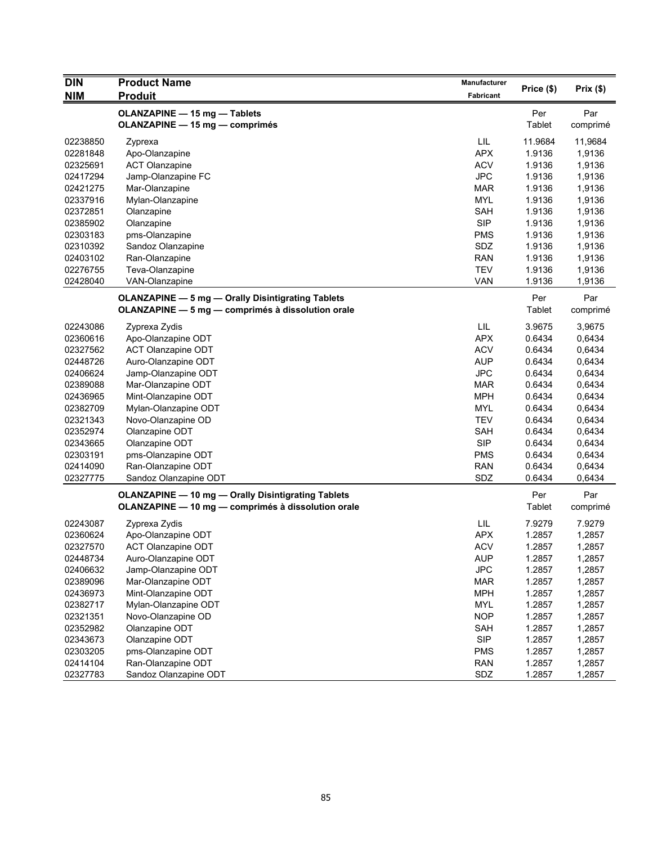| <b>DIN</b> | <b>Product Name</b>                                       | Manufacturer |            |          |
|------------|-----------------------------------------------------------|--------------|------------|----------|
| <b>NIM</b> | <b>Produit</b>                                            | Fabricant    | Price (\$) | Prix(\$) |
|            |                                                           |              |            |          |
|            | <b>OLANZAPINE - 15 mg - Tablets</b>                       |              | Per        | Par      |
|            | <b>OLANZAPINE - 15 mg - comprimés</b>                     |              | Tablet     | comprimé |
| 02238850   | Zyprexa                                                   | LIL          | 11.9684    | 11,9684  |
| 02281848   | Apo-Olanzapine                                            | <b>APX</b>   | 1.9136     | 1,9136   |
| 02325691   | <b>ACT Olanzapine</b>                                     | <b>ACV</b>   | 1.9136     | 1,9136   |
| 02417294   | Jamp-Olanzapine FC                                        | <b>JPC</b>   | 1.9136     | 1,9136   |
| 02421275   | Mar-Olanzapine                                            | <b>MAR</b>   | 1.9136     | 1,9136   |
| 02337916   | Mylan-Olanzapine                                          | <b>MYL</b>   | 1.9136     | 1,9136   |
| 02372851   | Olanzapine                                                | SAH          | 1.9136     | 1,9136   |
| 02385902   | Olanzapine                                                | <b>SIP</b>   | 1.9136     | 1,9136   |
| 02303183   | pms-Olanzapine                                            | <b>PMS</b>   | 1.9136     | 1,9136   |
| 02310392   | Sandoz Olanzapine                                         | SDZ          | 1.9136     | 1,9136   |
| 02403102   | Ran-Olanzapine                                            | <b>RAN</b>   | 1.9136     | 1,9136   |
| 02276755   | Teva-Olanzapine                                           | <b>TEV</b>   | 1.9136     | 1,9136   |
| 02428040   | VAN-Olanzapine                                            | <b>VAN</b>   | 1.9136     | 1,9136   |
|            | <b>OLANZAPINE - 5 mg - Orally Disintigrating Tablets</b>  |              | Per        | Par      |
|            | OLANZAPINE - 5 mg - comprimés à dissolution orale         |              | Tablet     | comprimé |
|            |                                                           |              |            |          |
| 02243086   | Zyprexa Zydis                                             | LIL          | 3.9675     | 3,9675   |
| 02360616   | Apo-Olanzapine ODT                                        | <b>APX</b>   | 0.6434     | 0,6434   |
| 02327562   | <b>ACT Olanzapine ODT</b>                                 | <b>ACV</b>   | 0.6434     | 0,6434   |
| 02448726   | Auro-Olanzapine ODT                                       | <b>AUP</b>   | 0.6434     | 0,6434   |
| 02406624   | Jamp-Olanzapine ODT                                       | <b>JPC</b>   | 0.6434     | 0,6434   |
| 02389088   | Mar-Olanzapine ODT                                        | <b>MAR</b>   | 0.6434     | 0,6434   |
| 02436965   | Mint-Olanzapine ODT                                       | <b>MPH</b>   | 0.6434     | 0,6434   |
| 02382709   | Mylan-Olanzapine ODT                                      | <b>MYL</b>   | 0.6434     | 0,6434   |
| 02321343   | Novo-Olanzapine OD                                        | TEV          | 0.6434     | 0,6434   |
| 02352974   | Olanzapine ODT                                            | <b>SAH</b>   | 0.6434     | 0,6434   |
| 02343665   | Olanzapine ODT                                            | <b>SIP</b>   | 0.6434     | 0,6434   |
| 02303191   | pms-Olanzapine ODT                                        | <b>PMS</b>   | 0.6434     | 0,6434   |
| 02414090   | Ran-Olanzapine ODT                                        | <b>RAN</b>   | 0.6434     | 0,6434   |
| 02327775   | Sandoz Olanzapine ODT                                     | SDZ          | 0.6434     | 0,6434   |
|            | <b>OLANZAPINE - 10 mg - Orally Disintigrating Tablets</b> |              | Per        | Par      |
|            | OLANZAPINE - 10 mg - comprimés à dissolution orale        |              | Tablet     | comprimé |
|            |                                                           |              |            |          |
| 02243087   | Zyprexa Zydis                                             | LIL          | 7.9279     | 7.9279   |
| 02360624   | Apo-Olanzapine ODT                                        | <b>APX</b>   | 1.2857     | 1,2857   |
| 02327570   | <b>ACT Olanzapine ODT</b>                                 | <b>ACV</b>   | 1.2857     | 1,2857   |
| 02448734   | Auro-Olanzapine ODT                                       | <b>AUP</b>   | 1.2857     | 1,2857   |
| 02406632   | Jamp-Olanzapine ODT                                       | <b>JPC</b>   | 1.2857     | 1,2857   |
| 02389096   | Mar-Olanzapine ODT                                        | <b>MAR</b>   | 1.2857     | 1,2857   |
| 02436973   | Mint-Olanzapine ODT                                       | <b>MPH</b>   | 1.2857     | 1,2857   |
| 02382717   | Mylan-Olanzapine ODT                                      | <b>MYL</b>   | 1.2857     | 1,2857   |
| 02321351   | Novo-Olanzapine OD                                        | <b>NOP</b>   | 1.2857     | 1,2857   |
| 02352982   | Olanzapine ODT                                            | SAH          | 1.2857     | 1,2857   |
| 02343673   | Olanzapine ODT                                            | <b>SIP</b>   | 1.2857     | 1,2857   |
| 02303205   | pms-Olanzapine ODT                                        | <b>PMS</b>   | 1.2857     | 1,2857   |
| 02414104   | Ran-Olanzapine ODT                                        | <b>RAN</b>   | 1.2857     | 1,2857   |
| 02327783   | Sandoz Olanzapine ODT                                     | SDZ          | 1.2857     | 1,2857   |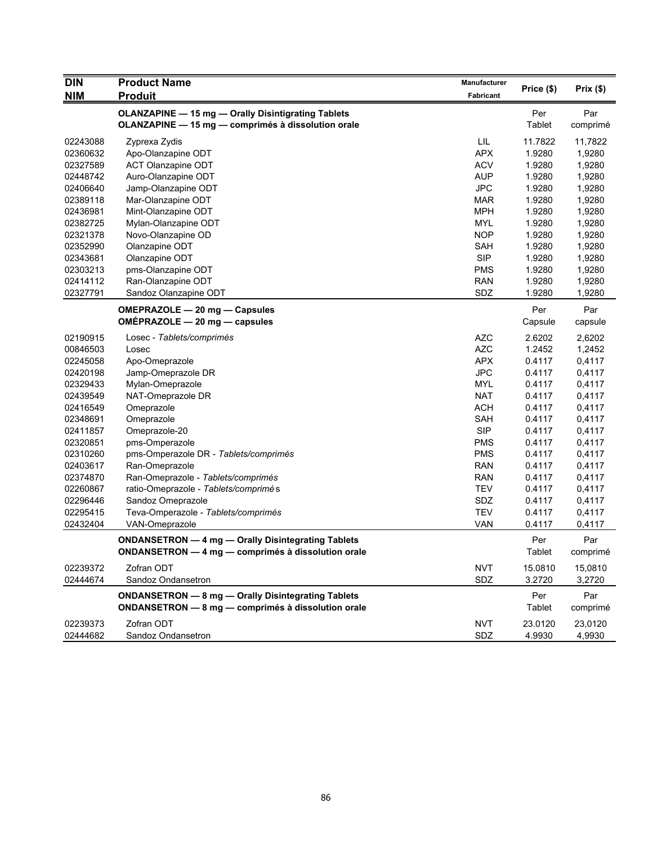| <b>DIN</b> | <b>Product Name</b>                                | <b>Manufacturer</b> |            |          |
|------------|----------------------------------------------------|---------------------|------------|----------|
| <b>NIM</b> | <b>Produit</b>                                     | Fabricant           | Price (\$) | Prix(\$) |
|            | OLANZAPINE - 15 mg - Orally Disintigrating Tablets |                     | Per        | Par      |
|            | OLANZAPINE - 15 mg - comprimés à dissolution orale |                     | Tablet     | comprimé |
| 02243088   | Zyprexa Zydis                                      | LIL                 | 11.7822    | 11,7822  |
| 02360632   | Apo-Olanzapine ODT                                 | <b>APX</b>          | 1.9280     | 1,9280   |
| 02327589   | <b>ACT Olanzapine ODT</b>                          | <b>ACV</b>          | 1.9280     | 1,9280   |
| 02448742   | Auro-Olanzapine ODT                                | <b>AUP</b>          | 1.9280     | 1,9280   |
| 02406640   | Jamp-Olanzapine ODT                                | <b>JPC</b>          | 1.9280     | 1,9280   |
| 02389118   | Mar-Olanzapine ODT                                 | <b>MAR</b>          | 1.9280     | 1,9280   |
| 02436981   | Mint-Olanzapine ODT                                | <b>MPH</b>          | 1.9280     | 1,9280   |
| 02382725   | Mylan-Olanzapine ODT                               | <b>MYL</b>          | 1.9280     | 1,9280   |
| 02321378   | Novo-Olanzapine OD                                 | <b>NOP</b>          | 1.9280     | 1,9280   |
| 02352990   | Olanzapine ODT                                     | <b>SAH</b>          | 1.9280     | 1,9280   |
| 02343681   | Olanzapine ODT                                     | <b>SIP</b>          | 1.9280     | 1,9280   |
| 02303213   | pms-Olanzapine ODT                                 | <b>PMS</b>          | 1.9280     | 1,9280   |
| 02414112   | Ran-Olanzapine ODT                                 | <b>RAN</b>          | 1.9280     | 1,9280   |
| 02327791   | Sandoz Olanzapine ODT                              | SDZ                 | 1.9280     | 1,9280   |
|            | OMEPRAZOLE - 20 mg - Capsules                      |                     | Per        | Par      |
|            | OMÉPRAZOLE - 20 mg - capsules                      |                     | Capsule    | capsule  |
| 02190915   | Losec - Tablets/comprimés                          | <b>AZC</b>          | 2.6202     | 2,6202   |
| 00846503   | Losec                                              | <b>AZC</b>          | 1.2452     | 1,2452   |
| 02245058   | Apo-Omeprazole                                     | <b>APX</b>          | 0.4117     | 0,4117   |
| 02420198   | Jamp-Omeprazole DR                                 | <b>JPC</b>          | 0.4117     | 0,4117   |
| 02329433   | Mylan-Omeprazole                                   | <b>MYL</b>          | 0.4117     | 0,4117   |
| 02439549   | NAT-Omeprazole DR                                  | <b>NAT</b>          | 0.4117     | 0,4117   |
| 02416549   | Omeprazole                                         | <b>ACH</b>          | 0.4117     | 0,4117   |
| 02348691   | Omeprazole                                         | SAH                 | 0.4117     | 0,4117   |
| 02411857   | Omeprazole-20                                      | <b>SIP</b>          | 0.4117     | 0,4117   |
| 02320851   | pms-Omperazole                                     | <b>PMS</b>          | 0.4117     | 0,4117   |
| 02310260   | pms-Omperazole DR - Tablets/comprimés              | <b>PMS</b>          | 0.4117     | 0,4117   |
| 02403617   | Ran-Omeprazole                                     | <b>RAN</b>          | 0.4117     | 0,4117   |
| 02374870   | Ran-Omeprazole - Tablets/comprimés                 | <b>RAN</b>          | 0.4117     | 0,4117   |
| 02260867   | ratio-Omeprazole - Tablets/comprimés               | <b>TEV</b>          | 0.4117     | 0,4117   |
| 02296446   | Sandoz Omeprazole                                  | SDZ                 | 0.4117     | 0,4117   |
| 02295415   | Teva-Omperazole - Tablets/comprimés                | <b>TEV</b>          | 0.4117     | 0,4117   |
| 02432404   | VAN-Omeprazole                                     | <b>VAN</b>          | 0.4117     | 0,4117   |
|            | ONDANSETRON - 4 mg - Orally Disintegrating Tablets |                     | Per        | Par      |
|            | ONDANSETRON - 4 mg - comprimés à dissolution orale |                     | Tablet     | comprimé |
| 02239372   | Zofran ODT                                         | <b>NVT</b>          | 15.0810    | 15,0810  |
| 02444674   | Sandoz Ondansetron                                 | SDZ                 | 3.2720     | 3,2720   |
|            | ONDANSETRON - 8 mg - Orally Disintegrating Tablets |                     | Per        | Par      |
|            | ONDANSETRON - 8 mg - comprimés à dissolution orale |                     | Tablet     | comprimé |
| 02239373   | Zofran ODT                                         | <b>NVT</b>          | 23.0120    | 23,0120  |
| 02444682   | Sandoz Ondansetron                                 | SDZ                 | 4.9930     | 4,9930   |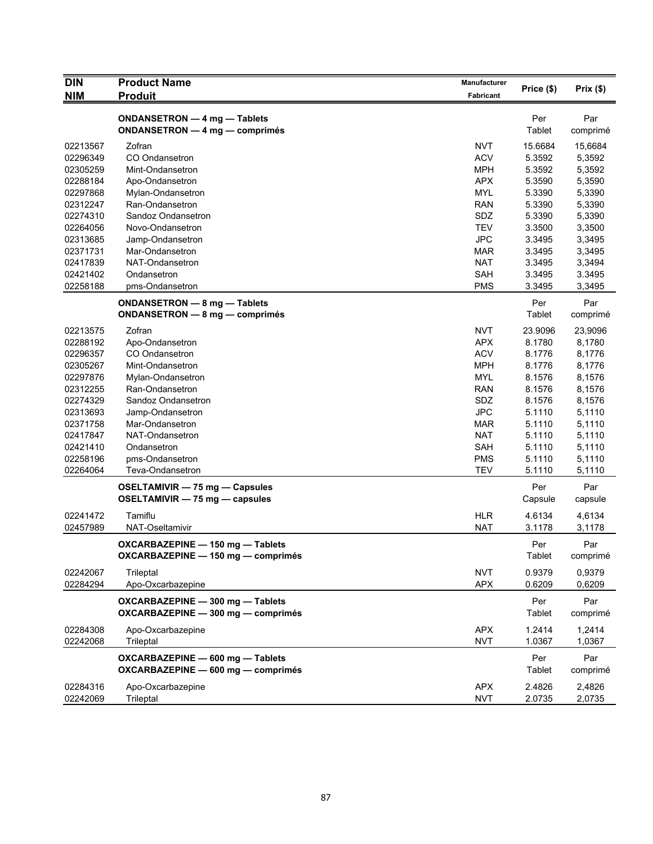| <b>DIN</b>           | <b>Product Name</b>                                                    | Manufacturer             | Price (\$)       | Prix(\$)         |
|----------------------|------------------------------------------------------------------------|--------------------------|------------------|------------------|
| <b>NIM</b>           | <b>Produit</b>                                                         | Fabricant                |                  |                  |
|                      | ONDANSETRON - 4 mg - Tablets<br>ONDANSETRON - 4 mg - comprimés         |                          | Per<br>Tablet    | Par<br>comprimé  |
| 02213567             | Zofran                                                                 | <b>NVT</b>               | 15.6684          | 15,6684          |
| 02296349             | CO Ondansetron                                                         | <b>ACV</b>               | 5.3592           | 5,3592           |
| 02305259             | Mint-Ondansetron                                                       | <b>MPH</b>               | 5.3592           | 5,3592           |
| 02288184             | Apo-Ondansetron                                                        | <b>APX</b>               | 5.3590           | 5,3590           |
| 02297868             | Mylan-Ondansetron                                                      | <b>MYL</b>               | 5.3390           | 5,3390           |
| 02312247             | Ran-Ondansetron                                                        | <b>RAN</b>               | 5.3390           | 5,3390           |
| 02274310             | Sandoz Ondansetron                                                     | SDZ                      | 5.3390           | 5,3390           |
| 02264056             | Novo-Ondansetron                                                       | <b>TEV</b>               | 3.3500           | 3,3500           |
| 02313685             | Jamp-Ondansetron                                                       | <b>JPC</b>               | 3.3495           | 3,3495           |
| 02371731             | Mar-Ondansetron                                                        | MAR                      | 3.3495           | 3,3495           |
| 02417839             | NAT-Ondansetron                                                        | <b>NAT</b>               | 3.3495           | 3,3494           |
| 02421402             | Ondansetron                                                            | SAH                      | 3.3495           | 3.3495           |
| 02258188             | pms-Ondansetron                                                        | <b>PMS</b>               | 3.3495           | 3,3495           |
|                      | ONDANSETRON - 8 mg - Tablets                                           |                          | Per              | Par              |
|                      | <b>ONDANSETRON - 8 mg - comprimés</b>                                  |                          | Tablet           | comprimé         |
| 02213575             | Zofran                                                                 | <b>NVT</b>               | 23.9096          | 23,9096          |
| 02288192             | Apo-Ondansetron                                                        | <b>APX</b>               | 8.1780           | 8,1780           |
| 02296357             | CO Ondansetron                                                         | <b>ACV</b>               | 8.1776           | 8,1776           |
| 02305267             | Mint-Ondansetron                                                       | <b>MPH</b>               | 8.1776           | 8,1776           |
| 02297876             | Mylan-Ondansetron                                                      | <b>MYL</b>               | 8.1576           | 8,1576           |
| 02312255             | Ran-Ondansetron                                                        | RAN                      | 8.1576           | 8,1576           |
| 02274329             | Sandoz Ondansetron                                                     | SDZ                      | 8.1576           | 8,1576           |
| 02313693             | Jamp-Ondansetron                                                       | <b>JPC</b>               | 5.1110           | 5,1110           |
| 02371758             | Mar-Ondansetron                                                        | <b>MAR</b>               | 5.1110           | 5,1110           |
| 02417847             | NAT-Ondansetron                                                        | <b>NAT</b>               | 5.1110           | 5,1110           |
| 02421410             | Ondansetron                                                            | SAH                      | 5.1110           | 5,1110           |
| 02258196             | pms-Ondansetron                                                        | <b>PMS</b>               | 5.1110           | 5,1110           |
| 02264064             | Teva-Ondansetron                                                       | <b>TEV</b>               | 5.1110           | 5,1110           |
|                      | OSELTAMIVIR - 75 mg - Capsules<br>OSELTAMIVIR - 75 mg - capsules       |                          | Per<br>Capsule   | Par<br>capsule   |
| 02241472             | Tamiflu                                                                | <b>HLR</b>               | 4.6134           | 4,6134           |
| 02457989             | NAT-Oseltamivir                                                        | <b>NAT</b>               | 3.1178           | 3,1178           |
|                      | OXCARBAZEPINE - 150 mg - Tablets<br>OXCARBAZEPINE - 150 mg - comprimés |                          | Per<br>Tablet    | Par<br>comprimé  |
| 02242067             | Trileptal                                                              | <b>NVT</b>               | 0.9379           | 0.9379           |
| 02284294             | Apo-Oxcarbazepine                                                      | <b>APX</b>               | 0.6209           | 0,6209           |
|                      | OXCARBAZEPINE - 300 mg - Tablets<br>OXCARBAZEPINE - 300 mg - comprimés |                          | Per<br>Tablet    | Par<br>comprimé  |
| 02284308<br>02242068 | Apo-Oxcarbazepine<br>Trileptal                                         | <b>APX</b><br><b>NVT</b> | 1.2414<br>1.0367 | 1,2414<br>1,0367 |
|                      | OXCARBAZEPINE - 600 mg - Tablets<br>OXCARBAZEPINE - 600 mg - comprimés |                          | Per<br>Tablet    | Par<br>comprimé  |
| 02284316<br>02242069 | Apo-Oxcarbazepine<br>Trileptal                                         | <b>APX</b><br><b>NVT</b> | 2.4826<br>2.0735 | 2,4826<br>2,0735 |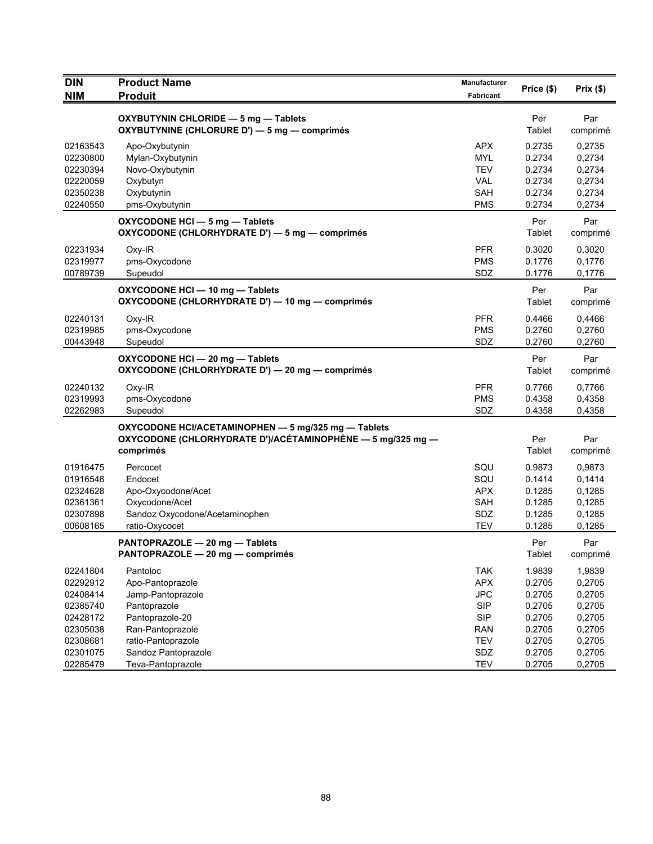| <b>DIN</b><br><b>NIM</b>                                                                                 | <b>Product Name</b><br><b>Produit</b>                                                                                                                                      | <b>Manufacturer</b><br>Fabricant                                                                                    | Price (\$)                                                                             | Prix(\$)                                                                               |
|----------------------------------------------------------------------------------------------------------|----------------------------------------------------------------------------------------------------------------------------------------------------------------------------|---------------------------------------------------------------------------------------------------------------------|----------------------------------------------------------------------------------------|----------------------------------------------------------------------------------------|
|                                                                                                          | OXYBUTYNIN CHLORIDE - 5 mg - Tablets<br>OXYBUTYNINE (CHLORURE D') - 5 mg - comprimés                                                                                       |                                                                                                                     | Per<br>Tablet                                                                          | Par<br>comprimé                                                                        |
| 02163543<br>02230800<br>02230394<br>02220059<br>02350238<br>02240550                                     | Apo-Oxybutynin<br>Mylan-Oxybutynin<br>Novo-Oxybutynin<br>Oxybutyn<br>Oxybutynin<br>pms-Oxybutynin                                                                          | <b>APX</b><br><b>MYL</b><br><b>TEV</b><br><b>VAL</b><br>SAH<br><b>PMS</b>                                           | 0.2735<br>0.2734<br>0.2734<br>0.2734<br>0.2734<br>0.2734                               | 0,2735<br>0,2734<br>0,2734<br>0,2734<br>0,2734<br>0,2734                               |
|                                                                                                          | OXYCODONE HCI - 5 mg - Tablets<br>OXYCODONE (CHLORHYDRATE D') - 5 mg - comprimés                                                                                           |                                                                                                                     | Per<br>Tablet                                                                          | Par<br>comprimé                                                                        |
| 02231934<br>02319977<br>00789739                                                                         | $Oxy-IR$<br>pms-Oxycodone<br>Supeudol                                                                                                                                      | <b>PFR</b><br><b>PMS</b><br>SDZ                                                                                     | 0.3020<br>0.1776<br>0.1776                                                             | 0,3020<br>0,1776<br>0,1776                                                             |
|                                                                                                          | OXYCODONE HCI - 10 mg - Tablets<br>OXYCODONE (CHLORHYDRATE D') - 10 mg - comprimés                                                                                         |                                                                                                                     | Per<br>Tablet                                                                          | Par<br>comprimé                                                                        |
| 02240131<br>02319985<br>00443948                                                                         | Oxy-IR<br>pms-Oxycodone<br>Supeudol                                                                                                                                        | <b>PFR</b><br><b>PMS</b><br>SDZ                                                                                     | 0.4466<br>0.2760<br>0.2760                                                             | 0,4466<br>0,2760<br>0,2760                                                             |
|                                                                                                          | OXYCODONE HCI - 20 mg - Tablets<br>OXYCODONE (CHLORHYDRATE D') - 20 mg - comprimés                                                                                         |                                                                                                                     | Per<br>Tablet                                                                          | Par<br>comprimé                                                                        |
| 02240132<br>02319993<br>02262983                                                                         | $Oxy-IR$<br>pms-Oxycodone<br>Supeudol                                                                                                                                      | <b>PFR</b><br><b>PMS</b><br>SDZ                                                                                     | 0.7766<br>0.4358<br>0.4358                                                             | 0,7766<br>0,4358<br>0,4358                                                             |
|                                                                                                          | OXYCODONE HCI/ACETAMINOPHEN - 5 mg/325 mg - Tablets<br>OXYCODONE (CHLORHYDRATE D')/ACÉTAMINOPHÈNE — 5 mg/325 mg —<br>comprimés                                             |                                                                                                                     | Per<br>Tablet                                                                          | Par<br>comprimé                                                                        |
| 01916475<br>01916548<br>02324628<br>02361361<br>02307898<br>00608165                                     | Percocet<br>Endocet<br>Apo-Oxycodone/Acet<br>Oxycodone/Acet<br>Sandoz Oxycodone/Acetaminophen<br>ratio-Oxycocet                                                            | SQU<br>SQU<br><b>APX</b><br>SAH<br>SDZ<br><b>TEV</b>                                                                | 0.9873<br>0.1414<br>0.1285<br>0.1285<br>0.1285<br>0.1285                               | 0,9873<br>0,1414<br>0,1285<br>0,1285<br>0,1285<br>0,1285                               |
|                                                                                                          | PANTOPRAZOLE - 20 mg - Tablets<br>PANTOPRAZOLE - 20 mg - comprimés                                                                                                         |                                                                                                                     | Per<br>Tablet                                                                          | Par<br>comprime                                                                        |
| 02241804<br>02292912<br>02408414<br>02385740<br>02428172<br>02305038<br>02308681<br>02301075<br>02285479 | Pantoloc<br>Apo-Pantoprazole<br>Jamp-Pantoprazole<br>Pantoprazole<br>Pantoprazole-20<br>Ran-Pantoprazole<br>ratio-Pantoprazole<br>Sandoz Pantoprazole<br>Teva-Pantoprazole | <b>TAK</b><br><b>APX</b><br><b>JPC</b><br><b>SIP</b><br><b>SIP</b><br><b>RAN</b><br><b>TEV</b><br>SDZ<br><b>TEV</b> | 1.9839<br>0.2705<br>0.2705<br>0.2705<br>0.2705<br>0.2705<br>0.2705<br>0.2705<br>0.2705 | 1,9839<br>0,2705<br>0,2705<br>0,2705<br>0,2705<br>0,2705<br>0,2705<br>0,2705<br>0,2705 |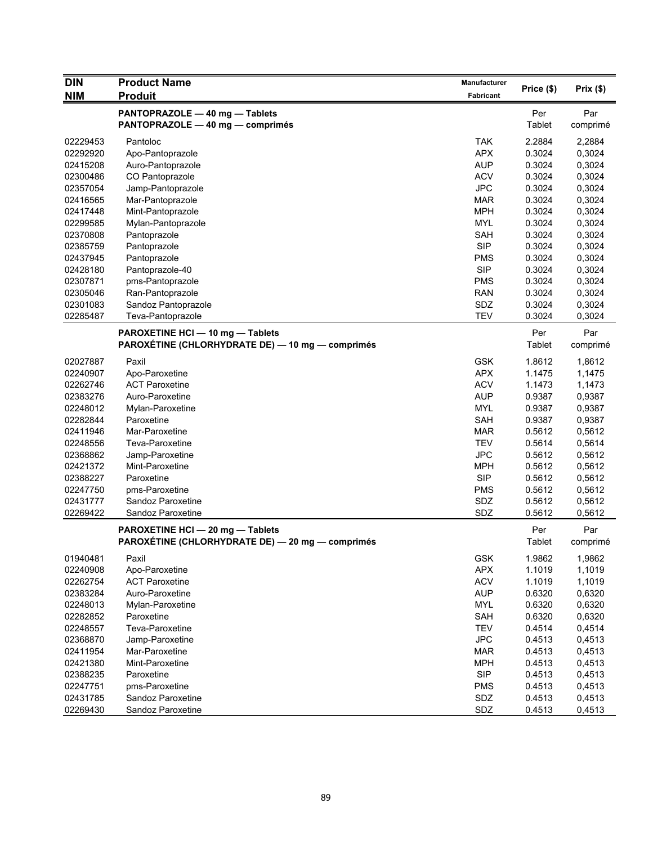| <b>DIN</b> | <b>Product Name</b>                              | Manufacturer |               |          |
|------------|--------------------------------------------------|--------------|---------------|----------|
| <b>NIM</b> | <b>Produit</b>                                   | Fabricant    | Price (\$)    | Prix(\$) |
|            | PANTOPRAZOLE - 40 mg - Tablets                   |              | Per           | Par      |
|            | PANTOPRAZOLE - 40 mg - comprimés                 |              | Tablet        | comprimé |
| 02229453   | Pantoloc                                         | <b>TAK</b>   | 2.2884        | 2,2884   |
| 02292920   | Apo-Pantoprazole                                 | <b>APX</b>   | 0.3024        | 0,3024   |
| 02415208   | Auro-Pantoprazole                                | <b>AUP</b>   | 0.3024        | 0,3024   |
| 02300486   | CO Pantoprazole                                  | <b>ACV</b>   | 0.3024        | 0,3024   |
| 02357054   | Jamp-Pantoprazole                                | <b>JPC</b>   | 0.3024        | 0,3024   |
| 02416565   | Mar-Pantoprazole                                 | <b>MAR</b>   | 0.3024        | 0,3024   |
| 02417448   | Mint-Pantoprazole                                | <b>MPH</b>   | 0.3024        | 0,3024   |
| 02299585   | Mylan-Pantoprazole                               | <b>MYL</b>   | 0.3024        | 0,3024   |
| 02370808   | Pantoprazole                                     | <b>SAH</b>   | 0.3024        | 0,3024   |
| 02385759   | Pantoprazole                                     | <b>SIP</b>   | 0.3024        | 0,3024   |
| 02437945   | Pantoprazole                                     | <b>PMS</b>   | 0.3024        | 0,3024   |
| 02428180   | Pantoprazole-40                                  | <b>SIP</b>   | 0.3024        | 0,3024   |
| 02307871   | pms-Pantoprazole                                 | <b>PMS</b>   | 0.3024        | 0,3024   |
| 02305046   | Ran-Pantoprazole                                 | <b>RAN</b>   | 0.3024        | 0,3024   |
| 02301083   | Sandoz Pantoprazole                              | SDZ          | 0.3024        | 0,3024   |
| 02285487   | Teva-Pantoprazole                                | <b>TEV</b>   | 0.3024        | 0,3024   |
|            | PAROXETINE HCI - 10 mg - Tablets                 |              | Per           | Par      |
|            | PAROXÉTINE (CHLORHYDRATE DE) — 10 mg — comprimés |              | Tablet        | comprimé |
| 02027887   | Paxil                                            | <b>GSK</b>   | 1.8612        | 1,8612   |
| 02240907   | Apo-Paroxetine                                   | <b>APX</b>   | 1.1475        | 1,1475   |
| 02262746   | <b>ACT Paroxetine</b>                            | <b>ACV</b>   | 1.1473        | 1,1473   |
| 02383276   | Auro-Paroxetine                                  | <b>AUP</b>   | 0.9387        | 0,9387   |
| 02248012   | Mylan-Paroxetine                                 | <b>MYL</b>   | 0.9387        | 0,9387   |
| 02282844   | Paroxetine                                       | <b>SAH</b>   | 0.9387        | 0,9387   |
| 02411946   | Mar-Paroxetine                                   | <b>MAR</b>   | 0.5612        | 0,5612   |
| 02248556   | Teva-Paroxetine                                  | <b>TEV</b>   | 0.5614        | 0,5614   |
| 02368862   | Jamp-Paroxetine                                  | <b>JPC</b>   | 0.5612        | 0,5612   |
| 02421372   | Mint-Paroxetine                                  | <b>MPH</b>   | 0.5612        | 0,5612   |
| 02388227   | Paroxetine                                       | <b>SIP</b>   | 0.5612        | 0,5612   |
| 02247750   | pms-Paroxetine                                   | <b>PMS</b>   | 0.5612        | 0,5612   |
| 02431777   | Sandoz Paroxetine                                | SDZ          | 0.5612        | 0,5612   |
| 02269422   | Sandoz Paroxetine                                | SDZ          | 0.5612        | 0,5612   |
|            | PAROXETINE HCI - 20 mg - Tablets                 |              | Per           | Par      |
|            | PAROXÉTINE (CHLORHYDRATE DE) - 20 mg - comprimés |              | <b>Tablet</b> | comprimé |
| 01940481   | Paxil                                            | GSK          | 1.9862        | 1,9862   |
| 02240908   | Apo-Paroxetine                                   | <b>APX</b>   | 1.1019        | 1,1019   |
| 02262754   | <b>ACT Paroxetine</b>                            | <b>ACV</b>   | 1.1019        | 1,1019   |
| 02383284   | Auro-Paroxetine                                  | <b>AUP</b>   | 0.6320        | 0,6320   |
| 02248013   | Mylan-Paroxetine                                 | <b>MYL</b>   | 0.6320        | 0,6320   |
| 02282852   | Paroxetine                                       | SAH          | 0.6320        | 0,6320   |
| 02248557   | Teva-Paroxetine                                  | <b>TEV</b>   | 0.4514        | 0,4514   |
| 02368870   | Jamp-Paroxetine                                  | <b>JPC</b>   | 0.4513        | 0,4513   |
| 02411954   | Mar-Paroxetine                                   | <b>MAR</b>   | 0.4513        | 0,4513   |
| 02421380   | Mint-Paroxetine                                  | <b>MPH</b>   | 0.4513        | 0,4513   |
| 02388235   | Paroxetine                                       | <b>SIP</b>   | 0.4513        | 0,4513   |
| 02247751   | pms-Paroxetine                                   | <b>PMS</b>   | 0.4513        | 0,4513   |
| 02431785   | Sandoz Paroxetine                                | SDZ          | 0.4513        | 0,4513   |
| 02269430   | Sandoz Paroxetine                                | SDZ          | 0.4513        | 0,4513   |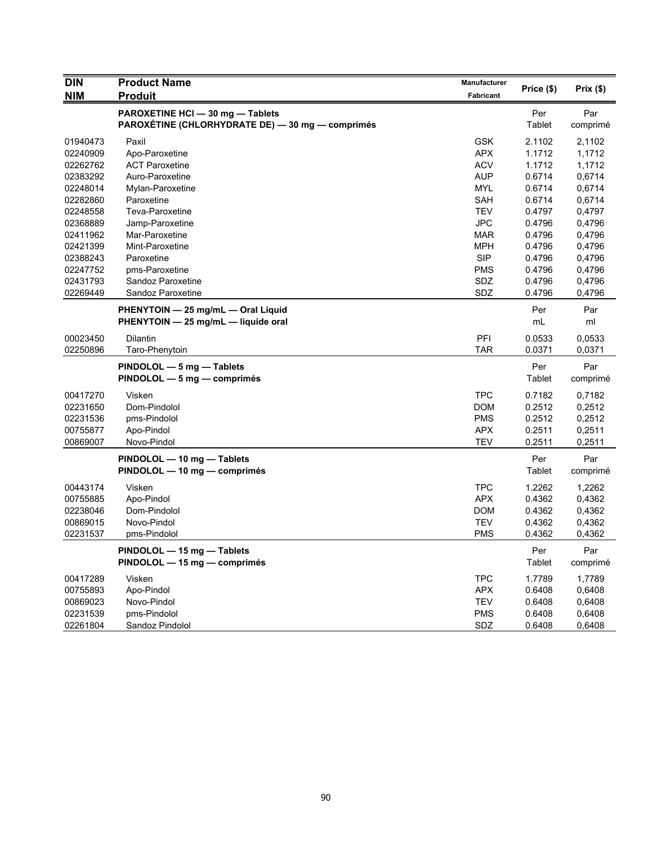| <b>DIN</b> | <b>Product Name</b>                              | Manufacturer     | Price (\$) | Prix(\$) |
|------------|--------------------------------------------------|------------------|------------|----------|
| <b>NIM</b> | <b>Produit</b>                                   | <b>Fabricant</b> |            |          |
|            | PAROXETINE HCI - 30 mg - Tablets                 |                  | Per        | Par      |
|            | PAROXÉTINE (CHLORHYDRATE DE) — 30 mg — comprimés |                  | Tablet     | comprimé |
| 01940473   | Paxil                                            | <b>GSK</b>       | 2.1102     | 2,1102   |
| 02240909   | Apo-Paroxetine                                   | <b>APX</b>       | 1.1712     | 1,1712   |
| 02262762   | <b>ACT Paroxetine</b>                            | <b>ACV</b>       | 1.1712     | 1,1712   |
| 02383292   | Auro-Paroxetine                                  | <b>AUP</b>       | 0.6714     | 0,6714   |
| 02248014   | Mylan-Paroxetine                                 | MYL              | 0.6714     | 0,6714   |
| 02282860   | Paroxetine                                       | SAH              | 0.6714     | 0,6714   |
| 02248558   | Teva-Paroxetine                                  | <b>TEV</b>       | 0.4797     | 0,4797   |
| 02368889   | Jamp-Paroxetine                                  | <b>JPC</b>       | 0.4796     | 0,4796   |
| 02411962   | Mar-Paroxetine                                   | <b>MAR</b>       | 0.4796     | 0,4796   |
| 02421399   | Mint-Paroxetine                                  | <b>MPH</b>       | 0.4796     | 0,4796   |
| 02388243   | Paroxetine                                       | <b>SIP</b>       | 0.4796     | 0,4796   |
| 02247752   | pms-Paroxetine                                   | <b>PMS</b>       | 0.4796     | 0,4796   |
| 02431793   | Sandoz Paroxetine                                | <b>SDZ</b>       | 0.4796     | 0,4796   |
| 02269449   | Sandoz Paroxetine                                | SDZ              | 0.4796     | 0,4796   |
|            | PHENYTOIN - 25 mg/mL - Oral Liquid               |                  | Per        | Par      |
|            | PHENYTOIN - 25 mg/mL - liquide oral              |                  | mL         | ml       |
| 00023450   | Dilantin                                         | PFI              | 0.0533     | 0.0533   |
| 02250896   | Taro-Phenytoin                                   | <b>TAR</b>       | 0.0371     | 0,0371   |
|            | PINDOLOL - 5 mg - Tablets                        |                  | Per        | Par      |
|            | $PINDOLOL - 5 mg - comprimés$                    |                  | Tablet     | comprimé |
| 00417270   | Visken                                           | <b>TPC</b>       | 0.7182     | 0,7182   |
| 02231650   | Dom-Pindolol                                     | <b>DOM</b>       | 0.2512     | 0,2512   |
| 02231536   | pms-Pindolol                                     | <b>PMS</b>       | 0.2512     | 0,2512   |
| 00755877   | Apo-Pindol                                       | <b>APX</b>       | 0.2511     | 0,2511   |
| 00869007   | Novo-Pindol                                      | <b>TEV</b>       | 0.2511     | 0,2511   |
|            | PINDOLOL - 10 mg - Tablets                       |                  | Per        | Par      |
|            | PINDOLOL - 10 mg - comprimés                     |                  | Tablet     | comprimé |
| 00443174   | Visken                                           | <b>TPC</b>       | 1.2262     | 1,2262   |
| 00755885   | Apo-Pindol                                       | <b>APX</b>       | 0.4362     | 0,4362   |
| 02238046   | Dom-Pindolol                                     | <b>DOM</b>       | 0.4362     | 0,4362   |
| 00869015   | Novo-Pindol                                      | <b>TEV</b>       | 0.4362     | 0,4362   |
| 02231537   | pms-Pindolol                                     | <b>PMS</b>       | 0.4362     | 0,4362   |
|            | PINDOLOL - 15 mg - Tablets                       |                  | Per        | Par      |
|            | PINDOLOL - 15 mg - comprimés                     |                  | Tablet     | comprimé |
| 00417289   | Visken                                           | <b>TPC</b>       | 1.7789     | 1,7789   |
| 00755893   | Apo-Pindol                                       | APX              | 0.6408     | 0,6408   |
| 00869023   | Novo-Pindol                                      | <b>TEV</b>       | 0.6408     | 0,6408   |
| 02231539   | pms-Pindolol                                     | <b>PMS</b>       | 0.6408     | 0,6408   |
| 02261804   | Sandoz Pindolol                                  | <b>SDZ</b>       | 0.6408     | 0,6408   |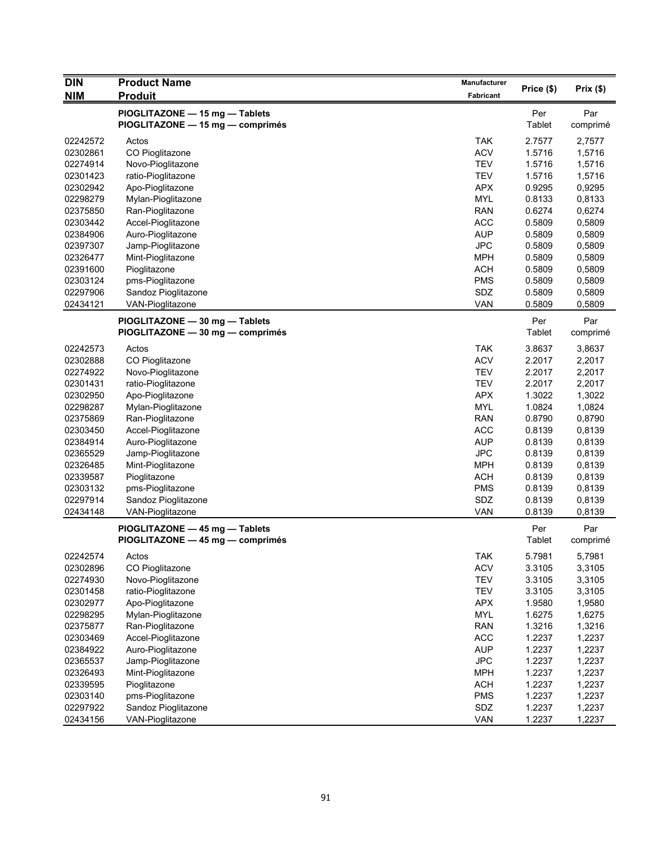| <b>DIN</b>           | <b>Product Name</b>                                                | Manufacturer             |                  |                  |
|----------------------|--------------------------------------------------------------------|--------------------------|------------------|------------------|
| <b>NIM</b>           | <b>Produit</b>                                                     | Fabricant                | Price (\$)       | Prix(\$)         |
|                      | PIOGLITAZONE - 15 mg - Tablets<br>PIOGLITAZONE - 15 mg - comprimés |                          | Per<br>Tablet    | Par<br>comprimé  |
|                      |                                                                    |                          |                  |                  |
| 02242572             | Actos                                                              | <b>TAK</b>               | 2.7577           | 2,7577           |
| 02302861             | CO Pioglitazone                                                    | <b>ACV</b>               | 1.5716           | 1,5716           |
| 02274914             | Novo-Pioglitazone                                                  | <b>TEV</b>               | 1.5716           | 1,5716           |
| 02301423             | ratio-Pioglitazone                                                 | <b>TEV</b>               | 1.5716           | 1,5716           |
| 02302942             | Apo-Pioglitazone                                                   | <b>APX</b>               | 0.9295           | 0,9295           |
| 02298279             | Mylan-Pioglitazone                                                 | <b>MYL</b>               | 0.8133           | 0,8133           |
| 02375850             | Ran-Pioglitazone                                                   | <b>RAN</b>               | 0.6274           | 0,6274           |
| 02303442             | Accel-Pioglitazone                                                 | <b>ACC</b>               | 0.5809           | 0,5809           |
| 02384906<br>02397307 | Auro-Pioglitazone                                                  | <b>AUP</b><br><b>JPC</b> | 0.5809           | 0,5809           |
| 02326477             | Jamp-Pioglitazone                                                  | <b>MPH</b>               | 0.5809<br>0.5809 | 0,5809<br>0,5809 |
| 02391600             | Mint-Pioglitazone                                                  | <b>ACH</b>               |                  |                  |
| 02303124             | Pioglitazone                                                       | <b>PMS</b>               | 0.5809           | 0,5809           |
| 02297906             | pms-Pioglitazone<br>Sandoz Pioglitazone                            | SDZ                      | 0.5809<br>0.5809 | 0,5809<br>0,5809 |
| 02434121             | VAN-Pioglitazone                                                   | VAN                      | 0.5809           | 0,5809           |
|                      |                                                                    |                          |                  |                  |
|                      | PIOGLITAZONE - 30 mg - Tablets                                     |                          | Per              | Par              |
|                      | PIOGLITAZONE - 30 mg - comprimés                                   |                          | Tablet           | comprimé         |
| 02242573             | Actos                                                              | <b>TAK</b>               | 3.8637           | 3,8637           |
| 02302888             | CO Pioglitazone                                                    | <b>ACV</b>               | 2.2017           | 2,2017           |
| 02274922             | Novo-Pioglitazone                                                  | <b>TEV</b>               | 2.2017           | 2,2017           |
| 02301431             | ratio-Pioglitazone                                                 | <b>TEV</b>               | 2.2017           | 2,2017           |
| 02302950             | Apo-Pioglitazone                                                   | <b>APX</b>               | 1.3022           | 1,3022           |
| 02298287             | Mylan-Pioglitazone                                                 | <b>MYL</b>               | 1.0824           | 1,0824           |
| 02375869             | Ran-Pioglitazone                                                   | <b>RAN</b>               | 0.8790           | 0,8790           |
| 02303450             | Accel-Pioglitazone                                                 | <b>ACC</b>               | 0.8139           | 0,8139           |
| 02384914             | Auro-Pioglitazone                                                  | <b>AUP</b>               | 0.8139           | 0,8139           |
| 02365529             | Jamp-Pioglitazone                                                  | <b>JPC</b>               | 0.8139           | 0,8139           |
| 02326485             | Mint-Pioglitazone                                                  | <b>MPH</b>               | 0.8139           | 0,8139           |
| 02339587             | Pioglitazone                                                       | <b>ACH</b>               | 0.8139           | 0,8139           |
| 02303132             | pms-Pioglitazone                                                   | <b>PMS</b>               | 0.8139           | 0,8139           |
| 02297914             | Sandoz Pioglitazone                                                | SDZ                      | 0.8139           | 0,8139           |
| 02434148             | VAN-Pioglitazone                                                   | <b>VAN</b>               | 0.8139           | 0,8139           |
|                      | PIOGLITAZONE - 45 mg - Tablets                                     |                          | Per              | Par              |
|                      | PIOGLITAZONE - 45 mg - comprimés                                   |                          | Tablet           | comprimé         |
| 02242574             | Actos                                                              | <b>TAK</b>               | 5.7981           | 5,7981           |
| 02302896             | CO Pioglitazone                                                    | <b>ACV</b>               | 3.3105           | 3,3105           |
| 02274930             | Novo-Pioglitazone                                                  | <b>TEV</b>               | 3.3105           | 3,3105           |
| 02301458             | ratio-Pioglitazone                                                 | <b>TEV</b>               | 3.3105           | 3,3105           |
| 02302977             | Apo-Pioglitazone                                                   | <b>APX</b>               | 1.9580           | 1,9580           |
| 02298295             | Mylan-Pioglitazone                                                 | <b>MYL</b>               | 1.6275           | 1,6275           |
| 02375877             | Ran-Pioglitazone                                                   | <b>RAN</b>               | 1.3216           | 1,3216           |
| 02303469             | Accel-Pioglitazone                                                 | <b>ACC</b>               | 1.2237           | 1,2237           |
| 02384922             | Auro-Pioglitazone                                                  | <b>AUP</b>               | 1.2237           | 1,2237           |
| 02365537             | Jamp-Pioglitazone                                                  | JPC                      | 1.2237           | 1,2237           |
| 02326493             | Mint-Pioglitazone                                                  | <b>MPH</b>               | 1.2237           | 1,2237           |
| 02339595             | Pioglitazone                                                       | <b>ACH</b>               | 1.2237           | 1,2237           |
| 02303140             | pms-Pioglitazone                                                   | <b>PMS</b>               | 1.2237           | 1,2237           |
| 02297922             | Sandoz Pioglitazone                                                | SDZ                      | 1.2237           | 1,2237           |
| 02434156             | VAN-Pioglitazone                                                   | VAN                      | 1.2237           | 1,2237           |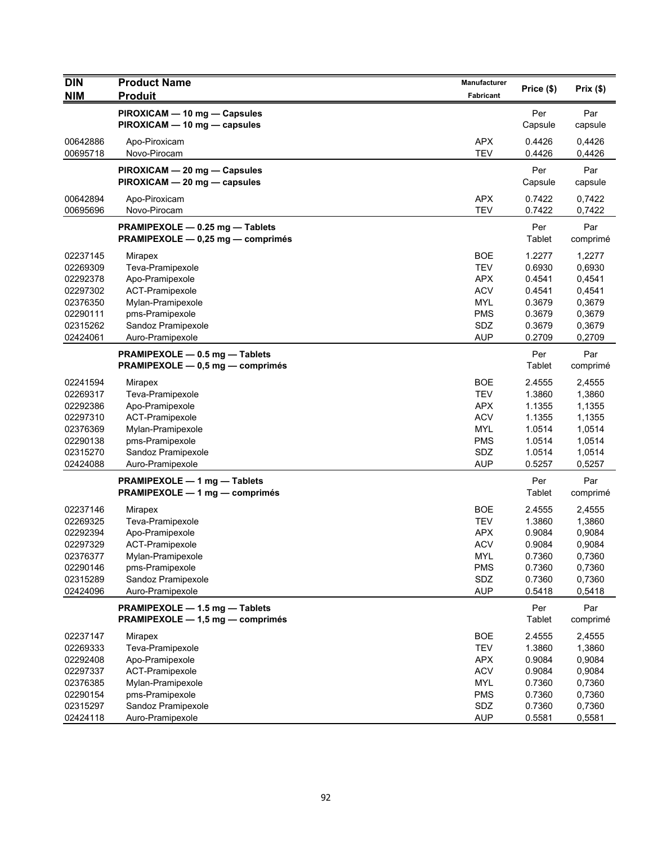| <b>DIN</b>           | <b>Product Name</b>                                                | <b>Manufacturer</b>      |                  |                  |
|----------------------|--------------------------------------------------------------------|--------------------------|------------------|------------------|
| <b>NIM</b>           | <b>Produit</b>                                                     | Fabricant                | Price (\$)       | Prix(\$)         |
|                      | PIROXICAM - 10 mg - Capsules                                       |                          | Per              | Par              |
|                      | PIROXICAM - 10 mg - capsules                                       |                          | Capsule          | capsule          |
| 00642886             | Apo-Piroxicam                                                      | <b>APX</b>               | 0.4426           | 0,4426           |
| 00695718             | Novo-Pirocam                                                       | <b>TEV</b>               | 0.4426           | 0,4426           |
|                      | PIROXICAM - 20 mg - Capsules                                       |                          | Per              | Par              |
|                      | PIROXICAM - 20 mg - capsules                                       |                          | Capsule          | capsule          |
| 00642894             | Apo-Piroxicam                                                      | <b>APX</b>               | 0.7422           | 0,7422           |
| 00695696             | Novo-Pirocam                                                       | <b>TEV</b>               | 0.7422           | 0,7422           |
|                      | PRAMIPEXOLE - 0.25 mg - Tablets                                    |                          | Per              | Par              |
|                      | PRAMIPEXOLE - 0,25 mg - comprimés                                  |                          | Tablet           | comprimé         |
| 02237145             |                                                                    | <b>BOE</b>               | 1.2277           | 1,2277           |
| 02269309             | Mirapex<br>Teva-Pramipexole                                        | <b>TEV</b>               | 0.6930           | 0,6930           |
| 02292378             | Apo-Pramipexole                                                    | <b>APX</b>               | 0.4541           | 0,4541           |
| 02297302             | ACT-Pramipexole                                                    | <b>ACV</b>               | 0.4541           | 0,4541           |
| 02376350             | Mylan-Pramipexole                                                  | <b>MYL</b>               | 0.3679           | 0,3679           |
| 02290111             | pms-Pramipexole                                                    | <b>PMS</b>               | 0.3679           | 0,3679           |
| 02315262             | Sandoz Pramipexole                                                 | SDZ                      | 0.3679           | 0,3679           |
| 02424061             | Auro-Pramipexole                                                   | <b>AUP</b>               | 0.2709           | 0,2709           |
|                      | PRAMIPEXOLE - 0.5 mg - Tablets                                     |                          | Per              | Par              |
|                      | PRAMIPEXOLE - 0,5 mg - comprimés                                   |                          | Tablet           | comprimé         |
| 02241594             | <b>Mirapex</b>                                                     | <b>BOE</b>               | 2.4555           | 2,4555           |
| 02269317             | Teva-Pramipexole                                                   | <b>TEV</b>               | 1.3860           | 1,3860           |
| 02292386             | Apo-Pramipexole                                                    | <b>APX</b>               | 1.1355           | 1,1355           |
| 02297310             | ACT-Pramipexole                                                    | <b>ACV</b>               | 1.1355           | 1,1355           |
| 02376369             | Mylan-Pramipexole                                                  | <b>MYL</b>               | 1.0514           | 1,0514           |
| 02290138             | pms-Pramipexole                                                    | PMS                      | 1.0514           | 1,0514           |
| 02315270             | Sandoz Pramipexole                                                 | SDZ                      | 1.0514           | 1,0514           |
| 02424088             | Auro-Pramipexole                                                   | <b>AUP</b>               | 0.5257           | 0,5257           |
|                      | PRAMIPEXOLE - 1 mg - Tablets                                       |                          | Per              | Par              |
|                      | PRAMIPEXOLE - 1 mg - comprimés                                     |                          | Tablet           | comprimé         |
| 02237146             | Mirapex                                                            | <b>BOE</b>               | 2.4555           | 2,4555           |
| 02269325             | Teva-Pramipexole                                                   | <b>TEV</b>               | 1.3860           | 1,3860           |
| 02292394             | Apo-Pramipexole                                                    | <b>APX</b>               | 0.9084           | 0,9084           |
| 02297329             | ACT-Pramipexole                                                    | <b>ACV</b>               | 0.9084           | 0,9084           |
| 02376377             | Mylan-Pramipexole                                                  | MYL                      | 0.7360           | 0,7360           |
| 02290146             | pms-Pramipexole<br>Sandoz Pramipexole                              | <b>PMS</b><br>SDZ        | 0.7360<br>0.7360 | 0,7360<br>0,7360 |
| 02315289<br>02424096 | Auro-Pramipexole                                                   | <b>AUP</b>               | 0.5418           | 0,5418           |
|                      |                                                                    |                          |                  |                  |
|                      | PRAMIPEXOLE - 1.5 mg - Tablets<br>PRAMIPEXOLE - 1,5 mg - comprimés |                          | Per<br>Tablet    | Par<br>comprimé  |
|                      |                                                                    |                          |                  |                  |
| 02237147             | Mirapex                                                            | <b>BOE</b>               | 2.4555           | 2,4555           |
| 02269333             | Teva-Pramipexole                                                   | <b>TEV</b>               | 1.3860           | 1,3860           |
| 02292408<br>02297337 | Apo-Pramipexole<br>ACT-Pramipexole                                 | <b>APX</b><br><b>ACV</b> | 0.9084<br>0.9084 | 0,9084<br>0,9084 |
| 02376385             | Mylan-Pramipexole                                                  | <b>MYL</b>               | 0.7360           | 0,7360           |
| 02290154             | pms-Pramipexole                                                    | <b>PMS</b>               | 0.7360           | 0,7360           |
| 02315297             | Sandoz Pramipexole                                                 | SDZ                      | 0.7360           | 0,7360           |
| 02424118             | Auro-Pramipexole                                                   | <b>AUP</b>               | 0.5581           | 0,5581           |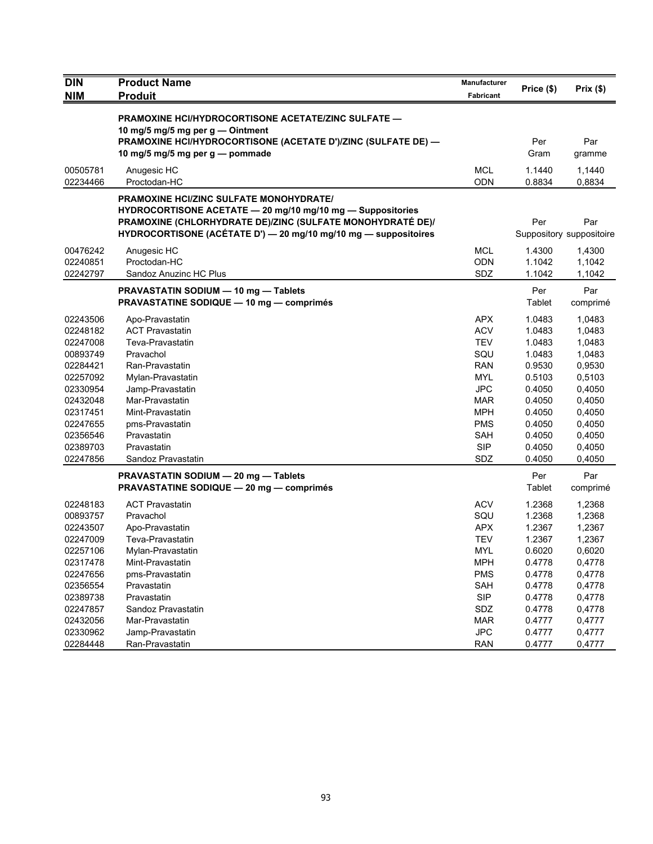| <b>DIN</b>           | <b>Product Name</b>                                                                                                                                                                                                                           | <b>Manufacturer</b>      |                  |                                 |
|----------------------|-----------------------------------------------------------------------------------------------------------------------------------------------------------------------------------------------------------------------------------------------|--------------------------|------------------|---------------------------------|
| <b>NIM</b>           | <b>Produit</b>                                                                                                                                                                                                                                | Fabricant                | Price (\$)       | Prix(\$)                        |
|                      | <b>PRAMOXINE HCI/HYDROCORTISONE ACETATE/ZINC SULFATE —</b><br>10 mg/5 mg/5 mg per g - Ointment                                                                                                                                                |                          |                  |                                 |
|                      | PRAMOXINE HCI/HYDROCORTISONE (ACETATE D')/ZINC (SULFATE DE) —<br>10 mg/5 mg/5 mg per g - pommade                                                                                                                                              |                          | Per<br>Gram      | Par<br>gramme                   |
| 00505781<br>02234466 | Anugesic HC<br>Proctodan-HC                                                                                                                                                                                                                   | <b>MCL</b><br><b>ODN</b> | 1.1440<br>0.8834 | 1,1440<br>0,8834                |
|                      | <b>PRAMOXINE HCI/ZINC SULFATE MONOHYDRATE/</b><br>HYDROCORTISONE ACETATE - 20 mg/10 mg/10 mg - Suppositories<br>PRAMOXINE (CHLORHYDRATE DE)/ZINC (SULFATE MONOHYDRATÉ DE)/<br>HYDROCORTISONE (ACÉTATE D') - 20 mg/10 mg/10 mg - suppositoires |                          | Per              | Par<br>Suppository suppositoire |
| 00476242             | Anugesic HC                                                                                                                                                                                                                                   | <b>MCL</b>               | 1.4300           | 1,4300                          |
| 02240851             | Proctodan-HC                                                                                                                                                                                                                                  | <b>ODN</b>               | 1.1042           | 1,1042                          |
| 02242797             | Sandoz Anuzinc HC Plus                                                                                                                                                                                                                        | SDZ                      | 1.1042           | 1,1042                          |
|                      | PRAVASTATIN SODIUM - 10 mg - Tablets<br><b>PRAVASTATINE SODIQUE — 10 mg — comprimés</b>                                                                                                                                                       |                          | Per<br>Tablet    | Par<br>comprimé                 |
| 02243506             | Apo-Pravastatin                                                                                                                                                                                                                               | <b>APX</b>               | 1.0483           | 1,0483                          |
| 02248182             | <b>ACT Pravastatin</b>                                                                                                                                                                                                                        | <b>ACV</b>               | 1.0483           | 1,0483                          |
| 02247008             | Teva-Pravastatin                                                                                                                                                                                                                              | <b>TEV</b>               | 1.0483           | 1,0483                          |
| 00893749             | Pravachol                                                                                                                                                                                                                                     | SQU                      | 1.0483           | 1,0483                          |
| 02284421             | Ran-Pravastatin                                                                                                                                                                                                                               | <b>RAN</b>               | 0.9530           | 0,9530                          |
| 02257092             | Mylan-Pravastatin                                                                                                                                                                                                                             | <b>MYL</b>               | 0.5103           | 0,5103                          |
| 02330954             | Jamp-Pravastatin                                                                                                                                                                                                                              | <b>JPC</b>               | 0.4050           | 0,4050                          |
| 02432048             | Mar-Pravastatin                                                                                                                                                                                                                               | MAR                      | 0.4050           | 0,4050                          |
| 02317451             | Mint-Pravastatin                                                                                                                                                                                                                              | <b>MPH</b>               | 0.4050           | 0,4050                          |
| 02247655             | pms-Pravastatin                                                                                                                                                                                                                               | <b>PMS</b>               | 0.4050           | 0,4050                          |
| 02356546             | Pravastatin                                                                                                                                                                                                                                   | <b>SAH</b>               | 0.4050           | 0,4050                          |
| 02389703             | Pravastatin                                                                                                                                                                                                                                   | <b>SIP</b>               | 0.4050           | 0,4050                          |
| 02247856             | Sandoz Pravastatin                                                                                                                                                                                                                            | SDZ                      | 0.4050           | 0,4050                          |
|                      | PRAVASTATIN SODIUM - 20 mg - Tablets                                                                                                                                                                                                          |                          | Per              | Par                             |
|                      | <b>PRAVASTATINE SODIQUE - 20 mg - comprimés</b>                                                                                                                                                                                               |                          | Tablet           | comprimé                        |
| 02248183             | <b>ACT Pravastatin</b>                                                                                                                                                                                                                        | <b>ACV</b>               | 1.2368           | 1,2368                          |
| 00893757             | Pravachol                                                                                                                                                                                                                                     | SQU                      | 1.2368           | 1,2368                          |
| 02243507             | Apo-Pravastatin                                                                                                                                                                                                                               | <b>APX</b>               | 1.2367           | 1,2367                          |
| 02247009             | Teva-Pravastatin                                                                                                                                                                                                                              | <b>TEV</b>               | 1.2367           | 1,2367                          |
| 02257106             | Mylan-Pravastatin                                                                                                                                                                                                                             | <b>MYL</b>               | 0.6020           | 0,6020                          |
| 02317478             | Mint-Pravastatin                                                                                                                                                                                                                              | <b>MPH</b>               | 0.4778           | 0,4778                          |
| 02247656             | pms-Pravastatin                                                                                                                                                                                                                               | <b>PMS</b>               | 0.4778           | 0,4778                          |
| 02356554             | Pravastatin                                                                                                                                                                                                                                   | <b>SAH</b>               | 0.4778           | 0,4778                          |
| 02389738             | Pravastatin                                                                                                                                                                                                                                   | <b>SIP</b>               | 0.4778           | 0,4778                          |
| 02247857             | Sandoz Pravastatin                                                                                                                                                                                                                            | SDZ                      | 0.4778           | 0,4778                          |
| 02432056             | Mar-Pravastatin                                                                                                                                                                                                                               | <b>MAR</b>               | 0.4777           | 0,4777                          |
| 02330962             | Jamp-Pravastatin                                                                                                                                                                                                                              | <b>JPC</b>               | 0.4777           | 0,4777                          |
| 02284448             | Ran-Pravastatin                                                                                                                                                                                                                               | <b>RAN</b>               | 0.4777           | 0,4777                          |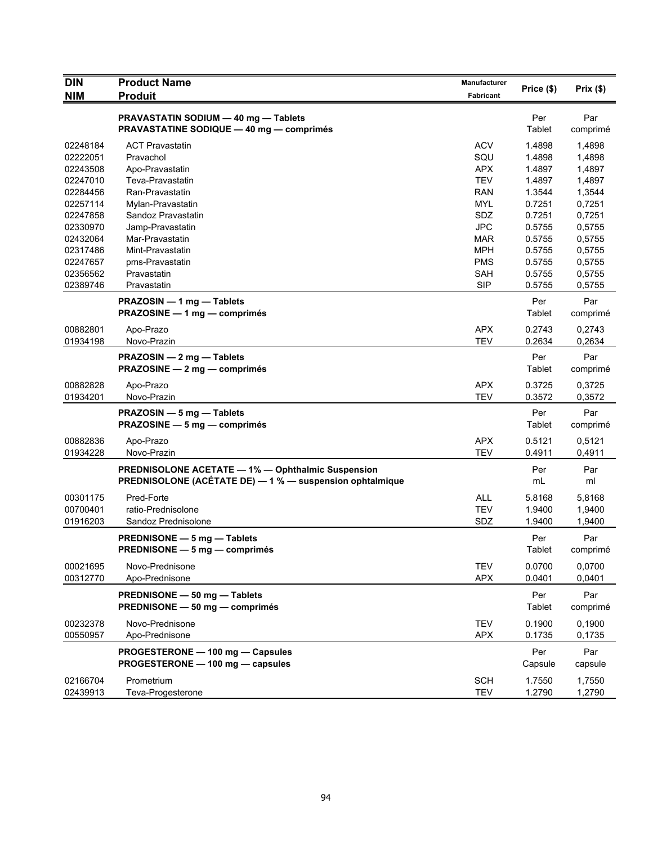| <b>DIN</b>           | <b>Product Name</b>                                                                                           | <b>Manufacturer</b>      | Price (\$)       | Prix(\$)         |
|----------------------|---------------------------------------------------------------------------------------------------------------|--------------------------|------------------|------------------|
| <b>NIM</b>           | <b>Produit</b>                                                                                                | Fabricant                |                  |                  |
|                      | PRAVASTATIN SODIUM - 40 mg - Tablets<br><b>PRAVASTATINE SODIQUE - 40 mg - comprimés</b>                       |                          | Per<br>Tablet    | Par<br>comprimé  |
| 02248184             | <b>ACT Pravastatin</b>                                                                                        | <b>ACV</b>               | 1.4898           | 1,4898           |
| 02222051             | Pravachol                                                                                                     | SQU                      | 1.4898           | 1,4898           |
| 02243508             | Apo-Pravastatin                                                                                               | <b>APX</b>               | 1.4897           | 1,4897           |
| 02247010             | Teva-Pravastatin                                                                                              | <b>TEV</b>               | 1.4897           | 1,4897           |
| 02284456             | Ran-Pravastatin                                                                                               | <b>RAN</b>               | 1.3544           | 1,3544           |
| 02257114             | Mylan-Pravastatin                                                                                             | <b>MYL</b>               | 0.7251           | 0,7251           |
| 02247858             | Sandoz Pravastatin                                                                                            | SDZ                      | 0.7251           | 0,7251           |
| 02330970             | Jamp-Pravastatin                                                                                              | <b>JPC</b>               | 0.5755           | 0,5755           |
| 02432064             | Mar-Pravastatin                                                                                               | <b>MAR</b>               | 0.5755           | 0,5755           |
| 02317486             | Mint-Pravastatin                                                                                              | <b>MPH</b>               | 0.5755           | 0,5755           |
| 02247657             | pms-Pravastatin                                                                                               | <b>PMS</b>               | 0.5755           | 0,5755           |
| 02356562             | Pravastatin                                                                                                   | SAH                      | 0.5755           | 0,5755           |
| 02389746             | Pravastatin                                                                                                   | <b>SIP</b>               | 0.5755           | 0,5755           |
|                      | PRAZOSIN - 1 mg - Tablets<br>PRAZOSINE - 1 mg - comprimés                                                     |                          | Per<br>Tablet    | Par<br>comprimé  |
| 00882801             | Apo-Prazo                                                                                                     | <b>APX</b>               | 0.2743           | 0,2743           |
| 01934198             | Novo-Prazin                                                                                                   | <b>TEV</b>               | 0.2634           | 0,2634           |
|                      | PRAZOSIN - 2 mg - Tablets<br>PRAZOSINE - 2 mg - comprimés                                                     |                          | Per<br>Tablet    | Par<br>comprimé  |
| 00882828             | Apo-Prazo                                                                                                     | <b>APX</b>               | 0.3725           | 0,3725           |
| 01934201             | Novo-Prazin                                                                                                   | <b>TEV</b>               | 0.3572           | 0,3572           |
|                      | PRAZOSIN - 5 mg - Tablets<br>PRAZOSINE - 5 mg - comprimés                                                     |                          | Per<br>Tablet    | Par<br>comprimé  |
| 00882836             | Apo-Prazo                                                                                                     | <b>APX</b>               | 0.5121           | 0,5121           |
| 01934228             | Novo-Prazin                                                                                                   | <b>TEV</b>               | 0.4911           | 0,4911           |
|                      | PREDNISOLONE ACETATE - 1% - Ophthalmic Suspension<br>PREDNISOLONE (ACÉTATE DE) - 1 % - suspension ophtalmique |                          | Per<br>mL        | Par<br>ml        |
| 00301175             | Pred-Forte                                                                                                    | <b>ALL</b>               | 5.8168           | 5,8168           |
| 00700401             | ratio-Prednisolone                                                                                            | <b>TEV</b>               | 1.9400           | 1,9400           |
| 01916203             | Sandoz Prednisolone                                                                                           | SDZ                      | 1.9400           | 1,9400           |
|                      | PREDNISONE - 5 mg - Tablets<br>PREDNISONE — 5 mg — comprimés                                                  |                          | Per<br>Tablet    | Par<br>comprimé  |
| 00021695             | Novo-Prednisone                                                                                               | <b>TEV</b>               | 0.0700           | 0,0700           |
| 00312770             | Apo-Prednisone                                                                                                | <b>APX</b>               | 0.0401           | 0,0401           |
|                      | PREDNISONE - 50 mg - Tablets<br>PREDNISONE - 50 mg - comprimés                                                |                          | Per<br>Tablet    | Par<br>comprimé  |
| 00232378<br>00550957 | Novo-Prednisone<br>Apo-Prednisone                                                                             | <b>TEV</b><br><b>APX</b> | 0.1900<br>0.1735 | 0,1900<br>0,1735 |
|                      | PROGESTERONE - 100 mg - Capsules<br>PROGESTERONE - 100 mg - capsules                                          |                          | Per<br>Capsule   | Par<br>capsule   |
| 02166704<br>02439913 | Prometrium<br>Teva-Progesterone                                                                               | <b>SCH</b><br><b>TEV</b> | 1.7550<br>1.2790 | 1,7550<br>1,2790 |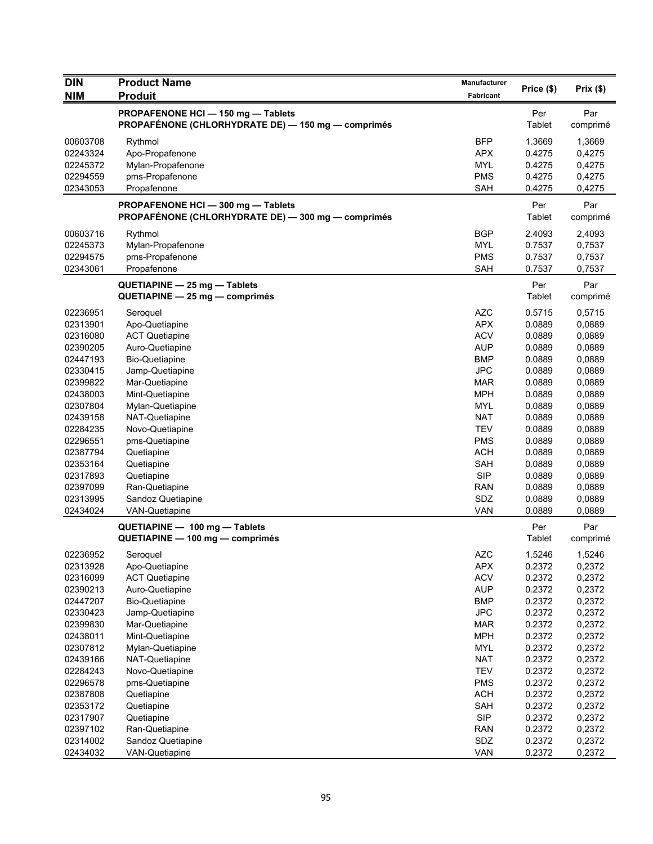| <b>DIN</b>           | <b>Product Name</b>                                                                      | <b>Manufacturer</b>      | Price (\$)       | Prix(\$)         |
|----------------------|------------------------------------------------------------------------------------------|--------------------------|------------------|------------------|
| <b>NIM</b>           | <b>Produit</b>                                                                           | Fabricant                |                  |                  |
|                      | PROPAFENONE HCI - 150 mg - Tablets<br>PROPAFÉNONE (CHLORHYDRATE DE) — 150 mg — comprimés |                          | Per<br>Tablet    | Par<br>comprimé  |
| 00603708             | Rythmol                                                                                  | <b>BFP</b>               | 1.3669           | 1,3669           |
| 02243324             | Apo-Propafenone                                                                          | <b>APX</b>               | 0.4275           | 0,4275           |
| 02245372             | Mylan-Propafenone                                                                        | <b>MYL</b>               | 0.4275           | 0,4275           |
| 02294559             | pms-Propafenone                                                                          | <b>PMS</b>               | 0.4275           | 0,4275           |
| 02343053             | Propafenone                                                                              | <b>SAH</b>               | 0.4275           | 0,4275           |
|                      | PROPAFENONE HCI - 300 mg - Tablets<br>PROPAFÉNONE (CHLORHYDRATE DE) - 300 mg - comprimés |                          | Per<br>Tablet    | Par<br>comprimé  |
| 00603716             | Rythmol                                                                                  | <b>BGP</b>               | 2.4093           | 2,4093           |
| 02245373             | Mylan-Propafenone                                                                        | <b>MYL</b>               | 0.7537           | 0,7537           |
| 02294575             | pms-Propafenone                                                                          | <b>PMS</b>               | 0.7537           | 0,7537           |
| 02343061             | Propafenone                                                                              | <b>SAH</b>               | 0.7537           | 0,7537           |
|                      | QUETIAPINE - 25 mg - Tablets<br>QUETIAPINE - 25 mg - comprimés                           |                          | Per<br>Tablet    | Par<br>comprimé  |
| 02236951             | Seroquel                                                                                 | <b>AZC</b>               | 0.5715           | 0,5715           |
| 02313901             | Apo-Quetiapine                                                                           | <b>APX</b>               | 0.0889           | 0,0889           |
| 02316080             | <b>ACT Quetiapine</b>                                                                    | <b>ACV</b>               | 0.0889           | 0,0889           |
| 02390205             | Auro-Quetiapine                                                                          | <b>AUP</b>               | 0.0889           | 0,0889           |
| 02447193             | <b>Bio-Quetiapine</b>                                                                    | <b>BMP</b>               | 0.0889           | 0,0889           |
| 02330415             | Jamp-Quetiapine                                                                          | <b>JPC</b>               | 0.0889           | 0,0889           |
| 02399822             | Mar-Quetiapine                                                                           | <b>MAR</b>               | 0.0889           | 0,0889           |
| 02438003             | Mint-Quetiapine                                                                          | <b>MPH</b>               | 0.0889           | 0,0889           |
| 02307804             | Mylan-Quetiapine                                                                         | <b>MYL</b><br><b>NAT</b> | 0.0889<br>0.0889 | 0,0889           |
| 02439158<br>02284235 | NAT-Quetiapine<br>Novo-Quetiapine                                                        | <b>TEV</b>               | 0.0889           | 0,0889<br>0,0889 |
| 02296551             | pms-Quetiapine                                                                           | <b>PMS</b>               | 0.0889           | 0,0889           |
| 02387794             | Quetiapine                                                                               | <b>ACH</b>               | 0.0889           | 0,0889           |
| 02353164             | Quetiapine                                                                               | <b>SAH</b>               | 0.0889           | 0,0889           |
| 02317893             | Quetiapine                                                                               | <b>SIP</b>               | 0.0889           | 0,0889           |
| 02397099             | Ran-Quetiapine                                                                           | <b>RAN</b>               | 0.0889           | 0,0889           |
| 02313995             | Sandoz Quetiapine                                                                        | SDZ                      | 0.0889           | 0,0889           |
| 02434024             | VAN-Quetiapine                                                                           | <b>VAN</b>               | 0.0889           | 0,0889           |
|                      | QUETIAPINE - 100 mg - Tablets<br>QUETIAPINE - 100 mg - comprimés                         |                          | Per<br>Tablet    | Par<br>comprimé  |
| 02236952             | Seroquel                                                                                 | <b>AZC</b>               | 1.5246           | 1,5246           |
| 02313928             | Apo-Quetiapine                                                                           | <b>APX</b>               | 0.2372           | 0,2372           |
| 02316099             | <b>ACT Quetiapine</b>                                                                    | <b>ACV</b>               | 0.2372           | 0,2372           |
| 02390213             | Auro-Quetiapine                                                                          | <b>AUP</b>               | 0.2372           | 0,2372           |
| 02447207             | <b>Bio-Quetiapine</b>                                                                    | <b>BMP</b>               | 0.2372           | 0,2372           |
| 02330423             | Jamp-Quetiapine                                                                          | <b>JPC</b>               | 0.2372           | 0,2372           |
| 02399830             | Mar-Quetiapine                                                                           | <b>MAR</b>               | 0.2372           | 0,2372           |
| 02438011             | Mint-Quetiapine                                                                          | <b>MPH</b>               | 0.2372           | 0,2372           |
| 02307812             | Mylan-Quetiapine                                                                         | <b>MYL</b>               | 0.2372           | 0,2372           |
| 02439166             | NAT-Quetiapine                                                                           | <b>NAT</b>               | 0.2372           | 0,2372           |
| 02284243             | Novo-Quetiapine                                                                          | <b>TEV</b>               | 0.2372           | 0,2372           |
| 02296578             | pms-Quetiapine                                                                           | <b>PMS</b>               | 0.2372           | 0,2372           |
| 02387808             | Quetiapine                                                                               | <b>ACH</b>               | 0.2372           | 0,2372           |
| 02353172             | Quetiapine                                                                               | <b>SAH</b>               | 0.2372           | 0,2372           |
| 02317907             | Quetiapine                                                                               | <b>SIP</b>               | 0.2372           | 0,2372           |
| 02397102<br>02314002 | Ran-Quetiapine<br>Sandoz Quetiapine                                                      | <b>RAN</b><br>SDZ        | 0.2372<br>0.2372 | 0,2372<br>0,2372 |
| 02434032             | <b>VAN-Quetiapine</b>                                                                    | VAN                      | 0.2372           | 0,2372           |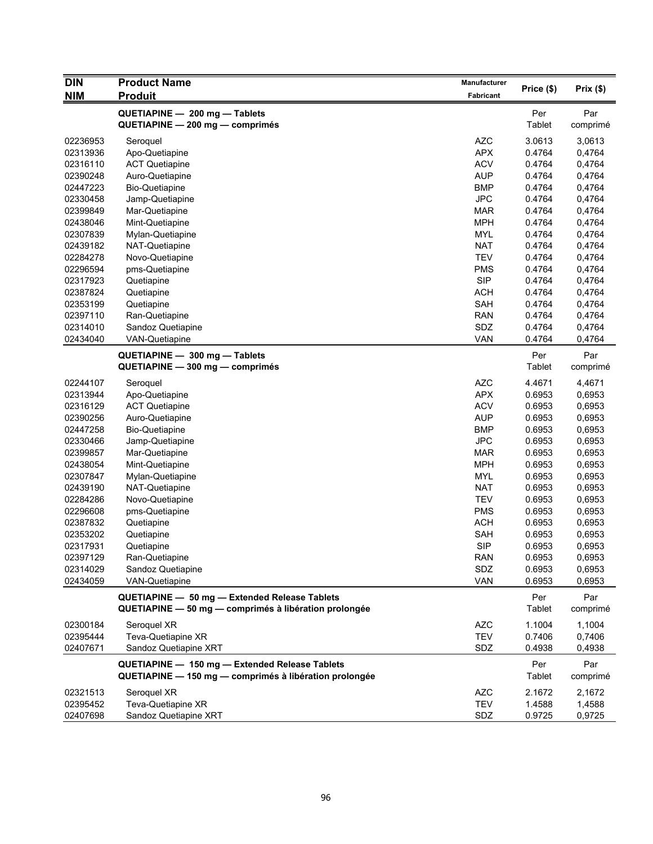| <b>DIN</b> | <b>Product Name</b>                                              | Manufacturer     | Price (\$)    | Prix(\$)        |
|------------|------------------------------------------------------------------|------------------|---------------|-----------------|
| NIM        | <b>Produit</b>                                                   | <b>Fabricant</b> |               |                 |
|            | QUETIAPINE - 200 mg - Tablets                                    |                  | Per           | Par             |
|            | QUETIAPINE - 200 mg - comprimés                                  |                  | Tablet        | comprimé        |
| 02236953   |                                                                  | <b>AZC</b>       | 3.0613        | 3,0613          |
| 02313936   | Seroquel<br>Apo-Quetiapine                                       | <b>APX</b>       | 0.4764        | 0,4764          |
| 02316110   | <b>ACT Quetiapine</b>                                            | <b>ACV</b>       | 0.4764        | 0,4764          |
| 02390248   | Auro-Quetiapine                                                  | <b>AUP</b>       | 0.4764        | 0,4764          |
| 02447223   | <b>Bio-Quetiapine</b>                                            | <b>BMP</b>       | 0.4764        | 0,4764          |
| 02330458   | Jamp-Quetiapine                                                  | <b>JPC</b>       | 0.4764        | 0,4764          |
| 02399849   | Mar-Quetiapine                                                   | <b>MAR</b>       | 0.4764        | 0,4764          |
| 02438046   | Mint-Quetiapine                                                  | <b>MPH</b>       | 0.4764        | 0,4764          |
| 02307839   | Mylan-Quetiapine                                                 | <b>MYL</b>       | 0.4764        | 0,4764          |
| 02439182   | NAT-Quetiapine                                                   | <b>NAT</b>       | 0.4764        | 0,4764          |
| 02284278   | Novo-Quetiapine                                                  | <b>TEV</b>       | 0.4764        | 0,4764          |
| 02296594   | pms-Quetiapine                                                   | <b>PMS</b>       | 0.4764        | 0,4764          |
| 02317923   | Quetiapine                                                       | <b>SIP</b>       | 0.4764        | 0,4764          |
| 02387824   | Quetiapine                                                       | <b>ACH</b>       | 0.4764        | 0,4764          |
| 02353199   | Quetiapine                                                       | <b>SAH</b>       | 0.4764        | 0,4764          |
| 02397110   | Ran-Quetiapine                                                   | <b>RAN</b>       | 0.4764        | 0,4764          |
| 02314010   | Sandoz Quetiapine                                                | SDZ              | 0.4764        | 0,4764          |
| 02434040   | <b>VAN-Quetiapine</b>                                            | <b>VAN</b>       | 0.4764        | 0,4764          |
|            |                                                                  |                  |               |                 |
|            | QUETIAPINE - 300 mg - Tablets<br>QUETIAPINE - 300 mg - comprimés |                  | Per<br>Tablet | Par<br>comprimé |
| 02244107   | Seroquel                                                         | <b>AZC</b>       | 4.4671        | 4,4671          |
| 02313944   | Apo-Quetiapine                                                   | <b>APX</b>       | 0.6953        | 0,6953          |
| 02316129   | <b>ACT Quetiapine</b>                                            | <b>ACV</b>       | 0.6953        | 0,6953          |
| 02390256   | Auro-Quetiapine                                                  | <b>AUP</b>       | 0.6953        | 0,6953          |
| 02447258   | <b>Bio-Quetiapine</b>                                            | <b>BMP</b>       | 0.6953        | 0,6953          |
| 02330466   | Jamp-Quetiapine                                                  | <b>JPC</b>       | 0.6953        | 0,6953          |
| 02399857   | Mar-Quetiapine                                                   | <b>MAR</b>       | 0.6953        | 0,6953          |
| 02438054   | Mint-Quetiapine                                                  | <b>MPH</b>       | 0.6953        | 0,6953          |
| 02307847   | Mylan-Quetiapine                                                 | <b>MYL</b>       | 0.6953        | 0,6953          |
| 02439190   | NAT-Quetiapine                                                   | <b>NAT</b>       | 0.6953        | 0,6953          |
| 02284286   | Novo-Quetiapine                                                  | <b>TEV</b>       | 0.6953        | 0,6953          |
| 02296608   | pms-Quetiapine                                                   | <b>PMS</b>       | 0.6953        | 0,6953          |
| 02387832   | Quetiapine                                                       | <b>ACH</b>       | 0.6953        | 0,6953          |
| 02353202   | Quetiapine                                                       | <b>SAH</b>       | 0.6953        | 0,6953          |
| 02317931   | Quetiapine                                                       | <b>SIP</b>       | 0.6953        | 0,6953          |
| 02397129   | Ran-Quetiapine                                                   | <b>RAN</b>       | 0.6953        | 0,6953          |
| 02314029   | Sandoz Quetiapine                                                | SDZ              | 0.6953        | 0,6953          |
| 02434059   | VAN-Quetiapine                                                   | VAN              | 0.6953        | 0,6953          |
|            | QUETIAPINE - 50 mg - Extended Release Tablets                    |                  | Per           | Par             |
|            | QUETIAPINE - 50 mg - comprimés à libération prolongée            |                  | Tablet        | comprimé        |
| 02300184   | Seroquel XR                                                      | <b>AZC</b>       | 1.1004        | 1,1004          |
| 02395444   | Teva-Quetiapine XR                                               | <b>TEV</b>       | 0.7406        | 0,7406          |
| 02407671   | Sandoz Quetiapine XRT                                            | SDZ              | 0.4938        | 0,4938          |
|            | QUETIAPINE - 150 mg - Extended Release Tablets                   |                  | Per           | Par             |
|            | QUETIAPINE - 150 mg - comprimés à libération prolongée           |                  | Tablet        | comprimé        |
| 02321513   | Seroquel XR                                                      | AZC              | 2.1672        | 2,1672          |
| 02395452   | Teva-Quetiapine XR                                               | <b>TEV</b>       | 1.4588        | 1,4588          |
| 02407698   | Sandoz Quetiapine XRT                                            | SDZ              | 0.9725        | 0,9725          |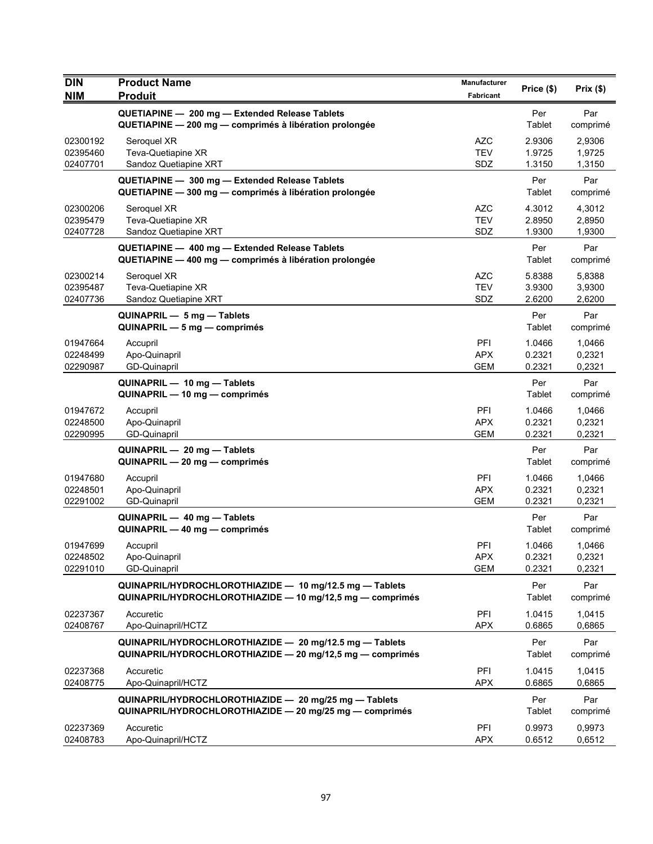| <b>DIN</b>                       | <b>Product Name</b>                                                                                                  | Manufacturer                    | Price (\$)                 | Prix(\$)                   |
|----------------------------------|----------------------------------------------------------------------------------------------------------------------|---------------------------------|----------------------------|----------------------------|
| <b>NIM</b>                       | <b>Produit</b>                                                                                                       | Fabricant                       |                            |                            |
|                                  | QUETIAPINE - 200 mg - Extended Release Tablets<br>QUETIAPINE - 200 mg - comprimés à libération prolongée             |                                 | Per<br>Tablet              | Par<br>comprimé            |
| 02300192<br>02395460<br>02407701 | Seroquel XR<br>Teva-Quetiapine XR<br>Sandoz Quetiapine XRT                                                           | AZC<br><b>TEV</b><br>SDZ        | 2.9306<br>1.9725<br>1.3150 | 2,9306<br>1,9725<br>1,3150 |
|                                  | QUETIAPINE - 300 mg - Extended Release Tablets<br>QUETIAPINE - 300 mg - comprimés à libération prolongée             |                                 | Per<br>Tablet              | Par<br>comprimé            |
| 02300206<br>02395479<br>02407728 | Seroquel XR<br>Teva-Quetiapine XR<br>Sandoz Quetiapine XRT                                                           | <b>AZC</b><br><b>TEV</b><br>SDZ | 4.3012<br>2.8950<br>1.9300 | 4,3012<br>2,8950<br>1,9300 |
|                                  | QUETIAPINE - 400 mg - Extended Release Tablets<br>QUETIAPINE - 400 mg - comprimés à libération prolongée             |                                 | Per<br>Tablet              | Par<br>comprimé            |
| 02300214<br>02395487<br>02407736 | Seroquel XR<br>Teva-Quetiapine XR<br>Sandoz Quetiapine XRT                                                           | <b>AZC</b><br><b>TEV</b><br>SDZ | 5.8388<br>3.9300<br>2.6200 | 5,8388<br>3,9300<br>2,6200 |
|                                  | QUINAPRIL - 5 mg - Tablets<br>QUINAPRIL - 5 mg - comprimés                                                           |                                 | Per<br>Tablet              | Par<br>comprimé            |
| 01947664<br>02248499<br>02290987 | Accupril<br>Apo-Quinapril<br><b>GD-Quinapril</b>                                                                     | PFI<br><b>APX</b><br><b>GEM</b> | 1.0466<br>0.2321<br>0.2321 | 1,0466<br>0,2321<br>0,2321 |
|                                  | QUINAPRIL - 10 mg - Tablets<br>QUINAPRIL — 10 mg — comprimés                                                         |                                 | Per<br>Tablet              | Par<br>comprimé            |
| 01947672<br>02248500<br>02290995 | Accupril<br>Apo-Quinapril<br>GD-Quinapril                                                                            | PFI<br><b>APX</b><br><b>GEM</b> | 1.0466<br>0.2321<br>0.2321 | 1,0466<br>0,2321<br>0,2321 |
|                                  | QUINAPRIL - 20 mg - Tablets<br>QUINAPRIL - 20 mg - comprimés                                                         |                                 | Per<br>Tablet              | Par<br>comprimé            |
| 01947680<br>02248501<br>02291002 | Accupril<br>Apo-Quinapril<br>GD-Quinapril                                                                            | PFI<br><b>APX</b><br><b>GEM</b> | 1.0466<br>0.2321<br>0.2321 | 1,0466<br>0,2321<br>0,2321 |
|                                  | QUINAPRIL - 40 mg - Tablets<br>QUINAPRIL - 40 mg - comprimés                                                         |                                 | Per<br>Tablet              | Par<br>comprimé            |
| 01947699<br>02248502<br>02291010 | Accupril<br>Apo-Quinapril<br>GD-Quinapril                                                                            | PFI<br>APX<br><b>GEM</b>        | 1.0466<br>0.2321<br>0.2321 | 1,0466<br>0,2321<br>0,2321 |
|                                  | QUINAPRIL/HYDROCHLOROTHIAZIDE - 10 mg/12.5 mg - Tablets<br>QUINAPRIL/HYDROCHLOROTHIAZIDE - 10 mg/12,5 mg - comprimés |                                 | Per<br>Tablet              | Par<br>comprimé            |
| 02237367<br>02408767             | Accuretic<br>Apo-Quinapril/HCTZ                                                                                      | PFI<br><b>APX</b>               | 1.0415<br>0.6865           | 1,0415<br>0,6865           |
|                                  | QUINAPRIL/HYDROCHLOROTHIAZIDE - 20 mg/12.5 mg - Tablets<br>QUINAPRIL/HYDROCHLOROTHIAZIDE - 20 mg/12,5 mg - comprimés |                                 | Per<br>Tablet              | Par<br>comprimé            |
| 02237368<br>02408775             | Accuretic<br>Apo-Quinapril/HCTZ                                                                                      | PFI<br><b>APX</b>               | 1.0415<br>0.6865           | 1,0415<br>0,6865           |
|                                  | QUINAPRIL/HYDROCHLOROTHIAZIDE - 20 mg/25 mg - Tablets<br>QUINAPRIL/HYDROCHLOROTHIAZIDE - 20 mg/25 mg - comprimés     |                                 | Per<br>Tablet              | Par<br>comprimé            |
| 02237369<br>02408783             | Accuretic<br>Apo-Quinapril/HCTZ                                                                                      | PFI<br><b>APX</b>               | 0.9973<br>0.6512           | 0,9973<br>0,6512           |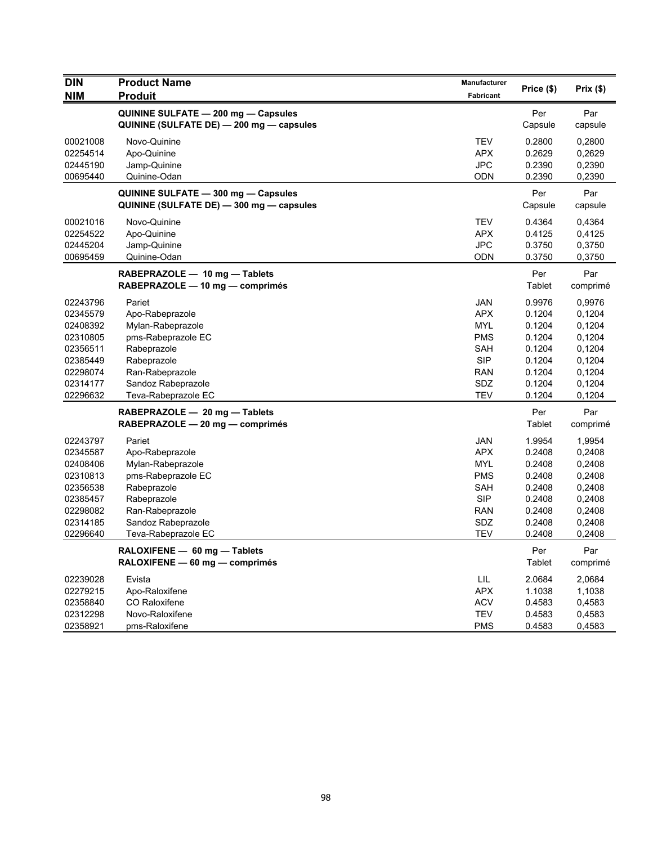| <b>DIN</b>           | <b>Product Name</b>                                                             | Manufacturer     | Price (\$)       | Prix(\$)         |
|----------------------|---------------------------------------------------------------------------------|------------------|------------------|------------------|
| <b>NIM</b>           | Produit                                                                         | <b>Fabricant</b> |                  |                  |
|                      | QUININE SULFATE - 200 mg - Capsules<br>QUININE (SULFATE DE) - 200 mg - capsules |                  | Per<br>Capsule   | Par<br>capsule   |
| 00021008             | Novo-Quinine                                                                    | <b>TEV</b>       | 0.2800           | 0,2800           |
| 02254514             | Apo-Quinine                                                                     | <b>APX</b>       | 0.2629           | 0,2629           |
| 02445190             | Jamp-Quinine                                                                    | <b>JPC</b>       | 0.2390           | 0,2390           |
| 00695440             | Quinine-Odan                                                                    | <b>ODN</b>       | 0.2390           | 0,2390           |
|                      | QUININE SULFATE - 300 mg - Capsules                                             |                  | Per              | Par              |
|                      | QUININE (SULFATE DE) - 300 mg - capsules                                        |                  | Capsule          | capsule          |
| 00021016             | Novo-Quinine                                                                    | <b>TEV</b>       | 0.4364           | 0,4364           |
| 02254522             | Apo-Quinine                                                                     | <b>APX</b>       | 0.4125           | 0,4125           |
| 02445204             | Jamp-Quinine                                                                    | <b>JPC</b>       | 0.3750           | 0,3750           |
| 00695459             | Quinine-Odan                                                                    | <b>ODN</b>       | 0.3750           | 0,3750           |
|                      | RABEPRAZOLE - 10 mg - Tablets                                                   |                  | Per              | Par              |
|                      | RABEPRAZOLE - 10 mg - comprimés                                                 |                  | Tablet           | comprimé         |
| 02243796             | Pariet                                                                          | JAN              | 0.9976           | 0,9976           |
| 02345579             | Apo-Rabeprazole                                                                 | <b>APX</b>       | 0.1204           | 0,1204           |
| 02408392             | Mylan-Rabeprazole                                                               | <b>MYL</b>       | 0.1204           | 0,1204           |
| 02310805             | pms-Rabeprazole EC                                                              | <b>PMS</b>       | 0.1204           | 0,1204           |
| 02356511             | Rabeprazole                                                                     | SAH              | 0.1204           | 0,1204           |
| 02385449             | Rabeprazole                                                                     | <b>SIP</b>       | 0.1204           | 0,1204           |
| 02298074             | Ran-Rabeprazole                                                                 | <b>RAN</b>       | 0.1204           | 0,1204           |
| 02314177             | Sandoz Rabeprazole                                                              | SDZ              | 0.1204           | 0,1204           |
| 02296632             | Teva-Rabeprazole EC                                                             | TEV              | 0.1204           | 0,1204           |
|                      | RABEPRAZOLE - 20 mg - Tablets                                                   |                  | Per              | Par              |
|                      | RABEPRAZOLE - 20 mg - comprimés                                                 |                  | Tablet           | comprimé         |
| 02243797             | Pariet                                                                          | <b>JAN</b>       | 1.9954           | 1,9954           |
| 02345587             | Apo-Rabeprazole                                                                 | <b>APX</b>       | 0.2408           | 0,2408           |
| 02408406             | Mylan-Rabeprazole                                                               | <b>MYL</b>       | 0.2408           | 0,2408           |
| 02310813             | pms-Rabeprazole EC                                                              | <b>PMS</b>       | 0.2408           | 0,2408           |
| 02356538             | Rabeprazole                                                                     | SAH              | 0.2408           | 0,2408           |
| 02385457             | Rabeprazole                                                                     | <b>SIP</b>       | 0.2408           | 0,2408           |
| 02298082             | Ran-Rabeprazole                                                                 | <b>RAN</b>       | 0.2408           | 0,2408           |
| 02314185<br>02296640 | Sandoz Rabeprazole<br>Teva-Rabeprazole EC                                       | SDZ<br>TEV       | 0.2408<br>0.2408 | 0,2408<br>0,2408 |
|                      |                                                                                 |                  |                  |                  |
|                      | RALOXIFENE - 60 mg - Tablets                                                    |                  | Per              | Par              |
|                      | RALOXIFENE - 60 mg - comprimés                                                  |                  | Tablet           | comprimé         |
| 02239028             | Evista                                                                          | LIL              | 2.0684           | 2,0684           |
| 02279215             | Apo-Raloxifene                                                                  | <b>APX</b>       | 1.1038           | 1,1038           |
| 02358840             | <b>CO Raloxifene</b>                                                            | <b>ACV</b>       | 0.4583           | 0,4583           |
| 02312298             | Novo-Raloxifene                                                                 | <b>TEV</b>       | 0.4583           | 0,4583           |
| 02358921             | pms-Raloxifene                                                                  | <b>PMS</b>       | 0.4583           | 0,4583           |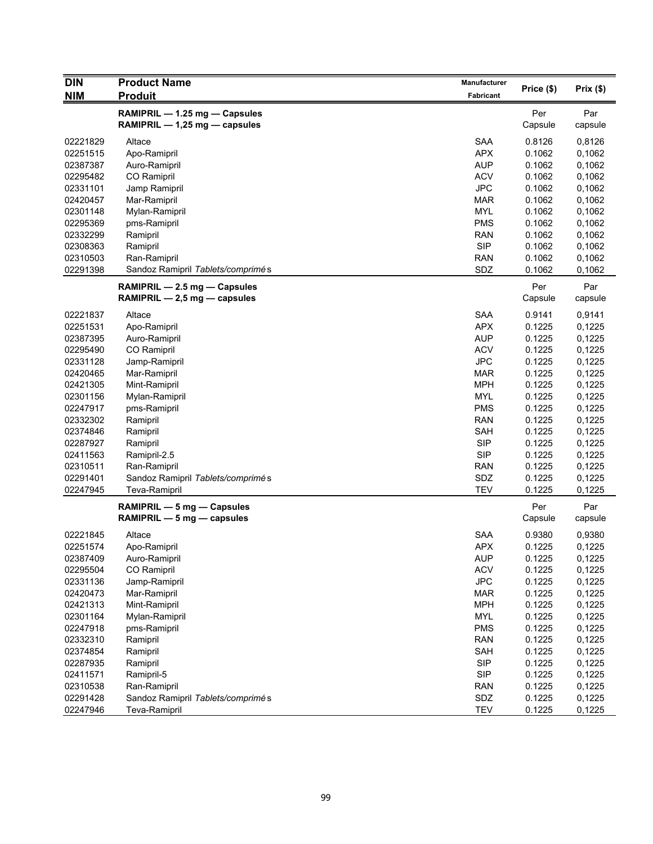| <b>DIN</b> | <b>Product Name</b>               | Manufacturer |            |          |
|------------|-----------------------------------|--------------|------------|----------|
| <b>NIM</b> | <b>Produit</b>                    | Fabricant    | Price (\$) | Prix(\$) |
|            | RAMIPRIL - 1.25 mg - Capsules     |              | Per        | Par      |
|            | RAMIPRIL - 1,25 mg - capsules     |              | Capsule    | capsule  |
| 02221829   | Altace                            | SAA          | 0.8126     | 0,8126   |
| 02251515   | Apo-Ramipril                      | <b>APX</b>   | 0.1062     | 0,1062   |
| 02387387   | Auro-Ramipril                     | <b>AUP</b>   | 0.1062     | 0,1062   |
| 02295482   | CO Ramipril                       | <b>ACV</b>   | 0.1062     | 0,1062   |
| 02331101   | Jamp Ramipril                     | <b>JPC</b>   | 0.1062     | 0,1062   |
| 02420457   | Mar-Ramipril                      | <b>MAR</b>   | 0.1062     | 0,1062   |
| 02301148   | Mylan-Ramipril                    | <b>MYL</b>   | 0.1062     | 0,1062   |
| 02295369   | pms-Ramipril                      | <b>PMS</b>   | 0.1062     | 0,1062   |
| 02332299   | Ramipril                          | <b>RAN</b>   | 0.1062     | 0,1062   |
| 02308363   | Ramipril                          | <b>SIP</b>   | 0.1062     | 0,1062   |
| 02310503   | Ran-Ramipril                      | <b>RAN</b>   | 0.1062     | 0,1062   |
| 02291398   | Sandoz Ramipril Tablets/comprimés | SDZ          | 0.1062     | 0,1062   |
|            | RAMIPRIL - 2.5 mg - Capsules      |              | Per        | Par      |
|            | RAMIPRIL $-2.5$ mg $-$ capsules   |              | Capsule    | capsule  |
| 02221837   | Altace                            | <b>SAA</b>   | 0.9141     | 0,9141   |
| 02251531   | Apo-Ramipril                      | <b>APX</b>   | 0.1225     | 0,1225   |
| 02387395   | Auro-Ramipril                     | <b>AUP</b>   | 0.1225     | 0,1225   |
| 02295490   | CO Ramipril                       | <b>ACV</b>   | 0.1225     | 0,1225   |
| 02331128   | Jamp-Ramipril                     | <b>JPC</b>   | 0.1225     | 0,1225   |
| 02420465   | Mar-Ramipril                      | <b>MAR</b>   | 0.1225     | 0,1225   |
| 02421305   | Mint-Ramipril                     | <b>MPH</b>   | 0.1225     | 0,1225   |
| 02301156   | Mylan-Ramipril                    | <b>MYL</b>   | 0.1225     | 0,1225   |
| 02247917   | pms-Ramipril                      | <b>PMS</b>   | 0.1225     | 0,1225   |
| 02332302   | Ramipril                          | <b>RAN</b>   | 0.1225     | 0,1225   |
| 02374846   | Ramipril                          | SAH          | 0.1225     | 0,1225   |
| 02287927   | Ramipril                          | <b>SIP</b>   | 0.1225     | 0,1225   |
| 02411563   | Ramipril-2.5                      | <b>SIP</b>   | 0.1225     | 0,1225   |
| 02310511   | Ran-Ramipril                      | RAN          | 0.1225     | 0,1225   |
| 02291401   | Sandoz Ramipril Tablets/comprimés | SDZ          | 0.1225     | 0,1225   |
| 02247945   | <b>Teva-Ramipril</b>              | <b>TEV</b>   | 0.1225     | 0,1225   |
|            | RAMIPRIL - 5 mg - Capsules        |              | Per        | Par      |
|            | RAMIPRIL - 5 mg - capsules        |              | Capsule    | capsule  |
| 02221845   | Altace                            | SAA          | 0.9380     | 0,9380   |
| 02251574   | Apo-Ramipril                      | <b>APX</b>   | 0.1225     | 0,1225   |
| 02387409   | Auro-Ramipril                     | <b>AUP</b>   | 0.1225     | 0,1225   |
| 02295504   | CO Ramipril                       | <b>ACV</b>   | 0.1225     | 0,1225   |
| 02331136   | Jamp-Ramipril                     | <b>JPC</b>   | 0.1225     | 0,1225   |
| 02420473   | Mar-Ramipril                      | <b>MAR</b>   | 0.1225     | 0,1225   |
| 02421313   | Mint-Ramipril                     | <b>MPH</b>   | 0.1225     | 0,1225   |
| 02301164   | Mylan-Ramipril                    | <b>MYL</b>   | 0.1225     | 0,1225   |
| 02247918   | pms-Ramipril                      | <b>PMS</b>   | 0.1225     | 0,1225   |
| 02332310   | Ramipril                          | <b>RAN</b>   | 0.1225     | 0,1225   |
| 02374854   | Ramipril                          | SAH          | 0.1225     | 0,1225   |
| 02287935   | Ramipril                          | <b>SIP</b>   | 0.1225     | 0,1225   |
| 02411571   | Ramipril-5                        | <b>SIP</b>   | 0.1225     | 0,1225   |
| 02310538   | Ran-Ramipril                      | <b>RAN</b>   | 0.1225     | 0,1225   |
| 02291428   | Sandoz Ramipril Tablets/comprimés | SDZ          | 0.1225     | 0,1225   |
| 02247946   | Teva-Ramipril                     | <b>TEV</b>   | 0.1225     | 0,1225   |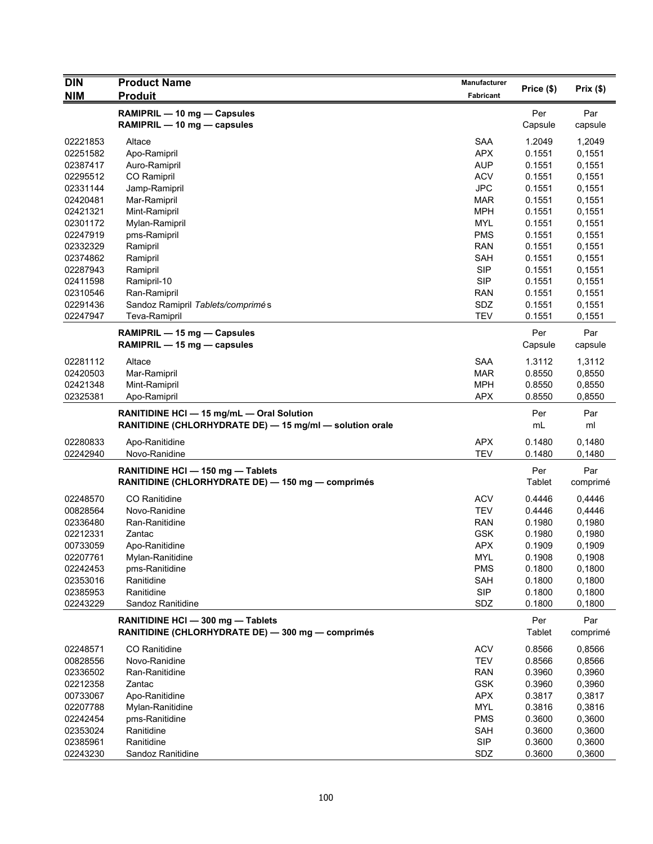| <b>NIM</b><br><b>Produit</b><br>Fabricant<br>RAMIPRIL - 10 mg - Capsules<br>Per<br>Par<br>RAMIPRIL - 10 mg - capsules<br>Capsule<br>capsule<br><b>SAA</b><br>1.2049<br>02221853<br>Altace<br>1,2049<br><b>APX</b><br>02251582<br>Apo-Ramipril<br>0.1551<br>0,1551<br><b>AUP</b><br>02387417<br>Auro-Ramipril<br>0.1551<br>0,1551<br><b>ACV</b><br>0.1551<br>0,1551<br>02295512<br>CO Ramipril<br><b>JPC</b><br>0,1551<br>02331144<br>Jamp-Ramipril<br>0.1551<br>02420481<br>Mar-Ramipril<br><b>MAR</b><br>0.1551<br>0,1551<br><b>MPH</b><br>02421321<br>Mint-Ramipril<br>0.1551<br>0,1551<br>02301172<br>MYL<br>Mylan-Ramipril<br>0.1551<br>0,1551<br><b>PMS</b><br>02247919<br>pms-Ramipril<br>0.1551<br>0,1551<br><b>RAN</b><br>0.1551<br>0,1551<br>02332329<br>Ramipril<br>SAH<br>0,1551<br>02374862<br>Ramipril<br>0.1551<br>02287943<br><b>SIP</b><br>0.1551<br>Ramipril<br>0,1551<br><b>SIP</b><br>02411598<br>Ramipril-10<br>0.1551<br>0,1551<br>02310546<br>Ran-Ramipril<br><b>RAN</b><br>0.1551<br>0,1551<br>Sandoz Ramipril Tablets/comprimés<br>SDZ<br>02291436<br>0.1551<br>0,1551<br><b>TEV</b><br>0,1551<br>02247947<br>Teva-Ramipril<br>0.1551<br>Per<br>Par<br>RAMIPRIL - 15 mg - Capsules<br>RAMIPRIL - 15 mg - capsules<br>Capsule<br>capsule<br>02281112<br>Altace<br><b>SAA</b><br>1.3112<br>1,3112<br>02420503<br><b>MAR</b><br>0.8550<br>0,8550<br>Mar-Ramipril<br>02421348<br>Mint-Ramipril<br><b>MPH</b><br>0.8550<br>0,8550<br>02325381<br><b>APX</b><br>Apo-Ramipril<br>0.8550<br>0,8550<br>RANITIDINE HCI - 15 mg/mL - Oral Solution<br>Per<br>Par<br>RANITIDINE (CHLORHYDRATE DE) - 15 mg/ml - solution orale<br>mL<br>ml<br><b>APX</b><br>02280833<br>Apo-Ranitidine<br>0.1480<br>0,1480<br><b>TEV</b><br>02242940<br>Novo-Ranidine<br>0.1480<br>0,1480<br>Per<br>Par<br>RANITIDINE HCI - 150 mg - Tablets<br>RANITIDINE (CHLORHYDRATE DE) - 150 mg - comprimés<br>Tablet<br>comprimé<br>CO Ranitidine<br><b>ACV</b><br>02248570<br>0.4446<br>0,4446<br>Novo-Ranidine<br><b>TEV</b><br>00828564<br>0.4446<br>0,4446<br>Ran-Ranitidine<br><b>RAN</b><br>02336480<br>0.1980<br>0,1980<br><b>GSK</b><br>02212331<br>Zantac<br>0.1980<br>0,1980<br><b>APX</b><br>00733059<br>0.1909<br>0,1909<br>Apo-Ranitidine<br>02207761<br>Mylan-Ranitidine<br><b>MYL</b><br>0.1908<br>0,1908<br><b>PMS</b><br>02242453<br>pms-Ranitidine<br>0.1800<br>0,1800<br>Ranitidine<br>SAH<br>0,1800<br>02353016<br>0.1800<br><b>SIP</b><br>02385953<br>Ranitidine<br>0,1800<br>0.1800<br>02243229<br>SDZ<br>0.1800<br>0,1800<br>Sandoz Ranitidine<br>RANITIDINE HCI - 300 mg - Tablets<br>Per<br>Par<br>RANITIDINE (CHLORHYDRATE DE) - 300 mg - comprimés<br>Tablet<br>comprimé<br>CO Ranitidine<br><b>ACV</b><br>0.8566<br>0,8566<br>02248571<br>00828556<br>Novo-Ranidine<br><b>TEV</b><br>0.8566<br>0,8566<br>02336502<br>Ran-Ranitidine<br><b>RAN</b><br>0.3960<br>0,3960<br>02212358<br><b>GSK</b><br>Zantac<br>0.3960<br>0,3960<br><b>APX</b><br>0.3817<br>00733067<br>Apo-Ranitidine<br>0,3817<br>02207788<br><b>MYL</b><br>0.3816<br>0,3816<br>Mylan-Ranitidine<br><b>PMS</b><br>0.3600<br>0,3600<br>02242454<br>pms-Ranitidine<br>Ranitidine<br>0,3600<br>02353024<br>SAH<br>0.3600<br><b>SIP</b><br>02385961<br>Ranitidine<br>0.3600<br>0,3600<br>02243230<br>SDZ<br>0.3600<br>0,3600<br>Sandoz Ranitidine | <b>DIN</b> | <b>Product Name</b> | Manufacturer | Price (\$) | Prix(\$) |
|----------------------------------------------------------------------------------------------------------------------------------------------------------------------------------------------------------------------------------------------------------------------------------------------------------------------------------------------------------------------------------------------------------------------------------------------------------------------------------------------------------------------------------------------------------------------------------------------------------------------------------------------------------------------------------------------------------------------------------------------------------------------------------------------------------------------------------------------------------------------------------------------------------------------------------------------------------------------------------------------------------------------------------------------------------------------------------------------------------------------------------------------------------------------------------------------------------------------------------------------------------------------------------------------------------------------------------------------------------------------------------------------------------------------------------------------------------------------------------------------------------------------------------------------------------------------------------------------------------------------------------------------------------------------------------------------------------------------------------------------------------------------------------------------------------------------------------------------------------------------------------------------------------------------------------------------------------------------------------------------------------------------------------------------------------------------------------------------------------------------------------------------------------------------------------------------------------------------------------------------------------------------------------------------------------------------------------------------------------------------------------------------------------------------------------------------------------------------------------------------------------------------------------------------------------------------------------------------------------------------------------------------------------------------------------------------------------------------------------------------------------------------------------------------------------------------------------------------------------------------------------------------------------------------------------------------------------------------------------------------------------------------------------------------------------------------------------------------------------------------------------------------------------------------------------------------------------------------------------------------------------------------------------------------------------------------------|------------|---------------------|--------------|------------|----------|
|                                                                                                                                                                                                                                                                                                                                                                                                                                                                                                                                                                                                                                                                                                                                                                                                                                                                                                                                                                                                                                                                                                                                                                                                                                                                                                                                                                                                                                                                                                                                                                                                                                                                                                                                                                                                                                                                                                                                                                                                                                                                                                                                                                                                                                                                                                                                                                                                                                                                                                                                                                                                                                                                                                                                                                                                                                                                                                                                                                                                                                                                                                                                                                                                                                                                                                                            |            |                     |              |            |          |
|                                                                                                                                                                                                                                                                                                                                                                                                                                                                                                                                                                                                                                                                                                                                                                                                                                                                                                                                                                                                                                                                                                                                                                                                                                                                                                                                                                                                                                                                                                                                                                                                                                                                                                                                                                                                                                                                                                                                                                                                                                                                                                                                                                                                                                                                                                                                                                                                                                                                                                                                                                                                                                                                                                                                                                                                                                                                                                                                                                                                                                                                                                                                                                                                                                                                                                                            |            |                     |              |            |          |
|                                                                                                                                                                                                                                                                                                                                                                                                                                                                                                                                                                                                                                                                                                                                                                                                                                                                                                                                                                                                                                                                                                                                                                                                                                                                                                                                                                                                                                                                                                                                                                                                                                                                                                                                                                                                                                                                                                                                                                                                                                                                                                                                                                                                                                                                                                                                                                                                                                                                                                                                                                                                                                                                                                                                                                                                                                                                                                                                                                                                                                                                                                                                                                                                                                                                                                                            |            |                     |              |            |          |
|                                                                                                                                                                                                                                                                                                                                                                                                                                                                                                                                                                                                                                                                                                                                                                                                                                                                                                                                                                                                                                                                                                                                                                                                                                                                                                                                                                                                                                                                                                                                                                                                                                                                                                                                                                                                                                                                                                                                                                                                                                                                                                                                                                                                                                                                                                                                                                                                                                                                                                                                                                                                                                                                                                                                                                                                                                                                                                                                                                                                                                                                                                                                                                                                                                                                                                                            |            |                     |              |            |          |
|                                                                                                                                                                                                                                                                                                                                                                                                                                                                                                                                                                                                                                                                                                                                                                                                                                                                                                                                                                                                                                                                                                                                                                                                                                                                                                                                                                                                                                                                                                                                                                                                                                                                                                                                                                                                                                                                                                                                                                                                                                                                                                                                                                                                                                                                                                                                                                                                                                                                                                                                                                                                                                                                                                                                                                                                                                                                                                                                                                                                                                                                                                                                                                                                                                                                                                                            |            |                     |              |            |          |
|                                                                                                                                                                                                                                                                                                                                                                                                                                                                                                                                                                                                                                                                                                                                                                                                                                                                                                                                                                                                                                                                                                                                                                                                                                                                                                                                                                                                                                                                                                                                                                                                                                                                                                                                                                                                                                                                                                                                                                                                                                                                                                                                                                                                                                                                                                                                                                                                                                                                                                                                                                                                                                                                                                                                                                                                                                                                                                                                                                                                                                                                                                                                                                                                                                                                                                                            |            |                     |              |            |          |
|                                                                                                                                                                                                                                                                                                                                                                                                                                                                                                                                                                                                                                                                                                                                                                                                                                                                                                                                                                                                                                                                                                                                                                                                                                                                                                                                                                                                                                                                                                                                                                                                                                                                                                                                                                                                                                                                                                                                                                                                                                                                                                                                                                                                                                                                                                                                                                                                                                                                                                                                                                                                                                                                                                                                                                                                                                                                                                                                                                                                                                                                                                                                                                                                                                                                                                                            |            |                     |              |            |          |
|                                                                                                                                                                                                                                                                                                                                                                                                                                                                                                                                                                                                                                                                                                                                                                                                                                                                                                                                                                                                                                                                                                                                                                                                                                                                                                                                                                                                                                                                                                                                                                                                                                                                                                                                                                                                                                                                                                                                                                                                                                                                                                                                                                                                                                                                                                                                                                                                                                                                                                                                                                                                                                                                                                                                                                                                                                                                                                                                                                                                                                                                                                                                                                                                                                                                                                                            |            |                     |              |            |          |
|                                                                                                                                                                                                                                                                                                                                                                                                                                                                                                                                                                                                                                                                                                                                                                                                                                                                                                                                                                                                                                                                                                                                                                                                                                                                                                                                                                                                                                                                                                                                                                                                                                                                                                                                                                                                                                                                                                                                                                                                                                                                                                                                                                                                                                                                                                                                                                                                                                                                                                                                                                                                                                                                                                                                                                                                                                                                                                                                                                                                                                                                                                                                                                                                                                                                                                                            |            |                     |              |            |          |
|                                                                                                                                                                                                                                                                                                                                                                                                                                                                                                                                                                                                                                                                                                                                                                                                                                                                                                                                                                                                                                                                                                                                                                                                                                                                                                                                                                                                                                                                                                                                                                                                                                                                                                                                                                                                                                                                                                                                                                                                                                                                                                                                                                                                                                                                                                                                                                                                                                                                                                                                                                                                                                                                                                                                                                                                                                                                                                                                                                                                                                                                                                                                                                                                                                                                                                                            |            |                     |              |            |          |
|                                                                                                                                                                                                                                                                                                                                                                                                                                                                                                                                                                                                                                                                                                                                                                                                                                                                                                                                                                                                                                                                                                                                                                                                                                                                                                                                                                                                                                                                                                                                                                                                                                                                                                                                                                                                                                                                                                                                                                                                                                                                                                                                                                                                                                                                                                                                                                                                                                                                                                                                                                                                                                                                                                                                                                                                                                                                                                                                                                                                                                                                                                                                                                                                                                                                                                                            |            |                     |              |            |          |
|                                                                                                                                                                                                                                                                                                                                                                                                                                                                                                                                                                                                                                                                                                                                                                                                                                                                                                                                                                                                                                                                                                                                                                                                                                                                                                                                                                                                                                                                                                                                                                                                                                                                                                                                                                                                                                                                                                                                                                                                                                                                                                                                                                                                                                                                                                                                                                                                                                                                                                                                                                                                                                                                                                                                                                                                                                                                                                                                                                                                                                                                                                                                                                                                                                                                                                                            |            |                     |              |            |          |
|                                                                                                                                                                                                                                                                                                                                                                                                                                                                                                                                                                                                                                                                                                                                                                                                                                                                                                                                                                                                                                                                                                                                                                                                                                                                                                                                                                                                                                                                                                                                                                                                                                                                                                                                                                                                                                                                                                                                                                                                                                                                                                                                                                                                                                                                                                                                                                                                                                                                                                                                                                                                                                                                                                                                                                                                                                                                                                                                                                                                                                                                                                                                                                                                                                                                                                                            |            |                     |              |            |          |
|                                                                                                                                                                                                                                                                                                                                                                                                                                                                                                                                                                                                                                                                                                                                                                                                                                                                                                                                                                                                                                                                                                                                                                                                                                                                                                                                                                                                                                                                                                                                                                                                                                                                                                                                                                                                                                                                                                                                                                                                                                                                                                                                                                                                                                                                                                                                                                                                                                                                                                                                                                                                                                                                                                                                                                                                                                                                                                                                                                                                                                                                                                                                                                                                                                                                                                                            |            |                     |              |            |          |
|                                                                                                                                                                                                                                                                                                                                                                                                                                                                                                                                                                                                                                                                                                                                                                                                                                                                                                                                                                                                                                                                                                                                                                                                                                                                                                                                                                                                                                                                                                                                                                                                                                                                                                                                                                                                                                                                                                                                                                                                                                                                                                                                                                                                                                                                                                                                                                                                                                                                                                                                                                                                                                                                                                                                                                                                                                                                                                                                                                                                                                                                                                                                                                                                                                                                                                                            |            |                     |              |            |          |
|                                                                                                                                                                                                                                                                                                                                                                                                                                                                                                                                                                                                                                                                                                                                                                                                                                                                                                                                                                                                                                                                                                                                                                                                                                                                                                                                                                                                                                                                                                                                                                                                                                                                                                                                                                                                                                                                                                                                                                                                                                                                                                                                                                                                                                                                                                                                                                                                                                                                                                                                                                                                                                                                                                                                                                                                                                                                                                                                                                                                                                                                                                                                                                                                                                                                                                                            |            |                     |              |            |          |
|                                                                                                                                                                                                                                                                                                                                                                                                                                                                                                                                                                                                                                                                                                                                                                                                                                                                                                                                                                                                                                                                                                                                                                                                                                                                                                                                                                                                                                                                                                                                                                                                                                                                                                                                                                                                                                                                                                                                                                                                                                                                                                                                                                                                                                                                                                                                                                                                                                                                                                                                                                                                                                                                                                                                                                                                                                                                                                                                                                                                                                                                                                                                                                                                                                                                                                                            |            |                     |              |            |          |
|                                                                                                                                                                                                                                                                                                                                                                                                                                                                                                                                                                                                                                                                                                                                                                                                                                                                                                                                                                                                                                                                                                                                                                                                                                                                                                                                                                                                                                                                                                                                                                                                                                                                                                                                                                                                                                                                                                                                                                                                                                                                                                                                                                                                                                                                                                                                                                                                                                                                                                                                                                                                                                                                                                                                                                                                                                                                                                                                                                                                                                                                                                                                                                                                                                                                                                                            |            |                     |              |            |          |
|                                                                                                                                                                                                                                                                                                                                                                                                                                                                                                                                                                                                                                                                                                                                                                                                                                                                                                                                                                                                                                                                                                                                                                                                                                                                                                                                                                                                                                                                                                                                                                                                                                                                                                                                                                                                                                                                                                                                                                                                                                                                                                                                                                                                                                                                                                                                                                                                                                                                                                                                                                                                                                                                                                                                                                                                                                                                                                                                                                                                                                                                                                                                                                                                                                                                                                                            |            |                     |              |            |          |
|                                                                                                                                                                                                                                                                                                                                                                                                                                                                                                                                                                                                                                                                                                                                                                                                                                                                                                                                                                                                                                                                                                                                                                                                                                                                                                                                                                                                                                                                                                                                                                                                                                                                                                                                                                                                                                                                                                                                                                                                                                                                                                                                                                                                                                                                                                                                                                                                                                                                                                                                                                                                                                                                                                                                                                                                                                                                                                                                                                                                                                                                                                                                                                                                                                                                                                                            |            |                     |              |            |          |
|                                                                                                                                                                                                                                                                                                                                                                                                                                                                                                                                                                                                                                                                                                                                                                                                                                                                                                                                                                                                                                                                                                                                                                                                                                                                                                                                                                                                                                                                                                                                                                                                                                                                                                                                                                                                                                                                                                                                                                                                                                                                                                                                                                                                                                                                                                                                                                                                                                                                                                                                                                                                                                                                                                                                                                                                                                                                                                                                                                                                                                                                                                                                                                                                                                                                                                                            |            |                     |              |            |          |
|                                                                                                                                                                                                                                                                                                                                                                                                                                                                                                                                                                                                                                                                                                                                                                                                                                                                                                                                                                                                                                                                                                                                                                                                                                                                                                                                                                                                                                                                                                                                                                                                                                                                                                                                                                                                                                                                                                                                                                                                                                                                                                                                                                                                                                                                                                                                                                                                                                                                                                                                                                                                                                                                                                                                                                                                                                                                                                                                                                                                                                                                                                                                                                                                                                                                                                                            |            |                     |              |            |          |
|                                                                                                                                                                                                                                                                                                                                                                                                                                                                                                                                                                                                                                                                                                                                                                                                                                                                                                                                                                                                                                                                                                                                                                                                                                                                                                                                                                                                                                                                                                                                                                                                                                                                                                                                                                                                                                                                                                                                                                                                                                                                                                                                                                                                                                                                                                                                                                                                                                                                                                                                                                                                                                                                                                                                                                                                                                                                                                                                                                                                                                                                                                                                                                                                                                                                                                                            |            |                     |              |            |          |
|                                                                                                                                                                                                                                                                                                                                                                                                                                                                                                                                                                                                                                                                                                                                                                                                                                                                                                                                                                                                                                                                                                                                                                                                                                                                                                                                                                                                                                                                                                                                                                                                                                                                                                                                                                                                                                                                                                                                                                                                                                                                                                                                                                                                                                                                                                                                                                                                                                                                                                                                                                                                                                                                                                                                                                                                                                                                                                                                                                                                                                                                                                                                                                                                                                                                                                                            |            |                     |              |            |          |
|                                                                                                                                                                                                                                                                                                                                                                                                                                                                                                                                                                                                                                                                                                                                                                                                                                                                                                                                                                                                                                                                                                                                                                                                                                                                                                                                                                                                                                                                                                                                                                                                                                                                                                                                                                                                                                                                                                                                                                                                                                                                                                                                                                                                                                                                                                                                                                                                                                                                                                                                                                                                                                                                                                                                                                                                                                                                                                                                                                                                                                                                                                                                                                                                                                                                                                                            |            |                     |              |            |          |
|                                                                                                                                                                                                                                                                                                                                                                                                                                                                                                                                                                                                                                                                                                                                                                                                                                                                                                                                                                                                                                                                                                                                                                                                                                                                                                                                                                                                                                                                                                                                                                                                                                                                                                                                                                                                                                                                                                                                                                                                                                                                                                                                                                                                                                                                                                                                                                                                                                                                                                                                                                                                                                                                                                                                                                                                                                                                                                                                                                                                                                                                                                                                                                                                                                                                                                                            |            |                     |              |            |          |
|                                                                                                                                                                                                                                                                                                                                                                                                                                                                                                                                                                                                                                                                                                                                                                                                                                                                                                                                                                                                                                                                                                                                                                                                                                                                                                                                                                                                                                                                                                                                                                                                                                                                                                                                                                                                                                                                                                                                                                                                                                                                                                                                                                                                                                                                                                                                                                                                                                                                                                                                                                                                                                                                                                                                                                                                                                                                                                                                                                                                                                                                                                                                                                                                                                                                                                                            |            |                     |              |            |          |
|                                                                                                                                                                                                                                                                                                                                                                                                                                                                                                                                                                                                                                                                                                                                                                                                                                                                                                                                                                                                                                                                                                                                                                                                                                                                                                                                                                                                                                                                                                                                                                                                                                                                                                                                                                                                                                                                                                                                                                                                                                                                                                                                                                                                                                                                                                                                                                                                                                                                                                                                                                                                                                                                                                                                                                                                                                                                                                                                                                                                                                                                                                                                                                                                                                                                                                                            |            |                     |              |            |          |
|                                                                                                                                                                                                                                                                                                                                                                                                                                                                                                                                                                                                                                                                                                                                                                                                                                                                                                                                                                                                                                                                                                                                                                                                                                                                                                                                                                                                                                                                                                                                                                                                                                                                                                                                                                                                                                                                                                                                                                                                                                                                                                                                                                                                                                                                                                                                                                                                                                                                                                                                                                                                                                                                                                                                                                                                                                                                                                                                                                                                                                                                                                                                                                                                                                                                                                                            |            |                     |              |            |          |
|                                                                                                                                                                                                                                                                                                                                                                                                                                                                                                                                                                                                                                                                                                                                                                                                                                                                                                                                                                                                                                                                                                                                                                                                                                                                                                                                                                                                                                                                                                                                                                                                                                                                                                                                                                                                                                                                                                                                                                                                                                                                                                                                                                                                                                                                                                                                                                                                                                                                                                                                                                                                                                                                                                                                                                                                                                                                                                                                                                                                                                                                                                                                                                                                                                                                                                                            |            |                     |              |            |          |
|                                                                                                                                                                                                                                                                                                                                                                                                                                                                                                                                                                                                                                                                                                                                                                                                                                                                                                                                                                                                                                                                                                                                                                                                                                                                                                                                                                                                                                                                                                                                                                                                                                                                                                                                                                                                                                                                                                                                                                                                                                                                                                                                                                                                                                                                                                                                                                                                                                                                                                                                                                                                                                                                                                                                                                                                                                                                                                                                                                                                                                                                                                                                                                                                                                                                                                                            |            |                     |              |            |          |
|                                                                                                                                                                                                                                                                                                                                                                                                                                                                                                                                                                                                                                                                                                                                                                                                                                                                                                                                                                                                                                                                                                                                                                                                                                                                                                                                                                                                                                                                                                                                                                                                                                                                                                                                                                                                                                                                                                                                                                                                                                                                                                                                                                                                                                                                                                                                                                                                                                                                                                                                                                                                                                                                                                                                                                                                                                                                                                                                                                                                                                                                                                                                                                                                                                                                                                                            |            |                     |              |            |          |
|                                                                                                                                                                                                                                                                                                                                                                                                                                                                                                                                                                                                                                                                                                                                                                                                                                                                                                                                                                                                                                                                                                                                                                                                                                                                                                                                                                                                                                                                                                                                                                                                                                                                                                                                                                                                                                                                                                                                                                                                                                                                                                                                                                                                                                                                                                                                                                                                                                                                                                                                                                                                                                                                                                                                                                                                                                                                                                                                                                                                                                                                                                                                                                                                                                                                                                                            |            |                     |              |            |          |
|                                                                                                                                                                                                                                                                                                                                                                                                                                                                                                                                                                                                                                                                                                                                                                                                                                                                                                                                                                                                                                                                                                                                                                                                                                                                                                                                                                                                                                                                                                                                                                                                                                                                                                                                                                                                                                                                                                                                                                                                                                                                                                                                                                                                                                                                                                                                                                                                                                                                                                                                                                                                                                                                                                                                                                                                                                                                                                                                                                                                                                                                                                                                                                                                                                                                                                                            |            |                     |              |            |          |
|                                                                                                                                                                                                                                                                                                                                                                                                                                                                                                                                                                                                                                                                                                                                                                                                                                                                                                                                                                                                                                                                                                                                                                                                                                                                                                                                                                                                                                                                                                                                                                                                                                                                                                                                                                                                                                                                                                                                                                                                                                                                                                                                                                                                                                                                                                                                                                                                                                                                                                                                                                                                                                                                                                                                                                                                                                                                                                                                                                                                                                                                                                                                                                                                                                                                                                                            |            |                     |              |            |          |
|                                                                                                                                                                                                                                                                                                                                                                                                                                                                                                                                                                                                                                                                                                                                                                                                                                                                                                                                                                                                                                                                                                                                                                                                                                                                                                                                                                                                                                                                                                                                                                                                                                                                                                                                                                                                                                                                                                                                                                                                                                                                                                                                                                                                                                                                                                                                                                                                                                                                                                                                                                                                                                                                                                                                                                                                                                                                                                                                                                                                                                                                                                                                                                                                                                                                                                                            |            |                     |              |            |          |
|                                                                                                                                                                                                                                                                                                                                                                                                                                                                                                                                                                                                                                                                                                                                                                                                                                                                                                                                                                                                                                                                                                                                                                                                                                                                                                                                                                                                                                                                                                                                                                                                                                                                                                                                                                                                                                                                                                                                                                                                                                                                                                                                                                                                                                                                                                                                                                                                                                                                                                                                                                                                                                                                                                                                                                                                                                                                                                                                                                                                                                                                                                                                                                                                                                                                                                                            |            |                     |              |            |          |
|                                                                                                                                                                                                                                                                                                                                                                                                                                                                                                                                                                                                                                                                                                                                                                                                                                                                                                                                                                                                                                                                                                                                                                                                                                                                                                                                                                                                                                                                                                                                                                                                                                                                                                                                                                                                                                                                                                                                                                                                                                                                                                                                                                                                                                                                                                                                                                                                                                                                                                                                                                                                                                                                                                                                                                                                                                                                                                                                                                                                                                                                                                                                                                                                                                                                                                                            |            |                     |              |            |          |
|                                                                                                                                                                                                                                                                                                                                                                                                                                                                                                                                                                                                                                                                                                                                                                                                                                                                                                                                                                                                                                                                                                                                                                                                                                                                                                                                                                                                                                                                                                                                                                                                                                                                                                                                                                                                                                                                                                                                                                                                                                                                                                                                                                                                                                                                                                                                                                                                                                                                                                                                                                                                                                                                                                                                                                                                                                                                                                                                                                                                                                                                                                                                                                                                                                                                                                                            |            |                     |              |            |          |
|                                                                                                                                                                                                                                                                                                                                                                                                                                                                                                                                                                                                                                                                                                                                                                                                                                                                                                                                                                                                                                                                                                                                                                                                                                                                                                                                                                                                                                                                                                                                                                                                                                                                                                                                                                                                                                                                                                                                                                                                                                                                                                                                                                                                                                                                                                                                                                                                                                                                                                                                                                                                                                                                                                                                                                                                                                                                                                                                                                                                                                                                                                                                                                                                                                                                                                                            |            |                     |              |            |          |
|                                                                                                                                                                                                                                                                                                                                                                                                                                                                                                                                                                                                                                                                                                                                                                                                                                                                                                                                                                                                                                                                                                                                                                                                                                                                                                                                                                                                                                                                                                                                                                                                                                                                                                                                                                                                                                                                                                                                                                                                                                                                                                                                                                                                                                                                                                                                                                                                                                                                                                                                                                                                                                                                                                                                                                                                                                                                                                                                                                                                                                                                                                                                                                                                                                                                                                                            |            |                     |              |            |          |
|                                                                                                                                                                                                                                                                                                                                                                                                                                                                                                                                                                                                                                                                                                                                                                                                                                                                                                                                                                                                                                                                                                                                                                                                                                                                                                                                                                                                                                                                                                                                                                                                                                                                                                                                                                                                                                                                                                                                                                                                                                                                                                                                                                                                                                                                                                                                                                                                                                                                                                                                                                                                                                                                                                                                                                                                                                                                                                                                                                                                                                                                                                                                                                                                                                                                                                                            |            |                     |              |            |          |
|                                                                                                                                                                                                                                                                                                                                                                                                                                                                                                                                                                                                                                                                                                                                                                                                                                                                                                                                                                                                                                                                                                                                                                                                                                                                                                                                                                                                                                                                                                                                                                                                                                                                                                                                                                                                                                                                                                                                                                                                                                                                                                                                                                                                                                                                                                                                                                                                                                                                                                                                                                                                                                                                                                                                                                                                                                                                                                                                                                                                                                                                                                                                                                                                                                                                                                                            |            |                     |              |            |          |
|                                                                                                                                                                                                                                                                                                                                                                                                                                                                                                                                                                                                                                                                                                                                                                                                                                                                                                                                                                                                                                                                                                                                                                                                                                                                                                                                                                                                                                                                                                                                                                                                                                                                                                                                                                                                                                                                                                                                                                                                                                                                                                                                                                                                                                                                                                                                                                                                                                                                                                                                                                                                                                                                                                                                                                                                                                                                                                                                                                                                                                                                                                                                                                                                                                                                                                                            |            |                     |              |            |          |
|                                                                                                                                                                                                                                                                                                                                                                                                                                                                                                                                                                                                                                                                                                                                                                                                                                                                                                                                                                                                                                                                                                                                                                                                                                                                                                                                                                                                                                                                                                                                                                                                                                                                                                                                                                                                                                                                                                                                                                                                                                                                                                                                                                                                                                                                                                                                                                                                                                                                                                                                                                                                                                                                                                                                                                                                                                                                                                                                                                                                                                                                                                                                                                                                                                                                                                                            |            |                     |              |            |          |
|                                                                                                                                                                                                                                                                                                                                                                                                                                                                                                                                                                                                                                                                                                                                                                                                                                                                                                                                                                                                                                                                                                                                                                                                                                                                                                                                                                                                                                                                                                                                                                                                                                                                                                                                                                                                                                                                                                                                                                                                                                                                                                                                                                                                                                                                                                                                                                                                                                                                                                                                                                                                                                                                                                                                                                                                                                                                                                                                                                                                                                                                                                                                                                                                                                                                                                                            |            |                     |              |            |          |
|                                                                                                                                                                                                                                                                                                                                                                                                                                                                                                                                                                                                                                                                                                                                                                                                                                                                                                                                                                                                                                                                                                                                                                                                                                                                                                                                                                                                                                                                                                                                                                                                                                                                                                                                                                                                                                                                                                                                                                                                                                                                                                                                                                                                                                                                                                                                                                                                                                                                                                                                                                                                                                                                                                                                                                                                                                                                                                                                                                                                                                                                                                                                                                                                                                                                                                                            |            |                     |              |            |          |
|                                                                                                                                                                                                                                                                                                                                                                                                                                                                                                                                                                                                                                                                                                                                                                                                                                                                                                                                                                                                                                                                                                                                                                                                                                                                                                                                                                                                                                                                                                                                                                                                                                                                                                                                                                                                                                                                                                                                                                                                                                                                                                                                                                                                                                                                                                                                                                                                                                                                                                                                                                                                                                                                                                                                                                                                                                                                                                                                                                                                                                                                                                                                                                                                                                                                                                                            |            |                     |              |            |          |
|                                                                                                                                                                                                                                                                                                                                                                                                                                                                                                                                                                                                                                                                                                                                                                                                                                                                                                                                                                                                                                                                                                                                                                                                                                                                                                                                                                                                                                                                                                                                                                                                                                                                                                                                                                                                                                                                                                                                                                                                                                                                                                                                                                                                                                                                                                                                                                                                                                                                                                                                                                                                                                                                                                                                                                                                                                                                                                                                                                                                                                                                                                                                                                                                                                                                                                                            |            |                     |              |            |          |
|                                                                                                                                                                                                                                                                                                                                                                                                                                                                                                                                                                                                                                                                                                                                                                                                                                                                                                                                                                                                                                                                                                                                                                                                                                                                                                                                                                                                                                                                                                                                                                                                                                                                                                                                                                                                                                                                                                                                                                                                                                                                                                                                                                                                                                                                                                                                                                                                                                                                                                                                                                                                                                                                                                                                                                                                                                                                                                                                                                                                                                                                                                                                                                                                                                                                                                                            |            |                     |              |            |          |
|                                                                                                                                                                                                                                                                                                                                                                                                                                                                                                                                                                                                                                                                                                                                                                                                                                                                                                                                                                                                                                                                                                                                                                                                                                                                                                                                                                                                                                                                                                                                                                                                                                                                                                                                                                                                                                                                                                                                                                                                                                                                                                                                                                                                                                                                                                                                                                                                                                                                                                                                                                                                                                                                                                                                                                                                                                                                                                                                                                                                                                                                                                                                                                                                                                                                                                                            |            |                     |              |            |          |
|                                                                                                                                                                                                                                                                                                                                                                                                                                                                                                                                                                                                                                                                                                                                                                                                                                                                                                                                                                                                                                                                                                                                                                                                                                                                                                                                                                                                                                                                                                                                                                                                                                                                                                                                                                                                                                                                                                                                                                                                                                                                                                                                                                                                                                                                                                                                                                                                                                                                                                                                                                                                                                                                                                                                                                                                                                                                                                                                                                                                                                                                                                                                                                                                                                                                                                                            |            |                     |              |            |          |
|                                                                                                                                                                                                                                                                                                                                                                                                                                                                                                                                                                                                                                                                                                                                                                                                                                                                                                                                                                                                                                                                                                                                                                                                                                                                                                                                                                                                                                                                                                                                                                                                                                                                                                                                                                                                                                                                                                                                                                                                                                                                                                                                                                                                                                                                                                                                                                                                                                                                                                                                                                                                                                                                                                                                                                                                                                                                                                                                                                                                                                                                                                                                                                                                                                                                                                                            |            |                     |              |            |          |
|                                                                                                                                                                                                                                                                                                                                                                                                                                                                                                                                                                                                                                                                                                                                                                                                                                                                                                                                                                                                                                                                                                                                                                                                                                                                                                                                                                                                                                                                                                                                                                                                                                                                                                                                                                                                                                                                                                                                                                                                                                                                                                                                                                                                                                                                                                                                                                                                                                                                                                                                                                                                                                                                                                                                                                                                                                                                                                                                                                                                                                                                                                                                                                                                                                                                                                                            |            |                     |              |            |          |
|                                                                                                                                                                                                                                                                                                                                                                                                                                                                                                                                                                                                                                                                                                                                                                                                                                                                                                                                                                                                                                                                                                                                                                                                                                                                                                                                                                                                                                                                                                                                                                                                                                                                                                                                                                                                                                                                                                                                                                                                                                                                                                                                                                                                                                                                                                                                                                                                                                                                                                                                                                                                                                                                                                                                                                                                                                                                                                                                                                                                                                                                                                                                                                                                                                                                                                                            |            |                     |              |            |          |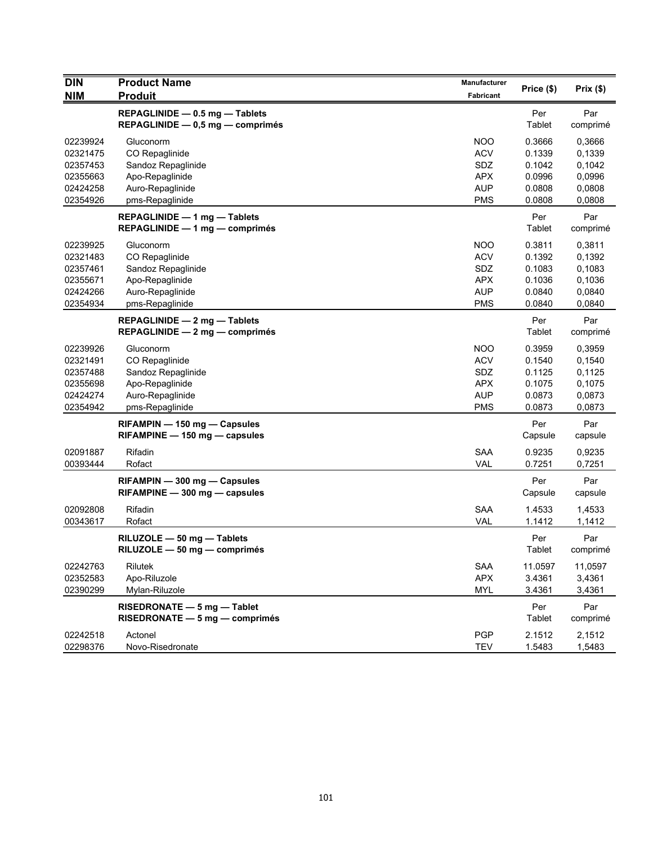| <b>DIN</b><br><b>NIM</b>                                             | <b>Product Name</b><br><b>Produit</b>                                                                       | <b>Manufacturer</b><br><b>Fabricant</b>                                   | Price (\$)                                               | Prix (\$)                                                |
|----------------------------------------------------------------------|-------------------------------------------------------------------------------------------------------------|---------------------------------------------------------------------------|----------------------------------------------------------|----------------------------------------------------------|
|                                                                      | REPAGLINIDE - 0.5 mg - Tablets<br>REPAGLINIDE $-$ 0,5 mg $-$ comprimés                                      |                                                                           | Per<br>Tablet                                            | Par<br>comprimé                                          |
| 02239924<br>02321475<br>02357453<br>02355663<br>02424258<br>02354926 | Gluconorm<br>CO Repaglinide<br>Sandoz Repaglinide<br>Apo-Repaglinide<br>Auro-Repaglinide<br>pms-Repaglinide | <b>NOO</b><br><b>ACV</b><br>SDZ<br><b>APX</b><br><b>AUP</b><br><b>PMS</b> | 0.3666<br>0.1339<br>0.1042<br>0.0996<br>0.0808<br>0.0808 | 0,3666<br>0,1339<br>0,1042<br>0,0996<br>0,0808<br>0,0808 |
|                                                                      | REPAGLINIDE - 1 mg - Tablets<br>REPAGLINIDE - 1 mg - comprimés                                              |                                                                           | Per<br>Tablet                                            | Par<br>comprimé                                          |
| 02239925<br>02321483<br>02357461<br>02355671<br>02424266<br>02354934 | Gluconorm<br>CO Repaglinide<br>Sandoz Repaglinide<br>Apo-Repaglinide<br>Auro-Repaglinide<br>pms-Repaglinide | <b>NOO</b><br><b>ACV</b><br>SDZ<br><b>APX</b><br><b>AUP</b><br><b>PMS</b> | 0.3811<br>0.1392<br>0.1083<br>0.1036<br>0.0840<br>0.0840 | 0,3811<br>0,1392<br>0,1083<br>0,1036<br>0,0840<br>0,0840 |
|                                                                      | REPAGLINIDE - 2 mg - Tablets<br>REPAGLINIDE - 2 mg - comprimés                                              |                                                                           | Per<br>Tablet                                            | Par<br>comprimé                                          |
| 02239926<br>02321491<br>02357488<br>02355698<br>02424274<br>02354942 | Gluconorm<br>CO Repaglinide<br>Sandoz Repaglinide<br>Apo-Repaglinide<br>Auro-Repaglinide<br>pms-Repaglinide | <b>NOO</b><br><b>ACV</b><br>SDZ<br><b>APX</b><br><b>AUP</b><br><b>PMS</b> | 0.3959<br>0.1540<br>0.1125<br>0.1075<br>0.0873<br>0.0873 | 0,3959<br>0,1540<br>0,1125<br>0,1075<br>0,0873<br>0,0873 |
|                                                                      | RIFAMPIN - 150 mg - Capsules<br>RIFAMPINE - 150 mg - capsules                                               |                                                                           | Per<br>Capsule                                           | Par<br>capsule                                           |
| 02091887<br>00393444                                                 | Rifadin<br>Rofact                                                                                           | <b>SAA</b><br><b>VAL</b>                                                  | 0.9235<br>0.7251                                         | 0,9235<br>0,7251                                         |
|                                                                      | RIFAMPIN - 300 mg - Capsules<br>$RIFAMPINE - 300$ mg $-$ capsules                                           |                                                                           | Per<br>Capsule                                           | Par<br>capsule                                           |
| 02092808<br>00343617                                                 | Rifadin<br>Rofact                                                                                           | <b>SAA</b><br><b>VAL</b>                                                  | 1.4533<br>1.1412                                         | 1,4533<br>1,1412                                         |
|                                                                      | RILUZOLE - 50 mg - Tablets<br>$RILUZOLE - 50 mg - comprimés$                                                |                                                                           | Per<br>Tablet                                            | Par<br>comprimé                                          |
| 02242763<br>02352583<br>02390299                                     | Rilutek<br>Apo-Riluzole<br>Mylan-Riluzole                                                                   | <b>SAA</b><br><b>APX</b><br><b>MYL</b>                                    | 11.0597<br>3.4361<br>3.4361                              | 11,0597<br>3,4361<br>3,4361                              |
|                                                                      | RISEDRONATE - 5 mg - Tablet<br>RISEDRONATE - 5 mg - comprimés                                               |                                                                           | Per<br>Tablet                                            | Par<br>comprimé                                          |
| 02242518<br>02298376                                                 | Actonel<br>Novo-Risedronate                                                                                 | <b>PGP</b><br><b>TEV</b>                                                  | 2.1512<br>1.5483                                         | 2,1512<br>1,5483                                         |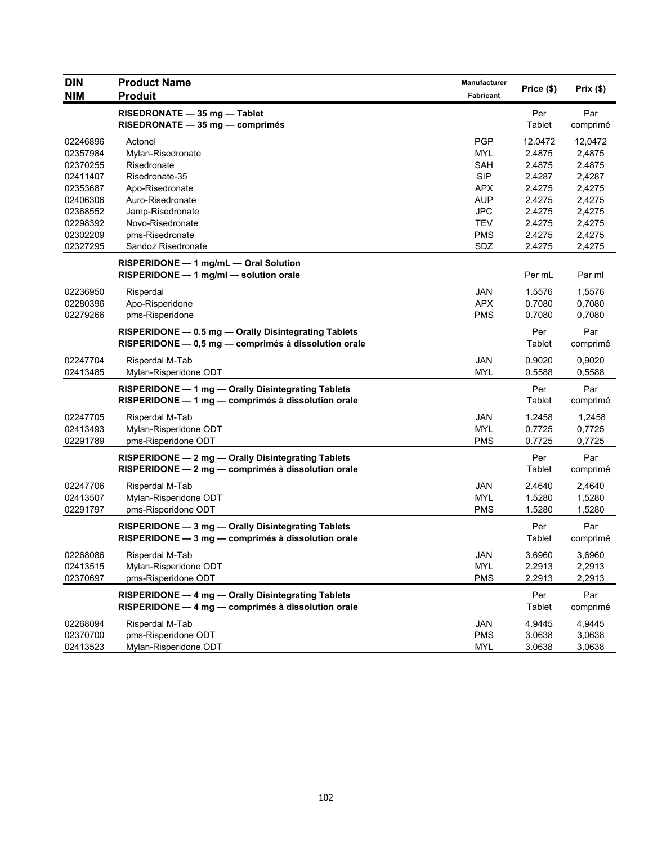| <b>DIN</b> | <b>Product Name</b>                                  | <b>Manufacturer</b> |            | Prix $(\$)$ |
|------------|------------------------------------------------------|---------------------|------------|-------------|
| <b>NIM</b> | <b>Produit</b>                                       | <b>Fabricant</b>    | Price (\$) |             |
|            | RISEDRONATE - 35 mg - Tablet                         |                     | Per        | Par         |
|            | RISEDRONATE - 35 mg - comprimés                      |                     | Tablet     | comprimé    |
| 02246896   | Actonel                                              | <b>PGP</b>          | 12.0472    | 12,0472     |
| 02357984   | Mylan-Risedronate                                    | <b>MYL</b>          | 2.4875     | 2,4875      |
| 02370255   | Risedronate                                          | <b>SAH</b>          | 2.4875     | 2.4875      |
| 02411407   | Risedronate-35                                       | <b>SIP</b>          | 2.4287     | 2,4287      |
| 02353687   | Apo-Risedronate                                      | APX                 | 2.4275     | 2,4275      |
| 02406306   | Auro-Risedronate                                     | <b>AUP</b>          | 2.4275     | 2,4275      |
| 02368552   | Jamp-Risedronate                                     | <b>JPC</b>          | 2.4275     | 2,4275      |
| 02298392   | Novo-Risedronate                                     | <b>TEV</b>          | 2.4275     | 2,4275      |
| 02302209   | pms-Risedronate                                      | <b>PMS</b>          | 2.4275     | 2,4275      |
| 02327295   | Sandoz Risedronate                                   | SDZ                 | 2.4275     | 2,4275      |
|            | RISPERIDONE - 1 mg/mL - Oral Solution                |                     |            |             |
|            | RISPERIDONE - 1 mg/ml - solution orale               |                     | Per mL     | Par ml      |
| 02236950   | Risperdal                                            | <b>JAN</b>          | 1.5576     | 1,5576      |
| 02280396   | Apo-Risperidone                                      | <b>APX</b>          | 0.7080     | 0,7080      |
| 02279266   | pms-Risperidone                                      | <b>PMS</b>          | 0.7080     | 0,7080      |
|            | RISPERIDONE - 0.5 mg - Orally Disintegrating Tablets |                     | Per        | Par         |
|            | RISPERIDONE - 0,5 mg - comprimés à dissolution orale |                     | Tablet     | comprimé    |
| 02247704   | Risperdal M-Tab                                      | JAN                 | 0.9020     | 0,9020      |
| 02413485   | Mylan-Risperidone ODT                                | <b>MYL</b>          | 0.5588     | 0,5588      |
|            | RISPERIDONE - 1 mg - Orally Disintegrating Tablets   |                     | Per        | Par         |
|            | RISPERIDONE - 1 mg - comprimés à dissolution orale   |                     | Tablet     | comprimé    |
| 02247705   | Risperdal M-Tab                                      | <b>JAN</b>          | 1.2458     | 1,2458      |
| 02413493   | Mylan-Risperidone ODT                                | <b>MYL</b>          | 0.7725     | 0,7725      |
| 02291789   | pms-Risperidone ODT                                  | <b>PMS</b>          | 0.7725     | 0,7725      |
|            | RISPERIDONE - 2 mg - Orally Disintegrating Tablets   |                     | Per        | Par         |
|            | RISPERIDONE - 2 mg - comprimés à dissolution orale   |                     | Tablet     | comprimé    |
|            |                                                      |                     |            |             |
| 02247706   | Risperdal M-Tab                                      | <b>JAN</b>          | 2.4640     | 2,4640      |
| 02413507   | Mylan-Risperidone ODT                                | <b>MYL</b>          | 1.5280     | 1,5280      |
| 02291797   | pms-Risperidone ODT                                  | <b>PMS</b>          | 1.5280     | 1,5280      |
|            | RISPERIDONE - 3 mg - Orally Disintegrating Tablets   |                     | Per        | Par         |
|            | RISPERIDONE - 3 mg - comprimés à dissolution orale   |                     | Tablet     | comprimé    |
| 02268086   | Risperdal M-Tab                                      | <b>JAN</b>          | 3.6960     | 3,6960      |
| 02413515   | Mylan-Risperidone ODT                                | <b>MYL</b>          | 2.2913     | 2,2913      |
| 02370697   | pms-Risperidone ODT                                  | <b>PMS</b>          | 2.2913     | 2,2913      |
|            | RISPERIDONE - 4 mg - Orally Disintegrating Tablets   |                     | Per        | Par         |
|            | RISPERIDONE - 4 mg - comprimés à dissolution orale   |                     | Tablet     | comprimé    |
| 02268094   | Risperdal M-Tab                                      | JAN                 | 4.9445     | 4,9445      |
| 02370700   | pms-Risperidone ODT                                  | <b>PMS</b>          | 3.0638     | 3,0638      |
| 02413523   | Mylan-Risperidone ODT                                | <b>MYL</b>          | 3.0638     | 3,0638      |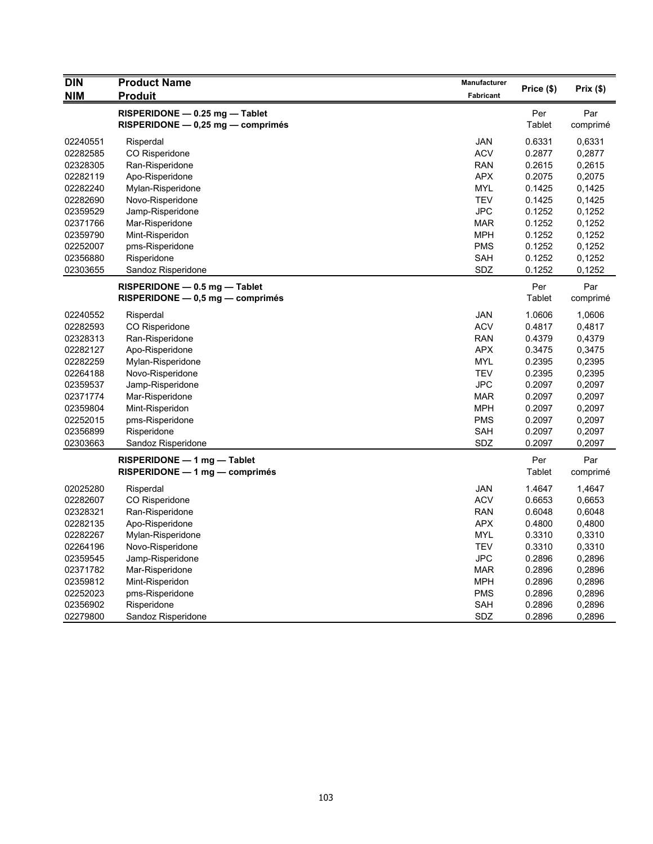| <b>DIN</b> | <b>Product Name</b>                | Manufacturer | Price (\$) | Prix (\$) |
|------------|------------------------------------|--------------|------------|-----------|
| <b>NIM</b> | <b>Produit</b>                     | Fabricant    |            |           |
|            | RISPERIDONE - 0.25 mg - Tablet     |              | Per        | Par       |
|            | RISPERIDONE - 0,25 mg - comprimés  |              | Tablet     | comprimé  |
| 02240551   | Risperdal                          | JAN          | 0.6331     | 0,6331    |
| 02282585   | CO Risperidone                     | <b>ACV</b>   | 0.2877     | 0,2877    |
| 02328305   | Ran-Risperidone                    | <b>RAN</b>   | 0.2615     | 0,2615    |
| 02282119   | Apo-Risperidone                    | <b>APX</b>   | 0.2075     | 0,2075    |
| 02282240   | Mylan-Risperidone                  | <b>MYL</b>   | 0.1425     | 0,1425    |
| 02282690   | Novo-Risperidone                   | <b>TEV</b>   | 0.1425     | 0,1425    |
| 02359529   | Jamp-Risperidone                   | <b>JPC</b>   | 0.1252     | 0,1252    |
| 02371766   | Mar-Risperidone                    | <b>MAR</b>   | 0.1252     | 0,1252    |
| 02359790   | Mint-Risperidon                    | <b>MPH</b>   | 0.1252     | 0,1252    |
| 02252007   | pms-Risperidone                    | <b>PMS</b>   | 0.1252     | 0,1252    |
| 02356880   | Risperidone                        | <b>SAH</b>   | 0.1252     | 0,1252    |
| 02303655   | Sandoz Risperidone                 | SDZ          | 0.1252     | 0,1252    |
|            | $RISPERIDONE - 0.5 mg - Table$     |              | Per        | Par       |
|            | $RISPERIDONE - 0.5 mg - comprimés$ |              | Tablet     | comprimé  |
| 02240552   | Risperdal                          | JAN          | 1.0606     | 1,0606    |
| 02282593   | CO Risperidone                     | <b>ACV</b>   | 0.4817     | 0,4817    |
| 02328313   | Ran-Risperidone                    | <b>RAN</b>   | 0.4379     | 0,4379    |
| 02282127   | Apo-Risperidone                    | <b>APX</b>   | 0.3475     | 0,3475    |
| 02282259   | Mylan-Risperidone                  | MYL          | 0.2395     | 0,2395    |
| 02264188   | Novo-Risperidone                   | <b>TEV</b>   | 0.2395     | 0,2395    |
| 02359537   | Jamp-Risperidone                   | <b>JPC</b>   | 0.2097     | 0,2097    |
| 02371774   | Mar-Risperidone                    | <b>MAR</b>   | 0.2097     | 0,2097    |
| 02359804   | Mint-Risperidon                    | <b>MPH</b>   | 0.2097     | 0,2097    |
| 02252015   | pms-Risperidone                    | <b>PMS</b>   | 0.2097     | 0,2097    |
| 02356899   | Risperidone                        | <b>SAH</b>   | 0.2097     | 0,2097    |
| 02303663   | Sandoz Risperidone                 | SDZ          | 0.2097     | 0,2097    |
|            | RISPERIDONE - 1 mg - Tablet        |              | Per        | Par       |
|            | $RISPERIDONE - 1 mg - comprimés$   |              | Tablet     | comprimé  |
| 02025280   | Risperdal                          | JAN          | 1.4647     | 1,4647    |
| 02282607   | CO Risperidone                     | <b>ACV</b>   | 0.6653     | 0,6653    |
| 02328321   | Ran-Risperidone                    | <b>RAN</b>   | 0.6048     | 0,6048    |
| 02282135   | Apo-Risperidone                    | <b>APX</b>   | 0.4800     | 0,4800    |
| 02282267   | Mylan-Risperidone                  | <b>MYL</b>   | 0.3310     | 0,3310    |
| 02264196   | Novo-Risperidone                   | <b>TEV</b>   | 0.3310     | 0,3310    |
| 02359545   | Jamp-Risperidone                   | JPC          | 0.2896     | 0,2896    |
| 02371782   | Mar-Risperidone                    | <b>MAR</b>   | 0.2896     | 0,2896    |
| 02359812   | Mint-Risperidon                    | <b>MPH</b>   | 0.2896     | 0,2896    |
| 02252023   | pms-Risperidone                    | <b>PMS</b>   | 0.2896     | 0,2896    |
| 02356902   | Risperidone                        | <b>SAH</b>   | 0.2896     | 0,2896    |
| 02279800   | Sandoz Risperidone                 | SDZ          | 0.2896     | 0,2896    |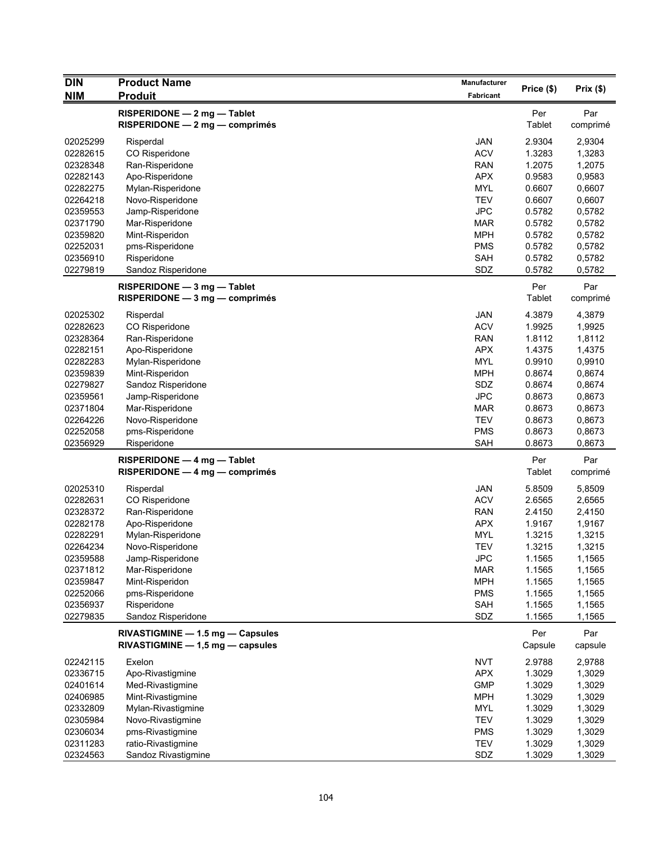| <b>DIN</b><br><b>NIM</b> | <b>Product Name</b><br><b>Produit</b> | <b>Manufacturer</b><br><b>Fabricant</b> | Price (\$)    | Prix(\$) |
|--------------------------|---------------------------------------|-----------------------------------------|---------------|----------|
|                          | RISPERIDONE - 2 mg - Tablet           |                                         | Per           | Par      |
|                          | RISPERIDONE - 2 mg - comprimés        |                                         | Tablet        | comprimé |
| 02025299                 | Risperdal                             | <b>JAN</b>                              | 2.9304        | 2,9304   |
| 02282615                 | CO Risperidone                        | <b>ACV</b>                              | 1.3283        | 1,3283   |
| 02328348                 | Ran-Risperidone                       | <b>RAN</b>                              | 1.2075        | 1,2075   |
| 02282143                 | Apo-Risperidone                       | <b>APX</b>                              | 0.9583        | 0,9583   |
| 02282275                 | Mylan-Risperidone                     | <b>MYL</b>                              | 0.6607        | 0,6607   |
| 02264218                 | Novo-Risperidone                      | <b>TEV</b>                              | 0.6607        | 0,6607   |
| 02359553                 | Jamp-Risperidone                      | <b>JPC</b>                              | 0.5782        | 0,5782   |
| 02371790                 | Mar-Risperidone                       | <b>MAR</b>                              | 0.5782        | 0,5782   |
| 02359820                 | Mint-Risperidon                       | <b>MPH</b>                              | 0.5782        | 0,5782   |
| 02252031                 | pms-Risperidone                       | <b>PMS</b>                              | 0.5782        | 0,5782   |
| 02356910                 | Risperidone                           | <b>SAH</b>                              | 0.5782        | 0,5782   |
| 02279819                 | Sandoz Risperidone                    | SDZ                                     | 0.5782        | 0,5782   |
|                          | RISPERIDONE - 3 mg - Tablet           |                                         | Per           | Par      |
|                          | RISPERIDONE - 3 mg - comprimés        |                                         | <b>Tablet</b> | comprimé |
| 02025302                 | Risperdal                             | <b>JAN</b>                              | 4.3879        | 4,3879   |
| 02282623                 | CO Risperidone                        | <b>ACV</b>                              | 1.9925        | 1,9925   |
| 02328364                 | Ran-Risperidone                       | <b>RAN</b>                              | 1.8112        | 1,8112   |
| 02282151                 | Apo-Risperidone                       | <b>APX</b>                              | 1.4375        | 1,4375   |
| 02282283                 | Mylan-Risperidone                     | <b>MYL</b>                              | 0.9910        | 0,9910   |
| 02359839                 | Mint-Risperidon                       | <b>MPH</b>                              | 0.8674        | 0,8674   |
| 02279827                 | Sandoz Risperidone                    | SDZ                                     | 0.8674        | 0,8674   |
| 02359561                 | Jamp-Risperidone                      | <b>JPC</b>                              | 0.8673        | 0,8673   |
| 02371804                 | Mar-Risperidone                       | <b>MAR</b>                              | 0.8673        | 0,8673   |
| 02264226                 | Novo-Risperidone                      | <b>TEV</b>                              | 0.8673        | 0,8673   |
| 02252058                 | pms-Risperidone                       | <b>PMS</b>                              | 0.8673        | 0,8673   |
| 02356929                 | Risperidone                           | <b>SAH</b>                              | 0.8673        | 0,8673   |
|                          | $RISPERIDONE - 4 mg - Table$          |                                         | Per           | Par      |
|                          | $RISPERIDONE - 4 mg - comprimés$      |                                         | <b>Tablet</b> | comprimé |
| 02025310                 | Risperdal                             | <b>JAN</b>                              | 5.8509        | 5,8509   |
| 02282631                 | CO Risperidone                        | <b>ACV</b>                              | 2.6565        | 2,6565   |
| 02328372                 | Ran-Risperidone                       | RAN                                     | 2.4150        | 2,4150   |
| 02282178                 | Apo-Risperidone                       | <b>APX</b>                              | 1.9167        | 1,9167   |
| 02282291                 | Mylan-Risperidone                     | <b>MYL</b>                              | 1.3215        | 1,3215   |
| 02264234                 | Novo-Risperidone                      | <b>TEV</b>                              | 1.3215        | 1,3215   |
| 02359588                 | Jamp-Risperidone                      | <b>JPC</b>                              | 1.1565        | 1,1565   |
| 02371812                 | Mar-Risperidone                       | <b>MAR</b>                              | 1.1565        | 1,1565   |
| 02359847                 | Mint-Risperidon                       | <b>MPH</b>                              | 1.1565        | 1,1565   |
| 02252066                 | pms-Risperidone                       | <b>PMS</b>                              | 1.1565        | 1,1565   |
| 02356937                 | Risperidone                           | SAH                                     | 1.1565        | 1,1565   |
| 02279835                 | Sandoz Risperidone                    | SDZ                                     | 1.1565        | 1,1565   |
|                          | RIVASTIGMINE - 1.5 mg - Capsules      |                                         | Per           | Par      |
|                          | $RIVASTIGMINE - 1,5 mg - capsules$    |                                         | Capsule       | capsule  |
| 02242115                 | Exelon                                | <b>NVT</b>                              | 2.9788        | 2,9788   |
| 02336715                 | Apo-Rivastigmine                      | <b>APX</b>                              | 1.3029        | 1,3029   |
| 02401614                 | Med-Rivastigmine                      | <b>GMP</b>                              | 1.3029        | 1,3029   |
| 02406985                 | Mint-Rivastigmine                     | <b>MPH</b>                              | 1.3029        | 1,3029   |
| 02332809                 | Mylan-Rivastigmine                    | <b>MYL</b>                              | 1.3029        | 1,3029   |
| 02305984                 | Novo-Rivastigmine                     | <b>TEV</b>                              | 1.3029        | 1,3029   |
| 02306034                 | pms-Rivastigmine                      | <b>PMS</b>                              | 1.3029        | 1,3029   |
| 02311283                 | ratio-Rivastigmine                    | <b>TEV</b>                              | 1.3029        | 1,3029   |
| 02324563                 | Sandoz Rivastigmine                   | SDZ                                     | 1.3029        | 1,3029   |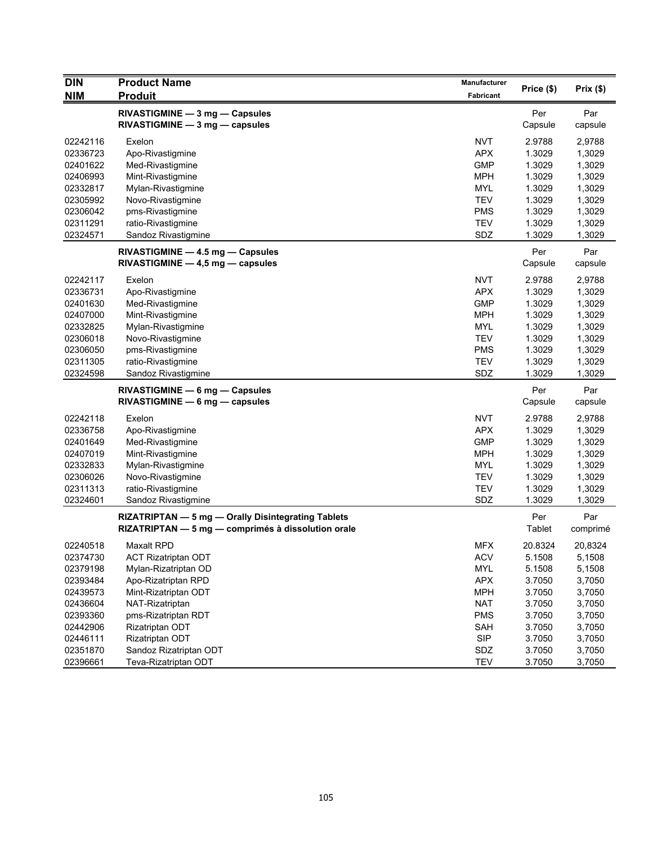| <b>DIN</b> | <b>Product Name</b>                                | Manufacturer | Price (\$)    |          |
|------------|----------------------------------------------------|--------------|---------------|----------|
| <b>NIM</b> | <b>Produit</b>                                     | Fabricant    |               | Prix(\$) |
|            | RIVASTIGMINE - 3 mg - Capsules                     |              | Per           | Par      |
|            | RIVASTIGMINE - 3 mg - capsules                     |              | Capsule       | capsule  |
| 02242116   | Exelon                                             | <b>NVT</b>   | 2.9788        | 2,9788   |
| 02336723   | Apo-Rivastigmine                                   | <b>APX</b>   | 1.3029        | 1,3029   |
| 02401622   | Med-Rivastigmine                                   | <b>GMP</b>   | 1.3029        | 1,3029   |
| 02406993   | Mint-Rivastigmine                                  | <b>MPH</b>   | 1.3029        | 1,3029   |
| 02332817   | Mylan-Rivastigmine                                 | <b>MYL</b>   | 1.3029        | 1,3029   |
| 02305992   | Novo-Rivastigmine                                  | <b>TEV</b>   | 1.3029        | 1,3029   |
| 02306042   | pms-Rivastigmine                                   | <b>PMS</b>   | 1.3029        | 1,3029   |
| 02311291   | ratio-Rivastigmine                                 | <b>TEV</b>   | 1.3029        | 1,3029   |
| 02324571   | Sandoz Rivastigmine                                | SDZ          | 1.3029        | 1,3029   |
|            | RIVASTIGMINE - 4.5 mg - Capsules                   |              | Per           | Par      |
|            | $RIVASTIGMINE - 4,5 mg - capsules$                 |              | Capsule       | capsule  |
|            |                                                    |              |               |          |
| 02242117   | Exelon                                             | <b>NVT</b>   | 2.9788        | 2,9788   |
| 02336731   | Apo-Rivastigmine                                   | <b>APX</b>   | 1.3029        | 1,3029   |
| 02401630   | Med-Rivastigmine                                   | <b>GMP</b>   | 1.3029        | 1,3029   |
| 02407000   | Mint-Rivastigmine                                  | <b>MPH</b>   | 1.3029        | 1,3029   |
| 02332825   | Mylan-Rivastigmine                                 | <b>MYL</b>   | 1.3029        | 1,3029   |
| 02306018   | Novo-Rivastigmine                                  | <b>TEV</b>   | 1.3029        | 1,3029   |
| 02306050   | pms-Rivastigmine                                   | <b>PMS</b>   | 1.3029        | 1,3029   |
| 02311305   | ratio-Rivastigmine                                 | <b>TEV</b>   | 1.3029        | 1,3029   |
| 02324598   | Sandoz Rivastigmine                                | SDZ          | 1.3029        | 1,3029   |
|            | RIVASTIGMINE - 6 mg - Capsules                     |              | Per           | Par      |
|            | RIVASTIGMINE - 6 mg - capsules                     |              | Capsule       | capsule  |
| 02242118   | Exelon                                             | <b>NVT</b>   | 2.9788        | 2,9788   |
| 02336758   | Apo-Rivastigmine                                   | <b>APX</b>   | 1.3029        | 1,3029   |
| 02401649   | Med-Rivastigmine                                   | <b>GMP</b>   | 1.3029        | 1,3029   |
| 02407019   | Mint-Rivastigmine                                  | MPH          | 1.3029        | 1,3029   |
| 02332833   | Mylan-Rivastigmine                                 | <b>MYL</b>   | 1.3029        | 1,3029   |
| 02306026   | Novo-Rivastigmine                                  | <b>TEV</b>   | 1.3029        | 1,3029   |
| 02311313   | ratio-Rivastigmine                                 | <b>TEV</b>   | 1.3029        | 1,3029   |
| 02324601   | Sandoz Rivastigmine                                | SDZ          | 1.3029        | 1,3029   |
|            | RIZATRIPTAN - 5 mg - Orally Disintegrating Tablets |              | Per           | Par      |
|            | RIZATRIPTAN - 5 mg - comprimés à dissolution orale |              | <b>Tablet</b> | comprimé |
| 02240518   | <b>Maxalt RPD</b>                                  | <b>MFX</b>   | 20.8324       | 20,8324  |
| 02374730   | <b>ACT Rizatriptan ODT</b>                         | <b>ACV</b>   | 5.1508        | 5,1508   |
| 02379198   | Mylan-Rizatriptan OD                               | <b>MYL</b>   | 5.1508        | 5,1508   |
| 02393484   | Apo-Rizatriptan RPD                                | <b>APX</b>   | 3.7050        | 3,7050   |
| 02439573   | Mint-Rizatriptan ODT                               | <b>MPH</b>   | 3.7050        | 3,7050   |
| 02436604   | NAT-Rizatriptan                                    | <b>NAT</b>   | 3.7050        | 3,7050   |
| 02393360   | pms-Rizatriptan RDT                                | <b>PMS</b>   | 3.7050        | 3,7050   |
| 02442906   | Rizatriptan ODT                                    | SAH          | 3.7050        | 3,7050   |
| 02446111   | Rizatriptan ODT                                    | <b>SIP</b>   | 3.7050        | 3,7050   |
| 02351870   | Sandoz Rizatriptan ODT                             | SDZ          | 3.7050        | 3,7050   |
| 02396661   | Teva-Rizatriptan ODT                               | <b>TEV</b>   | 3.7050        | 3,7050   |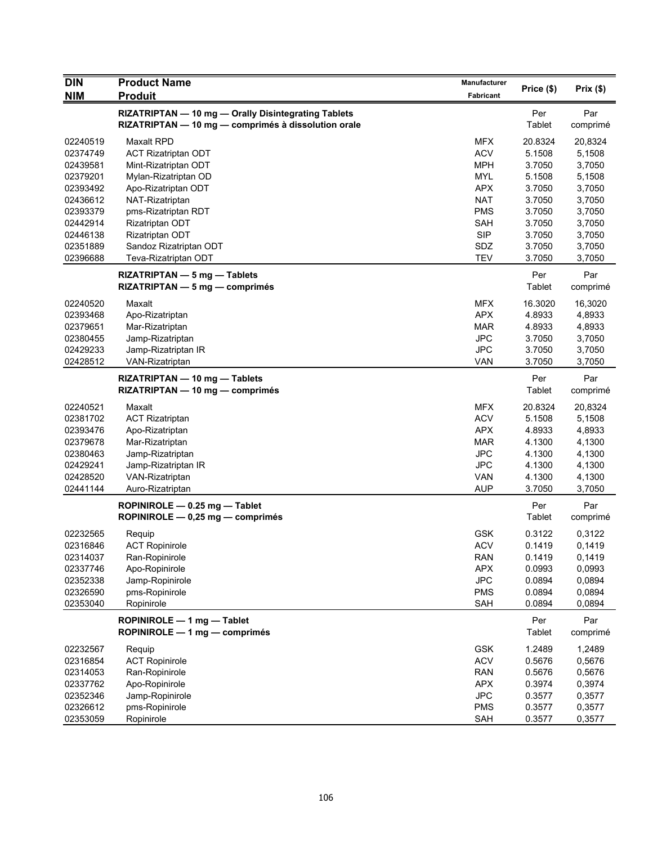| <b>DIN</b> | <b>Product Name</b>                                 | <b>Manufacturer</b> |               |          |
|------------|-----------------------------------------------------|---------------------|---------------|----------|
| <b>NIM</b> | <b>Produit</b>                                      | Fabricant           | Price (\$)    | Prix(\$) |
|            | RIZATRIPTAN - 10 mg - Orally Disintegrating Tablets |                     | Per           | Par      |
|            | RIZATRIPTAN - 10 mg - comprimés à dissolution orale |                     | Tablet        | comprimé |
| 02240519   | <b>Maxalt RPD</b>                                   | <b>MFX</b>          | 20.8324       | 20,8324  |
| 02374749   | <b>ACT Rizatriptan ODT</b>                          | <b>ACV</b>          | 5.1508        | 5,1508   |
| 02439581   | Mint-Rizatriptan ODT                                | <b>MPH</b>          | 3.7050        | 3,7050   |
| 02379201   | Mylan-Rizatriptan OD                                | <b>MYL</b>          | 5.1508        | 5,1508   |
| 02393492   | Apo-Rizatriptan ODT                                 | <b>APX</b>          | 3.7050        | 3,7050   |
| 02436612   | NAT-Rizatriptan                                     | <b>NAT</b>          | 3.7050        | 3,7050   |
| 02393379   | pms-Rizatriptan RDT                                 | <b>PMS</b>          | 3.7050        | 3,7050   |
| 02442914   | Rizatriptan ODT                                     | <b>SAH</b>          | 3.7050        | 3,7050   |
| 02446138   | Rizatriptan ODT                                     | <b>SIP</b>          | 3.7050        | 3,7050   |
| 02351889   | Sandoz Rizatriptan ODT                              | SDZ                 | 3.7050        | 3,7050   |
| 02396688   | Teva-Rizatriptan ODT                                | <b>TEV</b>          | 3.7050        | 3,7050   |
|            | RIZATRIPTAN - 5 mg - Tablets                        |                     | Per           | Par      |
|            | RIZATRIPTAN - 5 mg - comprimés                      |                     | Tablet        | comprimé |
| 02240520   | Maxalt                                              | <b>MFX</b>          | 16.3020       | 16,3020  |
| 02393468   | Apo-Rizatriptan                                     | <b>APX</b>          | 4.8933        | 4,8933   |
| 02379651   | Mar-Rizatriptan                                     | MAR                 | 4.8933        | 4,8933   |
| 02380455   | Jamp-Rizatriptan                                    | <b>JPC</b>          | 3.7050        | 3,7050   |
| 02429233   | Jamp-Rizatriptan IR                                 | <b>JPC</b>          | 3.7050        | 3,7050   |
| 02428512   | VAN-Rizatriptan                                     | <b>VAN</b>          | 3.7050        | 3,7050   |
|            | RIZATRIPTAN - 10 mg - Tablets                       |                     | Per           | Par      |
|            | RIZATRIPTAN - 10 mg - comprimés                     |                     | Tablet        | comprimé |
| 02240521   | Maxalt                                              | <b>MFX</b>          | 20.8324       | 20,8324  |
| 02381702   | <b>ACT Rizatriptan</b>                              | <b>ACV</b>          | 5.1508        | 5,1508   |
| 02393476   | Apo-Rizatriptan                                     | <b>APX</b>          | 4.8933        | 4,8933   |
| 02379678   | Mar-Rizatriptan                                     | MAR                 | 4.1300        | 4,1300   |
| 02380463   | Jamp-Rizatriptan                                    | <b>JPC</b>          | 4.1300        | 4,1300   |
| 02429241   | Jamp-Rizatriptan IR                                 | <b>JPC</b>          | 4.1300        | 4,1300   |
| 02428520   | VAN-Rizatriptan                                     | <b>VAN</b>          | 4.1300        | 4,1300   |
| 02441144   | Auro-Rizatriptan                                    | <b>AUP</b>          | 3.7050        | 3,7050   |
|            | ROPINIROLE - 0.25 mg - Tablet                       |                     | Per           | Par      |
|            | ROPINIROLE - 0,25 mg - comprimés                    |                     | <b>Tablet</b> | comprimé |
| 02232565   | Requip                                              | <b>GSK</b>          | 0.3122        | 0,3122   |
| 02316846   | <b>ACT Ropinirole</b>                               | <b>ACV</b>          | 0.1419        | 0,1419   |
| 02314037   | Ran-Ropinirole                                      | <b>RAN</b>          | 0.1419        | 0,1419   |
| 02337746   | Apo-Ropinirole                                      | <b>APX</b>          | 0.0993        | 0,0993   |
| 02352338   | Jamp-Ropinirole                                     | <b>JPC</b>          | 0.0894        | 0,0894   |
| 02326590   | pms-Ropinirole                                      | <b>PMS</b>          | 0.0894        | 0,0894   |
| 02353040   | Ropinirole                                          | <b>SAH</b>          | 0.0894        | 0,0894   |
|            | ROPINIROLE - 1 mg - Tablet                          |                     | Per           | Par      |
|            | ROPINIROLE - 1 mg - comprimés                       |                     | Tablet        | comprimé |
| 02232567   | Requip                                              | <b>GSK</b>          | 1.2489        | 1,2489   |
| 02316854   | <b>ACT Ropinirole</b>                               | <b>ACV</b>          | 0.5676        | 0,5676   |
| 02314053   | Ran-Ropinirole                                      | <b>RAN</b>          | 0.5676        | 0,5676   |
| 02337762   | Apo-Ropinirole                                      | <b>APX</b>          | 0.3974        | 0,3974   |
| 02352346   | Jamp-Ropinirole                                     | <b>JPC</b>          | 0.3577        | 0,3577   |
| 02326612   | pms-Ropinirole                                      | <b>PMS</b>          | 0.3577        | 0,3577   |
| 02353059   | Ropinirole                                          | SAH                 | 0.3577        | 0,3577   |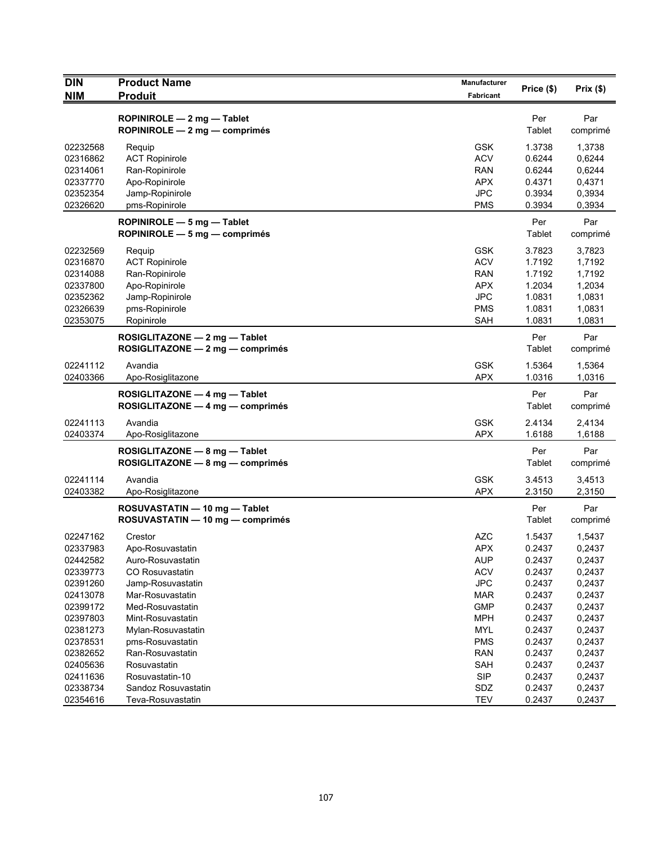| <b>DIN</b> | <b>Product Name</b>                                               | Manufacturer | Price (\$)    | Prix(\$)        |
|------------|-------------------------------------------------------------------|--------------|---------------|-----------------|
| <b>NIM</b> | <b>Produit</b>                                                    | Fabricant    |               |                 |
|            | ROPINIROLE $-2$ mg $-$ Tablet<br>ROPINIROLE - 2 mg - comprimés    |              | Per<br>Tablet | Par<br>comprimé |
| 02232568   | Requip                                                            | <b>GSK</b>   | 1.3738        | 1,3738          |
| 02316862   | <b>ACT Ropinirole</b>                                             | <b>ACV</b>   | 0.6244        | 0,6244          |
| 02314061   | Ran-Ropinirole                                                    | <b>RAN</b>   | 0.6244        | 0,6244          |
| 02337770   | Apo-Ropinirole                                                    | <b>APX</b>   | 0.4371        | 0,4371          |
| 02352354   | Jamp-Ropinirole                                                   | <b>JPC</b>   | 0.3934        | 0,3934          |
| 02326620   | pms-Ropinirole                                                    | <b>PMS</b>   | 0.3934        | 0,3934          |
|            | ROPINIROLE - 5 mg - Tablet<br>ROPINIROLE $-5$ mg $-$ comprimés    |              | Per<br>Tablet | Par<br>comprimé |
| 02232569   | Requip                                                            | <b>GSK</b>   | 3.7823        | 3,7823          |
| 02316870   | <b>ACT Ropinirole</b>                                             | <b>ACV</b>   | 1.7192        | 1,7192          |
| 02314088   | Ran-Ropinirole                                                    | <b>RAN</b>   | 1.7192        | 1,7192          |
| 02337800   | Apo-Ropinirole                                                    | <b>APX</b>   | 1.2034        | 1,2034          |
| 02352362   | Jamp-Ropinirole                                                   | <b>JPC</b>   | 1.0831        | 1,0831          |
| 02326639   | pms-Ropinirole                                                    | <b>PMS</b>   | 1.0831        | 1,0831          |
| 02353075   | Ropinirole                                                        | <b>SAH</b>   | 1.0831        | 1,0831          |
|            | ROSIGLITAZONE - 2 mg - Tablet<br>ROSIGLITAZONE - 2 mg - comprimés |              | Per<br>Tablet | Par<br>comprimé |
| 02241112   | Avandia                                                           | <b>GSK</b>   | 1.5364        | 1,5364          |
| 02403366   | Apo-Rosiglitazone                                                 | <b>APX</b>   | 1.0316        | 1,0316          |
|            | ROSIGLITAZONE - 4 mg - Tablet<br>ROSIGLITAZONE - 4 mg - comprimés |              | Per<br>Tablet | Par<br>comprimé |
| 02241113   | Avandia                                                           | <b>GSK</b>   | 2.4134        | 2,4134          |
| 02403374   | Apo-Rosiglitazone                                                 | <b>APX</b>   | 1.6188        | 1,6188          |
|            | ROSIGLITAZONE - 8 mg - Tablet<br>ROSIGLITAZONE - 8 mg - comprimés |              | Per<br>Tablet | Par<br>comprimé |
| 02241114   | Avandia                                                           | <b>GSK</b>   | 3.4513        | 3,4513          |
| 02403382   | Apo-Rosiglitazone                                                 | <b>APX</b>   | 2.3150        | 2,3150          |
|            | ROSUVASTATIN - 10 mg - Tablet<br>ROSUVASTATIN — 10 mg — comprimés |              | Per<br>Tablet | Par<br>comprimé |
| 02247162   | Crestor                                                           | <b>AZC</b>   | 1.5437        | 1,5437          |
| 02337983   | Apo-Rosuvastatin                                                  | <b>APX</b>   | 0.2437        | 0,2437          |
| 02442582   | Auro-Rosuvastatin                                                 | <b>AUP</b>   | 0.2437        | 0,2437          |
| 02339773   | CO Rosuvastatin                                                   | <b>ACV</b>   | 0.2437        | 0,2437          |
| 02391260   | Jamp-Rosuvastatin                                                 | <b>JPC</b>   | 0.2437        | 0,2437          |
| 02413078   | Mar-Rosuvastatin                                                  | <b>MAR</b>   | 0.2437        | 0,2437          |
| 02399172   | Med-Rosuvastatin                                                  | <b>GMP</b>   | 0.2437        | 0,2437          |
| 02397803   | Mint-Rosuvastatin                                                 | <b>MPH</b>   | 0.2437        | 0,2437          |
| 02381273   | Mylan-Rosuvastatin                                                | <b>MYL</b>   | 0.2437        | 0,2437          |
| 02378531   | pms-Rosuvastatin                                                  | <b>PMS</b>   | 0.2437        | 0,2437          |
| 02382652   | Ran-Rosuvastatin                                                  | <b>RAN</b>   | 0.2437        | 0,2437          |
| 02405636   | Rosuvastatin                                                      | <b>SAH</b>   | 0.2437        | 0,2437          |
| 02411636   | Rosuvastatin-10                                                   | <b>SIP</b>   | 0.2437        | 0,2437          |
| 02338734   | Sandoz Rosuvastatin                                               | SDZ          | 0.2437        | 0,2437          |
| 02354616   | Teva-Rosuvastatin                                                 | <b>TEV</b>   | 0.2437        | 0,2437          |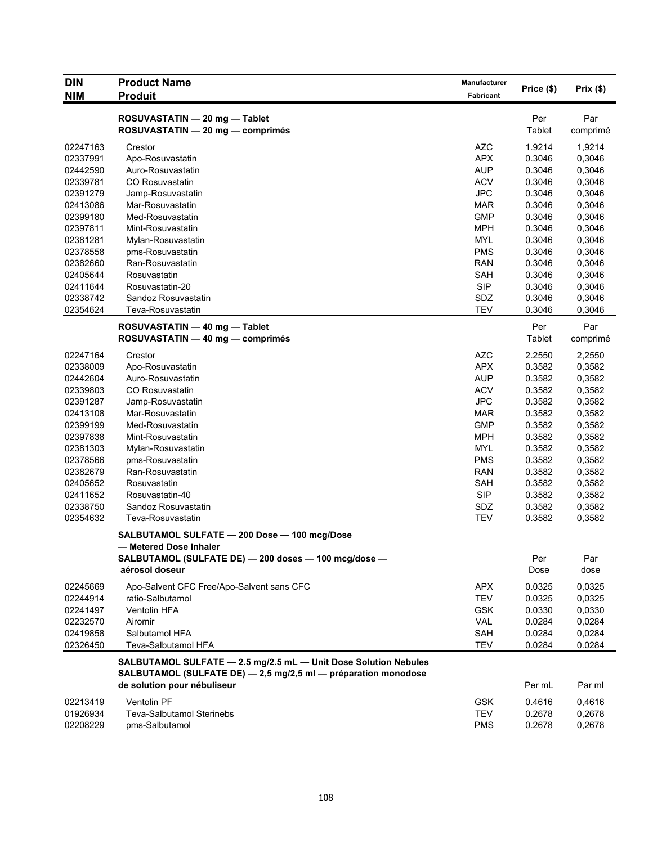| <b>DIN</b> | <b>Product Name</b>                                             | Manufacturer | Price (\$) | Prix(\$) |
|------------|-----------------------------------------------------------------|--------------|------------|----------|
| <b>NIM</b> | <b>Produit</b>                                                  | Fabricant    |            |          |
|            | ROSUVASTATIN - 20 mg - Tablet                                   |              | Per        | Par      |
|            | ROSUVASTATIN - 20 mg - comprimés                                |              | Tablet     | comprimé |
| 02247163   | Crestor                                                         | <b>AZC</b>   | 1.9214     | 1,9214   |
| 02337991   | Apo-Rosuvastatin                                                | <b>APX</b>   | 0.3046     | 0,3046   |
| 02442590   | Auro-Rosuvastatin                                               | <b>AUP</b>   | 0.3046     | 0,3046   |
| 02339781   | <b>CO Rosuvastatin</b>                                          | <b>ACV</b>   | 0.3046     | 0,3046   |
| 02391279   | Jamp-Rosuvastatin                                               | <b>JPC</b>   | 0.3046     | 0,3046   |
| 02413086   | Mar-Rosuvastatin                                                | <b>MAR</b>   | 0.3046     | 0,3046   |
| 02399180   | Med-Rosuvastatin                                                | <b>GMP</b>   | 0.3046     | 0,3046   |
| 02397811   | Mint-Rosuvastatin                                               | <b>MPH</b>   | 0.3046     | 0,3046   |
| 02381281   | Mylan-Rosuvastatin                                              | <b>MYL</b>   | 0.3046     | 0,3046   |
| 02378558   | pms-Rosuvastatin                                                | <b>PMS</b>   | 0.3046     | 0,3046   |
| 02382660   | Ran-Rosuvastatin                                                | <b>RAN</b>   | 0.3046     | 0,3046   |
| 02405644   | Rosuvastatin                                                    | SAH          | 0.3046     | 0,3046   |
| 02411644   | Rosuvastatin-20                                                 | <b>SIP</b>   | 0.3046     | 0,3046   |
| 02338742   | Sandoz Rosuvastatin                                             | SDZ          | 0.3046     | 0,3046   |
| 02354624   | Teva-Rosuvastatin                                               | <b>TEV</b>   | 0.3046     | 0,3046   |
|            | ROSUVASTATIN - 40 mg - Tablet                                   |              | Per        | Par      |
|            | ROSUVASTATIN - 40 mg - comprimés                                |              | Tablet     | comprimé |
| 02247164   | Crestor                                                         | <b>AZC</b>   | 2.2550     | 2,2550   |
| 02338009   | Apo-Rosuvastatin                                                | <b>APX</b>   | 0.3582     | 0,3582   |
| 02442604   | Auro-Rosuvastatin                                               | <b>AUP</b>   | 0.3582     | 0,3582   |
| 02339803   | <b>CO Rosuvastatin</b>                                          | <b>ACV</b>   | 0.3582     | 0,3582   |
| 02391287   | Jamp-Rosuvastatin                                               | <b>JPC</b>   | 0.3582     | 0,3582   |
| 02413108   | Mar-Rosuvastatin                                                | <b>MAR</b>   | 0.3582     | 0,3582   |
| 02399199   | Med-Rosuvastatin                                                | <b>GMP</b>   | 0.3582     | 0,3582   |
| 02397838   | Mint-Rosuvastatin                                               | <b>MPH</b>   | 0.3582     | 0,3582   |
| 02381303   | Mylan-Rosuvastatin                                              | <b>MYL</b>   | 0.3582     | 0,3582   |
| 02378566   | pms-Rosuvastatin                                                | <b>PMS</b>   | 0.3582     | 0,3582   |
| 02382679   | Ran-Rosuvastatin                                                | <b>RAN</b>   | 0.3582     | 0,3582   |
| 02405652   | Rosuvastatin                                                    | SAH          | 0.3582     | 0,3582   |
| 02411652   | Rosuvastatin-40                                                 | <b>SIP</b>   | 0.3582     | 0,3582   |
| 02338750   | Sandoz Rosuvastatin                                             | <b>SDZ</b>   | 0.3582     | 0,3582   |
| 02354632   | Teva-Rosuvastatin                                               | <b>TEV</b>   | 0.3582     | 0,3582   |
|            | SALBUTAMOL SULFATE - 200 Dose - 100 mcg/Dose                    |              |            |          |
|            | - Metered Dose Inhaler                                          |              |            |          |
|            | SALBUTAMOL (SULFATE DE) - 200 doses - 100 mcg/dose -            |              | Per        | Par      |
|            | aérosol doseur                                                  |              | Dose       | dose     |
| 02245669   | Apo-Salvent CFC Free/Apo-Salvent sans CFC                       | <b>APX</b>   | 0.0325     | 0,0325   |
| 02244914   | ratio-Salbutamol                                                | <b>TEV</b>   | 0.0325     | 0,0325   |
| 02241497   | Ventolin HFA                                                    | <b>GSK</b>   | 0.0330     | 0,0330   |
| 02232570   | Airomir                                                         | VAL          | 0.0284     | 0,0284   |
| 02419858   | Salbutamol HFA                                                  | SAH          | 0.0284     | 0,0284   |
| 02326450   | Teva-Salbutamol HFA                                             | TEV          | 0.0284     | 0.0284   |
|            | SALBUTAMOL SULFATE - 2.5 mg/2.5 mL - Unit Dose Solution Nebules |              |            |          |
|            | SALBUTAMOL (SULFATE DE) - 2,5 mg/2,5 ml - préparation monodose  |              |            |          |
|            | de solution pour nébuliseur                                     |              | Per mL     | Par ml   |
| 02213419   | <b>Ventolin PF</b>                                              | <b>GSK</b>   | 0.4616     | 0,4616   |
| 01926934   | Teva-Salbutamol Sterinebs                                       | <b>TEV</b>   | 0.2678     | 0,2678   |
| 02208229   | pms-Salbutamol                                                  | <b>PMS</b>   | 0.2678     | 0,2678   |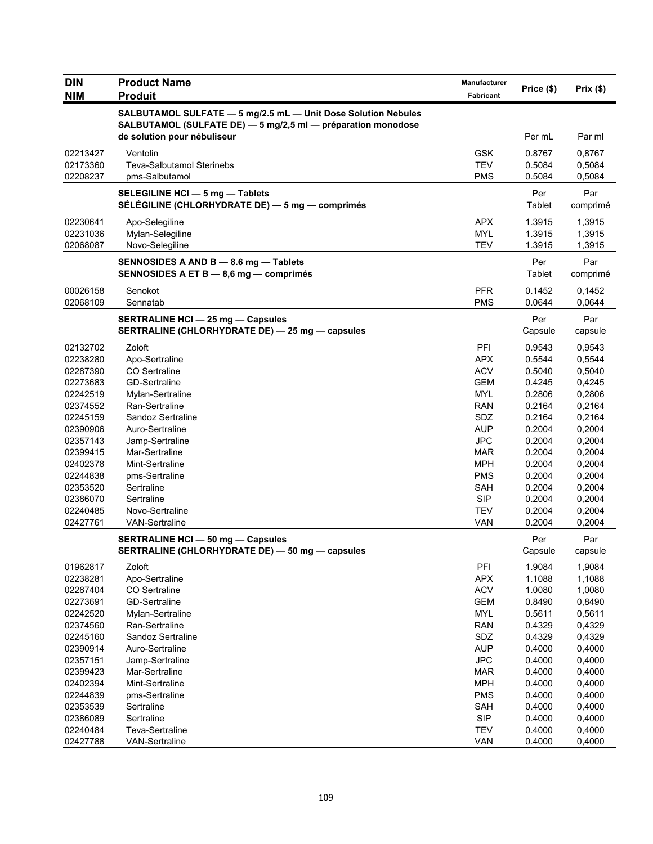| <b>DIN</b>           | <b>Product Name</b>                                                                                                                                          | <b>Manufacturer</b> | Price (\$)       | Prix(\$)         |
|----------------------|--------------------------------------------------------------------------------------------------------------------------------------------------------------|---------------------|------------------|------------------|
| <b>NIM</b>           | <b>Produit</b>                                                                                                                                               | Fabricant           |                  |                  |
|                      | SALBUTAMOL SULFATE - 5 mg/2.5 mL - Unit Dose Solution Nebules<br>SALBUTAMOL (SULFATE DE) - 5 mg/2,5 ml - préparation monodose<br>de solution pour nébuliseur |                     | Per mL           | Par ml           |
|                      |                                                                                                                                                              |                     |                  |                  |
| 02213427             | Ventolin                                                                                                                                                     | <b>GSK</b>          | 0.8767           | 0,8767           |
| 02173360             | <b>Teva-Salbutamol Sterinebs</b>                                                                                                                             | <b>TEV</b>          | 0.5084           | 0,5084           |
| 02208237             | pms-Salbutamol                                                                                                                                               | <b>PMS</b>          | 0.5084           | 0,5084           |
|                      | SELEGILINE HCI - 5 mg - Tablets<br>SÉLÉGILINE (CHLORHYDRATE DE) — 5 mg — comprimés                                                                           |                     | Per<br>Tablet    | Par<br>comprimé  |
| 02230641             | Apo-Selegiline                                                                                                                                               | <b>APX</b>          | 1.3915           | 1,3915           |
| 02231036             | Mylan-Selegiline                                                                                                                                             | <b>MYL</b>          | 1.3915           | 1,3915           |
| 02068087             | Novo-Selegiline                                                                                                                                              | <b>TEV</b>          | 1.3915           | 1,3915           |
|                      | SENNOSIDES A AND B - 8.6 mg - Tablets<br>SENNOSIDES A ET B - 8,6 mg - comprimés                                                                              |                     | Per<br>Tablet    | Par<br>comprimé  |
| 00026158             | Senokot                                                                                                                                                      | <b>PFR</b>          | 0.1452           | 0,1452           |
| 02068109             | Sennatab                                                                                                                                                     | <b>PMS</b>          | 0.0644           | 0,0644           |
|                      | <b>SERTRALINE HCI - 25 mg - Capsules</b><br>SERTRALINE (CHLORHYDRATE DE) - 25 mg - capsules                                                                  |                     | Per<br>Capsule   | Par<br>capsule   |
| 02132702             | Zoloft                                                                                                                                                       | PFI                 | 0.9543           | 0,9543           |
| 02238280             | Apo-Sertraline                                                                                                                                               | <b>APX</b>          | 0.5544           | 0,5544           |
| 02287390             | CO Sertraline                                                                                                                                                | <b>ACV</b>          | 0.5040           | 0,5040           |
| 02273683             | <b>GD-Sertraline</b>                                                                                                                                         | <b>GEM</b>          | 0.4245           | 0,4245           |
| 02242519             | Mylan-Sertraline                                                                                                                                             | <b>MYL</b>          | 0.2806           | 0,2806           |
| 02374552             | Ran-Sertraline                                                                                                                                               | <b>RAN</b>          | 0.2164           | 0,2164           |
| 02245159             | Sandoz Sertraline                                                                                                                                            | SDZ                 | 0.2164           | 0,2164           |
| 02390906             | Auro-Sertraline                                                                                                                                              | <b>AUP</b>          | 0.2004           | 0,2004           |
| 02357143             | Jamp-Sertraline                                                                                                                                              | <b>JPC</b>          | 0.2004           | 0,2004           |
| 02399415             | Mar-Sertraline                                                                                                                                               | MAR                 | 0.2004           | 0,2004           |
| 02402378             | Mint-Sertraline                                                                                                                                              | <b>MPH</b>          | 0.2004           | 0,2004           |
| 02244838             | pms-Sertraline                                                                                                                                               | <b>PMS</b>          | 0.2004           | 0,2004           |
| 02353520             | Sertraline                                                                                                                                                   | SAH                 | 0.2004           | 0,2004           |
| 02386070             | Sertraline                                                                                                                                                   | <b>SIP</b>          | 0.2004           | 0,2004           |
| 02240485             | Novo-Sertraline                                                                                                                                              | <b>TEV</b>          | 0.2004           | 0,2004           |
| 02427761             | <b>VAN-Sertraline</b>                                                                                                                                        | <b>VAN</b>          | 0.2004           | 0,2004           |
|                      | <b>SERTRALINE HCI - 50 mg - Capsules</b>                                                                                                                     |                     | Per              | Par              |
|                      | SERTRALINE (CHLORHYDRATE DE) — 50 mg — capsules                                                                                                              |                     | Capsule          | capsule          |
| 01962817<br>02238281 | Zoloft<br>Apo-Sertraline                                                                                                                                     | PFI<br><b>APX</b>   | 1.9084<br>1.1088 | 1,9084<br>1,1088 |
| 02287404             | CO Sertraline                                                                                                                                                | <b>ACV</b>          | 1.0080           | 1,0080           |
| 02273691             | <b>GD-Sertraline</b>                                                                                                                                         | <b>GEM</b>          | 0.8490           | 0,8490           |
| 02242520             | Mylan-Sertraline                                                                                                                                             | <b>MYL</b>          | 0.5611           | 0,5611           |
| 02374560             | Ran-Sertraline                                                                                                                                               | <b>RAN</b>          | 0.4329           | 0,4329           |
| 02245160             | Sandoz Sertraline                                                                                                                                            | SDZ                 | 0.4329           | 0,4329           |
| 02390914             | Auro-Sertraline                                                                                                                                              | <b>AUP</b>          | 0.4000           | 0,4000           |
| 02357151             | Jamp-Sertraline                                                                                                                                              | <b>JPC</b>          | 0.4000           | 0,4000           |
| 02399423             | Mar-Sertraline                                                                                                                                               | <b>MAR</b>          | 0.4000           | 0,4000           |
| 02402394             | Mint-Sertraline                                                                                                                                              | <b>MPH</b>          | 0.4000           | 0,4000           |
| 02244839             | pms-Sertraline                                                                                                                                               | <b>PMS</b>          | 0.4000           | 0,4000           |
| 02353539             | Sertraline                                                                                                                                                   | SAH                 | 0.4000           | 0,4000           |
| 02386089             | Sertraline                                                                                                                                                   | <b>SIP</b>          | 0.4000           | 0,4000           |
| 02240484             | Teva-Sertraline                                                                                                                                              | <b>TEV</b>          | 0.4000           | 0,4000           |
| 02427788             | <b>VAN-Sertraline</b>                                                                                                                                        | <b>VAN</b>          | 0.4000           | 0,4000           |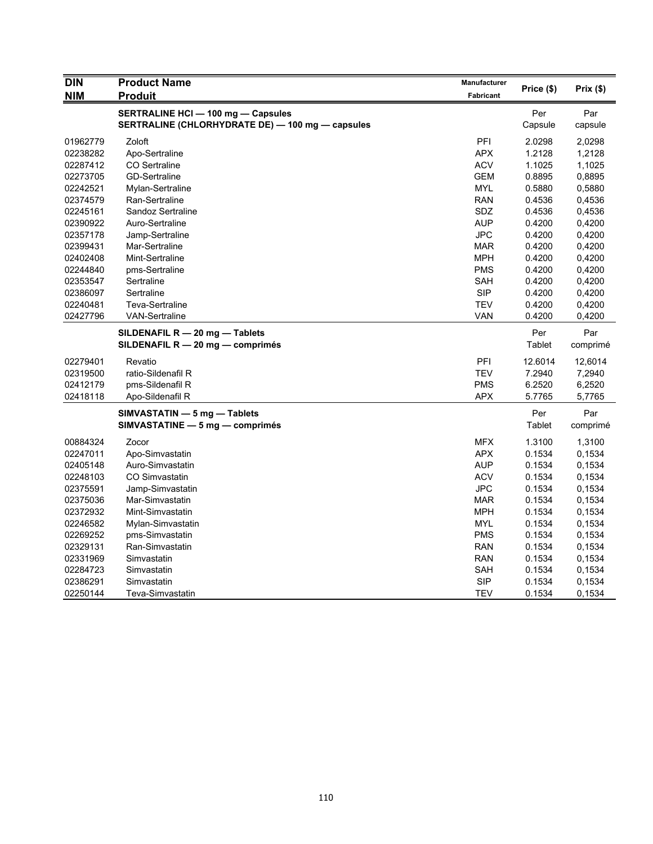| <b>DIN</b> | <b>Product Name</b>                              | Manufacturer | Price (\$) | Prix (\$) |
|------------|--------------------------------------------------|--------------|------------|-----------|
| <b>NIM</b> | <b>Produit</b>                                   | Fabricant    |            |           |
|            | <b>SERTRALINE HCI - 100 mg - Capsules</b>        |              | Per        | Par       |
|            | SERTRALINE (CHLORHYDRATE DE) - 100 mg - capsules |              | Capsule    | capsule   |
| 01962779   | Zoloft                                           | PFI          | 2.0298     | 2,0298    |
| 02238282   | Apo-Sertraline                                   | <b>APX</b>   | 1.2128     | 1,2128    |
| 02287412   | CO Sertraline                                    | <b>ACV</b>   | 1.1025     | 1,1025    |
| 02273705   | <b>GD-Sertraline</b>                             | <b>GEM</b>   | 0.8895     | 0,8895    |
| 02242521   | Mylan-Sertraline                                 | <b>MYL</b>   | 0.5880     | 0,5880    |
| 02374579   | Ran-Sertraline                                   | <b>RAN</b>   | 0.4536     | 0,4536    |
| 02245161   | Sandoz Sertraline                                | <b>SDZ</b>   | 0.4536     | 0,4536    |
| 02390922   | Auro-Sertraline                                  | <b>AUP</b>   | 0.4200     | 0,4200    |
| 02357178   | Jamp-Sertraline                                  | <b>JPC</b>   | 0.4200     | 0,4200    |
| 02399431   | Mar-Sertraline                                   | <b>MAR</b>   | 0.4200     | 0,4200    |
| 02402408   | Mint-Sertraline                                  | <b>MPH</b>   | 0.4200     | 0,4200    |
| 02244840   | pms-Sertraline                                   | <b>PMS</b>   | 0.4200     | 0,4200    |
| 02353547   | Sertraline                                       | SAH          | 0.4200     | 0,4200    |
| 02386097   | Sertraline                                       | <b>SIP</b>   | 0.4200     | 0,4200    |
| 02240481   | <b>Teva-Sertraline</b>                           | <b>TEV</b>   | 0.4200     | 0,4200    |
| 02427796   | VAN-Sertraline                                   | VAN          | 0.4200     | 0,4200    |
|            | SILDENAFIL R - 20 mg - Tablets                   |              | Per        | Par       |
|            | SILDENAFIL R - 20 mg - comprimés                 |              | Tablet     | comprimé  |
| 02279401   | Revatio                                          | PFI          | 12.6014    | 12,6014   |
| 02319500   | ratio-Sildenafil R                               | <b>TEV</b>   | 7.2940     | 7,2940    |
| 02412179   | pms-Sildenafil R                                 | <b>PMS</b>   | 6.2520     | 6,2520    |
| 02418118   | Apo-Sildenafil R                                 | <b>APX</b>   | 5.7765     | 5,7765    |
|            | SIMVASTATIN - 5 mg - Tablets                     |              | Per        | Par       |
|            | SIMVASTATINE - 5 mg - comprimés                  |              | Tablet     | comprimé  |
| 00884324   | Zocor                                            | <b>MFX</b>   | 1.3100     | 1,3100    |
| 02247011   | Apo-Simvastatin                                  | <b>APX</b>   | 0.1534     | 0,1534    |
| 02405148   | Auro-Simvastatin                                 | <b>AUP</b>   | 0.1534     | 0,1534    |
| 02248103   | <b>CO Simvastatin</b>                            | <b>ACV</b>   | 0.1534     | 0.1534    |
| 02375591   | Jamp-Simvastatin                                 | <b>JPC</b>   | 0.1534     | 0,1534    |
| 02375036   | Mar-Simvastatin                                  | <b>MAR</b>   | 0.1534     | 0,1534    |
| 02372932   | Mint-Simvastatin                                 | <b>MPH</b>   | 0.1534     | 0,1534    |
| 02246582   | Mylan-Simvastatin                                | <b>MYL</b>   | 0.1534     | 0,1534    |
| 02269252   | pms-Simvastatin                                  | <b>PMS</b>   | 0.1534     | 0,1534    |
| 02329131   | Ran-Simvastatin                                  | <b>RAN</b>   | 0.1534     | 0,1534    |
| 02331969   | Simvastatin                                      | <b>RAN</b>   | 0.1534     | 0,1534    |
| 02284723   | Simvastatin                                      | SAH          | 0.1534     | 0.1534    |
| 02386291   | Simvastatin                                      | <b>SIP</b>   | 0.1534     | 0,1534    |
| 02250144   | Teva-Simvastatin                                 | <b>TEV</b>   | 0.1534     | 0,1534    |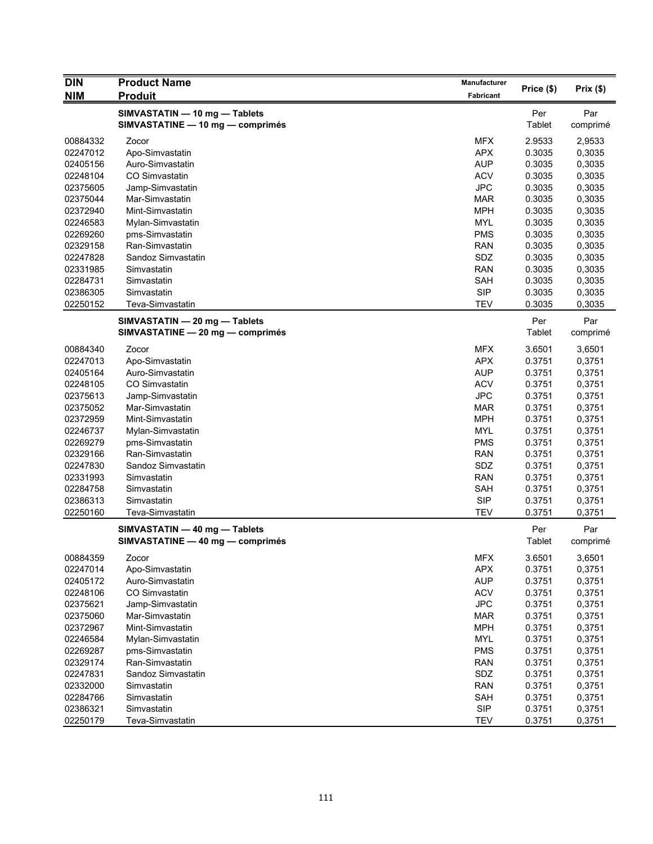| <b>DIN</b> | <b>Product Name</b>                                               | Manufacturer |               |                 |
|------------|-------------------------------------------------------------------|--------------|---------------|-----------------|
| <b>NIM</b> | <b>Produit</b>                                                    | Fabricant    | Price (\$)    | Prix(\$)        |
|            | SIMVASTATIN - 10 mg - Tablets<br>SIMVASTATINE - 10 mg - comprimés |              | Per<br>Tablet | Par<br>comprimé |
| 00884332   | Zocor                                                             | <b>MFX</b>   | 2.9533        | 2,9533          |
| 02247012   | Apo-Simvastatin                                                   | <b>APX</b>   | 0.3035        | 0,3035          |
| 02405156   | Auro-Simvastatin                                                  | <b>AUP</b>   | 0.3035        | 0,3035          |
| 02248104   | CO Simvastatin                                                    | <b>ACV</b>   | 0.3035        | 0,3035          |
| 02375605   | Jamp-Simvastatin                                                  | <b>JPC</b>   | 0.3035        | 0,3035          |
| 02375044   | Mar-Simvastatin                                                   | <b>MAR</b>   | 0.3035        | 0,3035          |
| 02372940   | Mint-Simvastatin                                                  | <b>MPH</b>   | 0.3035        | 0,3035          |
| 02246583   | Mylan-Simvastatin                                                 | <b>MYL</b>   | 0.3035        | 0,3035          |
| 02269260   | pms-Simvastatin                                                   | <b>PMS</b>   | 0.3035        | 0,3035          |
| 02329158   | Ran-Simvastatin                                                   | <b>RAN</b>   | 0.3035        | 0,3035          |
| 02247828   | Sandoz Simvastatin                                                | SDZ          | 0.3035        | 0,3035          |
| 02331985   | Simvastatin                                                       | <b>RAN</b>   | 0.3035        | 0,3035          |
| 02284731   | Simvastatin                                                       | SAH          | 0.3035        | 0,3035          |
| 02386305   | Simvastatin                                                       | <b>SIP</b>   | 0.3035        | 0,3035          |
| 02250152   | Teva-Simvastatin                                                  | <b>TEV</b>   | 0.3035        | 0,3035          |
|            | SIMVASTATIN - 20 mg - Tablets                                     |              | Per           | Par             |
|            | SIMVASTATINE - 20 mg - comprimés                                  |              | Tablet        | comprimé        |
| 00884340   | Zocor                                                             | <b>MFX</b>   | 3.6501        | 3,6501          |
| 02247013   | Apo-Simvastatin                                                   | <b>APX</b>   | 0.3751        | 0,3751          |
| 02405164   | Auro-Simvastatin                                                  | <b>AUP</b>   | 0.3751        | 0,3751          |
| 02248105   | CO Simvastatin                                                    | <b>ACV</b>   | 0.3751        | 0,3751          |
| 02375613   | Jamp-Simvastatin                                                  | <b>JPC</b>   | 0.3751        | 0,3751          |
| 02375052   | Mar-Simvastatin                                                   | <b>MAR</b>   | 0.3751        | 0,3751          |
| 02372959   | Mint-Simvastatin                                                  | <b>MPH</b>   | 0.3751        | 0,3751          |
| 02246737   | Mylan-Simvastatin                                                 | <b>MYL</b>   | 0.3751        | 0,3751          |
| 02269279   | pms-Simvastatin                                                   | <b>PMS</b>   | 0.3751        | 0,3751          |
| 02329166   | Ran-Simvastatin                                                   | <b>RAN</b>   | 0.3751        | 0,3751          |
| 02247830   | Sandoz Simvastatin                                                | SDZ          | 0.3751        | 0,3751          |
| 02331993   | Simvastatin                                                       | <b>RAN</b>   | 0.3751        | 0,3751          |
| 02284758   | Simvastatin                                                       | SAH          | 0.3751        | 0,3751          |
| 02386313   | Simvastatin                                                       | <b>SIP</b>   | 0.3751        | 0,3751          |
| 02250160   | Teva-Simvastatin                                                  | <b>TEV</b>   | 0.3751        | 0,3751          |
|            | SIMVASTATIN - 40 mg - Tablets                                     |              | Per           | Par             |
|            | SIMVASTATINE - 40 mg - comprimés                                  |              | <b>Tablet</b> | comprimé        |
| 00884359   | Zocor                                                             | <b>MFX</b>   | 3.6501        | 3,6501          |
| 02247014   | Apo-Simvastatin                                                   | <b>APX</b>   | 0.3751        | 0,3751          |
| 02405172   | Auro-Simvastatin                                                  | <b>AUP</b>   | 0.3751        | 0,3751          |
| 02248106   | CO Simvastatin                                                    | <b>ACV</b>   | 0.3751        | 0,3751          |
| 02375621   | Jamp-Simvastatin                                                  | <b>JPC</b>   | 0.3751        | 0,3751          |
| 02375060   | Mar-Simvastatin                                                   | <b>MAR</b>   | 0.3751        | 0,3751          |
| 02372967   | Mint-Simvastatin                                                  | <b>MPH</b>   | 0.3751        | 0,3751          |
| 02246584   | Mylan-Simvastatin                                                 | <b>MYL</b>   | 0.3751        | 0,3751          |
| 02269287   | pms-Simvastatin                                                   | <b>PMS</b>   | 0.3751        | 0,3751          |
| 02329174   | Ran-Simvastatin                                                   | <b>RAN</b>   | 0.3751        | 0,3751          |
| 02247831   | Sandoz Simvastatin                                                | SDZ          | 0.3751        | 0,3751          |
| 02332000   | Simvastatin                                                       | <b>RAN</b>   | 0.3751        | 0,3751          |
| 02284766   | Simvastatin                                                       | SAH          | 0.3751        | 0,3751          |
| 02386321   | Simvastatin                                                       | <b>SIP</b>   | 0.3751        | 0,3751          |
| 02250179   | Teva-Simvastatin                                                  | <b>TEV</b>   | 0.3751        | 0,3751          |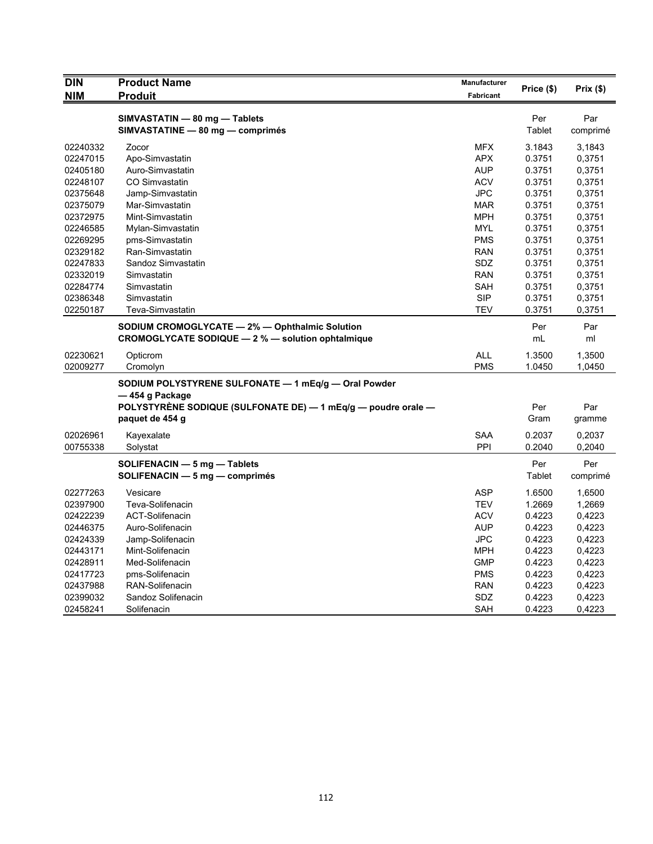| <b>DIN</b> | <b>Product Name</b>                                           | Manufacturer     |            |          |
|------------|---------------------------------------------------------------|------------------|------------|----------|
| <b>NIM</b> | <b>Produit</b>                                                | <b>Fabricant</b> | Price (\$) | Prix(\$) |
|            |                                                               |                  |            |          |
|            | SIMVASTATIN - 80 mg - Tablets                                 |                  | Per        | Par      |
|            | SIMVASTATINE - 80 mg - comprimés                              |                  | Tablet     | comprimé |
| 02240332   | Zocor                                                         | <b>MFX</b>       | 3.1843     | 3,1843   |
| 02247015   | Apo-Simvastatin                                               | <b>APX</b>       | 0.3751     | 0,3751   |
| 02405180   | Auro-Simvastatin                                              | <b>AUP</b>       | 0.3751     | 0,3751   |
| 02248107   | CO Simvastatin                                                | <b>ACV</b>       | 0.3751     | 0,3751   |
| 02375648   | Jamp-Simvastatin                                              | <b>JPC</b>       | 0.3751     | 0,3751   |
| 02375079   | Mar-Simvastatin                                               | <b>MAR</b>       | 0.3751     | 0,3751   |
| 02372975   | Mint-Simvastatin                                              | <b>MPH</b>       | 0.3751     | 0,3751   |
| 02246585   | Mylan-Simvastatin                                             | <b>MYL</b>       | 0.3751     | 0,3751   |
| 02269295   | pms-Simvastatin                                               | <b>PMS</b>       | 0.3751     | 0,3751   |
| 02329182   | Ran-Simvastatin                                               | <b>RAN</b>       | 0.3751     | 0,3751   |
| 02247833   | Sandoz Simvastatin                                            | SDZ              | 0.3751     | 0,3751   |
| 02332019   | Simvastatin                                                   | <b>RAN</b>       | 0.3751     | 0,3751   |
| 02284774   | Simvastatin                                                   | <b>SAH</b>       | 0.3751     | 0,3751   |
| 02386348   | Simvastatin                                                   | <b>SIP</b>       | 0.3751     | 0,3751   |
| 02250187   | Teva-Simvastatin                                              | <b>TEV</b>       | 0.3751     | 0,3751   |
|            | SODIUM CROMOGLYCATE - 2% - Ophthalmic Solution                |                  | Per        | Par      |
|            | CROMOGLYCATE SODIQUE - 2 % - solution ophtalmique             |                  | mL         | ml       |
| 02230621   | Opticrom                                                      | <b>ALL</b>       | 1.3500     | 1,3500   |
| 02009277   | Cromolyn                                                      | <b>PMS</b>       | 1.0450     | 1,0450   |
|            | SODIUM POLYSTYRENE SULFONATE - 1 mEq/g - Oral Powder          |                  |            |          |
|            | — 454 g Package                                               |                  |            |          |
|            | POLYSTYRÈNE SODIQUE (SULFONATE DE) - 1 mEq/g - poudre orale - |                  | Per        | Par      |
|            | paquet de 454 g                                               |                  | Gram       | gramme   |
|            |                                                               |                  |            |          |
| 02026961   | Kayexalate                                                    | <b>SAA</b>       | 0.2037     | 0,2037   |
| 00755338   | Solystat                                                      | PPI              | 0.2040     | 0,2040   |
|            | SOLIFENACIN - 5 mg - Tablets                                  |                  | Per        | Per      |
|            | SOLIFENACIN $-5$ mg $-$ comprimés                             |                  | Tablet     | comprimé |
| 02277263   | Vesicare                                                      | <b>ASP</b>       | 1.6500     | 1,6500   |
| 02397900   | Teva-Solifenacin                                              | <b>TEV</b>       | 1.2669     | 1,2669   |
| 02422239   | <b>ACT-Solifenacin</b>                                        | <b>ACV</b>       | 0.4223     | 0,4223   |
| 02446375   | Auro-Solifenacin                                              | <b>AUP</b>       | 0.4223     | 0,4223   |
| 02424339   | Jamp-Solifenacin                                              | <b>JPC</b>       | 0.4223     | 0,4223   |
| 02443171   | Mint-Solifenacin                                              | <b>MPH</b>       | 0.4223     | 0,4223   |
| 02428911   | Med-Solifenacin                                               | <b>GMP</b>       | 0.4223     | 0,4223   |
| 02417723   | pms-Solifenacin                                               | <b>PMS</b>       | 0.4223     | 0,4223   |
| 02437988   | RAN-Solifenacin                                               | <b>RAN</b>       | 0.4223     | 0,4223   |
| 02399032   | Sandoz Solifenacin                                            | <b>SDZ</b>       | 0.4223     | 0,4223   |
| 02458241   | Solifenacin                                                   | SAH              | 0.4223     | 0,4223   |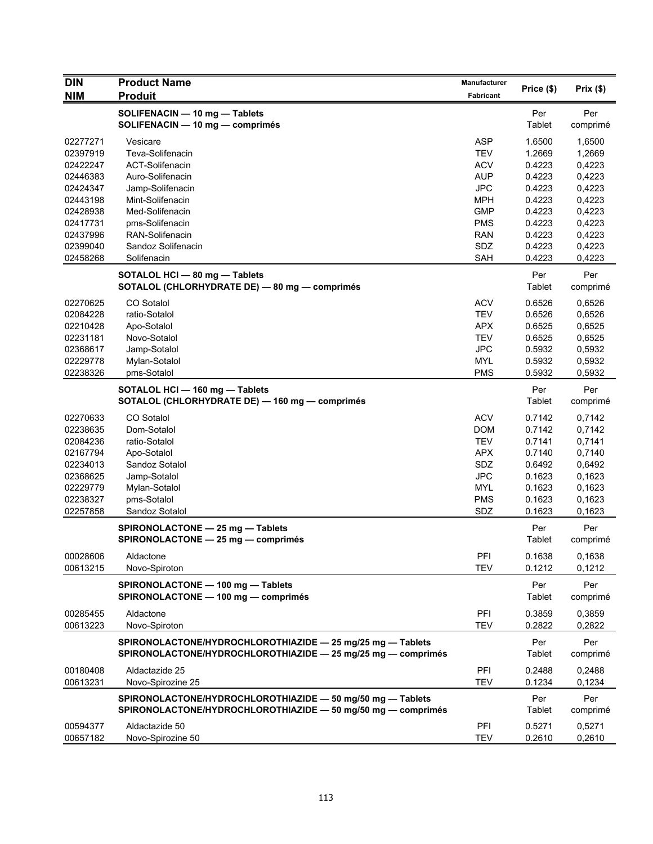| <b>DIN</b> | <b>Product Name</b>                                                                                                        | Manufacturer | Price (\$)    | Prix(\$)        |
|------------|----------------------------------------------------------------------------------------------------------------------------|--------------|---------------|-----------------|
| <b>NIM</b> | <b>Produit</b>                                                                                                             | Fabricant    |               |                 |
|            | SOLIFENACIN - 10 mg - Tablets                                                                                              |              | Per           | Per             |
|            | SOLIFENACIN - 10 mg - comprimés                                                                                            |              | Tablet        | comprimé        |
| 02277271   | Vesicare                                                                                                                   | <b>ASP</b>   | 1.6500        | 1,6500          |
| 02397919   | Teva-Solifenacin                                                                                                           | TEV          | 1.2669        | 1,2669          |
| 02422247   | <b>ACT-Solifenacin</b>                                                                                                     | <b>ACV</b>   | 0.4223        | 0,4223          |
| 02446383   | Auro-Solifenacin                                                                                                           | <b>AUP</b>   | 0.4223        | 0,4223          |
| 02424347   | Jamp-Solifenacin                                                                                                           | <b>JPC</b>   | 0.4223        | 0,4223          |
| 02443198   | Mint-Solifenacin                                                                                                           | <b>MPH</b>   | 0.4223        | 0,4223          |
| 02428938   | Med-Solifenacin                                                                                                            | <b>GMP</b>   | 0.4223        | 0,4223          |
| 02417731   | pms-Solifenacin                                                                                                            | <b>PMS</b>   | 0.4223        | 0,4223          |
| 02437996   | RAN-Solifenacin                                                                                                            | <b>RAN</b>   | 0.4223        | 0,4223          |
| 02399040   | Sandoz Solifenacin                                                                                                         | SDZ          | 0.4223        | 0,4223          |
| 02458268   | Solifenacin                                                                                                                | SAH          | 0.4223        | 0,4223          |
|            | SOTALOL HCI - 80 mg - Tablets                                                                                              |              | Per           | Per             |
|            | SOTALOL (CHLORHYDRATE DE) - 80 mg - comprimés                                                                              |              | Tablet        | comprimé        |
| 02270625   | CO Sotalol                                                                                                                 | <b>ACV</b>   | 0.6526        | 0,6526          |
| 02084228   | ratio-Sotalol                                                                                                              | <b>TEV</b>   | 0.6526        | 0,6526          |
| 02210428   | Apo-Sotalol                                                                                                                | <b>APX</b>   | 0.6525        | 0,6525          |
| 02231181   | Novo-Sotalol                                                                                                               | <b>TEV</b>   | 0.6525        | 0,6525          |
| 02368617   | Jamp-Sotalol                                                                                                               | <b>JPC</b>   | 0.5932        | 0,5932          |
| 02229778   | Mylan-Sotalol                                                                                                              | <b>MYL</b>   | 0.5932        | 0,5932          |
| 02238326   | pms-Sotalol                                                                                                                | <b>PMS</b>   | 0.5932        | 0,5932          |
|            | SOTALOL HCI - 160 mg - Tablets                                                                                             |              | Per           | Per             |
|            | SOTALOL (CHLORHYDRATE DE) - 160 mg - comprimés                                                                             |              | Tablet        | comprimé        |
| 02270633   | CO Sotalol                                                                                                                 | <b>ACV</b>   | 0.7142        | 0,7142          |
| 02238635   | Dom-Sotalol                                                                                                                | <b>DOM</b>   | 0.7142        | 0,7142          |
| 02084236   | ratio-Sotalol                                                                                                              | <b>TEV</b>   | 0.7141        | 0,7141          |
| 02167794   | Apo-Sotalol                                                                                                                | <b>APX</b>   | 0.7140        | 0,7140          |
| 02234013   | Sandoz Sotalol                                                                                                             | SDZ          | 0.6492        | 0,6492          |
| 02368625   | Jamp-Sotalol                                                                                                               | <b>JPC</b>   | 0.1623        | 0,1623          |
| 02229779   | Mylan-Sotalol                                                                                                              | <b>MYL</b>   | 0.1623        | 0,1623          |
| 02238327   | pms-Sotalol                                                                                                                | <b>PMS</b>   | 0.1623        | 0,1623          |
| 02257858   | Sandoz Sotalol                                                                                                             | SDZ          | 0.1623        | 0,1623          |
|            | SPIRONOLACTONE - 25 mg - Tablets                                                                                           |              | Per           | Per             |
|            | SPIRONOLACTONE - 25 mg - comprimés                                                                                         |              | Tablet        | comprimé        |
| 00028606   | Aldactone                                                                                                                  | <b>PFI</b>   | 0.1638        | 0,1638          |
| 00613215   | Novo-Spiroton                                                                                                              | <b>TEV</b>   | 0.1212        | 0,1212          |
|            | SPIRONOLACTONE - 100 mg - Tablets                                                                                          |              | Per           | Per             |
|            | SPIRONOLACTONE - 100 mg - comprimés                                                                                        |              | Tablet        | comprimé        |
| 00285455   | Aldactone                                                                                                                  | PFI          | 0.3859        | 0,3859          |
| 00613223   | Novo-Spiroton                                                                                                              | <b>TEV</b>   | 0.2822        | 0,2822          |
|            | SPIRONOLACTONE/HYDROCHLOROTHIAZIDE - 25 mg/25 mg - Tablets<br>SPIRONOLACTONE/HYDROCHLOROTHIAZIDE - 25 mg/25 mg - comprimés |              | Per<br>Tablet | Per<br>comprimé |
| 00180408   | Aldactazide 25                                                                                                             | PFI          | 0.2488        | 0,2488          |
| 00613231   | Novo-Spirozine 25                                                                                                          | <b>TEV</b>   | 0.1234        | 0,1234          |
|            | SPIRONOLACTONE/HYDROCHLOROTHIAZIDE - 50 mg/50 mg - Tablets<br>SPIRONOLACTONE/HYDROCHLOROTHIAZIDE - 50 mg/50 mg - comprimés |              | Per<br>Tablet | Per<br>comprimé |
| 00594377   | Aldactazide 50                                                                                                             | PFI          | 0.5271        | 0,5271          |
| 00657182   | Novo-Spirozine 50                                                                                                          | <b>TEV</b>   | 0.2610        | 0,2610          |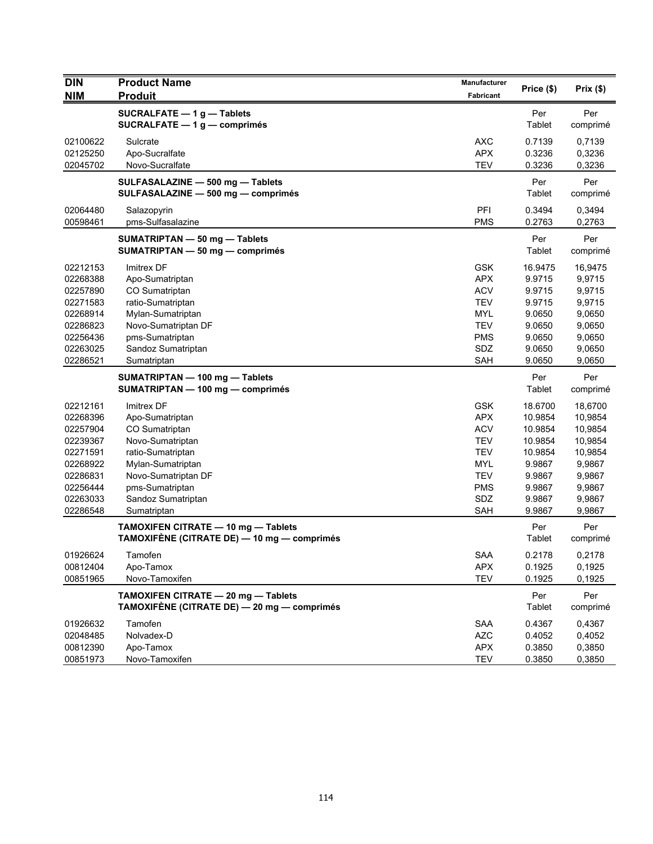| <b>DIN</b><br><b>NIM</b> | <b>Product Name</b><br><b>Produit</b>                                                             | Manufacturer<br>Fabricant | Price (\$)       | Prix(\$)         |
|--------------------------|---------------------------------------------------------------------------------------------------|---------------------------|------------------|------------------|
|                          |                                                                                                   |                           |                  |                  |
|                          | SUCRALFATE - 1 g - Tablets<br>SUCRALFATE $-1$ g $-$ comprimés                                     |                           | Per<br>Tablet    | Per<br>comprimé  |
| 02100622                 | Sulcrate                                                                                          | <b>AXC</b>                | 0.7139           | 0,7139           |
| 02125250                 | Apo-Sucralfate                                                                                    | <b>APX</b>                | 0.3236           | 0,3236           |
| 02045702                 | Novo-Sucralfate                                                                                   | <b>TEV</b>                | 0.3236           | 0,3236           |
|                          | SULFASALAZINE - 500 mg - Tablets<br>SULFASALAZINE - 500 mg - comprimés                            |                           | Per<br>Tablet    | Per<br>comprimé  |
| 02064480                 | Salazopyrin                                                                                       | PFI                       | 0.3494           | 0,3494           |
| 00598461                 | pms-Sulfasalazine                                                                                 | <b>PMS</b>                | 0.2763           | 0,2763           |
|                          | SUMATRIPTAN - 50 mg - Tablets<br>SUMATRIPTAN - 50 mg - comprimés                                  |                           | Per<br>Tablet    | Per<br>comprimé  |
| 02212153                 | Imitrex DF                                                                                        | <b>GSK</b>                | 16.9475          | 16,9475          |
| 02268388                 | Apo-Sumatriptan                                                                                   | <b>APX</b>                | 9.9715           | 9,9715           |
| 02257890                 | CO Sumatriptan                                                                                    | <b>ACV</b>                | 9.9715           | 9,9715           |
| 02271583                 | ratio-Sumatriptan                                                                                 | <b>TEV</b>                | 9.9715           | 9,9715           |
| 02268914                 | Mylan-Sumatriptan                                                                                 | <b>MYL</b>                | 9.0650           | 9,0650           |
| 02286823                 | Novo-Sumatriptan DF                                                                               | <b>TEV</b>                | 9.0650           | 9,0650           |
| 02256436                 | pms-Sumatriptan                                                                                   | <b>PMS</b>                | 9.0650           | 9,0650           |
| 02263025                 | Sandoz Sumatriptan                                                                                | SDZ                       | 9.0650           | 9,0650           |
| 02286521                 | Sumatriptan                                                                                       | <b>SAH</b>                | 9.0650           | 9,0650           |
|                          | SUMATRIPTAN - 100 mg - Tablets<br>SUMATRIPTAN - 100 mg - comprimés                                |                           | Per<br>Tablet    | Per<br>comprimé  |
| 02212161                 | Imitrex DF                                                                                        | <b>GSK</b>                | 18.6700          | 18,6700          |
| 02268396                 | Apo-Sumatriptan                                                                                   | <b>APX</b>                | 10.9854          | 10,9854          |
| 02257904                 | CO Sumatriptan                                                                                    | <b>ACV</b>                | 10.9854          | 10,9854          |
| 02239367                 | Novo-Sumatriptan                                                                                  | <b>TEV</b>                | 10.9854          | 10,9854          |
| 02271591                 | ratio-Sumatriptan                                                                                 | <b>TEV</b>                | 10.9854          | 10,9854          |
| 02268922                 | Mylan-Sumatriptan                                                                                 | <b>MYL</b>                | 9.9867           | 9,9867           |
| 02286831                 | Novo-Sumatriptan DF                                                                               | <b>TEV</b>                | 9.9867           | 9,9867           |
| 02256444                 | pms-Sumatriptan                                                                                   | <b>PMS</b>                | 9.9867           | 9,9867           |
| 02263033<br>02286548     | Sandoz Sumatriptan                                                                                | SDZ<br><b>SAH</b>         | 9.9867<br>9.9867 | 9,9867<br>9,9867 |
|                          | Sumatriptan<br>TAMOXIFEN CITRATE - 10 mg - Tablets<br>TAMOXIFÈNE (CITRATE DE) — 10 mg — comprimés |                           | Per<br>Tablet    | Per<br>comprimé  |
| 01926624                 | Tamofen                                                                                           | SAA                       | 0.2178           | 0,2178           |
| 00812404                 | Apo-Tamox                                                                                         | APX                       | 0.1925           | 0,1925           |
| 00851965                 | Novo-Tamoxifen                                                                                    | <b>TEV</b>                | 0.1925           | 0,1925           |
|                          | TAMOXIFEN CITRATE - 20 mg - Tablets<br>TAMOXIFÈNE (CITRATE DE) — 20 mg — comprimés                |                           | Per<br>Tablet    | Per<br>comprimé  |
| 01926632                 | Tamofen                                                                                           | <b>SAA</b>                | 0.4367           | 0,4367           |
| 02048485                 | Nolvadex-D                                                                                        | <b>AZC</b>                | 0.4052           | 0,4052           |
| 00812390                 | Apo-Tamox                                                                                         | APX                       | 0.3850           | 0,3850           |
| 00851973                 | Novo-Tamoxifen                                                                                    | <b>TEV</b>                | 0.3850           | 0,3850           |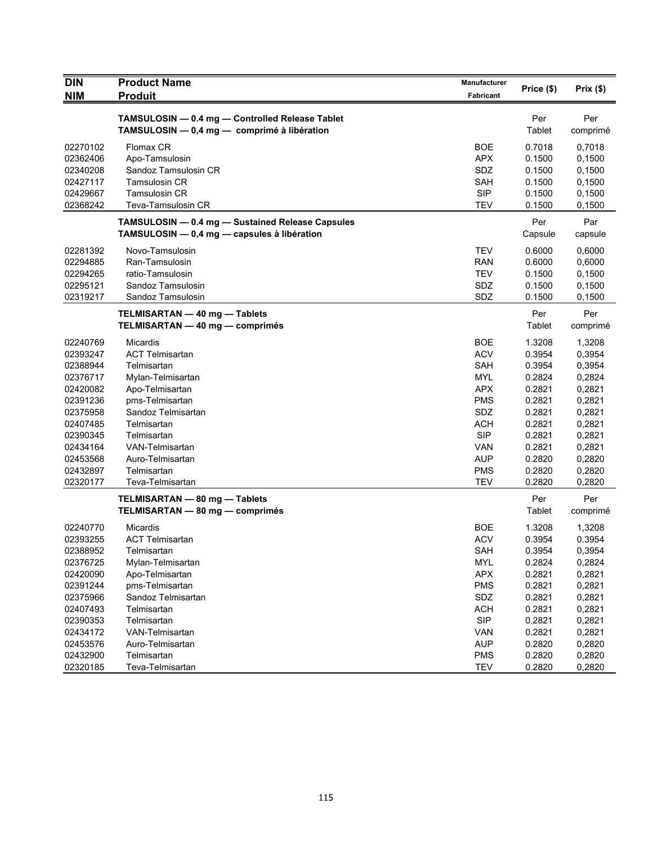| <b>DIN</b><br><b>NIM</b> | <b>Product Name</b><br><b>Produit</b>                                                           | <b>Manufacturer</b><br>Fabricant | Price (\$)     | Prix(\$)        |
|--------------------------|-------------------------------------------------------------------------------------------------|----------------------------------|----------------|-----------------|
|                          |                                                                                                 |                                  |                |                 |
|                          | TAMSULOSIN - 0.4 mg - Controlled Release Tablet<br>TAMSULOSIN - 0,4 mg - comprimé à libération  |                                  | Per<br>Tablet  | Per<br>comprimé |
| 02270102                 | Flomax CR                                                                                       | <b>BOE</b>                       | 0.7018         | 0,7018          |
| 02362406                 | Apo-Tamsulosin                                                                                  | <b>APX</b>                       | 0.1500         | 0,1500          |
| 02340208                 | Sandoz Tamsulosin CR                                                                            | SDZ                              | 0.1500         | 0,1500          |
| 02427117                 | <b>Tamsulosin CR</b>                                                                            | SAH                              | 0.1500         | 0,1500          |
| 02429667                 | Tamsulosin CR                                                                                   | <b>SIP</b>                       | 0.1500         | 0,1500          |
| 02368242                 | Teva-Tamsulosin CR                                                                              | <b>TEV</b>                       | 0.1500         | 0,1500          |
|                          | TAMSULOSIN - 0.4 mg - Sustained Release Capsules<br>TAMSULOSIN - 0,4 mg - capsules à libération |                                  | Per<br>Capsule | Par<br>capsule  |
| 02281392                 | Novo-Tamsulosin                                                                                 | <b>TEV</b>                       | 0.6000         | 0,6000          |
| 02294885                 | Ran-Tamsulosin                                                                                  | <b>RAN</b>                       | 0.6000         | 0,6000          |
| 02294265                 | ratio-Tamsulosin                                                                                | <b>TEV</b>                       | 0.1500         | 0,1500          |
| 02295121                 | Sandoz Tamsulosin                                                                               | SDZ                              | 0.1500         | 0,1500          |
| 02319217                 | Sandoz Tamsulosin                                                                               | SDZ                              | 0.1500         | 0,1500          |
|                          | TELMISARTAN - 40 mg - Tablets<br>TELMISARTAN — 40 mg — comprimés                                |                                  | Per<br>Tablet  | Per<br>comprimé |
| 02240769                 | Micardis                                                                                        | <b>BOE</b>                       | 1.3208         | 1,3208          |
| 02393247                 | <b>ACT Telmisartan</b>                                                                          | <b>ACV</b>                       | 0.3954         | 0,3954          |
| 02388944                 | Telmisartan                                                                                     | <b>SAH</b>                       | 0.3954         | 0,3954          |
| 02376717                 | Mylan-Telmisartan                                                                               | <b>MYL</b>                       | 0.2824         | 0,2824          |
| 02420082                 | Apo-Telmisartan                                                                                 | <b>APX</b>                       | 0.2821         | 0,2821          |
| 02391236                 | pms-Telmisartan                                                                                 | <b>PMS</b>                       | 0.2821         | 0,2821          |
| 02375958                 | Sandoz Telmisartan                                                                              | SDZ                              | 0.2821         | 0,2821          |
| 02407485                 | Telmisartan                                                                                     | <b>ACH</b>                       | 0.2821         | 0,2821          |
| 02390345                 | Telmisartan                                                                                     | <b>SIP</b>                       | 0.2821         | 0,2821          |
| 02434164                 | VAN-Telmisartan                                                                                 | VAN                              | 0.2821         | 0,2821          |
| 02453568                 | Auro-Telmisartan                                                                                | <b>AUP</b>                       | 0.2820         | 0,2820          |
| 02432897                 | Telmisartan                                                                                     | <b>PMS</b>                       | 0.2820         | 0,2820          |
| 02320177                 | Teva-Telmisartan                                                                                | <b>TEV</b>                       | 0.2820         | 0,2820          |
|                          | TELMISARTAN - 80 mg - Tablets                                                                   |                                  | Per            | Per             |
|                          | TELMISARTAN - 80 mg - comprimés                                                                 |                                  | Tablet         | comprimé        |
| 02240770                 | Micardis                                                                                        | <b>BOE</b>                       | 1.3208         | 1,3208          |
| 02393255                 | <b>ACT Telmisartan</b>                                                                          | <b>ACV</b>                       | 0.3954         | 0.3954          |
| 02388952                 | Telmisartan                                                                                     | SAH                              | 0.3954         | 0,3954          |
| 02376725                 | Mylan-Telmisartan                                                                               | MYL                              | 0.2824         | 0,2824          |
| 02420090                 | Apo-Telmisartan                                                                                 | <b>APX</b>                       | 0.2821         | 0,2821          |
| 02391244                 | pms-Telmisartan                                                                                 | <b>PMS</b>                       | 0.2821         | 0,2821          |
| 02375966                 | Sandoz Telmisartan                                                                              | SDZ                              | 0.2821         | 0,2821          |
| 02407493                 | Telmisartan                                                                                     | <b>ACH</b>                       | 0.2821         | 0,2821          |
| 02390353                 | Telmisartan                                                                                     | <b>SIP</b>                       | 0.2821         | 0,2821          |
| 02434172                 | VAN-Telmisartan                                                                                 | <b>VAN</b>                       | 0.2821         | 0,2821          |
| 02453576                 | Auro-Telmisartan                                                                                | <b>AUP</b>                       | 0.2820         | 0,2820          |
| 02432900                 | Telmisartan                                                                                     | <b>PMS</b>                       | 0.2820         | 0,2820          |
| 02320185                 | Teva-Telmisartan                                                                                | <b>TEV</b>                       | 0.2820         | 0,2820          |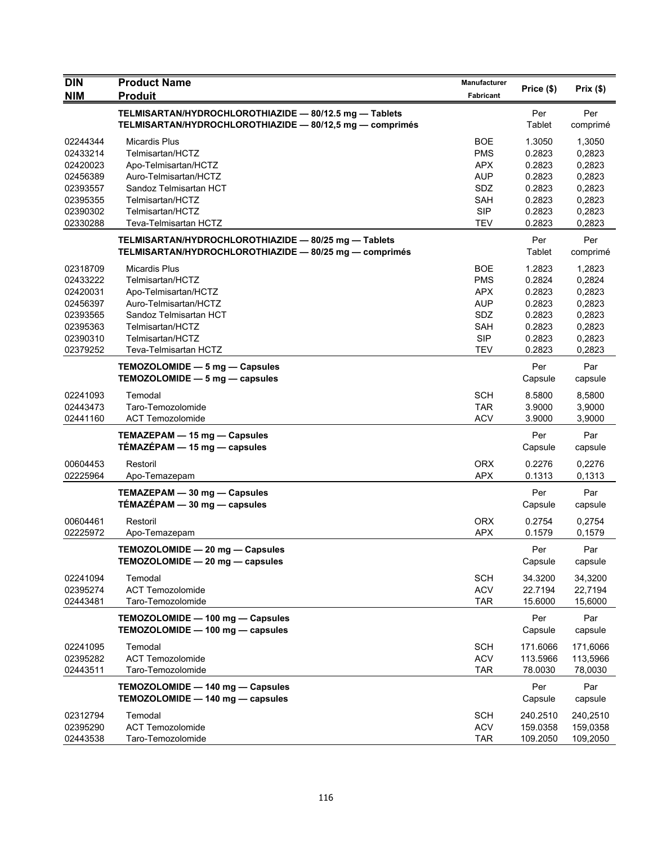| <b>DIN</b><br><b>NIM</b>                                                                     | <b>Product Name</b><br><b>Produit</b>                                                                                                                                                | <b>Manufacturer</b><br>Fabricant                                                                             | Price (\$)                                                                   | Prix(\$)                                                                     |
|----------------------------------------------------------------------------------------------|--------------------------------------------------------------------------------------------------------------------------------------------------------------------------------------|--------------------------------------------------------------------------------------------------------------|------------------------------------------------------------------------------|------------------------------------------------------------------------------|
|                                                                                              | TELMISARTAN/HYDROCHLOROTHIAZIDE - 80/12.5 mg - Tablets<br>TELMISARTAN/HYDROCHLOROTHIAZIDE - 80/12,5 mg - comprimés                                                                   |                                                                                                              | Per<br>Tablet                                                                | Per<br>comprimé                                                              |
| 02244344<br>02433214<br>02420023<br>02456389<br>02393557<br>02395355<br>02390302<br>02330288 | <b>Micardis Plus</b><br>Telmisartan/HCTZ<br>Apo-Telmisartan/HCTZ<br>Auro-Telmisartan/HCTZ<br>Sandoz Telmisartan HCT<br>Telmisartan/HCTZ<br>Telmisartan/HCTZ<br>Teva-Telmisartan HCTZ | <b>BOE</b><br><b>PMS</b><br><b>APX</b><br><b>AUP</b><br>SDZ<br><b>SAH</b><br><b>SIP</b><br><b>TEV</b>        | 1.3050<br>0.2823<br>0.2823<br>0.2823<br>0.2823<br>0.2823<br>0.2823<br>0.2823 | 1,3050<br>0,2823<br>0,2823<br>0,2823<br>0,2823<br>0,2823<br>0,2823<br>0,2823 |
|                                                                                              | TELMISARTAN/HYDROCHLOROTHIAZIDE - 80/25 mg - Tablets<br>TELMISARTAN/HYDROCHLOROTHIAZIDE - 80/25 mg - comprimés                                                                       |                                                                                                              | Per<br>Tablet                                                                | Per<br>comprimé                                                              |
| 02318709<br>02433222<br>02420031<br>02456397<br>02393565<br>02395363<br>02390310<br>02379252 | <b>Micardis Plus</b><br>Telmisartan/HCTZ<br>Apo-Telmisartan/HCTZ<br>Auro-Telmisartan/HCTZ<br>Sandoz Telmisartan HCT<br>Telmisartan/HCTZ<br>Telmisartan/HCTZ<br>Teva-Telmisartan HCTZ | <b>BOE</b><br><b>PMS</b><br><b>APX</b><br><b>AUP</b><br><b>SDZ</b><br><b>SAH</b><br><b>SIP</b><br><b>TEV</b> | 1.2823<br>0.2824<br>0.2823<br>0.2823<br>0.2823<br>0.2823<br>0.2823<br>0.2823 | 1,2823<br>0,2824<br>0,2823<br>0,2823<br>0,2823<br>0,2823<br>0,2823<br>0.2823 |
|                                                                                              | TEMOZOLOMIDE - 5 mg - Capsules<br>TEMOZOLOMIDE - 5 mg - capsules                                                                                                                     |                                                                                                              | Per<br>Capsule                                                               | Par<br>capsule                                                               |
| 02241093<br>02443473<br>02441160                                                             | Temodal<br>Taro-Temozolomide<br><b>ACT Temozolomide</b>                                                                                                                              | <b>SCH</b><br><b>TAR</b><br><b>ACV</b>                                                                       | 8.5800<br>3.9000<br>3.9000                                                   | 8,5800<br>3,9000<br>3,9000                                                   |
|                                                                                              | TEMAZEPAM - 15 mg - Capsules<br>TÉMAZÉPAM - 15 mg - capsules                                                                                                                         |                                                                                                              | Per<br>Capsule                                                               | Par<br>capsule                                                               |
| 00604453<br>02225964                                                                         | Restoril<br>Apo-Temazepam                                                                                                                                                            | <b>ORX</b><br><b>APX</b>                                                                                     | 0.2276<br>0.1313                                                             | 0,2276<br>0,1313                                                             |
|                                                                                              | TEMAZEPAM - 30 mg - Capsules<br>$TÉMAZÉPAM - 30 mg - capsules$                                                                                                                       |                                                                                                              | Per<br>Capsule                                                               | Par<br>capsule                                                               |
| 00604461<br>02225972                                                                         | Restoril<br>Apo-Temazepam                                                                                                                                                            | <b>ORX</b><br><b>APX</b>                                                                                     | 0.2754<br>0.1579                                                             | 0,2754<br>0,1579                                                             |
|                                                                                              | TEMOZOLOMIDE - 20 mg - Capsules<br>TEMOZOLOMIDE - 20 mg - capsules                                                                                                                   |                                                                                                              | Per<br>Capsule                                                               | Par<br>capsule                                                               |
| 02241094<br>02395274<br>02443481                                                             | Temodal<br><b>ACT Temozolomide</b><br>Taro-Temozolomide                                                                                                                              | <b>SCH</b><br><b>ACV</b><br><b>TAR</b>                                                                       | 34.3200<br>22.7194<br>15.6000                                                | 34,3200<br>22,7194<br>15,6000                                                |
|                                                                                              | TEMOZOLOMIDE - 100 mg - Capsules<br>TEMOZOLOMIDE - 100 mg - capsules                                                                                                                 |                                                                                                              | Per<br>Capsule                                                               | Par<br>capsule                                                               |
| 02241095<br>02395282<br>02443511                                                             | Temodal<br><b>ACT Temozolomide</b><br>Taro-Temozolomide                                                                                                                              | <b>SCH</b><br><b>ACV</b><br><b>TAR</b>                                                                       | 171.6066<br>113.5966<br>78.0030                                              | 171,6066<br>113,5966<br>78,0030                                              |
|                                                                                              | TEMOZOLOMIDE - 140 mg - Capsules<br>TEMOZOLOMIDE - 140 mg - capsules                                                                                                                 |                                                                                                              | Per<br>Capsule                                                               | Par<br>capsule                                                               |
| 02312794<br>02395290<br>02443538                                                             | Temodal<br><b>ACT Temozolomide</b><br>Taro-Temozolomide                                                                                                                              | <b>SCH</b><br><b>ACV</b><br><b>TAR</b>                                                                       | 240.2510<br>159.0358<br>109.2050                                             | 240,2510<br>159,0358<br>109,2050                                             |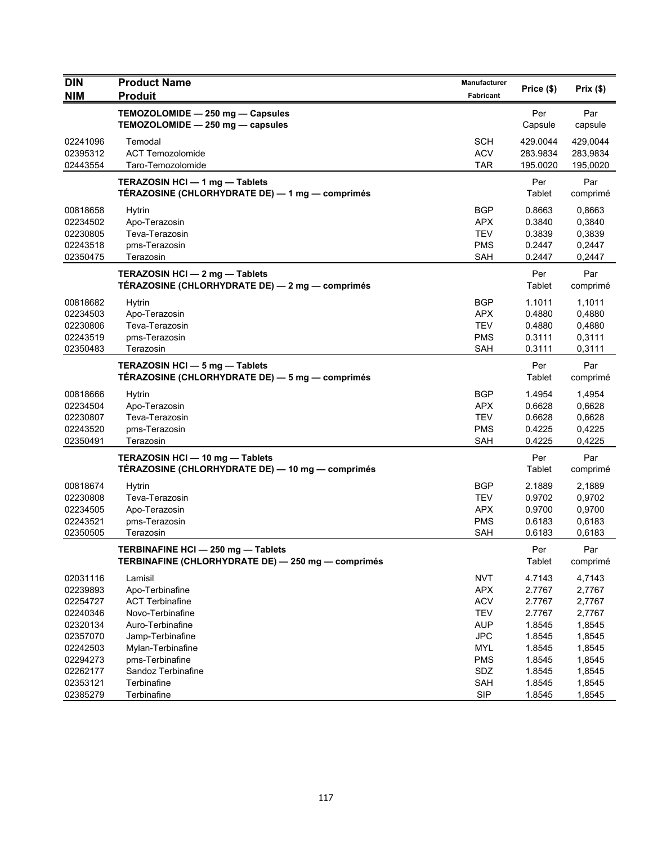| <b>DIN</b>                                                                       | <b>Product Name</b>                                                                                                                   | <b>Manufacturer</b>                                                                            |                                                                    | Prix(\$)                                                           |
|----------------------------------------------------------------------------------|---------------------------------------------------------------------------------------------------------------------------------------|------------------------------------------------------------------------------------------------|--------------------------------------------------------------------|--------------------------------------------------------------------|
| <b>NIM</b>                                                                       | <b>Produit</b>                                                                                                                        | <b>Fabricant</b>                                                                               | Price (\$)                                                         |                                                                    |
|                                                                                  | TEMOZOLOMIDE - 250 mg - Capsules<br>TEMOZOLOMIDE - 250 mg - capsules                                                                  |                                                                                                | Per<br>Capsule                                                     | Par<br>capsule                                                     |
| 02241096<br>02395312<br>02443554                                                 | Temodal<br><b>ACT Temozolomide</b><br>Taro-Temozolomide                                                                               | <b>SCH</b><br><b>ACV</b><br><b>TAR</b>                                                         | 429.0044<br>283.9834<br>195.0020                                   | 429,0044<br>283,9834<br>195,0020                                   |
|                                                                                  | TERAZOSIN HCI - 1 mg - Tablets<br>TÉRAZOSINE (CHLORHYDRATE DE) — 1 mg — comprimés                                                     |                                                                                                | Per<br>Tablet                                                      | Par<br>comprimé                                                    |
| 00818658<br>02234502<br>02230805<br>02243518<br>02350475                         | Hytrin<br>Apo-Terazosin<br>Teva-Terazosin<br>pms-Terazosin<br>Terazosin                                                               | BGP<br><b>APX</b><br><b>TEV</b><br><b>PMS</b><br>SAH                                           | 0.8663<br>0.3840<br>0.3839<br>0.2447<br>0.2447                     | 0,8663<br>0,3840<br>0,3839<br>0,2447<br>0,2447                     |
|                                                                                  | TERAZOSIN HCI - 2 mg - Tablets<br>TÉRAZOSINE (CHLORHYDRATE DE) — 2 mg — comprimés                                                     |                                                                                                | Per<br>Tablet                                                      | Par<br>comprimé                                                    |
| 00818682<br>02234503<br>02230806<br>02243519<br>02350483                         | Hytrin<br>Apo-Terazosin<br>Teva-Terazosin<br>pms-Terazosin<br>Terazosin                                                               | <b>BGP</b><br><b>APX</b><br><b>TEV</b><br><b>PMS</b><br>SAH                                    | 1.1011<br>0.4880<br>0.4880<br>0.3111<br>0.3111                     | 1,1011<br>0,4880<br>0,4880<br>0,3111<br>0,3111                     |
|                                                                                  | TERAZOSIN HCI - 5 mg - Tablets<br>TÉRAZOSINE (CHLORHYDRATE DE) — 5 mg — comprimés                                                     |                                                                                                | Per<br>Tablet                                                      | Par<br>comprimé                                                    |
| 00818666<br>02234504<br>02230807<br>02243520<br>02350491                         | <b>Hytrin</b><br>Apo-Terazosin<br>Teva-Terazosin<br>pms-Terazosin<br>Terazosin                                                        | <b>BGP</b><br><b>APX</b><br><b>TEV</b><br><b>PMS</b><br><b>SAH</b>                             | 1.4954<br>0.6628<br>0.6628<br>0.4225<br>0.4225                     | 1,4954<br>0,6628<br>0,6628<br>0,4225<br>0,4225                     |
|                                                                                  | TERAZOSIN HCI - 10 mg - Tablets<br>TÉRAZOSINE (CHLORHYDRATE DE) — 10 mg — comprimés                                                   |                                                                                                | Per<br>Tablet                                                      | Par<br>comprimé                                                    |
| 00818674<br>02230808<br>02234505<br>02243521<br>02350505                         | <b>Hytrin</b><br>Teva-Terazosin<br>Apo-Terazosin<br>pms-Terazosin<br>Terazosin                                                        | BGP<br><b>TEV</b><br><b>APX</b><br><b>PMS</b><br><b>SAH</b>                                    | 2.1889<br>0.9702<br>0.9700<br>0.6183<br>0.6183                     | 2,1889<br>0,9702<br>0,9700<br>0,6183<br>0,6183                     |
|                                                                                  | TERBINAFINE HCI-250 mg-Tablets<br>TERBINAFINE (CHLORHYDRATE DE) - 250 mg - comprimés                                                  |                                                                                                | Per<br>Tablet                                                      | Par<br>comprimé                                                    |
| 02031116<br>02239893<br>02254727<br>02240346<br>02320134<br>02357070<br>02242503 | Lamisil<br>Apo-Terbinafine<br><b>ACT Terbinafine</b><br>Novo-Terbinafine<br>Auro-Terbinafine<br>Jamp-Terbinafine<br>Mylan-Terbinafine | <b>NVT</b><br><b>APX</b><br><b>ACV</b><br><b>TEV</b><br><b>AUP</b><br><b>JPC</b><br><b>MYL</b> | 4.7143<br>2.7767<br>2.7767<br>2.7767<br>1.8545<br>1.8545<br>1.8545 | 4,7143<br>2,7767<br>2,7767<br>2,7767<br>1,8545<br>1,8545<br>1,8545 |
| 02294273<br>02262177<br>02353121<br>02385279                                     | pms-Terbinafine<br>Sandoz Terbinafine<br>Terbinafine<br>Terbinafine                                                                   | <b>PMS</b><br>SDZ<br>SAH<br><b>SIP</b>                                                         | 1.8545<br>1.8545<br>1.8545<br>1.8545                               | 1,8545<br>1,8545<br>1,8545<br>1,8545                               |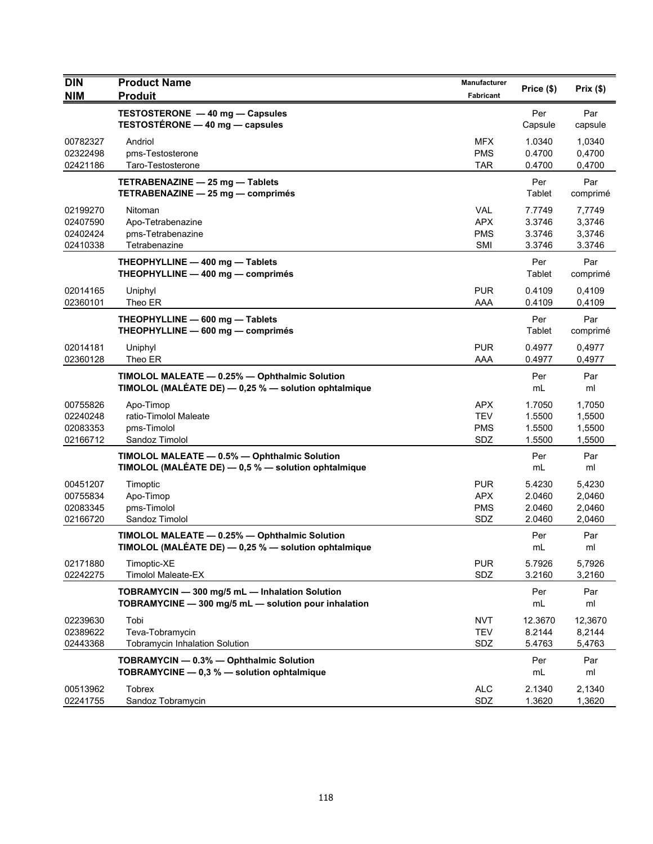| <b>DIN</b><br><b>NIM</b>                     | <b>Product Name</b><br><b>Produit</b>                                                                   | Manufacturer<br>Fabricant                            | Price (\$)                           | Prix(\$)                             |
|----------------------------------------------|---------------------------------------------------------------------------------------------------------|------------------------------------------------------|--------------------------------------|--------------------------------------|
|                                              | TESTOSTERONE - 40 mg - Capsules<br>TESTOSTÉRONE - 40 mg - capsules                                      |                                                      | Per<br>Capsule                       | Par<br>capsule                       |
| 00782327<br>02322498<br>02421186             | Andriol<br>pms-Testosterone<br>Taro-Testosterone                                                        | <b>MFX</b><br><b>PMS</b><br><b>TAR</b>               | 1.0340<br>0.4700<br>0.4700           | 1.0340<br>0,4700<br>0,4700           |
|                                              | TETRABENAZINE - 25 mg - Tablets<br>TETRABENAZINE - 25 mg - comprimés                                    |                                                      | Per<br>Tablet                        | Par<br>comprimé                      |
| 02199270<br>02407590<br>02402424<br>02410338 | Nitoman<br>Apo-Tetrabenazine<br>pms-Tetrabenazine<br>Tetrabenazine                                      | <b>VAL</b><br><b>APX</b><br><b>PMS</b><br><b>SMI</b> | 7.7749<br>3.3746<br>3.3746<br>3.3746 | 7,7749<br>3,3746<br>3,3746<br>3.3746 |
|                                              | THEOPHYLLINE - 400 mg - Tablets<br>THEOPHYLLINE - 400 mg - comprimés                                    |                                                      | Per<br>Tablet                        | Par<br>comprimé                      |
| 02014165<br>02360101                         | Uniphyl<br>Theo ER                                                                                      | <b>PUR</b><br>AAA                                    | 0.4109<br>0.4109                     | 0,4109<br>0,4109                     |
|                                              | THEOPHYLLINE - 600 mg - Tablets<br>THEOPHYLLINE - 600 mg - comprimés                                    |                                                      | Per<br>Tablet                        | Par<br>comprimé                      |
| 02014181<br>02360128                         | Uniphyl<br>Theo ER                                                                                      | <b>PUR</b><br>AAA                                    | 0.4977<br>0.4977                     | 0,4977<br>0,4977                     |
|                                              | TIMOLOL MALEATE - 0.25% - Ophthalmic Solution<br>TIMOLOL (MALÉATE DE) - 0,25 % - solution ophtalmique   |                                                      | Per<br>mL                            | Par<br>ml                            |
| 00755826<br>02240248<br>02083353<br>02166712 | Apo-Timop<br>ratio-Timolol Maleate<br>pms-Timolol<br>Sandoz Timolol                                     | <b>APX</b><br><b>TEV</b><br><b>PMS</b><br>SDZ        | 1.7050<br>1.5500<br>1.5500<br>1.5500 | 1,7050<br>1,5500<br>1,5500<br>1,5500 |
|                                              | TIMOLOL MALEATE - 0.5% - Ophthalmic Solution<br>TIMOLOL (MALÉATE DE) $-$ 0,5 % $-$ solution ophtalmique |                                                      | Per<br>mL                            | Par<br>ml                            |
| 00451207<br>00755834<br>02083345<br>02166720 | Timoptic<br>Apo-Timop<br>pms-Timolol<br>Sandoz Timolol                                                  | <b>PUR</b><br><b>APX</b><br><b>PMS</b><br>SDZ        | 5.4230<br>2.0460<br>2.0460<br>2.0460 | 5,4230<br>2,0460<br>2,0460<br>2,0460 |
|                                              | TIMOLOL MALEATE - 0.25% - Ophthalmic Solution<br>TIMOLOL (MALÉATE DE) - 0,25 % - solution ophtalmique   |                                                      | Per<br>mL                            | Par<br>ml                            |
| 02171880<br>02242275                         | Timoptic-XE<br><b>Timolol Maleate-EX</b>                                                                | <b>PUR</b><br>SDZ                                    | 5.7926<br>3.2160                     | 5,7926<br>3,2160                     |
|                                              | TOBRAMYCIN - 300 mg/5 mL - Inhalation Solution<br>TOBRAMYCINE - 300 mg/5 mL - solution pour inhalation  |                                                      | Per<br>mL                            | Par<br>ml                            |
| 02239630<br>02389622<br>02443368             | Tobi<br>Teva-Tobramycin<br><b>Tobramycin Inhalation Solution</b>                                        | <b>NVT</b><br><b>TEV</b><br>SDZ                      | 12.3670<br>8.2144<br>5.4763          | 12,3670<br>8,2144<br>5,4763          |
|                                              | TOBRAMYCIN - 0.3% - Ophthalmic Solution<br>TOBRAMYCINE - 0,3 % - solution ophtalmique                   |                                                      | Per<br>mL                            | Par<br>ml                            |
| 00513962<br>02241755                         | <b>Tobrex</b><br>Sandoz Tobramycin                                                                      | <b>ALC</b><br>SDZ                                    | 2.1340<br>1.3620                     | 2,1340<br>1,3620                     |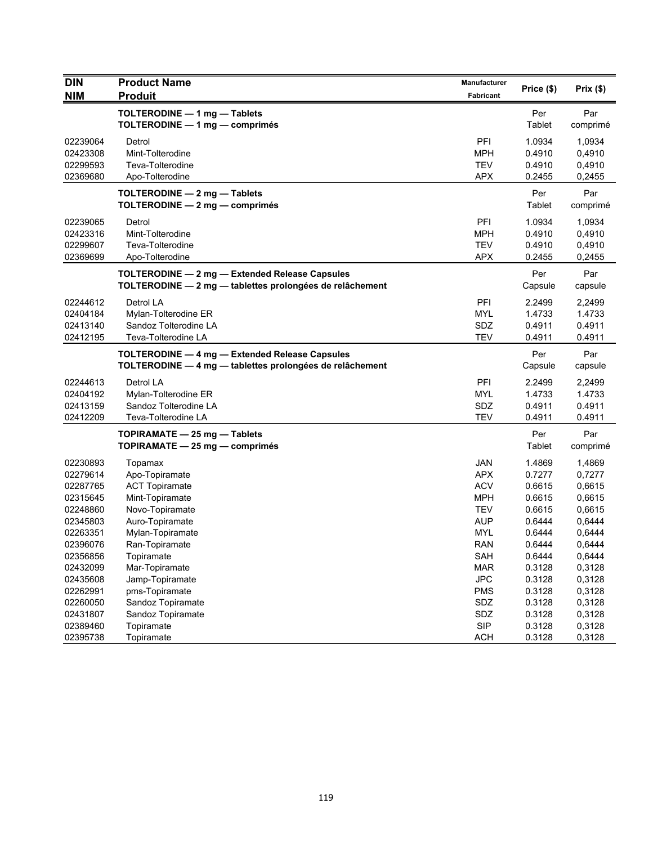| <b>DIN</b> | <b>Product Name</b>                                      | <b>Manufacturer</b> | Price (\$) | Prix(\$) |
|------------|----------------------------------------------------------|---------------------|------------|----------|
| <b>NIM</b> | <b>Produit</b>                                           | Fabricant           |            |          |
|            | TOLTERODINE - 1 mg - Tablets                             |                     | Per        | Par      |
|            | TOLTERODINE - 1 mg - comprimés                           |                     | Tablet     | comprimé |
| 02239064   | Detrol                                                   | PFI                 | 1.0934     | 1,0934   |
| 02423308   | Mint-Tolterodine                                         | MPH                 | 0.4910     | 0,4910   |
| 02299593   | Teva-Tolterodine                                         | <b>TEV</b>          | 0.4910     | 0,4910   |
| 02369680   | Apo-Tolterodine                                          | <b>APX</b>          | 0.2455     | 0,2455   |
|            | TOLTERODINE - 2 mg - Tablets                             |                     | Per        | Par      |
|            | TOLTERODINE - 2 mg - comprimés                           |                     | Tablet     | comprimé |
|            |                                                          |                     |            |          |
| 02239065   | Detrol                                                   | PFI                 | 1.0934     | 1,0934   |
| 02423316   | Mint-Tolterodine                                         | <b>MPH</b>          | 0.4910     | 0,4910   |
| 02299607   | Teva-Tolterodine                                         | <b>TEV</b>          | 0.4910     | 0,4910   |
| 02369699   | Apo-Tolterodine                                          | <b>APX</b>          | 0.2455     | 0,2455   |
|            | TOLTERODINE - 2 mg - Extended Release Capsules           |                     | Per        | Par      |
|            | TOLTERODINE - 2 mg - tablettes prolongées de relâchement |                     | Capsule    | capsule  |
| 02244612   | Detrol LA                                                | PFI                 | 2.2499     | 2,2499   |
| 02404184   | Mylan-Tolterodine ER                                     | <b>MYL</b>          | 1.4733     | 1.4733   |
| 02413140   | Sandoz Tolterodine LA                                    | SDZ                 | 0.4911     | 0.4911   |
| 02412195   | Teva-Tolterodine LA                                      | <b>TEV</b>          | 0.4911     | 0.4911   |
|            | TOLTERODINE - 4 mg - Extended Release Capsules           |                     | Per        | Par      |
|            | TOLTERODINE - 4 mg - tablettes prolongées de relâchement |                     | Capsule    | capsule  |
|            |                                                          |                     |            |          |
| 02244613   | Detrol LA                                                | PFI                 | 2.2499     | 2,2499   |
| 02404192   | Mylan-Tolterodine ER                                     | <b>MYL</b>          | 1.4733     | 1.4733   |
| 02413159   | Sandoz Tolterodine LA                                    | SDZ                 | 0.4911     | 0.4911   |
| 02412209   | Teva-Tolterodine LA                                      | <b>TEV</b>          | 0.4911     | 0.4911   |
|            | TOPIRAMATE - 25 mg - Tablets                             |                     | Per        | Par      |
|            | TOPIRAMATE - 25 mg - comprimés                           |                     | Tablet     | comprimé |
| 02230893   | Topamax                                                  | <b>JAN</b>          | 1.4869     | 1,4869   |
| 02279614   | Apo-Topiramate                                           | <b>APX</b>          | 0.7277     | 0,7277   |
| 02287765   | <b>ACT Topiramate</b>                                    | <b>ACV</b>          | 0.6615     | 0,6615   |
| 02315645   | Mint-Topiramate                                          | <b>MPH</b>          | 0.6615     | 0,6615   |
| 02248860   | Novo-Topiramate                                          | <b>TEV</b>          | 0.6615     | 0,6615   |
| 02345803   | Auro-Topiramate                                          | <b>AUP</b>          | 0.6444     | 0,6444   |
| 02263351   | Mylan-Topiramate                                         | <b>MYL</b>          | 0.6444     | 0,6444   |
| 02396076   | Ran-Topiramate                                           | RAN                 | 0.6444     | 0,6444   |
| 02356856   | Topiramate                                               | SAH                 | 0.6444     | 0,6444   |
| 02432099   | Mar-Topiramate                                           | <b>MAR</b>          | 0.3128     | 0,3128   |
| 02435608   | Jamp-Topiramate                                          | <b>JPC</b>          | 0.3128     | 0,3128   |
| 02262991   | pms-Topiramate                                           | <b>PMS</b>          | 0.3128     | 0,3128   |
| 02260050   | Sandoz Topiramate                                        | SDZ                 | 0.3128     | 0,3128   |
| 02431807   | Sandoz Topiramate                                        | SDZ                 | 0.3128     | 0,3128   |
| 02389460   | Topiramate                                               | <b>SIP</b>          | 0.3128     | 0,3128   |
| 02395738   | Topiramate                                               | <b>ACH</b>          | 0.3128     | 0,3128   |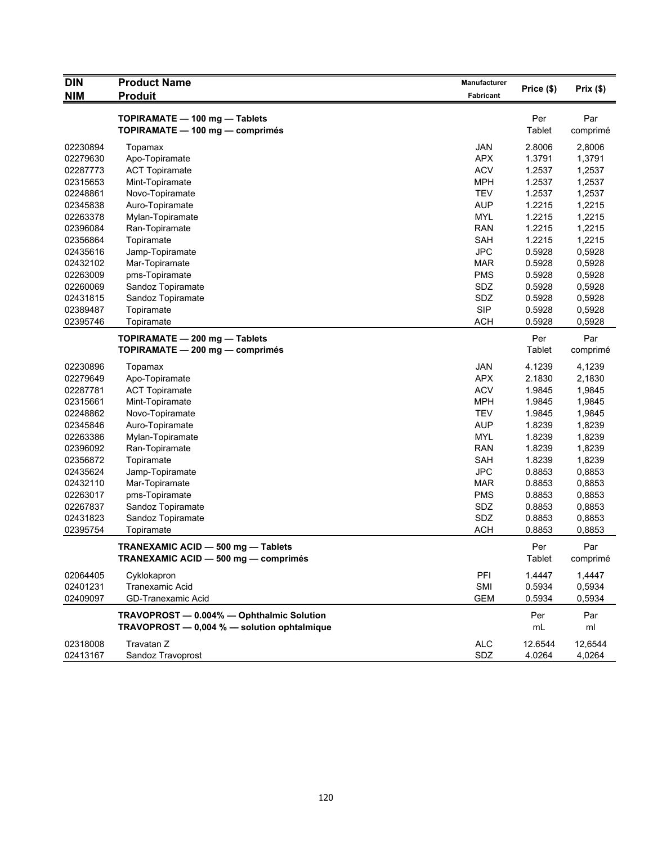| <b>DIN</b>           | <b>Product Name</b>                         | Manufacturer             | Price (\$)       | Prix(\$)         |
|----------------------|---------------------------------------------|--------------------------|------------------|------------------|
| <b>NIM</b>           | <b>Produit</b>                              | Fabricant                |                  |                  |
|                      | TOPIRAMATE - 100 mg - Tablets               |                          | Per              | Par              |
|                      | TOPIRAMATE - 100 mg - comprimés             |                          | Tablet           | comprimé         |
|                      |                                             |                          | 2.8006           |                  |
| 02230894<br>02279630 | Topamax                                     | <b>JAN</b><br><b>APX</b> | 1.3791           | 2,8006<br>1,3791 |
| 02287773             | Apo-Topiramate                              | <b>ACV</b>               | 1.2537           | 1,2537           |
| 02315653             | <b>ACT Topiramate</b><br>Mint-Topiramate    | <b>MPH</b>               | 1.2537           | 1,2537           |
| 02248861             |                                             | <b>TEV</b>               | 1.2537           | 1,2537           |
| 02345838             | Novo-Topiramate<br>Auro-Topiramate          | <b>AUP</b>               | 1.2215           | 1,2215           |
| 02263378             |                                             | <b>MYL</b>               | 1.2215           | 1,2215           |
| 02396084             | Mylan-Topiramate                            | <b>RAN</b>               | 1.2215           | 1,2215           |
|                      | Ran-Topiramate                              | <b>SAH</b>               |                  |                  |
| 02356864             | Topiramate                                  | <b>JPC</b>               | 1.2215           | 1,2215<br>0,5928 |
| 02435616             | Jamp-Topiramate                             |                          | 0.5928<br>0.5928 | 0,5928           |
| 02432102             | Mar-Topiramate                              | <b>MAR</b>               |                  |                  |
| 02263009             | pms-Topiramate                              | <b>PMS</b>               | 0.5928           | 0,5928           |
| 02260069             | Sandoz Topiramate                           | SDZ                      | 0.5928           | 0,5928           |
| 02431815             | Sandoz Topiramate                           | SDZ                      | 0.5928           | 0,5928           |
| 02389487             | Topiramate                                  | <b>SIP</b>               | 0.5928           | 0,5928           |
| 02395746             | Topiramate                                  | <b>ACH</b>               | 0.5928           | 0,5928           |
|                      | TOPIRAMATE - 200 mg - Tablets               |                          | Per              | Par              |
|                      | TOPIRAMATE - 200 mg - comprimés             |                          | <b>Tablet</b>    | comprimé         |
| 02230896             | Topamax                                     | JAN                      | 4.1239           | 4,1239           |
| 02279649             | Apo-Topiramate                              | <b>APX</b>               | 2.1830           | 2,1830           |
| 02287781             | <b>ACT Topiramate</b>                       | <b>ACV</b>               | 1.9845           | 1,9845           |
| 02315661             | Mint-Topiramate                             | <b>MPH</b>               | 1.9845           | 1,9845           |
| 02248862             | Novo-Topiramate                             | <b>TEV</b>               | 1.9845           | 1,9845           |
| 02345846             | Auro-Topiramate                             | <b>AUP</b>               | 1.8239           | 1,8239           |
| 02263386             | Mylan-Topiramate                            | <b>MYL</b>               | 1.8239           | 1,8239           |
| 02396092             | Ran-Topiramate                              | <b>RAN</b>               | 1.8239           | 1,8239           |
| 02356872             |                                             | <b>SAH</b>               | 1.8239           |                  |
| 02435624             | Topiramate                                  | <b>JPC</b>               | 0.8853           | 1,8239           |
| 02432110             | Jamp-Topiramate                             | <b>MAR</b>               | 0.8853           | 0,8853           |
|                      | Mar-Topiramate                              |                          |                  | 0,8853           |
| 02263017             | pms-Topiramate                              | <b>PMS</b>               | 0.8853           | 0,8853           |
| 02267837             | Sandoz Topiramate                           | SDZ                      | 0.8853           | 0,8853           |
| 02431823             | Sandoz Topiramate                           | SDZ                      | 0.8853           | 0,8853           |
| 02395754             | Topiramate                                  | <b>ACH</b>               | 0.8853           | 0,8853           |
|                      | TRANEXAMIC ACID - 500 mg - Tablets          |                          | Per              | Par              |
|                      | TRANEXAMIC ACID - 500 mg - comprimés        |                          | Tablet           | comprimé         |
| 02064405             | Cyklokapron                                 | PFI                      | 1.4447           | 1,4447           |
| 02401231             | Tranexamic Acid                             | SMI                      | 0.5934           | 0,5934           |
| 02409097             | <b>GD-Tranexamic Acid</b>                   | <b>GEM</b>               | 0.5934           | 0,5934           |
|                      |                                             |                          |                  |                  |
|                      | TRAVOPROST - 0.004% - Ophthalmic Solution   |                          | Per              | Par              |
|                      | TRAVOPROST - 0,004 % - solution ophtalmique |                          | mL               | ml               |
| 02318008             | Travatan Z                                  | <b>ALC</b>               | 12.6544          | 12,6544          |
| 02413167             | Sandoz Travoprost                           | SDZ                      | 4.0264           | 4,0264           |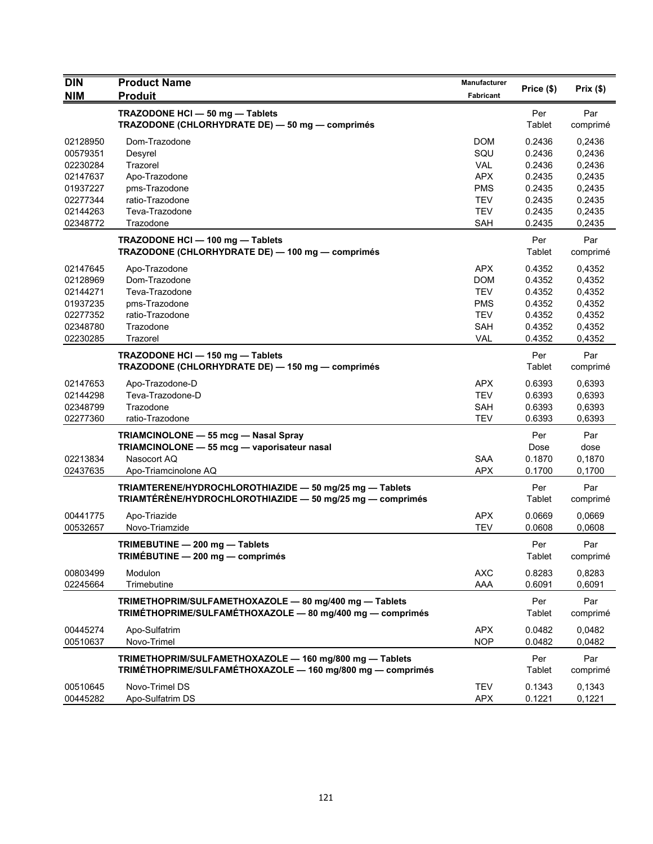| <b>DIN</b>                                                                       | <b>Product Name</b>                                                                                                        | <b>Manufacturer</b>                                                              | Price (\$)                                                         | Prix(\$)                                                           |
|----------------------------------------------------------------------------------|----------------------------------------------------------------------------------------------------------------------------|----------------------------------------------------------------------------------|--------------------------------------------------------------------|--------------------------------------------------------------------|
| <b>NIM</b>                                                                       | <b>Produit</b>                                                                                                             | Fabricant                                                                        |                                                                    |                                                                    |
|                                                                                  | TRAZODONE HCI - 50 mg - Tablets<br>TRAZODONE (CHLORHYDRATE DE) - 50 mg - comprimés                                         |                                                                                  | Per<br>Tablet                                                      | Par<br>comprimé                                                    |
| 02128950<br>00579351<br>02230284                                                 | Dom-Trazodone<br>Desyrel<br>Trazorel                                                                                       | <b>DOM</b><br>SQU<br><b>VAL</b>                                                  | 0.2436<br>0.2436<br>0.2436                                         | 0,2436<br>0,2436<br>0,2436                                         |
| 02147637<br>01937227<br>02277344                                                 | Apo-Trazodone<br>pms-Trazodone<br>ratio-Trazodone<br>Teva-Trazodone                                                        | <b>APX</b><br><b>PMS</b><br><b>TEV</b>                                           | 0.2435<br>0.2435<br>0.2435                                         | 0,2435<br>0,2435<br>0.2435                                         |
| 02144263<br>02348772                                                             | Trazodone                                                                                                                  | <b>TEV</b><br><b>SAH</b>                                                         | 0.2435<br>0.2435                                                   | 0,2435<br>0,2435                                                   |
|                                                                                  | TRAZODONE HCI - 100 mg - Tablets<br>TRAZODONE (CHLORHYDRATE DE) - 100 mg - comprimés                                       |                                                                                  | Per<br>Tablet                                                      | Par<br>comprimé                                                    |
| 02147645<br>02128969<br>02144271<br>01937235<br>02277352<br>02348780<br>02230285 | Apo-Trazodone<br>Dom-Trazodone<br>Teva-Trazodone<br>pms-Trazodone<br>ratio-Trazodone<br>Trazodone<br>Trazorel              | <b>APX</b><br><b>DOM</b><br><b>TEV</b><br>PMS<br><b>TEV</b><br><b>SAH</b><br>VAL | 0.4352<br>0.4352<br>0.4352<br>0.4352<br>0.4352<br>0.4352<br>0.4352 | 0,4352<br>0,4352<br>0,4352<br>0,4352<br>0,4352<br>0,4352<br>0,4352 |
|                                                                                  | TRAZODONE HCI - 150 mg - Tablets<br>TRAZODONE (CHLORHYDRATE DE) - 150 mg - comprimés                                       |                                                                                  | Per<br>Tablet                                                      | Par<br>comprimé                                                    |
| 02147653<br>02144298<br>02348799<br>02277360                                     | Apo-Trazodone-D<br>Teva-Trazodone-D<br>Trazodone<br>ratio-Trazodone                                                        | <b>APX</b><br><b>TEV</b><br><b>SAH</b><br><b>TEV</b>                             | 0.6393<br>0.6393<br>0.6393<br>0.6393                               | 0,6393<br>0,6393<br>0,6393<br>0,6393                               |
| 02213834<br>02437635                                                             | TRIAMCINOLONE - 55 mcg - Nasal Spray<br>TRIAMCINOLONE - 55 mcg - vaporisateur nasal<br>Nasocort AQ<br>Apo-Triamcinolone AQ | <b>SAA</b><br><b>APX</b>                                                         | Per<br>Dose<br>0.1870<br>0.1700                                    | Par<br>dose<br>0,1870<br>0,1700                                    |
|                                                                                  | TRIAMTERENE/HYDROCHLOROTHIAZIDE - 50 mg/25 mg - Tablets<br>TRIAMTÉRÈNE/HYDROCHLOROTHIAZIDE - 50 mg/25 mg - comprimés       |                                                                                  | Per<br>Tablet                                                      | Par<br>comprimé                                                    |
| 00441775<br>00532657                                                             | Apo-Triazide<br>Novo-Triamzide                                                                                             | <b>APX</b><br><b>TEV</b>                                                         | 0.0669<br>0.0608                                                   | 0.0669<br>0,0608                                                   |
|                                                                                  | TRIMEBUTINE - 200 mg - Tablets<br>TRIMEBUTINE — 200 mg — comprimés                                                         |                                                                                  | Per<br>Tablet                                                      | Par<br>comprimé                                                    |
| 00803499<br>02245664                                                             | Modulon<br>Trimebutine                                                                                                     | <b>AXC</b><br>AAA                                                                | 0.8283<br>0.6091                                                   | 0,8283<br>0,6091                                                   |
|                                                                                  | TRIMETHOPRIM/SULFAMETHOXAZOLE - 80 mg/400 mg - Tablets<br>TRIMÉTHOPRIME/SULFAMÉTHOXAZOLE - 80 mg/400 mg - comprimés        |                                                                                  | Per<br>Tablet                                                      | Par<br>comprimé                                                    |
| 00445274<br>00510637                                                             | Apo-Sulfatrim<br>Novo-Trimel                                                                                               | <b>APX</b><br><b>NOP</b>                                                         | 0.0482<br>0.0482                                                   | 0,0482<br>0,0482                                                   |
|                                                                                  | TRIMETHOPRIM/SULFAMETHOXAZOLE - 160 mg/800 mg - Tablets<br>TRIMÉTHOPRIME/SULFAMÉTHOXAZOLE - 160 mg/800 mg - comprimés      |                                                                                  | Per<br>Tablet                                                      | Par<br>comprimé                                                    |
| 00510645<br>00445282                                                             | Novo-Trimel DS<br>Apo-Sulfatrim DS                                                                                         | <b>TEV</b><br><b>APX</b>                                                         | 0.1343<br>0.1221                                                   | 0.1343<br>0,1221                                                   |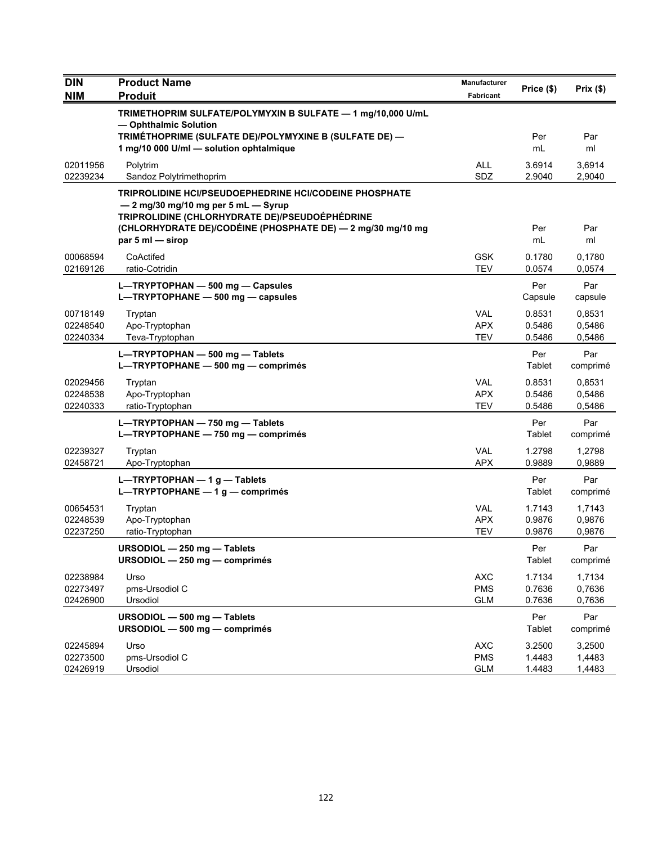| <b>DIN</b><br><b>NIM</b>         | <b>Product Name</b><br><b>Produit</b>                                                                                                                                                                                                                  | <b>Manufacturer</b><br>Fabricant       | Price (\$)                 | Prix(\$)                   |
|----------------------------------|--------------------------------------------------------------------------------------------------------------------------------------------------------------------------------------------------------------------------------------------------------|----------------------------------------|----------------------------|----------------------------|
|                                  | TRIMETHOPRIM SULFATE/POLYMYXIN B SULFATE - 1 mg/10,000 U/mL<br>- Ophthalmic Solution                                                                                                                                                                   |                                        |                            |                            |
|                                  | TRIMÉTHOPRIME (SULFATE DE)/POLYMYXINE B (SULFATE DE) -<br>1 mg/10 000 U/ml - solution ophtalmique                                                                                                                                                      |                                        | Per<br>mL                  | Par<br>ml                  |
| 02011956<br>02239234             | Polytrim<br>Sandoz Polytrimethoprim                                                                                                                                                                                                                    | <b>ALL</b><br>SDZ                      | 3.6914<br>2.9040           | 3,6914<br>2,9040           |
|                                  | <b>TRIPROLIDINE HCI/PSEUDOEPHEDRINE HCI/CODEINE PHOSPHATE</b><br>$-2$ mg/30 mg/10 mg per 5 mL $-$ Syrup<br>TRIPROLIDINE (CHLORHYDRATE DE)/PSEUDOÉPHÉDRINE<br>(CHLORHYDRATE DE)/CODÉINE (PHOSPHATE DE) - 2 mg/30 mg/10 mg<br>par $5 \text{ ml}$ - sirop |                                        | Per<br>mL                  | Par<br>ml                  |
| 00068594<br>02169126             | CoActifed<br>ratio-Cotridin                                                                                                                                                                                                                            | <b>GSK</b><br><b>TEV</b>               | 0.1780<br>0.0574           | 0,1780<br>0,0574           |
|                                  | L-TRYPTOPHAN - 500 mg - Capsules<br>L-TRYPTOPHANE - 500 mg - capsules                                                                                                                                                                                  |                                        | Per<br>Capsule             | Par<br>capsule             |
| 00718149<br>02248540<br>02240334 | Tryptan<br>Apo-Tryptophan<br>Teva-Tryptophan                                                                                                                                                                                                           | <b>VAL</b><br><b>APX</b><br><b>TEV</b> | 0.8531<br>0.5486<br>0.5486 | 0,8531<br>0,5486<br>0,5486 |
|                                  | L-TRYPTOPHAN - 500 mg - Tablets<br>L-TRYPTOPHANE - 500 mg - comprimés                                                                                                                                                                                  |                                        | Per<br>Tablet              | Par<br>comprimé            |
| 02029456<br>02248538<br>02240333 | Tryptan<br>Apo-Tryptophan<br>ratio-Tryptophan                                                                                                                                                                                                          | <b>VAL</b><br><b>APX</b><br><b>TEV</b> | 0.8531<br>0.5486<br>0.5486 | 0,8531<br>0,5486<br>0,5486 |
|                                  | L-TRYPTOPHAN $-$ 750 mg - Tablets<br>L-TRYPTOPHANE - 750 mg - comprimés                                                                                                                                                                                |                                        | Per<br>Tablet              | Par<br>comprimé            |
| 02239327<br>02458721             | Tryptan<br>Apo-Tryptophan                                                                                                                                                                                                                              | <b>VAL</b><br><b>APX</b>               | 1.2798<br>0.9889           | 1,2798<br>0,9889           |
|                                  | L-TRYPTOPHAN - 1 g - Tablets<br>L-TRYPTOPHANE $-1$ g - comprimés                                                                                                                                                                                       |                                        | Per<br>Tablet              | Par<br>comprimé            |
| 00654531<br>02248539<br>02237250 | Tryptan<br>Apo-Tryptophan<br>ratio-Tryptophan                                                                                                                                                                                                          | <b>VAL</b><br><b>APX</b><br><b>TEV</b> | 1.7143<br>0.9876<br>0.9876 | 1,7143<br>0,9876<br>0,9876 |
|                                  | URSODIOL - 250 mg - Tablets<br>URSODIOL $-$ 250 mg $-$ comprimés                                                                                                                                                                                       |                                        | Per<br>Tablet              | Par<br>comprimé            |
| 02238984<br>02273497<br>02426900 | Urso<br>pms-Ursodiol C<br>Ursodiol                                                                                                                                                                                                                     | <b>AXC</b><br><b>PMS</b><br><b>GLM</b> | 1.7134<br>0.7636<br>0.7636 | 1,7134<br>0,7636<br>0,7636 |
|                                  | URSODIOL - 500 mg - Tablets<br>URSODIOL - 500 mg - comprimés                                                                                                                                                                                           |                                        | Per<br>Tablet              | Par<br>comprimé            |
| 02245894<br>02273500<br>02426919 | Urso<br>pms-Ursodiol C<br>Ursodiol                                                                                                                                                                                                                     | <b>AXC</b><br><b>PMS</b><br><b>GLM</b> | 3.2500<br>1.4483<br>1.4483 | 3,2500<br>1,4483<br>1,4483 |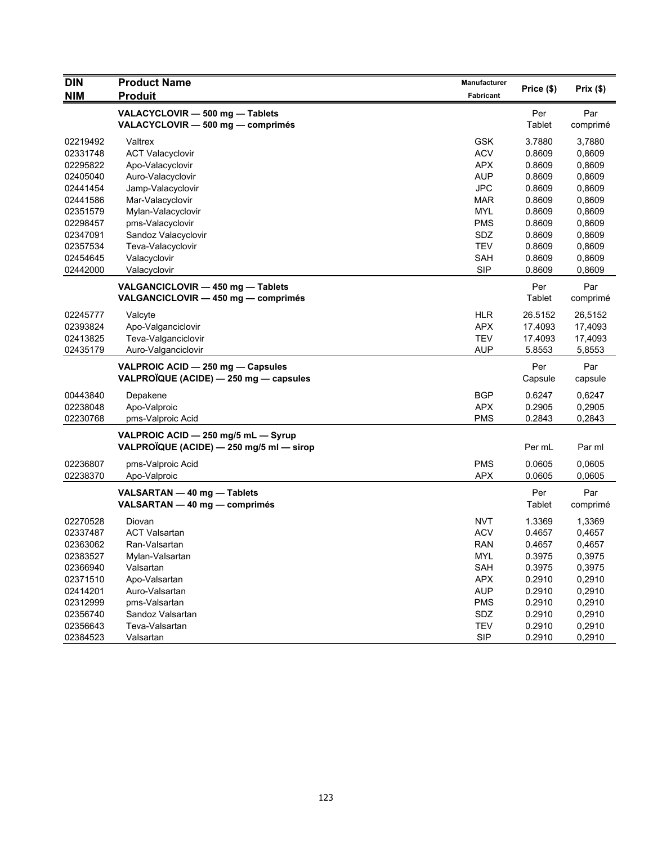| <b>DIN</b> | <b>Product Name</b>                      | <b>Manufacturer</b> |               | Prix(\$) |
|------------|------------------------------------------|---------------------|---------------|----------|
| <b>NIM</b> | <b>Produit</b>                           | Fabricant           | Price (\$)    |          |
|            | VALACYCLOVIR - 500 mg - Tablets          |                     | Per           | Par      |
|            | VALACYCLOVIR - 500 mg - comprimés        |                     | Tablet        | comprimé |
| 02219492   | Valtrex                                  | <b>GSK</b>          | 3.7880        | 3,7880   |
| 02331748   | <b>ACT Valacyclovir</b>                  | <b>ACV</b>          | 0.8609        | 0,8609   |
| 02295822   | Apo-Valacyclovir                         | <b>APX</b>          | 0.8609        | 0,8609   |
| 02405040   | Auro-Valacyclovir                        | <b>AUP</b>          | 0.8609        | 0,8609   |
| 02441454   | Jamp-Valacyclovir                        | <b>JPC</b>          | 0.8609        | 0,8609   |
| 02441586   | Mar-Valacyclovir                         | MAR                 | 0.8609        | 0,8609   |
| 02351579   | Mylan-Valacyclovir                       | <b>MYL</b>          | 0.8609        | 0,8609   |
| 02298457   | pms-Valacyclovir                         | <b>PMS</b>          | 0.8609        | 0,8609   |
| 02347091   | Sandoz Valacyclovir                      | SDZ                 | 0.8609        | 0,8609   |
| 02357534   | Teva-Valacyclovir                        | <b>TEV</b>          | 0.8609        | 0,8609   |
| 02454645   | Valacyclovir                             | <b>SAH</b>          | 0.8609        | 0,8609   |
| 02442000   | Valacyclovir                             | <b>SIP</b>          | 0.8609        | 0,8609   |
|            | VALGANCICLOVIR - 450 mg - Tablets        |                     | Per           | Par      |
|            | VALGANCICLOVIR - 450 mg - comprimés      |                     | Tablet        | comprimé |
|            |                                          |                     |               |          |
| 02245777   | Valcyte                                  | <b>HLR</b>          | 26.5152       | 26,5152  |
| 02393824   | Apo-Valganciclovir                       | <b>APX</b>          | 17.4093       | 17,4093  |
| 02413825   | Teva-Valganciclovir                      | <b>TEV</b>          | 17.4093       | 17,4093  |
| 02435179   | Auro-Valganciclovir                      | <b>AUP</b>          | 5.8553        | 5,8553   |
|            | VALPROIC ACID - 250 mg - Capsules        |                     | Per           | Par      |
|            | VALPROÏQUE (ACIDE) - 250 mg - capsules   |                     | Capsule       | capsule  |
| 00443840   | Depakene                                 | <b>BGP</b>          | 0.6247        | 0,6247   |
| 02238048   | Apo-Valproic                             | <b>APX</b>          | 0.2905        | 0,2905   |
| 02230768   | pms-Valproic Acid                        | <b>PMS</b>          | 0.2843        | 0,2843   |
|            | VALPROIC ACID - 250 mg/5 mL - Syrup      |                     |               |          |
|            | VALPROÏQUE (ACIDE) - 250 mg/5 ml - sirop |                     | Per mL        | Par ml   |
|            |                                          |                     |               |          |
| 02236807   | pms-Valproic Acid                        | <b>PMS</b>          | 0.0605        | 0,0605   |
| 02238370   | Apo-Valproic                             | <b>APX</b>          | 0.0605        | 0,0605   |
|            | VALSARTAN - 40 mg - Tablets              |                     | Per           | Par      |
|            | VALSARTAN - 40 mg - comprimés            |                     | <b>Tablet</b> | comprimé |
| 02270528   | Diovan                                   | <b>NVT</b>          | 1.3369        | 1,3369   |
| 02337487   | <b>ACT Valsartan</b>                     | <b>ACV</b>          | 0.4657        | 0,4657   |
| 02363062   | Ran-Valsartan                            | <b>RAN</b>          | 0.4657        | 0,4657   |
| 02383527   | Mylan-Valsartan                          | MYL                 | 0.3975        | 0,3975   |
| 02366940   | Valsartan                                | SAH                 | 0.3975        | 0,3975   |
| 02371510   | Apo-Valsartan                            | <b>APX</b>          | 0.2910        | 0,2910   |
| 02414201   | Auro-Valsartan                           | <b>AUP</b>          | 0.2910        | 0,2910   |
| 02312999   | pms-Valsartan                            | <b>PMS</b>          | 0.2910        | 0,2910   |
| 02356740   | Sandoz Valsartan                         | SDZ                 | 0.2910        | 0,2910   |
| 02356643   | Teva-Valsartan                           | <b>TEV</b>          | 0.2910        | 0,2910   |
| 02384523   | Valsartan                                | <b>SIP</b>          | 0.2910        | 0,2910   |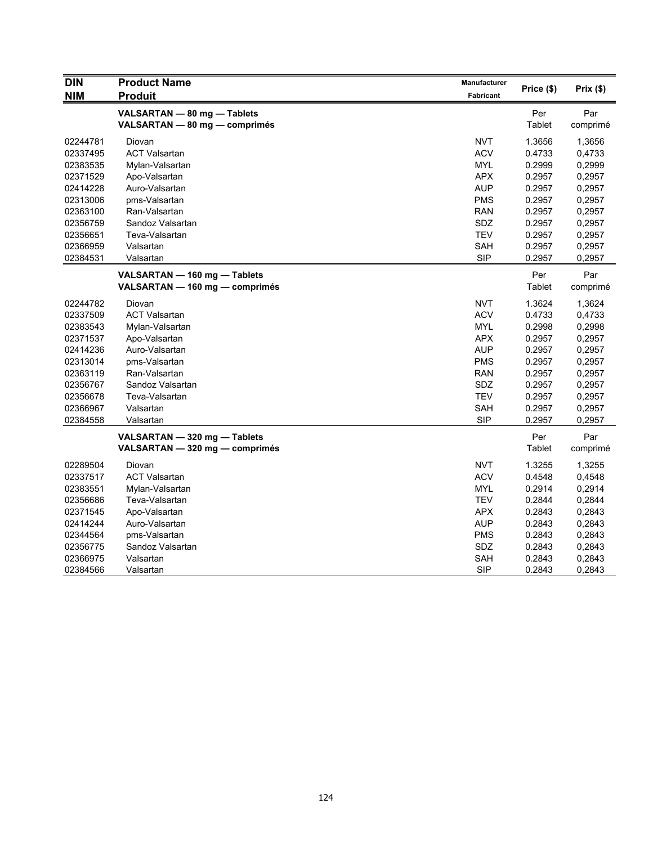| <b>DIN</b> | <b>Product Name</b>            | Manufacturer     |            | Prix(\$) |
|------------|--------------------------------|------------------|------------|----------|
| <b>NIM</b> | <b>Produit</b>                 | <b>Fabricant</b> | Price (\$) |          |
|            | VALSARTAN - 80 mg - Tablets    |                  | Per        | Par      |
|            | VALSARTAN - 80 mg - comprimés  |                  | Tablet     | comprimé |
| 02244781   | Diovan                         | <b>NVT</b>       | 1.3656     | 1,3656   |
| 02337495   | <b>ACT Valsartan</b>           | <b>ACV</b>       | 0.4733     | 0,4733   |
| 02383535   | Mylan-Valsartan                | <b>MYL</b>       | 0.2999     | 0,2999   |
| 02371529   | Apo-Valsartan                  | <b>APX</b>       | 0.2957     | 0,2957   |
| 02414228   | Auro-Valsartan                 | <b>AUP</b>       | 0.2957     | 0,2957   |
| 02313006   | pms-Valsartan                  | <b>PMS</b>       | 0.2957     | 0,2957   |
| 02363100   | Ran-Valsartan                  | <b>RAN</b>       | 0.2957     | 0,2957   |
| 02356759   | Sandoz Valsartan               | SDZ              | 0.2957     | 0,2957   |
| 02356651   | Teva-Valsartan                 | <b>TEV</b>       | 0.2957     | 0,2957   |
| 02366959   | Valsartan                      | <b>SAH</b>       | 0.2957     | 0,2957   |
| 02384531   | Valsartan                      | <b>SIP</b>       | 0.2957     | 0,2957   |
|            | VALSARTAN - 160 mg - Tablets   |                  | Per        | Par      |
|            | VALSARTAN - 160 mg - comprimés |                  | Tablet     | comprimé |
| 02244782   | Diovan                         | <b>NVT</b>       | 1.3624     | 1,3624   |
| 02337509   | <b>ACT Valsartan</b>           | <b>ACV</b>       | 0.4733     | 0,4733   |
| 02383543   | Mylan-Valsartan                | <b>MYL</b>       | 0.2998     | 0,2998   |
| 02371537   | Apo-Valsartan                  | <b>APX</b>       | 0.2957     | 0,2957   |
| 02414236   | Auro-Valsartan                 | <b>AUP</b>       | 0.2957     | 0,2957   |
| 02313014   | pms-Valsartan                  | <b>PMS</b>       | 0.2957     | 0,2957   |
| 02363119   | Ran-Valsartan                  | <b>RAN</b>       | 0.2957     | 0,2957   |
| 02356767   | Sandoz Valsartan               | SDZ              | 0.2957     | 0,2957   |
| 02356678   | Teva-Valsartan                 | <b>TEV</b>       | 0.2957     | 0,2957   |
| 02366967   | Valsartan                      | SAH              | 0.2957     | 0,2957   |
| 02384558   | Valsartan                      | <b>SIP</b>       | 0.2957     | 0,2957   |
|            | VALSARTAN - 320 mg - Tablets   |                  | Per        | Par      |
|            | VALSARTAN - 320 mg - comprimés |                  | Tablet     | comprimé |
| 02289504   | Diovan                         | <b>NVT</b>       | 1.3255     | 1,3255   |
| 02337517   | <b>ACT Valsartan</b>           | <b>ACV</b>       | 0.4548     | 0,4548   |
| 02383551   | Mylan-Valsartan                | MYL              | 0.2914     | 0,2914   |
| 02356686   | Teva-Valsartan                 | <b>TEV</b>       | 0.2844     | 0,2844   |
| 02371545   | Apo-Valsartan                  | <b>APX</b>       | 0.2843     | 0,2843   |
| 02414244   | Auro-Valsartan                 | <b>AUP</b>       | 0.2843     | 0,2843   |
| 02344564   | pms-Valsartan                  | <b>PMS</b>       | 0.2843     | 0,2843   |
| 02356775   | Sandoz Valsartan               | SDZ              | 0.2843     | 0,2843   |
| 02366975   | Valsartan                      | SAH              | 0.2843     | 0,2843   |
| 02384566   | Valsartan                      | <b>SIP</b>       | 0.2843     | 0,2843   |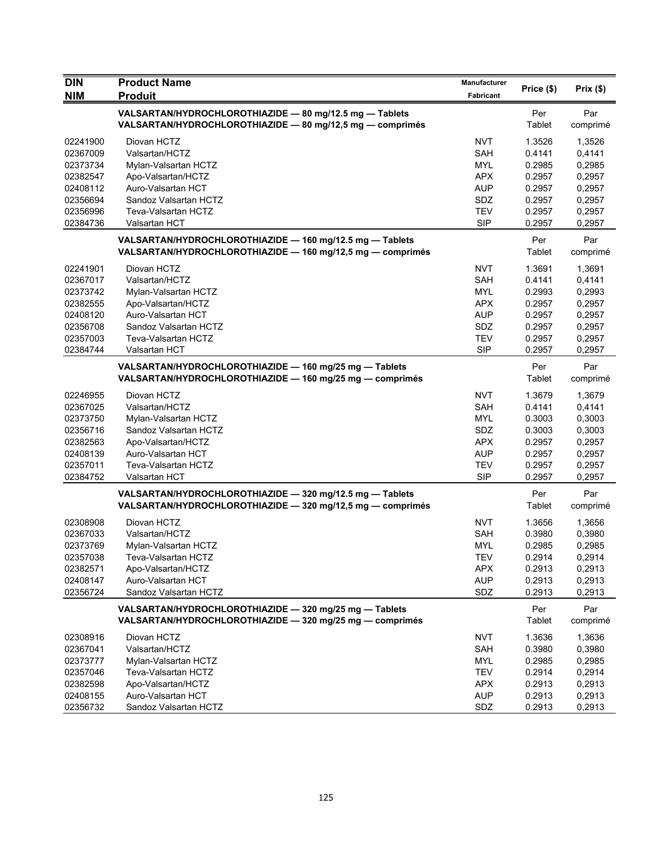| <b>DIN</b> | <b>Product Name</b>                                                                                                    | <b>Manufacturer</b> |               |                 |
|------------|------------------------------------------------------------------------------------------------------------------------|---------------------|---------------|-----------------|
| <b>NIM</b> | <b>Produit</b>                                                                                                         | Fabricant           | Price (\$)    | Prix(\$)        |
|            | VALSARTAN/HYDROCHLOROTHIAZIDE - 80 mg/12.5 mg - Tablets<br>VALSARTAN/HYDROCHLOROTHIAZIDE - 80 mg/12,5 mg - comprimés   |                     | Per<br>Tablet | Par<br>comprimé |
| 02241900   | Diovan HCTZ                                                                                                            | <b>NVT</b>          | 1.3526        | 1,3526          |
| 02367009   | Valsartan/HCTZ                                                                                                         | <b>SAH</b>          | 0.4141        | 0,4141          |
| 02373734   | Mylan-Valsartan HCTZ                                                                                                   | <b>MYL</b>          | 0.2985        | 0,2985          |
| 02382547   | Apo-Valsartan/HCTZ                                                                                                     | <b>APX</b>          | 0.2957        | 0,2957          |
| 02408112   | Auro-Valsartan HCT                                                                                                     | <b>AUP</b>          | 0.2957        | 0,2957          |
| 02356694   | Sandoz Valsartan HCTZ                                                                                                  | SDZ                 | 0.2957        | 0,2957          |
| 02356996   | Teva-Valsartan HCTZ                                                                                                    | <b>TEV</b>          | 0.2957        | 0,2957          |
| 02384736   | Valsartan HCT                                                                                                          | <b>SIP</b>          | 0.2957        | 0,2957          |
|            | VALSARTAN/HYDROCHLOROTHIAZIDE - 160 mg/12.5 mg - Tablets<br>VALSARTAN/HYDROCHLOROTHIAZIDE - 160 mg/12,5 mg - comprimés |                     | Per<br>Tablet | Par<br>comprimé |
| 02241901   | Diovan HCTZ                                                                                                            | <b>NVT</b>          | 1.3691        | 1,3691          |
| 02367017   | Valsartan/HCTZ                                                                                                         | <b>SAH</b>          | 0.4141        | 0,4141          |
| 02373742   | Mylan-Valsartan HCTZ                                                                                                   | <b>MYL</b>          | 0.2993        | 0,2993          |
| 02382555   | Apo-Valsartan/HCTZ                                                                                                     | <b>APX</b>          | 0.2957        | 0,2957          |
| 02408120   | Auro-Valsartan HCT                                                                                                     | <b>AUP</b>          | 0.2957        | 0,2957          |
| 02356708   | Sandoz Valsartan HCTZ                                                                                                  | SDZ                 | 0.2957        | 0,2957          |
| 02357003   | Teva-Valsartan HCTZ                                                                                                    | <b>TEV</b>          | 0.2957        | 0,2957          |
| 02384744   | Valsartan HCT                                                                                                          | <b>SIP</b>          | 0.2957        | 0,2957          |
|            | VALSARTAN/HYDROCHLOROTHIAZIDE - 160 mg/25 mg - Tablets<br>VALSARTAN/HYDROCHLOROTHIAZIDE - 160 mg/25 mg - comprimés     |                     | Per<br>Tablet | Par<br>comprimé |
| 02246955   | Diovan HCTZ                                                                                                            | <b>NVT</b>          | 1.3679        | 1,3679          |
| 02367025   | Valsartan/HCTZ                                                                                                         | <b>SAH</b>          | 0.4141        | 0,4141          |
| 02373750   | Mylan-Valsartan HCTZ                                                                                                   | <b>MYL</b>          | 0.3003        | 0,3003          |
| 02356716   | Sandoz Valsartan HCTZ                                                                                                  | SDZ                 | 0.3003        | 0,3003          |
| 02382563   | Apo-Valsartan/HCTZ                                                                                                     | <b>APX</b>          | 0.2957        | 0,2957          |
| 02408139   | Auro-Valsartan HCT                                                                                                     | <b>AUP</b>          | 0.2957        | 0,2957          |
| 02357011   | Teva-Valsartan HCTZ                                                                                                    | <b>TEV</b>          | 0.2957        | 0,2957          |
| 02384752   | Valsartan HCT                                                                                                          | <b>SIP</b>          | 0.2957        | 0,2957          |
|            | VALSARTAN/HYDROCHLOROTHIAZIDE - 320 mg/12.5 mg - Tablets<br>VALSARTAN/HYDROCHLOROTHIAZIDE - 320 mg/12,5 mg - comprimés |                     | Per<br>Tablet | Par<br>comprimé |
| 02308908   | Diovan HCTZ                                                                                                            | <b>NVT</b>          | 1.3656        | 1,3656          |
| 02367033   | Valsartan/HCTZ                                                                                                         | <b>SAH</b>          | 0.3980        | 0,3980          |
| 02373769   | Mylan-Valsartan HCTZ                                                                                                   | <b>MYL</b>          | 0.2985        | 0,2985          |
| 02357038   | Teva-Valsartan HCTZ                                                                                                    | <b>TEV</b>          | 0.2914        | 0,2914          |
| 02382571   | Apo-Valsartan/HCTZ                                                                                                     | <b>APX</b>          | 0.2913        | 0,2913          |
| 02408147   | Auro-Valsartan HCT                                                                                                     | <b>AUP</b>          | 0.2913        | 0,2913          |
| 02356724   | Sandoz Valsartan HCTZ                                                                                                  | SDZ                 | 0.2913        | 0,2913          |
|            | VALSARTAN/HYDROCHLOROTHIAZIDE - 320 mg/25 mg - Tablets                                                                 |                     | Per           | Par             |
|            | VALSARTAN/HYDROCHLOROTHIAZIDE - 320 mg/25 mg - comprimés                                                               |                     | Tablet        | comprimé        |
| 02308916   | Diovan HCTZ                                                                                                            | <b>NVT</b>          | 1.3636        | 1,3636          |
| 02367041   | Valsartan/HCTZ                                                                                                         | SAH                 | 0.3980        | 0,3980          |
| 02373777   | Mylan-Valsartan HCTZ                                                                                                   | <b>MYL</b>          | 0.2985        | 0,2985          |
| 02357046   | Teva-Valsartan HCTZ                                                                                                    | <b>TEV</b>          | 0.2914        | 0,2914          |
| 02382598   | Apo-Valsartan/HCTZ                                                                                                     | <b>APX</b>          | 0.2913        | 0,2913          |
| 02408155   | Auro-Valsartan HCT                                                                                                     | <b>AUP</b>          | 0.2913        | 0,2913          |
| 02356732   | Sandoz Valsartan HCTZ                                                                                                  | SDZ                 | 0.2913        | 0,2913          |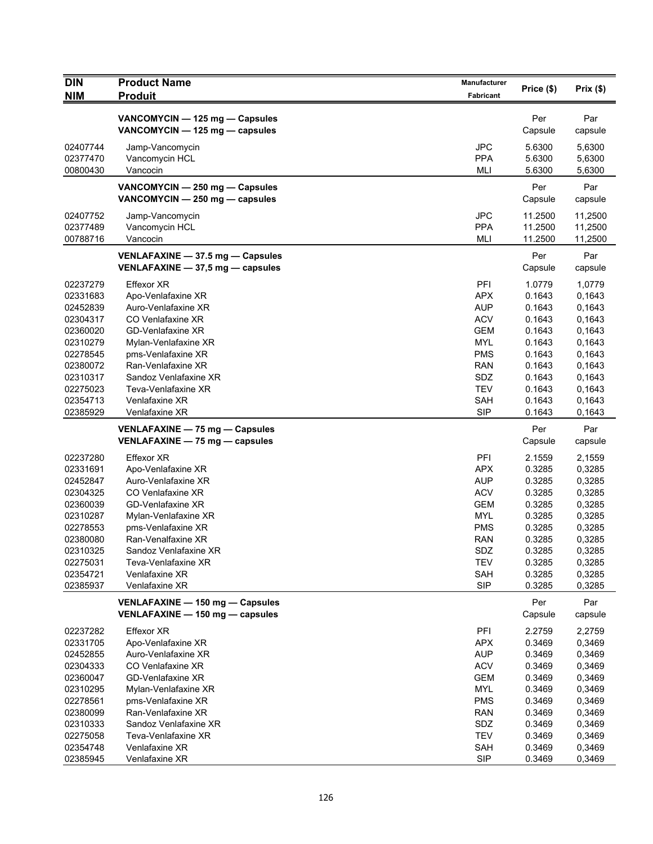| <b>DIN</b> | <b>Product Name</b>              | <b>Manufacturer</b> | Price (\$) | Prix(\$) |
|------------|----------------------------------|---------------------|------------|----------|
| <b>NIM</b> | <b>Produit</b>                   | Fabricant           |            |          |
|            | VANCOMYCIN - 125 mg - Capsules   |                     | Per        | Par      |
|            | VANCOMYCIN - 125 mg - capsules   |                     | Capsule    | capsule  |
| 02407744   | Jamp-Vancomycin                  | <b>JPC</b>          | 5.6300     | 5,6300   |
| 02377470   | Vancomycin HCL                   | <b>PPA</b>          | 5.6300     | 5,6300   |
| 00800430   | Vancocin                         | <b>MLI</b>          | 5.6300     | 5,6300   |
|            | VANCOMYCIN - 250 mg - Capsules   |                     | Per        | Par      |
|            | VANCOMYCIN - 250 mg - capsules   |                     | Capsule    | capsule  |
| 02407752   | Jamp-Vancomycin                  | <b>JPC</b>          | 11.2500    | 11,2500  |
| 02377489   | Vancomycin HCL                   | <b>PPA</b>          | 11.2500    | 11,2500  |
| 00788716   | Vancocin                         | MLI                 | 11.2500    | 11,2500  |
|            | VENLAFAXINE - 37.5 mg - Capsules |                     | Per        | Par      |
|            | VENLAFAXINE - 37,5 mg - capsules |                     | Capsule    | capsule  |
| 02237279   | <b>Effexor XR</b>                | PFI                 | 1.0779     | 1,0779   |
| 02331683   | Apo-Venlafaxine XR               | <b>APX</b>          | 0.1643     | 0,1643   |
| 02452839   | Auro-Venlafaxine XR              | <b>AUP</b>          | 0.1643     | 0,1643   |
| 02304317   | CO Venlafaxine XR                | <b>ACV</b>          | 0.1643     | 0,1643   |
| 02360020   | GD-Venlafaxine XR                | <b>GEM</b>          | 0.1643     | 0,1643   |
| 02310279   | Mylan-Venlafaxine XR             | <b>MYL</b>          | 0.1643     | 0,1643   |
| 02278545   | pms-Venlafaxine XR               | <b>PMS</b>          | 0.1643     | 0.1643   |
| 02380072   | Ran-Venlafaxine XR               | RAN                 | 0.1643     | 0,1643   |
| 02310317   | Sandoz Venlafaxine XR            | SDZ                 | 0.1643     | 0,1643   |
| 02275023   | Teva-Venlafaxine XR              | <b>TEV</b>          | 0.1643     | 0,1643   |
| 02354713   | Venlafaxine XR                   | <b>SAH</b>          | 0.1643     | 0,1643   |
| 02385929   | Venlafaxine XR                   | <b>SIP</b>          | 0.1643     | 0,1643   |
|            | VENLAFAXINE - 75 mg - Capsules   |                     | Per        | Par      |
|            | VENLAFAXINE - 75 mg - capsules   |                     | Capsule    | capsule  |
| 02237280   | <b>Effexor XR</b>                | PFI                 | 2.1559     | 2,1559   |
| 02331691   | Apo-Venlafaxine XR               | APX                 | 0.3285     | 0,3285   |
| 02452847   | Auro-Venlafaxine XR              | <b>AUP</b>          | 0.3285     | 0,3285   |
| 02304325   | CO Venlafaxine XR                | <b>ACV</b>          | 0.3285     | 0,3285   |
| 02360039   | <b>GD-Venlafaxine XR</b>         | <b>GEM</b>          | 0.3285     | 0,3285   |
| 02310287   | Mylan-Venlafaxine XR             | <b>MYL</b>          | 0.3285     | 0,3285   |
| 02278553   | pms-Venlafaxine XR               | <b>PMS</b>          | 0.3285     | 0,3285   |
| 02380080   | Ran-Venalfaxine XR               | <b>RAN</b>          | 0.3285     | 0,3285   |
| 02310325   | Sandoz Venlafaxine XR            | SDZ                 | 0.3285     | 0,3285   |
| 02275031   | Teva-Venlafaxine XR              | <b>TEV</b>          | 0.3285     | 0,3285   |
| 02354721   | Venlafaxine XR                   | <b>SAH</b>          | 0.3285     | 0,3285   |
| 02385937   | Venlafaxine XR                   | <b>SIP</b>          | 0.3285     | 0,3285   |
|            | VENLAFAXINE - 150 mg - Capsules  |                     | Per        | Par      |
|            | VENLAFAXINE - 150 mg - capsules  |                     | Capsule    | capsule  |
| 02237282   | <b>Effexor XR</b>                | PFI                 | 2.2759     | 2,2759   |
| 02331705   | Apo-Venlafaxine XR               | <b>APX</b>          | 0.3469     | 0,3469   |
| 02452855   | Auro-Venlafaxine XR              | <b>AUP</b>          | 0.3469     | 0,3469   |
| 02304333   | CO Venlafaxine XR                | <b>ACV</b>          | 0.3469     | 0,3469   |
| 02360047   | <b>GD-Venlafaxine XR</b>         | <b>GEM</b>          | 0.3469     | 0,3469   |
| 02310295   | Mylan-Venlafaxine XR             | <b>MYL</b>          | 0.3469     | 0,3469   |
| 02278561   | pms-Venlafaxine XR               | <b>PMS</b>          | 0.3469     | 0,3469   |
| 02380099   | Ran-Venlafaxine XR               | <b>RAN</b>          | 0.3469     | 0,3469   |
| 02310333   | Sandoz Venlafaxine XR            | SDZ                 | 0.3469     | 0,3469   |
| 02275058   | Teva-Venlafaxine XR              | <b>TEV</b>          | 0.3469     | 0,3469   |
| 02354748   | Venlafaxine XR                   | SAH                 | 0.3469     | 0,3469   |
| 02385945   | Venlafaxine XR                   | <b>SIP</b>          | 0.3469     | 0,3469   |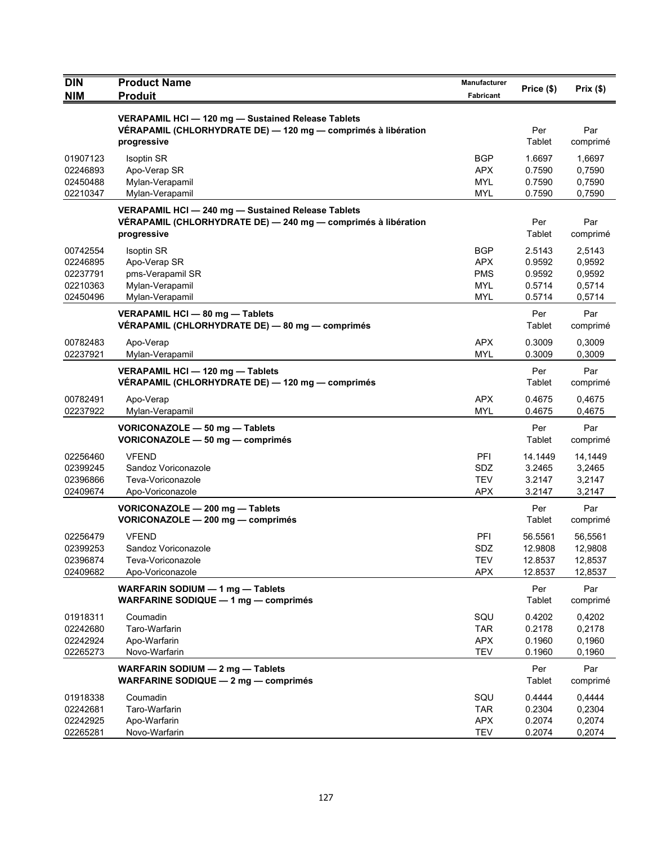| <b>DIN</b>                                               | <b>Product Name</b>                                                                                                                | <b>Manufacturer</b>                                                | Price (\$)                                     | Prix(\$)                                       |
|----------------------------------------------------------|------------------------------------------------------------------------------------------------------------------------------------|--------------------------------------------------------------------|------------------------------------------------|------------------------------------------------|
| <b>NIM</b>                                               | <b>Produit</b>                                                                                                                     | Fabricant                                                          |                                                |                                                |
|                                                          | VERAPAMIL HCI - 120 mg - Sustained Release Tablets<br>VÉRAPAMIL (CHLORHYDRATE DE) — 120 mg — comprimés à libération<br>progressive |                                                                    | Per<br>Tablet                                  | Par<br>comprimé                                |
| 01907123<br>02246893<br>02450488<br>02210347             | <b>Isoptin SR</b><br>Apo-Verap SR<br>Mylan-Verapamil<br>Mylan-Verapamil                                                            | BGP<br><b>APX</b><br><b>MYL</b><br><b>MYL</b>                      | 1.6697<br>0.7590<br>0.7590<br>0.7590           | 1,6697<br>0,7590<br>0,7590<br>0,7590           |
|                                                          | VERAPAMIL HCI - 240 mg - Sustained Release Tablets<br>VÉRAPAMIL (CHLORHYDRATE DE) - 240 mg - comprimés à libération<br>progressive |                                                                    | Per<br>Tablet                                  | Par<br>comprimé                                |
| 00742554<br>02246895<br>02237791<br>02210363<br>02450496 | <b>Isoptin SR</b><br>Apo-Verap SR<br>pms-Verapamil SR<br>Mylan-Verapamil<br>Mylan-Verapamil                                        | <b>BGP</b><br><b>APX</b><br><b>PMS</b><br><b>MYL</b><br><b>MYL</b> | 2.5143<br>0.9592<br>0.9592<br>0.5714<br>0.5714 | 2,5143<br>0,9592<br>0,9592<br>0,5714<br>0,5714 |
|                                                          | VERAPAMIL HCI - 80 mg - Tablets<br>VÉRAPAMIL (CHLORHYDRATE DE) — 80 mg — comprimés                                                 |                                                                    | Per<br>Tablet                                  | Par<br>comprimé                                |
| 00782483<br>02237921                                     | Apo-Verap<br>Mylan-Verapamil                                                                                                       | <b>APX</b><br><b>MYL</b>                                           | 0.3009<br>0.3009                               | 0,3009<br>0,3009                               |
|                                                          | VERAPAMIL HCI - 120 mg - Tablets<br>VÉRAPAMIL (CHLORHYDRATE DE) - 120 mg - comprimés                                               |                                                                    | Per<br>Tablet                                  | Par<br>comprimé                                |
| 00782491<br>02237922                                     | Apo-Verap<br>Mylan-Verapamil                                                                                                       | <b>APX</b><br><b>MYL</b>                                           | 0.4675<br>0.4675                               | 0,4675<br>0,4675                               |
|                                                          | VORICONAZOLE - 50 mg - Tablets<br>VORICONAZOLE - 50 mg - comprimés                                                                 |                                                                    | Per<br>Tablet                                  | Par<br>comprimé                                |
| 02256460<br>02399245<br>02396866<br>02409674             | <b>VFEND</b><br>Sandoz Voriconazole<br>Teva-Voriconazole<br>Apo-Voriconazole                                                       | <b>PFI</b><br>SDZ<br><b>TEV</b><br>APX                             | 14.1449<br>3.2465<br>3.2147<br>3.2147          | 14,1449<br>3,2465<br>3,2147<br>3,2147          |
|                                                          | VORICONAZOLE - 200 mg - Tablets<br>VORICONAZOLE - 200 mg - comprimés                                                               |                                                                    | Per<br>Tablet                                  | Par<br>comprimé                                |
| 02256479<br>02399253<br>02396874<br>02409682             | <b>VFEND</b><br>Sandoz Voriconazole<br>Teva-Voriconazole<br>Apo-Voriconazole                                                       | PFI<br>SDZ<br><b>TEV</b><br><b>APX</b>                             | 56.5561<br>12.9808<br>12.8537<br>12.8537       | 56,5561<br>12,9808<br>12,8537<br>12,8537       |
|                                                          | WARFARIN SODIUM - 1 mg - Tablets<br>WARFARINE SODIQUE - 1 mg - comprimés                                                           |                                                                    | Per<br>Tablet                                  | Par<br>comprimé                                |
| 01918311<br>02242680<br>02242924<br>02265273             | Coumadin<br>Taro-Warfarin<br>Apo-Warfarin<br>Novo-Warfarin                                                                         | SQU<br><b>TAR</b><br><b>APX</b><br><b>TEV</b>                      | 0.4202<br>0.2178<br>0.1960<br>0.1960           | 0,4202<br>0,2178<br>0,1960<br>0,1960           |
|                                                          | WARFARIN SODIUM - 2 mg - Tablets<br>WARFARINE SODIQUE - 2 mg - comprimés                                                           |                                                                    | Per<br>Tablet                                  | Par<br>comprimé                                |
| 01918338<br>02242681<br>02242925<br>02265281             | Coumadin<br>Taro-Warfarin<br>Apo-Warfarin<br>Novo-Warfarin                                                                         | SQU<br><b>TAR</b><br><b>APX</b><br><b>TEV</b>                      | 0.4444<br>0.2304<br>0.2074<br>0.2074           | 0,4444<br>0,2304<br>0,2074<br>0,2074           |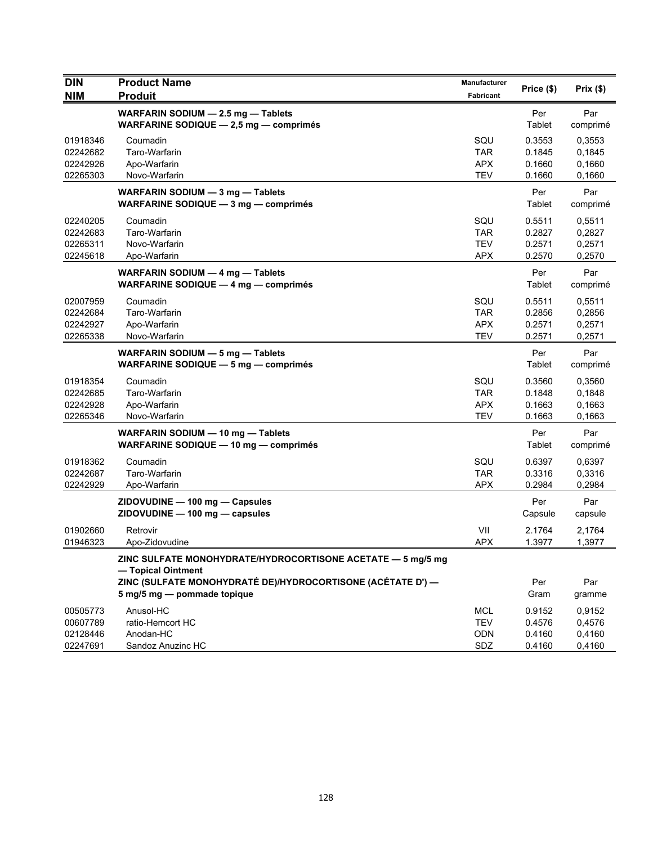| <b>DIN</b><br><b>NIM</b> | <b>Product Name</b><br><b>Produit</b>                                           | <b>Manufacturer</b><br>Fabricant | Price (\$)    | Prix(\$)        |
|--------------------------|---------------------------------------------------------------------------------|----------------------------------|---------------|-----------------|
|                          |                                                                                 |                                  |               |                 |
|                          | WARFARIN SODIUM - 2.5 mg - Tablets<br>WARFARINE SODIQUE $-2,5$ mg $-$ comprimes |                                  | Per<br>Tablet | Par<br>comprimé |
| 01918346                 | Coumadin                                                                        | SQU                              | 0.3553        | 0,3553          |
| 02242682                 | Taro-Warfarin                                                                   | <b>TAR</b>                       | 0.1845        | 0,1845          |
| 02242926                 | Apo-Warfarin                                                                    | <b>APX</b>                       | 0.1660        | 0,1660          |
| 02265303                 | Novo-Warfarin                                                                   | <b>TEV</b>                       | 0.1660        | 0,1660          |
|                          | WARFARIN SODIUM - 3 mg - Tablets                                                |                                  | Per           | Par             |
|                          | WARFARINE SODIQUE - 3 mg - comprimés                                            |                                  | Tablet        | comprimé        |
| 02240205                 | Coumadin                                                                        | SQU                              | 0.5511        | 0,5511          |
| 02242683                 | Taro-Warfarin                                                                   | <b>TAR</b>                       | 0.2827        | 0,2827          |
| 02265311                 | Novo-Warfarin                                                                   | <b>TEV</b>                       | 0.2571        | 0,2571          |
| 02245618                 | Apo-Warfarin                                                                    | <b>APX</b>                       | 0.2570        | 0,2570          |
|                          | WARFARIN SODIUM - 4 mg - Tablets                                                |                                  | Per           | Par             |
|                          | WARFARINE SODIQUE - 4 mg - comprimés                                            |                                  | Tablet        | comprimé        |
| 02007959                 | Coumadin                                                                        | SQU                              | 0.5511        | 0,5511          |
| 02242684                 | Taro-Warfarin                                                                   | <b>TAR</b>                       | 0.2856        | 0,2856          |
| 02242927                 | Apo-Warfarin                                                                    | <b>APX</b>                       | 0.2571        | 0,2571          |
| 02265338                 | Novo-Warfarin                                                                   | <b>TEV</b>                       | 0.2571        | 0,2571          |
|                          | WARFARIN SODIUM - 5 mg - Tablets                                                |                                  | Per           | Par             |
|                          | WARFARINE SODIQUE - 5 mg - comprimés                                            |                                  | Tablet        | comprimé        |
| 01918354                 | Coumadin                                                                        | SQU                              | 0.3560        | 0,3560          |
| 02242685                 | Taro-Warfarin                                                                   | <b>TAR</b>                       | 0.1848        | 0,1848          |
| 02242928                 | Apo-Warfarin                                                                    | <b>APX</b>                       | 0.1663        | 0,1663          |
| 02265346                 | Novo-Warfarin                                                                   | <b>TEV</b>                       | 0.1663        | 0,1663          |
|                          | WARFARIN SODIUM - 10 mg - Tablets                                               |                                  | Per           | Par             |
|                          | WARFARINE SODIQUE - 10 mg - comprimés                                           |                                  | Tablet        | comprimé        |
| 01918362                 | Coumadin                                                                        | SQU                              | 0.6397        | 0,6397          |
| 02242687                 | Taro-Warfarin                                                                   | <b>TAR</b>                       | 0.3316        | 0,3316          |
| 02242929                 | Apo-Warfarin                                                                    | <b>APX</b>                       | 0.2984        | 0,2984          |
|                          | ZIDOVUDINE - 100 mg - Capsules                                                  |                                  | Per           | Par             |
|                          | ZIDOVUDINE - 100 mg - capsules                                                  |                                  | Capsule       | capsule         |
| 01902660                 | Retrovir                                                                        | VII                              | 2.1764        | 2,1764          |
| 01946323                 | Apo-Zidovudine                                                                  | <b>APX</b>                       | 1.3977        | 1,3977          |
|                          | ZINC SULFATE MONOHYDRATE/HYDROCORTISONE ACETATE - 5 mg/5 mg                     |                                  |               |                 |
|                          | - Topical Ointment                                                              |                                  |               |                 |
|                          | ZINC (SULFATE MONOHYDRATÉ DE)/HYDROCORTISONE (ACÉTATE D') —                     |                                  | Per           | Par             |
|                          | 5 mg/5 mg - pommade topique                                                     |                                  | Gram          | gramme          |
| 00505773                 | Anusol-HC                                                                       | <b>MCL</b>                       | 0.9152        | 0,9152          |
| 00607789                 | ratio-Hemcort HC                                                                | <b>TEV</b>                       | 0.4576        | 0,4576          |
| 02128446                 | Anodan-HC                                                                       | ODN                              | 0.4160        | 0,4160          |
| 02247691                 | Sandoz Anuzinc HC                                                               | SDZ                              | 0.4160        | 0,4160          |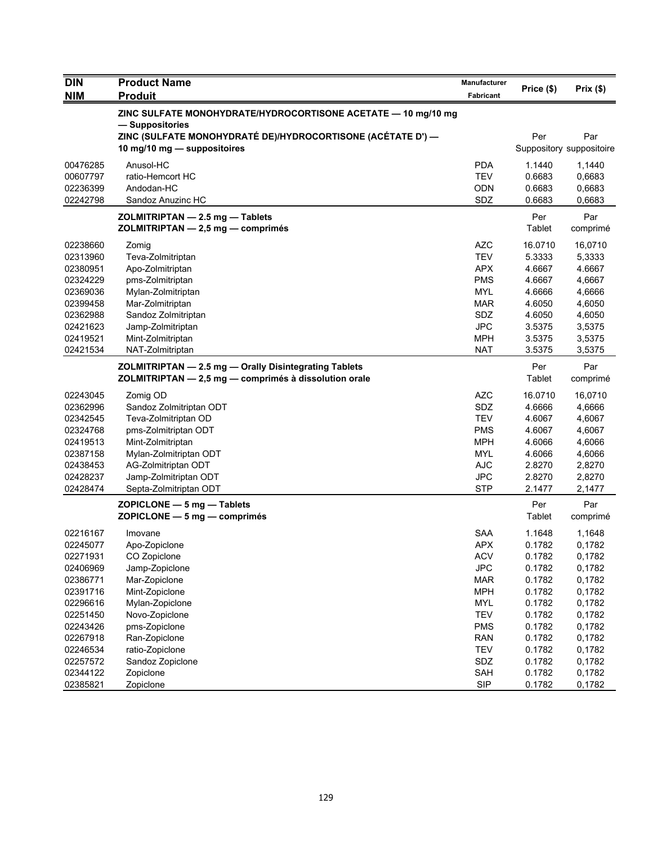| <b>DIN</b>                                                                                                           | <b>Product Name</b>                                                                                                                                                                                          | <b>Manufacturer</b>                                                                                                 |                                                                                                   |                                                                                                   |
|----------------------------------------------------------------------------------------------------------------------|--------------------------------------------------------------------------------------------------------------------------------------------------------------------------------------------------------------|---------------------------------------------------------------------------------------------------------------------|---------------------------------------------------------------------------------------------------|---------------------------------------------------------------------------------------------------|
| <b>NIM</b>                                                                                                           | <b>Produit</b>                                                                                                                                                                                               | Fabricant                                                                                                           | Price (\$)                                                                                        | Prix (\$)                                                                                         |
|                                                                                                                      | ZINC SULFATE MONOHYDRATE/HYDROCORTISONE ACETATE - 10 mg/10 mg<br>— Suppositories                                                                                                                             |                                                                                                                     |                                                                                                   |                                                                                                   |
|                                                                                                                      | ZINC (SULFATE MONOHYDRATÉ DE)/HYDROCORTISONE (ACÉTATE D') -<br>10 mg/10 mg - suppositoires                                                                                                                   |                                                                                                                     | Per                                                                                               | Par<br>Suppository suppositoire                                                                   |
| 00476285<br>00607797<br>02236399<br>02242798                                                                         | Anusol-HC<br>ratio-Hemcort HC<br>Andodan-HC<br>Sandoz Anuzinc HC                                                                                                                                             | <b>PDA</b><br><b>TEV</b><br><b>ODN</b><br>SDZ                                                                       | 1.1440<br>0.6683<br>0.6683<br>0.6683                                                              | 1,1440<br>0,6683<br>0,6683<br>0,6683                                                              |
|                                                                                                                      | ZOLMITRIPTAN - 2.5 mg - Tablets<br>ZOLMITRIPTAN - 2,5 mg - comprimés                                                                                                                                         |                                                                                                                     | Per<br>Tablet                                                                                     | Par<br>comprimé                                                                                   |
| 02238660<br>02313960<br>02380951<br>02324229<br>02369036<br>02399458<br>02362988<br>02421623<br>02419521<br>02421534 | Zomig<br>Teva-Zolmitriptan<br>Apo-Zolmitriptan<br>pms-Zolmitriptan<br>Mylan-Zolmitriptan<br>Mar-Zolmitriptan<br>Sandoz Zolmitriptan<br>Jamp-Zolmitriptan<br>Mint-Zolmitriptan<br>NAT-Zolmitriptan            | <b>AZC</b><br><b>TEV</b><br><b>APX</b><br><b>PMS</b><br><b>MYL</b><br>MAR<br>SDZ<br><b>JPC</b><br>MPH<br><b>NAT</b> | 16.0710<br>5.3333<br>4.6667<br>4.6667<br>4.6666<br>4.6050<br>4.6050<br>3.5375<br>3.5375<br>3.5375 | 16,0710<br>5,3333<br>4.6667<br>4,6667<br>4,6666<br>4,6050<br>4,6050<br>3,5375<br>3,5375<br>3,5375 |
|                                                                                                                      | ZOLMITRIPTAN - 2.5 mg - Orally Disintegrating Tablets<br>ZOLMITRIPTAN - 2,5 mg - comprimés à dissolution orale                                                                                               |                                                                                                                     | Per<br>Tablet                                                                                     | Par<br>comprimé                                                                                   |
| 02243045<br>02362996<br>02342545<br>02324768<br>02419513<br>02387158<br>02438453<br>02428237<br>02428474             | Zomig OD<br>Sandoz Zolmitriptan ODT<br>Teva-Zolmitriptan OD<br>pms-Zolmitriptan ODT<br>Mint-Zolmitriptan<br>Mylan-Zolmitriptan ODT<br>AG-Zolmitriptan ODT<br>Jamp-Zolmitriptan ODT<br>Septa-Zolmitriptan ODT | <b>AZC</b><br>SDZ<br><b>TEV</b><br><b>PMS</b><br><b>MPH</b><br>MYL<br><b>AJC</b><br><b>JPC</b><br><b>STP</b>        | 16.0710<br>4.6666<br>4.6067<br>4.6067<br>4.6066<br>4.6066<br>2.8270<br>2.8270<br>2.1477           | 16,0710<br>4,6666<br>4,6067<br>4,6067<br>4,6066<br>4,6066<br>2,8270<br>2,8270<br>2,1477           |
|                                                                                                                      | $ZOPICLONE - 5 mg - Tables$<br>$ZOPICLONE - 5 mg - comprimés$                                                                                                                                                |                                                                                                                     | Per<br>Tablet                                                                                     | Par<br>comprimé                                                                                   |
| 02216167<br>02245077<br>02271931<br>02406969<br>02386771                                                             | Imovane<br>Apo-Zopiclone<br>CO Zopiclone<br>Jamp-Zopiclone<br>Mar-Zopiclone                                                                                                                                  | <b>SAA</b><br><b>APX</b><br><b>ACV</b><br><b>JPC</b><br><b>MAR</b>                                                  | 1.1648<br>0.1782<br>0.1782<br>0.1782<br>0.1782                                                    | 1,1648<br>0,1782<br>0,1782<br>0,1782<br>0,1782                                                    |
| 02391716<br>02296616<br>02251450<br>02243426                                                                         | Mint-Zopiclone<br>Mylan-Zopiclone<br>Novo-Zopiclone<br>pms-Zopiclone                                                                                                                                         | <b>MPH</b><br><b>MYL</b><br><b>TEV</b><br><b>PMS</b>                                                                | 0.1782<br>0.1782<br>0.1782<br>0.1782                                                              | 0,1782<br>0,1782<br>0,1782<br>0,1782                                                              |
| 02267918<br>02246534<br>02257572<br>02344122<br>02385821                                                             | Ran-Zopiclone<br>ratio-Zopiclone<br>Sandoz Zopiclone<br>Zopiclone<br>Zopiclone                                                                                                                               | <b>RAN</b><br><b>TEV</b><br>SDZ<br>SAH<br><b>SIP</b>                                                                | 0.1782<br>0.1782<br>0.1782<br>0.1782<br>0.1782                                                    | 0,1782<br>0,1782<br>0,1782<br>0,1782<br>0,1782                                                    |